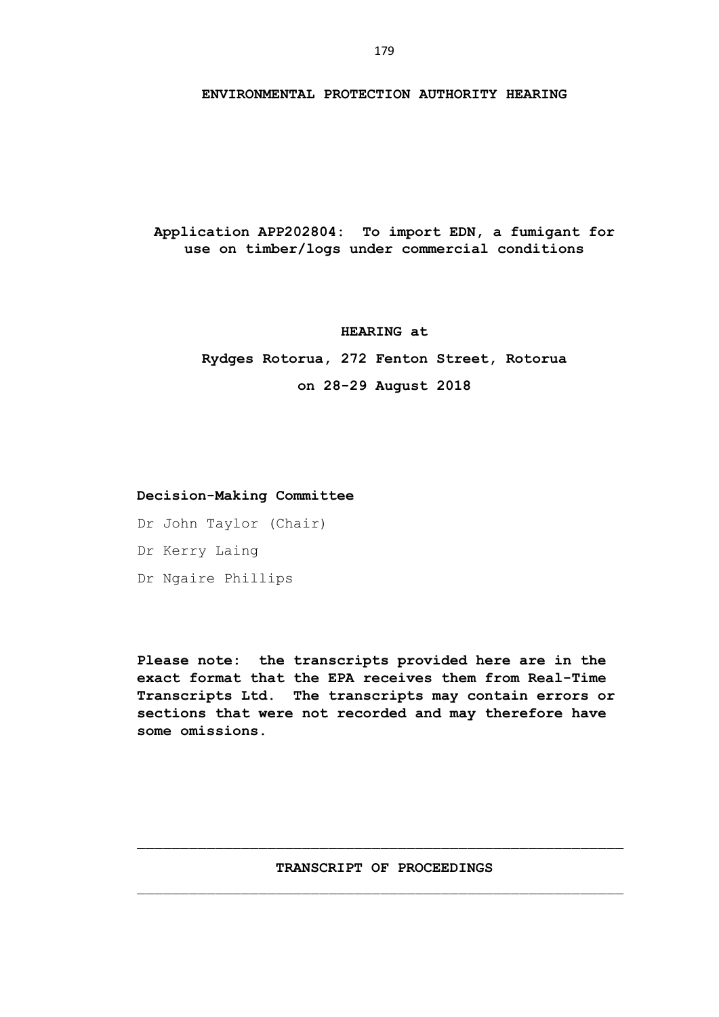#### **ENVIRONMENTAL PROTECTION AUTHORITY HEARING**

**Application APP202804: To import EDN, a fumigant for use on timber/logs under commercial conditions**

### **HEARING at**

**Rydges Rotorua, 272 Fenton Street, Rotorua on 28-29 August 2018**

## **Decision-Making Committee**

Dr John Taylor (Chair) Dr Kerry Laing Dr Ngaire Phillips

**Please note: the transcripts provided here are in the exact format that the EPA receives them from Real-Time Transcripts Ltd. The transcripts may contain errors or sections that were not recorded and may therefore have some omissions.**

## **TRANSCRIPT OF PROCEEDINGS**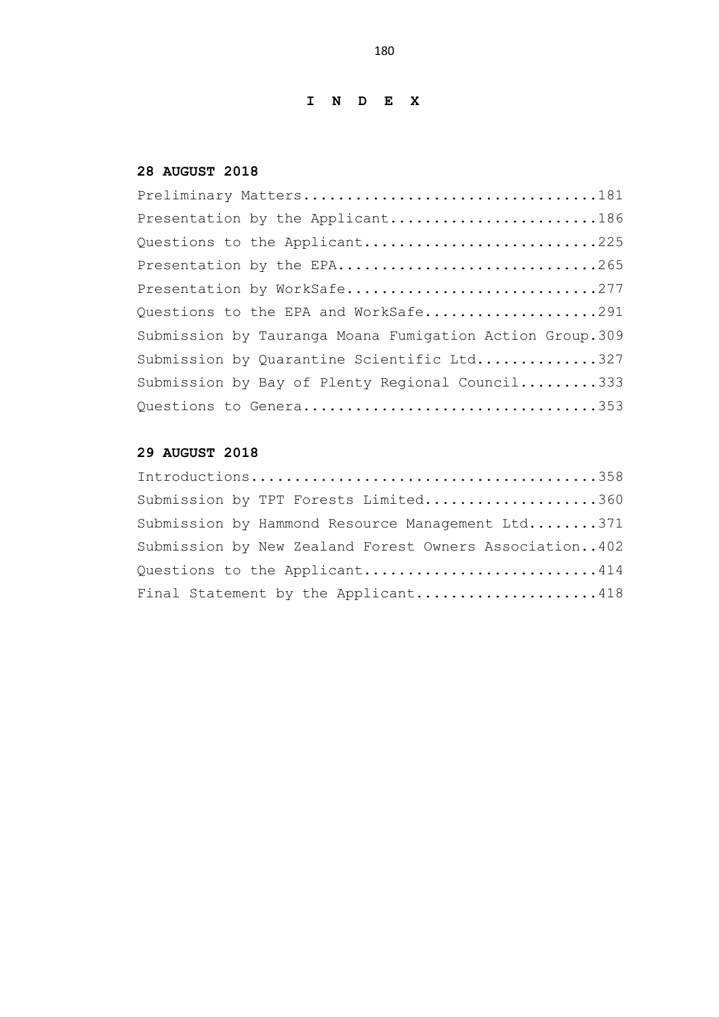# **I N D E X**

# **28 AUGUST 2018**

| Preliminary Matters181                                   |
|----------------------------------------------------------|
| Presentation by the Applicant186                         |
| Questions to the Applicant225                            |
| Presentation by the EPA265                               |
| Presentation by WorkSafe277                              |
| Questions to the EPA and WorkSafe291                     |
| Submission by Tauranga Moana Fumigation Action Group.309 |
| Submission by Quarantine Scientific Ltd327               |
| Submission by Bay of Plenty Regional Council333          |
| Questions to Genera353                                   |

# **29 AUGUST 2018**

| Submission by TPT Forests Limited360                   |  |
|--------------------------------------------------------|--|
| Submission by Hammond Resource Management Ltd371       |  |
| Submission by New Zealand Forest Owners Association402 |  |
| Questions to the Applicant414                          |  |
| Final Statement by the Applicant418                    |  |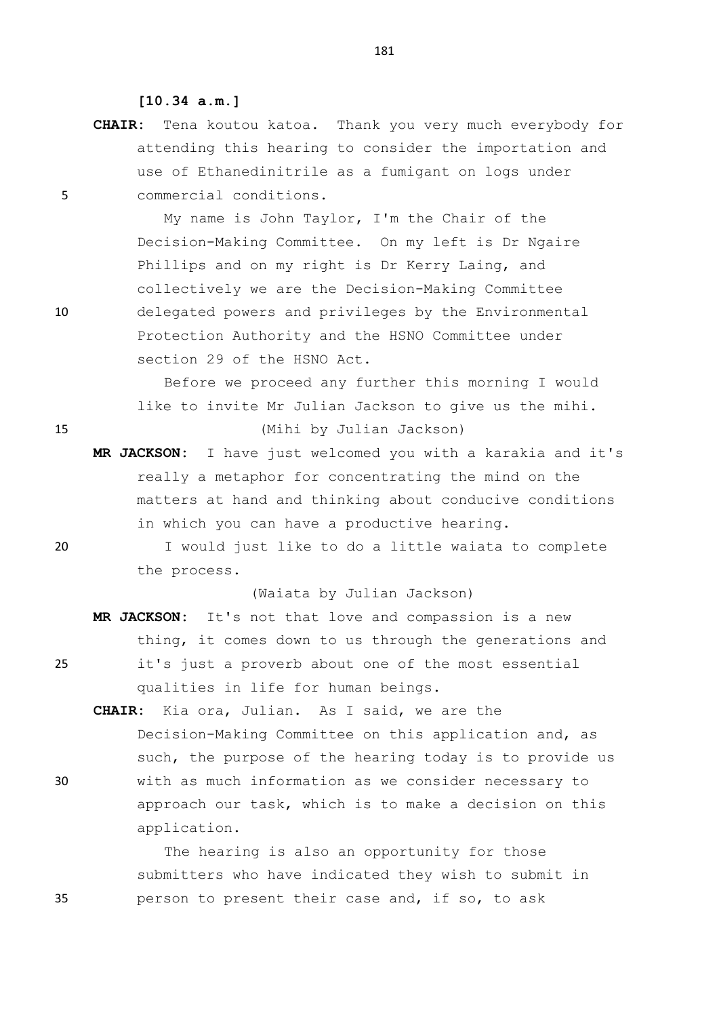**[10.34 a.m.]**

**CHAIR:** Tena koutou katoa. Thank you very much everybody for attending this hearing to consider the importation and use of Ethanedinitrile as a fumigant on logs under 5 commercial conditions.

My name is John Taylor, I'm the Chair of the Decision-Making Committee. On my left is Dr Ngaire Phillips and on my right is Dr Kerry Laing, and collectively we are the Decision-Making Committee 10 delegated powers and privileges by the Environmental Protection Authority and the HSNO Committee under section 29 of the HSNO Act.

Before we proceed any further this morning I would like to invite Mr Julian Jackson to give us the mihi. 15 (Mihi by Julian Jackson)

**MR JACKSON:** I have just welcomed you with a karakia and it's really a metaphor for concentrating the mind on the matters at hand and thinking about conducive conditions in which you can have a productive hearing.

20 I would just like to do a little waiata to complete the process.

(Waiata by Julian Jackson)

- **MR JACKSON:** It's not that love and compassion is a new thing, it comes down to us through the generations and 25 it's just a proverb about one of the most essential qualities in life for human beings.
- **CHAIR:** Kia ora, Julian. As I said, we are the Decision-Making Committee on this application and, as such, the purpose of the hearing today is to provide us 30 with as much information as we consider necessary to approach our task, which is to make a decision on this application.

The hearing is also an opportunity for those submitters who have indicated they wish to submit in 35 person to present their case and, if so, to ask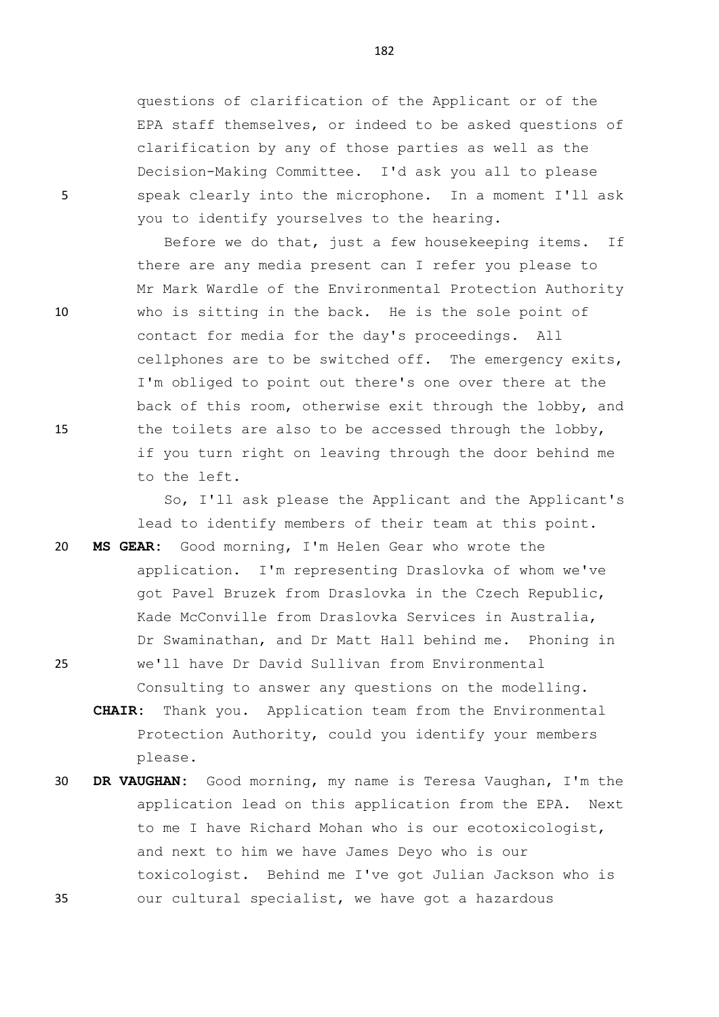questions of clarification of the Applicant or of the EPA staff themselves, or indeed to be asked questions of clarification by any of those parties as well as the Decision-Making Committee. I'd ask you all to please 5 speak clearly into the microphone. In a moment I'll ask you to identify yourselves to the hearing.

Before we do that, just a few housekeeping items. If there are any media present can I refer you please to Mr Mark Wardle of the Environmental Protection Authority 10 who is sitting in the back. He is the sole point of contact for media for the day's proceedings. All cellphones are to be switched off. The emergency exits, I'm obliged to point out there's one over there at the back of this room, otherwise exit through the lobby, and 15 the toilets are also to be accessed through the lobby, if you turn right on leaving through the door behind me to the left.

> So, I'll ask please the Applicant and the Applicant's lead to identify members of their team at this point.

20 **MS GEAR:** Good morning, I'm Helen Gear who wrote the application. I'm representing Draslovka of whom we've got Pavel Bruzek from Draslovka in the Czech Republic, Kade McConville from Draslovka Services in Australia, Dr Swaminathan, and Dr Matt Hall behind me. Phoning in 25 we'll have Dr David Sullivan from Environmental Consulting to answer any questions on the modelling.

**CHAIR:** Thank you. Application team from the Environmental Protection Authority, could you identify your members please.

30 **DR VAUGHAN:** Good morning, my name is Teresa Vaughan, I'm the application lead on this application from the EPA. Next to me I have Richard Mohan who is our ecotoxicologist, and next to him we have James Deyo who is our toxicologist. Behind me I've got Julian Jackson who is 35 our cultural specialist, we have got a hazardous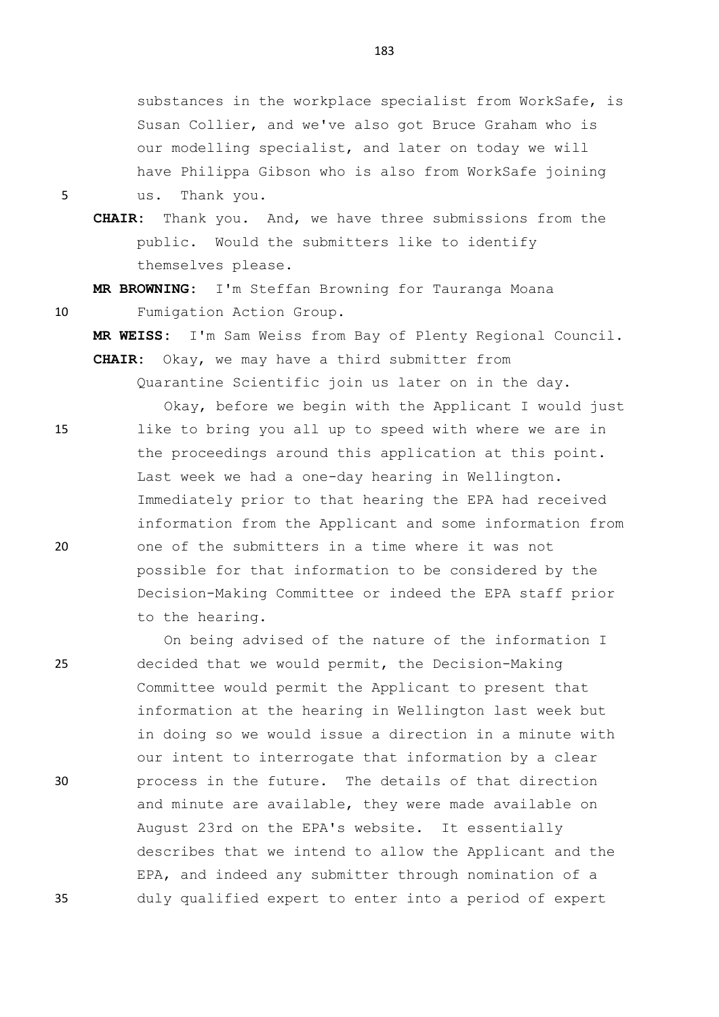substances in the workplace specialist from WorkSafe, is Susan Collier, and we've also got Bruce Graham who is our modelling specialist, and later on today we will have Philippa Gibson who is also from WorkSafe joining

5 us. Thank you.

**CHAIR:** Thank you. And, we have three submissions from the public. Would the submitters like to identify themselves please.

**MR BROWNING:** I'm Steffan Browning for Tauranga Moana 10 Fumigation Action Group.

**MR WEISS:** I'm Sam Weiss from Bay of Plenty Regional Council. **CHAIR:** Okay, we may have a third submitter from

Quarantine Scientific join us later on in the day.

Okay, before we begin with the Applicant I would just 15 like to bring you all up to speed with where we are in the proceedings around this application at this point. Last week we had a one-day hearing in Wellington. Immediately prior to that hearing the EPA had received information from the Applicant and some information from 20 one of the submitters in a time where it was not possible for that information to be considered by the Decision-Making Committee or indeed the EPA staff prior to the hearing.

On being advised of the nature of the information I 25 decided that we would permit, the Decision-Making Committee would permit the Applicant to present that information at the hearing in Wellington last week but in doing so we would issue a direction in a minute with our intent to interrogate that information by a clear 30 process in the future. The details of that direction and minute are available, they were made available on August 23rd on the EPA's website. It essentially describes that we intend to allow the Applicant and the EPA, and indeed any submitter through nomination of a 35 duly qualified expert to enter into a period of expert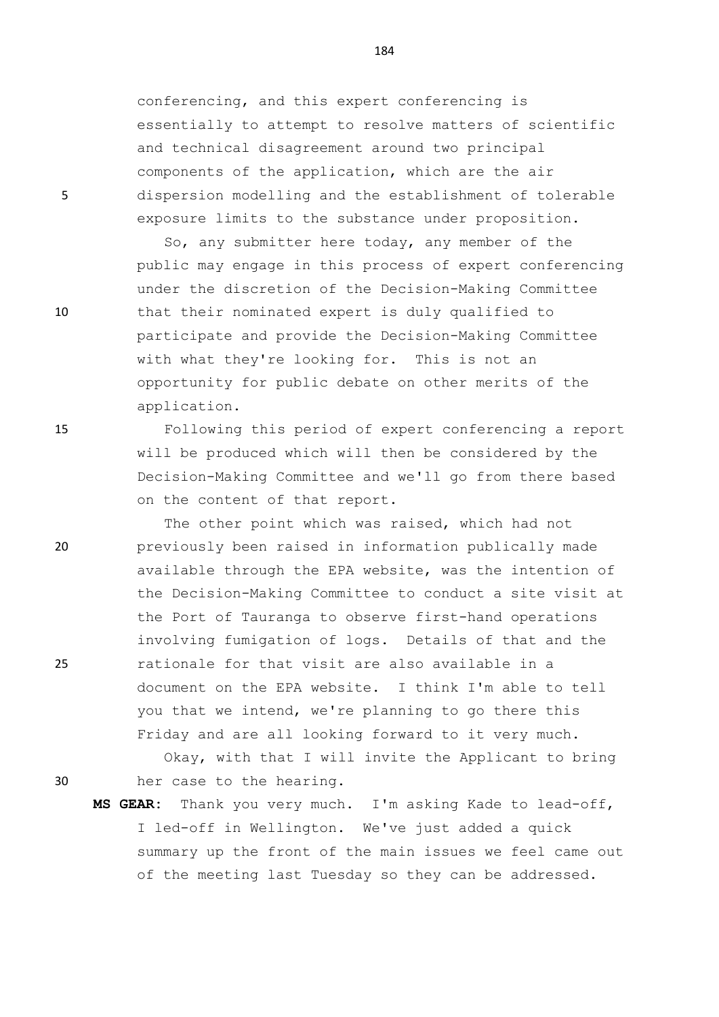conferencing, and this expert conferencing is essentially to attempt to resolve matters of scientific and technical disagreement around two principal components of the application, which are the air 5 dispersion modelling and the establishment of tolerable exposure limits to the substance under proposition.

So, any submitter here today, any member of the public may engage in this process of expert conferencing under the discretion of the Decision-Making Committee 10 that their nominated expert is duly qualified to participate and provide the Decision-Making Committee with what they're looking for. This is not an opportunity for public debate on other merits of the application.

15 Following this period of expert conferencing a report will be produced which will then be considered by the Decision-Making Committee and we'll go from there based on the content of that report.

The other point which was raised, which had not 20 previously been raised in information publically made available through the EPA website, was the intention of the Decision-Making Committee to conduct a site visit at the Port of Tauranga to observe first-hand operations involving fumigation of logs. Details of that and the 25 rationale for that visit are also available in a document on the EPA website. I think I'm able to tell you that we intend, we're planning to go there this Friday and are all looking forward to it very much.

Okay, with that I will invite the Applicant to bring 30 her case to the hearing.

**MS GEAR:** Thank you very much. I'm asking Kade to lead-off, I led-off in Wellington. We've just added a quick summary up the front of the main issues we feel came out of the meeting last Tuesday so they can be addressed.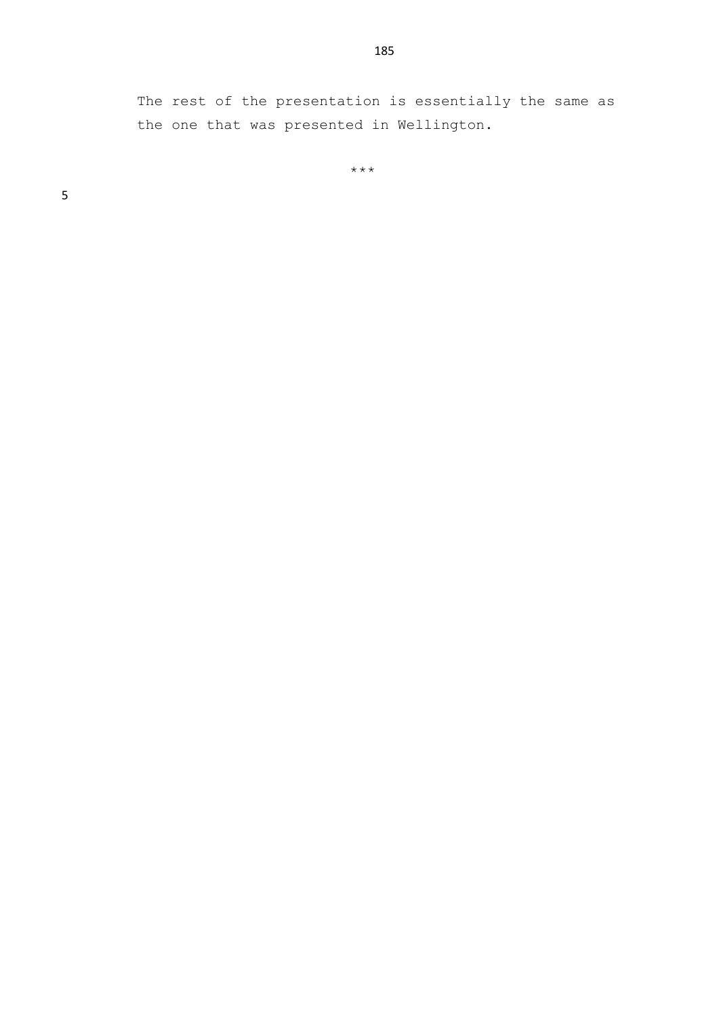The rest of the presentation is essentially the same as the one that was presented in Wellington.

\*\*\*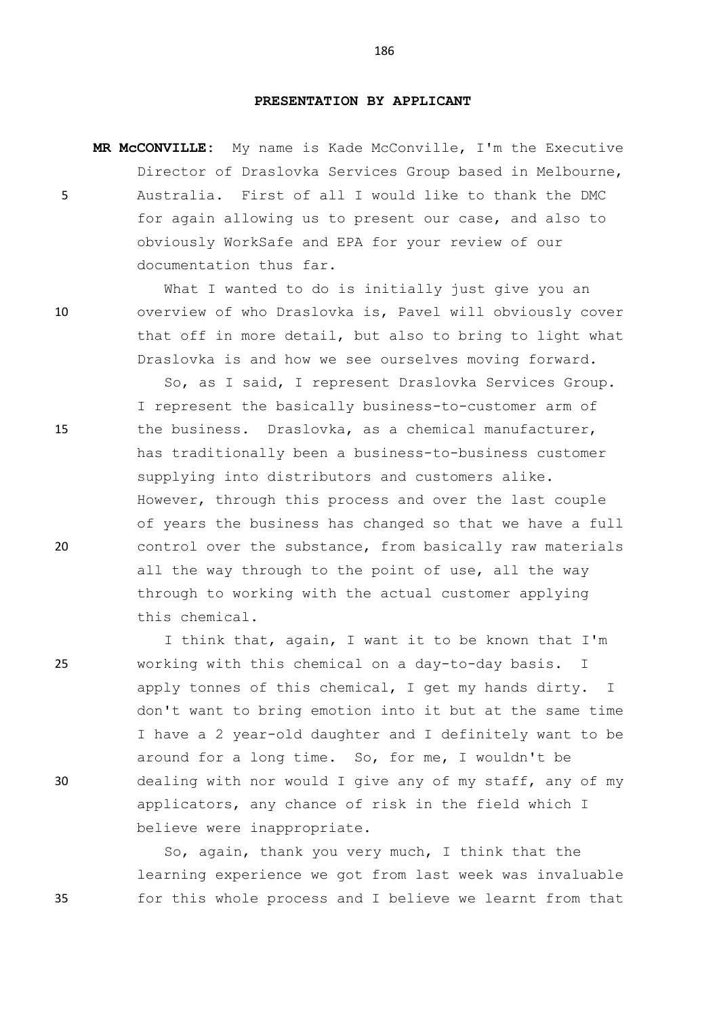### **PRESENTATION BY APPLICANT**

**MR McCONVILLE:** My name is Kade McConville, I'm the Executive Director of Draslovka Services Group based in Melbourne, 5 Australia. First of all I would like to thank the DMC for again allowing us to present our case, and also to obviously WorkSafe and EPA for your review of our documentation thus far.

What I wanted to do is initially just give you an 10 overview of who Draslovka is, Pavel will obviously cover that off in more detail, but also to bring to light what Draslovka is and how we see ourselves moving forward.

So, as I said, I represent Draslovka Services Group. I represent the basically business-to-customer arm of 15 the business. Draslovka, as a chemical manufacturer, has traditionally been a business-to-business customer supplying into distributors and customers alike. However, through this process and over the last couple of years the business has changed so that we have a full 20 control over the substance, from basically raw materials all the way through to the point of use, all the way through to working with the actual customer applying this chemical.

I think that, again, I want it to be known that I'm 25 working with this chemical on a day-to-day basis. I apply tonnes of this chemical, I get my hands dirty. I don't want to bring emotion into it but at the same time I have a 2 year-old daughter and I definitely want to be around for a long time. So, for me, I wouldn't be 30 dealing with nor would I give any of my staff, any of my applicators, any chance of risk in the field which I believe were inappropriate.

So, again, thank you very much, I think that the learning experience we got from last week was invaluable 35 for this whole process and I believe we learnt from that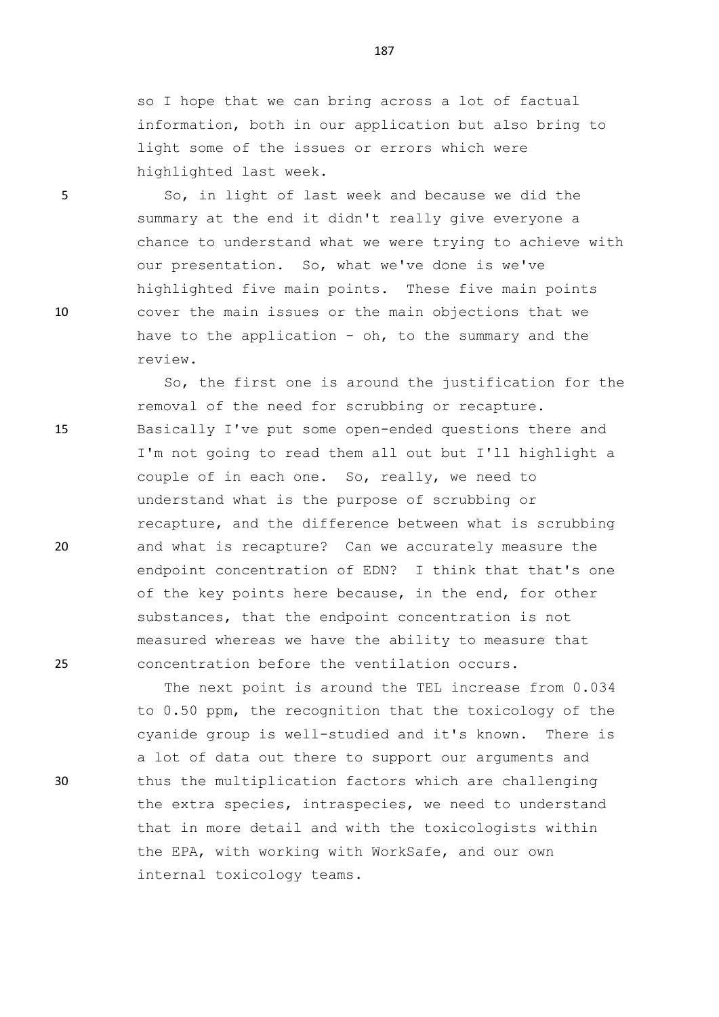so I hope that we can bring across a lot of factual information, both in our application but also bring to light some of the issues or errors which were highlighted last week.

5 So, in light of last week and because we did the summary at the end it didn't really give everyone a chance to understand what we were trying to achieve with our presentation. So, what we've done is we've highlighted five main points. These five main points 10 cover the main issues or the main objections that we have to the application - oh, to the summary and the review.

So, the first one is around the justification for the removal of the need for scrubbing or recapture. 15 Basically I've put some open-ended questions there and I'm not going to read them all out but I'll highlight a couple of in each one. So, really, we need to understand what is the purpose of scrubbing or recapture, and the difference between what is scrubbing 20 and what is recapture? Can we accurately measure the endpoint concentration of EDN? I think that that's one of the key points here because, in the end, for other substances, that the endpoint concentration is not measured whereas we have the ability to measure that 25 concentration before the ventilation occurs.

The next point is around the TEL increase from 0.034 to 0.50 ppm, the recognition that the toxicology of the cyanide group is well-studied and it's known. There is a lot of data out there to support our arguments and 30 thus the multiplication factors which are challenging the extra species, intraspecies, we need to understand that in more detail and with the toxicologists within the EPA, with working with WorkSafe, and our own internal toxicology teams.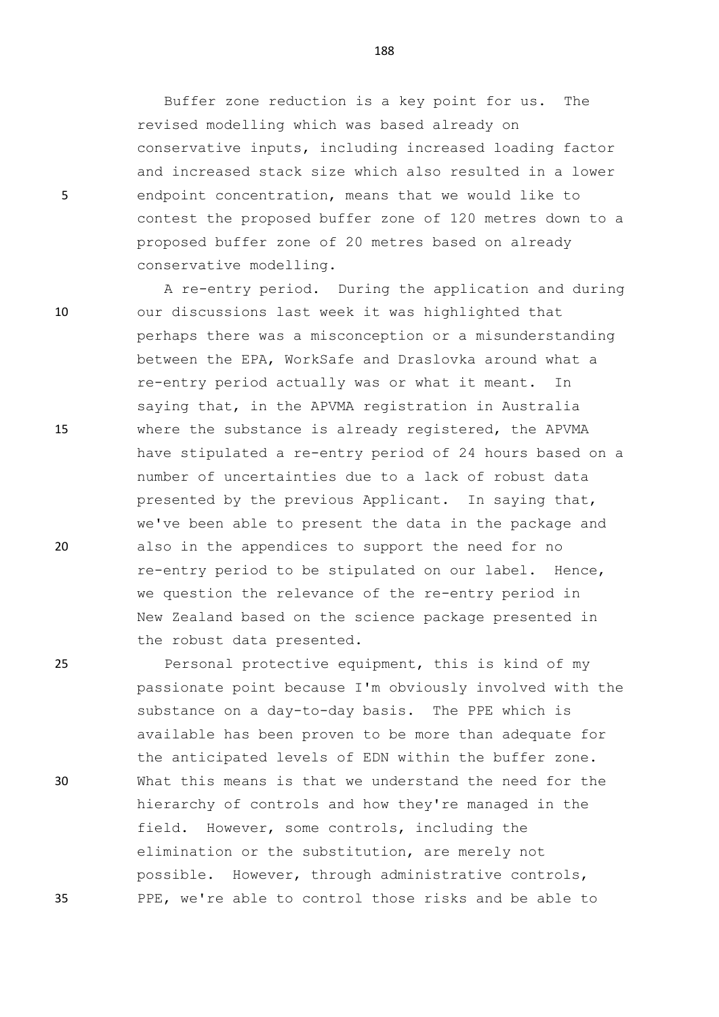Buffer zone reduction is a key point for us. The revised modelling which was based already on conservative inputs, including increased loading factor and increased stack size which also resulted in a lower 5 endpoint concentration, means that we would like to contest the proposed buffer zone of 120 metres down to a proposed buffer zone of 20 metres based on already conservative modelling.

A re-entry period. During the application and during 10 our discussions last week it was highlighted that perhaps there was a misconception or a misunderstanding between the EPA, WorkSafe and Draslovka around what a re-entry period actually was or what it meant. In saying that, in the APVMA registration in Australia 15 where the substance is already registered, the APVMA have stipulated a re-entry period of 24 hours based on a number of uncertainties due to a lack of robust data presented by the previous Applicant. In saying that, we've been able to present the data in the package and 20 also in the appendices to support the need for no re-entry period to be stipulated on our label. Hence, we question the relevance of the re-entry period in New Zealand based on the science package presented in the robust data presented.

25 Personal protective equipment, this is kind of my passionate point because I'm obviously involved with the substance on a day-to-day basis. The PPE which is available has been proven to be more than adequate for the anticipated levels of EDN within the buffer zone. 30 What this means is that we understand the need for the hierarchy of controls and how they're managed in the field. However, some controls, including the elimination or the substitution, are merely not possible. However, through administrative controls, 35 PPE, we're able to control those risks and be able to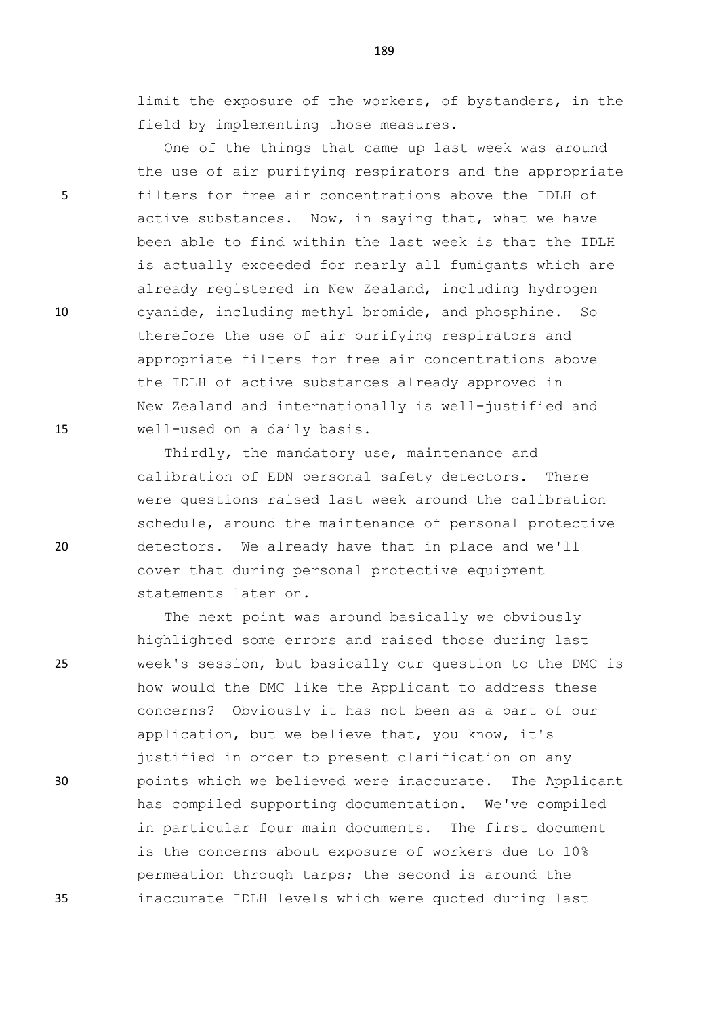limit the exposure of the workers, of bystanders, in the field by implementing those measures.

One of the things that came up last week was around the use of air purifying respirators and the appropriate 5 filters for free air concentrations above the IDLH of active substances. Now, in saying that, what we have been able to find within the last week is that the IDLH is actually exceeded for nearly all fumigants which are already registered in New Zealand, including hydrogen 10 cyanide, including methyl bromide, and phosphine. So therefore the use of air purifying respirators and appropriate filters for free air concentrations above the IDLH of active substances already approved in New Zealand and internationally is well-justified and 15 well-used on a daily basis.

Thirdly, the mandatory use, maintenance and calibration of EDN personal safety detectors. There were questions raised last week around the calibration schedule, around the maintenance of personal protective 20 detectors. We already have that in place and we'll cover that during personal protective equipment statements later on.

The next point was around basically we obviously highlighted some errors and raised those during last 25 week's session, but basically our question to the DMC is how would the DMC like the Applicant to address these concerns? Obviously it has not been as a part of our application, but we believe that, you know, it's justified in order to present clarification on any 30 points which we believed were inaccurate. The Applicant has compiled supporting documentation. We've compiled in particular four main documents. The first document is the concerns about exposure of workers due to 10% permeation through tarps; the second is around the 35 inaccurate IDLH levels which were quoted during last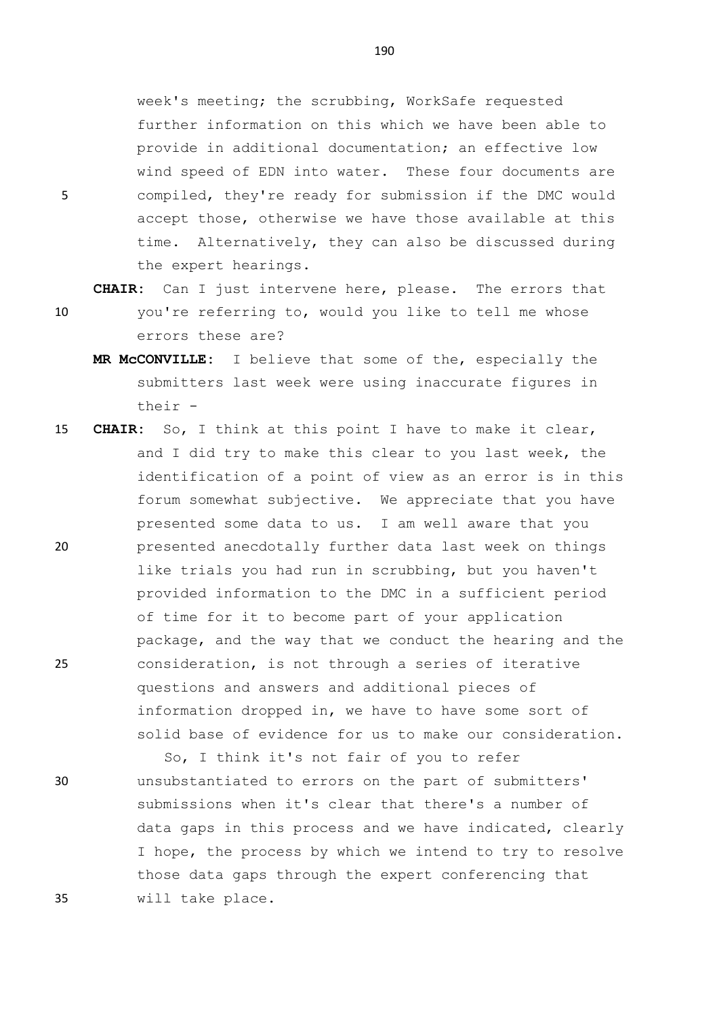week's meeting; the scrubbing, WorkSafe requested further information on this which we have been able to provide in additional documentation; an effective low wind speed of EDN into water. These four documents are 5 compiled, they're ready for submission if the DMC would accept those, otherwise we have those available at this time. Alternatively, they can also be discussed during the expert hearings.

**CHAIR:** Can I just intervene here, please. The errors that

- 10 you're referring to, would you like to tell me whose errors these are?
	- **MR McCONVILLE:** I believe that some of the, especially the submitters last week were using inaccurate figures in their -
- 15 **CHAIR:** So, I think at this point I have to make it clear, and I did try to make this clear to you last week, the identification of a point of view as an error is in this forum somewhat subjective. We appreciate that you have presented some data to us. I am well aware that you 20 presented anecdotally further data last week on things like trials you had run in scrubbing, but you haven't provided information to the DMC in a sufficient period of time for it to become part of your application package, and the way that we conduct the hearing and the 25 consideration, is not through a series of iterative questions and answers and additional pieces of information dropped in, we have to have some sort of solid base of evidence for us to make our consideration.
- So, I think it's not fair of you to refer 30 unsubstantiated to errors on the part of submitters' submissions when it's clear that there's a number of data gaps in this process and we have indicated, clearly I hope, the process by which we intend to try to resolve those data gaps through the expert conferencing that 35 will take place.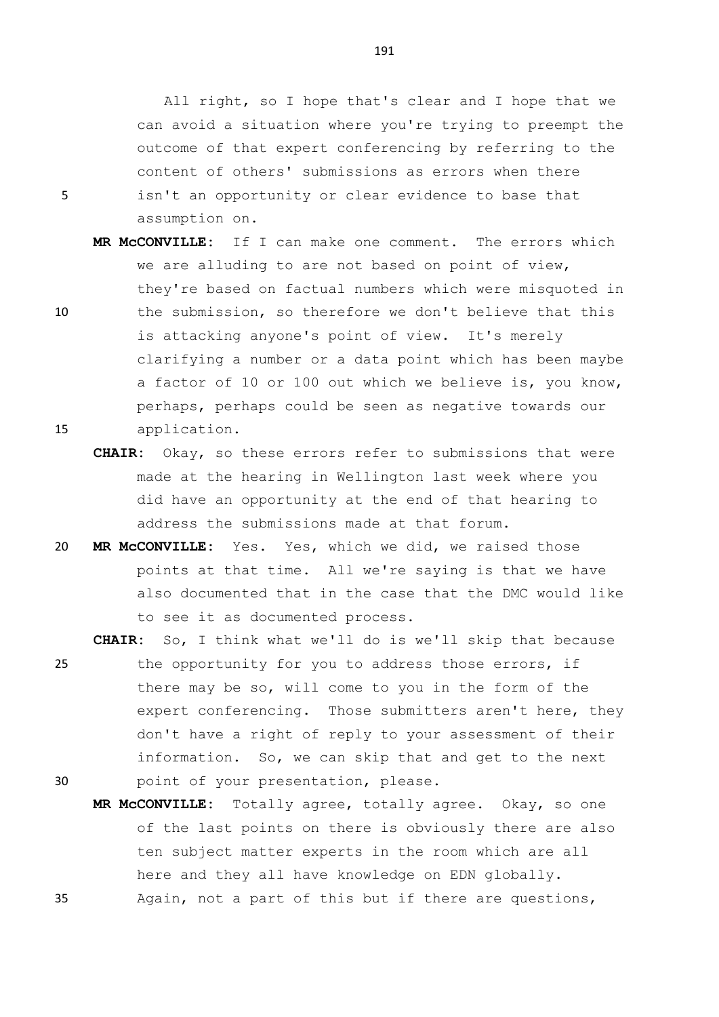All right, so I hope that's clear and I hope that we can avoid a situation where you're trying to preempt the outcome of that expert conferencing by referring to the content of others' submissions as errors when there 5 isn't an opportunity or clear evidence to base that assumption on.

- **MR McCONVILLE:** If I can make one comment. The errors which we are alluding to are not based on point of view, they're based on factual numbers which were misquoted in 10 the submission, so therefore we don't believe that this is attacking anyone's point of view. It's merely clarifying a number or a data point which has been maybe a factor of 10 or 100 out which we believe is, you know, perhaps, perhaps could be seen as negative towards our 15 application.
	- **CHAIR:** Okay, so these errors refer to submissions that were made at the hearing in Wellington last week where you did have an opportunity at the end of that hearing to address the submissions made at that forum.
- 20 **MR McCONVILLE:** Yes. Yes, which we did, we raised those points at that time. All we're saying is that we have also documented that in the case that the DMC would like to see it as documented process.

**CHAIR:** So, I think what we'll do is we'll skip that because

25 the opportunity for you to address those errors, if there may be so, will come to you in the form of the expert conferencing. Those submitters aren't here, they don't have a right of reply to your assessment of their information. So, we can skip that and get to the next 30 point of your presentation, please.

**MR McCONVILLE:** Totally agree, totally agree. Okay, so one of the last points on there is obviously there are also ten subject matter experts in the room which are all here and they all have knowledge on EDN globally. 35 Again, not a part of this but if there are questions,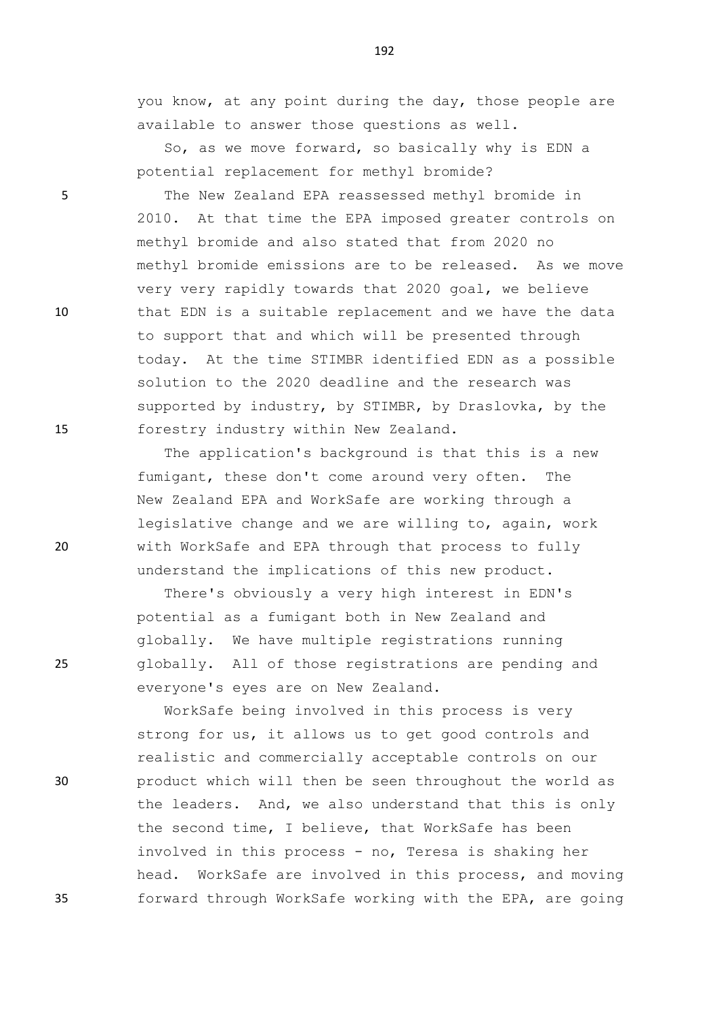you know, at any point during the day, those people are available to answer those questions as well.

So, as we move forward, so basically why is EDN a potential replacement for methyl bromide?

5 The New Zealand EPA reassessed methyl bromide in 2010. At that time the EPA imposed greater controls on methyl bromide and also stated that from 2020 no methyl bromide emissions are to be released. As we move very very rapidly towards that 2020 goal, we believe 10 that EDN is a suitable replacement and we have the data to support that and which will be presented through today. At the time STIMBR identified EDN as a possible solution to the 2020 deadline and the research was supported by industry, by STIMBR, by Draslovka, by the 15 forestry industry within New Zealand.

The application's background is that this is a new fumigant, these don't come around very often. The New Zealand EPA and WorkSafe are working through a legislative change and we are willing to, again, work 20 with WorkSafe and EPA through that process to fully understand the implications of this new product.

There's obviously a very high interest in EDN's potential as a fumigant both in New Zealand and globally. We have multiple registrations running 25 globally. All of those registrations are pending and everyone's eyes are on New Zealand.

WorkSafe being involved in this process is very strong for us, it allows us to get good controls and realistic and commercially acceptable controls on our 30 product which will then be seen throughout the world as the leaders. And, we also understand that this is only the second time, I believe, that WorkSafe has been involved in this process - no, Teresa is shaking her head. WorkSafe are involved in this process, and moving 35 forward through WorkSafe working with the EPA, are going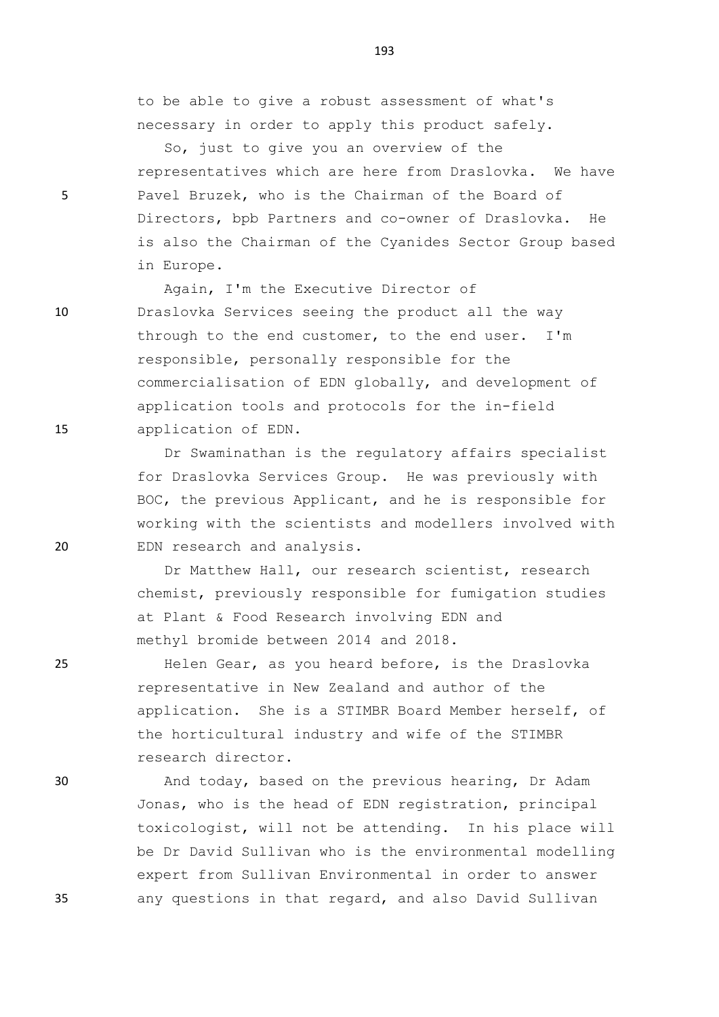to be able to give a robust assessment of what's necessary in order to apply this product safely.

So, just to give you an overview of the representatives which are here from Draslovka. We have 5 Pavel Bruzek, who is the Chairman of the Board of Directors, bpb Partners and co-owner of Draslovka. He is also the Chairman of the Cyanides Sector Group based in Europe.

Again, I'm the Executive Director of 10 Draslovka Services seeing the product all the way through to the end customer, to the end user. I'm responsible, personally responsible for the commercialisation of EDN globally, and development of application tools and protocols for the in-field 15 application of EDN.

Dr Swaminathan is the regulatory affairs specialist for Draslovka Services Group. He was previously with BOC, the previous Applicant, and he is responsible for working with the scientists and modellers involved with 20 EDN research and analysis.

> Dr Matthew Hall, our research scientist, research chemist, previously responsible for fumigation studies at Plant & Food Research involving EDN and methyl bromide between 2014 and 2018.

25 Helen Gear, as you heard before, is the Draslovka representative in New Zealand and author of the application. She is a STIMBR Board Member herself, of the horticultural industry and wife of the STIMBR research director.

30 And today, based on the previous hearing, Dr Adam Jonas, who is the head of EDN registration, principal toxicologist, will not be attending. In his place will be Dr David Sullivan who is the environmental modelling expert from Sullivan Environmental in order to answer 35 any questions in that regard, and also David Sullivan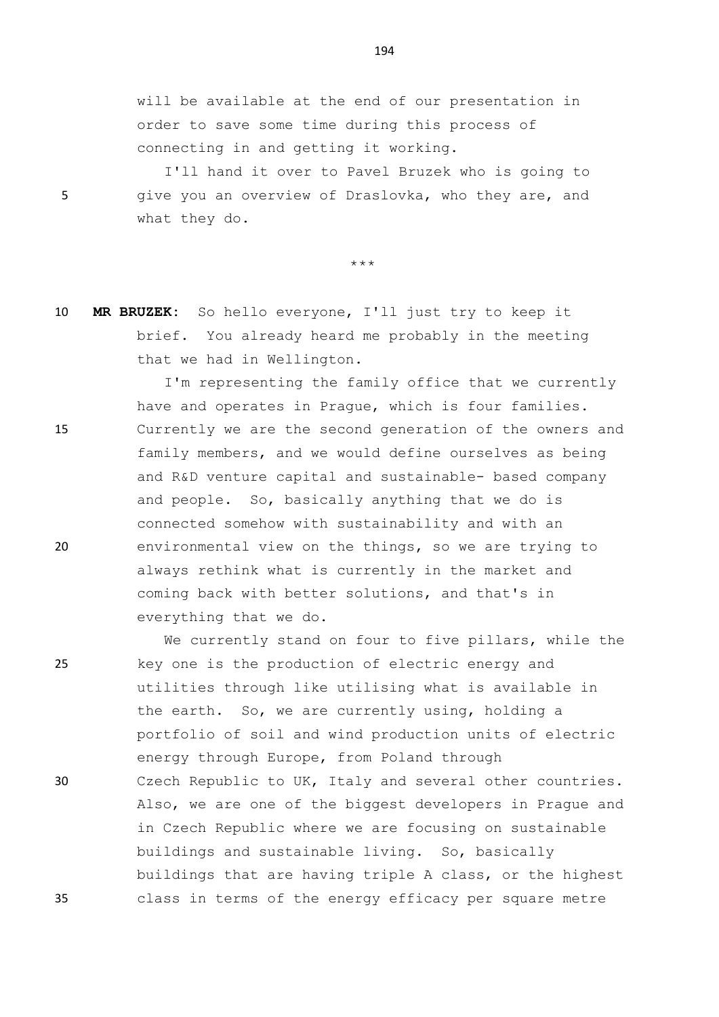will be available at the end of our presentation in order to save some time during this process of connecting in and getting it working.

I'll hand it over to Pavel Bruzek who is going to 5 give you an overview of Draslovka, who they are, and what they do.

\*\*\*

10 **MR BRUZEK:** So hello everyone, I'll just try to keep it brief. You already heard me probably in the meeting that we had in Wellington.

I'm representing the family office that we currently have and operates in Prague, which is four families. 15 Currently we are the second generation of the owners and family members, and we would define ourselves as being and R&D venture capital and sustainable- based company and people. So, basically anything that we do is connected somehow with sustainability and with an 20 environmental view on the things, so we are trying to always rethink what is currently in the market and coming back with better solutions, and that's in everything that we do.

We currently stand on four to five pillars, while the 25 key one is the production of electric energy and utilities through like utilising what is available in the earth. So, we are currently using, holding a portfolio of soil and wind production units of electric energy through Europe, from Poland through 30 Czech Republic to UK, Italy and several other countries. Also, we are one of the biggest developers in Prague and in Czech Republic where we are focusing on sustainable buildings and sustainable living. So, basically buildings that are having triple A class, or the highest 35 class in terms of the energy efficacy per square metre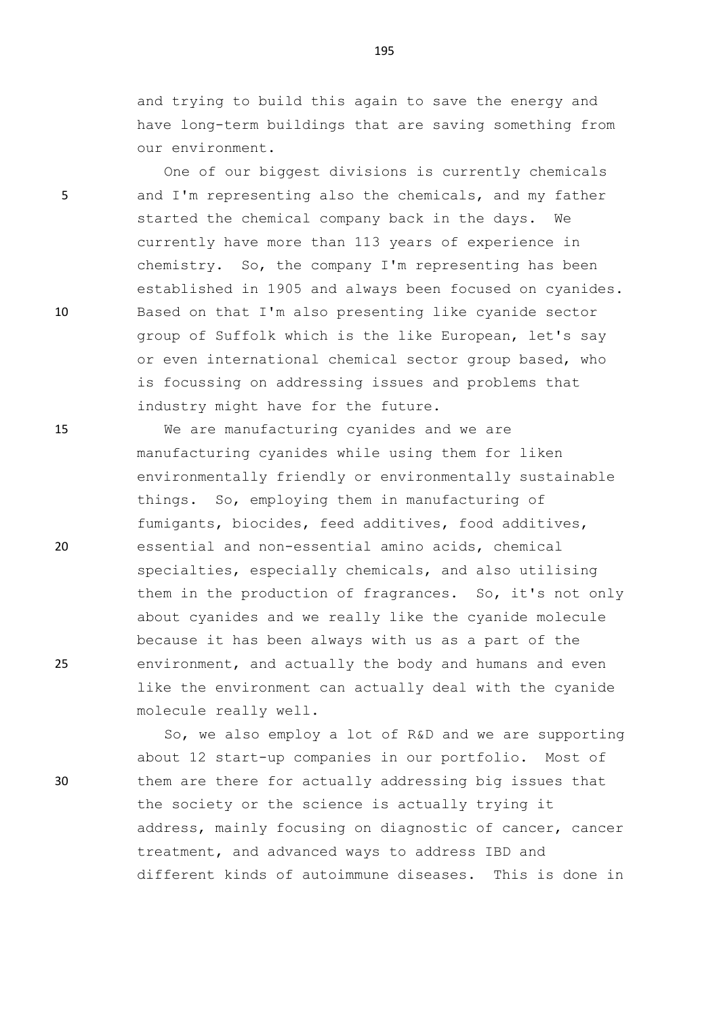and trying to build this again to save the energy and have long-term buildings that are saving something from our environment.

One of our biggest divisions is currently chemicals 5 and I'm representing also the chemicals, and my father started the chemical company back in the days. We currently have more than 113 years of experience in chemistry. So, the company I'm representing has been established in 1905 and always been focused on cyanides. 10 Based on that I'm also presenting like cyanide sector group of Suffolk which is the like European, let's say or even international chemical sector group based, who is focussing on addressing issues and problems that industry might have for the future.

15 We are manufacturing cyanides and we are manufacturing cyanides while using them for liken environmentally friendly or environmentally sustainable things. So, employing them in manufacturing of fumigants, biocides, feed additives, food additives, 20 essential and non-essential amino acids, chemical specialties, especially chemicals, and also utilising them in the production of fragrances. So, it's not only about cyanides and we really like the cyanide molecule because it has been always with us as a part of the 25 environment, and actually the body and humans and even like the environment can actually deal with the cyanide molecule really well.

So, we also employ a lot of R&D and we are supporting about 12 start-up companies in our portfolio. Most of 30 them are there for actually addressing big issues that the society or the science is actually trying it address, mainly focusing on diagnostic of cancer, cancer treatment, and advanced ways to address IBD and different kinds of autoimmune diseases. This is done in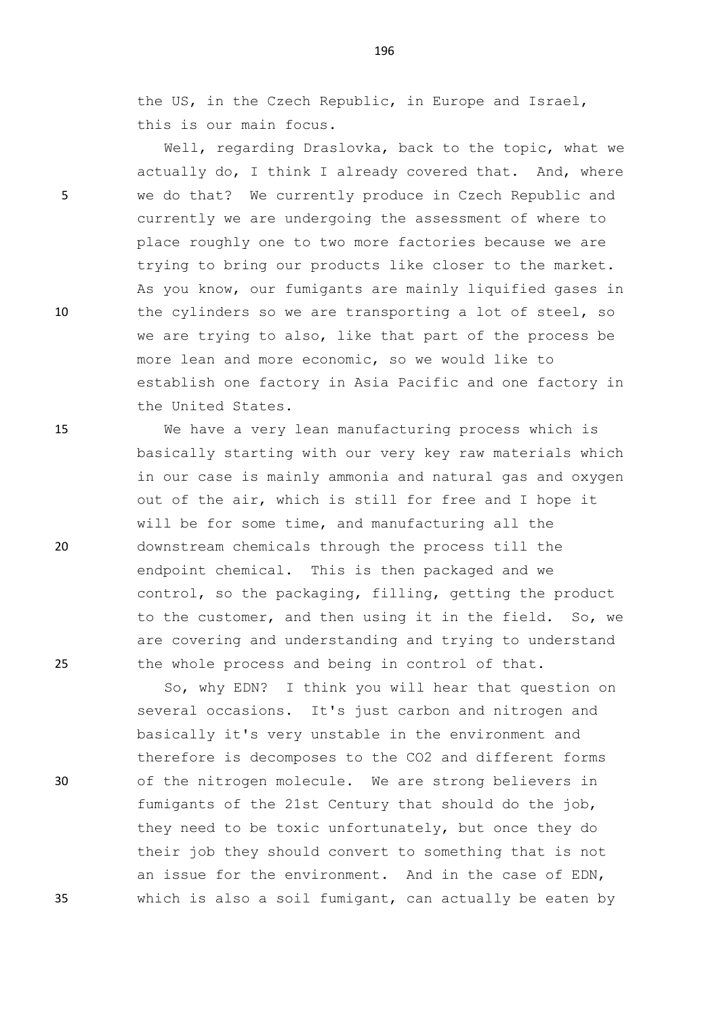the US, in the Czech Republic, in Europe and Israel, this is our main focus.

Well, regarding Draslovka, back to the topic, what we actually do, I think I already covered that. And, where 5 we do that? We currently produce in Czech Republic and currently we are undergoing the assessment of where to place roughly one to two more factories because we are trying to bring our products like closer to the market. As you know, our fumigants are mainly liquified gases in 10 the cylinders so we are transporting a lot of steel, so we are trying to also, like that part of the process be more lean and more economic, so we would like to establish one factory in Asia Pacific and one factory in the United States.

15 We have a very lean manufacturing process which is basically starting with our very key raw materials which in our case is mainly ammonia and natural gas and oxygen out of the air, which is still for free and I hope it will be for some time, and manufacturing all the 20 downstream chemicals through the process till the endpoint chemical. This is then packaged and we control, so the packaging, filling, getting the product to the customer, and then using it in the field. So, we are covering and understanding and trying to understand 25 the whole process and being in control of that.

So, why EDN? I think you will hear that question on several occasions. It's just carbon and nitrogen and basically it's very unstable in the environment and therefore is decomposes to the CO2 and different forms 30 of the nitrogen molecule. We are strong believers in fumigants of the 21st Century that should do the job, they need to be toxic unfortunately, but once they do their job they should convert to something that is not an issue for the environment. And in the case of EDN, 35 which is also a soil fumigant, can actually be eaten by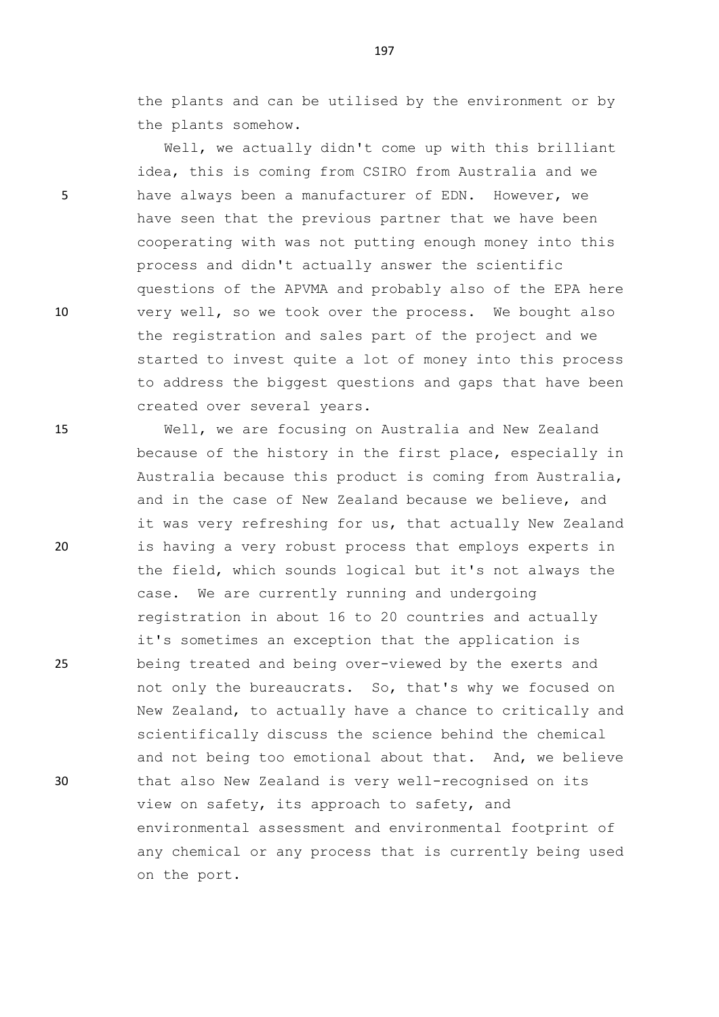the plants and can be utilised by the environment or by the plants somehow.

Well, we actually didn't come up with this brilliant idea, this is coming from CSIRO from Australia and we 5 have always been a manufacturer of EDN. However, we have seen that the previous partner that we have been cooperating with was not putting enough money into this process and didn't actually answer the scientific questions of the APVMA and probably also of the EPA here 10 very well, so we took over the process. We bought also the registration and sales part of the project and we started to invest quite a lot of money into this process to address the biggest questions and gaps that have been created over several years.

15 Well, we are focusing on Australia and New Zealand because of the history in the first place, especially in Australia because this product is coming from Australia, and in the case of New Zealand because we believe, and it was very refreshing for us, that actually New Zealand 20 is having a very robust process that employs experts in the field, which sounds logical but it's not always the case. We are currently running and undergoing registration in about 16 to 20 countries and actually it's sometimes an exception that the application is 25 being treated and being over-viewed by the exerts and not only the bureaucrats. So, that's why we focused on New Zealand, to actually have a chance to critically and scientifically discuss the science behind the chemical and not being too emotional about that. And, we believe 30 that also New Zealand is very well-recognised on its view on safety, its approach to safety, and environmental assessment and environmental footprint of any chemical or any process that is currently being used on the port.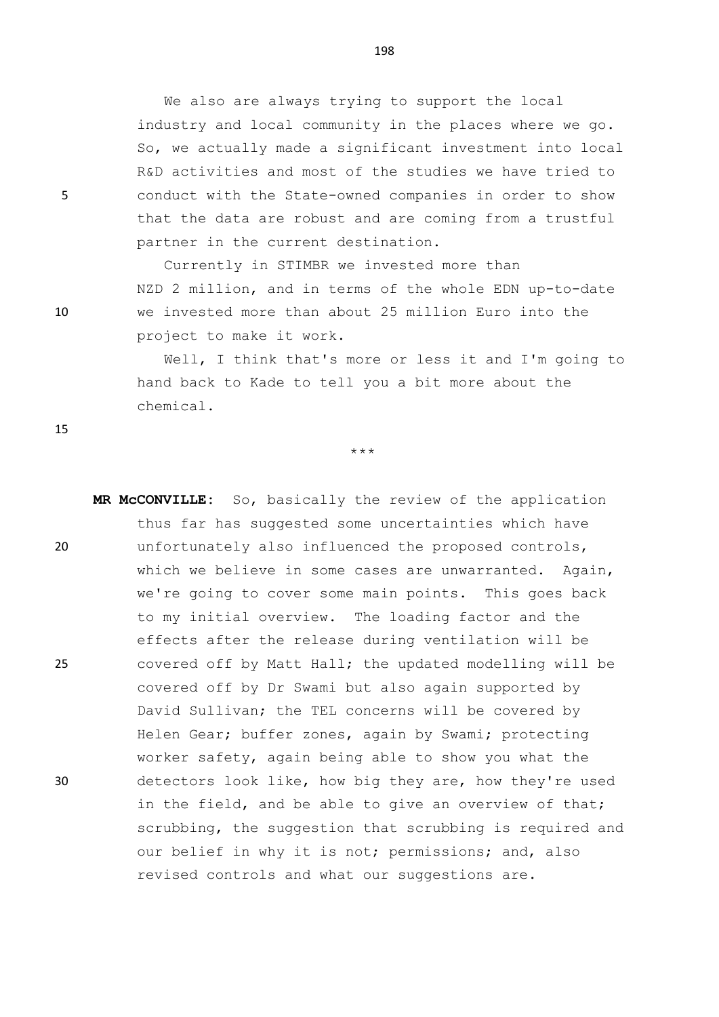We also are always trying to support the local industry and local community in the places where we go. So, we actually made a significant investment into local R&D activities and most of the studies we have tried to 5 conduct with the State-owned companies in order to show that the data are robust and are coming from a trustful partner in the current destination.

Currently in STIMBR we invested more than NZD 2 million, and in terms of the whole EDN up-to-date 10 we invested more than about 25 million Euro into the project to make it work.

> Well, I think that's more or less it and I'm going to hand back to Kade to tell you a bit more about the chemical.

> > \*\*\*

**MR McCONVILLE:** So, basically the review of the application thus far has suggested some uncertainties which have 20 unfortunately also influenced the proposed controls, which we believe in some cases are unwarranted. Again, we're going to cover some main points. This goes back to my initial overview. The loading factor and the effects after the release during ventilation will be 25 covered off by Matt Hall; the updated modelling will be covered off by Dr Swami but also again supported by David Sullivan; the TEL concerns will be covered by Helen Gear; buffer zones, again by Swami; protecting worker safety, again being able to show you what the 30 detectors look like, how big they are, how they're used in the field, and be able to give an overview of that; scrubbing, the suggestion that scrubbing is required and our belief in why it is not; permissions; and, also revised controls and what our suggestions are.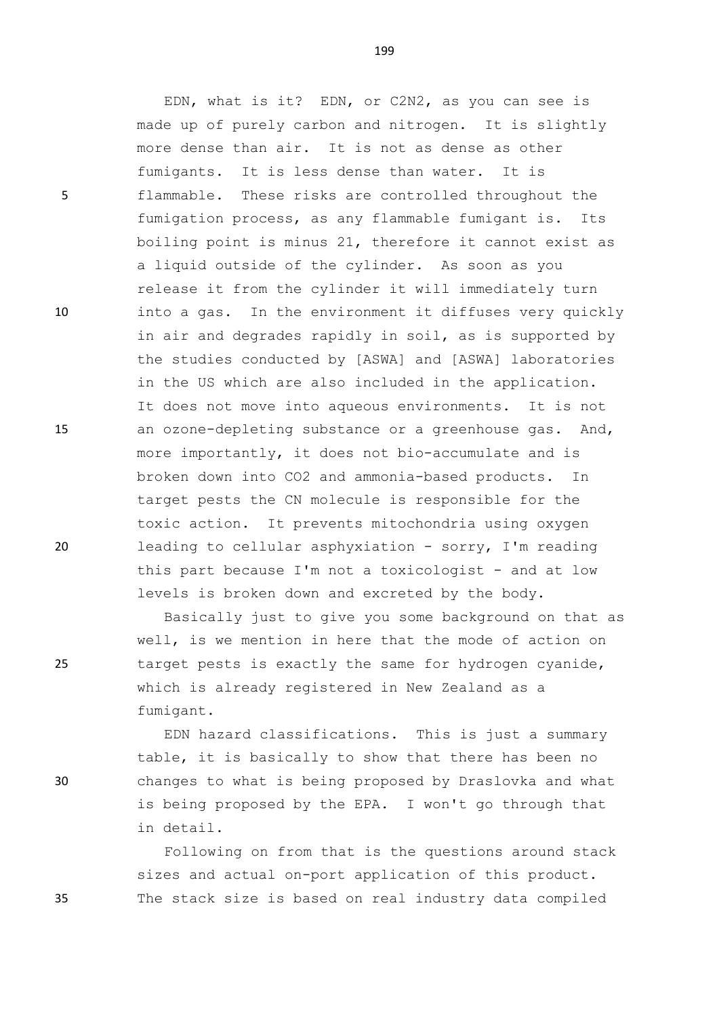5 flammable. These risks are controlled throughout the

10 into a gas. In the environment it diffuses very quickly

15 an ozone-depleting substance or a greenhouse gas. And,

20 leading to cellular asphyxiation - sorry, I'm reading

Basically just to give you some background on that as well, is we mention in here that the mode of action on 25 target pests is exactly the same for hydrogen cyanide, which is already registered in New Zealand as a fumigant.

EDN hazard classifications. This is just a summary table, it is basically to show that there has been no 30 changes to what is being proposed by Draslovka and what is being proposed by the EPA. I won't go through that in detail.

Following on from that is the questions around stack sizes and actual on-port application of this product. 35 The stack size is based on real industry data compiled

199

EDN, what is it? EDN, or C2N2, as you can see is

made up of purely carbon and nitrogen. It is slightly

fumigation process, as any flammable fumigant is. Its boiling point is minus 21, therefore it cannot exist as

release it from the cylinder it will immediately turn

in air and degrades rapidly in soil, as is supported by the studies conducted by [ASWA] and [ASWA] laboratories

in the US which are also included in the application.

more importantly, it does not bio-accumulate and is broken down into CO2 and ammonia-based products. In target pests the CN molecule is responsible for the

toxic action. It prevents mitochondria using oxygen

this part because I'm not a toxicologist - and at low

levels is broken down and excreted by the body.

It does not move into aqueous environments. It is not

more dense than air. It is not as dense as other

a liquid outside of the cylinder. As soon as you

fumigants. It is less dense than water. It is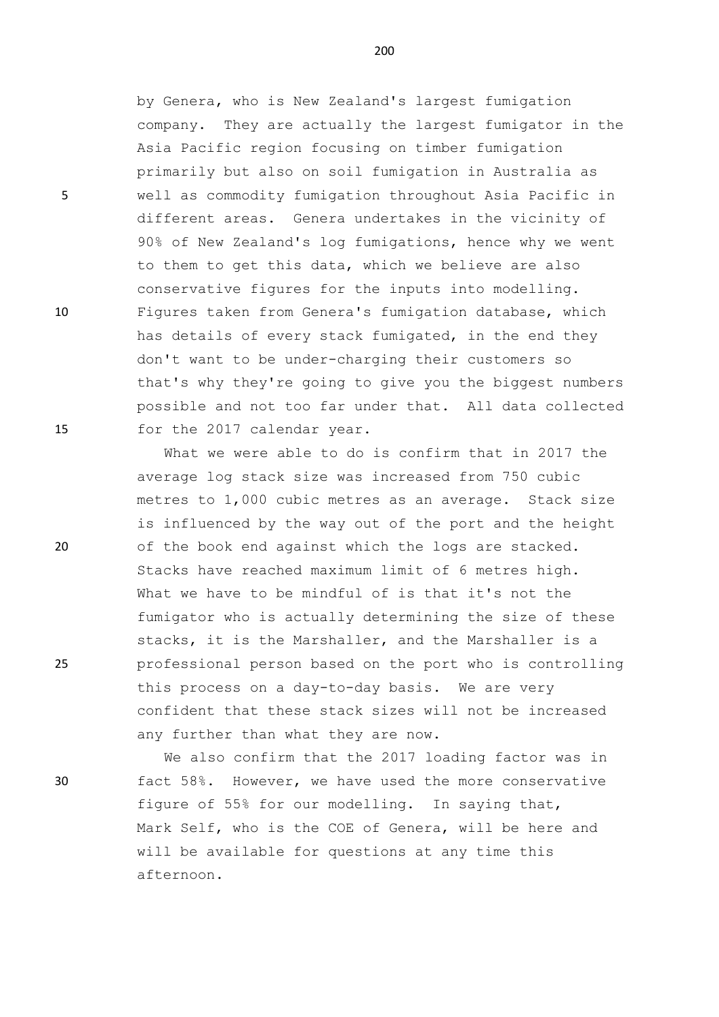by Genera, who is New Zealand's largest fumigation company. They are actually the largest fumigator in the Asia Pacific region focusing on timber fumigation primarily but also on soil fumigation in Australia as 5 well as commodity fumigation throughout Asia Pacific in different areas. Genera undertakes in the vicinity of 90% of New Zealand's log fumigations, hence why we went to them to get this data, which we believe are also conservative figures for the inputs into modelling. 10 Figures taken from Genera's fumigation database, which has details of every stack fumigated, in the end they don't want to be under-charging their customers so that's why they're going to give you the biggest numbers possible and not too far under that. All data collected 15 for the 2017 calendar year.

What we were able to do is confirm that in 2017 the average log stack size was increased from 750 cubic metres to 1,000 cubic metres as an average. Stack size is influenced by the way out of the port and the height 20 of the book end against which the logs are stacked. Stacks have reached maximum limit of 6 metres high. What we have to be mindful of is that it's not the fumigator who is actually determining the size of these stacks, it is the Marshaller, and the Marshaller is a 25 professional person based on the port who is controlling this process on a day-to-day basis. We are very confident that these stack sizes will not be increased any further than what they are now.

We also confirm that the 2017 loading factor was in 30 fact 58%. However, we have used the more conservative figure of 55% for our modelling. In saying that, Mark Self, who is the COE of Genera, will be here and will be available for questions at any time this afternoon.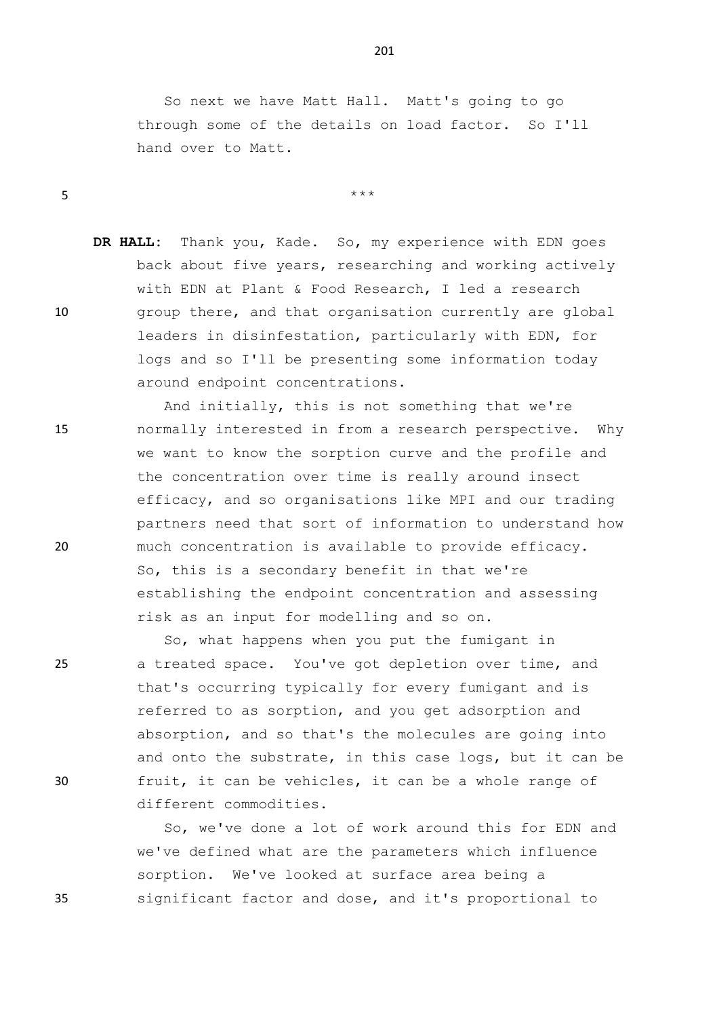So next we have Matt Hall. Matt's going to go through some of the details on load factor. So I'll hand over to Matt.

**DR HALL:** Thank you, Kade. So, my experience with EDN goes back about five years, researching and working actively with EDN at Plant & Food Research, I led a research 10 group there, and that organisation currently are global leaders in disinfestation, particularly with EDN, for logs and so I'll be presenting some information today around endpoint concentrations.

 $5$  \*\*\*

And initially, this is not something that we're 15 normally interested in from a research perspective. Why we want to know the sorption curve and the profile and the concentration over time is really around insect efficacy, and so organisations like MPI and our trading partners need that sort of information to understand how 20 much concentration is available to provide efficacy. So, this is a secondary benefit in that we're establishing the endpoint concentration and assessing risk as an input for modelling and so on.

So, what happens when you put the fumigant in 25 a treated space. You've got depletion over time, and that's occurring typically for every fumigant and is referred to as sorption, and you get adsorption and absorption, and so that's the molecules are going into and onto the substrate, in this case logs, but it can be 30 fruit, it can be vehicles, it can be a whole range of different commodities.

So, we've done a lot of work around this for EDN and we've defined what are the parameters which influence sorption. We've looked at surface area being a 35 significant factor and dose, and it's proportional to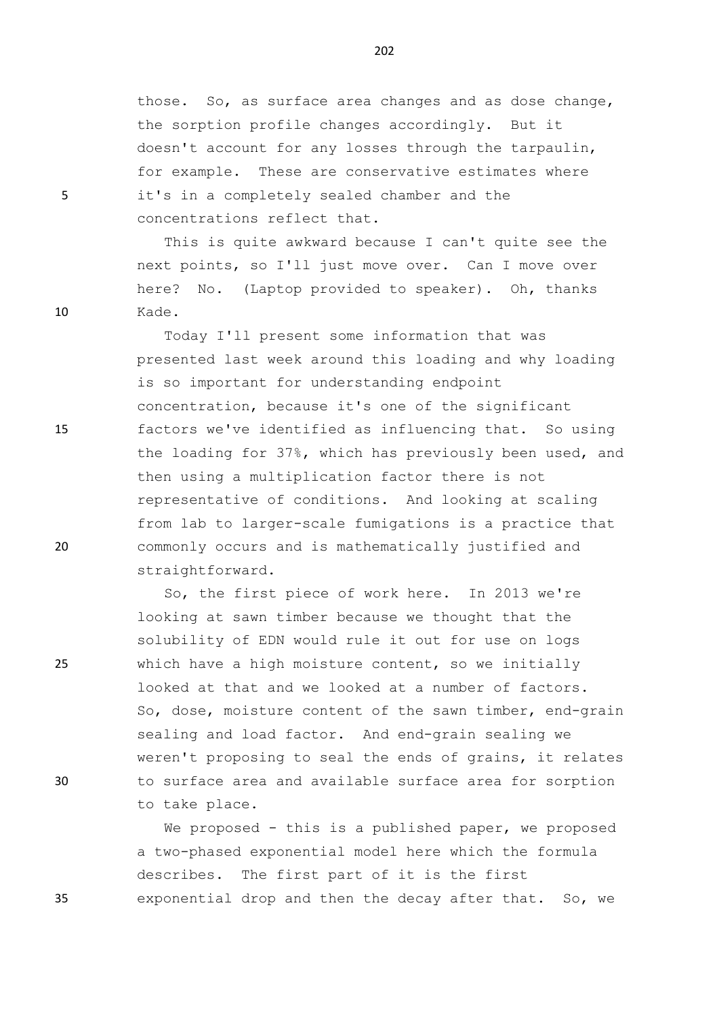those. So, as surface area changes and as dose change, the sorption profile changes accordingly. But it doesn't account for any losses through the tarpaulin, for example. These are conservative estimates where 5 it's in a completely sealed chamber and the concentrations reflect that.

This is quite awkward because I can't quite see the next points, so I'll just move over. Can I move over here? No. (Laptop provided to speaker). Oh, thanks 10 Kade.

Today I'll present some information that was presented last week around this loading and why loading is so important for understanding endpoint concentration, because it's one of the significant 15 factors we've identified as influencing that. So using the loading for 37%, which has previously been used, and then using a multiplication factor there is not representative of conditions. And looking at scaling from lab to larger-scale fumigations is a practice that 20 commonly occurs and is mathematically justified and straightforward.

So, the first piece of work here. In 2013 we're looking at sawn timber because we thought that the solubility of EDN would rule it out for use on logs 25 which have a high moisture content, so we initially looked at that and we looked at a number of factors. So, dose, moisture content of the sawn timber, end-grain sealing and load factor. And end-grain sealing we weren't proposing to seal the ends of grains, it relates 30 to surface area and available surface area for sorption to take place.

We proposed - this is a published paper, we proposed a two-phased exponential model here which the formula describes. The first part of it is the first 35 exponential drop and then the decay after that. So, we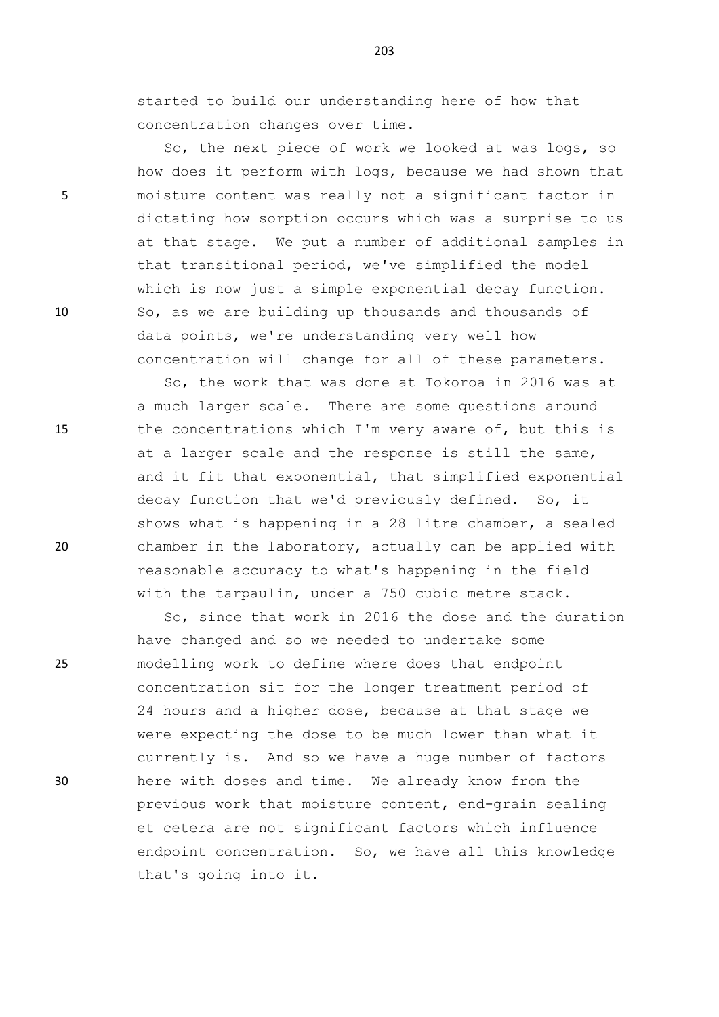started to build our understanding here of how that concentration changes over time.

So, the next piece of work we looked at was logs, so how does it perform with logs, because we had shown that 5 moisture content was really not a significant factor in dictating how sorption occurs which was a surprise to us at that stage. We put a number of additional samples in that transitional period, we've simplified the model which is now just a simple exponential decay function. 10 So, as we are building up thousands and thousands of data points, we're understanding very well how concentration will change for all of these parameters.

So, the work that was done at Tokoroa in 2016 was at a much larger scale. There are some questions around 15 the concentrations which I'm very aware of, but this is at a larger scale and the response is still the same, and it fit that exponential, that simplified exponential decay function that we'd previously defined. So, it shows what is happening in a 28 litre chamber, a sealed 20 chamber in the laboratory, actually can be applied with reasonable accuracy to what's happening in the field with the tarpaulin, under a 750 cubic metre stack.

So, since that work in 2016 the dose and the duration have changed and so we needed to undertake some 25 modelling work to define where does that endpoint concentration sit for the longer treatment period of 24 hours and a higher dose, because at that stage we were expecting the dose to be much lower than what it currently is. And so we have a huge number of factors 30 here with doses and time. We already know from the previous work that moisture content, end-grain sealing et cetera are not significant factors which influence endpoint concentration. So, we have all this knowledge that's going into it.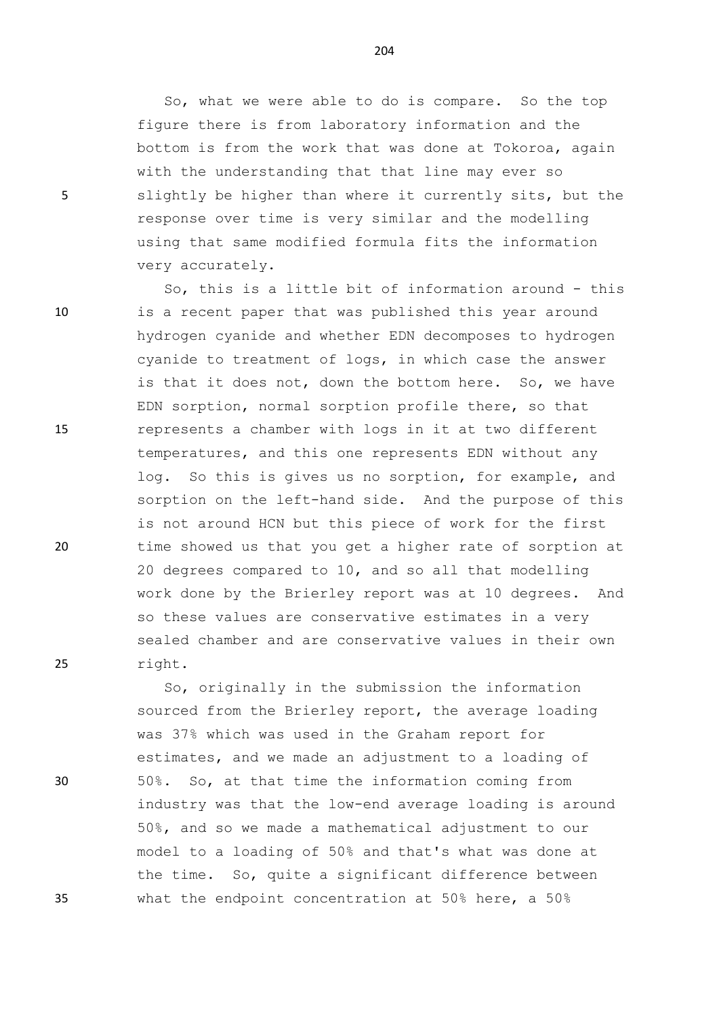So, what we were able to do is compare. So the top figure there is from laboratory information and the bottom is from the work that was done at Tokoroa, again with the understanding that that line may ever so 5 slightly be higher than where it currently sits, but the response over time is very similar and the modelling using that same modified formula fits the information very accurately.

So, this is a little bit of information around - this 10 is a recent paper that was published this year around hydrogen cyanide and whether EDN decomposes to hydrogen cyanide to treatment of logs, in which case the answer is that it does not, down the bottom here. So, we have EDN sorption, normal sorption profile there, so that 15 represents a chamber with logs in it at two different temperatures, and this one represents EDN without any log. So this is gives us no sorption, for example, and sorption on the left-hand side. And the purpose of this is not around HCN but this piece of work for the first 20 time showed us that you get a higher rate of sorption at 20 degrees compared to 10, and so all that modelling work done by the Brierley report was at 10 degrees. And so these values are conservative estimates in a very sealed chamber and are conservative values in their own 25 right.

So, originally in the submission the information sourced from the Brierley report, the average loading was 37% which was used in the Graham report for estimates, and we made an adjustment to a loading of 30 50%. So, at that time the information coming from industry was that the low-end average loading is around 50%, and so we made a mathematical adjustment to our model to a loading of 50% and that's what was done at the time. So, quite a significant difference between 35 what the endpoint concentration at 50% here, a 50%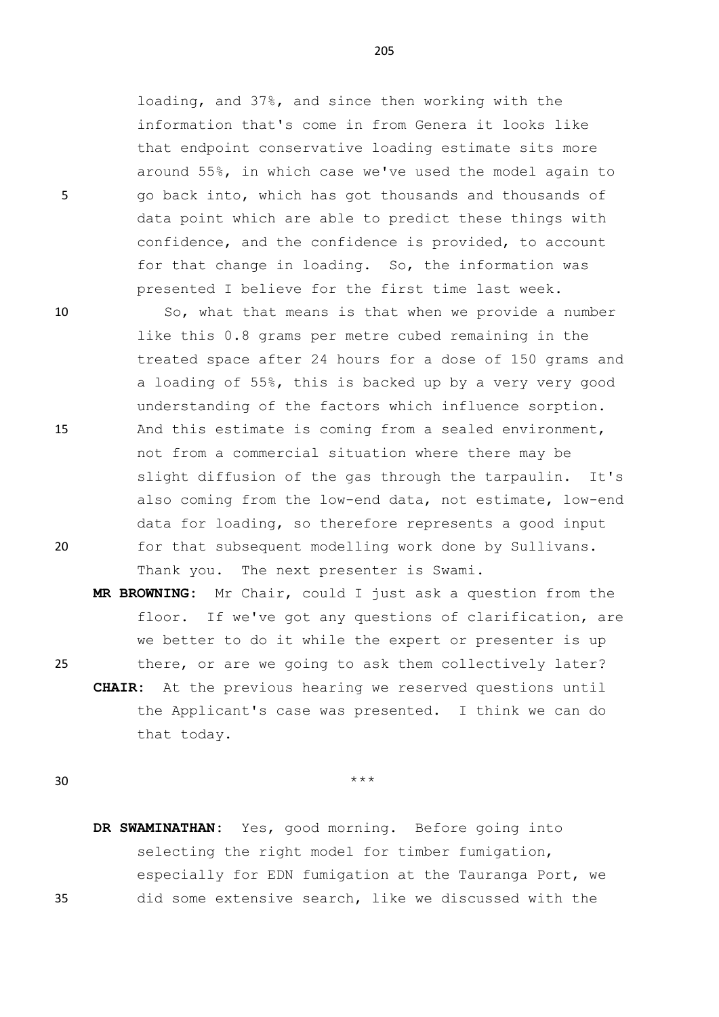loading, and 37%, and since then working with the information that's come in from Genera it looks like that endpoint conservative loading estimate sits more around 55%, in which case we've used the model again to 5 go back into, which has got thousands and thousands of data point which are able to predict these things with confidence, and the confidence is provided, to account for that change in loading. So, the information was presented I believe for the first time last week.

10 So, what that means is that when we provide a number like this 0.8 grams per metre cubed remaining in the treated space after 24 hours for a dose of 150 grams and a loading of 55%, this is backed up by a very very good understanding of the factors which influence sorption. 15 And this estimate is coming from a sealed environment, not from a commercial situation where there may be slight diffusion of the gas through the tarpaulin. It's also coming from the low-end data, not estimate, low-end data for loading, so therefore represents a good input 20 for that subsequent modelling work done by Sullivans. Thank you. The next presenter is Swami.

**MR BROWNING:** Mr Chair, could I just ask a question from the floor. If we've got any questions of clarification, are we better to do it while the expert or presenter is up 25 there, or are we going to ask them collectively later? **CHAIR:** At the previous hearing we reserved questions until the Applicant's case was presented. I think we can do that today.

 $30$  \*\*\*

**DR SWAMINATHAN:** Yes, good morning. Before going into selecting the right model for timber fumigation, especially for EDN fumigation at the Tauranga Port, we 35 did some extensive search, like we discussed with the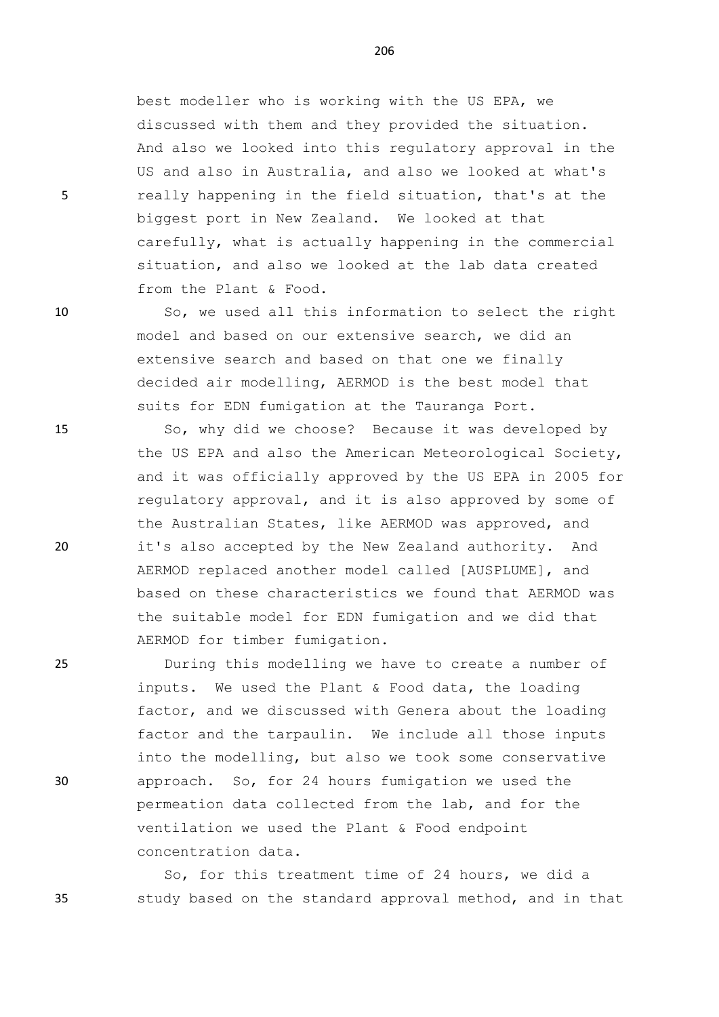best modeller who is working with the US EPA, we discussed with them and they provided the situation. And also we looked into this regulatory approval in the US and also in Australia, and also we looked at what's 5 really happening in the field situation, that's at the biggest port in New Zealand. We looked at that carefully, what is actually happening in the commercial situation, and also we looked at the lab data created from the Plant & Food.

10 So, we used all this information to select the right model and based on our extensive search, we did an extensive search and based on that one we finally decided air modelling, AERMOD is the best model that suits for EDN fumigation at the Tauranga Port.

15 So, why did we choose? Because it was developed by the US EPA and also the American Meteorological Society, and it was officially approved by the US EPA in 2005 for regulatory approval, and it is also approved by some of the Australian States, like AERMOD was approved, and 20 it's also accepted by the New Zealand authority. And AERMOD replaced another model called [AUSPLUME], and based on these characteristics we found that AERMOD was the suitable model for EDN fumigation and we did that AERMOD for timber fumigation.

25 During this modelling we have to create a number of inputs. We used the Plant & Food data, the loading factor, and we discussed with Genera about the loading factor and the tarpaulin. We include all those inputs into the modelling, but also we took some conservative 30 approach. So, for 24 hours fumigation we used the permeation data collected from the lab, and for the ventilation we used the Plant & Food endpoint concentration data.

So, for this treatment time of 24 hours, we did a 35 study based on the standard approval method, and in that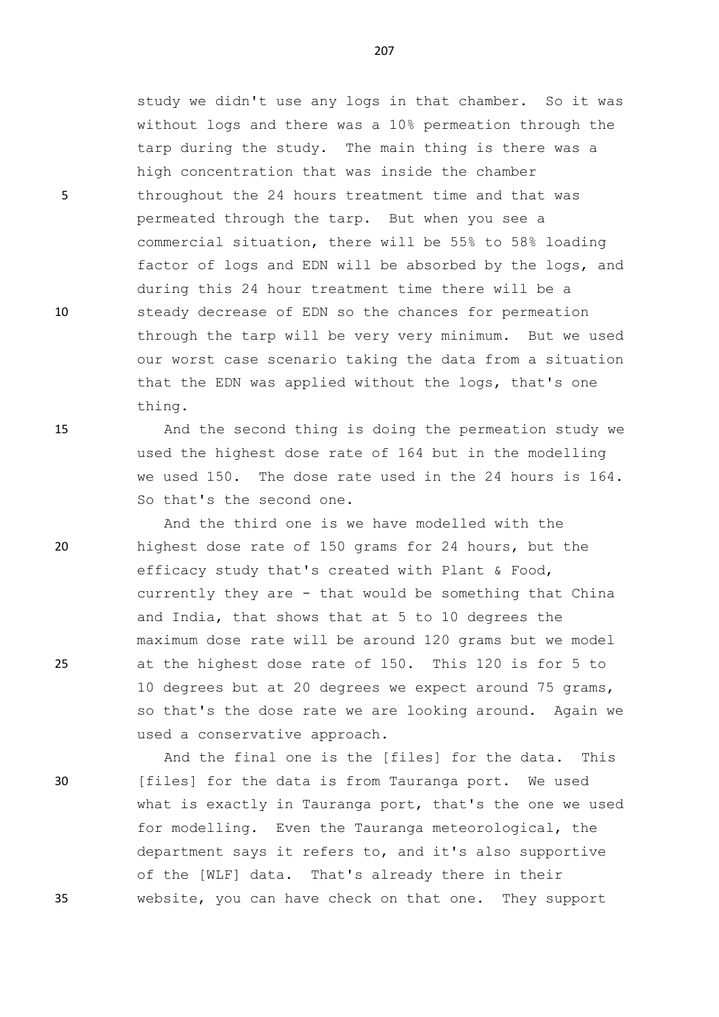study we didn't use any logs in that chamber. So it was without logs and there was a 10% permeation through the tarp during the study. The main thing is there was a high concentration that was inside the chamber 5 throughout the 24 hours treatment time and that was permeated through the tarp. But when you see a commercial situation, there will be 55% to 58% loading factor of logs and EDN will be absorbed by the logs, and during this 24 hour treatment time there will be a 10 steady decrease of EDN so the chances for permeation through the tarp will be very very minimum. But we used our worst case scenario taking the data from a situation that the EDN was applied without the logs, that's one thing.

15 And the second thing is doing the permeation study we used the highest dose rate of 164 but in the modelling we used 150. The dose rate used in the 24 hours is 164. So that's the second one.

And the third one is we have modelled with the 20 highest dose rate of 150 grams for 24 hours, but the efficacy study that's created with Plant & Food, currently they are - that would be something that China and India, that shows that at 5 to 10 degrees the maximum dose rate will be around 120 grams but we model 25 at the highest dose rate of 150. This 120 is for 5 to 10 degrees but at 20 degrees we expect around 75 grams, so that's the dose rate we are looking around. Again we used a conservative approach.

And the final one is the [files] for the data. This 30 [files] for the data is from Tauranga port. We used what is exactly in Tauranga port, that's the one we used for modelling. Even the Tauranga meteorological, the department says it refers to, and it's also supportive of the [WLF] data. That's already there in their 35 website, you can have check on that one. They support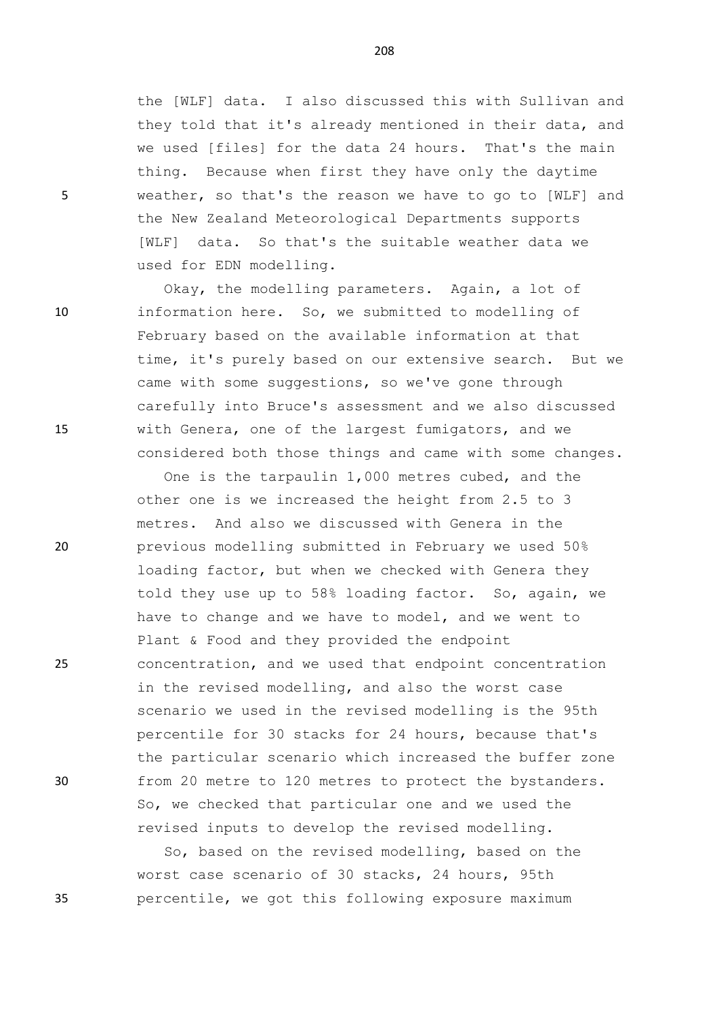the [WLF] data. I also discussed this with Sullivan and they told that it's already mentioned in their data, and we used [files] for the data 24 hours. That's the main thing. Because when first they have only the daytime 5 weather, so that's the reason we have to go to [WLF] and the New Zealand Meteorological Departments supports [WLF] data. So that's the suitable weather data we used for EDN modelling.

Okay, the modelling parameters. Again, a lot of 10 information here. So, we submitted to modelling of February based on the available information at that time, it's purely based on our extensive search. But we came with some suggestions, so we've gone through carefully into Bruce's assessment and we also discussed 15 with Genera, one of the largest fumigators, and we considered both those things and came with some changes.

One is the tarpaulin 1,000 metres cubed, and the other one is we increased the height from 2.5 to 3 metres. And also we discussed with Genera in the 20 previous modelling submitted in February we used 50% loading factor, but when we checked with Genera they told they use up to 58% loading factor. So, again, we have to change and we have to model, and we went to Plant & Food and they provided the endpoint 25 concentration, and we used that endpoint concentration in the revised modelling, and also the worst case scenario we used in the revised modelling is the 95th percentile for 30 stacks for 24 hours, because that's the particular scenario which increased the buffer zone 30 from 20 metre to 120 metres to protect the bystanders. So, we checked that particular one and we used the revised inputs to develop the revised modelling.

So, based on the revised modelling, based on the worst case scenario of 30 stacks, 24 hours, 95th 35 percentile, we got this following exposure maximum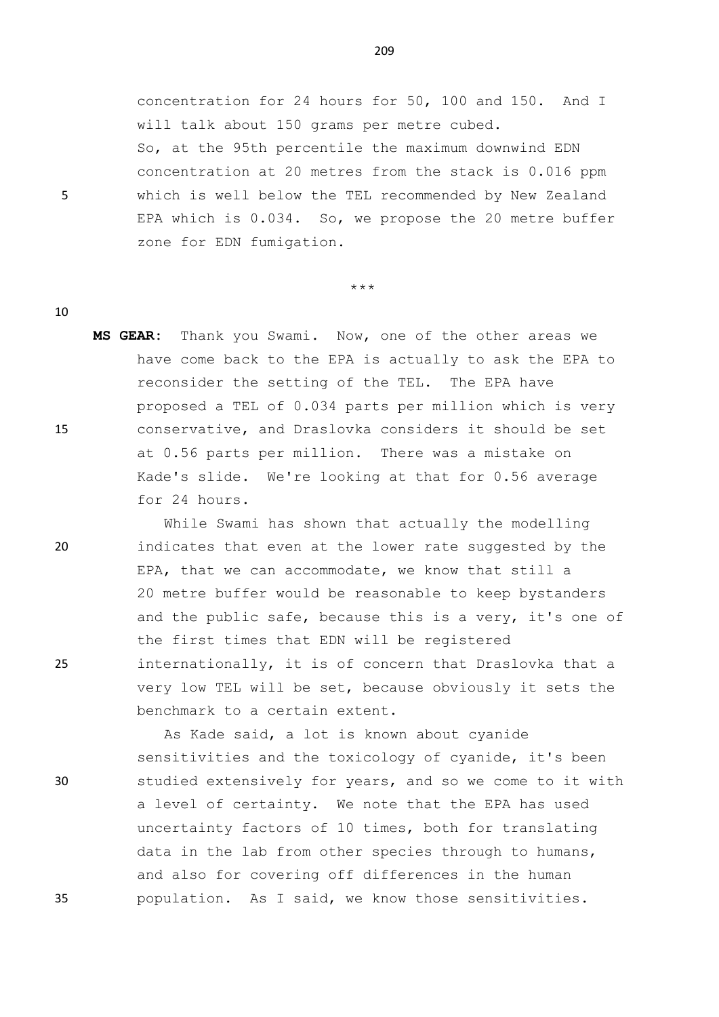concentration for 24 hours for 50, 100 and 150. And I will talk about 150 grams per metre cubed. So, at the 95th percentile the maximum downwind EDN concentration at 20 metres from the stack is 0.016 ppm 5 which is well below the TEL recommended by New Zealand EPA which is 0.034. So, we propose the 20 metre buffer zone for EDN fumigation.

\*\*\*

- 10
- **MS GEAR:** Thank you Swami. Now, one of the other areas we have come back to the EPA is actually to ask the EPA to reconsider the setting of the TEL. The EPA have proposed a TEL of 0.034 parts per million which is very 15 conservative, and Draslovka considers it should be set at 0.56 parts per million. There was a mistake on Kade's slide. We're looking at that for 0.56 average for 24 hours.

While Swami has shown that actually the modelling 20 indicates that even at the lower rate suggested by the EPA, that we can accommodate, we know that still a 20 metre buffer would be reasonable to keep bystanders and the public safe, because this is a very, it's one of the first times that EDN will be registered 25 internationally, it is of concern that Draslovka that a very low TEL will be set, because obviously it sets the benchmark to a certain extent.

As Kade said, a lot is known about cyanide sensitivities and the toxicology of cyanide, it's been 30 studied extensively for years, and so we come to it with a level of certainty. We note that the EPA has used uncertainty factors of 10 times, both for translating data in the lab from other species through to humans, and also for covering off differences in the human 35 population. As I said, we know those sensitivities.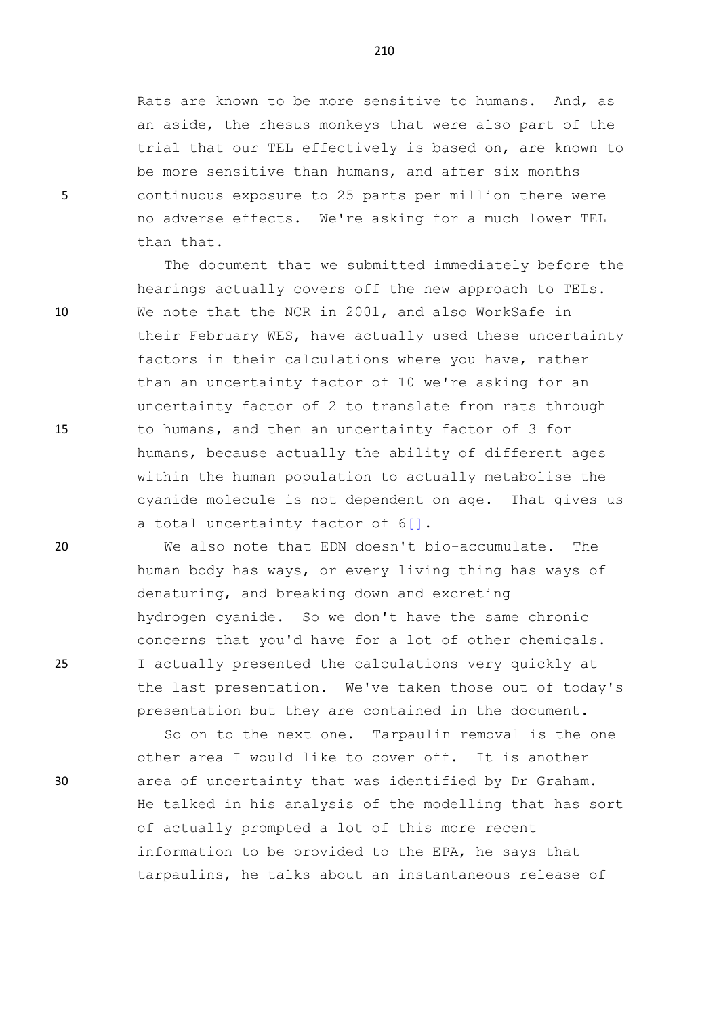Rats are known to be more sensitive to humans. And, as an aside, the rhesus monkeys that were also part of the trial that our TEL effectively is based on, are known to be more sensitive than humans, and after six months 5 continuous exposure to 25 parts per million there were no adverse effects. We're asking for a much lower TEL than that.

The document that we submitted immediately before the hearings actually covers off the new approach to TELs. 10 We note that the NCR in 2001, and also WorkSafe in their February WES, have actually used these uncertainty factors in their calculations where you have, rather than an uncertainty factor of 10 we're asking for an uncertainty factor of 2 to translate from rats through 15 to humans, and then an uncertainty factor of 3 for humans, because actually the ability of different ages within the human population to actually metabolise the cyanide molecule is not dependent on age. That gives us a total uncertainty factor of 6[].

20 We also note that EDN doesn't bio-accumulate. The human body has ways, or every living thing has ways of denaturing, and breaking down and excreting hydrogen cyanide. So we don't have the same chronic concerns that you'd have for a lot of other chemicals. 25 I actually presented the calculations very quickly at the last presentation. We've taken those out of today's presentation but they are contained in the document.

So on to the next one. Tarpaulin removal is the one other area I would like to cover off. It is another 30 area of uncertainty that was identified by Dr Graham. He talked in his analysis of the modelling that has sort of actually prompted a lot of this more recent information to be provided to the EPA, he says that tarpaulins, he talks about an instantaneous release of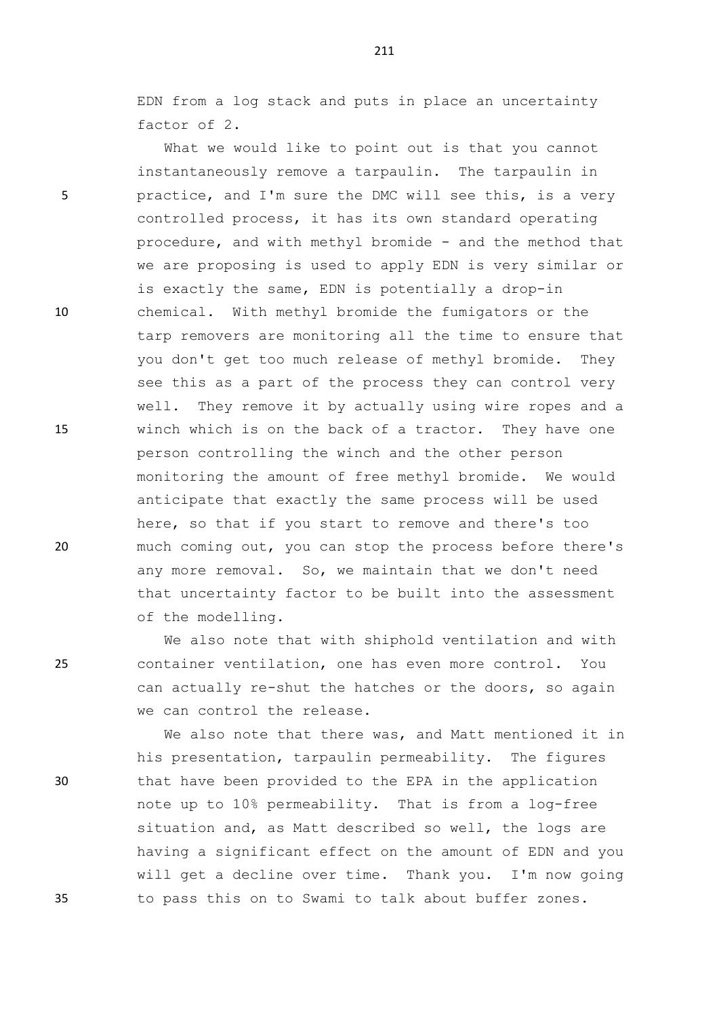EDN from a log stack and puts in place an uncertainty factor of 2.

What we would like to point out is that you cannot instantaneously remove a tarpaulin. The tarpaulin in 5 practice, and I'm sure the DMC will see this, is a very controlled process, it has its own standard operating procedure, and with methyl bromide - and the method that we are proposing is used to apply EDN is very similar or is exactly the same, EDN is potentially a drop-in 10 chemical. With methyl bromide the fumigators or the tarp removers are monitoring all the time to ensure that you don't get too much release of methyl bromide. They see this as a part of the process they can control very well. They remove it by actually using wire ropes and a 15 winch which is on the back of a tractor. They have one person controlling the winch and the other person monitoring the amount of free methyl bromide. We would anticipate that exactly the same process will be used here, so that if you start to remove and there's too 20 much coming out, you can stop the process before there's any more removal. So, we maintain that we don't need that uncertainty factor to be built into the assessment of the modelling.

We also note that with shiphold ventilation and with 25 container ventilation, one has even more control. You can actually re-shut the hatches or the doors, so again we can control the release.

We also note that there was, and Matt mentioned it in his presentation, tarpaulin permeability. The figures 30 that have been provided to the EPA in the application note up to 10% permeability. That is from a log-free situation and, as Matt described so well, the logs are having a significant effect on the amount of EDN and you will get a decline over time. Thank you. I'm now going 35 to pass this on to Swami to talk about buffer zones.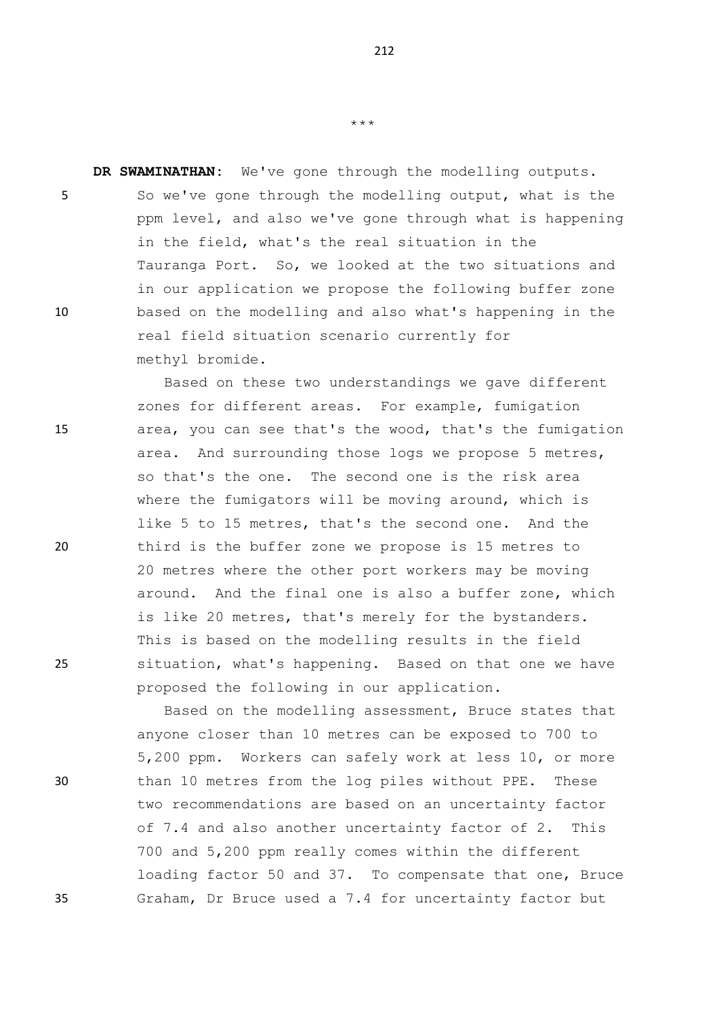**DR SWAMINATHAN:** We've gone through the modelling outputs. 5 So we've gone through the modelling output, what is the ppm level, and also we've gone through what is happening in the field, what's the real situation in the Tauranga Port. So, we looked at the two situations and in our application we propose the following buffer zone 10 based on the modelling and also what's happening in the real field situation scenario currently for methyl bromide.

Based on these two understandings we gave different zones for different areas. For example, fumigation 15 area, you can see that's the wood, that's the fumigation area. And surrounding those logs we propose 5 metres, so that's the one. The second one is the risk area where the fumigators will be moving around, which is like 5 to 15 metres, that's the second one. And the 20 third is the buffer zone we propose is 15 metres to 20 metres where the other port workers may be moving around. And the final one is also a buffer zone, which is like 20 metres, that's merely for the bystanders. This is based on the modelling results in the field 25 situation, what's happening. Based on that one we have proposed the following in our application.

Based on the modelling assessment, Bruce states that anyone closer than 10 metres can be exposed to 700 to 5,200 ppm. Workers can safely work at less 10, or more 30 than 10 metres from the log piles without PPE. These two recommendations are based on an uncertainty factor of 7.4 and also another uncertainty factor of 2. This 700 and 5,200 ppm really comes within the different loading factor 50 and 37. To compensate that one, Bruce 35 Graham, Dr Bruce used a 7.4 for uncertainty factor but

\*\*\*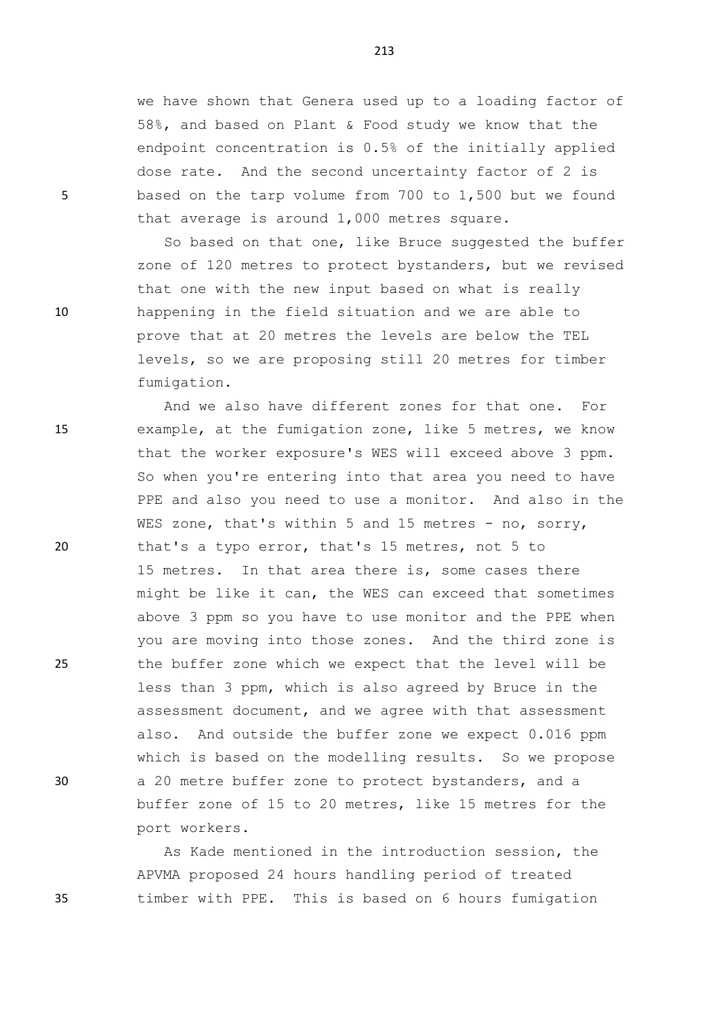we have shown that Genera used up to a loading factor of 58%, and based on Plant & Food study we know that the endpoint concentration is 0.5% of the initially applied dose rate. And the second uncertainty factor of 2 is 5 based on the tarp volume from 700 to 1,500 but we found that average is around 1,000 metres square.

So based on that one, like Bruce suggested the buffer zone of 120 metres to protect bystanders, but we revised that one with the new input based on what is really 10 happening in the field situation and we are able to prove that at 20 metres the levels are below the TEL levels, so we are proposing still 20 metres for timber fumigation.

And we also have different zones for that one. For 15 example, at the fumigation zone, like 5 metres, we know that the worker exposure's WES will exceed above 3 ppm. So when you're entering into that area you need to have PPE and also you need to use a monitor. And also in the WES zone, that's within 5 and 15 metres - no, sorry, 20 that's a typo error, that's 15 metres, not 5 to 15 metres. In that area there is, some cases there might be like it can, the WES can exceed that sometimes above 3 ppm so you have to use monitor and the PPE when you are moving into those zones. And the third zone is 25 the buffer zone which we expect that the level will be less than 3 ppm, which is also agreed by Bruce in the assessment document, and we agree with that assessment also. And outside the buffer zone we expect 0.016 ppm which is based on the modelling results. So we propose 30 a 20 metre buffer zone to protect bystanders, and a buffer zone of 15 to 20 metres, like 15 metres for the port workers.

As Kade mentioned in the introduction session, the APVMA proposed 24 hours handling period of treated 35 timber with PPE. This is based on 6 hours fumigation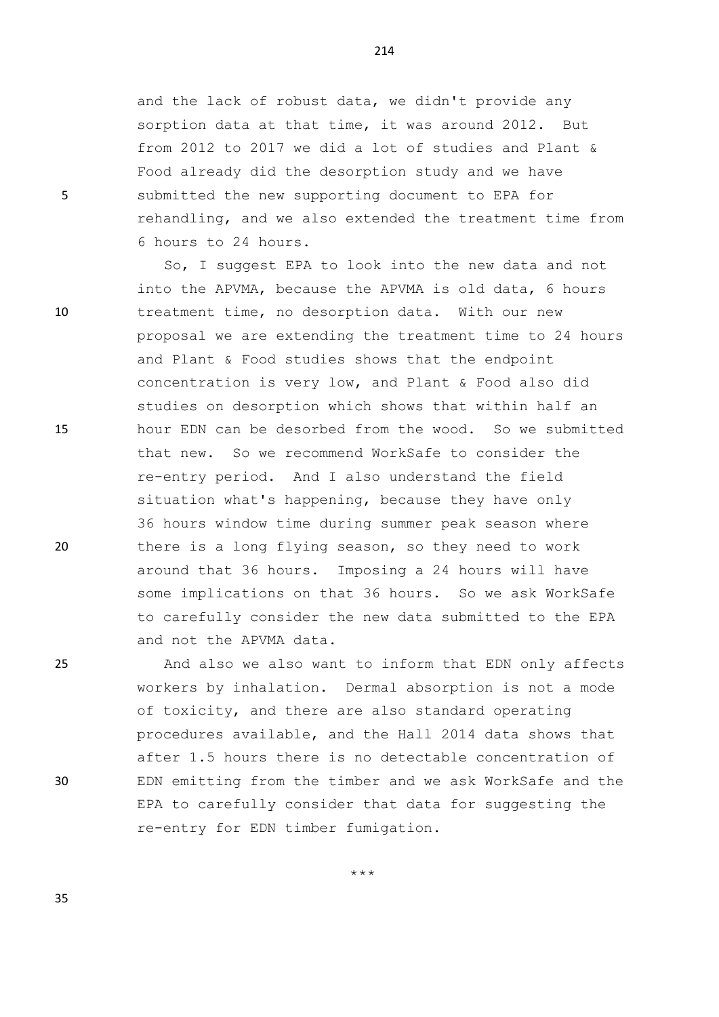and the lack of robust data, we didn't provide any sorption data at that time, it was around 2012. But from 2012 to 2017 we did a lot of studies and Plant & Food already did the desorption study and we have 5 submitted the new supporting document to EPA for rehandling, and we also extended the treatment time from 6 hours to 24 hours.

So, I suggest EPA to look into the new data and not into the APVMA, because the APVMA is old data, 6 hours 10 treatment time, no desorption data. With our new proposal we are extending the treatment time to 24 hours and Plant & Food studies shows that the endpoint concentration is very low, and Plant & Food also did studies on desorption which shows that within half an 15 hour EDN can be desorbed from the wood. So we submitted that new. So we recommend WorkSafe to consider the re-entry period. And I also understand the field situation what's happening, because they have only 36 hours window time during summer peak season where 20 there is a long flying season, so they need to work around that 36 hours. Imposing a 24 hours will have some implications on that 36 hours. So we ask WorkSafe to carefully consider the new data submitted to the EPA and not the APVMA data.

25 And also we also want to inform that EDN only affects workers by inhalation. Dermal absorption is not a mode of toxicity, and there are also standard operating procedures available, and the Hall 2014 data shows that after 1.5 hours there is no detectable concentration of 30 EDN emitting from the timber and we ask WorkSafe and the EPA to carefully consider that data for suggesting the re-entry for EDN timber fumigation.

\*\*\*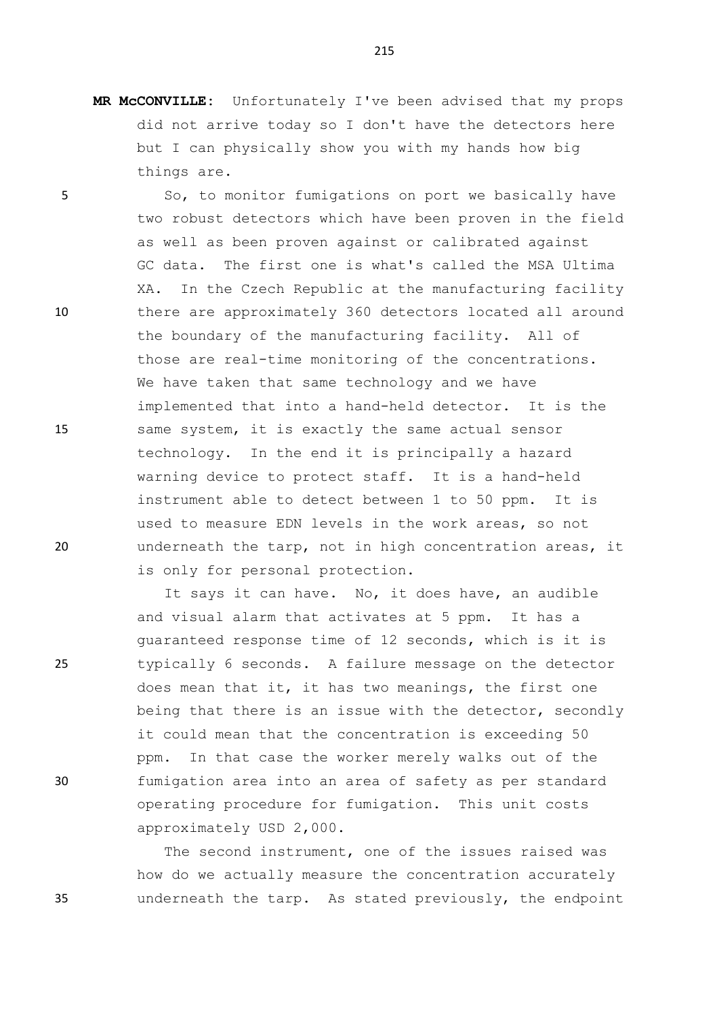**MR McCONVILLE:** Unfortunately I've been advised that my props did not arrive today so I don't have the detectors here but I can physically show you with my hands how big things are.

5 So, to monitor fumigations on port we basically have two robust detectors which have been proven in the field as well as been proven against or calibrated against GC data. The first one is what's called the MSA Ultima XA. In the Czech Republic at the manufacturing facility 10 there are approximately 360 detectors located all around the boundary of the manufacturing facility. All of those are real-time monitoring of the concentrations. We have taken that same technology and we have implemented that into a hand-held detector. It is the 15 same system, it is exactly the same actual sensor technology. In the end it is principally a hazard warning device to protect staff. It is a hand-held instrument able to detect between 1 to 50 ppm. It is used to measure EDN levels in the work areas, so not 20 underneath the tarp, not in high concentration areas, it is only for personal protection.

It says it can have. No, it does have, an audible and visual alarm that activates at 5 ppm. It has a guaranteed response time of 12 seconds, which is it is 25 typically 6 seconds. A failure message on the detector does mean that it, it has two meanings, the first one being that there is an issue with the detector, secondly it could mean that the concentration is exceeding 50 ppm. In that case the worker merely walks out of the 30 fumigation area into an area of safety as per standard operating procedure for fumigation. This unit costs approximately USD 2,000.

The second instrument, one of the issues raised was how do we actually measure the concentration accurately 35 underneath the tarp. As stated previously, the endpoint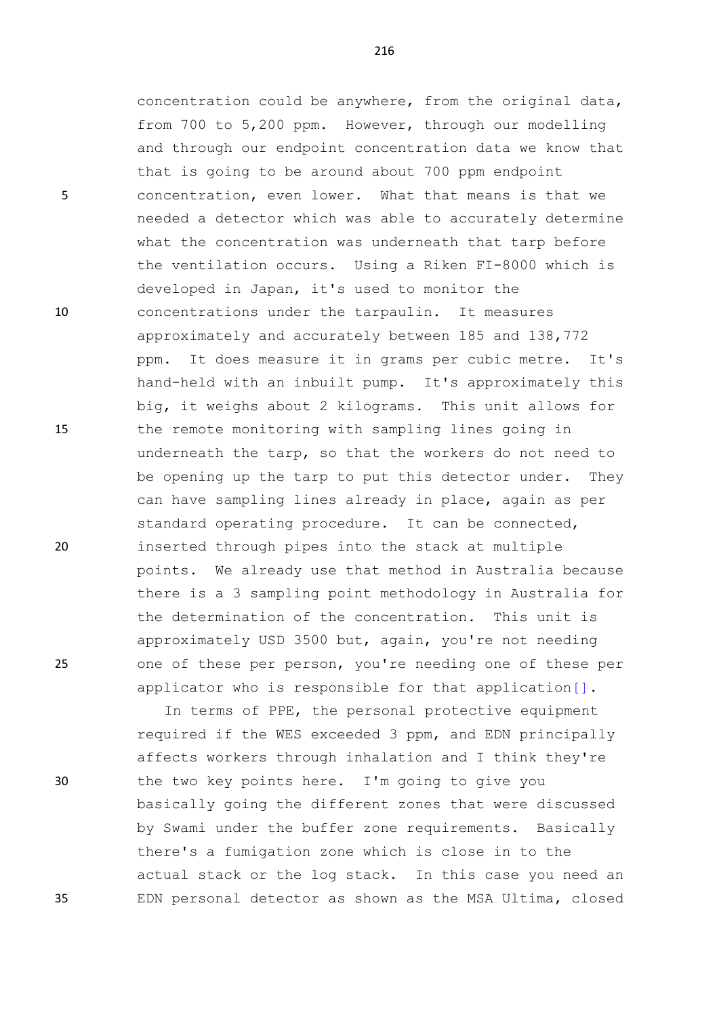concentration could be anywhere, from the original data, from 700 to 5,200 ppm. However, through our modelling and through our endpoint concentration data we know that that is going to be around about 700 ppm endpoint 5 concentration, even lower. What that means is that we needed a detector which was able to accurately determine what the concentration was underneath that tarp before the ventilation occurs. Using a Riken FI-8000 which is developed in Japan, it's used to monitor the 10 concentrations under the tarpaulin. It measures approximately and accurately between 185 and 138,772 ppm. It does measure it in grams per cubic metre. It's hand-held with an inbuilt pump. It's approximately this big, it weighs about 2 kilograms. This unit allows for 15 the remote monitoring with sampling lines going in underneath the tarp, so that the workers do not need to be opening up the tarp to put this detector under. They can have sampling lines already in place, again as per standard operating procedure. It can be connected, 20 inserted through pipes into the stack at multiple points. We already use that method in Australia because there is a 3 sampling point methodology in Australia for the determination of the concentration. This unit is approximately USD 3500 but, again, you're not needing 25 one of these per person, you're needing one of these per applicator who is responsible for that application[].

In terms of PPE, the personal protective equipment required if the WES exceeded 3 ppm, and EDN principally affects workers through inhalation and I think they're 30 the two key points here. I'm going to give you basically going the different zones that were discussed by Swami under the buffer zone requirements. Basically there's a fumigation zone which is close in to the actual stack or the log stack. In this case you need an 35 EDN personal detector as shown as the MSA Ultima, closed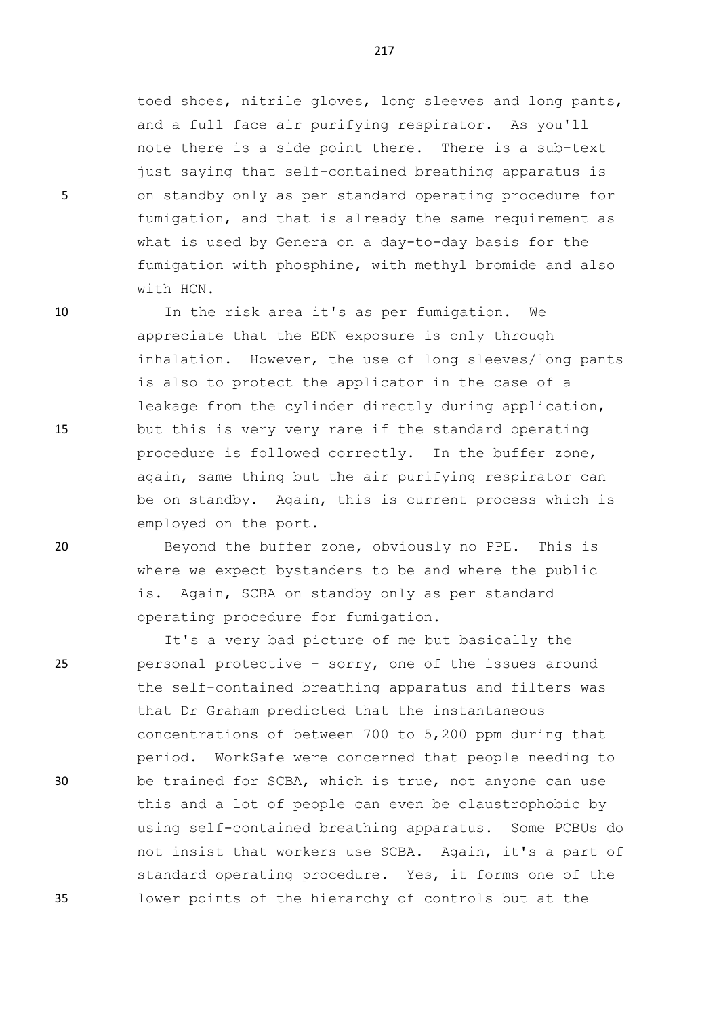toed shoes, nitrile gloves, long sleeves and long pants, and a full face air purifying respirator. As you'll note there is a side point there. There is a sub-text just saying that self-contained breathing apparatus is 5 on standby only as per standard operating procedure for fumigation, and that is already the same requirement as what is used by Genera on a day-to-day basis for the fumigation with phosphine, with methyl bromide and also with HCN.

10 In the risk area it's as per fumigation. We appreciate that the EDN exposure is only through inhalation. However, the use of long sleeves/long pants is also to protect the applicator in the case of a leakage from the cylinder directly during application, 15 but this is very very rare if the standard operating procedure is followed correctly. In the buffer zone, again, same thing but the air purifying respirator can be on standby. Again, this is current process which is employed on the port.

20 Beyond the buffer zone, obviously no PPE. This is where we expect bystanders to be and where the public is. Again, SCBA on standby only as per standard operating procedure for fumigation.

It's a very bad picture of me but basically the 25 personal protective - sorry, one of the issues around the self-contained breathing apparatus and filters was that Dr Graham predicted that the instantaneous concentrations of between 700 to 5,200 ppm during that period. WorkSafe were concerned that people needing to 30 be trained for SCBA, which is true, not anyone can use this and a lot of people can even be claustrophobic by using self-contained breathing apparatus. Some PCBUs do not insist that workers use SCBA. Again, it's a part of standard operating procedure. Yes, it forms one of the 35 lower points of the hierarchy of controls but at the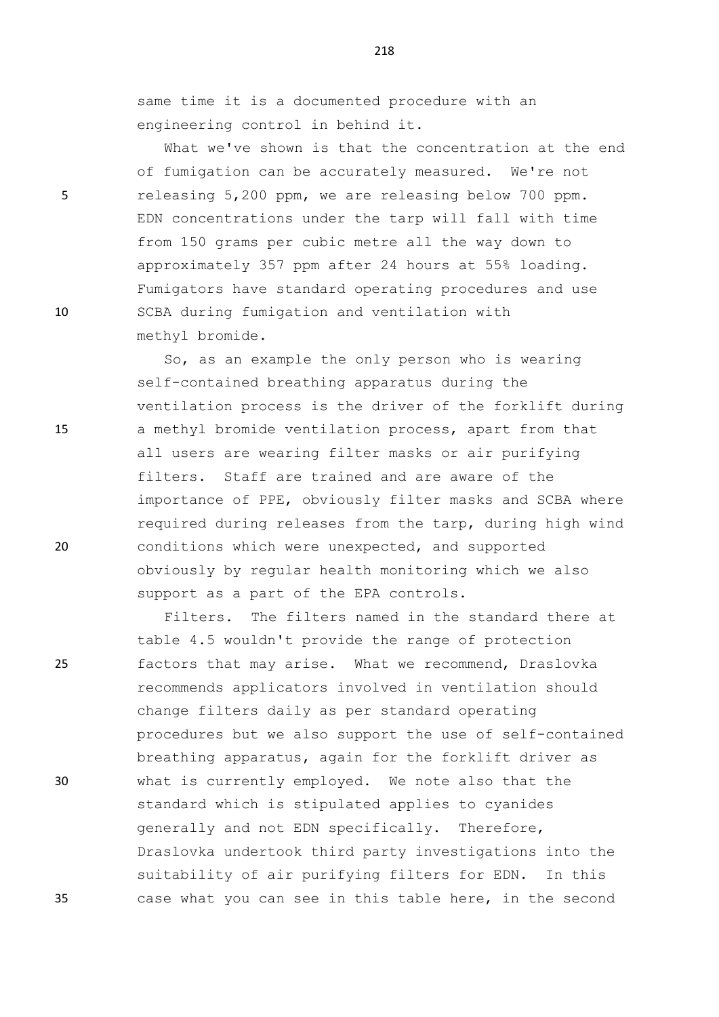same time it is a documented procedure with an engineering control in behind it.

What we've shown is that the concentration at the end of fumigation can be accurately measured. We're not 5 releasing 5,200 ppm, we are releasing below 700 ppm. EDN concentrations under the tarp will fall with time from 150 grams per cubic metre all the way down to approximately 357 ppm after 24 hours at 55% loading. Fumigators have standard operating procedures and use 10 SCBA during fumigation and ventilation with methyl bromide.

So, as an example the only person who is wearing self-contained breathing apparatus during the ventilation process is the driver of the forklift during 15 a methyl bromide ventilation process, apart from that all users are wearing filter masks or air purifying filters. Staff are trained and are aware of the importance of PPE, obviously filter masks and SCBA where required during releases from the tarp, during high wind 20 conditions which were unexpected, and supported obviously by regular health monitoring which we also support as a part of the EPA controls.

Filters. The filters named in the standard there at table 4.5 wouldn't provide the range of protection 25 factors that may arise. What we recommend, Draslovka recommends applicators involved in ventilation should change filters daily as per standard operating procedures but we also support the use of self-contained breathing apparatus, again for the forklift driver as 30 what is currently employed. We note also that the standard which is stipulated applies to cyanides generally and not EDN specifically. Therefore, Draslovka undertook third party investigations into the suitability of air purifying filters for EDN. In this 35 case what you can see in this table here, in the second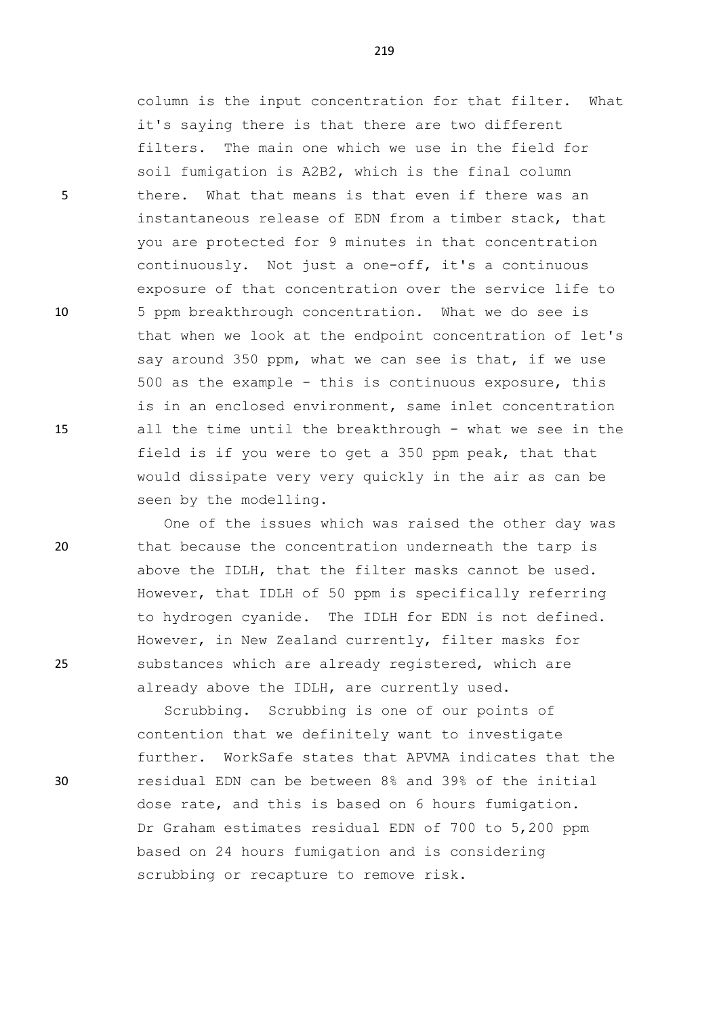column is the input concentration for that filter. What it's saying there is that there are two different filters. The main one which we use in the field for soil fumigation is A2B2, which is the final column 5 there. What that means is that even if there was an instantaneous release of EDN from a timber stack, that you are protected for 9 minutes in that concentration continuously. Not just a one-off, it's a continuous exposure of that concentration over the service life to 10 5 ppm breakthrough concentration. What we do see is that when we look at the endpoint concentration of let's say around 350 ppm, what we can see is that, if we use 500 as the example - this is continuous exposure, this is in an enclosed environment, same inlet concentration 15 all the time until the breakthrough - what we see in the field is if you were to get a 350 ppm peak, that that would dissipate very very quickly in the air as can be seen by the modelling.

One of the issues which was raised the other day was 20 that because the concentration underneath the tarp is above the IDLH, that the filter masks cannot be used. However, that IDLH of 50 ppm is specifically referring to hydrogen cyanide. The IDLH for EDN is not defined. However, in New Zealand currently, filter masks for 25 substances which are already registered, which are already above the IDLH, are currently used.

Scrubbing. Scrubbing is one of our points of contention that we definitely want to investigate further. WorkSafe states that APVMA indicates that the 30 residual EDN can be between 8% and 39% of the initial dose rate, and this is based on 6 hours fumigation. Dr Graham estimates residual EDN of 700 to 5,200 ppm based on 24 hours fumigation and is considering scrubbing or recapture to remove risk.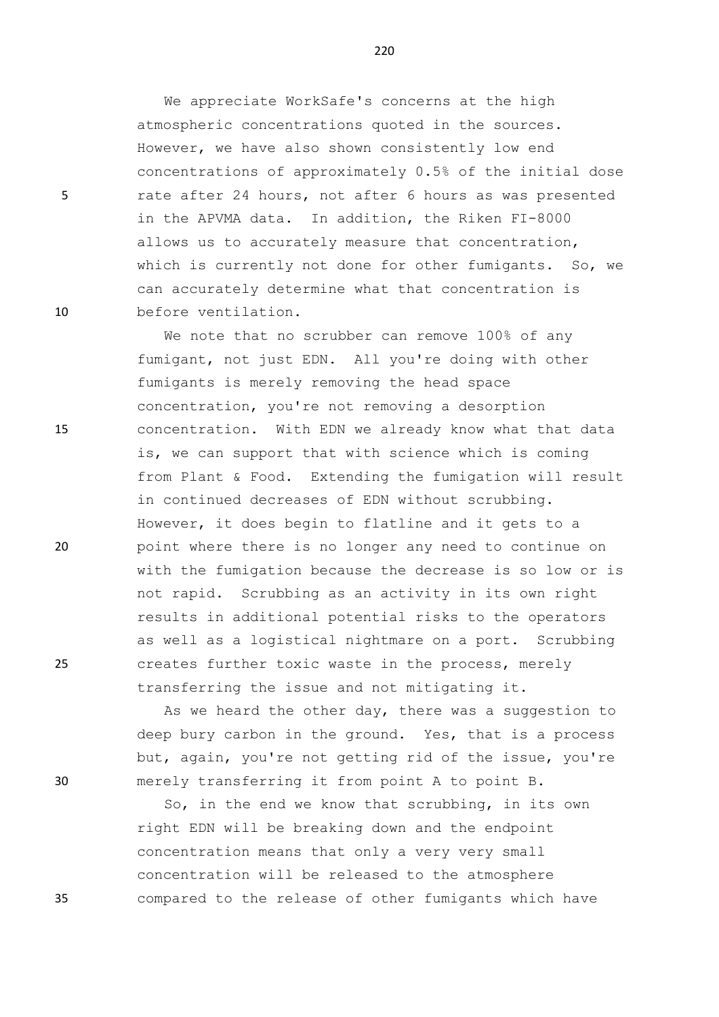We appreciate WorkSafe's concerns at the high atmospheric concentrations quoted in the sources. However, we have also shown consistently low end concentrations of approximately 0.5% of the initial dose 5 rate after 24 hours, not after 6 hours as was presented in the APVMA data. In addition, the Riken FI-8000 allows us to accurately measure that concentration, which is currently not done for other fumigants. So, we can accurately determine what that concentration is 10 before ventilation.

We note that no scrubber can remove 100% of any fumigant, not just EDN. All you're doing with other fumigants is merely removing the head space concentration, you're not removing a desorption 15 concentration. With EDN we already know what that data is, we can support that with science which is coming from Plant & Food. Extending the fumigation will result in continued decreases of EDN without scrubbing. However, it does begin to flatline and it gets to a 20 point where there is no longer any need to continue on with the fumigation because the decrease is so low or is not rapid. Scrubbing as an activity in its own right results in additional potential risks to the operators as well as a logistical nightmare on a port. Scrubbing 25 creates further toxic waste in the process, merely transferring the issue and not mitigating it.

As we heard the other day, there was a suggestion to deep bury carbon in the ground. Yes, that is a process but, again, you're not getting rid of the issue, you're 30 merely transferring it from point A to point B.

So, in the end we know that scrubbing, in its own right EDN will be breaking down and the endpoint concentration means that only a very very small concentration will be released to the atmosphere 35 compared to the release of other fumigants which have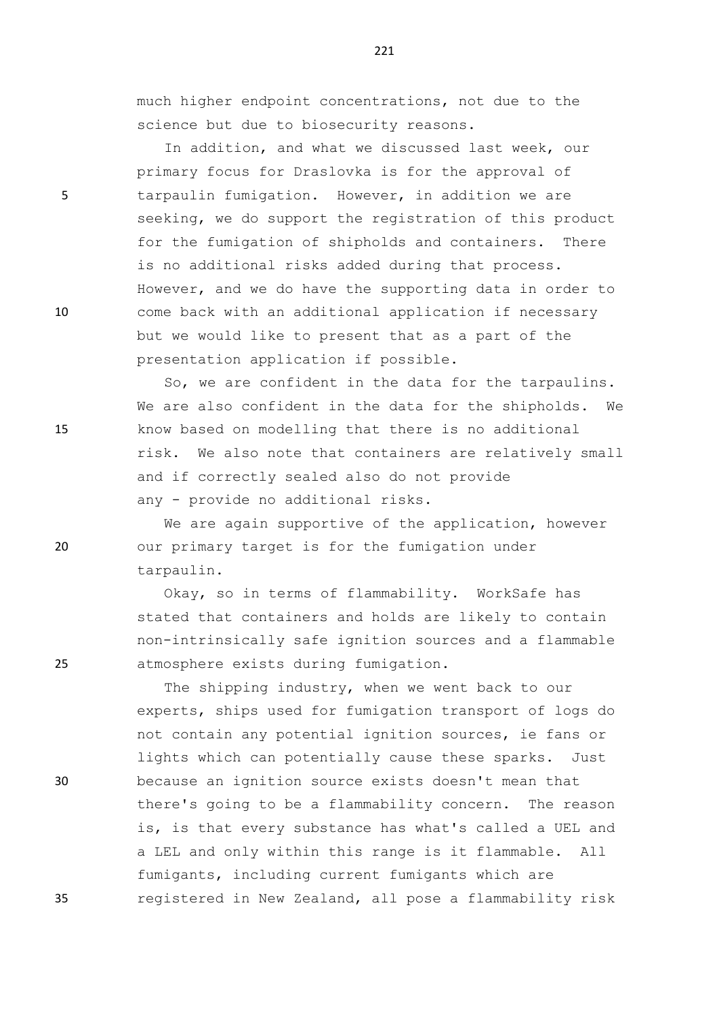much higher endpoint concentrations, not due to the science but due to biosecurity reasons.

In addition, and what we discussed last week, our primary focus for Draslovka is for the approval of 5 tarpaulin fumigation. However, in addition we are seeking, we do support the registration of this product for the fumigation of shipholds and containers. There is no additional risks added during that process. However, and we do have the supporting data in order to 10 come back with an additional application if necessary but we would like to present that as a part of the presentation application if possible.

So, we are confident in the data for the tarpaulins. We are also confident in the data for the shipholds. We 15 know based on modelling that there is no additional risk. We also note that containers are relatively small and if correctly sealed also do not provide any - provide no additional risks.

We are again supportive of the application, however 20 our primary target is for the fumigation under tarpaulin.

Okay, so in terms of flammability. WorkSafe has stated that containers and holds are likely to contain non-intrinsically safe ignition sources and a flammable 25 atmosphere exists during fumigation.

The shipping industry, when we went back to our experts, ships used for fumigation transport of logs do not contain any potential ignition sources, ie fans or lights which can potentially cause these sparks. Just 30 because an ignition source exists doesn't mean that there's going to be a flammability concern. The reason is, is that every substance has what's called a UEL and a LEL and only within this range is it flammable. All fumigants, including current fumigants which are 35 registered in New Zealand, all pose a flammability risk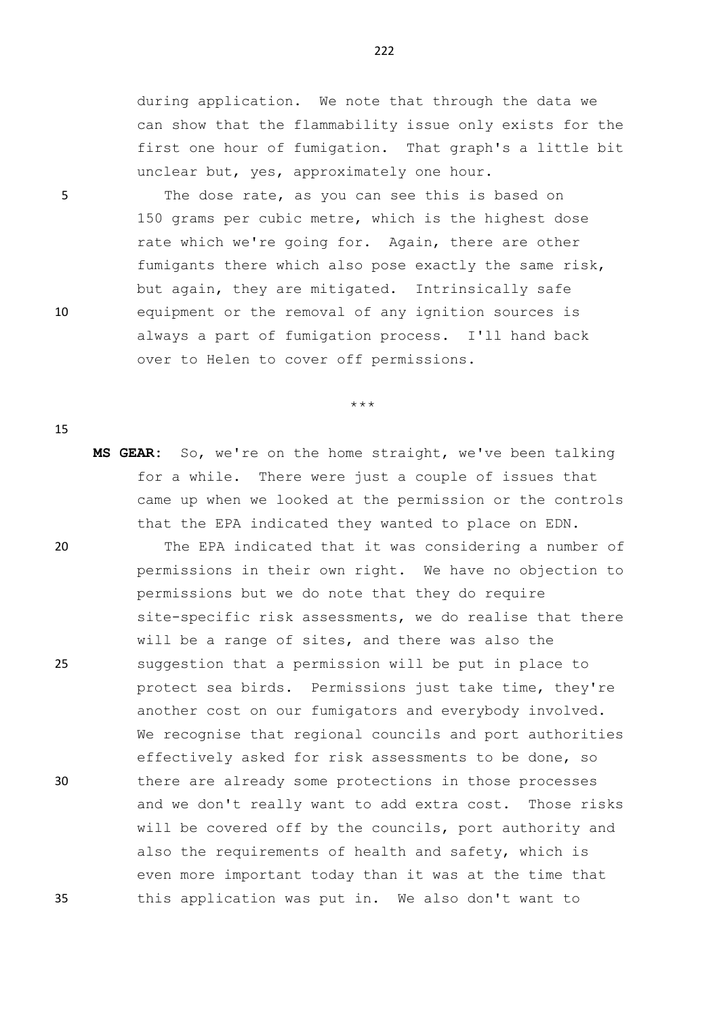during application. We note that through the data we can show that the flammability issue only exists for the first one hour of fumigation. That graph's a little bit unclear but, yes, approximately one hour.

5 The dose rate, as you can see this is based on 150 grams per cubic metre, which is the highest dose rate which we're going for. Again, there are other fumigants there which also pose exactly the same risk, but again, they are mitigated. Intrinsically safe 10 equipment or the removal of any ignition sources is always a part of fumigation process. I'll hand back over to Helen to cover off permissions.

\*\*\*

**MS GEAR:** So, we're on the home straight, we've been talking for a while. There were just a couple of issues that came up when we looked at the permission or the controls that the EPA indicated they wanted to place on EDN.

20 The EPA indicated that it was considering a number of permissions in their own right. We have no objection to permissions but we do note that they do require site-specific risk assessments, we do realise that there will be a range of sites, and there was also the 25 suggestion that a permission will be put in place to protect sea birds. Permissions just take time, they're another cost on our fumigators and everybody involved. We recognise that regional councils and port authorities effectively asked for risk assessments to be done, so 30 there are already some protections in those processes and we don't really want to add extra cost. Those risks will be covered off by the councils, port authority and also the requirements of health and safety, which is even more important today than it was at the time that 35 this application was put in. We also don't want to

222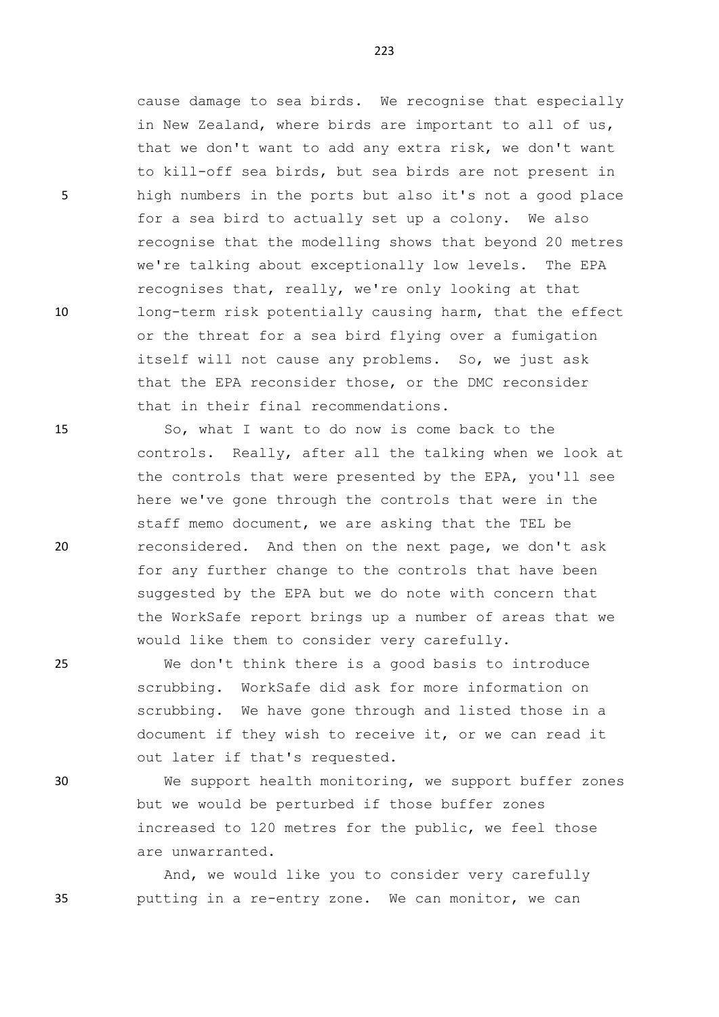cause damage to sea birds. We recognise that especially in New Zealand, where birds are important to all of us, that we don't want to add any extra risk, we don't want to kill-off sea birds, but sea birds are not present in 5 high numbers in the ports but also it's not a good place for a sea bird to actually set up a colony. We also recognise that the modelling shows that beyond 20 metres we're talking about exceptionally low levels. The EPA recognises that, really, we're only looking at that 10 long-term risk potentially causing harm, that the effect or the threat for a sea bird flying over a fumigation itself will not cause any problems. So, we just ask that the EPA reconsider those, or the DMC reconsider that in their final recommendations.

15 So, what I want to do now is come back to the controls. Really, after all the talking when we look at the controls that were presented by the EPA, you'll see here we've gone through the controls that were in the staff memo document, we are asking that the TEL be 20 reconsidered. And then on the next page, we don't ask for any further change to the controls that have been suggested by the EPA but we do note with concern that the WorkSafe report brings up a number of areas that we would like them to consider very carefully.

25 We don't think there is a good basis to introduce scrubbing. WorkSafe did ask for more information on scrubbing. We have gone through and listed those in a document if they wish to receive it, or we can read it out later if that's requested.

30 We support health monitoring, we support buffer zones but we would be perturbed if those buffer zones increased to 120 metres for the public, we feel those are unwarranted.

And, we would like you to consider very carefully 35 putting in a re-entry zone. We can monitor, we can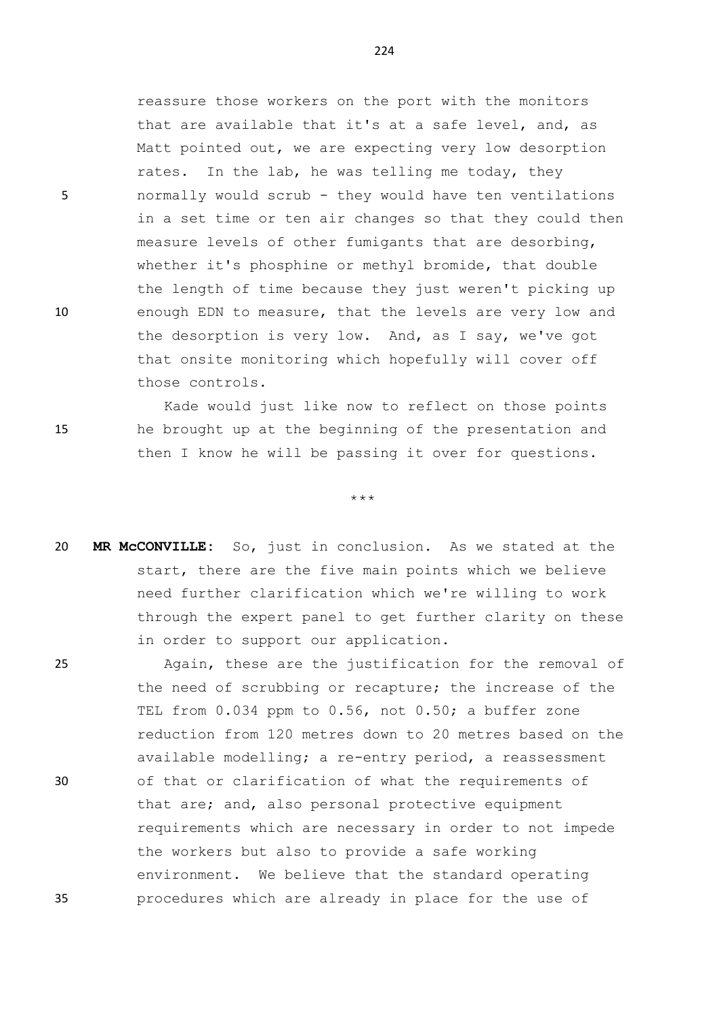reassure those workers on the port with the monitors that are available that it's at a safe level, and, as Matt pointed out, we are expecting very low desorption rates. In the lab, he was telling me today, they 5 normally would scrub - they would have ten ventilations in a set time or ten air changes so that they could then measure levels of other fumigants that are desorbing, whether it's phosphine or methyl bromide, that double the length of time because they just weren't picking up 10 enough EDN to measure, that the levels are very low and the desorption is very low. And, as I say, we've got that onsite monitoring which hopefully will cover off those controls.

Kade would just like now to reflect on those points 15 he brought up at the beginning of the presentation and then I know he will be passing it over for questions.

\*\*\*

20 **MR McCONVILLE:** So, just in conclusion. As we stated at the start, there are the five main points which we believe need further clarification which we're willing to work through the expert panel to get further clarity on these in order to support our application.

25 Again, these are the justification for the removal of the need of scrubbing or recapture; the increase of the TEL from 0.034 ppm to 0.56, not 0.50; a buffer zone reduction from 120 metres down to 20 metres based on the available modelling; a re-entry period, a reassessment 30 of that or clarification of what the requirements of that are; and, also personal protective equipment requirements which are necessary in order to not impede the workers but also to provide a safe working environment. We believe that the standard operating 35 procedures which are already in place for the use of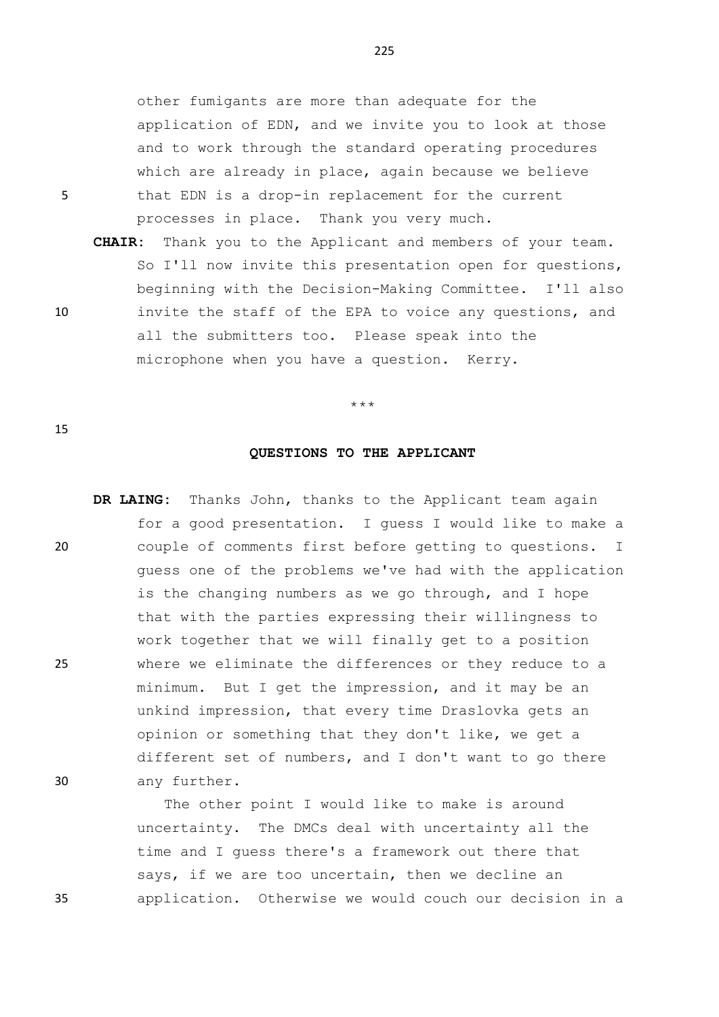other fumigants are more than adequate for the application of EDN, and we invite you to look at those and to work through the standard operating procedures which are already in place, again because we believe 5 that EDN is a drop-in replacement for the current processes in place. Thank you very much.

**CHAIR:** Thank you to the Applicant and members of your team. So I'll now invite this presentation open for questions, beginning with the Decision-Making Committee. I'll also 10 invite the staff of the EPA to voice any questions, and all the submitters too. Please speak into the microphone when you have a question. Kerry.

\*\*\*

## 15

## **QUESTIONS TO THE APPLICANT**

**DR LAING:** Thanks John, thanks to the Applicant team again for a good presentation. I guess I would like to make a 20 couple of comments first before getting to questions. I guess one of the problems we've had with the application is the changing numbers as we go through, and I hope that with the parties expressing their willingness to work together that we will finally get to a position 25 where we eliminate the differences or they reduce to a minimum. But I get the impression, and it may be an unkind impression, that every time Draslovka gets an opinion or something that they don't like, we get a different set of numbers, and I don't want to go there 30 any further.

The other point I would like to make is around uncertainty. The DMCs deal with uncertainty all the time and I guess there's a framework out there that says, if we are too uncertain, then we decline an 35 application. Otherwise we would couch our decision in a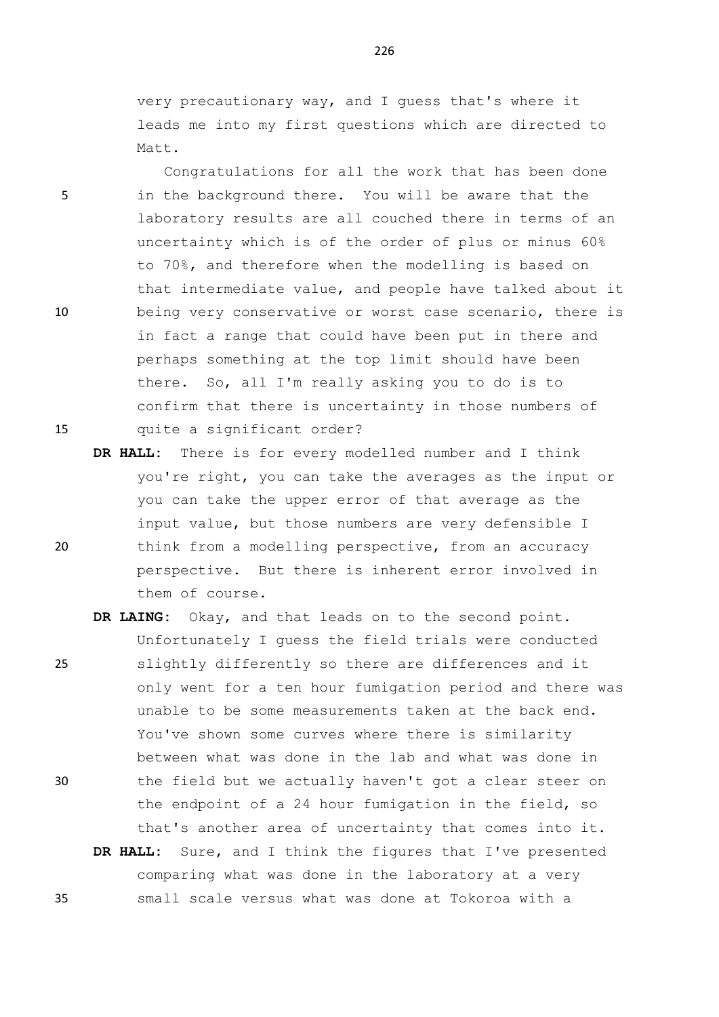very precautionary way, and I guess that's where it leads me into my first questions which are directed to Matt.

Congratulations for all the work that has been done 5 in the background there. You will be aware that the laboratory results are all couched there in terms of an uncertainty which is of the order of plus or minus 60% to 70%, and therefore when the modelling is based on that intermediate value, and people have talked about it 10 being very conservative or worst case scenario, there is in fact a range that could have been put in there and perhaps something at the top limit should have been there. So, all I'm really asking you to do is to confirm that there is uncertainty in those numbers of 15 quite a significant order?

- **DR HALL:** There is for every modelled number and I think you're right, you can take the averages as the input or you can take the upper error of that average as the input value, but those numbers are very defensible I 20 think from a modelling perspective, from an accuracy perspective. But there is inherent error involved in them of course.
- **DR LAING:** Okay, and that leads on to the second point. Unfortunately I guess the field trials were conducted 25 slightly differently so there are differences and it only went for a ten hour fumigation period and there was unable to be some measurements taken at the back end. You've shown some curves where there is similarity between what was done in the lab and what was done in 30 the field but we actually haven't got a clear steer on the endpoint of a 24 hour fumigation in the field, so that's another area of uncertainty that comes into it. **DR HALL:** Sure, and I think the figures that I've presented
- comparing what was done in the laboratory at a very 35 small scale versus what was done at Tokoroa with a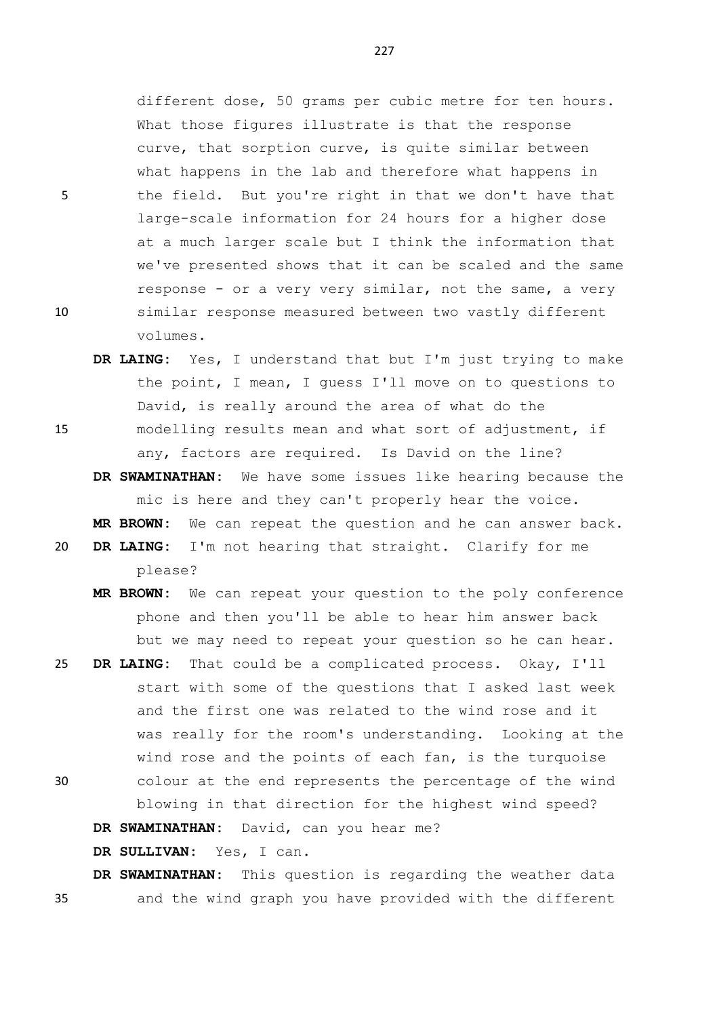different dose, 50 grams per cubic metre for ten hours. What those figures illustrate is that the response curve, that sorption curve, is quite similar between what happens in the lab and therefore what happens in 5 the field. But you're right in that we don't have that large-scale information for 24 hours for a higher dose at a much larger scale but I think the information that we've presented shows that it can be scaled and the same response - or a very very similar, not the same, a very 10 similar response measured between two vastly different volumes.

- **DR LAING:** Yes, I understand that but I'm just trying to make the point, I mean, I guess I'll move on to questions to David, is really around the area of what do the
- 15 modelling results mean and what sort of adjustment, if any, factors are required. Is David on the line?
	- **DR SWAMINATHAN:** We have some issues like hearing because the mic is here and they can't properly hear the voice. **MR BROWN:** We can repeat the question and he can answer back.
- 20 **DR LAING:** I'm not hearing that straight. Clarify for me please?
	- **MR BROWN:** We can repeat your question to the poly conference phone and then you'll be able to hear him answer back but we may need to repeat your question so he can hear.
- 25 **DR LAING:** That could be a complicated process. Okay, I'll start with some of the questions that I asked last week and the first one was related to the wind rose and it was really for the room's understanding. Looking at the wind rose and the points of each fan, is the turquoise 30 colour at the end represents the percentage of the wind blowing in that direction for the highest wind speed?

**DR SWAMINATHAN:** David, can you hear me?

**DR SULLIVAN:** Yes, I can.

**DR SWAMINATHAN:** This question is regarding the weather data 35 and the wind graph you have provided with the different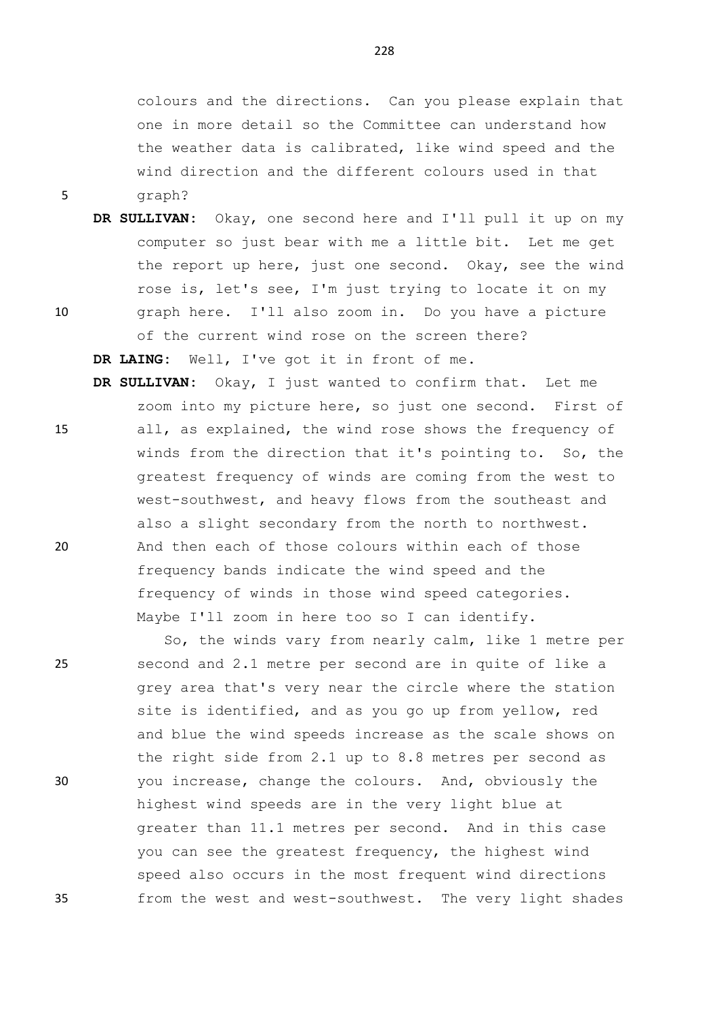colours and the directions. Can you please explain that one in more detail so the Committee can understand how the weather data is calibrated, like wind speed and the wind direction and the different colours used in that 5 graph?

- **DR SULLIVAN:** Okay, one second here and I'll pull it up on my computer so just bear with me a little bit. Let me get the report up here, just one second. Okay, see the wind rose is, let's see, I'm just trying to locate it on my 10 graph here. I'll also zoom in. Do you have a picture
	- of the current wind rose on the screen there? **DR LAING:** Well, I've got it in front of me.
- **DR SULLIVAN:** Okay, I just wanted to confirm that. Let me zoom into my picture here, so just one second. First of 15 all, as explained, the wind rose shows the frequency of winds from the direction that it's pointing to. So, the greatest frequency of winds are coming from the west to west-southwest, and heavy flows from the southeast and also a slight secondary from the north to northwest. 20 And then each of those colours within each of those frequency bands indicate the wind speed and the frequency of winds in those wind speed categories. Maybe I'll zoom in here too so I can identify.

So, the winds vary from nearly calm, like 1 metre per 25 second and 2.1 metre per second are in quite of like a grey area that's very near the circle where the station site is identified, and as you go up from yellow, red and blue the wind speeds increase as the scale shows on the right side from 2.1 up to 8.8 metres per second as 30 you increase, change the colours. And, obviously the highest wind speeds are in the very light blue at greater than 11.1 metres per second. And in this case you can see the greatest frequency, the highest wind speed also occurs in the most frequent wind directions 35 from the west and west-southwest. The very light shades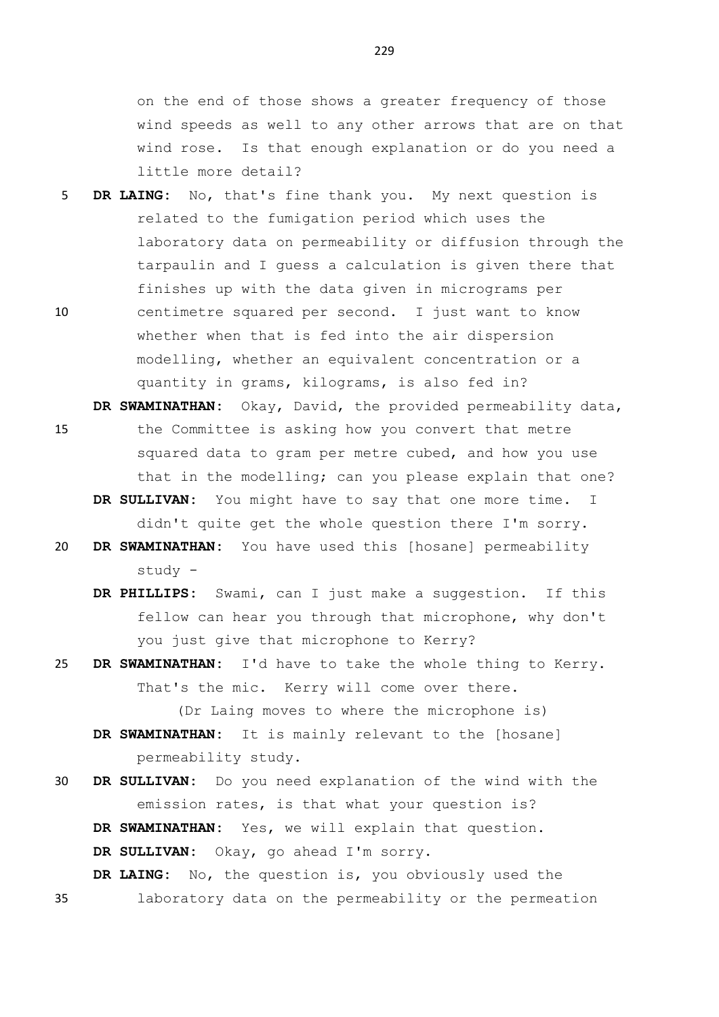on the end of those shows a greater frequency of those wind speeds as well to any other arrows that are on that wind rose. Is that enough explanation or do you need a little more detail?

- 5 **DR LAING:** No, that's fine thank you. My next question is related to the fumigation period which uses the laboratory data on permeability or diffusion through the tarpaulin and I guess a calculation is given there that finishes up with the data given in micrograms per 10 centimetre squared per second. I just want to know whether when that is fed into the air dispersion
	- modelling, whether an equivalent concentration or a quantity in grams, kilograms, is also fed in?
- **DR SWAMINATHAN:** Okay, David, the provided permeability data, 15 the Committee is asking how you convert that metre squared data to gram per metre cubed, and how you use that in the modelling; can you please explain that one?
	- **DR SULLIVAN:** You might have to say that one more time. I didn't quite get the whole question there I'm sorry.
- 20 **DR SWAMINATHAN:** You have used this [hosane] permeability study -
	- **DR PHILLIPS:** Swami, can I just make a suggestion. If this fellow can hear you through that microphone, why don't you just give that microphone to Kerry?
- 25 **DR SWAMINATHAN:** I'd have to take the whole thing to Kerry. That's the mic. Kerry will come over there.

(Dr Laing moves to where the microphone is) **DR SWAMINATHAN:** It is mainly relevant to the [hosane] permeability study.

- 30 **DR SULLIVAN:** Do you need explanation of the wind with the emission rates, is that what your question is? **DR SWAMINATHAN:** Yes, we will explain that question. **DR SULLIVAN:** Okay, go ahead I'm sorry. **DR LAING:** No, the question is, you obviously used the
- 35 laboratory data on the permeability or the permeation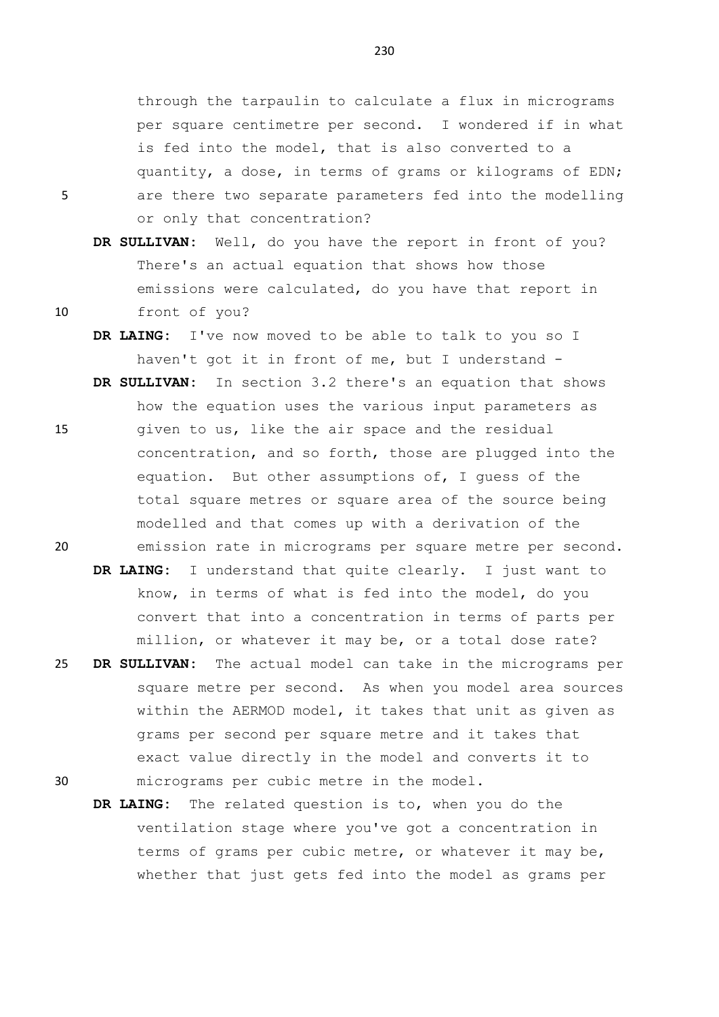through the tarpaulin to calculate a flux in micrograms per square centimetre per second. I wondered if in what is fed into the model, that is also converted to a quantity, a dose, in terms of grams or kilograms of EDN; 5 are there two separate parameters fed into the modelling or only that concentration?

- **DR SULLIVAN:** Well, do you have the report in front of you? There's an actual equation that shows how those emissions were calculated, do you have that report in 10 front of you?
	- **DR LAING:** I've now moved to be able to talk to you so I haven't got it in front of me, but I understand -
- **DR SULLIVAN:** In section 3.2 there's an equation that shows how the equation uses the various input parameters as 15 given to us, like the air space and the residual concentration, and so forth, those are plugged into the equation. But other assumptions of, I guess of the total square metres or square area of the source being modelled and that comes up with a derivation of the 20 emission rate in micrograms per square metre per second.
	- **DR LAING:** I understand that quite clearly. I just want to know, in terms of what is fed into the model, do you convert that into a concentration in terms of parts per million, or whatever it may be, or a total dose rate?
- 25 **DR SULLIVAN:** The actual model can take in the micrograms per square metre per second. As when you model area sources within the AERMOD model, it takes that unit as given as grams per second per square metre and it takes that exact value directly in the model and converts it to 30 micrograms per cubic metre in the model.
	- **DR LAING:** The related question is to, when you do the ventilation stage where you've got a concentration in terms of grams per cubic metre, or whatever it may be, whether that just gets fed into the model as grams per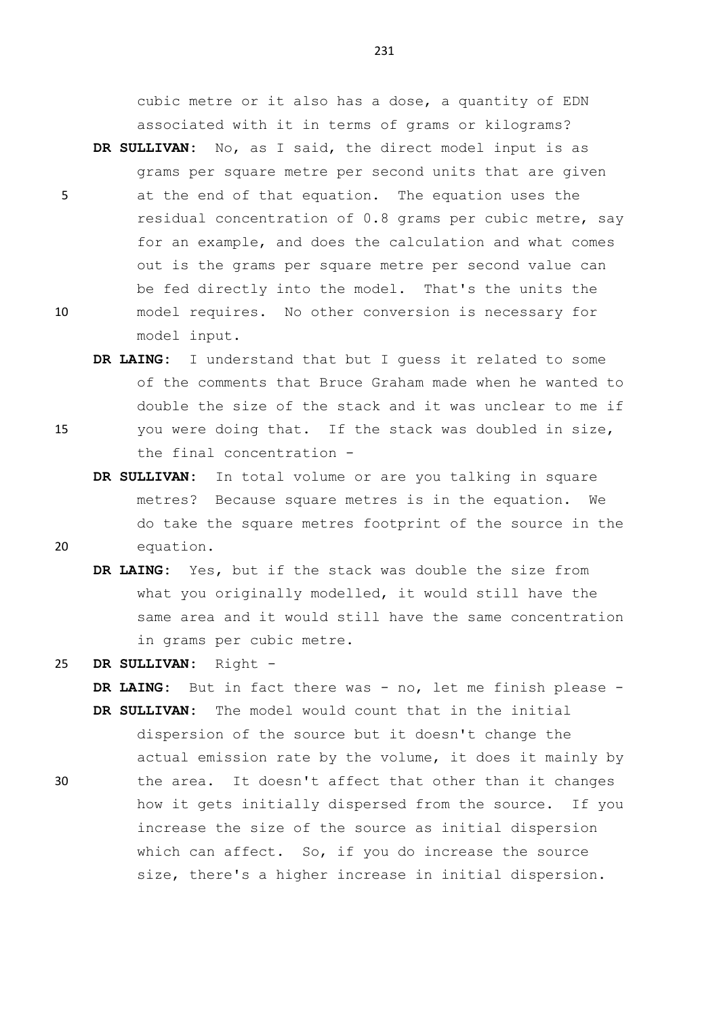cubic metre or it also has a dose, a quantity of EDN associated with it in terms of grams or kilograms?

- **DR SULLIVAN:** No, as I said, the direct model input is as grams per square metre per second units that are given 5 at the end of that equation. The equation uses the residual concentration of 0.8 grams per cubic metre, say for an example, and does the calculation and what comes out is the grams per square metre per second value can be fed directly into the model. That's the units the 10 model requires. No other conversion is necessary for model input.
- **DR LAING:** I understand that but I guess it related to some of the comments that Bruce Graham made when he wanted to double the size of the stack and it was unclear to me if 15 you were doing that. If the stack was doubled in size, the final concentration -
- **DR SULLIVAN:** In total volume or are you talking in square metres? Because square metres is in the equation. We do take the square metres footprint of the source in the 20 equation.
	- **DR LAING:** Yes, but if the stack was double the size from what you originally modelled, it would still have the same area and it would still have the same concentration in grams per cubic metre.

**DR LAING:** But in fact there was - no, let me finish please -

25 **DR SULLIVAN:** Right -

**DR SULLIVAN:** The model would count that in the initial dispersion of the source but it doesn't change the actual emission rate by the volume, it does it mainly by 30 the area. It doesn't affect that other than it changes how it gets initially dispersed from the source. If you increase the size of the source as initial dispersion which can affect. So, if you do increase the source size, there's a higher increase in initial dispersion.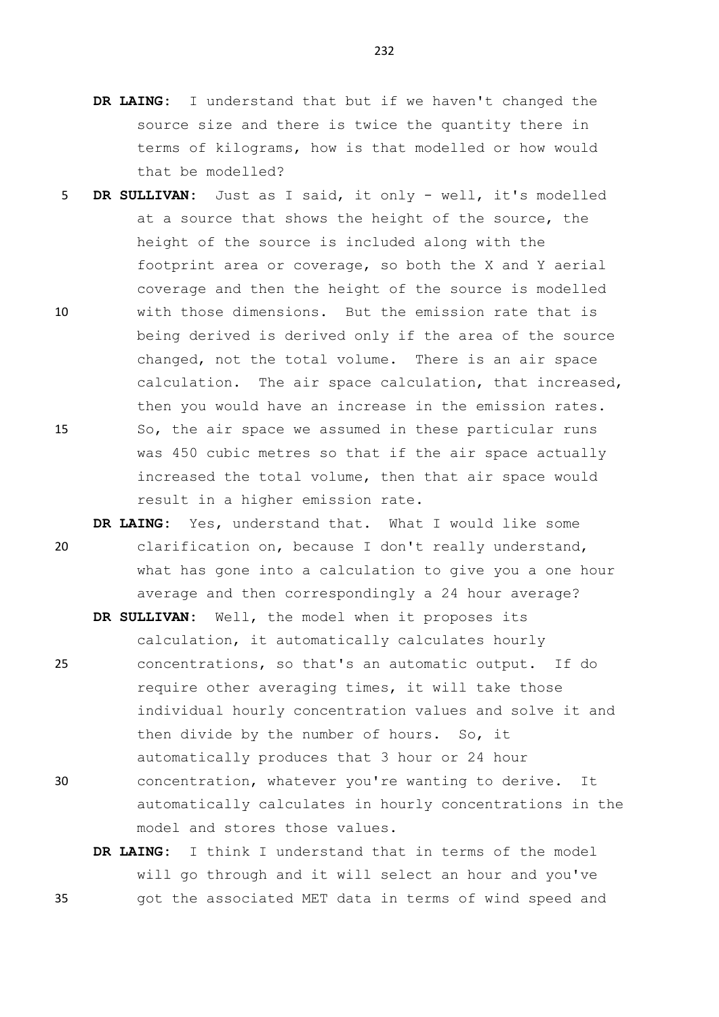- **DR LAING:** I understand that but if we haven't changed the source size and there is twice the quantity there in terms of kilograms, how is that modelled or how would that be modelled?
- 5 **DR SULLIVAN:** Just as I said, it only well, it's modelled at a source that shows the height of the source, the height of the source is included along with the footprint area or coverage, so both the X and Y aerial coverage and then the height of the source is modelled 10 with those dimensions. But the emission rate that is being derived is derived only if the area of the source changed, not the total volume. There is an air space calculation. The air space calculation, that increased, then you would have an increase in the emission rates. 15 So, the air space we assumed in these particular runs was 450 cubic metres so that if the air space actually increased the total volume, then that air space would result in a higher emission rate.
- **DR LAING:** Yes, understand that. What I would like some 20 clarification on, because I don't really understand, what has gone into a calculation to give you a one hour average and then correspondingly a 24 hour average?

**DR SULLIVAN:** Well, the model when it proposes its calculation, it automatically calculates hourly

- 25 concentrations, so that's an automatic output. If do require other averaging times, it will take those individual hourly concentration values and solve it and then divide by the number of hours. So, it automatically produces that 3 hour or 24 hour 30 concentration, whatever you're wanting to derive. It automatically calculates in hourly concentrations in the model and stores those values.
- **DR LAING:** I think I understand that in terms of the model will go through and it will select an hour and you've 35 got the associated MET data in terms of wind speed and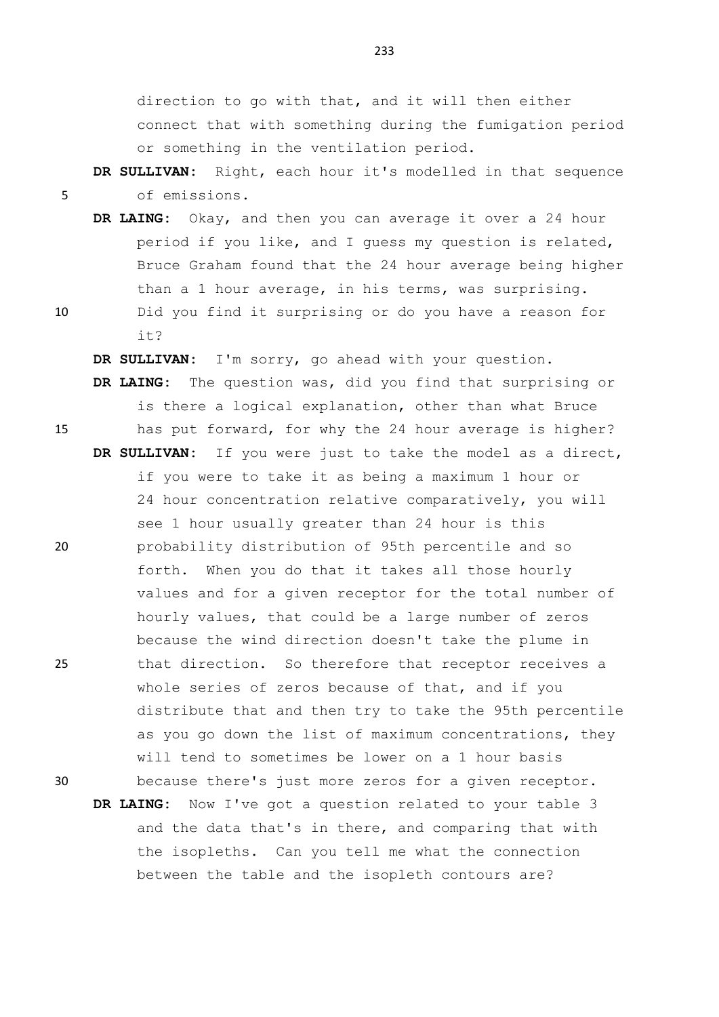direction to go with that, and it will then either connect that with something during the fumigation period or something in the ventilation period.

## **DR SULLIVAN:** Right, each hour it's modelled in that sequence 5 of emissions.

- **DR LAING:** Okay, and then you can average it over a 24 hour period if you like, and I guess my question is related, Bruce Graham found that the 24 hour average being higher than a 1 hour average, in his terms, was surprising.
- 
- 10 Did you find it surprising or do you have a reason for it?

**DR SULLIVAN:** I'm sorry, go ahead with your question. **DR LAING:** The question was, did you find that surprising or is there a logical explanation, other than what Bruce 15 has put forward, for why the 24 hour average is higher? **DR SULLIVAN:** If you were just to take the model as a direct, if you were to take it as being a maximum 1 hour or 24 hour concentration relative comparatively, you will see 1 hour usually greater than 24 hour is this 20 probability distribution of 95th percentile and so forth. When you do that it takes all those hourly values and for a given receptor for the total number of hourly values, that could be a large number of zeros because the wind direction doesn't take the plume in 25 that direction. So therefore that receptor receives a whole series of zeros because of that, and if you distribute that and then try to take the 95th percentile as you go down the list of maximum concentrations, they will tend to sometimes be lower on a 1 hour basis

30 because there's just more zeros for a given receptor. **DR LAING:** Now I've got a question related to your table 3 and the data that's in there, and comparing that with the isopleths. Can you tell me what the connection between the table and the isopleth contours are?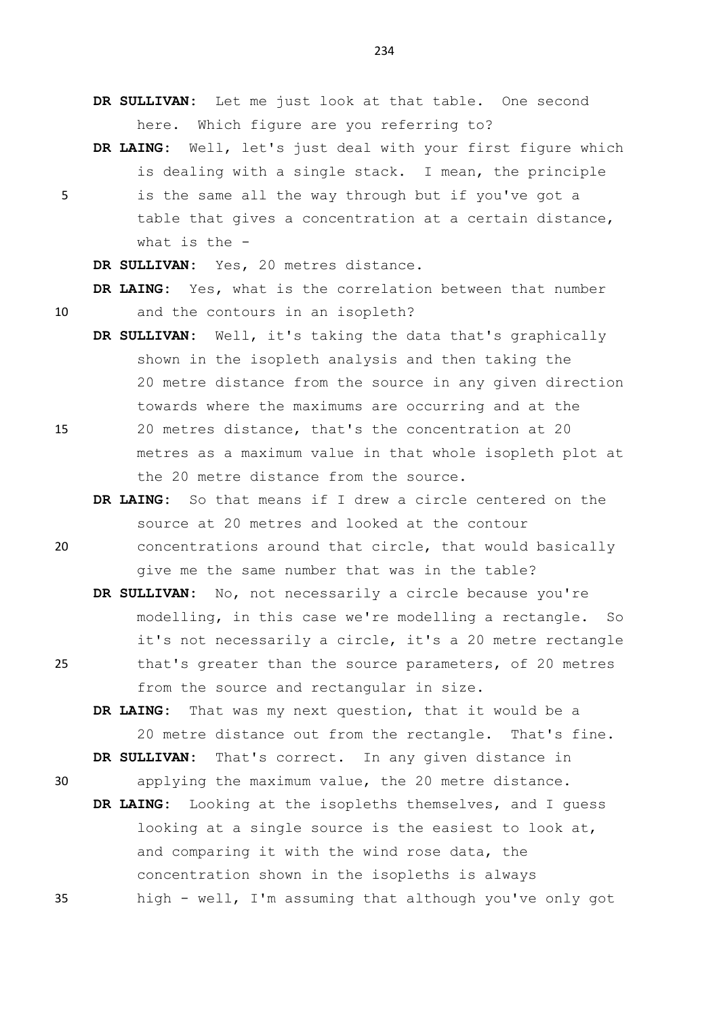**DR SULLIVAN:** Let me just look at that table. One second here. Which figure are you referring to?

**DR LAING:** Well, let's just deal with your first figure which is dealing with a single stack. I mean, the principle

5 is the same all the way through but if you've got a table that gives a concentration at a certain distance, what is the -

**DR SULLIVAN:** Yes, 20 metres distance.

**DR LAING:** Yes, what is the correlation between that number 10 and the contours in an isopleth?

- **DR SULLIVAN:** Well, it's taking the data that's graphically shown in the isopleth analysis and then taking the 20 metre distance from the source in any given direction towards where the maximums are occurring and at the
- 15 20 metres distance, that's the concentration at 20 metres as a maximum value in that whole isopleth plot at the 20 metre distance from the source.
- **DR LAING:** So that means if I drew a circle centered on the source at 20 metres and looked at the contour 20 concentrations around that circle, that would basically

give me the same number that was in the table?

**DR SULLIVAN:** No, not necessarily a circle because you're modelling, in this case we're modelling a rectangle. So it's not necessarily a circle, it's a 20 metre rectangle 25 that's greater than the source parameters, of 20 metres from the source and rectangular in size.

**DR LAING:** That was my next question, that it would be a 20 metre distance out from the rectangle. That's fine. **DR SULLIVAN:** That's correct. In any given distance in

- 
- 30 applying the maximum value, the 20 metre distance. **DR LAING:** Looking at the isopleths themselves, and I guess
- looking at a single source is the easiest to look at, and comparing it with the wind rose data, the concentration shown in the isopleths is always 35 high - well, I'm assuming that although you've only got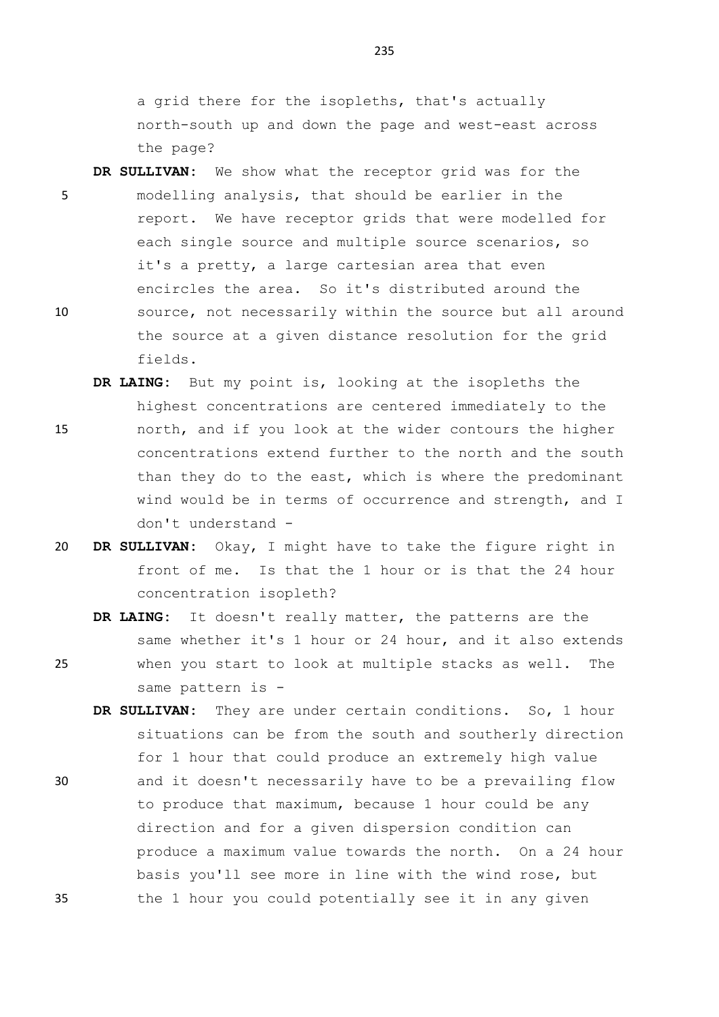a grid there for the isopleths, that's actually north-south up and down the page and west-east across the page?

- **DR SULLIVAN:** We show what the receptor grid was for the 5 modelling analysis, that should be earlier in the report. We have receptor grids that were modelled for each single source and multiple source scenarios, so it's a pretty, a large cartesian area that even encircles the area. So it's distributed around the 10 source, not necessarily within the source but all around the source at a given distance resolution for the grid fields.
- **DR LAING:** But my point is, looking at the isopleths the highest concentrations are centered immediately to the 15 north, and if you look at the wider contours the higher concentrations extend further to the north and the south than they do to the east, which is where the predominant wind would be in terms of occurrence and strength, and I don't understand -
- 20 **DR SULLIVAN:** Okay, I might have to take the figure right in front of me. Is that the 1 hour or is that the 24 hour concentration isopleth?
- **DR LAING:** It doesn't really matter, the patterns are the same whether it's 1 hour or 24 hour, and it also extends 25 when you start to look at multiple stacks as well. The same pattern is -
- **DR SULLIVAN:** They are under certain conditions. So, 1 hour situations can be from the south and southerly direction for 1 hour that could produce an extremely high value 30 and it doesn't necessarily have to be a prevailing flow to produce that maximum, because 1 hour could be any direction and for a given dispersion condition can produce a maximum value towards the north. On a 24 hour basis you'll see more in line with the wind rose, but 35 the 1 hour you could potentially see it in any given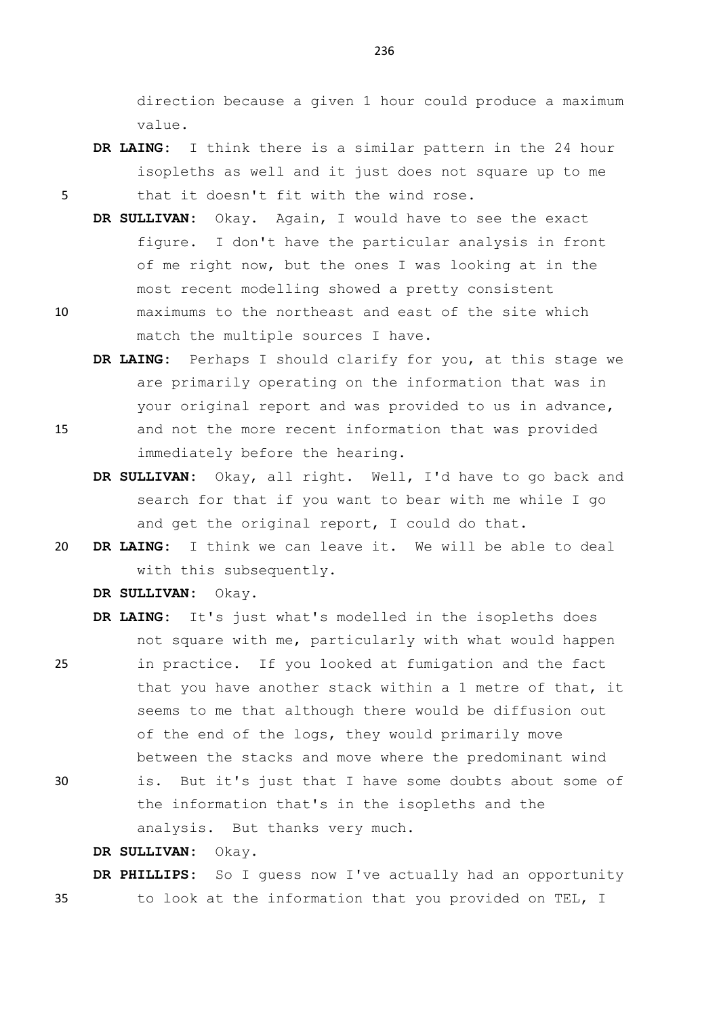direction because a given 1 hour could produce a maximum value.

- **DR LAING:** I think there is a similar pattern in the 24 hour isopleths as well and it just does not square up to me 5 that it doesn't fit with the wind rose.
	- **DR SULLIVAN:** Okay. Again, I would have to see the exact figure. I don't have the particular analysis in front of me right now, but the ones I was looking at in the most recent modelling showed a pretty consistent
- 10 maximums to the northeast and east of the site which match the multiple sources I have.
- **DR LAING:** Perhaps I should clarify for you, at this stage we are primarily operating on the information that was in your original report and was provided to us in advance, 15 and not the more recent information that was provided immediately before the hearing.
	- **DR SULLIVAN:** Okay, all right. Well, I'd have to go back and search for that if you want to bear with me while I go and get the original report, I could do that.
- 20 **DR LAING:** I think we can leave it. We will be able to deal with this subsequently.

**DR SULLIVAN:** Okay.

- **DR LAING:** It's just what's modelled in the isopleths does not square with me, particularly with what would happen 25 in practice. If you looked at fumigation and the fact that you have another stack within a 1 metre of that, it
- 

of the end of the logs, they would primarily move between the stacks and move where the predominant wind 30 is. But it's just that I have some doubts about some of the information that's in the isopleths and the

seems to me that although there would be diffusion out

analysis. But thanks very much.

**DR SULLIVAN:** Okay.

**DR PHILLIPS:** So I guess now I've actually had an opportunity 35 to look at the information that you provided on TEL, I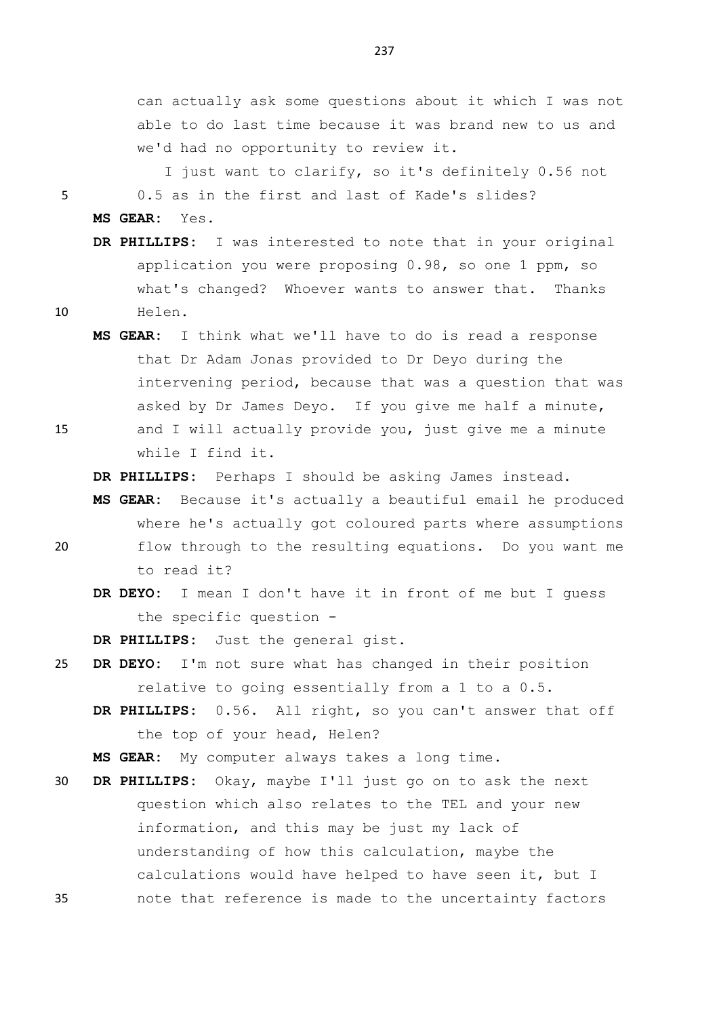can actually ask some questions about it which I was not able to do last time because it was brand new to us and we'd had no opportunity to review it.

I just want to clarify, so it's definitely 0.56 not 5 0.5 as in the first and last of Kade's slides? **MS GEAR:** Yes.

**DR PHILLIPS:** I was interested to note that in your original application you were proposing 0.98, so one 1 ppm, so what's changed? Whoever wants to answer that. Thanks 10 Helen.

**MS GEAR:** I think what we'll have to do is read a response that Dr Adam Jonas provided to Dr Deyo during the intervening period, because that was a question that was asked by Dr James Deyo. If you give me half a minute, 15 and I will actually provide you, just give me a minute while I find it.

**DR PHILLIPS:** Perhaps I should be asking James instead.

- **MS GEAR:** Because it's actually a beautiful email he produced where he's actually got coloured parts where assumptions 20 flow through to the resulting equations. Do you want me to read it?
	- **DR DEYO:** I mean I don't have it in front of me but I guess the specific question -

**DR PHILLIPS:** Just the general gist.

- 25 **DR DEYO:** I'm not sure what has changed in their position relative to going essentially from a 1 to a 0.5.
	- **DR PHILLIPS:** 0.56. All right, so you can't answer that off the top of your head, Helen?

**MS GEAR:** My computer always takes a long time.

30 **DR PHILLIPS:** Okay, maybe I'll just go on to ask the next question which also relates to the TEL and your new information, and this may be just my lack of understanding of how this calculation, maybe the calculations would have helped to have seen it, but I 35 note that reference is made to the uncertainty factors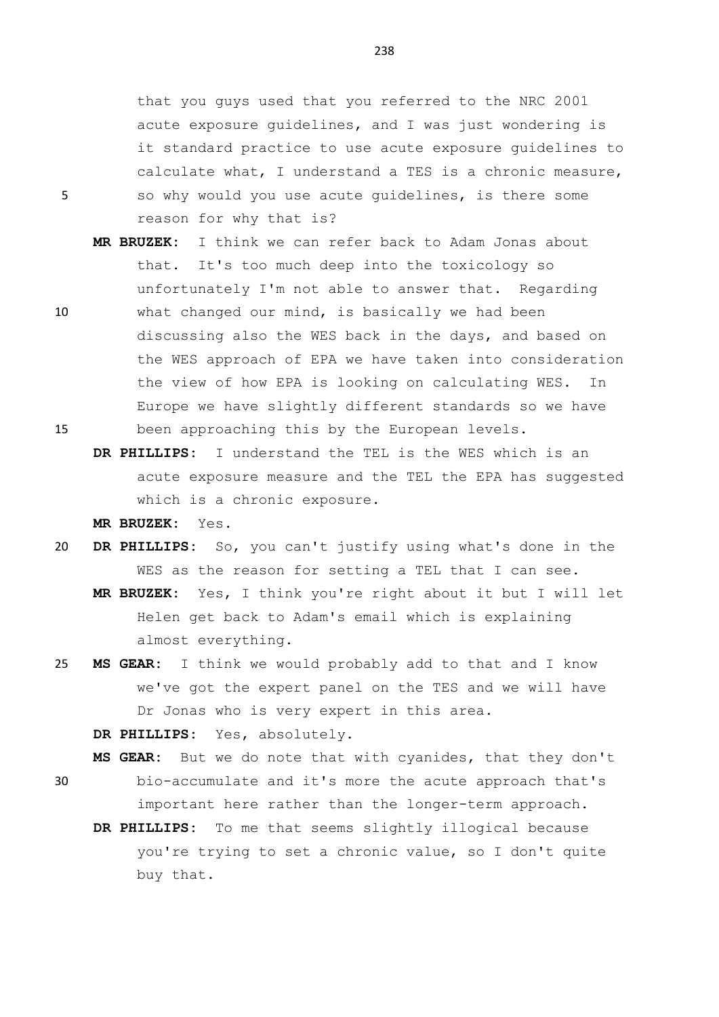that you guys used that you referred to the NRC 2001 acute exposure guidelines, and I was just wondering is it standard practice to use acute exposure guidelines to calculate what, I understand a TES is a chronic measure, 5 so why would you use acute guidelines, is there some reason for why that is?

- **MR BRUZEK:** I think we can refer back to Adam Jonas about that. It's too much deep into the toxicology so unfortunately I'm not able to answer that. Regarding 10 what changed our mind, is basically we had been discussing also the WES back in the days, and based on the WES approach of EPA we have taken into consideration the view of how EPA is looking on calculating WES. In Europe we have slightly different standards so we have 15 been approaching this by the European levels.
	- **DR PHILLIPS:** I understand the TEL is the WES which is an acute exposure measure and the TEL the EPA has suggested which is a chronic exposure.
		- **MR BRUZEK:** Yes.
- 20 **DR PHILLIPS:** So, you can't justify using what's done in the WES as the reason for setting a TEL that I can see.
	- **MR BRUZEK:** Yes, I think you're right about it but I will let Helen get back to Adam's email which is explaining almost everything.
- 25 **MS GEAR:** I think we would probably add to that and I know we've got the expert panel on the TES and we will have Dr Jonas who is very expert in this area.

**DR PHILLIPS:** Yes, absolutely.

**MS GEAR:** But we do note that with cyanides, that they don't

- 30 bio-accumulate and it's more the acute approach that's important here rather than the longer-term approach.
	- **DR PHILLIPS:** To me that seems slightly illogical because you're trying to set a chronic value, so I don't quite buy that.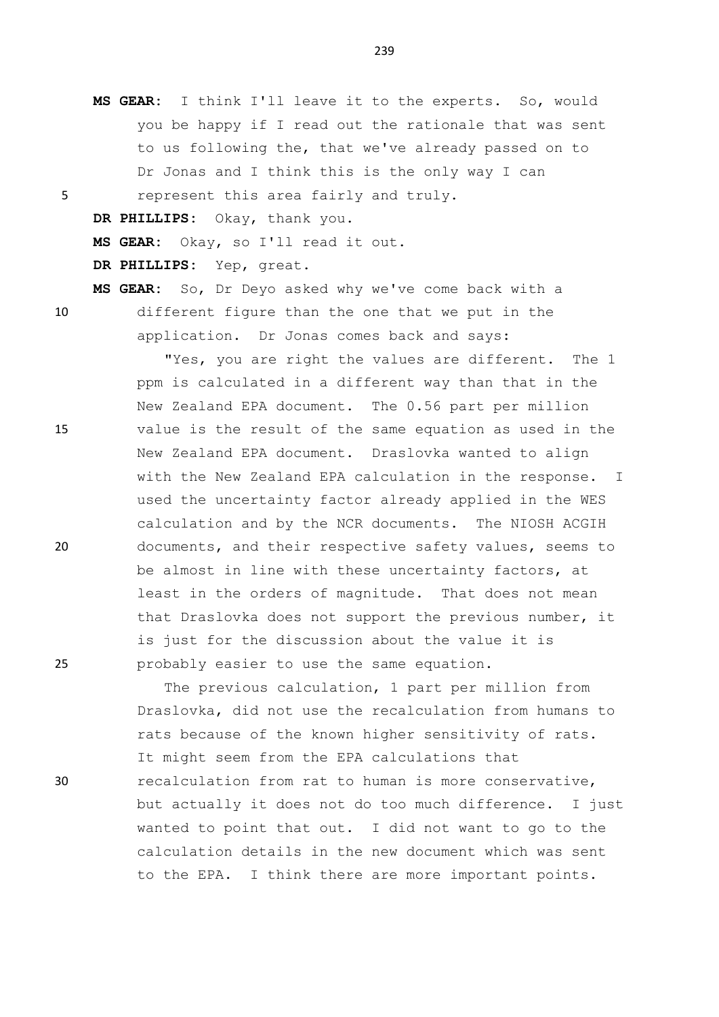**MS GEAR:** I think I'll leave it to the experts. So, would you be happy if I read out the rationale that was sent to us following the, that we've already passed on to Dr Jonas and I think this is the only way I can 5 represent this area fairly and truly. **DR PHILLIPS:** Okay, thank you.

**MS GEAR:** Okay, so I'll read it out.

**DR PHILLIPS:** Yep, great.

**MS GEAR:** So, Dr Deyo asked why we've come back with a 10 different figure than the one that we put in the application. Dr Jonas comes back and says:

"Yes, you are right the values are different. The 1 ppm is calculated in a different way than that in the New Zealand EPA document. The 0.56 part per million 15 value is the result of the same equation as used in the New Zealand EPA document. Draslovka wanted to align with the New Zealand EPA calculation in the response. I used the uncertainty factor already applied in the WES calculation and by the NCR documents. The NIOSH ACGIH 20 documents, and their respective safety values, seems to be almost in line with these uncertainty factors, at least in the orders of magnitude. That does not mean that Draslovka does not support the previous number, it is just for the discussion about the value it is 25 probably easier to use the same equation.

The previous calculation, 1 part per million from Draslovka, did not use the recalculation from humans to rats because of the known higher sensitivity of rats. It might seem from the EPA calculations that 30 recalculation from rat to human is more conservative, but actually it does not do too much difference. I just wanted to point that out. I did not want to go to the calculation details in the new document which was sent to the EPA. I think there are more important points.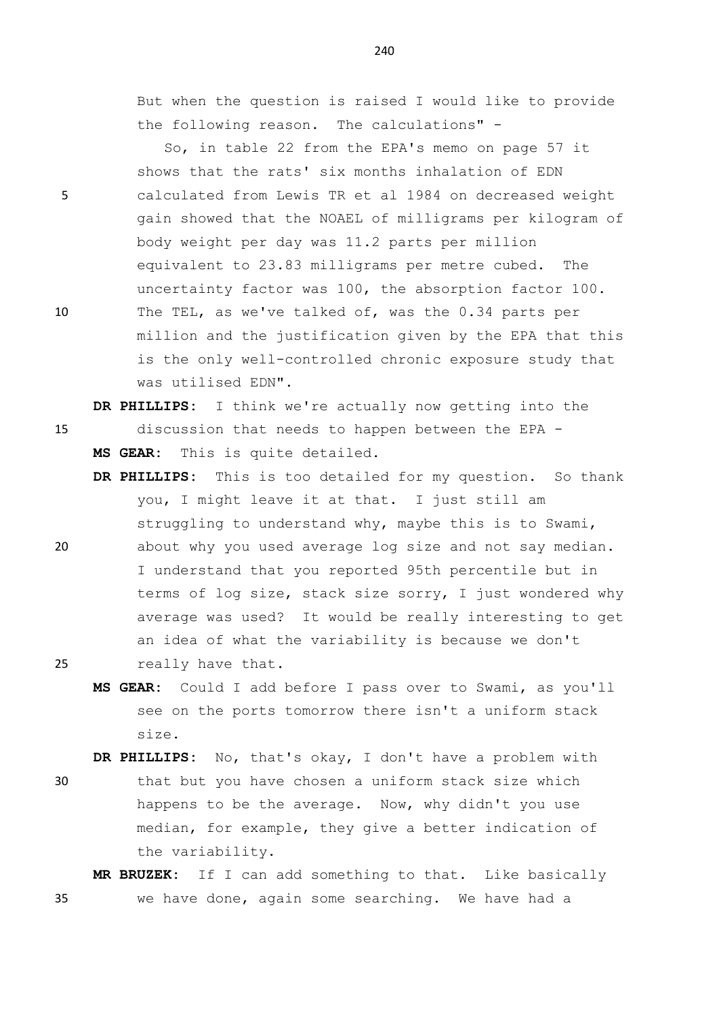But when the question is raised I would like to provide the following reason. The calculations" -

So, in table 22 from the EPA's memo on page 57 it shows that the rats' six months inhalation of EDN 5 calculated from Lewis TR et al 1984 on decreased weight gain showed that the NOAEL of milligrams per kilogram of body weight per day was 11.2 parts per million equivalent to 23.83 milligrams per metre cubed. The uncertainty factor was 100, the absorption factor 100. 10 The TEL, as we've talked of, was the 0.34 parts per million and the justification given by the EPA that this is the only well-controlled chronic exposure study that was utilised EDN".

**DR PHILLIPS:** I think we're actually now getting into the 15 discussion that needs to happen between the EPA - **MS GEAR:** This is quite detailed.

- **DR PHILLIPS:** This is too detailed for my question. So thank you, I might leave it at that. I just still am struggling to understand why, maybe this is to Swami,
- 20 about why you used average log size and not say median. I understand that you reported 95th percentile but in terms of log size, stack size sorry, I just wondered why average was used? It would be really interesting to get an idea of what the variability is because we don't 25 really have that.
	- **MS GEAR:** Could I add before I pass over to Swami, as you'll see on the ports tomorrow there isn't a uniform stack size.

**DR PHILLIPS:** No, that's okay, I don't have a problem with

30 that but you have chosen a uniform stack size which happens to be the average. Now, why didn't you use median, for example, they give a better indication of the variability.

**MR BRUZEK:** If I can add something to that. Like basically 35 we have done, again some searching. We have had a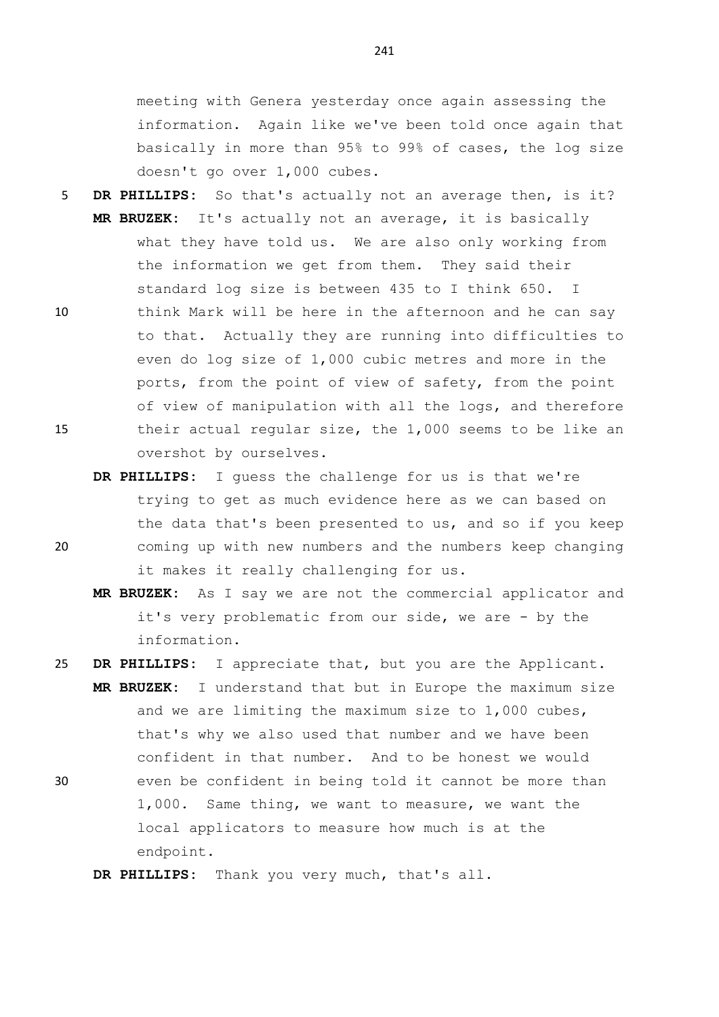meeting with Genera yesterday once again assessing the information. Again like we've been told once again that basically in more than 95% to 99% of cases, the log size doesn't go over 1,000 cubes.

- 5 **DR PHILLIPS:** So that's actually not an average then, is it? **MR BRUZEK:** It's actually not an average, it is basically what they have told us. We are also only working from the information we get from them. They said their standard log size is between 435 to I think 650. I
- 10 think Mark will be here in the afternoon and he can say to that. Actually they are running into difficulties to even do log size of 1,000 cubic metres and more in the ports, from the point of view of safety, from the point of view of manipulation with all the logs, and therefore 15 their actual regular size, the 1,000 seems to be like an overshot by ourselves.
- **DR PHILLIPS:** I guess the challenge for us is that we're trying to get as much evidence here as we can based on the data that's been presented to us, and so if you keep 20 coming up with new numbers and the numbers keep changing it makes it really challenging for us.
	- **MR BRUZEK:** As I say we are not the commercial applicator and it's very problematic from our side, we are - by the information.
- 25 **DR PHILLIPS:** I appreciate that, but you are the Applicant.

**MR BRUZEK:** I understand that but in Europe the maximum size and we are limiting the maximum size to 1,000 cubes, that's why we also used that number and we have been confident in that number. And to be honest we would 30 even be confident in being told it cannot be more than

1,000. Same thing, we want to measure, we want the local applicators to measure how much is at the endpoint.

**DR PHILLIPS:** Thank you very much, that's all.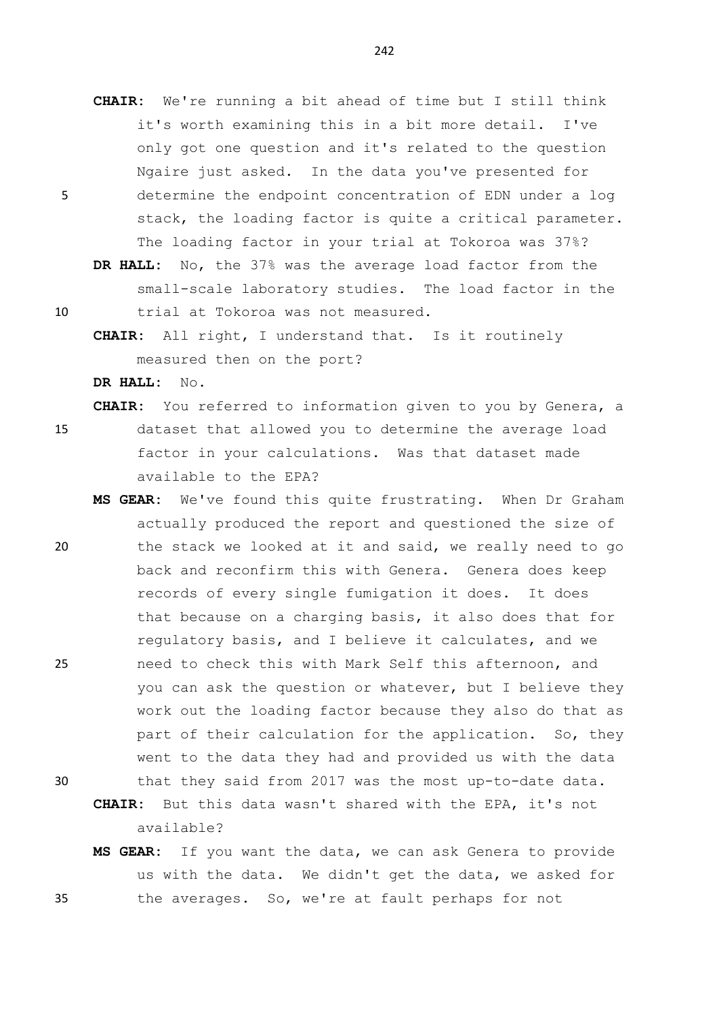- **CHAIR:** We're running a bit ahead of time but I still think it's worth examining this in a bit more detail. I've only got one question and it's related to the question Ngaire just asked. In the data you've presented for 5 determine the endpoint concentration of EDN under a log stack, the loading factor is quite a critical parameter. The loading factor in your trial at Tokoroa was 37%?
	- **DR HALL:** No, the 37% was the average load factor from the small-scale laboratory studies. The load factor in the
- 

10 trial at Tokoroa was not measured.

**CHAIR:** All right, I understand that. Is it routinely measured then on the port?

**DR HALL:** No.

**CHAIR:** You referred to information given to you by Genera, a

15 dataset that allowed you to determine the average load factor in your calculations. Was that dataset made available to the EPA?

- **MS GEAR:** We've found this quite frustrating. When Dr Graham actually produced the report and questioned the size of 20 the stack we looked at it and said, we really need to go back and reconfirm this with Genera. Genera does keep records of every single fumigation it does. It does that because on a charging basis, it also does that for regulatory basis, and I believe it calculates, and we 25 need to check this with Mark Self this afternoon, and you can ask the question or whatever, but I believe they work out the loading factor because they also do that as part of their calculation for the application. So, they went to the data they had and provided us with the data 30 that they said from 2017 was the most up-to-date data.
- 

**CHAIR:** But this data wasn't shared with the EPA, it's not available?

**MS GEAR:** If you want the data, we can ask Genera to provide us with the data. We didn't get the data, we asked for 35 the averages. So, we're at fault perhaps for not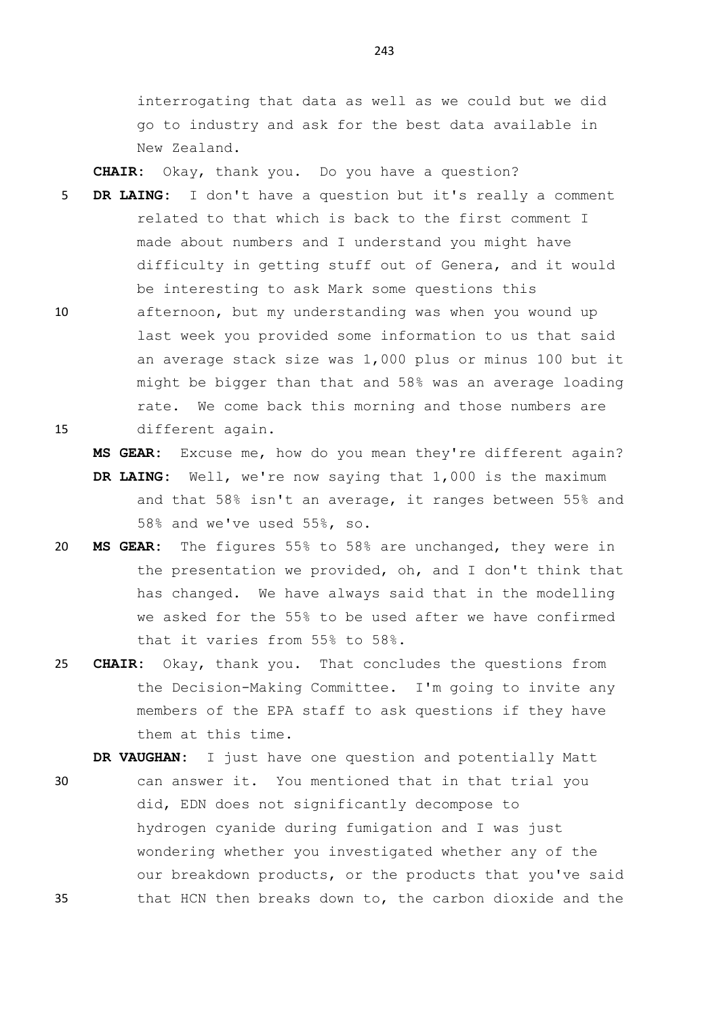interrogating that data as well as we could but we did go to industry and ask for the best data available in New Zealand.

**CHAIR:** Okay, thank you. Do you have a question?

- 5 **DR LAING:** I don't have a question but it's really a comment related to that which is back to the first comment I made about numbers and I understand you might have difficulty in getting stuff out of Genera, and it would be interesting to ask Mark some questions this
- 10 afternoon, but my understanding was when you wound up last week you provided some information to us that said an average stack size was 1,000 plus or minus 100 but it might be bigger than that and 58% was an average loading rate. We come back this morning and those numbers are 15 different again.

**MS GEAR:** Excuse me, how do you mean they're different again?

- **DR LAING:** Well, we're now saying that 1,000 is the maximum and that 58% isn't an average, it ranges between 55% and 58% and we've used 55%, so.
- 20 **MS GEAR:** The figures 55% to 58% are unchanged, they were in the presentation we provided, oh, and I don't think that has changed. We have always said that in the modelling we asked for the 55% to be used after we have confirmed that it varies from 55% to 58%.
- 25 **CHAIR:** Okay, thank you. That concludes the questions from the Decision-Making Committee. I'm going to invite any members of the EPA staff to ask questions if they have them at this time.

**DR VAUGHAN:** I just have one question and potentially Matt

30 can answer it. You mentioned that in that trial you did, EDN does not significantly decompose to hydrogen cyanide during fumigation and I was just wondering whether you investigated whether any of the our breakdown products, or the products that you've said 35 that HCN then breaks down to, the carbon dioxide and the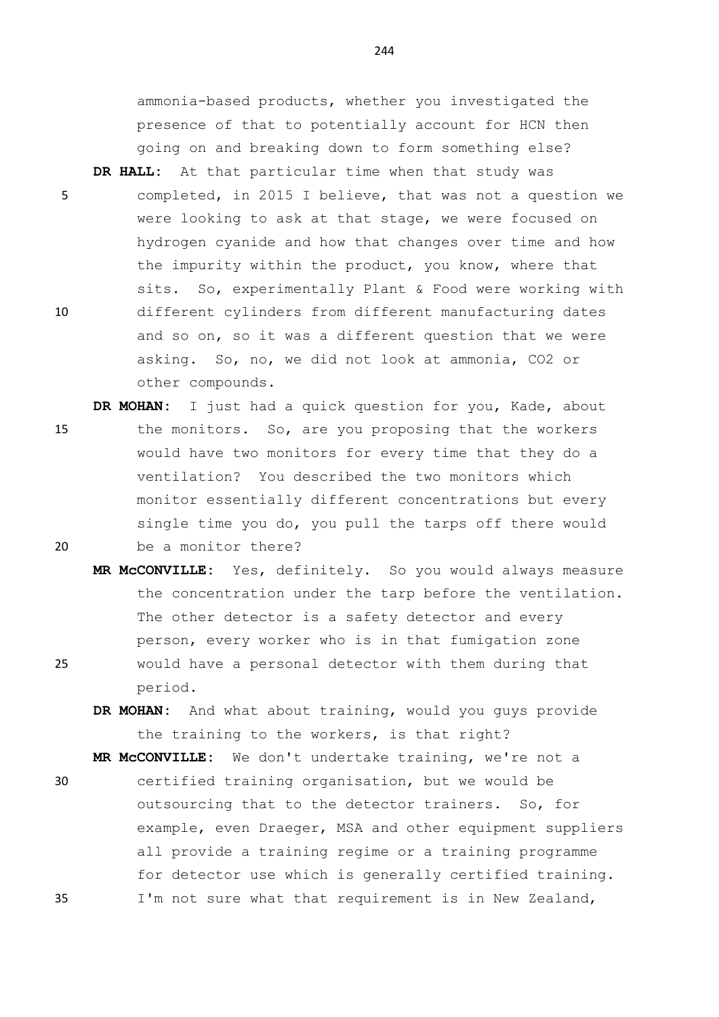ammonia-based products, whether you investigated the presence of that to potentially account for HCN then going on and breaking down to form something else?

- **DR HALL:** At that particular time when that study was 5 completed, in 2015 I believe, that was not a question we were looking to ask at that stage, we were focused on hydrogen cyanide and how that changes over time and how the impurity within the product, you know, where that sits. So, experimentally Plant & Food were working with 10 different cylinders from different manufacturing dates and so on, so it was a different question that we were asking. So, no, we did not look at ammonia, CO2 or other compounds.
- **DR MOHAN:** I just had a quick question for you, Kade, about 15 the monitors. So, are you proposing that the workers would have two monitors for every time that they do a ventilation? You described the two monitors which monitor essentially different concentrations but every single time you do, you pull the tarps off there would 20 be a monitor there?
- **MR McCONVILLE:** Yes, definitely. So you would always measure the concentration under the tarp before the ventilation. The other detector is a safety detector and every person, every worker who is in that fumigation zone 25 would have a personal detector with them during that period.
	- **DR MOHAN:** And what about training, would you guys provide the training to the workers, is that right?

**MR McCONVILLE:** We don't undertake training, we're not a

30 certified training organisation, but we would be outsourcing that to the detector trainers. So, for example, even Draeger, MSA and other equipment suppliers all provide a training regime or a training programme for detector use which is generally certified training. 35 I'm not sure what that requirement is in New Zealand,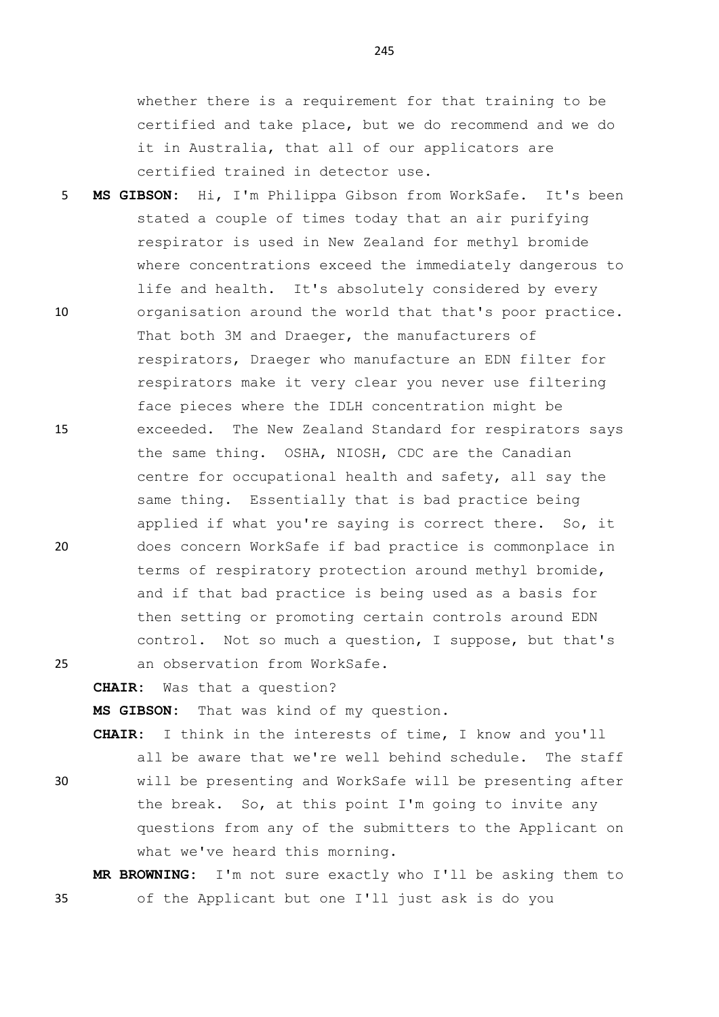whether there is a requirement for that training to be certified and take place, but we do recommend and we do it in Australia, that all of our applicators are certified trained in detector use.

- 5 **MS GIBSON:** Hi, I'm Philippa Gibson from WorkSafe. It's been stated a couple of times today that an air purifying respirator is used in New Zealand for methyl bromide where concentrations exceed the immediately dangerous to life and health. It's absolutely considered by every 10 organisation around the world that that's poor practice. That both 3M and Draeger, the manufacturers of respirators, Draeger who manufacture an EDN filter for respirators make it very clear you never use filtering face pieces where the IDLH concentration might be 15 exceeded. The New Zealand Standard for respirators says the same thing. OSHA, NIOSH, CDC are the Canadian centre for occupational health and safety, all say the same thing. Essentially that is bad practice being applied if what you're saying is correct there. So, it 20 does concern WorkSafe if bad practice is commonplace in terms of respiratory protection around methyl bromide, and if that bad practice is being used as a basis for then setting or promoting certain controls around EDN control. Not so much a question, I suppose, but that's 25 an observation from WorkSafe.
	- **CHAIR:** Was that a question?

**MS GIBSON:** That was kind of my question.

**CHAIR:** I think in the interests of time, I know and you'll all be aware that we're well behind schedule. The staff

30 will be presenting and WorkSafe will be presenting after the break. So, at this point I'm going to invite any questions from any of the submitters to the Applicant on what we've heard this morning.

**MR BROWNING:** I'm not sure exactly who I'll be asking them to 35 of the Applicant but one I'll just ask is do you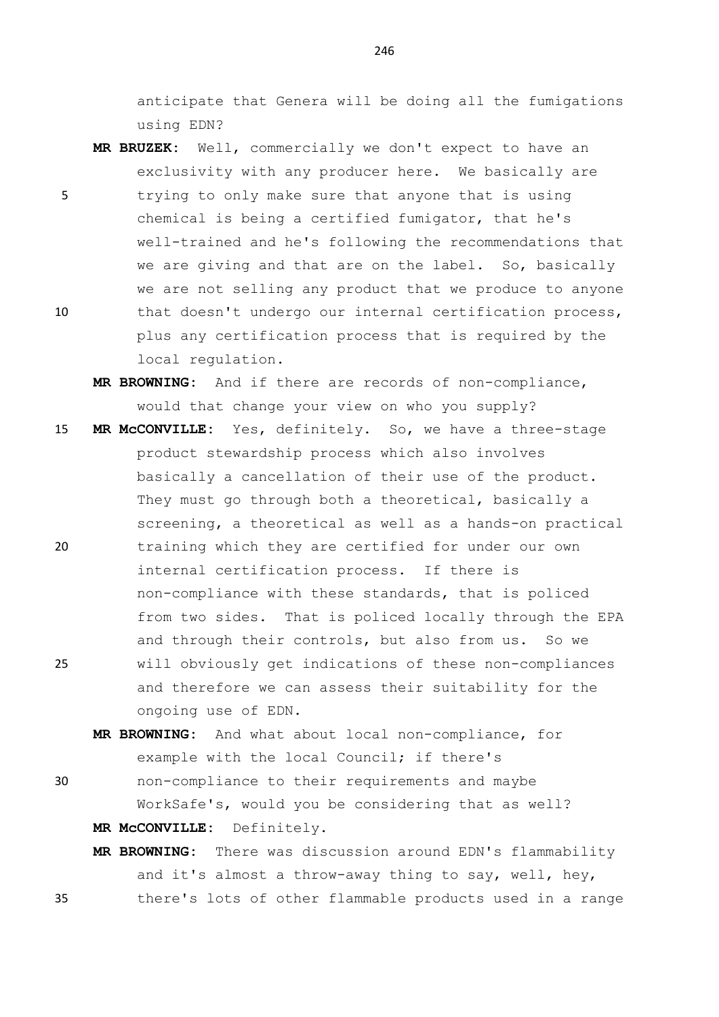anticipate that Genera will be doing all the fumigations using EDN?

- **MR BRUZEK:** Well, commercially we don't expect to have an exclusivity with any producer here. We basically are
- 5 trying to only make sure that anyone that is using chemical is being a certified fumigator, that he's well-trained and he's following the recommendations that we are giving and that are on the label. So, basically we are not selling any product that we produce to anyone 10 that doesn't undergo our internal certification process, plus any certification process that is required by the local regulation.
	- **MR BROWNING:** And if there are records of non-compliance, would that change your view on who you supply?
- 15 **MR McCONVILLE:** Yes, definitely. So, we have a three-stage product stewardship process which also involves basically a cancellation of their use of the product. They must go through both a theoretical, basically a screening, a theoretical as well as a hands-on practical 20 training which they are certified for under our own internal certification process. If there is non-compliance with these standards, that is policed from two sides. That is policed locally through the EPA and through their controls, but also from us. So we 25 will obviously get indications of these non-compliances and therefore we can assess their suitability for the ongoing use of EDN.
	- **MR BROWNING:** And what about local non-compliance, for example with the local Council; if there's
- 30 non-compliance to their requirements and maybe WorkSafe's, would you be considering that as well? **MR McCONVILLE:** Definitely.
- **MR BROWNING:** There was discussion around EDN's flammability and it's almost a throw-away thing to say, well, hey, 35 there's lots of other flammable products used in a range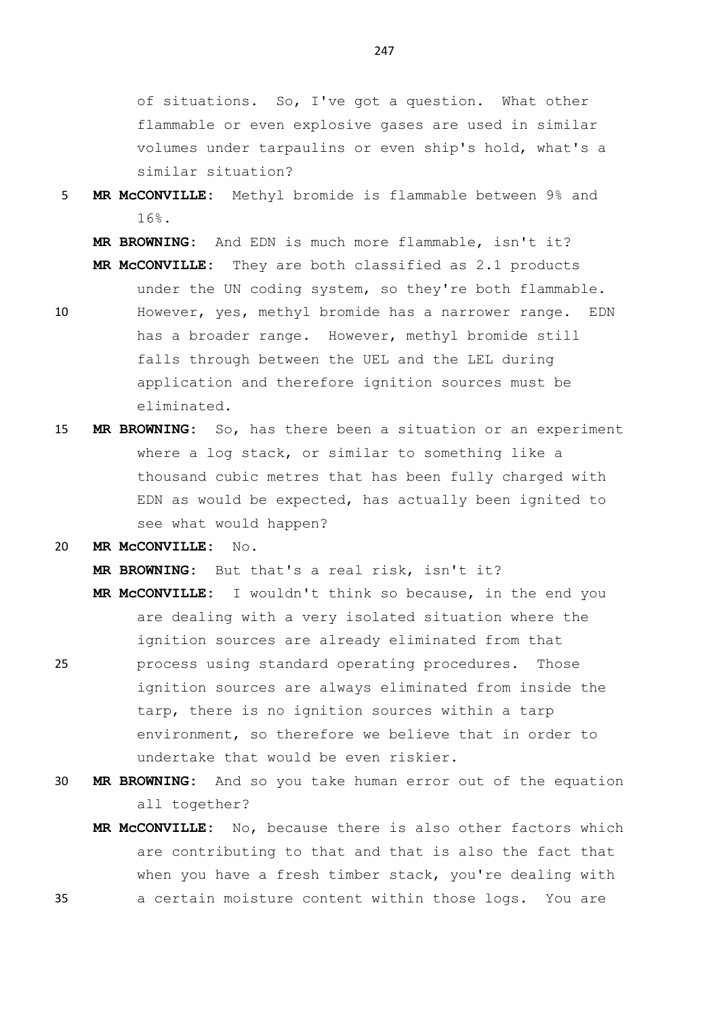of situations. So, I've got a question. What other flammable or even explosive gases are used in similar volumes under tarpaulins or even ship's hold, what's a similar situation?

## 5 **MR McCONVILLE:** Methyl bromide is flammable between 9% and 16%.

**MR BROWNING:** And EDN is much more flammable, isn't it? **MR McCONVILLE:** They are both classified as 2.1 products

- under the UN coding system, so they're both flammable. 10 However, yes, methyl bromide has a narrower range. EDN has a broader range. However, methyl bromide still falls through between the UEL and the LEL during application and therefore ignition sources must be eliminated.
- 15 **MR BROWNING:** So, has there been a situation or an experiment where a log stack, or similar to something like a thousand cubic metres that has been fully charged with EDN as would be expected, has actually been ignited to see what would happen?
- 20 **MR McCONVILLE:** No.

**MR BROWNING:** But that's a real risk, isn't it?

- **MR McCONVILLE:** I wouldn't think so because, in the end you are dealing with a very isolated situation where the ignition sources are already eliminated from that
- 25 process using standard operating procedures. Those ignition sources are always eliminated from inside the tarp, there is no ignition sources within a tarp environment, so therefore we believe that in order to undertake that would be even riskier.
- 30 **MR BROWNING:** And so you take human error out of the equation all together?
- **MR McCONVILLE:** No, because there is also other factors which are contributing to that and that is also the fact that when you have a fresh timber stack, you're dealing with 35 a certain moisture content within those logs. You are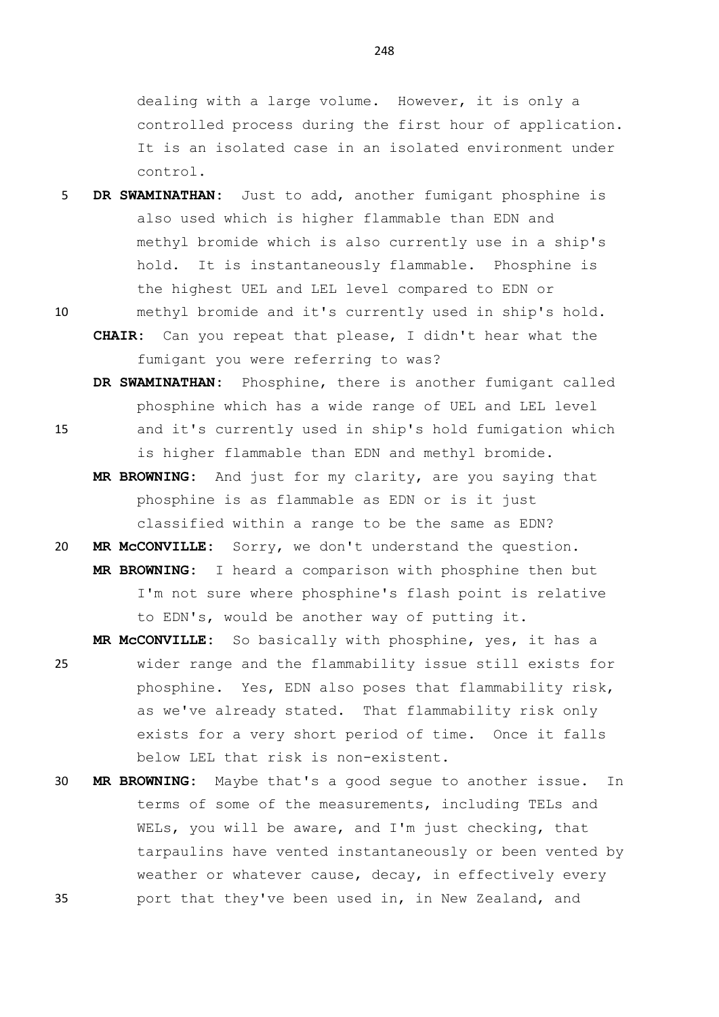dealing with a large volume. However, it is only a controlled process during the first hour of application. It is an isolated case in an isolated environment under control.

- 5 **DR SWAMINATHAN:** Just to add, another fumigant phosphine is also used which is higher flammable than EDN and methyl bromide which is also currently use in a ship's hold. It is instantaneously flammable. Phosphine is the highest UEL and LEL level compared to EDN or
- 10 methyl bromide and it's currently used in ship's hold. **CHAIR:** Can you repeat that please, I didn't hear what the fumigant you were referring to was?
- **DR SWAMINATHAN:** Phosphine, there is another fumigant called phosphine which has a wide range of UEL and LEL level 15 and it's currently used in ship's hold fumigation which is higher flammable than EDN and methyl bromide.
	- **MR BROWNING:** And just for my clarity, are you saying that phosphine is as flammable as EDN or is it just classified within a range to be the same as EDN?
- 20 **MR McCONVILLE:** Sorry, we don't understand the question. **MR BROWNING:** I heard a comparison with phosphine then but I'm not sure where phosphine's flash point is relative to EDN's, would be another way of putting it.
- **MR McCONVILLE:** So basically with phosphine, yes, it has a 25 wider range and the flammability issue still exists for phosphine. Yes, EDN also poses that flammability risk, as we've already stated. That flammability risk only exists for a very short period of time. Once it falls below LEL that risk is non-existent.
- 30 **MR BROWNING:** Maybe that's a good segue to another issue. In terms of some of the measurements, including TELs and WELs, you will be aware, and I'm just checking, that tarpaulins have vented instantaneously or been vented by weather or whatever cause, decay, in effectively every 35 port that they've been used in, in New Zealand, and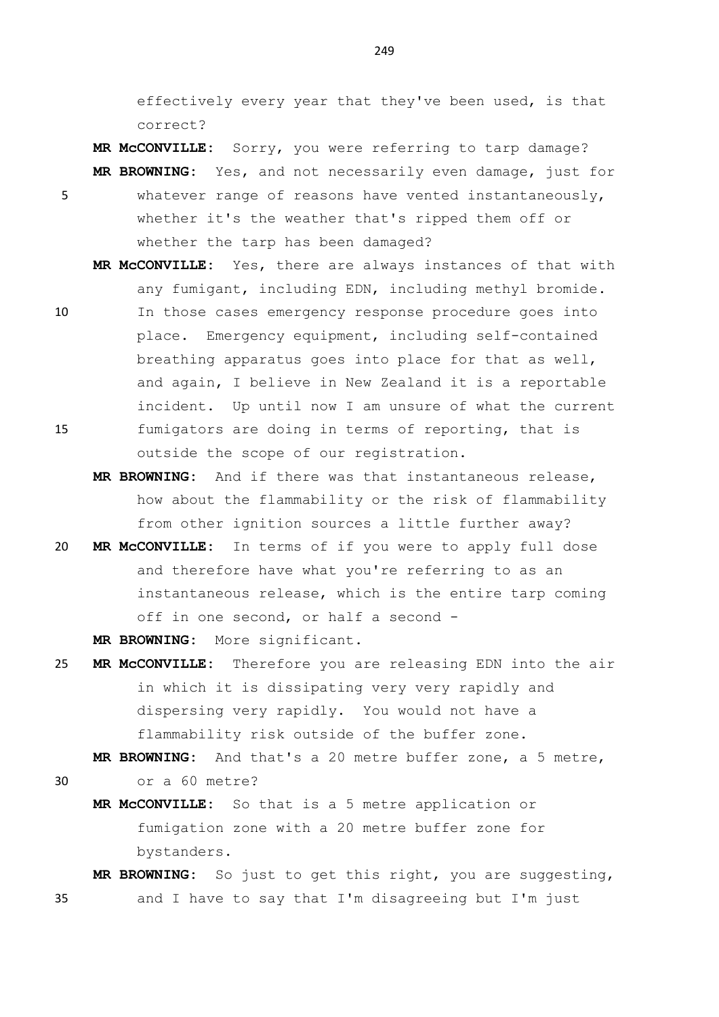effectively every year that they've been used, is that correct?

**MR McCONVILLE:** Sorry, you were referring to tarp damage? **MR BROWNING:** Yes, and not necessarily even damage, just for

- 5 whatever range of reasons have vented instantaneously, whether it's the weather that's ripped them off or whether the tarp has been damaged?
- **MR McCONVILLE:** Yes, there are always instances of that with any fumigant, including EDN, including methyl bromide. 10 In those cases emergency response procedure goes into place. Emergency equipment, including self-contained breathing apparatus goes into place for that as well, and again, I believe in New Zealand it is a reportable incident. Up until now I am unsure of what the current 15 fumigators are doing in terms of reporting, that is outside the scope of our registration.
	- **MR BROWNING:** And if there was that instantaneous release, how about the flammability or the risk of flammability from other ignition sources a little further away?
- 20 **MR McCONVILLE:** In terms of if you were to apply full dose and therefore have what you're referring to as an instantaneous release, which is the entire tarp coming off in one second, or half a second -

**MR BROWNING:** More significant.

25 **MR McCONVILLE:** Therefore you are releasing EDN into the air in which it is dissipating very very rapidly and dispersing very rapidly. You would not have a flammability risk outside of the buffer zone.

**MR BROWNING:** And that's a 20 metre buffer zone, a 5 metre, 30 or a 60 metre?

- 
- **MR McCONVILLE:** So that is a 5 metre application or fumigation zone with a 20 metre buffer zone for

bystanders.

**MR BROWNING:** So just to get this right, you are suggesting, 35 and I have to say that I'm disagreeing but I'm just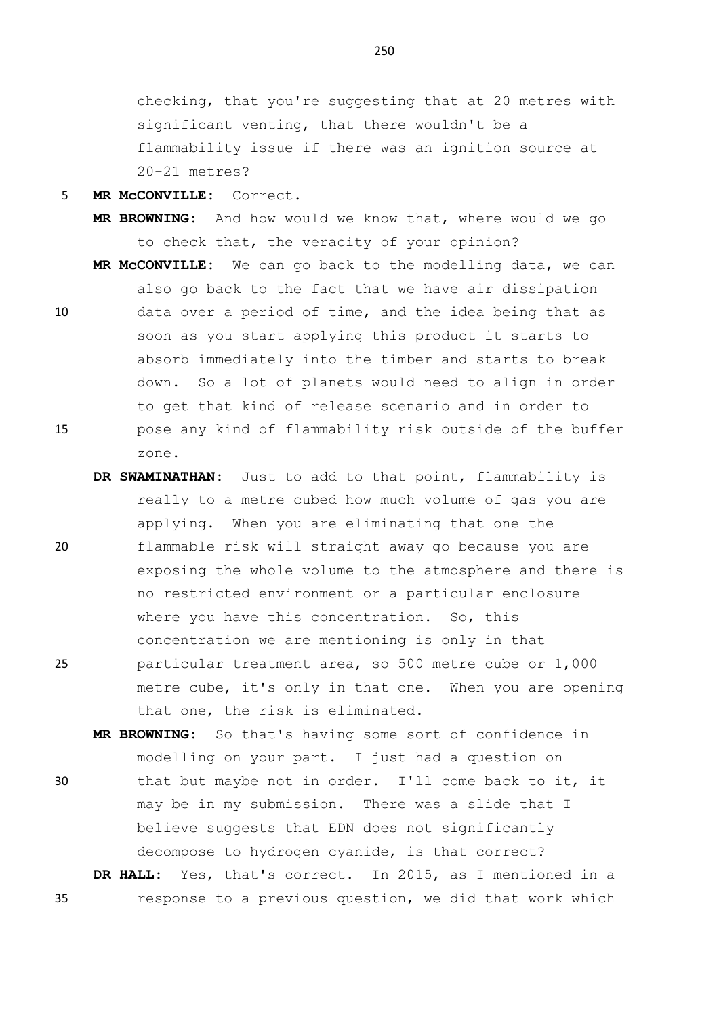checking, that you're suggesting that at 20 metres with significant venting, that there wouldn't be a flammability issue if there was an ignition source at 20-21 metres?

5 **MR McCONVILLE:** Correct.

- **MR BROWNING:** And how would we know that, where would we go to check that, the veracity of your opinion?
- **MR McCONVILLE:** We can go back to the modelling data, we can also go back to the fact that we have air dissipation 10 data over a period of time, and the idea being that as soon as you start applying this product it starts to absorb immediately into the timber and starts to break down. So a lot of planets would need to align in order to get that kind of release scenario and in order to 15 pose any kind of flammability risk outside of the buffer zone.
- **DR SWAMINATHAN:** Just to add to that point, flammability is really to a metre cubed how much volume of gas you are applying. When you are eliminating that one the 20 flammable risk will straight away go because you are exposing the whole volume to the atmosphere and there is no restricted environment or a particular enclosure where you have this concentration. So, this concentration we are mentioning is only in that 25 particular treatment area, so 500 metre cube or 1,000 metre cube, it's only in that one. When you are opening

that one, the risk is eliminated. **MR BROWNING:** So that's having some sort of confidence in modelling on your part. I just had a question on

30 that but maybe not in order. I'll come back to it, it may be in my submission. There was a slide that I believe suggests that EDN does not significantly decompose to hydrogen cyanide, is that correct?

**DR HALL:** Yes, that's correct. In 2015, as I mentioned in a 35 response to a previous question, we did that work which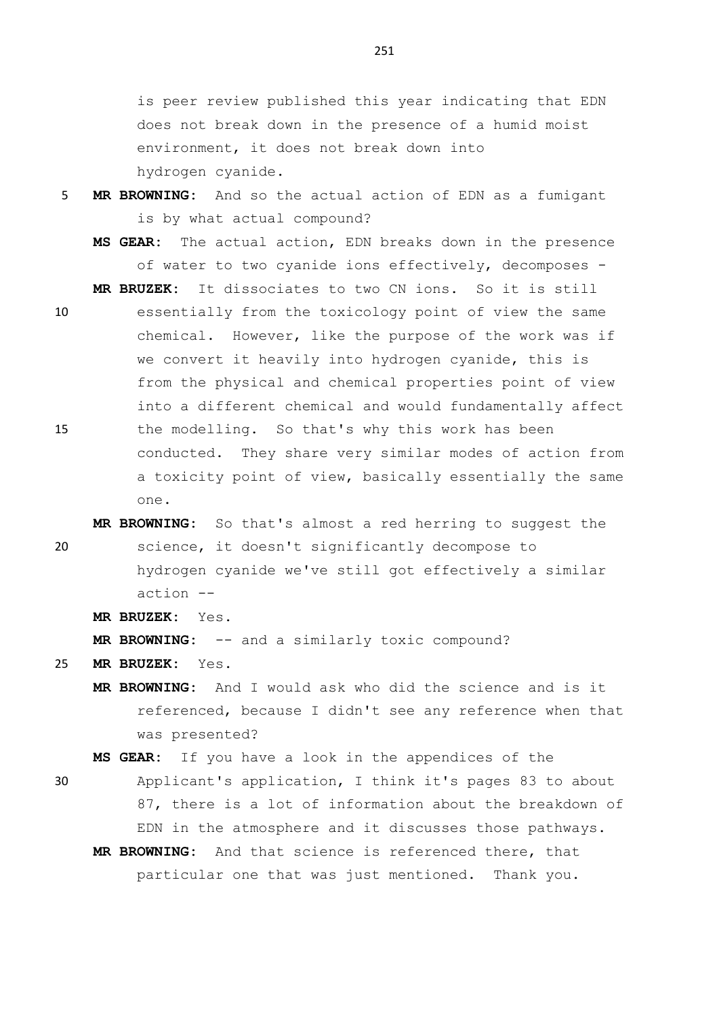is peer review published this year indicating that EDN does not break down in the presence of a humid moist environment, it does not break down into hydrogen cyanide.

- 5 **MR BROWNING:** And so the actual action of EDN as a fumigant is by what actual compound?
	- **MS GEAR:** The actual action, EDN breaks down in the presence of water to two cyanide ions effectively, decomposes -

**MR BRUZEK:** It dissociates to two CN ions. So it is still

- 10 essentially from the toxicology point of view the same chemical. However, like the purpose of the work was if we convert it heavily into hydrogen cyanide, this is from the physical and chemical properties point of view into a different chemical and would fundamentally affect 15 the modelling. So that's why this work has been conducted. They share very similar modes of action from a toxicity point of view, basically essentially the same one.
- **MR BROWNING:** So that's almost a red herring to suggest the 20 science, it doesn't significantly decompose to hydrogen cyanide we've still got effectively a similar action --
	- **MR BRUZEK:** Yes.

**MR BROWNING:** -- and a similarly toxic compound?

- 25 **MR BRUZEK:** Yes.
	- **MR BROWNING:** And I would ask who did the science and is it referenced, because I didn't see any reference when that was presented?

**MS GEAR:** If you have a look in the appendices of the

- 30 Applicant's application, I think it's pages 83 to about 87, there is a lot of information about the breakdown of EDN in the atmosphere and it discusses those pathways.
	- **MR BROWNING:** And that science is referenced there, that particular one that was just mentioned. Thank you.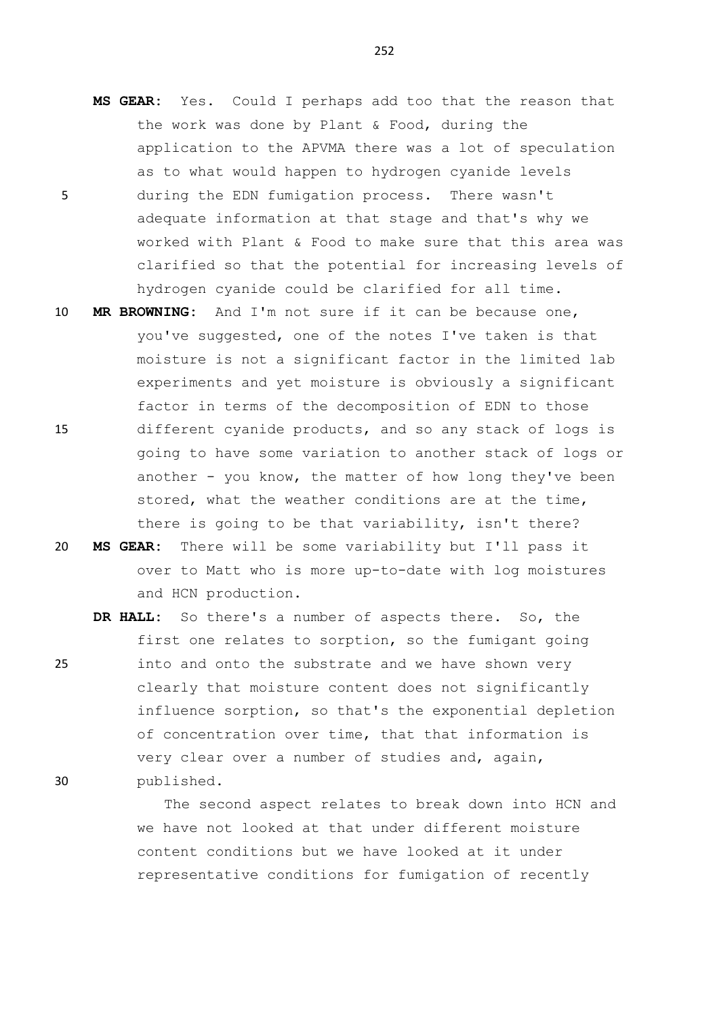- **MS GEAR:** Yes. Could I perhaps add too that the reason that the work was done by Plant & Food, during the application to the APVMA there was a lot of speculation as to what would happen to hydrogen cyanide levels 5 during the EDN fumigation process. There wasn't adequate information at that stage and that's why we worked with Plant & Food to make sure that this area was clarified so that the potential for increasing levels of hydrogen cyanide could be clarified for all time.
- 10 **MR BROWNING:** And I'm not sure if it can be because one, you've suggested, one of the notes I've taken is that moisture is not a significant factor in the limited lab experiments and yet moisture is obviously a significant factor in terms of the decomposition of EDN to those 15 different cyanide products, and so any stack of logs is going to have some variation to another stack of logs or another - you know, the matter of how long they've been stored, what the weather conditions are at the time, there is going to be that variability, isn't there?
- 20 **MS GEAR:** There will be some variability but I'll pass it over to Matt who is more up-to-date with log moistures and HCN production.
- **DR HALL:** So there's a number of aspects there. So, the first one relates to sorption, so the fumigant going 25 into and onto the substrate and we have shown very clearly that moisture content does not significantly influence sorption, so that's the exponential depletion of concentration over time, that that information is very clear over a number of studies and, again, 30 published.

The second aspect relates to break down into HCN and we have not looked at that under different moisture content conditions but we have looked at it under representative conditions for fumigation of recently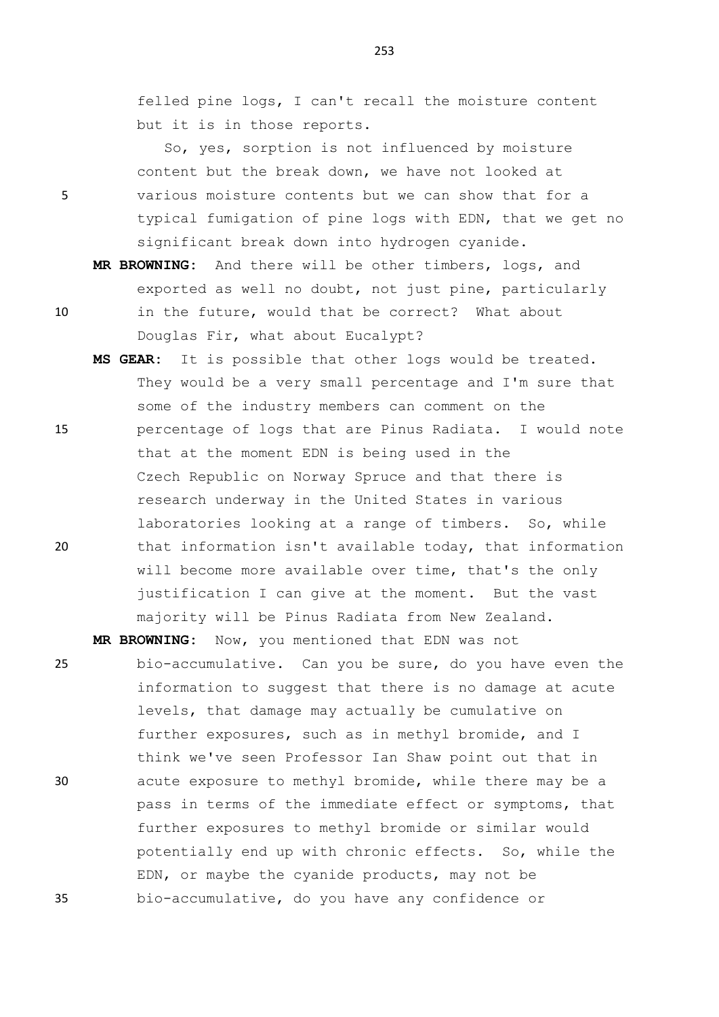253

felled pine logs, I can't recall the moisture content but it is in those reports.

So, yes, sorption is not influenced by moisture content but the break down, we have not looked at 5 various moisture contents but we can show that for a typical fumigation of pine logs with EDN, that we get no significant break down into hydrogen cyanide.

**MR BROWNING:** And there will be other timbers, logs, and exported as well no doubt, not just pine, particularly 10 in the future, would that be correct? What about

- Douglas Fir, what about Eucalypt?
- **MS GEAR:** It is possible that other logs would be treated. They would be a very small percentage and I'm sure that some of the industry members can comment on the 15 percentage of logs that are Pinus Radiata. I would note that at the moment EDN is being used in the Czech Republic on Norway Spruce and that there is research underway in the United States in various laboratories looking at a range of timbers. So, while 20 that information isn't available today, that information will become more available over time, that's the only

justification I can give at the moment. But the vast majority will be Pinus Radiata from New Zealand.

**MR BROWNING:** Now, you mentioned that EDN was not

25 bio-accumulative. Can you be sure, do you have even the information to suggest that there is no damage at acute levels, that damage may actually be cumulative on further exposures, such as in methyl bromide, and I think we've seen Professor Ian Shaw point out that in 30 acute exposure to methyl bromide, while there may be a pass in terms of the immediate effect or symptoms, that further exposures to methyl bromide or similar would potentially end up with chronic effects. So, while the EDN, or maybe the cyanide products, may not be 35 bio-accumulative, do you have any confidence or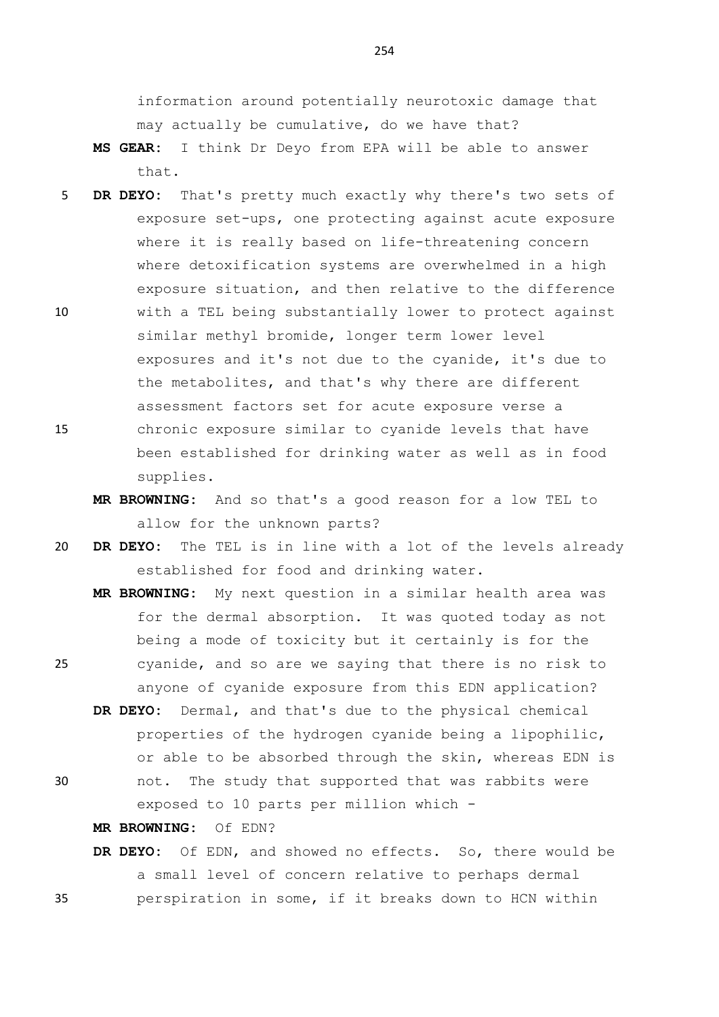information around potentially neurotoxic damage that may actually be cumulative, do we have that?

- **MS GEAR:** I think Dr Deyo from EPA will be able to answer that.
- 5 **DR DEYO:** That's pretty much exactly why there's two sets of exposure set-ups, one protecting against acute exposure where it is really based on life-threatening concern where detoxification systems are overwhelmed in a high exposure situation, and then relative to the difference
- 10 with a TEL being substantially lower to protect against similar methyl bromide, longer term lower level exposures and it's not due to the cyanide, it's due to the metabolites, and that's why there are different assessment factors set for acute exposure verse a 15 chronic exposure similar to cyanide levels that have been established for drinking water as well as in food supplies.
	- **MR BROWNING:** And so that's a good reason for a low TEL to allow for the unknown parts?
- 20 **DR DEYO:** The TEL is in line with a lot of the levels already established for food and drinking water.
- **MR BROWNING:** My next question in a similar health area was for the dermal absorption. It was quoted today as not being a mode of toxicity but it certainly is for the 25 cyanide, and so are we saying that there is no risk to anyone of cyanide exposure from this EDN application?
	- **DR DEYO:** Dermal, and that's due to the physical chemical properties of the hydrogen cyanide being a lipophilic, or able to be absorbed through the skin, whereas EDN is
- 30 not. The study that supported that was rabbits were exposed to 10 parts per million which -

**MR BROWNING:** Of EDN?

**DR DEYO:** Of EDN, and showed no effects. So, there would be a small level of concern relative to perhaps dermal 35 perspiration in some, if it breaks down to HCN within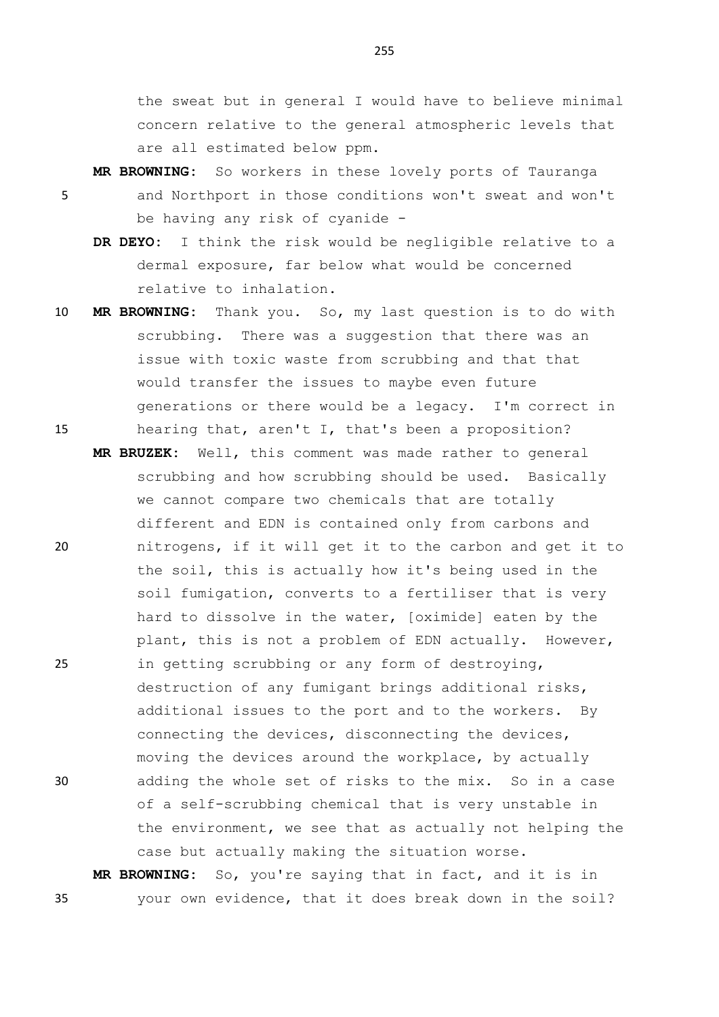the sweat but in general I would have to believe minimal concern relative to the general atmospheric levels that are all estimated below ppm.

- **MR BROWNING:** So workers in these lovely ports of Tauranga 5 and Northport in those conditions won't sweat and won't be having any risk of cyanide -
	- **DR DEYO:** I think the risk would be negligible relative to a dermal exposure, far below what would be concerned relative to inhalation.
- 10 **MR BROWNING:** Thank you. So, my last question is to do with scrubbing. There was a suggestion that there was an issue with toxic waste from scrubbing and that that would transfer the issues to maybe even future generations or there would be a legacy. I'm correct in 15 hearing that, aren't I, that's been a proposition?
- **MR BRUZEK:** Well, this comment was made rather to general scrubbing and how scrubbing should be used. Basically we cannot compare two chemicals that are totally different and EDN is contained only from carbons and 20 nitrogens, if it will get it to the carbon and get it to the soil, this is actually how it's being used in the soil fumigation, converts to a fertiliser that is very hard to dissolve in the water, [oximide] eaten by the plant, this is not a problem of EDN actually. However, 25 in getting scrubbing or any form of destroying, destruction of any fumigant brings additional risks, additional issues to the port and to the workers. By connecting the devices, disconnecting the devices, moving the devices around the workplace, by actually 30 adding the whole set of risks to the mix. So in a case of a self-scrubbing chemical that is very unstable in the environment, we see that as actually not helping the case but actually making the situation worse.

**MR BROWNING:** So, you're saying that in fact, and it is in 35 your own evidence, that it does break down in the soil?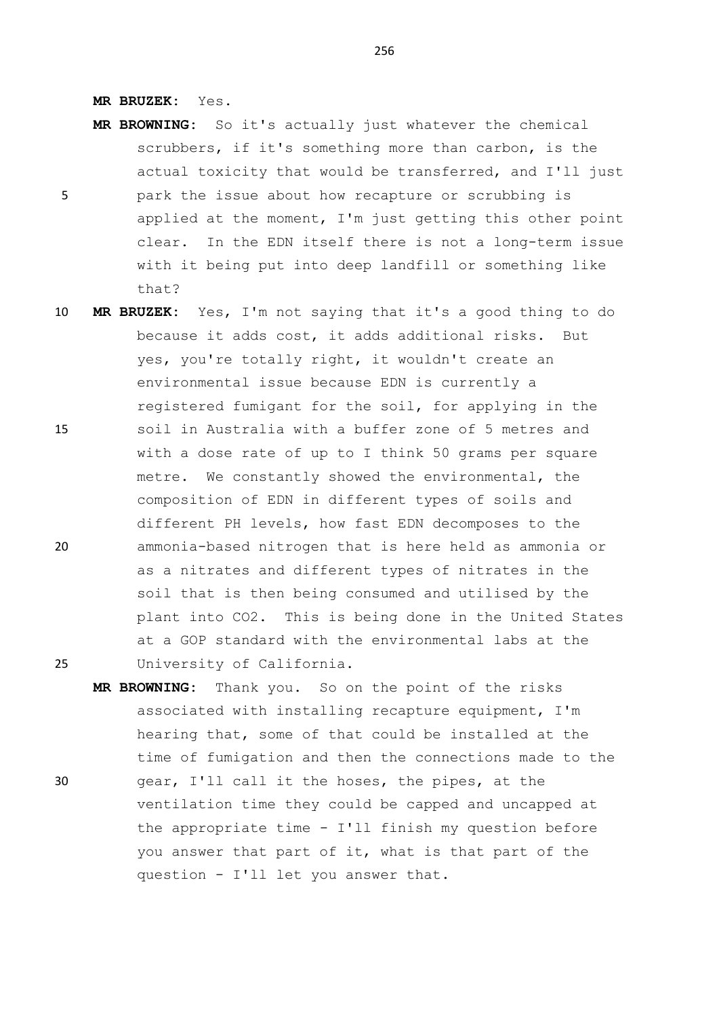**MR BRUZEK:** Yes.

that?

**MR BROWNING:** So it's actually just whatever the chemical scrubbers, if it's something more than carbon, is the actual toxicity that would be transferred, and I'll just 5 park the issue about how recapture or scrubbing is applied at the moment, I'm just getting this other point clear. In the EDN itself there is not a long-term issue

with it being put into deep landfill or something like

- 10 **MR BRUZEK:** Yes, I'm not saying that it's a good thing to do because it adds cost, it adds additional risks. But yes, you're totally right, it wouldn't create an environmental issue because EDN is currently a registered fumigant for the soil, for applying in the 15 soil in Australia with a buffer zone of 5 metres and with a dose rate of up to I think 50 grams per square metre. We constantly showed the environmental, the composition of EDN in different types of soils and different PH levels, how fast EDN decomposes to the 20 ammonia-based nitrogen that is here held as ammonia or as a nitrates and different types of nitrates in the soil that is then being consumed and utilised by the plant into CO2. This is being done in the United States at a GOP standard with the environmental labs at the 25 University of California.
- **MR BROWNING:** Thank you. So on the point of the risks associated with installing recapture equipment, I'm hearing that, some of that could be installed at the time of fumigation and then the connections made to the 30 gear, I'll call it the hoses, the pipes, at the ventilation time they could be capped and uncapped at the appropriate time - I'll finish my question before you answer that part of it, what is that part of the question - I'll let you answer that.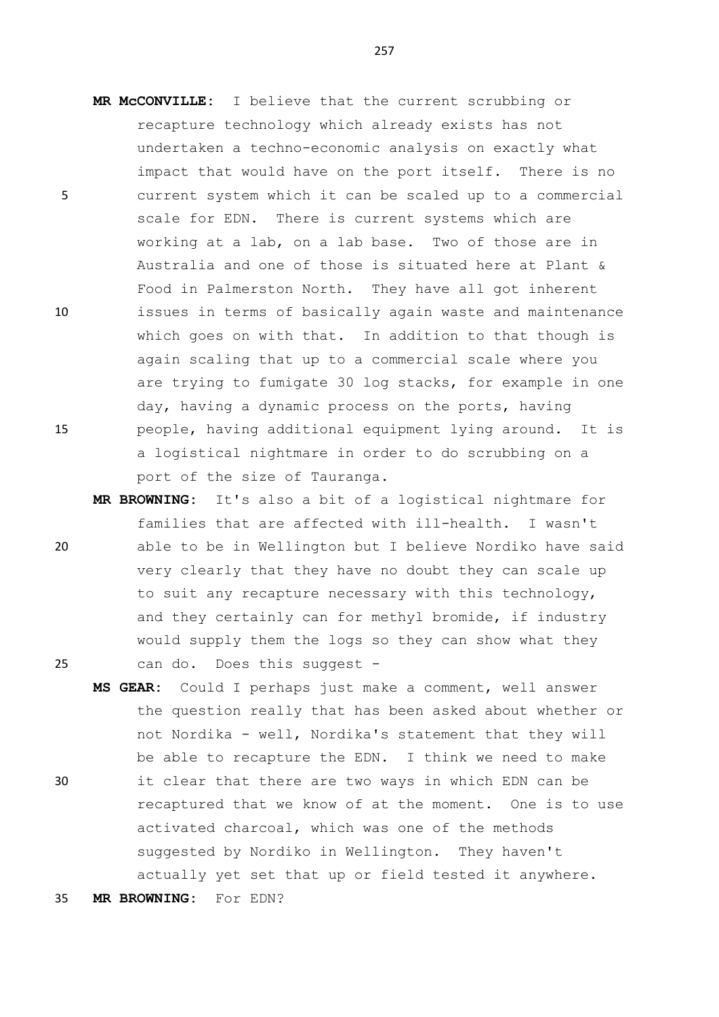- **MR McCONVILLE:** I believe that the current scrubbing or recapture technology which already exists has not undertaken a techno-economic analysis on exactly what impact that would have on the port itself. There is no 5 current system which it can be scaled up to a commercial scale for EDN. There is current systems which are working at a lab, on a lab base. Two of those are in Australia and one of those is situated here at Plant & Food in Palmerston North. They have all got inherent 10 issues in terms of basically again waste and maintenance which goes on with that. In addition to that though is again scaling that up to a commercial scale where you are trying to fumigate 30 log stacks, for example in one day, having a dynamic process on the ports, having 15 people, having additional equipment lying around. It is a logistical nightmare in order to do scrubbing on a port of the size of Tauranga.
- **MR BROWNING:** It's also a bit of a logistical nightmare for families that are affected with ill-health. I wasn't 20 able to be in Wellington but I believe Nordiko have said very clearly that they have no doubt they can scale up to suit any recapture necessary with this technology, and they certainly can for methyl bromide, if industry would supply them the logs so they can show what they 25 can do. Does this suggest -
- **MS GEAR:** Could I perhaps just make a comment, well answer the question really that has been asked about whether or not Nordika - well, Nordika's statement that they will be able to recapture the EDN. I think we need to make 30 it clear that there are two ways in which EDN can be recaptured that we know of at the moment. One is to use activated charcoal, which was one of the methods suggested by Nordiko in Wellington. They haven't

actually yet set that up or field tested it anywhere.

35 **MR BROWNING:** For EDN?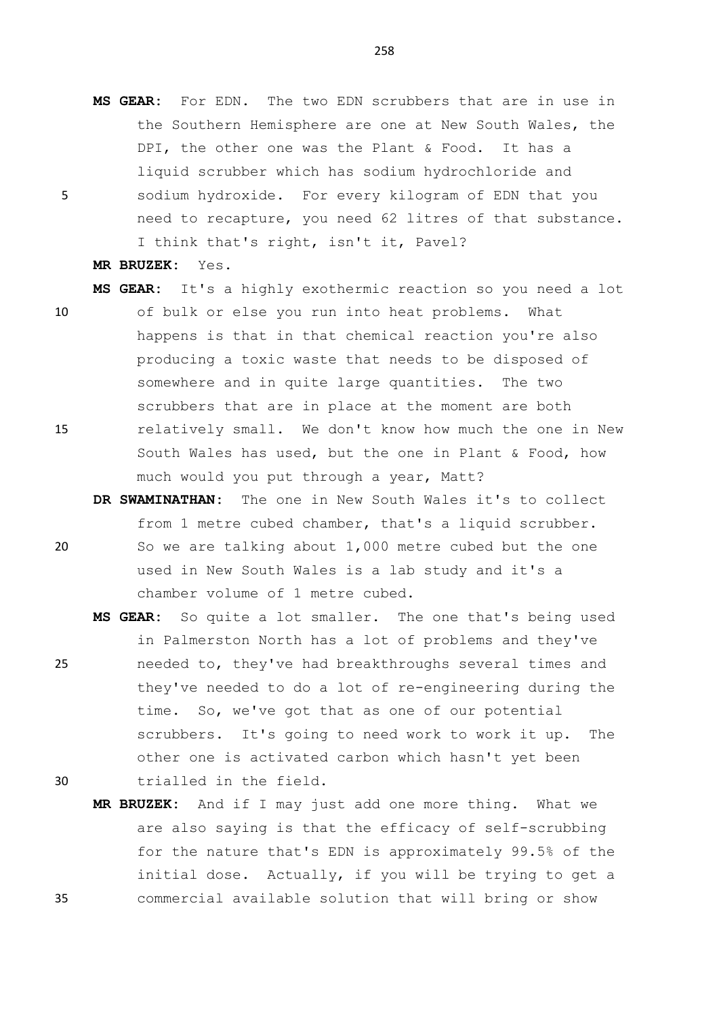**MS GEAR:** For EDN. The two EDN scrubbers that are in use in the Southern Hemisphere are one at New South Wales, the DPI, the other one was the Plant & Food. It has a liquid scrubber which has sodium hydrochloride and 5 sodium hydroxide. For every kilogram of EDN that you need to recapture, you need 62 litres of that substance. I think that's right, isn't it, Pavel?

**MR BRUZEK:** Yes.

- **MS GEAR:** It's a highly exothermic reaction so you need a lot 10 of bulk or else you run into heat problems. What happens is that in that chemical reaction you're also producing a toxic waste that needs to be disposed of somewhere and in quite large quantities. The two scrubbers that are in place at the moment are both 15 relatively small. We don't know how much the one in New South Wales has used, but the one in Plant & Food, how much would you put through a year, Matt?
- **DR SWAMINATHAN:** The one in New South Wales it's to collect from 1 metre cubed chamber, that's a liquid scrubber. 20 So we are talking about 1,000 metre cubed but the one used in New South Wales is a lab study and it's a chamber volume of 1 metre cubed.
- **MS GEAR:** So quite a lot smaller. The one that's being used in Palmerston North has a lot of problems and they've 25 needed to, they've had breakthroughs several times and they've needed to do a lot of re-engineering during the time. So, we've got that as one of our potential scrubbers. It's going to need work to work it up. The other one is activated carbon which hasn't yet been 30 trialled in the field.
- **MR BRUZEK:** And if I may just add one more thing. What we are also saying is that the efficacy of self-scrubbing for the nature that's EDN is approximately 99.5% of the initial dose. Actually, if you will be trying to get a 35 commercial available solution that will bring or show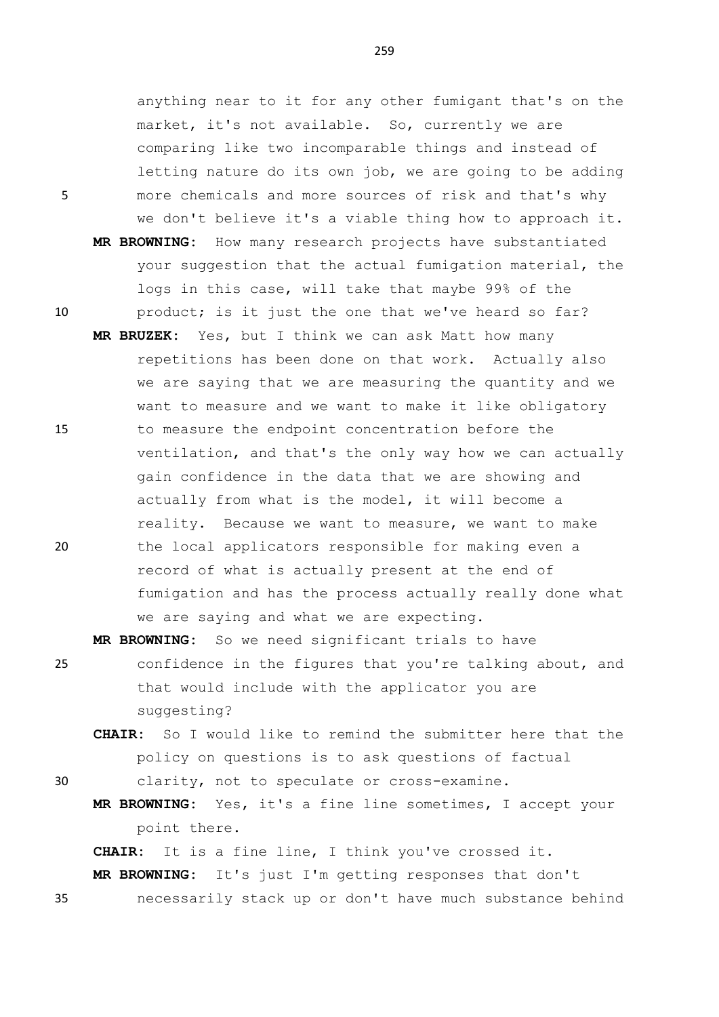anything near to it for any other fumigant that's on the market, it's not available. So, currently we are comparing like two incomparable things and instead of letting nature do its own job, we are going to be adding 5 more chemicals and more sources of risk and that's why we don't believe it's a viable thing how to approach it. **MR BROWNING:** How many research projects have substantiated your suggestion that the actual fumigation material, the logs in this case, will take that maybe 99% of the 10 product; is it just the one that we've heard so far?

**MR BRUZEK:** Yes, but I think we can ask Matt how many repetitions has been done on that work. Actually also we are saying that we are measuring the quantity and we want to measure and we want to make it like obligatory 15 to measure the endpoint concentration before the ventilation, and that's the only way how we can actually gain confidence in the data that we are showing and actually from what is the model, it will become a reality. Because we want to measure, we want to make 20 the local applicators responsible for making even a record of what is actually present at the end of fumigation and has the process actually really done what we are saying and what we are expecting.

**MR BROWNING:** So we need significant trials to have

- 25 confidence in the figures that you're talking about, and that would include with the applicator you are suggesting?
	- **CHAIR:** So I would like to remind the submitter here that the policy on questions is to ask questions of factual
- 

30 clarity, not to speculate or cross-examine.

**MR BROWNING:** Yes, it's a fine line sometimes, I accept your point there.

**CHAIR:** It is a fine line, I think you've crossed it. **MR BROWNING:** It's just I'm getting responses that don't 35 necessarily stack up or don't have much substance behind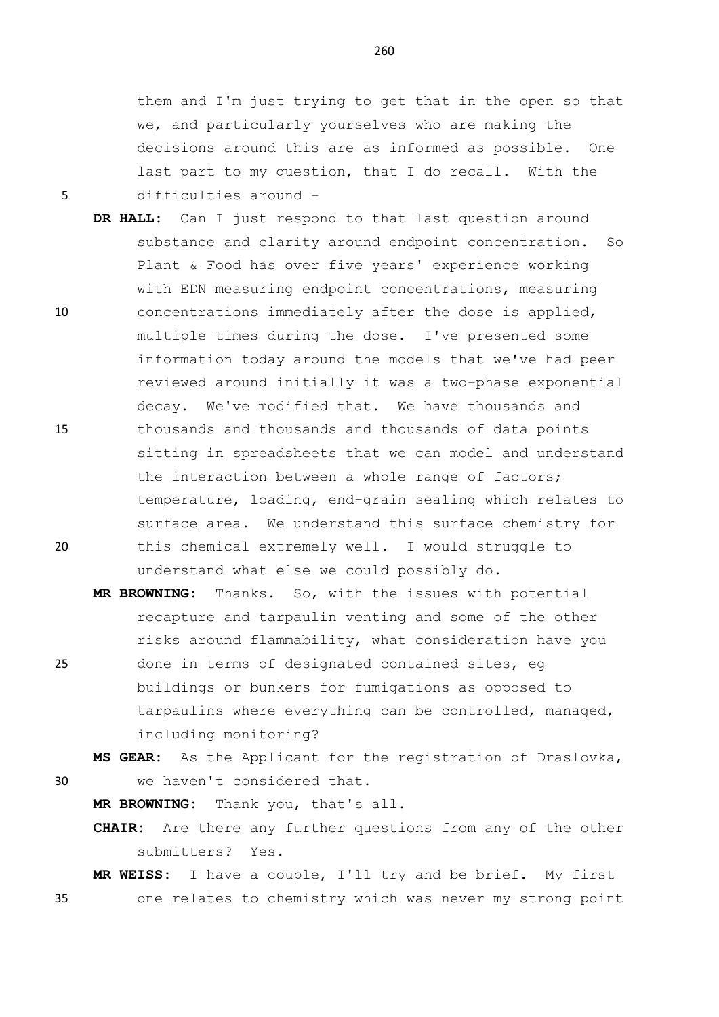them and I'm just trying to get that in the open so that we, and particularly yourselves who are making the decisions around this are as informed as possible. One last part to my question, that I do recall. With the 5 difficulties around -

- **DR HALL:** Can I just respond to that last question around substance and clarity around endpoint concentration. So Plant & Food has over five years' experience working with EDN measuring endpoint concentrations, measuring 10 concentrations immediately after the dose is applied, multiple times during the dose. I've presented some information today around the models that we've had peer reviewed around initially it was a two-phase exponential decay. We've modified that. We have thousands and 15 thousands and thousands and thousands of data points sitting in spreadsheets that we can model and understand the interaction between a whole range of factors; temperature, loading, end-grain sealing which relates to surface area. We understand this surface chemistry for 20 this chemical extremely well. I would struggle to understand what else we could possibly do.
- **MR BROWNING:** Thanks. So, with the issues with potential recapture and tarpaulin venting and some of the other risks around flammability, what consideration have you 25 done in terms of designated contained sites, eg buildings or bunkers for fumigations as opposed to tarpaulins where everything can be controlled, managed, including monitoring?

**MS GEAR:** As the Applicant for the registration of Draslovka, 30 we haven't considered that.

**MR BROWNING:** Thank you, that's all.

**CHAIR:** Are there any further questions from any of the other submitters? Yes.

**MR WEISS:** I have a couple, I'll try and be brief. My first 35 one relates to chemistry which was never my strong point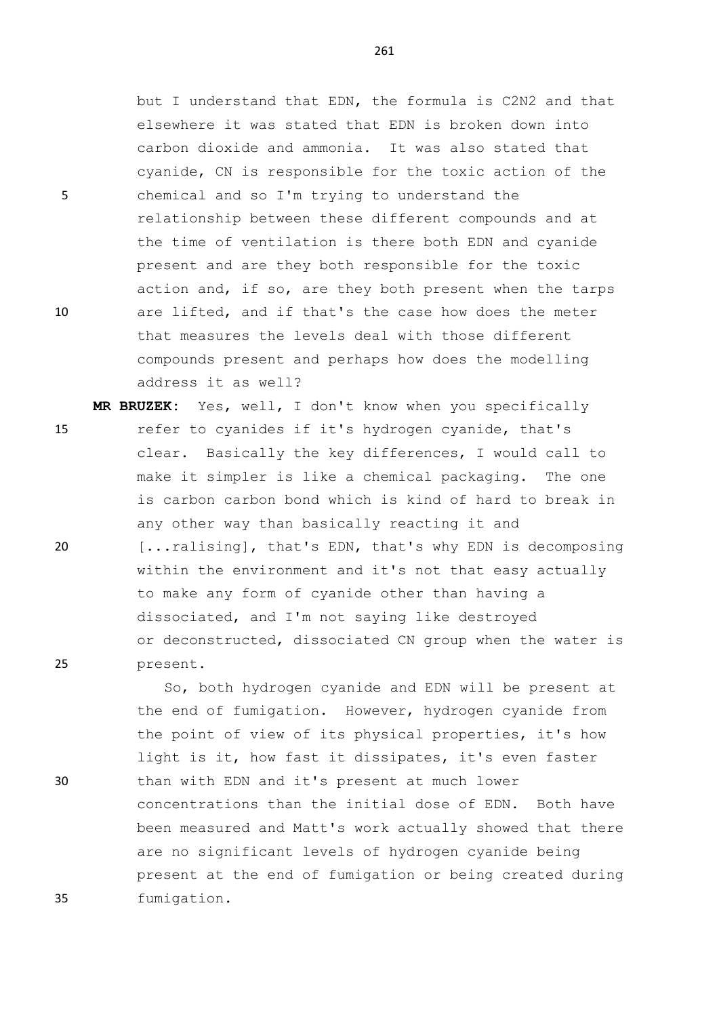but I understand that EDN, the formula is C2N2 and that elsewhere it was stated that EDN is broken down into carbon dioxide and ammonia. It was also stated that cyanide, CN is responsible for the toxic action of the 5 chemical and so I'm trying to understand the relationship between these different compounds and at the time of ventilation is there both EDN and cyanide present and are they both responsible for the toxic action and, if so, are they both present when the tarps 10 are lifted, and if that's the case how does the meter that measures the levels deal with those different compounds present and perhaps how does the modelling address it as well?

**MR BRUZEK:** Yes, well, I don't know when you specifically 15 refer to cyanides if it's hydrogen cyanide, that's clear. Basically the key differences, I would call to make it simpler is like a chemical packaging. The one is carbon carbon bond which is kind of hard to break in any other way than basically reacting it and 20 [...ralising], that's EDN, that's why EDN is decomposing within the environment and it's not that easy actually to make any form of cyanide other than having a dissociated, and I'm not saying like destroyed or deconstructed, dissociated CN group when the water is 25 present.

So, both hydrogen cyanide and EDN will be present at the end of fumigation. However, hydrogen cyanide from the point of view of its physical properties, it's how light is it, how fast it dissipates, it's even faster 30 than with EDN and it's present at much lower concentrations than the initial dose of EDN. Both have been measured and Matt's work actually showed that there are no significant levels of hydrogen cyanide being present at the end of fumigation or being created during 35 fumigation.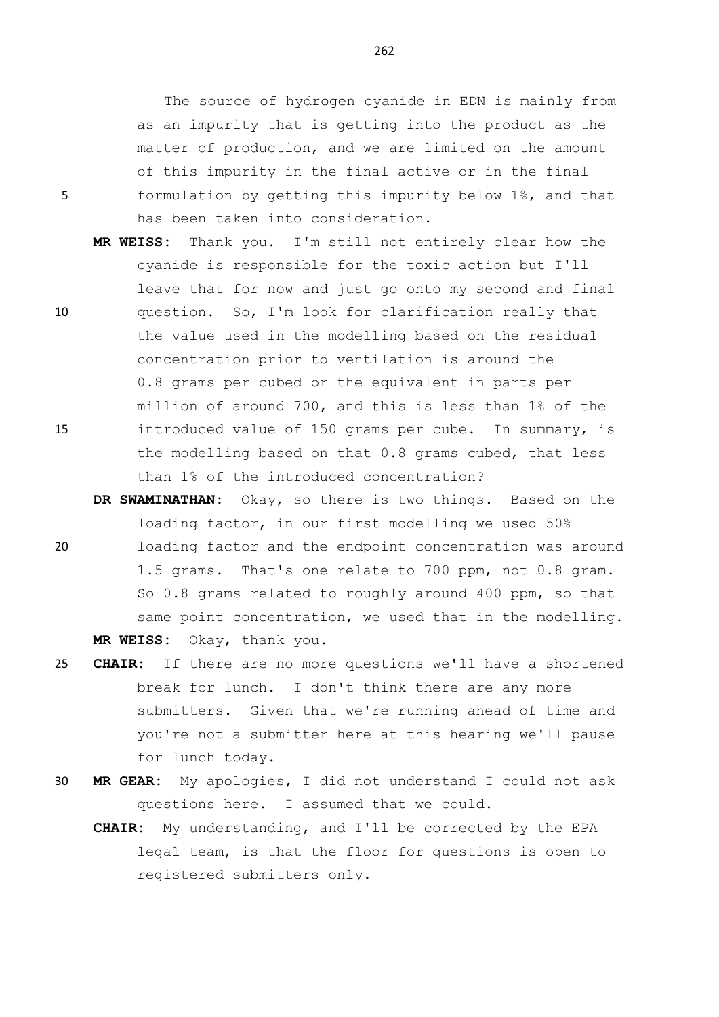The source of hydrogen cyanide in EDN is mainly from as an impurity that is getting into the product as the matter of production, and we are limited on the amount of this impurity in the final active or in the final 5 formulation by getting this impurity below 1%, and that has been taken into consideration.

- **MR WEISS:** Thank you. I'm still not entirely clear how the cyanide is responsible for the toxic action but I'll leave that for now and just go onto my second and final 10 question. So, I'm look for clarification really that the value used in the modelling based on the residual concentration prior to ventilation is around the 0.8 grams per cubed or the equivalent in parts per million of around 700, and this is less than 1% of the 15 introduced value of 150 grams per cube. In summary, is the modelling based on that 0.8 grams cubed, that less than 1% of the introduced concentration?
- **DR SWAMINATHAN:** Okay, so there is two things. Based on the loading factor, in our first modelling we used 50% 20 loading factor and the endpoint concentration was around 1.5 grams. That's one relate to 700 ppm, not 0.8 gram. So 0.8 grams related to roughly around 400 ppm, so that same point concentration, we used that in the modelling. **MR WEISS:** Okay, thank you.
- 25 **CHAIR:** If there are no more questions we'll have a shortened break for lunch. I don't think there are any more submitters. Given that we're running ahead of time and you're not a submitter here at this hearing we'll pause for lunch today.
- 30 **MR GEAR:** My apologies, I did not understand I could not ask questions here. I assumed that we could.
	- **CHAIR:** My understanding, and I'll be corrected by the EPA legal team, is that the floor for questions is open to registered submitters only.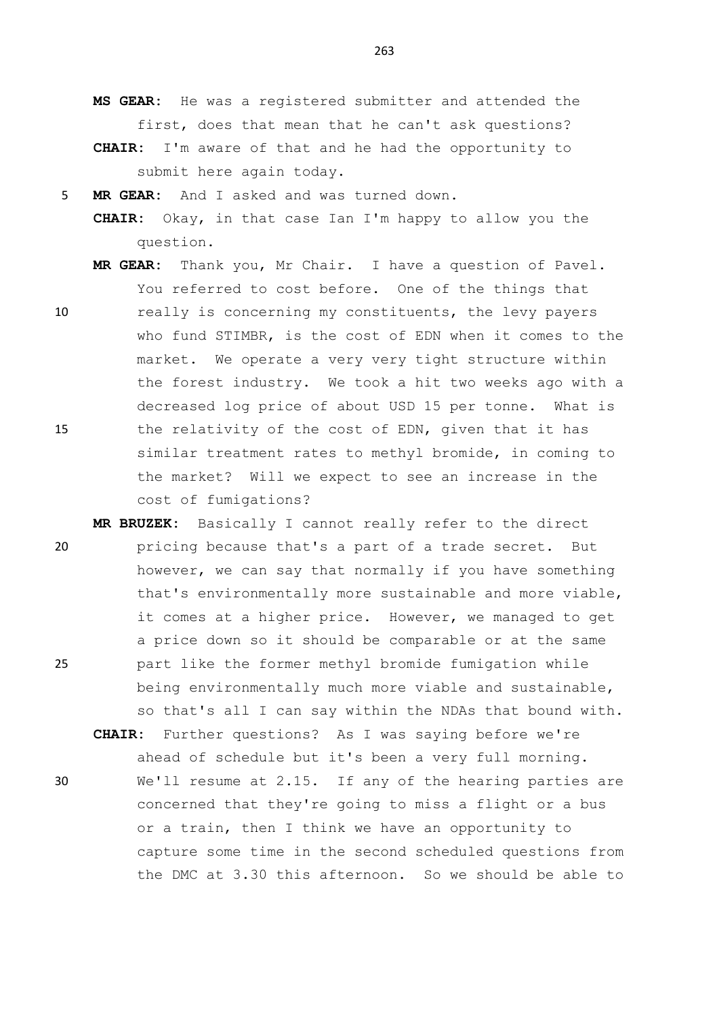**MS GEAR:** He was a registered submitter and attended the first, does that mean that he can't ask questions? **CHAIR:** I'm aware of that and he had the opportunity to submit here again today.

5 **MR GEAR:** And I asked and was turned down.

**CHAIR:** Okay, in that case Ian I'm happy to allow you the question.

**MR GEAR:** Thank you, Mr Chair. I have a question of Pavel. You referred to cost before. One of the things that

- 10 really is concerning my constituents, the levy payers who fund STIMBR, is the cost of EDN when it comes to the market. We operate a very very tight structure within the forest industry. We took a hit two weeks ago with a decreased log price of about USD 15 per tonne. What is 15 the relativity of the cost of EDN, given that it has similar treatment rates to methyl bromide, in coming to the market? Will we expect to see an increase in the cost of fumigations?
- **MR BRUZEK:** Basically I cannot really refer to the direct 20 pricing because that's a part of a trade secret. But however, we can say that normally if you have something that's environmentally more sustainable and more viable, it comes at a higher price. However, we managed to get a price down so it should be comparable or at the same 25 part like the former methyl bromide fumigation while being environmentally much more viable and sustainable, so that's all I can say within the NDAs that bound with.

**CHAIR:** Further questions? As I was saying before we're ahead of schedule but it's been a very full morning. 30 We'll resume at 2.15. If any of the hearing parties are concerned that they're going to miss a flight or a bus or a train, then I think we have an opportunity to capture some time in the second scheduled questions from the DMC at 3.30 this afternoon. So we should be able to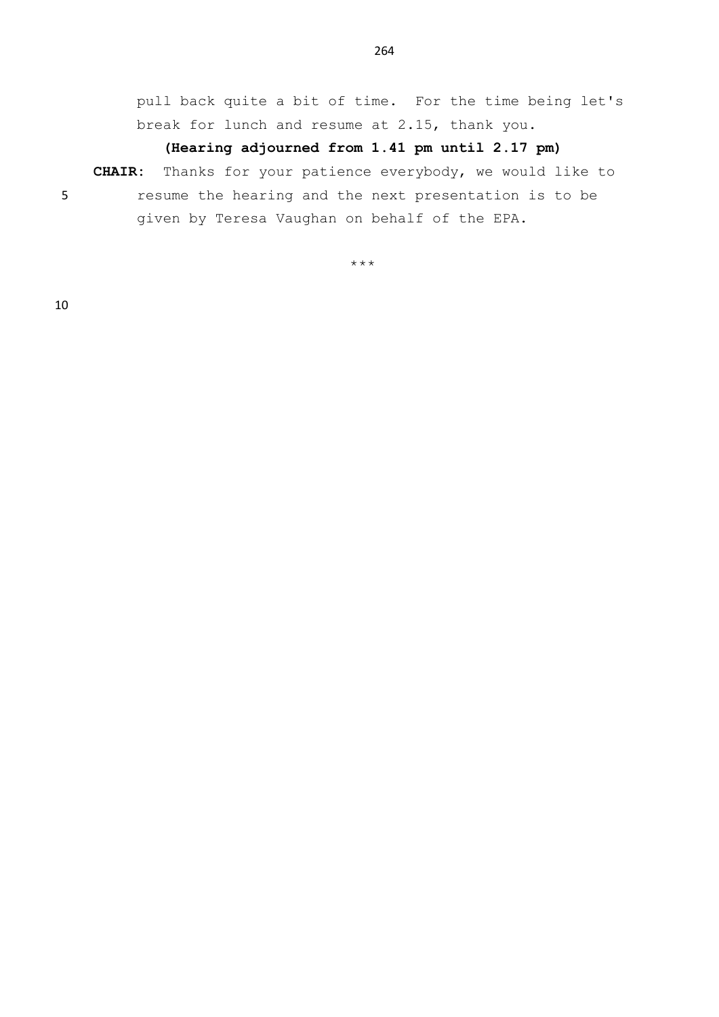pull back quite a bit of time. For the time being let's break for lunch and resume at 2.15, thank you.

## **(Hearing adjourned from 1.41 pm until 2.17 pm)**

**CHAIR:** Thanks for your patience everybody, we would like to 5 resume the hearing and the next presentation is to be given by Teresa Vaughan on behalf of the EPA.

\*\*\*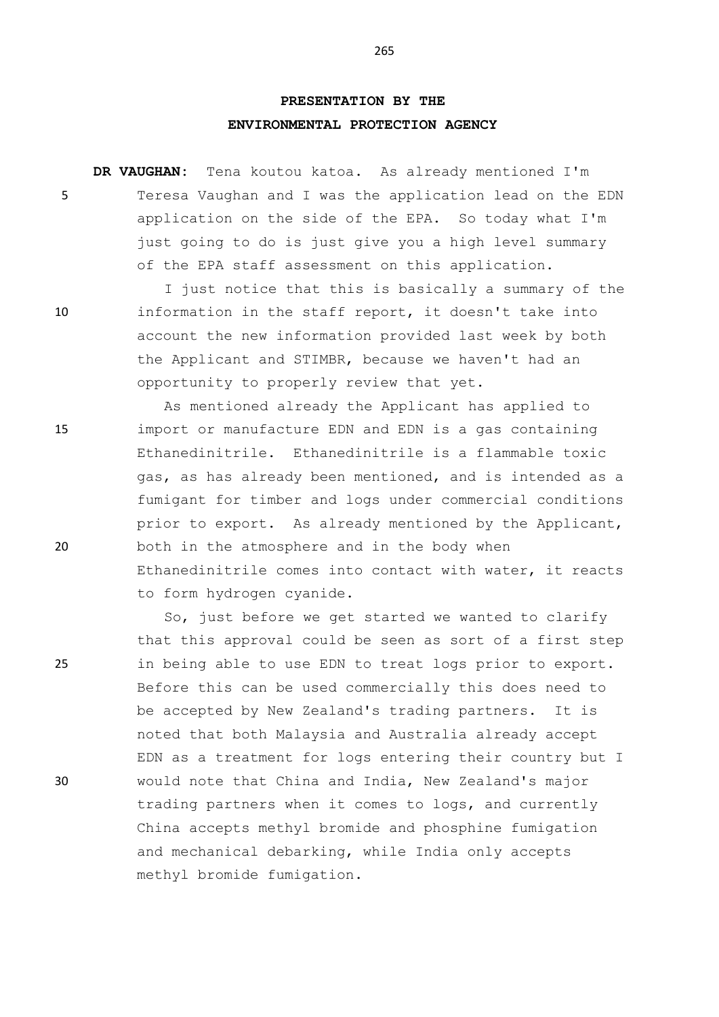## **PRESENTATION BY THE ENVIRONMENTAL PROTECTION AGENCY**

**DR VAUGHAN:** Tena koutou katoa. As already mentioned I'm 5 Teresa Vaughan and I was the application lead on the EDN application on the side of the EPA. So today what I'm just going to do is just give you a high level summary of the EPA staff assessment on this application.

I just notice that this is basically a summary of the 10 information in the staff report, it doesn't take into account the new information provided last week by both the Applicant and STIMBR, because we haven't had an opportunity to properly review that yet.

As mentioned already the Applicant has applied to 15 import or manufacture EDN and EDN is a gas containing Ethanedinitrile. Ethanedinitrile is a flammable toxic gas, as has already been mentioned, and is intended as a fumigant for timber and logs under commercial conditions prior to export. As already mentioned by the Applicant, 20 both in the atmosphere and in the body when Ethanedinitrile comes into contact with water, it reacts to form hydrogen cyanide.

So, just before we get started we wanted to clarify that this approval could be seen as sort of a first step 25 in being able to use EDN to treat logs prior to export. Before this can be used commercially this does need to be accepted by New Zealand's trading partners. It is noted that both Malaysia and Australia already accept EDN as a treatment for logs entering their country but I 30 would note that China and India, New Zealand's major trading partners when it comes to logs, and currently China accepts methyl bromide and phosphine fumigation and mechanical debarking, while India only accepts methyl bromide fumigation.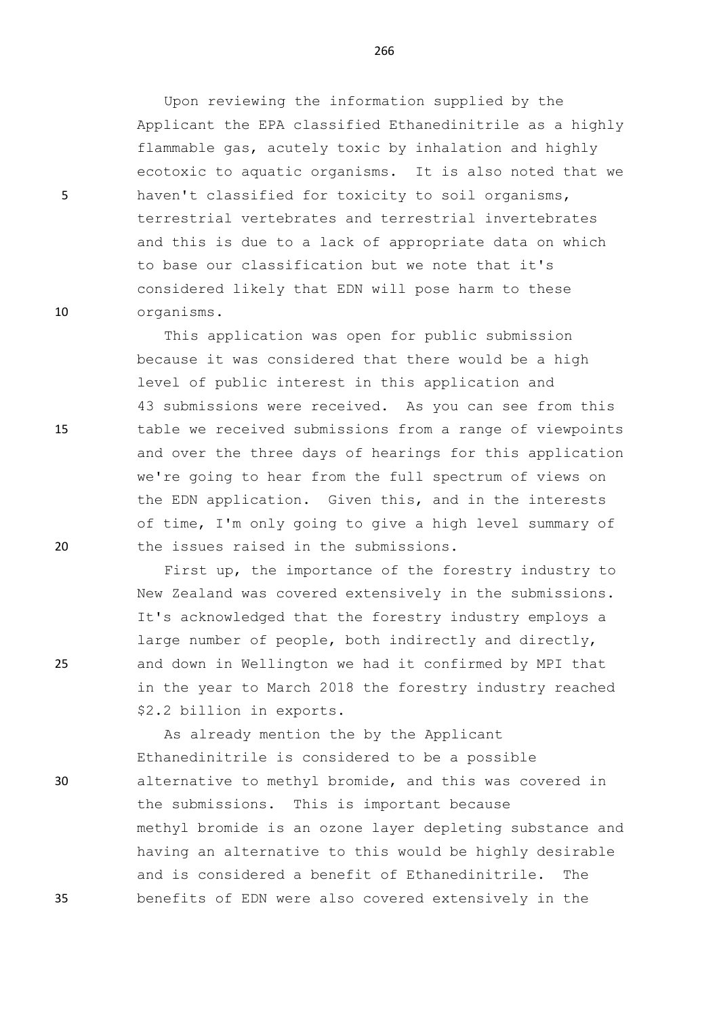Upon reviewing the information supplied by the Applicant the EPA classified Ethanedinitrile as a highly flammable gas, acutely toxic by inhalation and highly ecotoxic to aquatic organisms. It is also noted that we 5 haven't classified for toxicity to soil organisms, terrestrial vertebrates and terrestrial invertebrates and this is due to a lack of appropriate data on which to base our classification but we note that it's considered likely that EDN will pose harm to these 10 organisms.

This application was open for public submission because it was considered that there would be a high level of public interest in this application and 43 submissions were received. As you can see from this 15 table we received submissions from a range of viewpoints and over the three days of hearings for this application we're going to hear from the full spectrum of views on the EDN application. Given this, and in the interests of time, I'm only going to give a high level summary of 20 the issues raised in the submissions.

First up, the importance of the forestry industry to New Zealand was covered extensively in the submissions. It's acknowledged that the forestry industry employs a large number of people, both indirectly and directly, 25 and down in Wellington we had it confirmed by MPI that in the year to March 2018 the forestry industry reached \$2.2 billion in exports.

As already mention the by the Applicant Ethanedinitrile is considered to be a possible 30 alternative to methyl bromide, and this was covered in the submissions. This is important because methyl bromide is an ozone layer depleting substance and having an alternative to this would be highly desirable and is considered a benefit of Ethanedinitrile. The 35 benefits of EDN were also covered extensively in the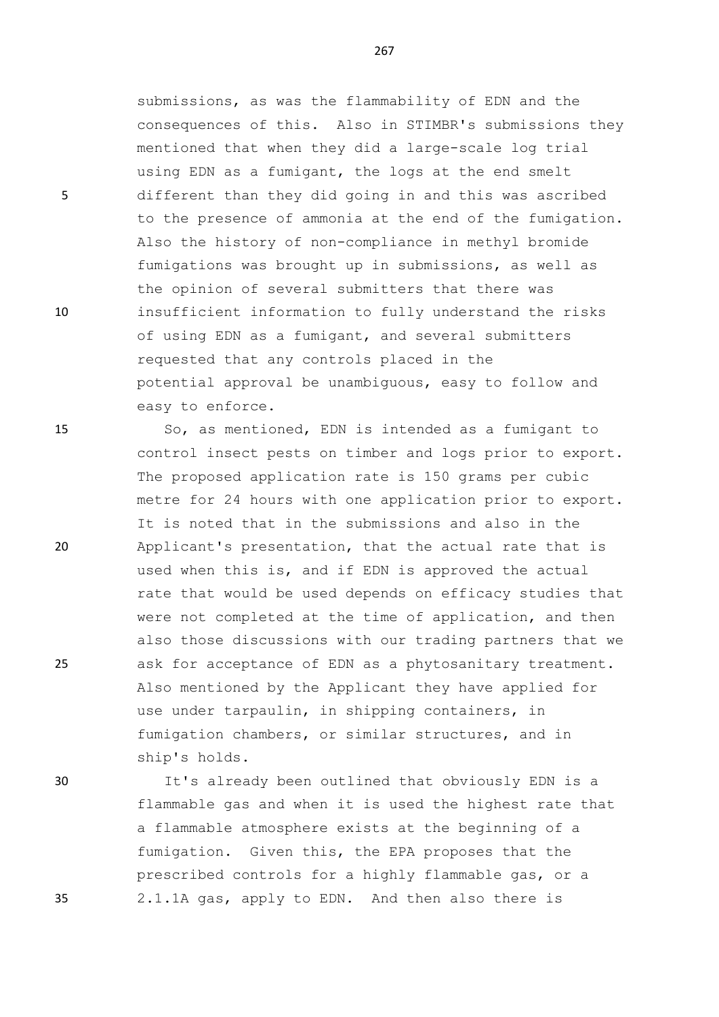submissions, as was the flammability of EDN and the consequences of this. Also in STIMBR's submissions they mentioned that when they did a large-scale log trial using EDN as a fumigant, the logs at the end smelt 5 different than they did going in and this was ascribed to the presence of ammonia at the end of the fumigation. Also the history of non-compliance in methyl bromide fumigations was brought up in submissions, as well as the opinion of several submitters that there was 10 insufficient information to fully understand the risks of using EDN as a fumigant, and several submitters requested that any controls placed in the potential approval be unambiguous, easy to follow and easy to enforce.

15 So, as mentioned, EDN is intended as a fumigant to control insect pests on timber and logs prior to export. The proposed application rate is 150 grams per cubic metre for 24 hours with one application prior to export. It is noted that in the submissions and also in the 20 Applicant's presentation, that the actual rate that is used when this is, and if EDN is approved the actual rate that would be used depends on efficacy studies that were not completed at the time of application, and then also those discussions with our trading partners that we 25 ask for acceptance of EDN as a phytosanitary treatment. Also mentioned by the Applicant they have applied for use under tarpaulin, in shipping containers, in fumigation chambers, or similar structures, and in ship's holds.

30 It's already been outlined that obviously EDN is a flammable gas and when it is used the highest rate that a flammable atmosphere exists at the beginning of a fumigation. Given this, the EPA proposes that the prescribed controls for a highly flammable gas, or a 35 2.1.1A gas, apply to EDN. And then also there is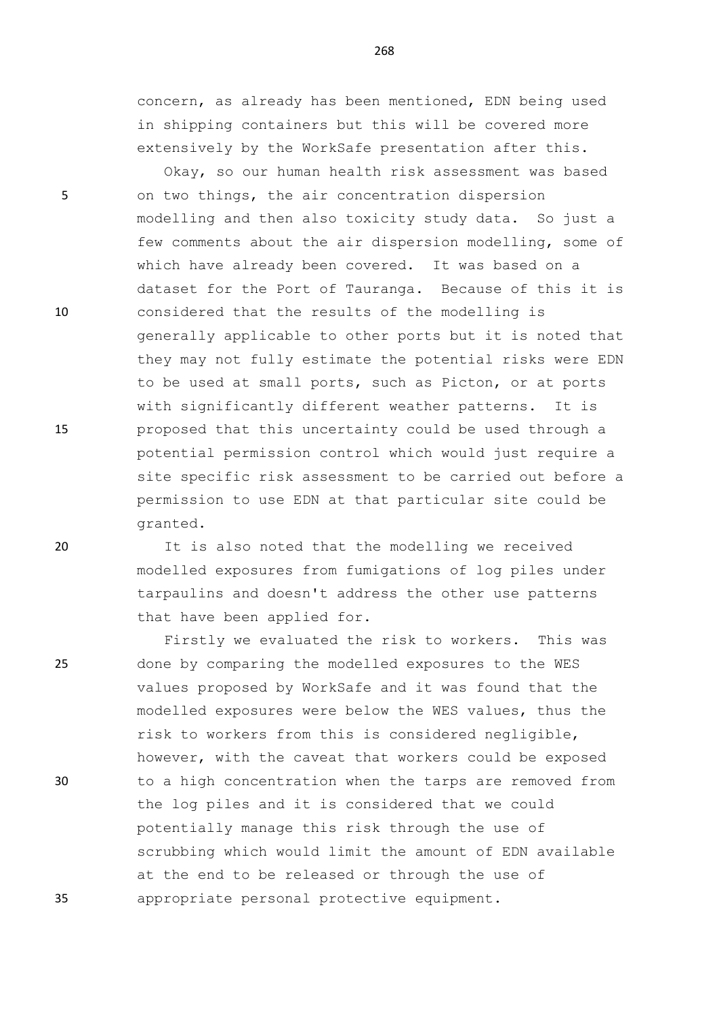concern, as already has been mentioned, EDN being used in shipping containers but this will be covered more extensively by the WorkSafe presentation after this.

Okay, so our human health risk assessment was based 5 on two things, the air concentration dispersion modelling and then also toxicity study data. So just a few comments about the air dispersion modelling, some of which have already been covered. It was based on a dataset for the Port of Tauranga. Because of this it is 10 considered that the results of the modelling is generally applicable to other ports but it is noted that they may not fully estimate the potential risks were EDN to be used at small ports, such as Picton, or at ports with significantly different weather patterns. It is 15 proposed that this uncertainty could be used through a potential permission control which would just require a site specific risk assessment to be carried out before a permission to use EDN at that particular site could be granted.

20 It is also noted that the modelling we received modelled exposures from fumigations of log piles under tarpaulins and doesn't address the other use patterns that have been applied for.

Firstly we evaluated the risk to workers. This was 25 done by comparing the modelled exposures to the WES values proposed by WorkSafe and it was found that the modelled exposures were below the WES values, thus the risk to workers from this is considered negligible, however, with the caveat that workers could be exposed 30 to a high concentration when the tarps are removed from the log piles and it is considered that we could potentially manage this risk through the use of scrubbing which would limit the amount of EDN available at the end to be released or through the use of 35 appropriate personal protective equipment.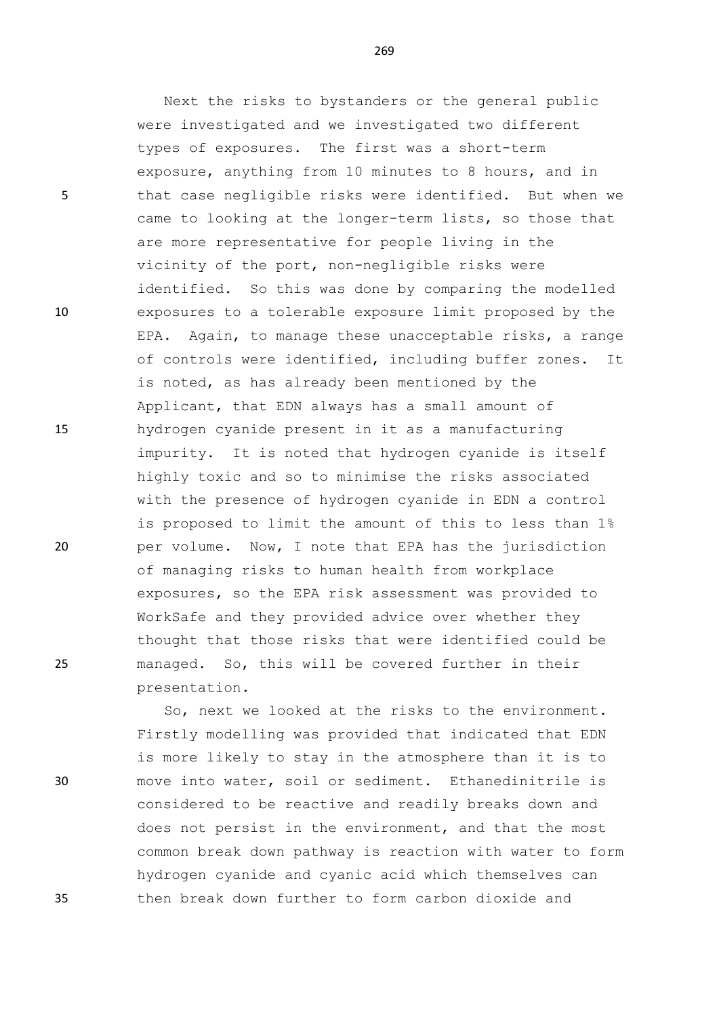Next the risks to bystanders or the general public were investigated and we investigated two different types of exposures. The first was a short-term exposure, anything from 10 minutes to 8 hours, and in 5 that case negligible risks were identified. But when we came to looking at the longer-term lists, so those that are more representative for people living in the vicinity of the port, non-negligible risks were identified. So this was done by comparing the modelled 10 exposures to a tolerable exposure limit proposed by the EPA. Again, to manage these unacceptable risks, a range of controls were identified, including buffer zones. It is noted, as has already been mentioned by the Applicant, that EDN always has a small amount of 15 hydrogen cyanide present in it as a manufacturing impurity. It is noted that hydrogen cyanide is itself highly toxic and so to minimise the risks associated with the presence of hydrogen cyanide in EDN a control is proposed to limit the amount of this to less than 1% 20 per volume. Now, I note that EPA has the jurisdiction of managing risks to human health from workplace exposures, so the EPA risk assessment was provided to WorkSafe and they provided advice over whether they thought that those risks that were identified could be 25 managed. So, this will be covered further in their presentation.

So, next we looked at the risks to the environment. Firstly modelling was provided that indicated that EDN is more likely to stay in the atmosphere than it is to 30 move into water, soil or sediment. Ethanedinitrile is considered to be reactive and readily breaks down and does not persist in the environment, and that the most common break down pathway is reaction with water to form hydrogen cyanide and cyanic acid which themselves can 35 then break down further to form carbon dioxide and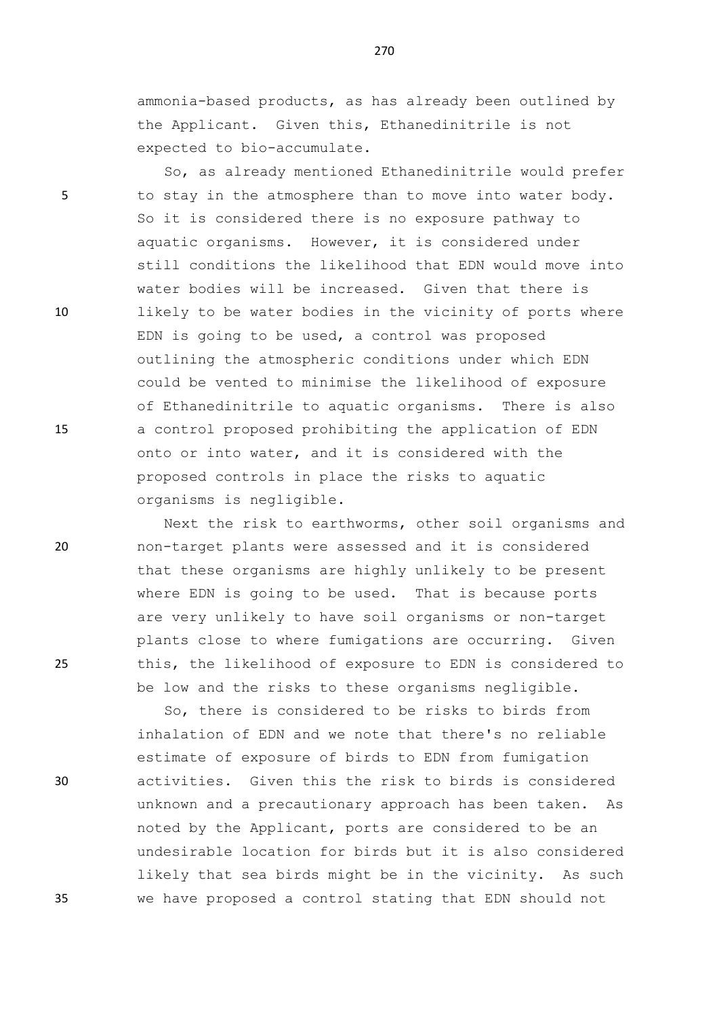ammonia-based products, as has already been outlined by the Applicant. Given this, Ethanedinitrile is not expected to bio-accumulate.

So, as already mentioned Ethanedinitrile would prefer 5 to stay in the atmosphere than to move into water body. So it is considered there is no exposure pathway to aquatic organisms. However, it is considered under still conditions the likelihood that EDN would move into water bodies will be increased. Given that there is 10 likely to be water bodies in the vicinity of ports where EDN is going to be used, a control was proposed outlining the atmospheric conditions under which EDN could be vented to minimise the likelihood of exposure of Ethanedinitrile to aquatic organisms. There is also 15 a control proposed prohibiting the application of EDN onto or into water, and it is considered with the proposed controls in place the risks to aquatic organisms is negligible.

Next the risk to earthworms, other soil organisms and 20 non-target plants were assessed and it is considered that these organisms are highly unlikely to be present where EDN is going to be used. That is because ports are very unlikely to have soil organisms or non-target plants close to where fumigations are occurring. Given 25 this, the likelihood of exposure to EDN is considered to be low and the risks to these organisms negligible.

So, there is considered to be risks to birds from inhalation of EDN and we note that there's no reliable estimate of exposure of birds to EDN from fumigation 30 activities. Given this the risk to birds is considered unknown and a precautionary approach has been taken. As noted by the Applicant, ports are considered to be an undesirable location for birds but it is also considered likely that sea birds might be in the vicinity. As such 35 we have proposed a control stating that EDN should not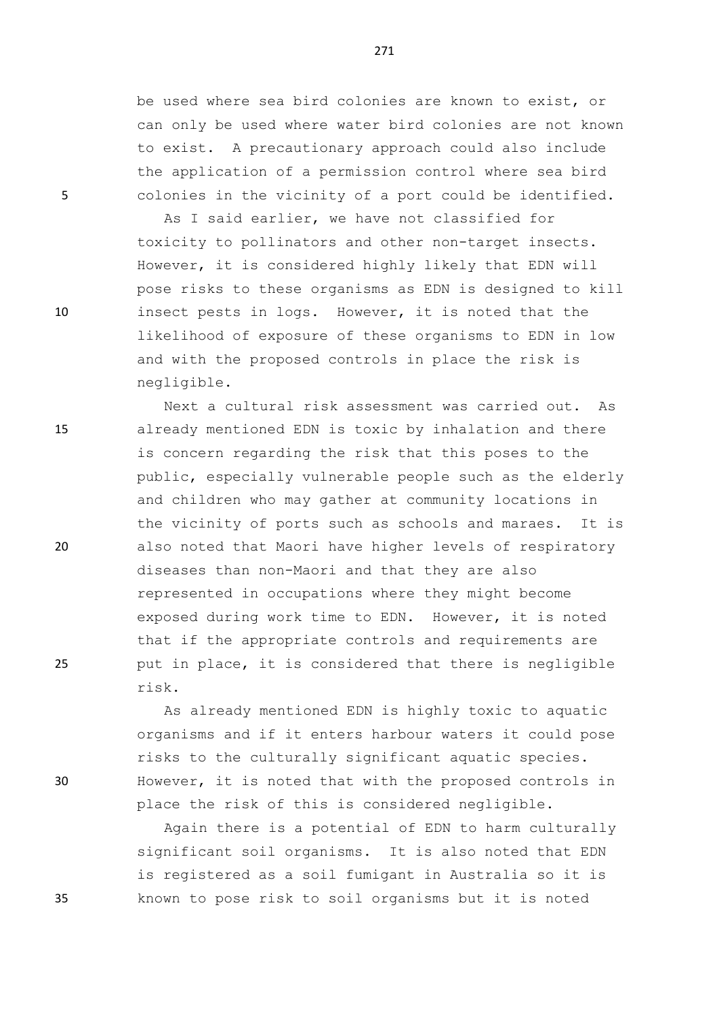be used where sea bird colonies are known to exist, or can only be used where water bird colonies are not known to exist. A precautionary approach could also include the application of a permission control where sea bird 5 colonies in the vicinity of a port could be identified.

As I said earlier, we have not classified for toxicity to pollinators and other non-target insects. However, it is considered highly likely that EDN will pose risks to these organisms as EDN is designed to kill 10 insect pests in logs. However, it is noted that the likelihood of exposure of these organisms to EDN in low and with the proposed controls in place the risk is negligible.

Next a cultural risk assessment was carried out. As 15 already mentioned EDN is toxic by inhalation and there is concern regarding the risk that this poses to the public, especially vulnerable people such as the elderly and children who may gather at community locations in the vicinity of ports such as schools and maraes. It is 20 also noted that Maori have higher levels of respiratory diseases than non-Maori and that they are also represented in occupations where they might become exposed during work time to EDN. However, it is noted that if the appropriate controls and requirements are 25 put in place, it is considered that there is negligible risk.

As already mentioned EDN is highly toxic to aquatic organisms and if it enters harbour waters it could pose risks to the culturally significant aquatic species. 30 However, it is noted that with the proposed controls in place the risk of this is considered negligible.

Again there is a potential of EDN to harm culturally significant soil organisms. It is also noted that EDN is registered as a soil fumigant in Australia so it is 35 known to pose risk to soil organisms but it is noted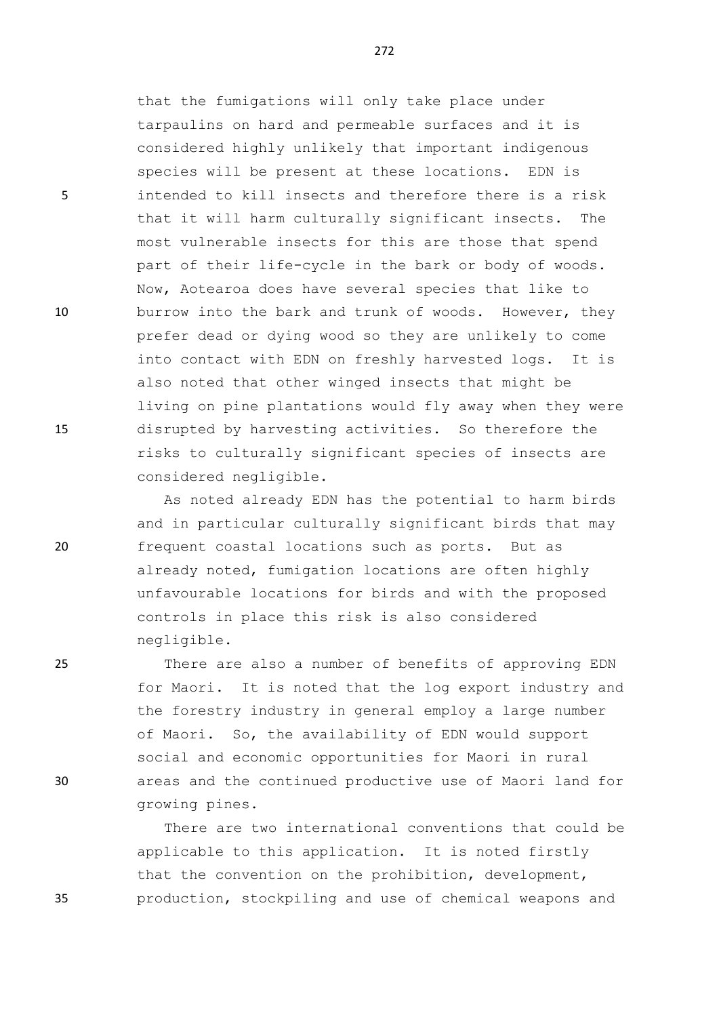that the fumigations will only take place under tarpaulins on hard and permeable surfaces and it is considered highly unlikely that important indigenous species will be present at these locations. EDN is 5 intended to kill insects and therefore there is a risk that it will harm culturally significant insects. The most vulnerable insects for this are those that spend part of their life-cycle in the bark or body of woods. Now, Aotearoa does have several species that like to 10 burrow into the bark and trunk of woods. However, they prefer dead or dying wood so they are unlikely to come into contact with EDN on freshly harvested logs. It is also noted that other winged insects that might be living on pine plantations would fly away when they were 15 disrupted by harvesting activities. So therefore the risks to culturally significant species of insects are considered negligible.

As noted already EDN has the potential to harm birds and in particular culturally significant birds that may 20 frequent coastal locations such as ports. But as already noted, fumigation locations are often highly unfavourable locations for birds and with the proposed controls in place this risk is also considered negligible.

25 There are also a number of benefits of approving EDN for Maori. It is noted that the log export industry and the forestry industry in general employ a large number of Maori. So, the availability of EDN would support social and economic opportunities for Maori in rural 30 areas and the continued productive use of Maori land for growing pines.

There are two international conventions that could be applicable to this application. It is noted firstly that the convention on the prohibition, development, 35 production, stockpiling and use of chemical weapons and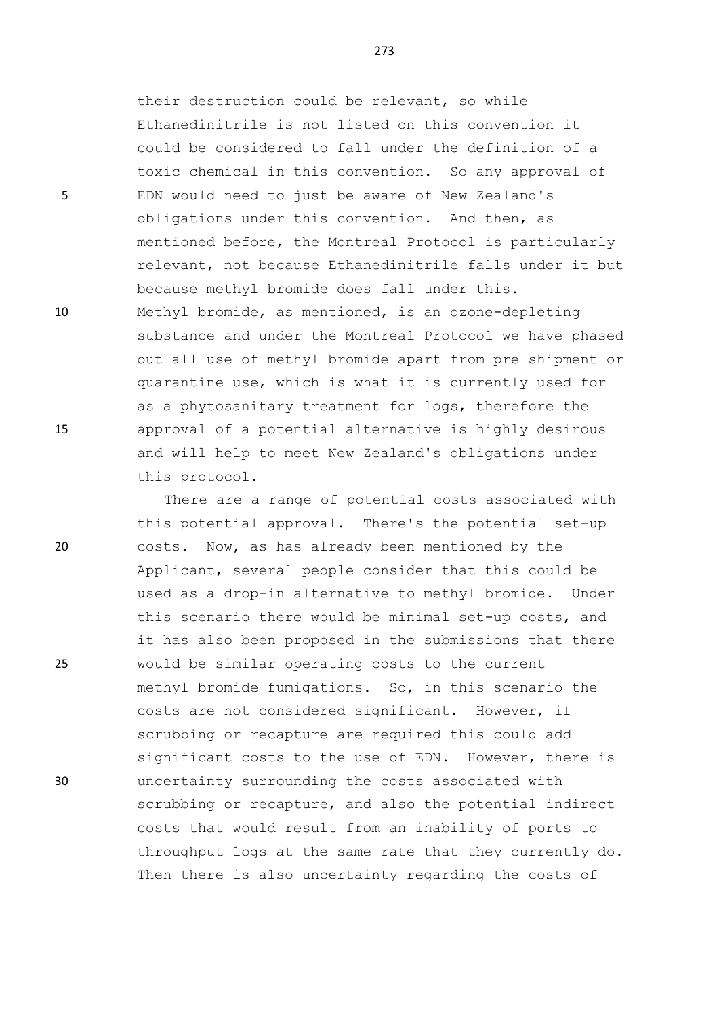their destruction could be relevant, so while Ethanedinitrile is not listed on this convention it could be considered to fall under the definition of a toxic chemical in this convention. So any approval of 5 EDN would need to just be aware of New Zealand's obligations under this convention. And then, as mentioned before, the Montreal Protocol is particularly relevant, not because Ethanedinitrile falls under it but because methyl bromide does fall under this. 10 Methyl bromide, as mentioned, is an ozone-depleting

substance and under the Montreal Protocol we have phased out all use of methyl bromide apart from pre shipment or quarantine use, which is what it is currently used for as a phytosanitary treatment for logs, therefore the 15 approval of a potential alternative is highly desirous and will help to meet New Zealand's obligations under this protocol.

There are a range of potential costs associated with this potential approval. There's the potential set-up 20 costs. Now, as has already been mentioned by the Applicant, several people consider that this could be used as a drop-in alternative to methyl bromide. Under this scenario there would be minimal set-up costs, and it has also been proposed in the submissions that there 25 would be similar operating costs to the current methyl bromide fumigations. So, in this scenario the costs are not considered significant. However, if scrubbing or recapture are required this could add significant costs to the use of EDN. However, there is 30 uncertainty surrounding the costs associated with scrubbing or recapture, and also the potential indirect costs that would result from an inability of ports to throughput logs at the same rate that they currently do. Then there is also uncertainty regarding the costs of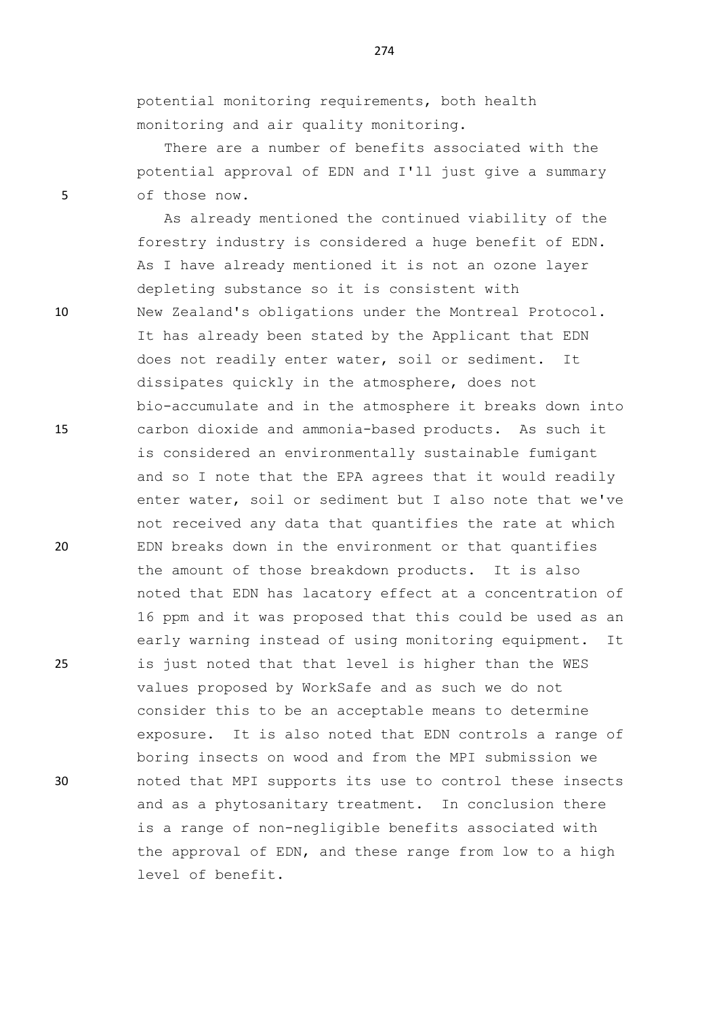potential monitoring requirements, both health monitoring and air quality monitoring.

There are a number of benefits associated with the potential approval of EDN and I'll just give a summary 5 of those now.

As already mentioned the continued viability of the forestry industry is considered a huge benefit of EDN. As I have already mentioned it is not an ozone layer depleting substance so it is consistent with 10 New Zealand's obligations under the Montreal Protocol. It has already been stated by the Applicant that EDN does not readily enter water, soil or sediment. It dissipates quickly in the atmosphere, does not bio-accumulate and in the atmosphere it breaks down into 15 carbon dioxide and ammonia-based products. As such it is considered an environmentally sustainable fumigant and so I note that the EPA agrees that it would readily enter water, soil or sediment but I also note that we've not received any data that quantifies the rate at which 20 EDN breaks down in the environment or that quantifies the amount of those breakdown products. It is also noted that EDN has lacatory effect at a concentration of 16 ppm and it was proposed that this could be used as an early warning instead of using monitoring equipment. It 25 is just noted that that level is higher than the WES values proposed by WorkSafe and as such we do not consider this to be an acceptable means to determine exposure. It is also noted that EDN controls a range of boring insects on wood and from the MPI submission we 30 noted that MPI supports its use to control these insects and as a phytosanitary treatment. In conclusion there is a range of non-negligible benefits associated with the approval of EDN, and these range from low to a high level of benefit.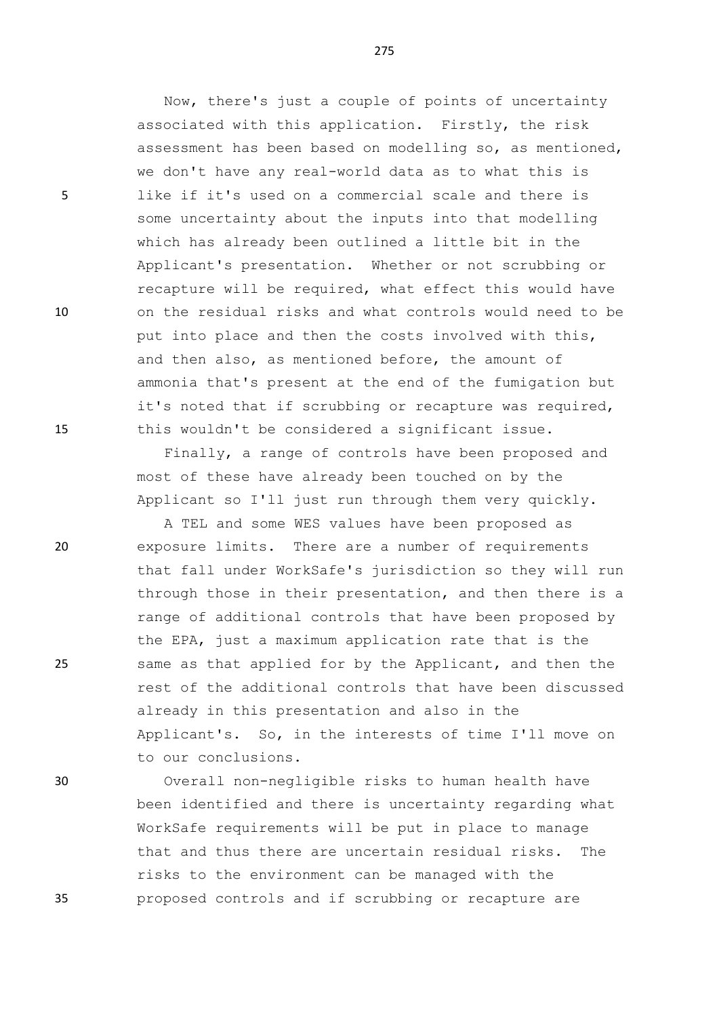Now, there's just a couple of points of uncertainty associated with this application. Firstly, the risk assessment has been based on modelling so, as mentioned, we don't have any real-world data as to what this is 5 like if it's used on a commercial scale and there is some uncertainty about the inputs into that modelling which has already been outlined a little bit in the Applicant's presentation. Whether or not scrubbing or recapture will be required, what effect this would have 10 on the residual risks and what controls would need to be put into place and then the costs involved with this, and then also, as mentioned before, the amount of ammonia that's present at the end of the fumigation but it's noted that if scrubbing or recapture was required, 15 this wouldn't be considered a significant issue.

> Finally, a range of controls have been proposed and most of these have already been touched on by the Applicant so I'll just run through them very quickly.

A TEL and some WES values have been proposed as 20 exposure limits. There are a number of requirements that fall under WorkSafe's jurisdiction so they will run through those in their presentation, and then there is a range of additional controls that have been proposed by the EPA, just a maximum application rate that is the 25 same as that applied for by the Applicant, and then the rest of the additional controls that have been discussed already in this presentation and also in the Applicant's. So, in the interests of time I'll move on to our conclusions.

30 Overall non-negligible risks to human health have been identified and there is uncertainty regarding what WorkSafe requirements will be put in place to manage that and thus there are uncertain residual risks. The risks to the environment can be managed with the 35 proposed controls and if scrubbing or recapture are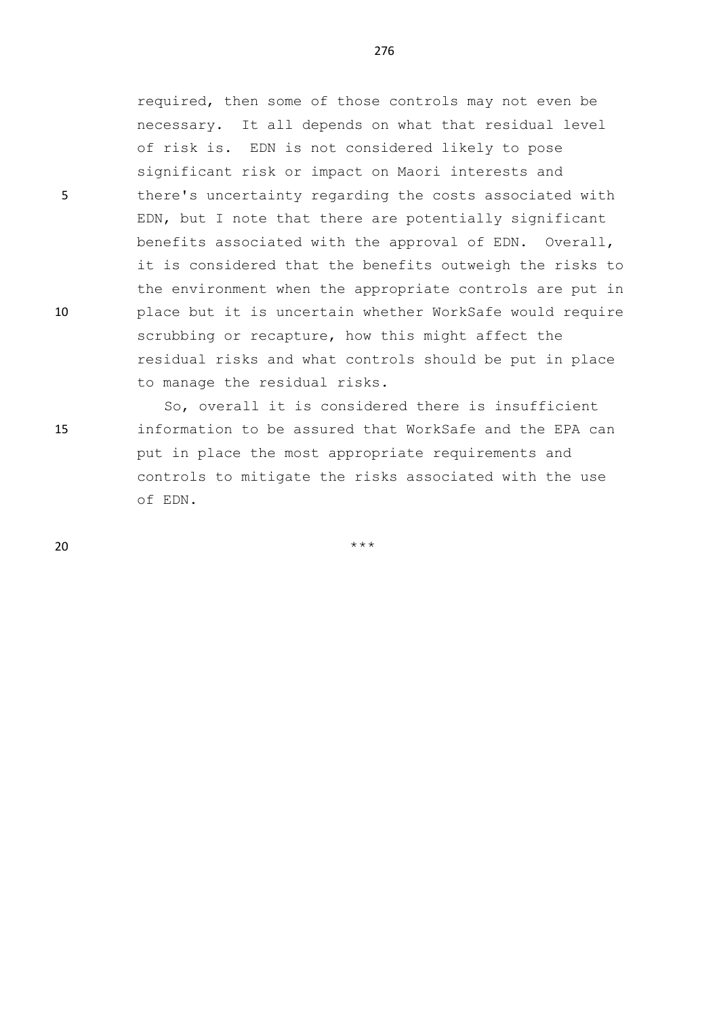required, then some of those controls may not even be necessary. It all depends on what that residual level of risk is. EDN is not considered likely to pose significant risk or impact on Maori interests and 5 there's uncertainty regarding the costs associated with EDN, but I note that there are potentially significant benefits associated with the approval of EDN. Overall, it is considered that the benefits outweigh the risks to the environment when the appropriate controls are put in 10 place but it is uncertain whether WorkSafe would require scrubbing or recapture, how this might affect the residual risks and what controls should be put in place to manage the residual risks.

So, overall it is considered there is insufficient 15 information to be assured that WorkSafe and the EPA can put in place the most appropriate requirements and controls to mitigate the risks associated with the use of EDN.

 $20$  \*\*\*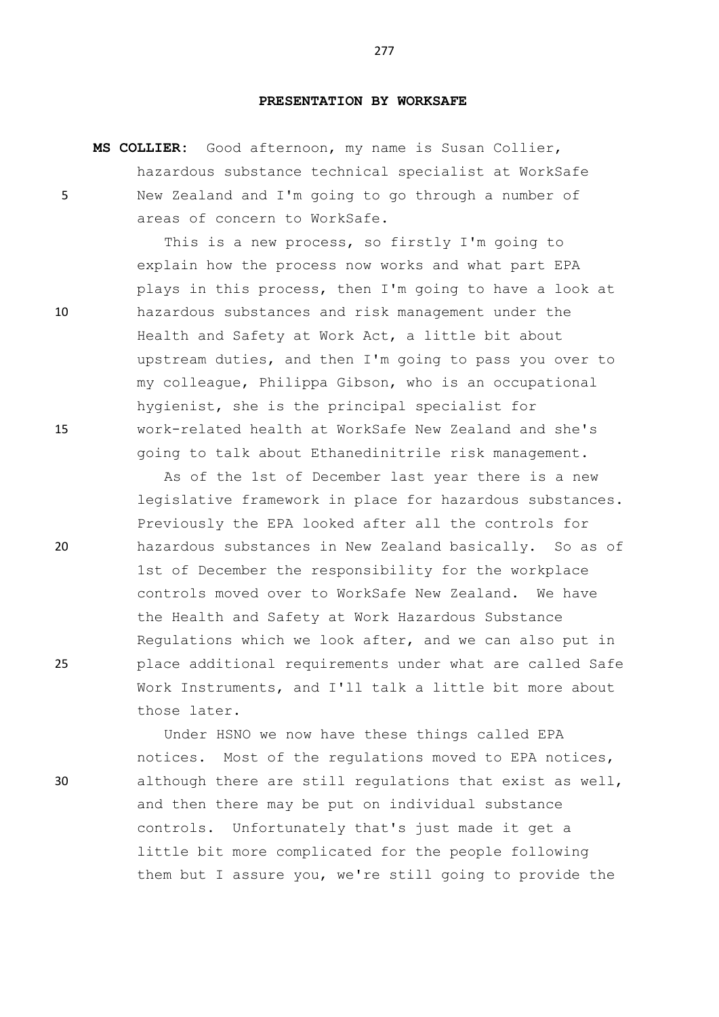## **PRESENTATION BY WORKSAFE**

**MS COLLIER:** Good afternoon, my name is Susan Collier, hazardous substance technical specialist at WorkSafe 5 New Zealand and I'm going to go through a number of areas of concern to WorkSafe.

This is a new process, so firstly I'm going to explain how the process now works and what part EPA plays in this process, then I'm going to have a look at 10 hazardous substances and risk management under the Health and Safety at Work Act, a little bit about upstream duties, and then I'm going to pass you over to my colleague, Philippa Gibson, who is an occupational hygienist, she is the principal specialist for 15 work-related health at WorkSafe New Zealand and she's going to talk about Ethanedinitrile risk management.

As of the 1st of December last year there is a new legislative framework in place for hazardous substances. Previously the EPA looked after all the controls for 20 hazardous substances in New Zealand basically. So as of 1st of December the responsibility for the workplace controls moved over to WorkSafe New Zealand. We have the Health and Safety at Work Hazardous Substance Regulations which we look after, and we can also put in 25 place additional requirements under what are called Safe Work Instruments, and I'll talk a little bit more about those later.

Under HSNO we now have these things called EPA notices. Most of the regulations moved to EPA notices, 30 although there are still regulations that exist as well, and then there may be put on individual substance controls. Unfortunately that's just made it get a little bit more complicated for the people following them but I assure you, we're still going to provide the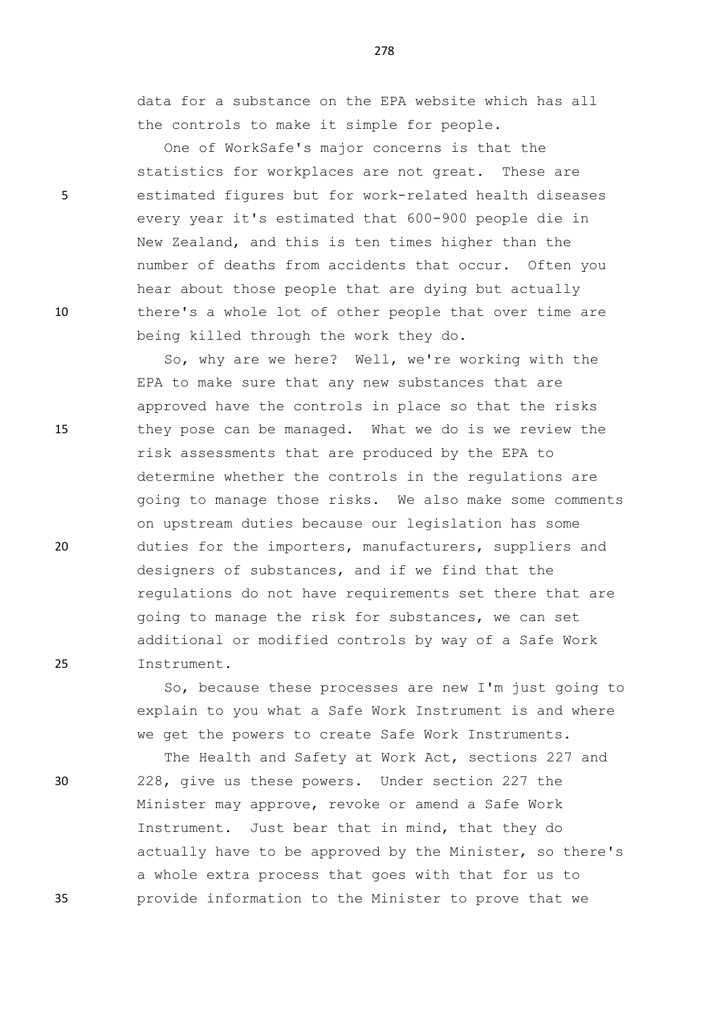data for a substance on the EPA website which has all the controls to make it simple for people.

One of WorkSafe's major concerns is that the statistics for workplaces are not great. These are 5 estimated figures but for work-related health diseases every year it's estimated that 600-900 people die in New Zealand, and this is ten times higher than the number of deaths from accidents that occur. Often you hear about those people that are dying but actually 10 there's a whole lot of other people that over time are being killed through the work they do.

So, why are we here? Well, we're working with the EPA to make sure that any new substances that are approved have the controls in place so that the risks 15 they pose can be managed. What we do is we review the risk assessments that are produced by the EPA to determine whether the controls in the regulations are going to manage those risks. We also make some comments on upstream duties because our legislation has some 20 duties for the importers, manufacturers, suppliers and designers of substances, and if we find that the regulations do not have requirements set there that are going to manage the risk for substances, we can set additional or modified controls by way of a Safe Work 25 Instrument.

> So, because these processes are new I'm just going to explain to you what a Safe Work Instrument is and where we get the powers to create Safe Work Instruments.

The Health and Safety at Work Act, sections 227 and 30 228, give us these powers. Under section 227 the Minister may approve, revoke or amend a Safe Work Instrument. Just bear that in mind, that they do actually have to be approved by the Minister, so there's a whole extra process that goes with that for us to 35 provide information to the Minister to prove that we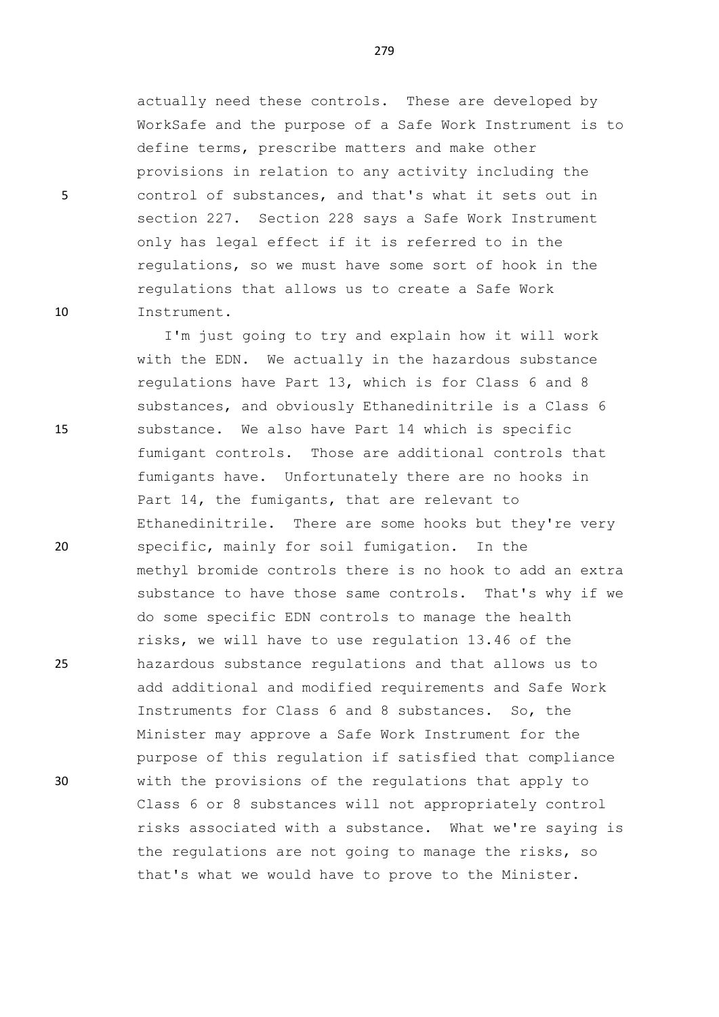actually need these controls. These are developed by WorkSafe and the purpose of a Safe Work Instrument is to define terms, prescribe matters and make other provisions in relation to any activity including the 5 control of substances, and that's what it sets out in section 227. Section 228 says a Safe Work Instrument only has legal effect if it is referred to in the regulations, so we must have some sort of hook in the regulations that allows us to create a Safe Work 10 Instrument.

I'm just going to try and explain how it will work with the EDN. We actually in the hazardous substance regulations have Part 13, which is for Class 6 and 8 substances, and obviously Ethanedinitrile is a Class 6 15 substance. We also have Part 14 which is specific fumigant controls. Those are additional controls that fumigants have. Unfortunately there are no hooks in Part 14, the fumigants, that are relevant to Ethanedinitrile. There are some hooks but they're very 20 specific, mainly for soil fumigation. In the methyl bromide controls there is no hook to add an extra substance to have those same controls. That's why if we do some specific EDN controls to manage the health risks, we will have to use regulation 13.46 of the 25 hazardous substance regulations and that allows us to add additional and modified requirements and Safe Work Instruments for Class 6 and 8 substances. So, the Minister may approve a Safe Work Instrument for the purpose of this regulation if satisfied that compliance 30 with the provisions of the regulations that apply to Class 6 or 8 substances will not appropriately control risks associated with a substance. What we're saying is the regulations are not going to manage the risks, so that's what we would have to prove to the Minister.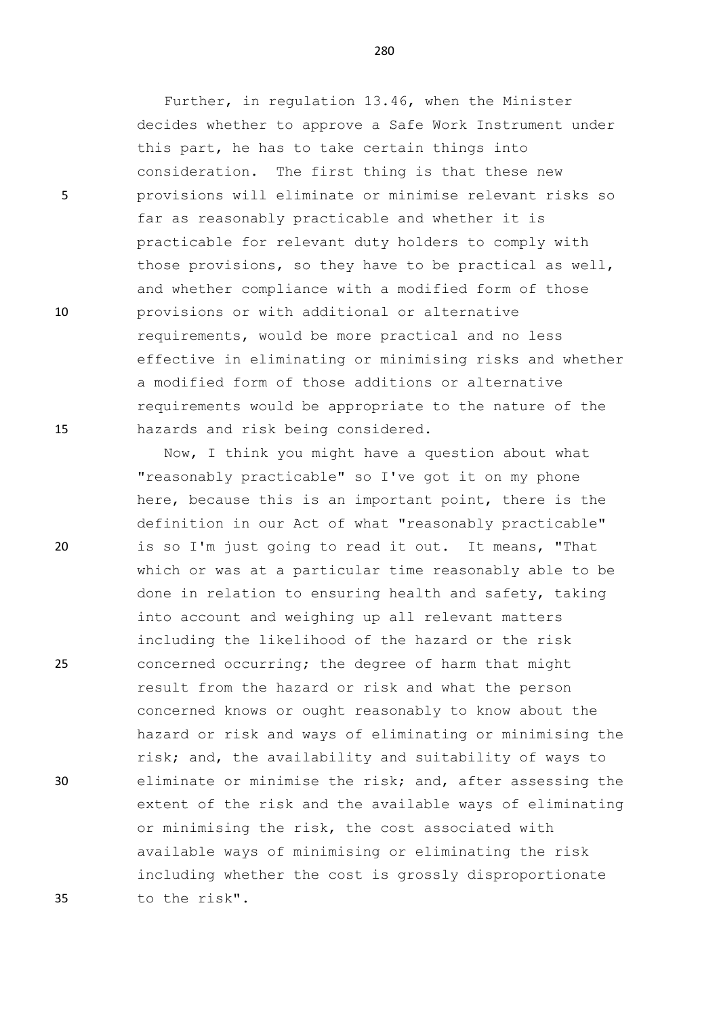Further, in regulation 13.46, when the Minister decides whether to approve a Safe Work Instrument under this part, he has to take certain things into consideration. The first thing is that these new 5 provisions will eliminate or minimise relevant risks so far as reasonably practicable and whether it is practicable for relevant duty holders to comply with those provisions, so they have to be practical as well, and whether compliance with a modified form of those 10 provisions or with additional or alternative requirements, would be more practical and no less effective in eliminating or minimising risks and whether a modified form of those additions or alternative requirements would be appropriate to the nature of the 15 hazards and risk being considered.

Now, I think you might have a question about what "reasonably practicable" so I've got it on my phone here, because this is an important point, there is the definition in our Act of what "reasonably practicable" 20 is so I'm just going to read it out. It means, "That which or was at a particular time reasonably able to be done in relation to ensuring health and safety, taking into account and weighing up all relevant matters including the likelihood of the hazard or the risk 25 concerned occurring; the degree of harm that might result from the hazard or risk and what the person concerned knows or ought reasonably to know about the hazard or risk and ways of eliminating or minimising the risk; and, the availability and suitability of ways to 30 eliminate or minimise the risk; and, after assessing the extent of the risk and the available ways of eliminating or minimising the risk, the cost associated with available ways of minimising or eliminating the risk including whether the cost is grossly disproportionate 35 to the risk".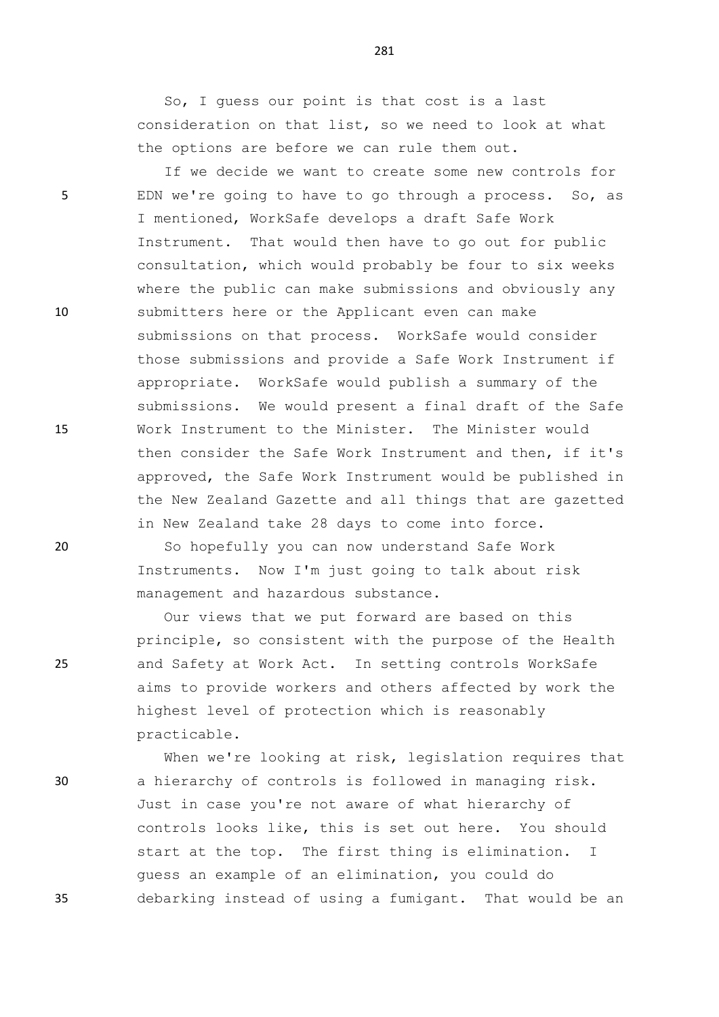So, I guess our point is that cost is a last consideration on that list, so we need to look at what the options are before we can rule them out.

If we decide we want to create some new controls for 5 EDN we're going to have to go through a process. So, as I mentioned, WorkSafe develops a draft Safe Work Instrument. That would then have to go out for public consultation, which would probably be four to six weeks where the public can make submissions and obviously any 10 submitters here or the Applicant even can make submissions on that process. WorkSafe would consider those submissions and provide a Safe Work Instrument if appropriate. WorkSafe would publish a summary of the submissions. We would present a final draft of the Safe 15 Work Instrument to the Minister. The Minister would then consider the Safe Work Instrument and then, if it's approved, the Safe Work Instrument would be published in the New Zealand Gazette and all things that are gazetted in New Zealand take 28 days to come into force.

20 So hopefully you can now understand Safe Work Instruments. Now I'm just going to talk about risk management and hazardous substance.

Our views that we put forward are based on this principle, so consistent with the purpose of the Health 25 and Safety at Work Act. In setting controls WorkSafe aims to provide workers and others affected by work the highest level of protection which is reasonably practicable.

When we're looking at risk, legislation requires that 30 a hierarchy of controls is followed in managing risk. Just in case you're not aware of what hierarchy of controls looks like, this is set out here. You should start at the top. The first thing is elimination. I guess an example of an elimination, you could do 35 debarking instead of using a fumigant. That would be an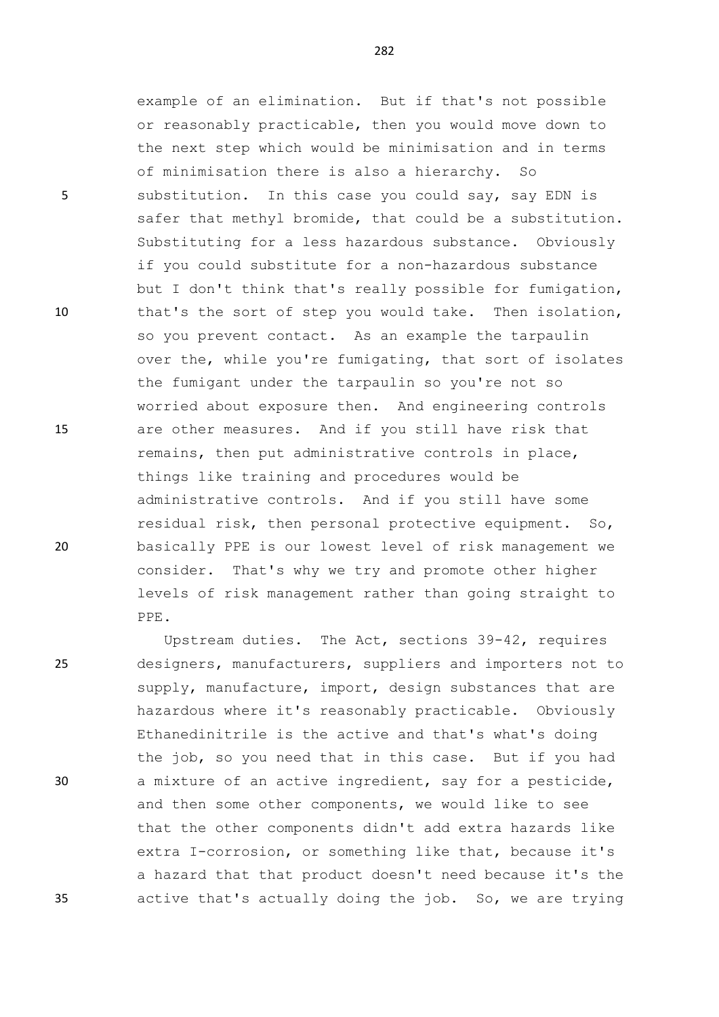example of an elimination. But if that's not possible or reasonably practicable, then you would move down to the next step which would be minimisation and in terms of minimisation there is also a hierarchy. So 5 substitution. In this case you could say, say EDN is safer that methyl bromide, that could be a substitution. Substituting for a less hazardous substance. Obviously if you could substitute for a non-hazardous substance but I don't think that's really possible for fumigation, 10 that's the sort of step you would take. Then isolation, so you prevent contact. As an example the tarpaulin over the, while you're fumigating, that sort of isolates the fumigant under the tarpaulin so you're not so worried about exposure then. And engineering controls 15 are other measures. And if you still have risk that remains, then put administrative controls in place, things like training and procedures would be administrative controls. And if you still have some residual risk, then personal protective equipment. So, 20 basically PPE is our lowest level of risk management we consider. That's why we try and promote other higher levels of risk management rather than going straight to PPE.

Upstream duties. The Act, sections 39-42, requires 25 designers, manufacturers, suppliers and importers not to supply, manufacture, import, design substances that are hazardous where it's reasonably practicable. Obviously Ethanedinitrile is the active and that's what's doing the job, so you need that in this case. But if you had 30 a mixture of an active ingredient, say for a pesticide, and then some other components, we would like to see that the other components didn't add extra hazards like extra I-corrosion, or something like that, because it's a hazard that that product doesn't need because it's the 35 active that's actually doing the job. So, we are trying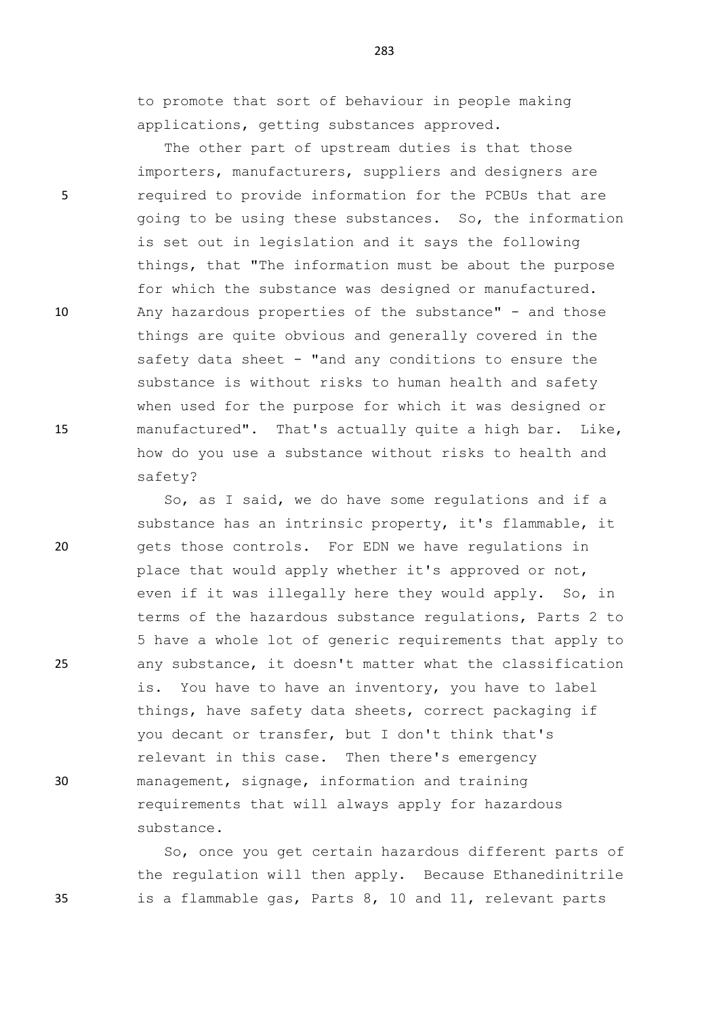to promote that sort of behaviour in people making applications, getting substances approved.

The other part of upstream duties is that those importers, manufacturers, suppliers and designers are 5 required to provide information for the PCBUs that are going to be using these substances. So, the information is set out in legislation and it says the following things, that "The information must be about the purpose for which the substance was designed or manufactured. 10 Any hazardous properties of the substance" - and those things are quite obvious and generally covered in the safety data sheet - "and any conditions to ensure the substance is without risks to human health and safety when used for the purpose for which it was designed or 15 manufactured". That's actually quite a high bar. Like, how do you use a substance without risks to health and safety?

So, as I said, we do have some regulations and if a substance has an intrinsic property, it's flammable, it 20 gets those controls. For EDN we have regulations in place that would apply whether it's approved or not, even if it was illegally here they would apply. So, in terms of the hazardous substance regulations, Parts 2 to 5 have a whole lot of generic requirements that apply to 25 any substance, it doesn't matter what the classification is. You have to have an inventory, you have to label things, have safety data sheets, correct packaging if you decant or transfer, but I don't think that's relevant in this case. Then there's emergency 30 management, signage, information and training requirements that will always apply for hazardous substance.

So, once you get certain hazardous different parts of the regulation will then apply. Because Ethanedinitrile 35 is a flammable gas, Parts 8, 10 and 11, relevant parts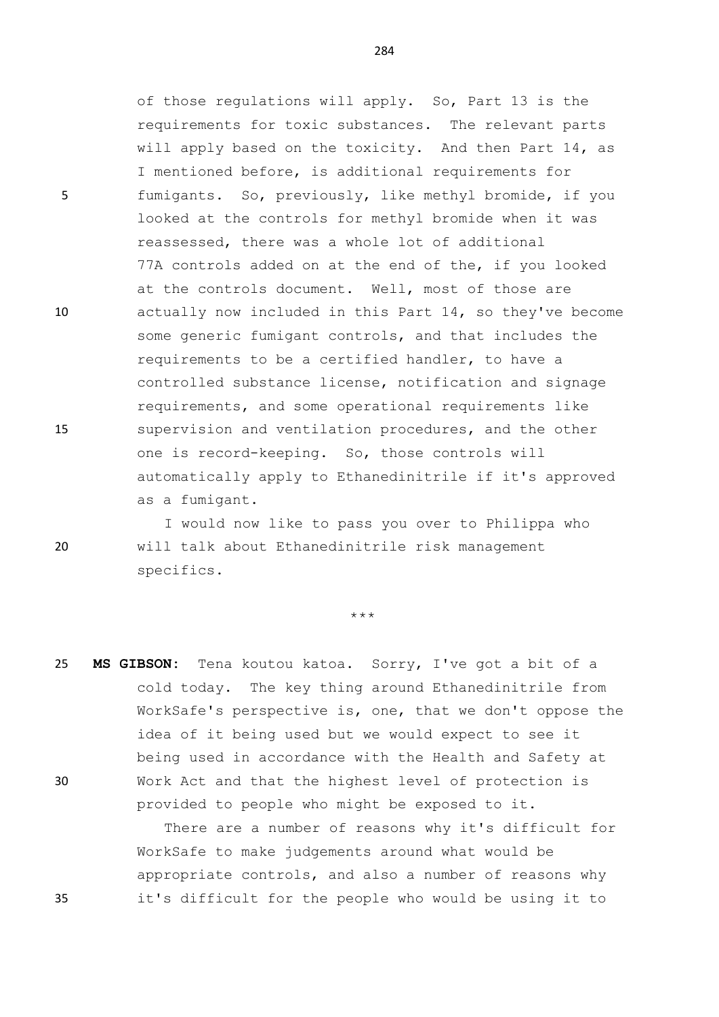of those regulations will apply. So, Part 13 is the requirements for toxic substances. The relevant parts will apply based on the toxicity. And then Part 14, as I mentioned before, is additional requirements for 5 fumigants. So, previously, like methyl bromide, if you looked at the controls for methyl bromide when it was reassessed, there was a whole lot of additional 77A controls added on at the end of the, if you looked at the controls document. Well, most of those are 10 actually now included in this Part 14, so they've become some generic fumigant controls, and that includes the requirements to be a certified handler, to have a controlled substance license, notification and signage requirements, and some operational requirements like 15 supervision and ventilation procedures, and the other one is record-keeping. So, those controls will automatically apply to Ethanedinitrile if it's approved as a fumigant.

I would now like to pass you over to Philippa who 20 will talk about Ethanedinitrile risk management specifics.

\*\*\*

25 **MS GIBSON:** Tena koutou katoa. Sorry, I've got a bit of a cold today. The key thing around Ethanedinitrile from WorkSafe's perspective is, one, that we don't oppose the idea of it being used but we would expect to see it being used in accordance with the Health and Safety at 30 Work Act and that the highest level of protection is provided to people who might be exposed to it.

There are a number of reasons why it's difficult for WorkSafe to make judgements around what would be appropriate controls, and also a number of reasons why 35 it's difficult for the people who would be using it to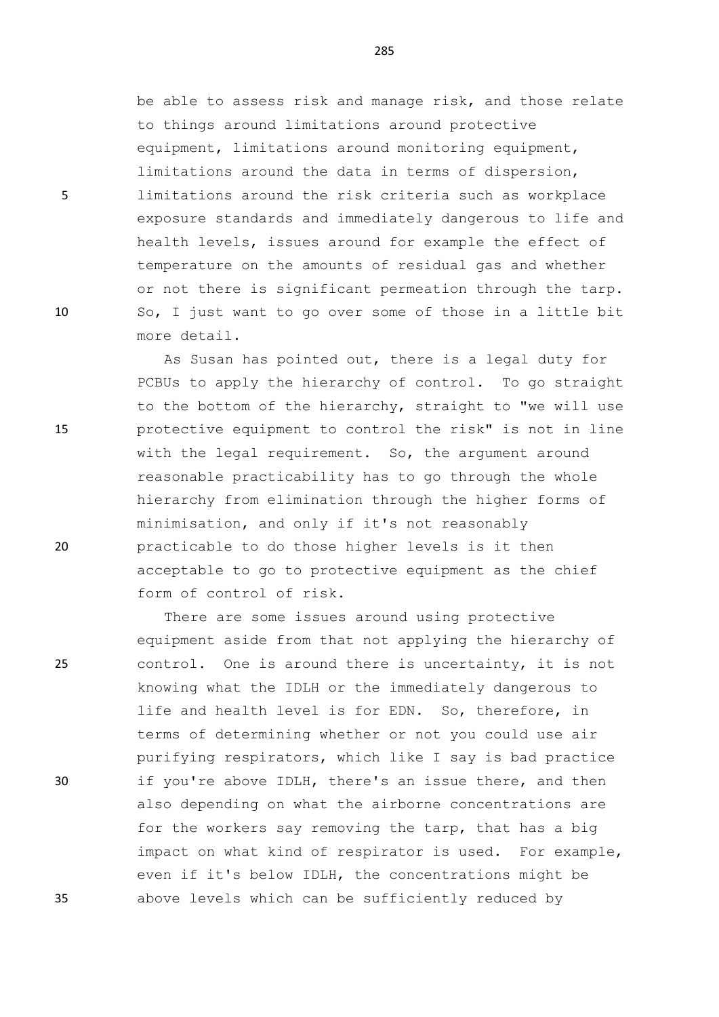be able to assess risk and manage risk, and those relate to things around limitations around protective equipment, limitations around monitoring equipment, limitations around the data in terms of dispersion, 5 limitations around the risk criteria such as workplace exposure standards and immediately dangerous to life and health levels, issues around for example the effect of temperature on the amounts of residual gas and whether or not there is significant permeation through the tarp. 10 So, I just want to go over some of those in a little bit more detail.

As Susan has pointed out, there is a legal duty for PCBUs to apply the hierarchy of control. To go straight to the bottom of the hierarchy, straight to "we will use 15 protective equipment to control the risk" is not in line with the legal requirement. So, the argument around reasonable practicability has to go through the whole hierarchy from elimination through the higher forms of minimisation, and only if it's not reasonably 20 practicable to do those higher levels is it then acceptable to go to protective equipment as the chief form of control of risk.

There are some issues around using protective equipment aside from that not applying the hierarchy of 25 control. One is around there is uncertainty, it is not knowing what the IDLH or the immediately dangerous to life and health level is for EDN. So, therefore, in terms of determining whether or not you could use air purifying respirators, which like I say is bad practice 30 if you're above IDLH, there's an issue there, and then also depending on what the airborne concentrations are for the workers say removing the tarp, that has a big impact on what kind of respirator is used. For example, even if it's below IDLH, the concentrations might be 35 above levels which can be sufficiently reduced by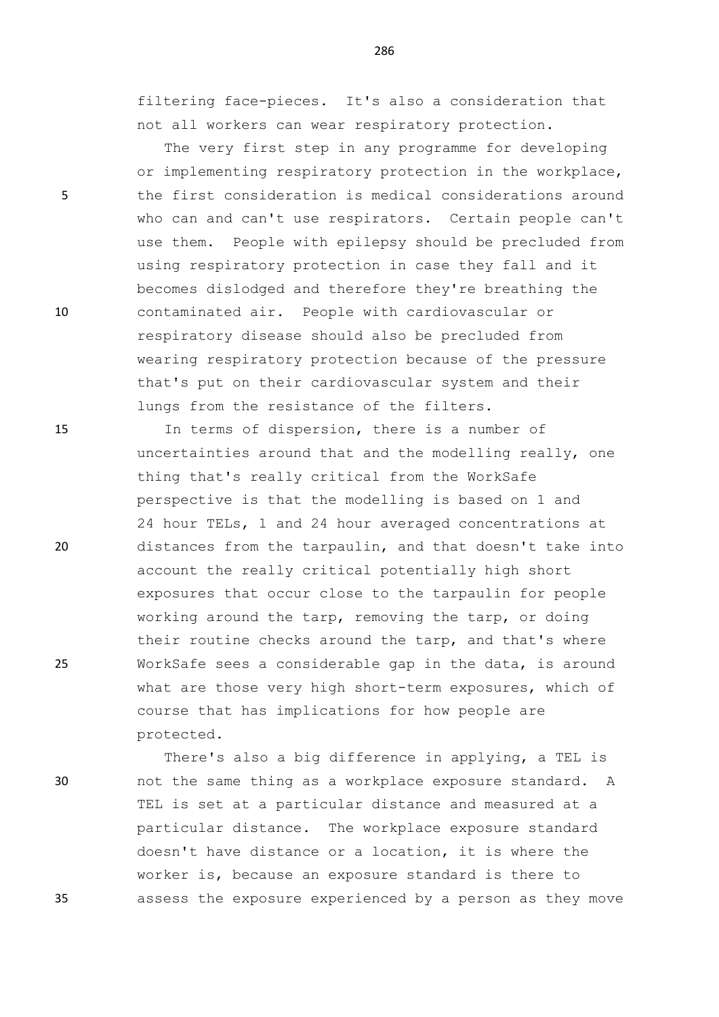filtering face-pieces. It's also a consideration that not all workers can wear respiratory protection.

The very first step in any programme for developing or implementing respiratory protection in the workplace, 5 the first consideration is medical considerations around who can and can't use respirators. Certain people can't use them. People with epilepsy should be precluded from using respiratory protection in case they fall and it becomes dislodged and therefore they're breathing the 10 contaminated air. People with cardiovascular or respiratory disease should also be precluded from wearing respiratory protection because of the pressure that's put on their cardiovascular system and their lungs from the resistance of the filters.

15 In terms of dispersion, there is a number of uncertainties around that and the modelling really, one thing that's really critical from the WorkSafe perspective is that the modelling is based on 1 and 24 hour TELs, 1 and 24 hour averaged concentrations at 20 distances from the tarpaulin, and that doesn't take into account the really critical potentially high short exposures that occur close to the tarpaulin for people working around the tarp, removing the tarp, or doing their routine checks around the tarp, and that's where 25 WorkSafe sees a considerable gap in the data, is around what are those very high short-term exposures, which of course that has implications for how people are protected.

There's also a big difference in applying, a TEL is 30 not the same thing as a workplace exposure standard. A TEL is set at a particular distance and measured at a particular distance. The workplace exposure standard doesn't have distance or a location, it is where the worker is, because an exposure standard is there to 35 assess the exposure experienced by a person as they move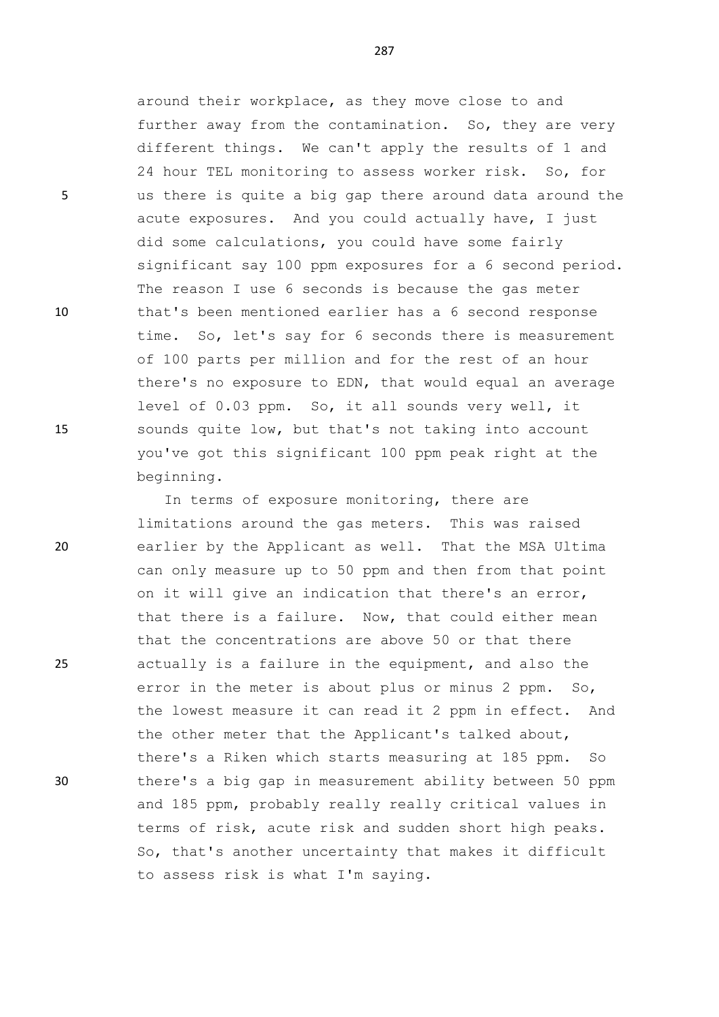around their workplace, as they move close to and further away from the contamination. So, they are very different things. We can't apply the results of 1 and 24 hour TEL monitoring to assess worker risk. So, for 5 us there is quite a big gap there around data around the acute exposures. And you could actually have, I just did some calculations, you could have some fairly significant say 100 ppm exposures for a 6 second period. The reason I use 6 seconds is because the gas meter 10 that's been mentioned earlier has a 6 second response time. So, let's say for 6 seconds there is measurement of 100 parts per million and for the rest of an hour there's no exposure to EDN, that would equal an average level of 0.03 ppm. So, it all sounds very well, it 15 sounds quite low, but that's not taking into account you've got this significant 100 ppm peak right at the beginning.

In terms of exposure monitoring, there are limitations around the gas meters. This was raised 20 earlier by the Applicant as well. That the MSA Ultima can only measure up to 50 ppm and then from that point on it will give an indication that there's an error, that there is a failure. Now, that could either mean that the concentrations are above 50 or that there 25 actually is a failure in the equipment, and also the error in the meter is about plus or minus 2 ppm. So, the lowest measure it can read it 2 ppm in effect. And the other meter that the Applicant's talked about, there's a Riken which starts measuring at 185 ppm. So 30 there's a big gap in measurement ability between 50 ppm and 185 ppm, probably really really critical values in terms of risk, acute risk and sudden short high peaks. So, that's another uncertainty that makes it difficult to assess risk is what I'm saying.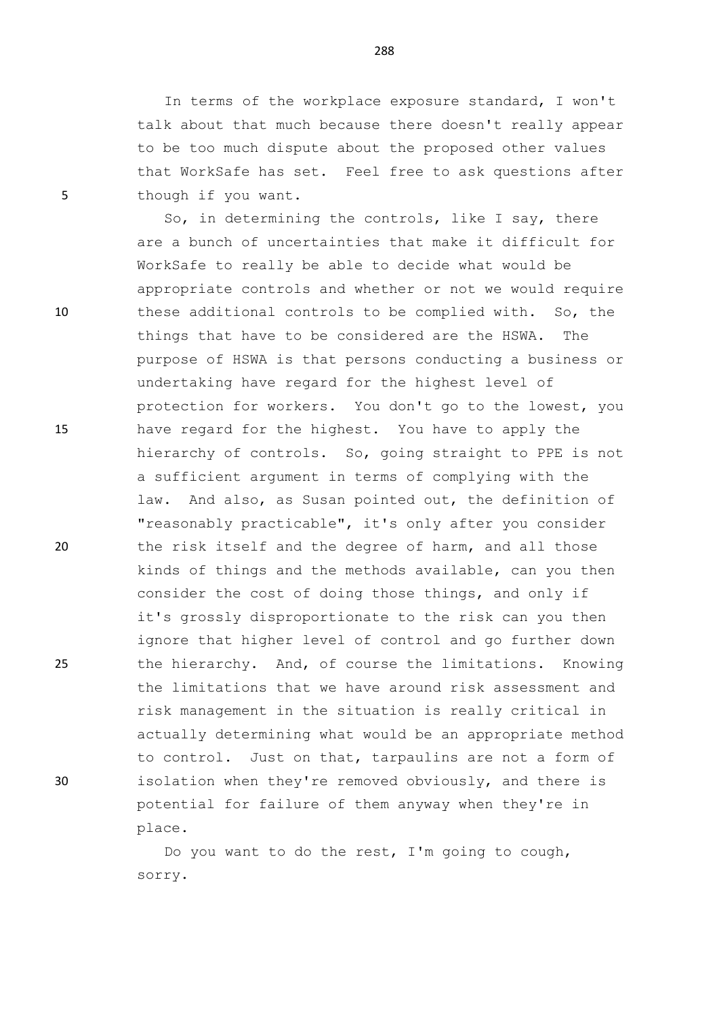In terms of the workplace exposure standard, I won't talk about that much because there doesn't really appear to be too much dispute about the proposed other values that WorkSafe has set. Feel free to ask questions after 5 though if you want.

So, in determining the controls, like I say, there are a bunch of uncertainties that make it difficult for WorkSafe to really be able to decide what would be appropriate controls and whether or not we would require 10 these additional controls to be complied with. So, the things that have to be considered are the HSWA. The purpose of HSWA is that persons conducting a business or undertaking have regard for the highest level of protection for workers. You don't go to the lowest, you 15 have regard for the highest. You have to apply the hierarchy of controls. So, going straight to PPE is not a sufficient argument in terms of complying with the law. And also, as Susan pointed out, the definition of "reasonably practicable", it's only after you consider 20 the risk itself and the degree of harm, and all those kinds of things and the methods available, can you then consider the cost of doing those things, and only if it's grossly disproportionate to the risk can you then ignore that higher level of control and go further down 25 the hierarchy. And, of course the limitations. Knowing the limitations that we have around risk assessment and risk management in the situation is really critical in actually determining what would be an appropriate method to control. Just on that, tarpaulins are not a form of 30 isolation when they're removed obviously, and there is potential for failure of them anyway when they're in place.

> Do you want to do the rest, I'm going to cough, sorry.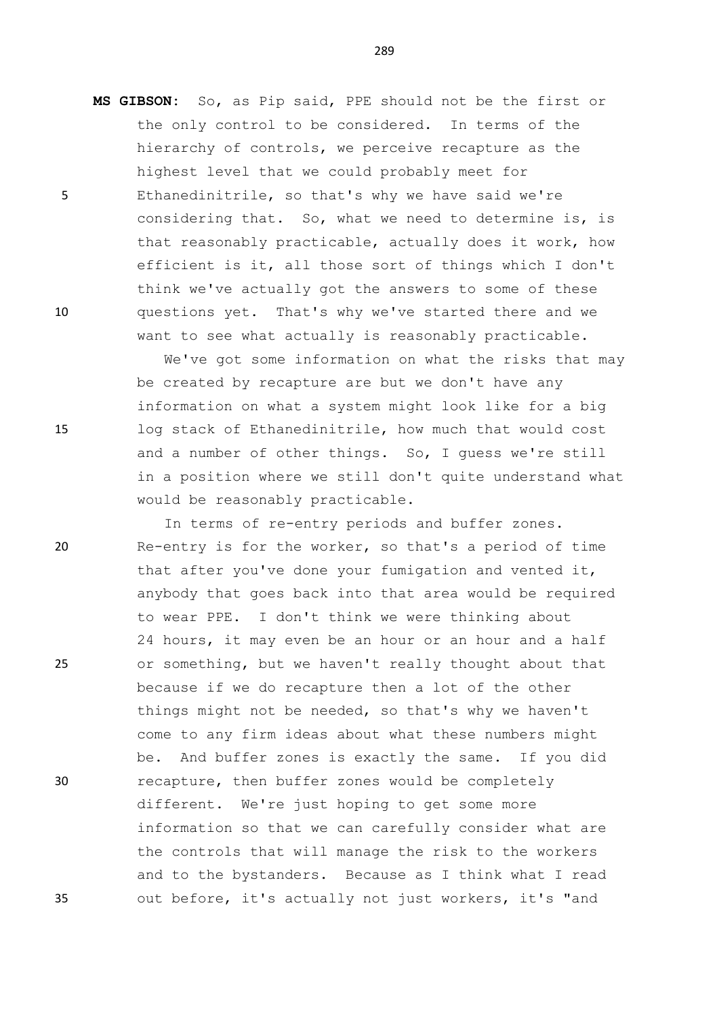**MS GIBSON:** So, as Pip said, PPE should not be the first or the only control to be considered. In terms of the hierarchy of controls, we perceive recapture as the highest level that we could probably meet for 5 Ethanedinitrile, so that's why we have said we're considering that. So, what we need to determine is, is that reasonably practicable, actually does it work, how efficient is it, all those sort of things which I don't

10 questions yet. That's why we've started there and we

We've got some information on what the risks that may be created by recapture are but we don't have any information on what a system might look like for a big 15 log stack of Ethanedinitrile, how much that would cost and a number of other things. So, I guess we're still in a position where we still don't quite understand what would be reasonably practicable.

think we've actually got the answers to some of these

want to see what actually is reasonably practicable.

In terms of re-entry periods and buffer zones. 20 Re-entry is for the worker, so that's a period of time that after you've done your fumigation and vented it, anybody that goes back into that area would be required to wear PPE. I don't think we were thinking about 24 hours, it may even be an hour or an hour and a half 25 or something, but we haven't really thought about that because if we do recapture then a lot of the other things might not be needed, so that's why we haven't come to any firm ideas about what these numbers might be. And buffer zones is exactly the same. If you did 30 recapture, then buffer zones would be completely different. We're just hoping to get some more information so that we can carefully consider what are the controls that will manage the risk to the workers and to the bystanders. Because as I think what I read 35 out before, it's actually not just workers, it's "and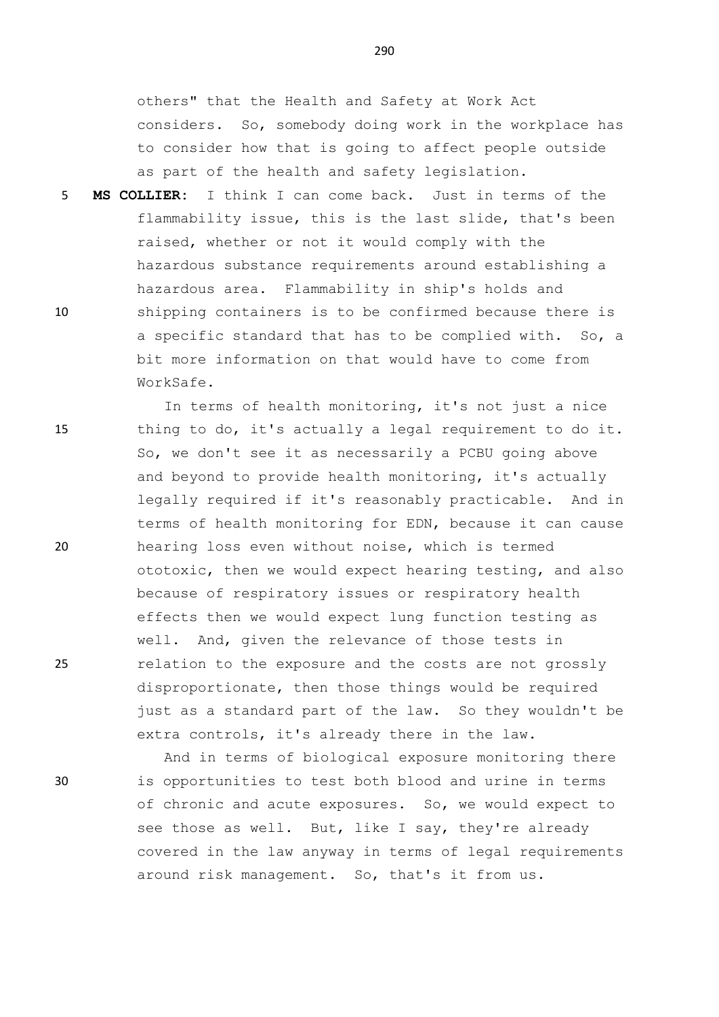others" that the Health and Safety at Work Act considers. So, somebody doing work in the workplace has to consider how that is going to affect people outside as part of the health and safety legislation.

5 **MS COLLIER:** I think I can come back. Just in terms of the flammability issue, this is the last slide, that's been raised, whether or not it would comply with the hazardous substance requirements around establishing a hazardous area. Flammability in ship's holds and 10 shipping containers is to be confirmed because there is a specific standard that has to be complied with. So, a bit more information on that would have to come from WorkSafe.

In terms of health monitoring, it's not just a nice 15 thing to do, it's actually a legal requirement to do it. So, we don't see it as necessarily a PCBU going above and beyond to provide health monitoring, it's actually legally required if it's reasonably practicable. And in terms of health monitoring for EDN, because it can cause 20 hearing loss even without noise, which is termed ototoxic, then we would expect hearing testing, and also because of respiratory issues or respiratory health effects then we would expect lung function testing as well. And, given the relevance of those tests in 25 relation to the exposure and the costs are not grossly disproportionate, then those things would be required just as a standard part of the law. So they wouldn't be extra controls, it's already there in the law.

And in terms of biological exposure monitoring there 30 is opportunities to test both blood and urine in terms of chronic and acute exposures. So, we would expect to see those as well. But, like I say, they're already covered in the law anyway in terms of legal requirements around risk management. So, that's it from us.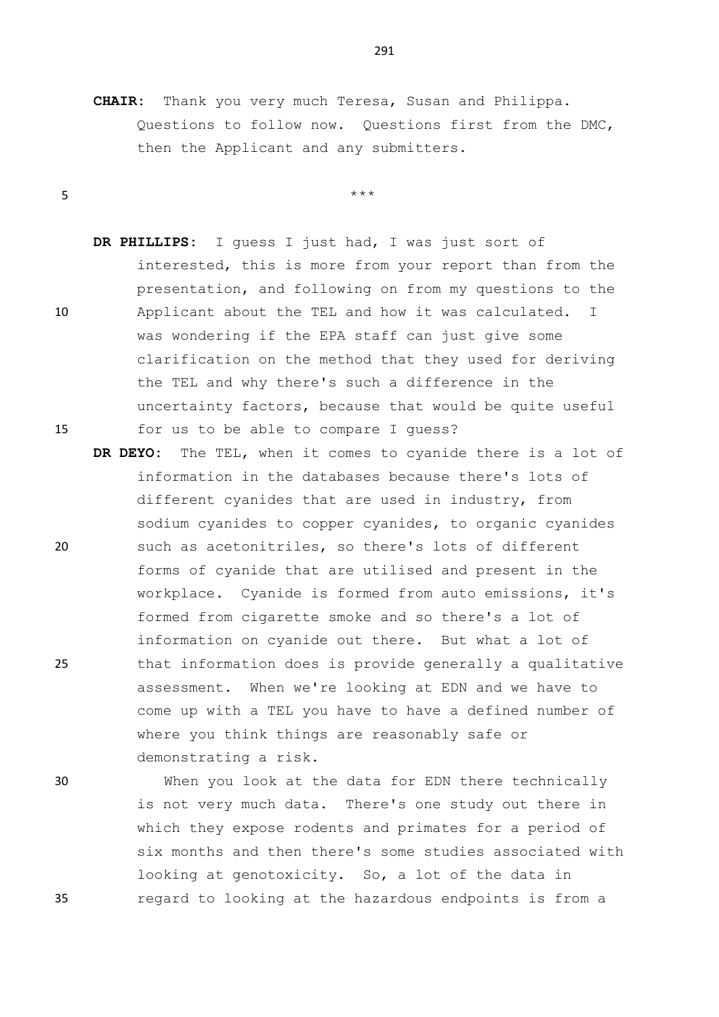**CHAIR:** Thank you very much Teresa, Susan and Philippa. Questions to follow now. Questions first from the DMC, then the Applicant and any submitters.

 $5$  \*\*\*

- **DR PHILLIPS:** I guess I just had, I was just sort of interested, this is more from your report than from the presentation, and following on from my questions to the 10 Applicant about the TEL and how it was calculated. I was wondering if the EPA staff can just give some clarification on the method that they used for deriving the TEL and why there's such a difference in the uncertainty factors, because that would be quite useful 15 for us to be able to compare I guess?
- **DR DEYO:** The TEL, when it comes to cyanide there is a lot of information in the databases because there's lots of different cyanides that are used in industry, from sodium cyanides to copper cyanides, to organic cyanides 20 such as acetonitriles, so there's lots of different forms of cyanide that are utilised and present in the workplace. Cyanide is formed from auto emissions, it's formed from cigarette smoke and so there's a lot of information on cyanide out there. But what a lot of 25 that information does is provide generally a qualitative assessment. When we're looking at EDN and we have to come up with a TEL you have to have a defined number of where you think things are reasonably safe or demonstrating a risk.

30 When you look at the data for EDN there technically is not very much data. There's one study out there in which they expose rodents and primates for a period of six months and then there's some studies associated with looking at genotoxicity. So, a lot of the data in 35 regard to looking at the hazardous endpoints is from a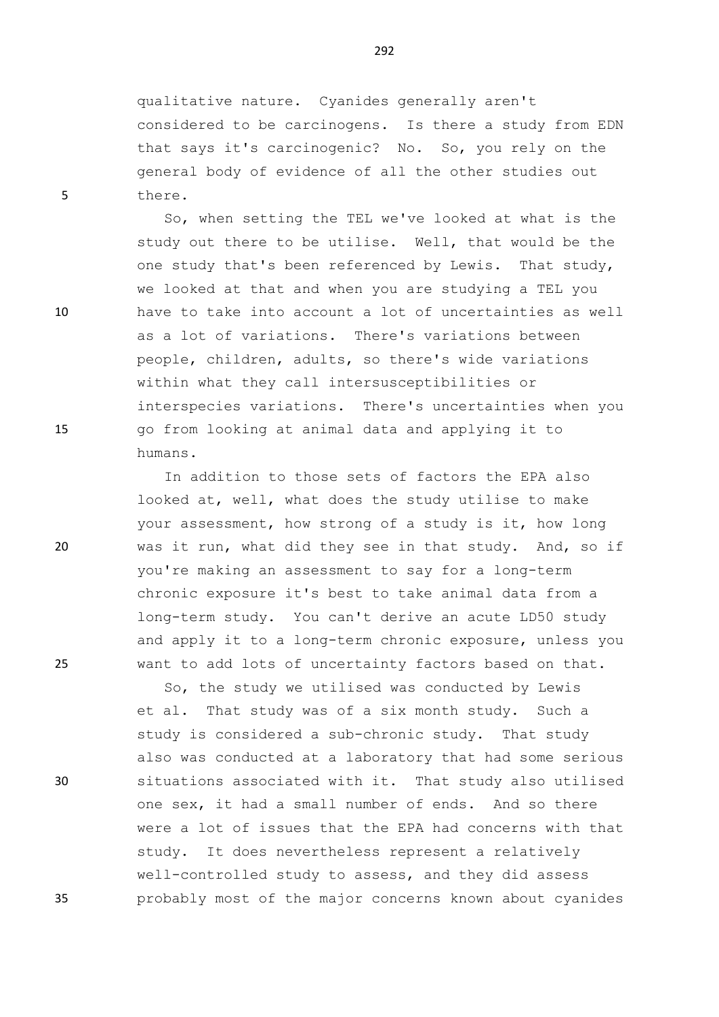qualitative nature. Cyanides generally aren't considered to be carcinogens. Is there a study from EDN that says it's carcinogenic? No. So, you rely on the general body of evidence of all the other studies out 5 there.

So, when setting the TEL we've looked at what is the study out there to be utilise. Well, that would be the one study that's been referenced by Lewis. That study, we looked at that and when you are studying a TEL you 10 have to take into account a lot of uncertainties as well as a lot of variations. There's variations between people, children, adults, so there's wide variations within what they call intersusceptibilities or interspecies variations. There's uncertainties when you 15 go from looking at animal data and applying it to humans.

In addition to those sets of factors the EPA also looked at, well, what does the study utilise to make your assessment, how strong of a study is it, how long 20 was it run, what did they see in that study. And, so if you're making an assessment to say for a long-term chronic exposure it's best to take animal data from a long-term study. You can't derive an acute LD50 study and apply it to a long-term chronic exposure, unless you 25 want to add lots of uncertainty factors based on that.

So, the study we utilised was conducted by Lewis et al. That study was of a six month study. Such a study is considered a sub-chronic study. That study also was conducted at a laboratory that had some serious 30 situations associated with it. That study also utilised one sex, it had a small number of ends. And so there were a lot of issues that the EPA had concerns with that study. It does nevertheless represent a relatively well-controlled study to assess, and they did assess 35 probably most of the major concerns known about cyanides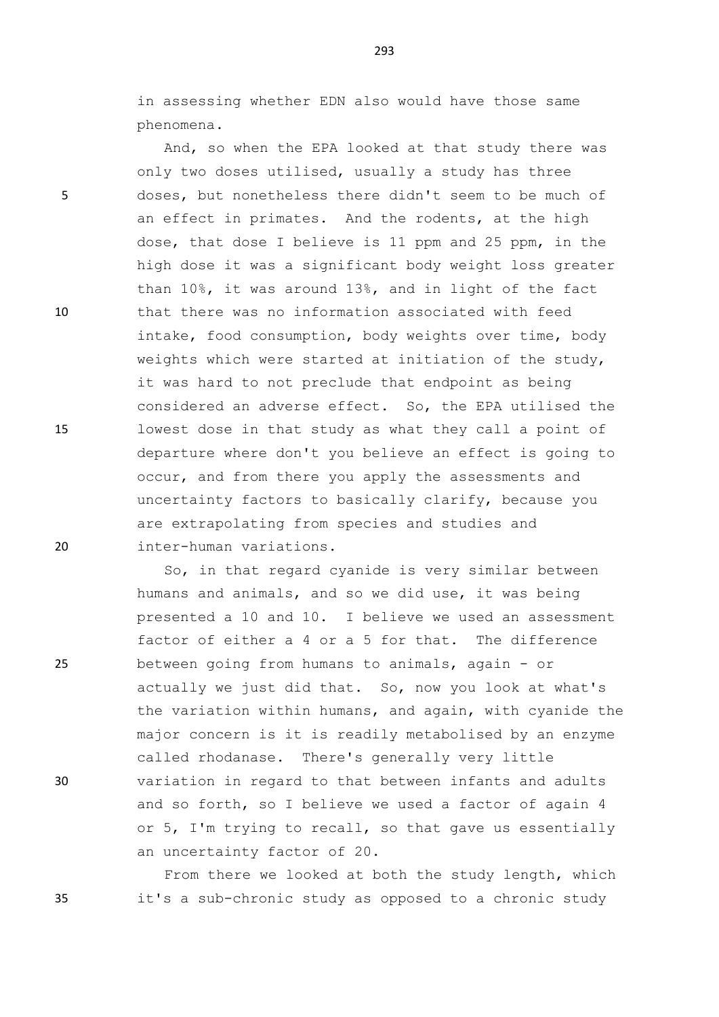in assessing whether EDN also would have those same phenomena.

And, so when the EPA looked at that study there was only two doses utilised, usually a study has three 5 doses, but nonetheless there didn't seem to be much of an effect in primates. And the rodents, at the high dose, that dose I believe is 11 ppm and 25 ppm, in the high dose it was a significant body weight loss greater than 10%, it was around 13%, and in light of the fact 10 that there was no information associated with feed intake, food consumption, body weights over time, body weights which were started at initiation of the study, it was hard to not preclude that endpoint as being considered an adverse effect. So, the EPA utilised the 15 lowest dose in that study as what they call a point of departure where don't you believe an effect is going to occur, and from there you apply the assessments and uncertainty factors to basically clarify, because you are extrapolating from species and studies and 20 inter-human variations.

So, in that regard cyanide is very similar between humans and animals, and so we did use, it was being presented a 10 and 10. I believe we used an assessment factor of either a 4 or a 5 for that. The difference 25 between going from humans to animals, again - or actually we just did that. So, now you look at what's the variation within humans, and again, with cyanide the major concern is it is readily metabolised by an enzyme called rhodanase. There's generally very little 30 variation in regard to that between infants and adults and so forth, so I believe we used a factor of again 4 or 5, I'm trying to recall, so that gave us essentially an uncertainty factor of 20.

From there we looked at both the study length, which 35 it's a sub-chronic study as opposed to a chronic study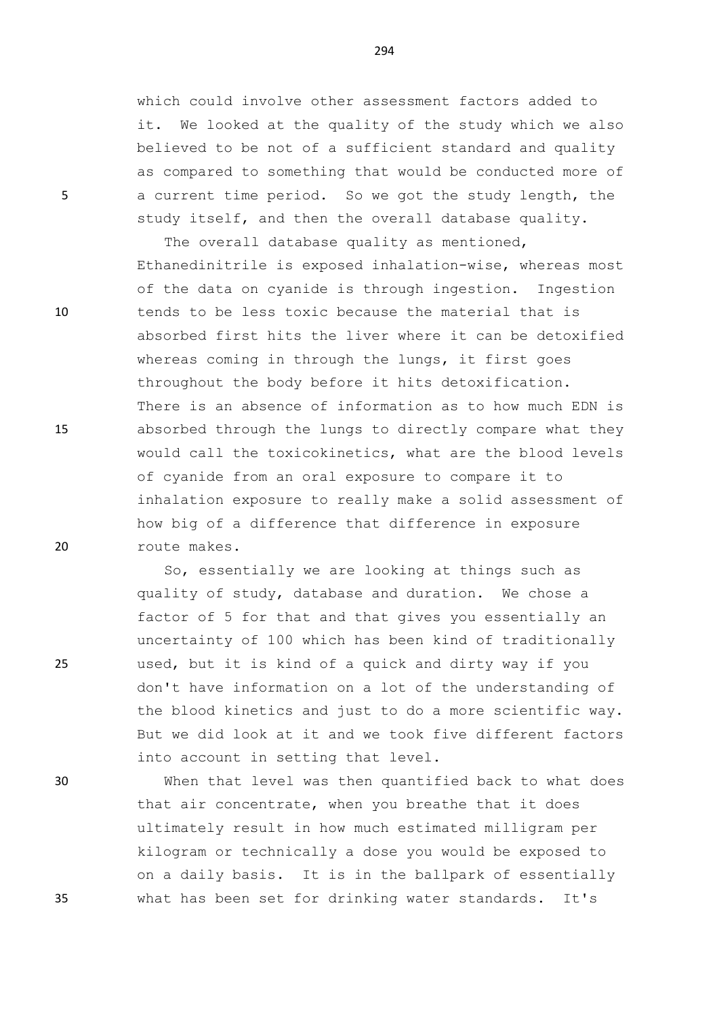which could involve other assessment factors added to it. We looked at the quality of the study which we also believed to be not of a sufficient standard and quality as compared to something that would be conducted more of 5 a current time period. So we got the study length, the study itself, and then the overall database quality.

The overall database quality as mentioned, Ethanedinitrile is exposed inhalation-wise, whereas most of the data on cyanide is through ingestion. Ingestion 10 tends to be less toxic because the material that is absorbed first hits the liver where it can be detoxified whereas coming in through the lungs, it first goes throughout the body before it hits detoxification. There is an absence of information as to how much EDN is 15 absorbed through the lungs to directly compare what they would call the toxicokinetics, what are the blood levels of cyanide from an oral exposure to compare it to inhalation exposure to really make a solid assessment of how big of a difference that difference in exposure 20 route makes.

So, essentially we are looking at things such as quality of study, database and duration. We chose a factor of 5 for that and that gives you essentially an uncertainty of 100 which has been kind of traditionally 25 used, but it is kind of a quick and dirty way if you don't have information on a lot of the understanding of the blood kinetics and just to do a more scientific way. But we did look at it and we took five different factors into account in setting that level.

30 When that level was then quantified back to what does that air concentrate, when you breathe that it does ultimately result in how much estimated milligram per kilogram or technically a dose you would be exposed to on a daily basis. It is in the ballpark of essentially 35 what has been set for drinking water standards. It's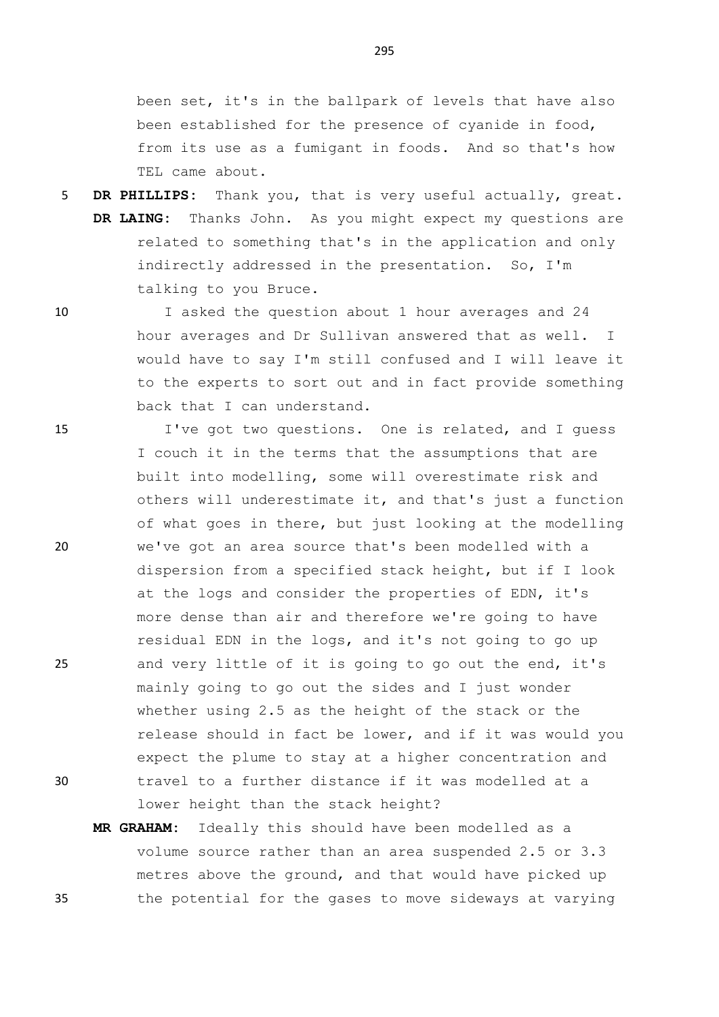been set, it's in the ballpark of levels that have also been established for the presence of cyanide in food, from its use as a fumigant in foods. And so that's how TEL came about.

5 **DR PHILLIPS:** Thank you, that is very useful actually, great. **DR LAING:** Thanks John. As you might expect my questions are related to something that's in the application and only indirectly addressed in the presentation. So, I'm talking to you Bruce.

10 I asked the question about 1 hour averages and 24 hour averages and Dr Sullivan answered that as well. I would have to say I'm still confused and I will leave it to the experts to sort out and in fact provide something back that I can understand.

15 I've got two questions. One is related, and I guess I couch it in the terms that the assumptions that are built into modelling, some will overestimate risk and others will underestimate it, and that's just a function of what goes in there, but just looking at the modelling 20 we've got an area source that's been modelled with a dispersion from a specified stack height, but if I look at the logs and consider the properties of EDN, it's more dense than air and therefore we're going to have residual EDN in the logs, and it's not going to go up 25 and very little of it is going to go out the end, it's mainly going to go out the sides and I just wonder whether using 2.5 as the height of the stack or the release should in fact be lower, and if it was would you expect the plume to stay at a higher concentration and 30 travel to a further distance if it was modelled at a lower height than the stack height?

**MR GRAHAM:** Ideally this should have been modelled as a volume source rather than an area suspended 2.5 or 3.3 metres above the ground, and that would have picked up 35 the potential for the gases to move sideways at varying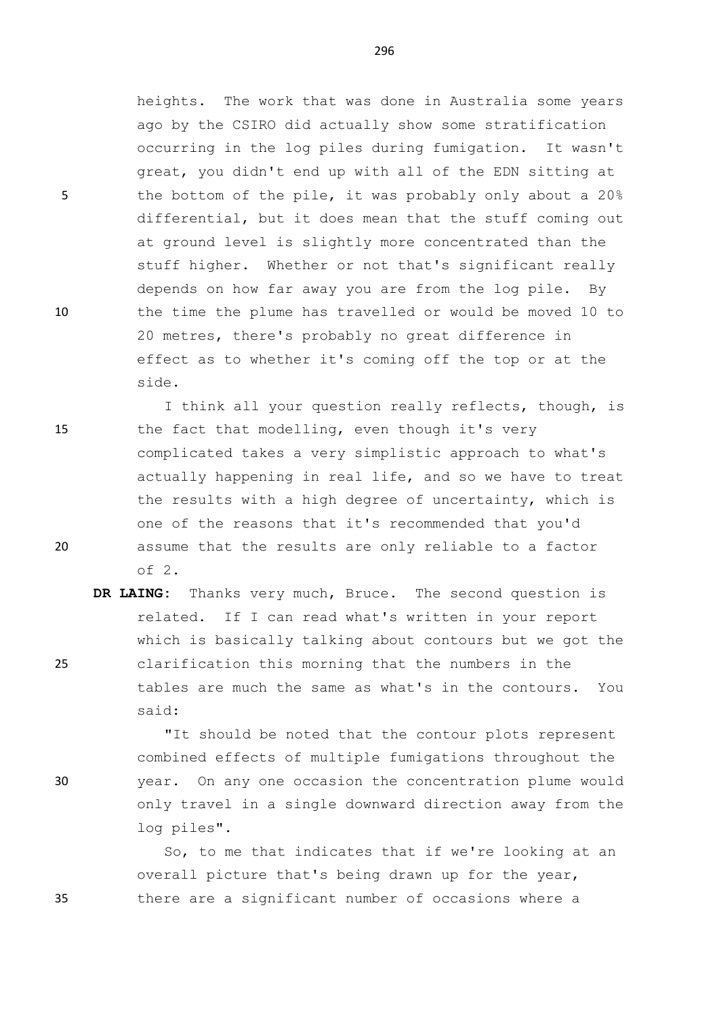heights. The work that was done in Australia some years ago by the CSIRO did actually show some stratification occurring in the log piles during fumigation. It wasn't great, you didn't end up with all of the EDN sitting at 5 the bottom of the pile, it was probably only about a 20% differential, but it does mean that the stuff coming out at ground level is slightly more concentrated than the stuff higher. Whether or not that's significant really depends on how far away you are from the log pile. By 10 the time the plume has travelled or would be moved 10 to 20 metres, there's probably no great difference in effect as to whether it's coming off the top or at the side.

I think all your question really reflects, though, is 15 the fact that modelling, even though it's very complicated takes a very simplistic approach to what's actually happening in real life, and so we have to treat the results with a high degree of uncertainty, which is one of the reasons that it's recommended that you'd 20 assume that the results are only reliable to a factor of 2.

**DR LAING:** Thanks very much, Bruce. The second question is related. If I can read what's written in your report which is basically talking about contours but we got the 25 clarification this morning that the numbers in the tables are much the same as what's in the contours. You said:

"It should be noted that the contour plots represent combined effects of multiple fumigations throughout the 30 year. On any one occasion the concentration plume would only travel in a single downward direction away from the log piles".

So, to me that indicates that if we're looking at an overall picture that's being drawn up for the year, 35 there are a significant number of occasions where a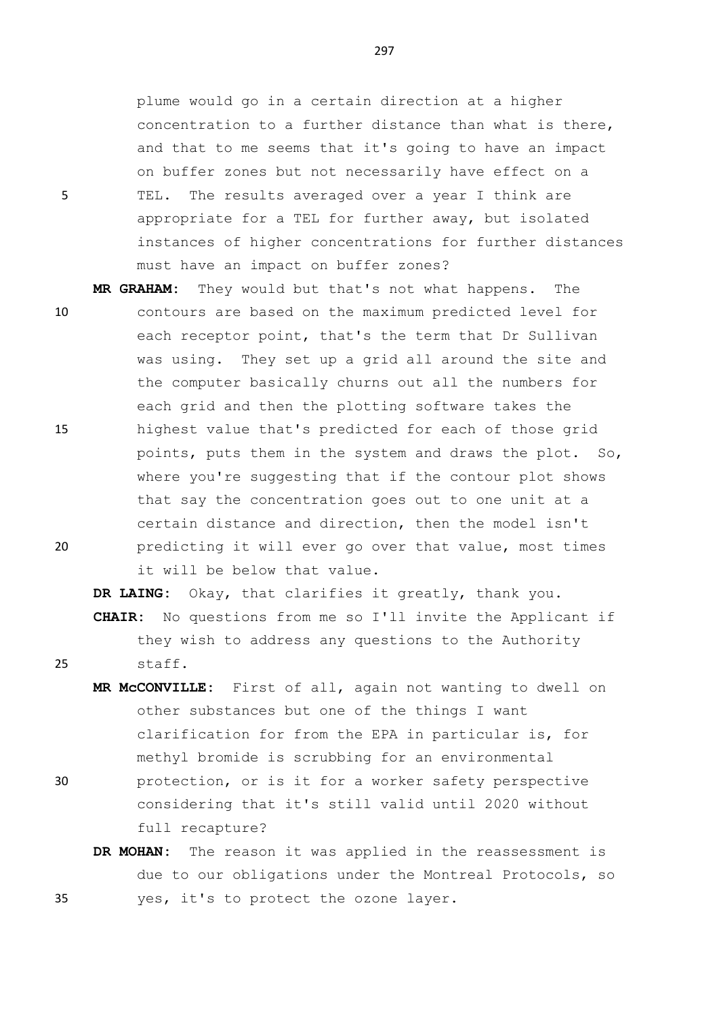plume would go in a certain direction at a higher concentration to a further distance than what is there, and that to me seems that it's going to have an impact on buffer zones but not necessarily have effect on a 5 TEL. The results averaged over a year I think are appropriate for a TEL for further away, but isolated instances of higher concentrations for further distances must have an impact on buffer zones?

**MR GRAHAM:** They would but that's not what happens. The 10 contours are based on the maximum predicted level for each receptor point, that's the term that Dr Sullivan was using. They set up a grid all around the site and the computer basically churns out all the numbers for each grid and then the plotting software takes the 15 highest value that's predicted for each of those grid points, puts them in the system and draws the plot. So, where you're suggesting that if the contour plot shows that say the concentration goes out to one unit at a certain distance and direction, then the model isn't 20 predicting it will ever go over that value, most times it will be below that value.

**DR LAING:** Okay, that clarifies it greatly, thank you. **CHAIR:** No questions from me so I'll invite the Applicant if they wish to address any questions to the Authority 25 staff.

- **MR McCONVILLE:** First of all, again not wanting to dwell on other substances but one of the things I want clarification for from the EPA in particular is, for methyl bromide is scrubbing for an environmental 30 protection, or is it for a worker safety perspective
	- considering that it's still valid until 2020 without full recapture?
- **DR MOHAN:** The reason it was applied in the reassessment is due to our obligations under the Montreal Protocols, so 35 yes, it's to protect the ozone layer.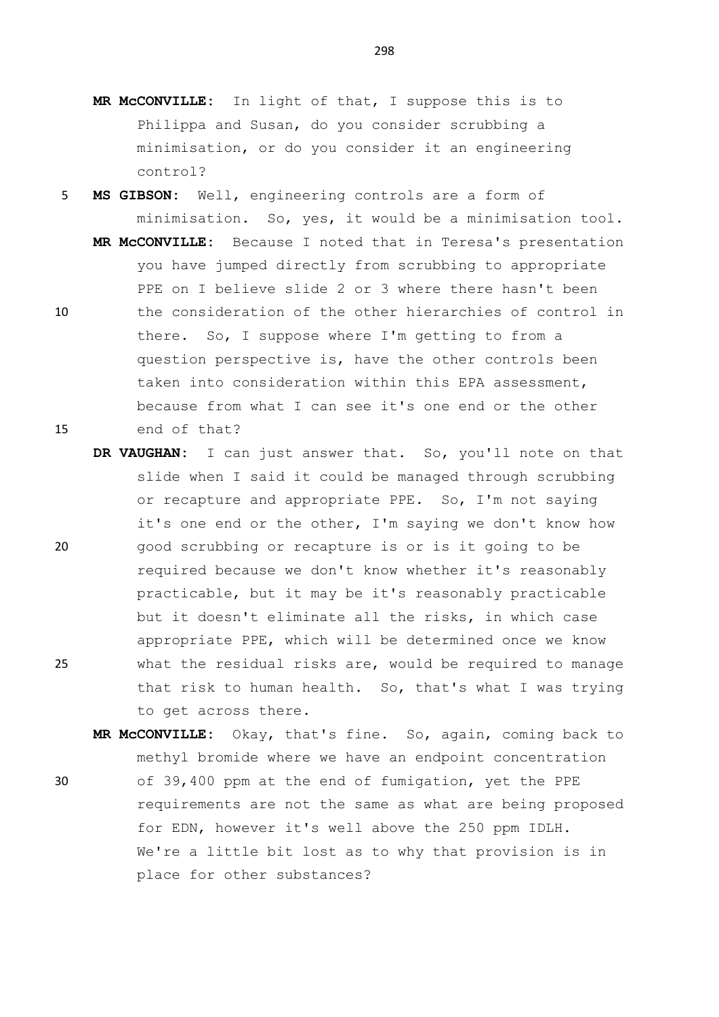- **MR McCONVILLE:** In light of that, I suppose this is to Philippa and Susan, do you consider scrubbing a minimisation, or do you consider it an engineering control?
- 5 **MS GIBSON:** Well, engineering controls are a form of minimisation. So, yes, it would be a minimisation tool. **MR McCONVILLE:** Because I noted that in Teresa's presentation you have jumped directly from scrubbing to appropriate PPE on I believe slide 2 or 3 where there hasn't been 10 the consideration of the other hierarchies of control in there. So, I suppose where I'm getting to from a question perspective is, have the other controls been taken into consideration within this EPA assessment, because from what I can see it's one end or the other 15 end of that?
- **DR VAUGHAN:** I can just answer that. So, you'll note on that slide when I said it could be managed through scrubbing or recapture and appropriate PPE. So, I'm not saying it's one end or the other, I'm saying we don't know how 20 good scrubbing or recapture is or is it going to be required because we don't know whether it's reasonably practicable, but it may be it's reasonably practicable but it doesn't eliminate all the risks, in which case appropriate PPE, which will be determined once we know 25 what the residual risks are, would be required to manage that risk to human health. So, that's what I was trying to get across there.
- **MR McCONVILLE:** Okay, that's fine. So, again, coming back to methyl bromide where we have an endpoint concentration 30 of 39,400 ppm at the end of fumigation, yet the PPE requirements are not the same as what are being proposed for EDN, however it's well above the 250 ppm IDLH. We're a little bit lost as to why that provision is in place for other substances?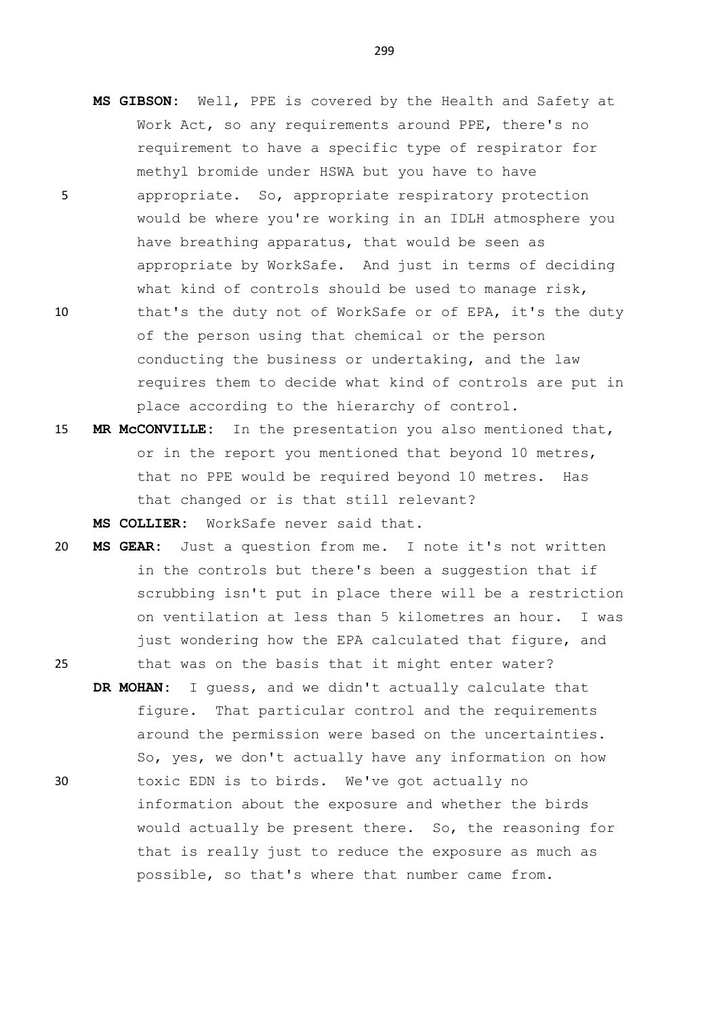- **MS GIBSON:** Well, PPE is covered by the Health and Safety at Work Act, so any requirements around PPE, there's no requirement to have a specific type of respirator for methyl bromide under HSWA but you have to have
- 5 appropriate. So, appropriate respiratory protection would be where you're working in an IDLH atmosphere you have breathing apparatus, that would be seen as appropriate by WorkSafe. And just in terms of deciding what kind of controls should be used to manage risk, 10 that's the duty not of WorkSafe or of EPA, it's the duty of the person using that chemical or the person conducting the business or undertaking, and the law requires them to decide what kind of controls are put in place according to the hierarchy of control.
- 15 **MR McCONVILLE:** In the presentation you also mentioned that, or in the report you mentioned that beyond 10 metres, that no PPE would be required beyond 10 metres. Has that changed or is that still relevant? **MS COLLIER:** WorkSafe never said that.
- 20 **MS GEAR:** Just a question from me. I note it's not written in the controls but there's been a suggestion that if scrubbing isn't put in place there will be a restriction on ventilation at less than 5 kilometres an hour. I was just wondering how the EPA calculated that figure, and

25 that was on the basis that it might enter water?

**DR MOHAN:** I guess, and we didn't actually calculate that figure. That particular control and the requirements around the permission were based on the uncertainties. So, yes, we don't actually have any information on how 30 toxic EDN is to birds. We've got actually no information about the exposure and whether the birds would actually be present there. So, the reasoning for that is really just to reduce the exposure as much as possible, so that's where that number came from.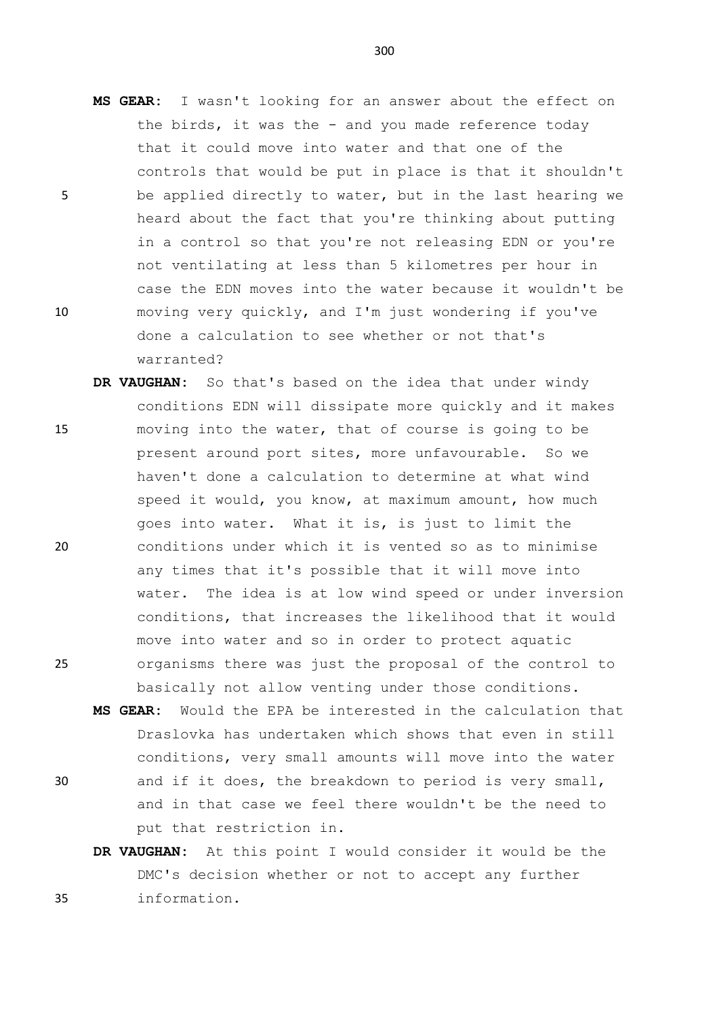- **MS GEAR:** I wasn't looking for an answer about the effect on the birds, it was the - and you made reference today that it could move into water and that one of the controls that would be put in place is that it shouldn't 5 be applied directly to water, but in the last hearing we heard about the fact that you're thinking about putting in a control so that you're not releasing EDN or you're not ventilating at less than 5 kilometres per hour in case the EDN moves into the water because it wouldn't be 10 moving very quickly, and I'm just wondering if you've done a calculation to see whether or not that's warranted?
- **DR VAUGHAN:** So that's based on the idea that under windy conditions EDN will dissipate more quickly and it makes 15 moving into the water, that of course is going to be present around port sites, more unfavourable. So we haven't done a calculation to determine at what wind speed it would, you know, at maximum amount, how much goes into water. What it is, is just to limit the 20 conditions under which it is vented so as to minimise any times that it's possible that it will move into water. The idea is at low wind speed or under inversion conditions, that increases the likelihood that it would move into water and so in order to protect aquatic 25 organisms there was just the proposal of the control to basically not allow venting under those conditions.
- **MS GEAR:** Would the EPA be interested in the calculation that Draslovka has undertaken which shows that even in still conditions, very small amounts will move into the water 30 and if it does, the breakdown to period is very small, and in that case we feel there wouldn't be the need to put that restriction in.
- **DR VAUGHAN:** At this point I would consider it would be the DMC's decision whether or not to accept any further 35 information.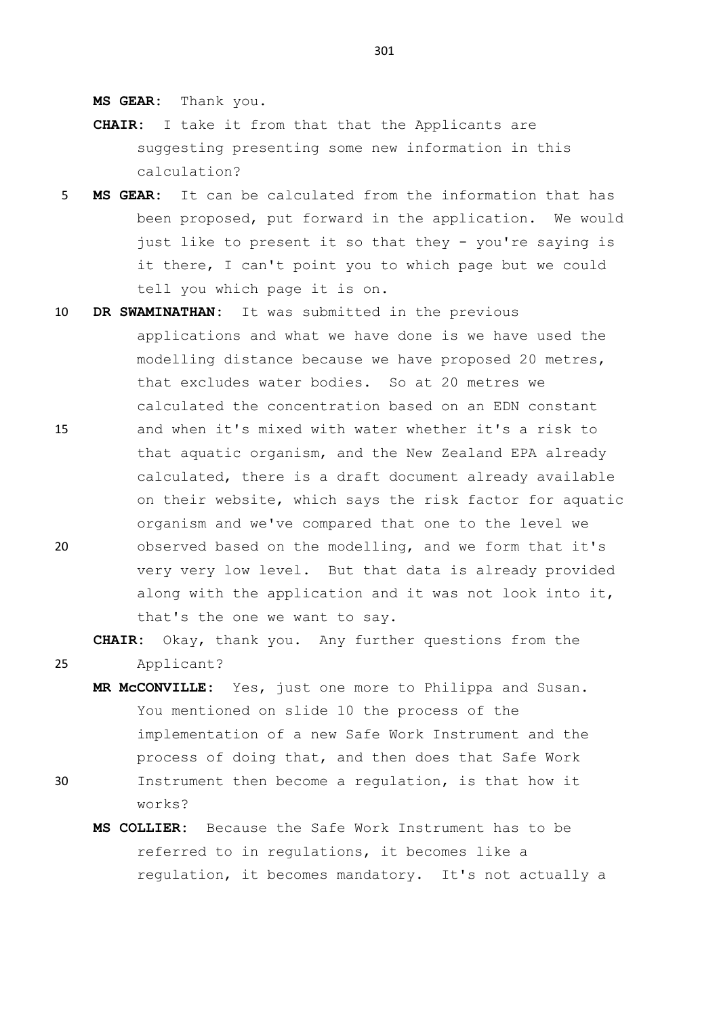**MS GEAR:** Thank you.

- **CHAIR:** I take it from that that the Applicants are suggesting presenting some new information in this calculation?
- 5 **MS GEAR:** It can be calculated from the information that has been proposed, put forward in the application. We would just like to present it so that they - you're saying is it there, I can't point you to which page but we could tell you which page it is on.
- 10 **DR SWAMINATHAN:** It was submitted in the previous applications and what we have done is we have used the modelling distance because we have proposed 20 metres, that excludes water bodies. So at 20 metres we calculated the concentration based on an EDN constant 15 and when it's mixed with water whether it's a risk to that aquatic organism, and the New Zealand EPA already calculated, there is a draft document already available on their website, which says the risk factor for aquatic organism and we've compared that one to the level we 20 observed based on the modelling, and we form that it's very very low level. But that data is already provided along with the application and it was not look into it, that's the one we want to say.

**CHAIR:** Okay, thank you. Any further questions from the 25 Applicant?

- **MR McCONVILLE:** Yes, just one more to Philippa and Susan. You mentioned on slide 10 the process of the implementation of a new Safe Work Instrument and the process of doing that, and then does that Safe Work
- 30 Instrument then become a regulation, is that how it works?
	- **MS COLLIER:** Because the Safe Work Instrument has to be referred to in regulations, it becomes like a regulation, it becomes mandatory. It's not actually a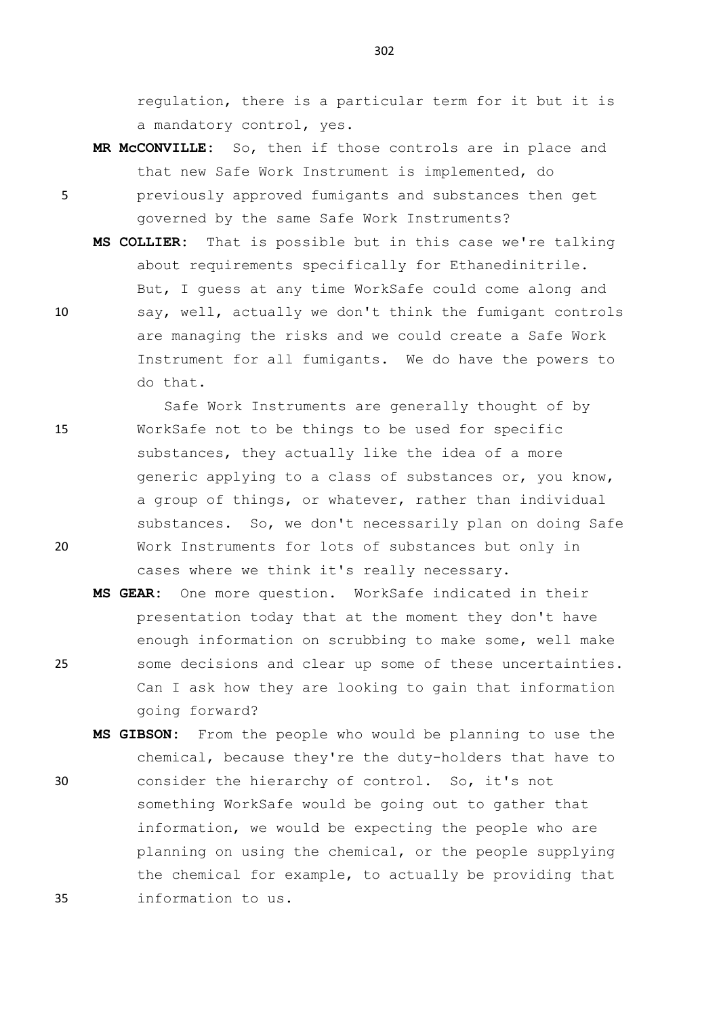regulation, there is a particular term for it but it is a mandatory control, yes.

**MR McCONVILLE:** So, then if those controls are in place and that new Safe Work Instrument is implemented, do

5 previously approved fumigants and substances then get governed by the same Safe Work Instruments?

- **MS COLLIER:** That is possible but in this case we're talking about requirements specifically for Ethanedinitrile. But, I guess at any time WorkSafe could come along and 10 say, well, actually we don't think the fumigant controls are managing the risks and we could create a Safe Work Instrument for all fumigants. We do have the powers to do that.
- Safe Work Instruments are generally thought of by 15 WorkSafe not to be things to be used for specific substances, they actually like the idea of a more generic applying to a class of substances or, you know, a group of things, or whatever, rather than individual substances. So, we don't necessarily plan on doing Safe 20 Work Instruments for lots of substances but only in cases where we think it's really necessary.
- **MS GEAR:** One more question. WorkSafe indicated in their presentation today that at the moment they don't have enough information on scrubbing to make some, well make 25 some decisions and clear up some of these uncertainties. Can I ask how they are looking to gain that information going forward?
- **MS GIBSON:** From the people who would be planning to use the chemical, because they're the duty-holders that have to 30 consider the hierarchy of control. So, it's not something WorkSafe would be going out to gather that information, we would be expecting the people who are planning on using the chemical, or the people supplying the chemical for example, to actually be providing that 35 information to us.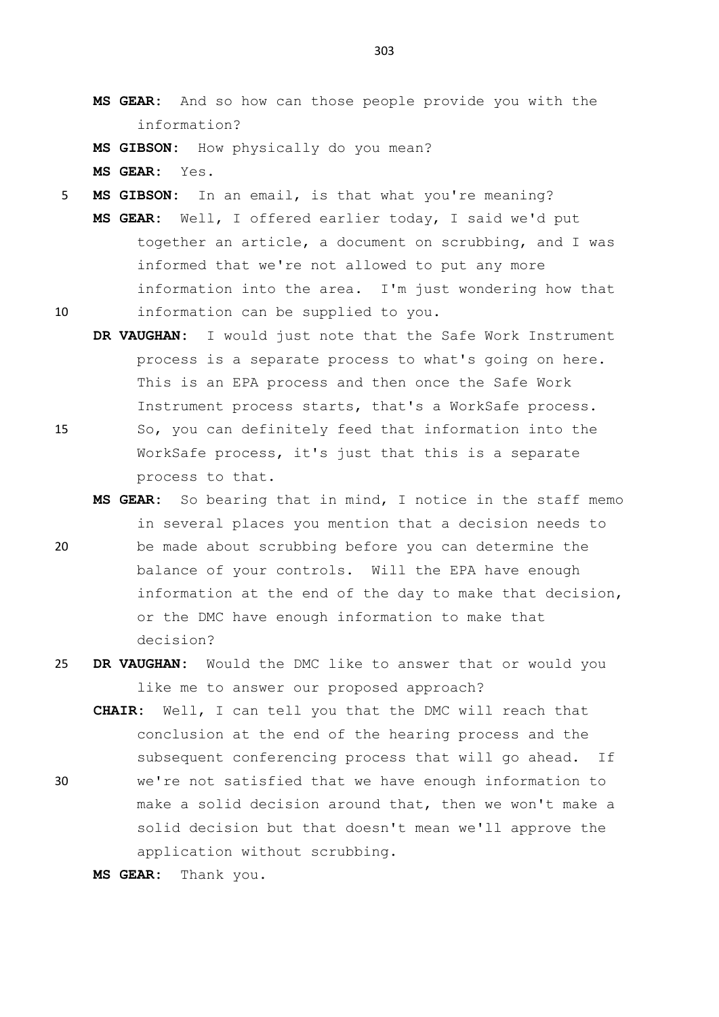- **MS GEAR:** And so how can those people provide you with the information?
- **MS GIBSON:** How physically do you mean? **MS GEAR:** Yes.
- 5 **MS GIBSON:** In an email, is that what you're meaning? **MS GEAR:** Well, I offered earlier today, I said we'd put together an article, a document on scrubbing, and I was informed that we're not allowed to put any more information into the area. I'm just wondering how that 10 information can be supplied to you.
- **DR VAUGHAN:** I would just note that the Safe Work Instrument process is a separate process to what's going on here. This is an EPA process and then once the Safe Work Instrument process starts, that's a WorkSafe process. 15 So, you can definitely feed that information into the WorkSafe process, it's just that this is a separate
	- process to that.
- **MS GEAR:** So bearing that in mind, I notice in the staff memo in several places you mention that a decision needs to 20 be made about scrubbing before you can determine the balance of your controls. Will the EPA have enough information at the end of the day to make that decision, or the DMC have enough information to make that decision?
- 25 **DR VAUGHAN:** Would the DMC like to answer that or would you like me to answer our proposed approach?
	- **CHAIR:** Well, I can tell you that the DMC will reach that conclusion at the end of the hearing process and the subsequent conferencing process that will go ahead. If
- 30 we're not satisfied that we have enough information to make a solid decision around that, then we won't make a solid decision but that doesn't mean we'll approve the application without scrubbing.

```
MS GEAR: Thank you.
```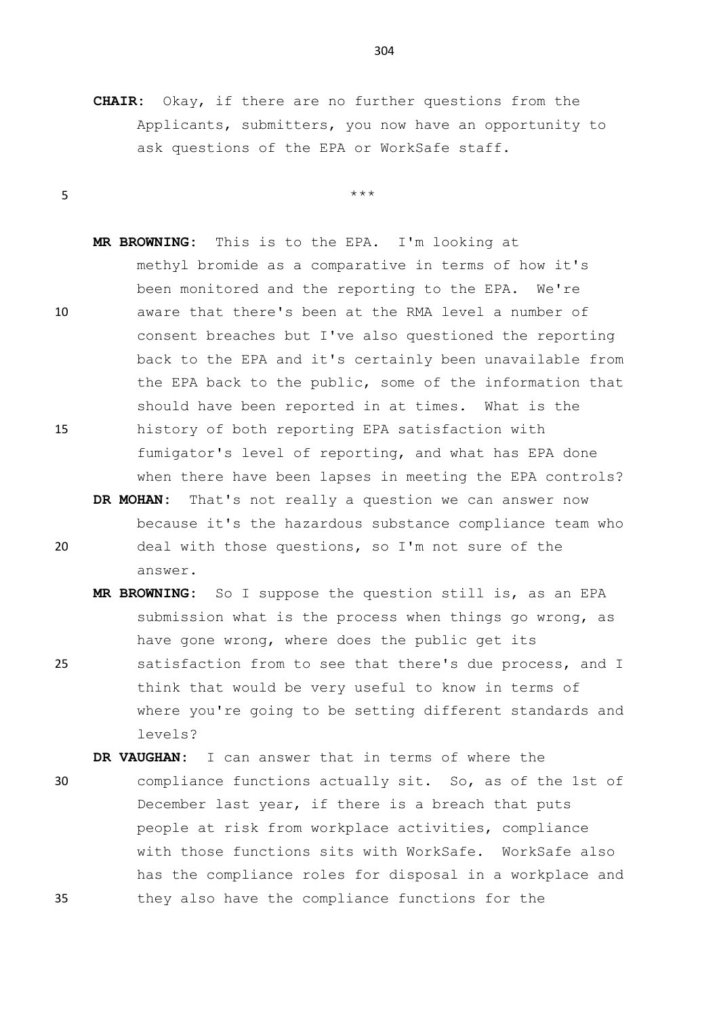$5$  \*\*\*

**CHAIR:** Okay, if there are no further questions from the Applicants, submitters, you now have an opportunity to ask questions of the EPA or WorkSafe staff.

**MR BROWNING:** This is to the EPA. I'm looking at methyl bromide as a comparative in terms of how it's been monitored and the reporting to the EPA. We're 10 aware that there's been at the RMA level a number of consent breaches but I've also questioned the reporting back to the EPA and it's certainly been unavailable from the EPA back to the public, some of the information that should have been reported in at times. What is the 15 history of both reporting EPA satisfaction with fumigator's level of reporting, and what has EPA done

**DR MOHAN:** That's not really a question we can answer now because it's the hazardous substance compliance team who 20 deal with those questions, so I'm not sure of the answer.

when there have been lapses in meeting the EPA controls?

- **MR BROWNING:** So I suppose the question still is, as an EPA submission what is the process when things go wrong, as have gone wrong, where does the public get its
- 25 satisfaction from to see that there's due process, and I think that would be very useful to know in terms of where you're going to be setting different standards and levels?

**DR VAUGHAN:** I can answer that in terms of where the

30 compliance functions actually sit. So, as of the 1st of December last year, if there is a breach that puts people at risk from workplace activities, compliance with those functions sits with WorkSafe. WorkSafe also has the compliance roles for disposal in a workplace and 35 they also have the compliance functions for the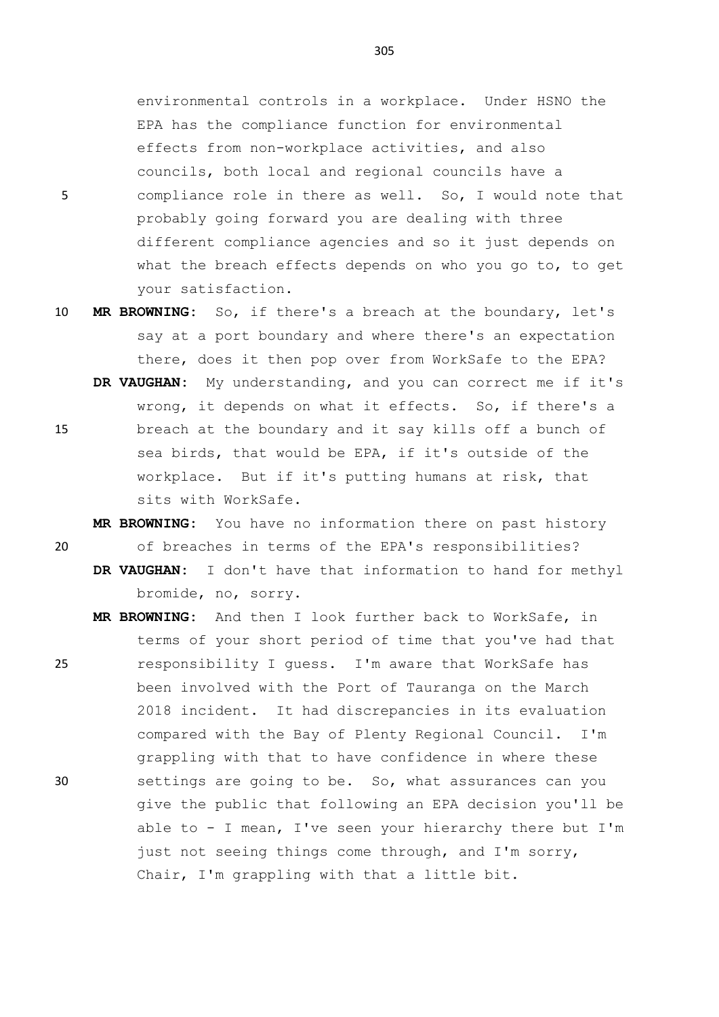environmental controls in a workplace. Under HSNO the EPA has the compliance function for environmental effects from non-workplace activities, and also councils, both local and regional councils have a 5 compliance role in there as well. So, I would note that

- probably going forward you are dealing with three different compliance agencies and so it just depends on what the breach effects depends on who you go to, to get your satisfaction.
- 10 **MR BROWNING:** So, if there's a breach at the boundary, let's say at a port boundary and where there's an expectation there, does it then pop over from WorkSafe to the EPA?
- **DR VAUGHAN:** My understanding, and you can correct me if it's wrong, it depends on what it effects. So, if there's a 15 breach at the boundary and it say kills off a bunch of sea birds, that would be EPA, if it's outside of the workplace. But if it's putting humans at risk, that sits with WorkSafe.

**MR BROWNING:** You have no information there on past history 20 of breaches in terms of the EPA's responsibilities?

- **DR VAUGHAN:** I don't have that information to hand for methyl bromide, no, sorry.
- **MR BROWNING:** And then I look further back to WorkSafe, in terms of your short period of time that you've had that 25 responsibility I guess. I'm aware that WorkSafe has been involved with the Port of Tauranga on the March 2018 incident. It had discrepancies in its evaluation compared with the Bay of Plenty Regional Council. I'm grappling with that to have confidence in where these 30 settings are going to be. So, what assurances can you give the public that following an EPA decision you'll be able to - I mean, I've seen your hierarchy there but I'm just not seeing things come through, and I'm sorry, Chair, I'm grappling with that a little bit.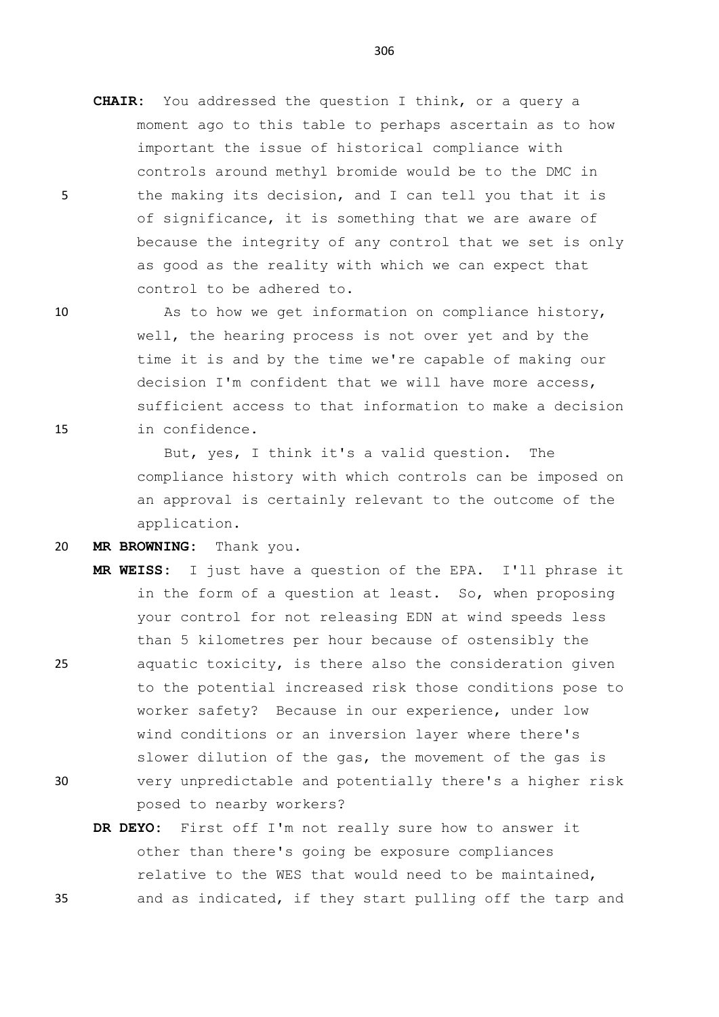**CHAIR:** You addressed the question I think, or a query a moment ago to this table to perhaps ascertain as to how important the issue of historical compliance with controls around methyl bromide would be to the DMC in 5 the making its decision, and I can tell you that it is of significance, it is something that we are aware of because the integrity of any control that we set is only as good as the reality with which we can expect that control to be adhered to.

10 As to how we get information on compliance history, well, the hearing process is not over yet and by the time it is and by the time we're capable of making our decision I'm confident that we will have more access, sufficient access to that information to make a decision 15 in confidence.

> But, yes, I think it's a valid question. The compliance history with which controls can be imposed on an approval is certainly relevant to the outcome of the application.

20 **MR BROWNING:** Thank you.

**MR WEISS:** I just have a question of the EPA. I'll phrase it in the form of a question at least. So, when proposing your control for not releasing EDN at wind speeds less than 5 kilometres per hour because of ostensibly the 25 aquatic toxicity, is there also the consideration given to the potential increased risk those conditions pose to worker safety? Because in our experience, under low wind conditions or an inversion layer where there's slower dilution of the gas, the movement of the gas is

- 30 very unpredictable and potentially there's a higher risk posed to nearby workers?
- **DR DEYO:** First off I'm not really sure how to answer it other than there's going be exposure compliances relative to the WES that would need to be maintained, 35 and as indicated, if they start pulling off the tarp and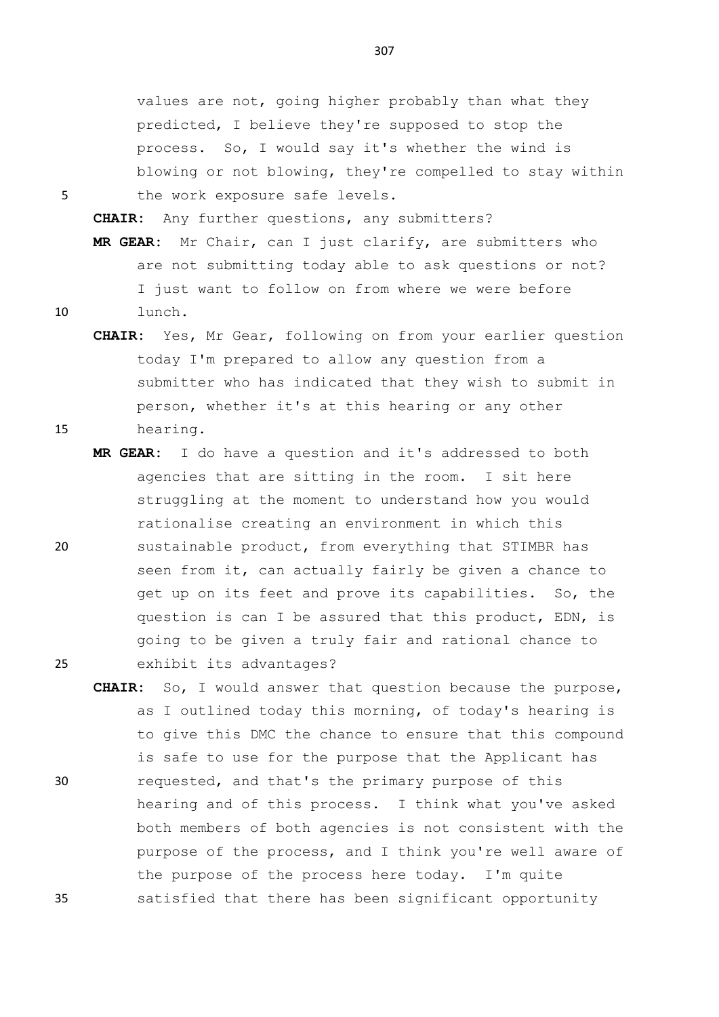values are not, going higher probably than what they predicted, I believe they're supposed to stop the process. So, I would say it's whether the wind is blowing or not blowing, they're compelled to stay within 5 the work exposure safe levels.

**CHAIR:** Any further questions, any submitters? **MR GEAR:** Mr Chair, can I just clarify, are submitters who are not submitting today able to ask questions or not? I just want to follow on from where we were before 10 lunch.

- **CHAIR:** Yes, Mr Gear, following on from your earlier question today I'm prepared to allow any question from a submitter who has indicated that they wish to submit in person, whether it's at this hearing or any other 15 hearing.
- **MR GEAR:** I do have a question and it's addressed to both agencies that are sitting in the room. I sit here struggling at the moment to understand how you would rationalise creating an environment in which this 20 sustainable product, from everything that STIMBR has seen from it, can actually fairly be given a chance to get up on its feet and prove its capabilities. So, the question is can I be assured that this product, EDN, is going to be given a truly fair and rational chance to 25 exhibit its advantages?
- **CHAIR:** So, I would answer that question because the purpose, as I outlined today this morning, of today's hearing is to give this DMC the chance to ensure that this compound is safe to use for the purpose that the Applicant has 30 requested, and that's the primary purpose of this hearing and of this process. I think what you've asked both members of both agencies is not consistent with the purpose of the process, and I think you're well aware of the purpose of the process here today. I'm quite 35 satisfied that there has been significant opportunity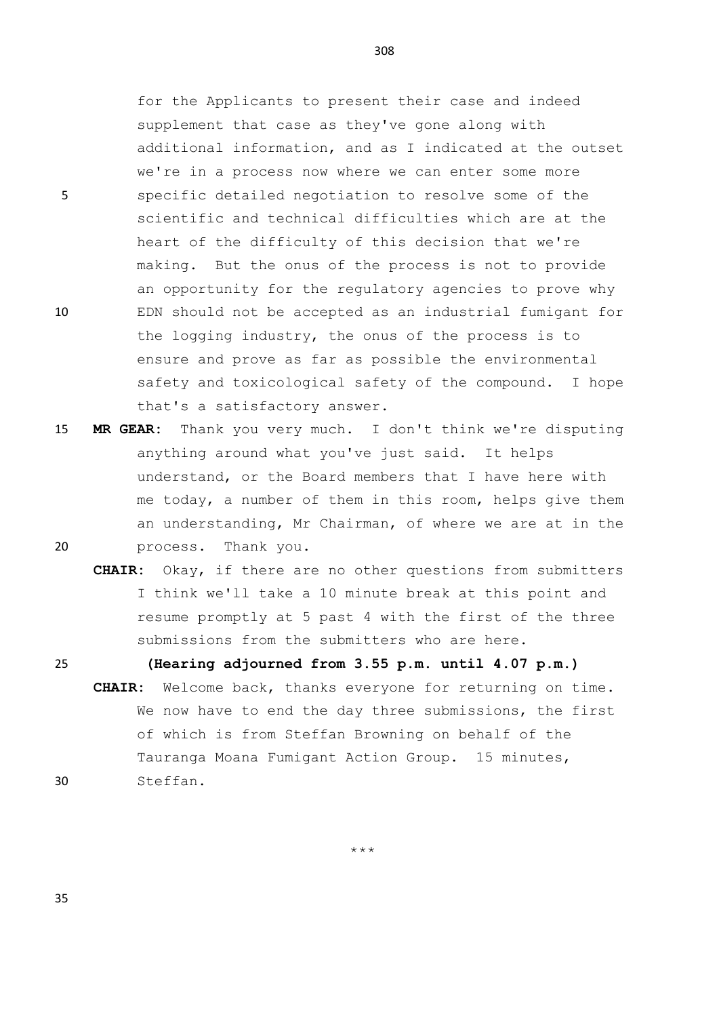for the Applicants to present their case and indeed supplement that case as they've gone along with additional information, and as I indicated at the outset we're in a process now where we can enter some more 5 specific detailed negotiation to resolve some of the scientific and technical difficulties which are at the heart of the difficulty of this decision that we're making. But the onus of the process is not to provide an opportunity for the regulatory agencies to prove why 10 EDN should not be accepted as an industrial fumigant for the logging industry, the onus of the process is to ensure and prove as far as possible the environmental safety and toxicological safety of the compound. I hope that's a satisfactory answer.

15 **MR GEAR:** Thank you very much. I don't think we're disputing anything around what you've just said. It helps understand, or the Board members that I have here with me today, a number of them in this room, helps give them an understanding, Mr Chairman, of where we are at in the 20 process. Thank you.

**CHAIR:** Okay, if there are no other questions from submitters I think we'll take a 10 minute break at this point and resume promptly at 5 past 4 with the first of the three submissions from the submitters who are here.

25 **(Hearing adjourned from 3.55 p.m. until 4.07 p.m.)** 

**CHAIR:** Welcome back, thanks everyone for returning on time. We now have to end the day three submissions, the first of which is from Steffan Browning on behalf of the Tauranga Moana Fumigant Action Group. 15 minutes, 30 Steffan.

\*\*\*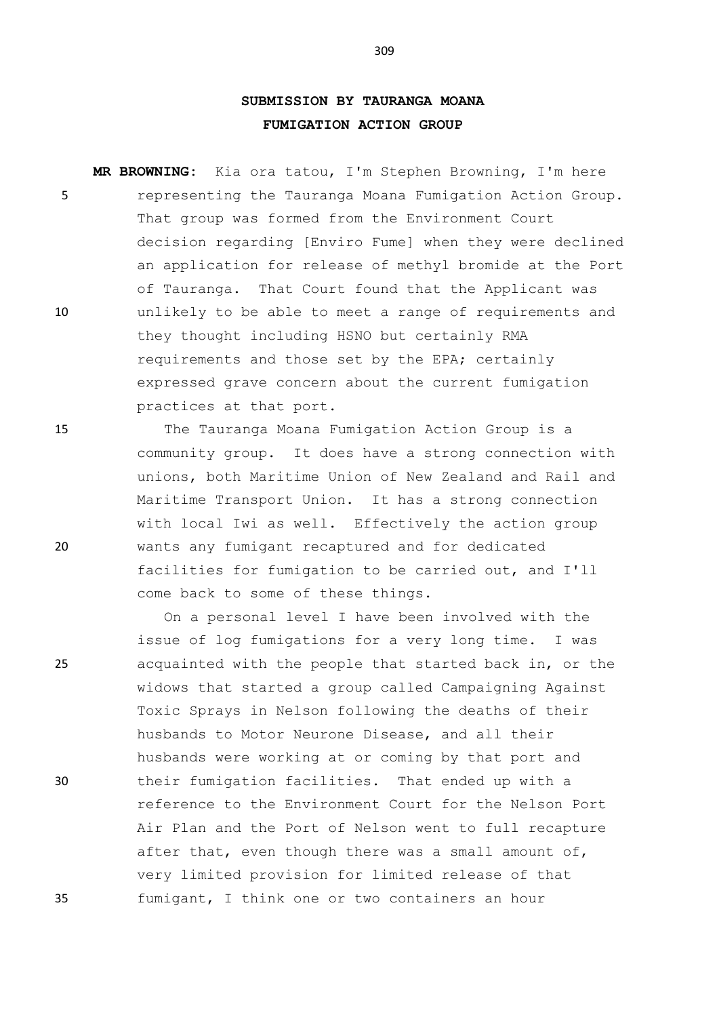## **SUBMISSION BY TAURANGA MOANA FUMIGATION ACTION GROUP**

**MR BROWNING:** Kia ora tatou, I'm Stephen Browning, I'm here 5 representing the Tauranga Moana Fumigation Action Group. That group was formed from the Environment Court decision regarding [Enviro Fume] when they were declined an application for release of methyl bromide at the Port of Tauranga. That Court found that the Applicant was 10 unlikely to be able to meet a range of requirements and they thought including HSNO but certainly RMA requirements and those set by the EPA; certainly expressed grave concern about the current fumigation practices at that port.

15 The Tauranga Moana Fumigation Action Group is a community group. It does have a strong connection with unions, both Maritime Union of New Zealand and Rail and Maritime Transport Union. It has a strong connection with local Iwi as well. Effectively the action group 20 wants any fumigant recaptured and for dedicated facilities for fumigation to be carried out, and I'll come back to some of these things.

On a personal level I have been involved with the issue of log fumigations for a very long time. I was 25 acquainted with the people that started back in, or the widows that started a group called Campaigning Against Toxic Sprays in Nelson following the deaths of their husbands to Motor Neurone Disease, and all their husbands were working at or coming by that port and 30 their fumigation facilities. That ended up with a reference to the Environment Court for the Nelson Port Air Plan and the Port of Nelson went to full recapture after that, even though there was a small amount of, very limited provision for limited release of that 35 fumigant, I think one or two containers an hour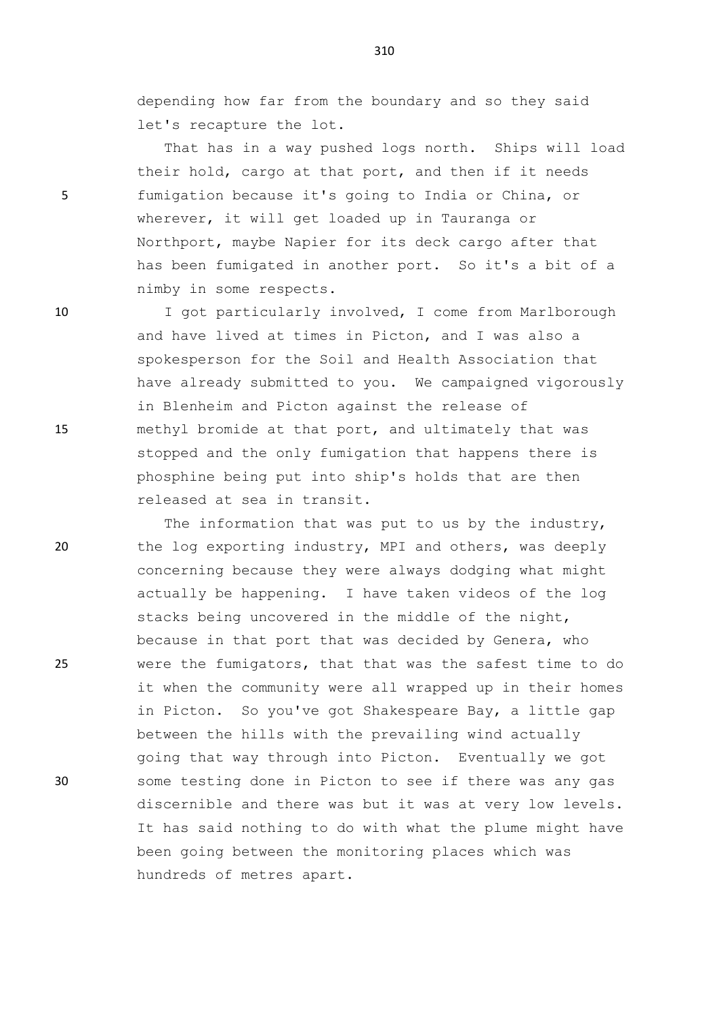depending how far from the boundary and so they said let's recapture the lot.

That has in a way pushed logs north. Ships will load their hold, cargo at that port, and then if it needs 5 fumigation because it's going to India or China, or wherever, it will get loaded up in Tauranga or Northport, maybe Napier for its deck cargo after that has been fumigated in another port. So it's a bit of a nimby in some respects.

10 I got particularly involved, I come from Marlborough and have lived at times in Picton, and I was also a spokesperson for the Soil and Health Association that have already submitted to you. We campaigned vigorously in Blenheim and Picton against the release of 15 methyl bromide at that port, and ultimately that was stopped and the only fumigation that happens there is phosphine being put into ship's holds that are then released at sea in transit.

The information that was put to us by the industry, 20 the log exporting industry, MPI and others, was deeply concerning because they were always dodging what might actually be happening. I have taken videos of the log stacks being uncovered in the middle of the night, because in that port that was decided by Genera, who 25 were the fumigators, that that was the safest time to do it when the community were all wrapped up in their homes in Picton. So you've got Shakespeare Bay, a little gap between the hills with the prevailing wind actually going that way through into Picton. Eventually we got 30 some testing done in Picton to see if there was any gas discernible and there was but it was at very low levels. It has said nothing to do with what the plume might have been going between the monitoring places which was hundreds of metres apart.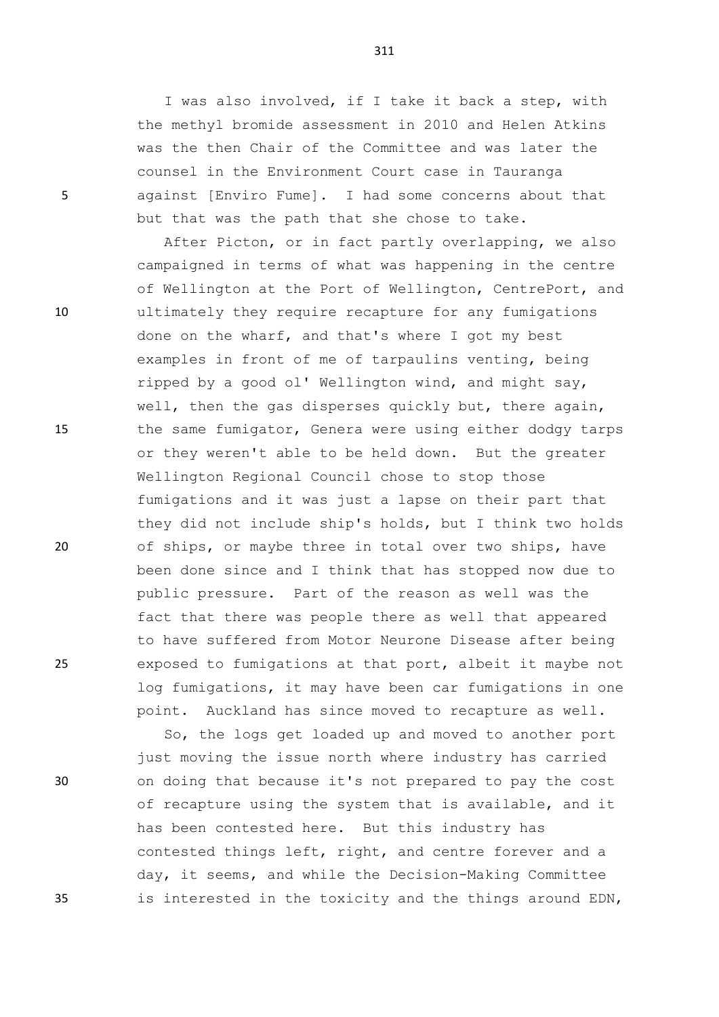I was also involved, if I take it back a step, with the methyl bromide assessment in 2010 and Helen Atkins was the then Chair of the Committee and was later the counsel in the Environment Court case in Tauranga 5 against [Enviro Fume]. I had some concerns about that but that was the path that she chose to take.

After Picton, or in fact partly overlapping, we also campaigned in terms of what was happening in the centre of Wellington at the Port of Wellington, CentrePort, and 10 ultimately they require recapture for any fumigations done on the wharf, and that's where I got my best examples in front of me of tarpaulins venting, being ripped by a good ol' Wellington wind, and might say, well, then the gas disperses quickly but, there again, 15 the same fumigator, Genera were using either dodgy tarps or they weren't able to be held down. But the greater Wellington Regional Council chose to stop those fumigations and it was just a lapse on their part that they did not include ship's holds, but I think two holds 20 of ships, or maybe three in total over two ships, have been done since and I think that has stopped now due to public pressure. Part of the reason as well was the fact that there was people there as well that appeared to have suffered from Motor Neurone Disease after being 25 exposed to fumigations at that port, albeit it maybe not log fumigations, it may have been car fumigations in one point. Auckland has since moved to recapture as well.

So, the logs get loaded up and moved to another port just moving the issue north where industry has carried 30 on doing that because it's not prepared to pay the cost of recapture using the system that is available, and it has been contested here. But this industry has contested things left, right, and centre forever and a day, it seems, and while the Decision-Making Committee 35 is interested in the toxicity and the things around EDN,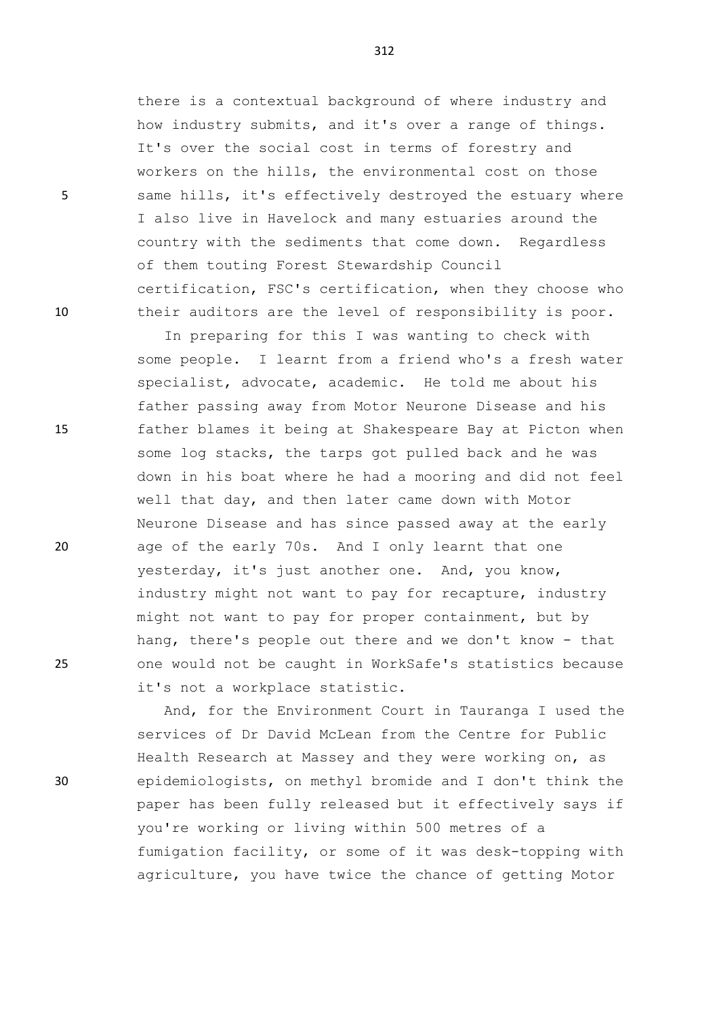there is a contextual background of where industry and how industry submits, and it's over a range of things. It's over the social cost in terms of forestry and workers on the hills, the environmental cost on those 5 same hills, it's effectively destroyed the estuary where I also live in Havelock and many estuaries around the country with the sediments that come down. Regardless of them touting Forest Stewardship Council certification, FSC's certification, when they choose who 10 their auditors are the level of responsibility is poor.

In preparing for this I was wanting to check with some people. I learnt from a friend who's a fresh water specialist, advocate, academic. He told me about his father passing away from Motor Neurone Disease and his 15 father blames it being at Shakespeare Bay at Picton when some log stacks, the tarps got pulled back and he was down in his boat where he had a mooring and did not feel well that day, and then later came down with Motor Neurone Disease and has since passed away at the early 20 age of the early 70s. And I only learnt that one yesterday, it's just another one. And, you know, industry might not want to pay for recapture, industry might not want to pay for proper containment, but by hang, there's people out there and we don't know - that 25 one would not be caught in WorkSafe's statistics because it's not a workplace statistic.

And, for the Environment Court in Tauranga I used the services of Dr David McLean from the Centre for Public Health Research at Massey and they were working on, as 30 epidemiologists, on methyl bromide and I don't think the paper has been fully released but it effectively says if you're working or living within 500 metres of a fumigation facility, or some of it was desk-topping with agriculture, you have twice the chance of getting Motor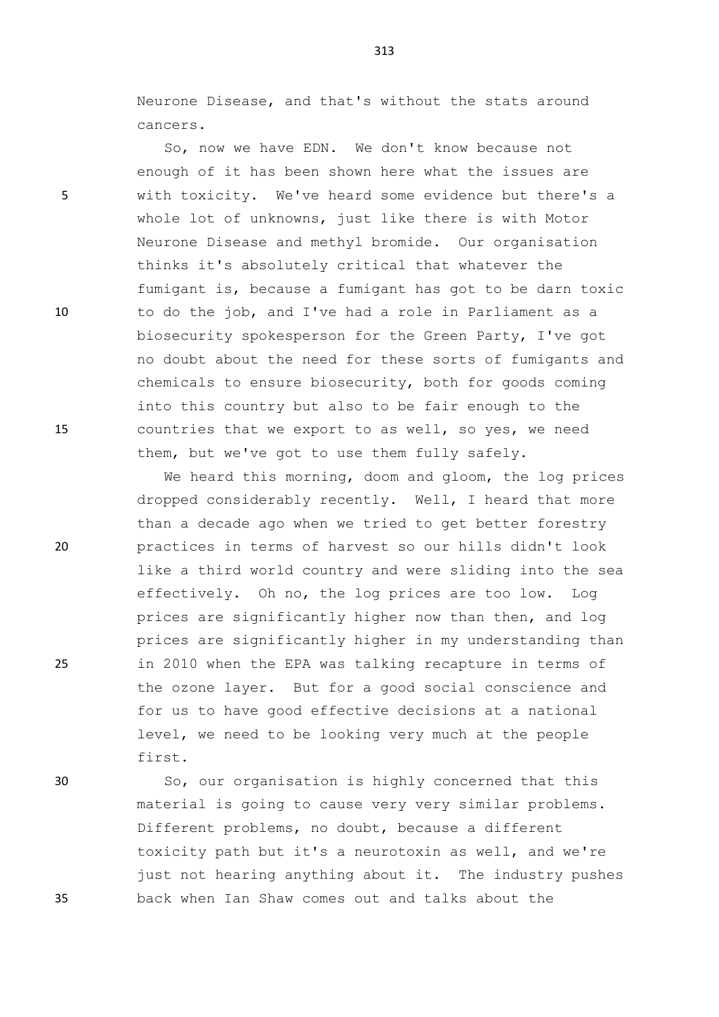Neurone Disease, and that's without the stats around cancers.

So, now we have EDN. We don't know because not enough of it has been shown here what the issues are 5 with toxicity. We've heard some evidence but there's a whole lot of unknowns, just like there is with Motor Neurone Disease and methyl bromide. Our organisation thinks it's absolutely critical that whatever the fumigant is, because a fumigant has got to be darn toxic 10 to do the job, and I've had a role in Parliament as a biosecurity spokesperson for the Green Party, I've got no doubt about the need for these sorts of fumigants and chemicals to ensure biosecurity, both for goods coming into this country but also to be fair enough to the 15 countries that we export to as well, so yes, we need them, but we've got to use them fully safely.

We heard this morning, doom and gloom, the log prices dropped considerably recently. Well, I heard that more than a decade ago when we tried to get better forestry 20 practices in terms of harvest so our hills didn't look like a third world country and were sliding into the sea effectively. Oh no, the log prices are too low. Log prices are significantly higher now than then, and log prices are significantly higher in my understanding than 25 in 2010 when the EPA was talking recapture in terms of the ozone layer. But for a good social conscience and for us to have good effective decisions at a national level, we need to be looking very much at the people first.

30 So, our organisation is highly concerned that this material is going to cause very very similar problems. Different problems, no doubt, because a different toxicity path but it's a neurotoxin as well, and we're just not hearing anything about it. The industry pushes 35 back when Ian Shaw comes out and talks about the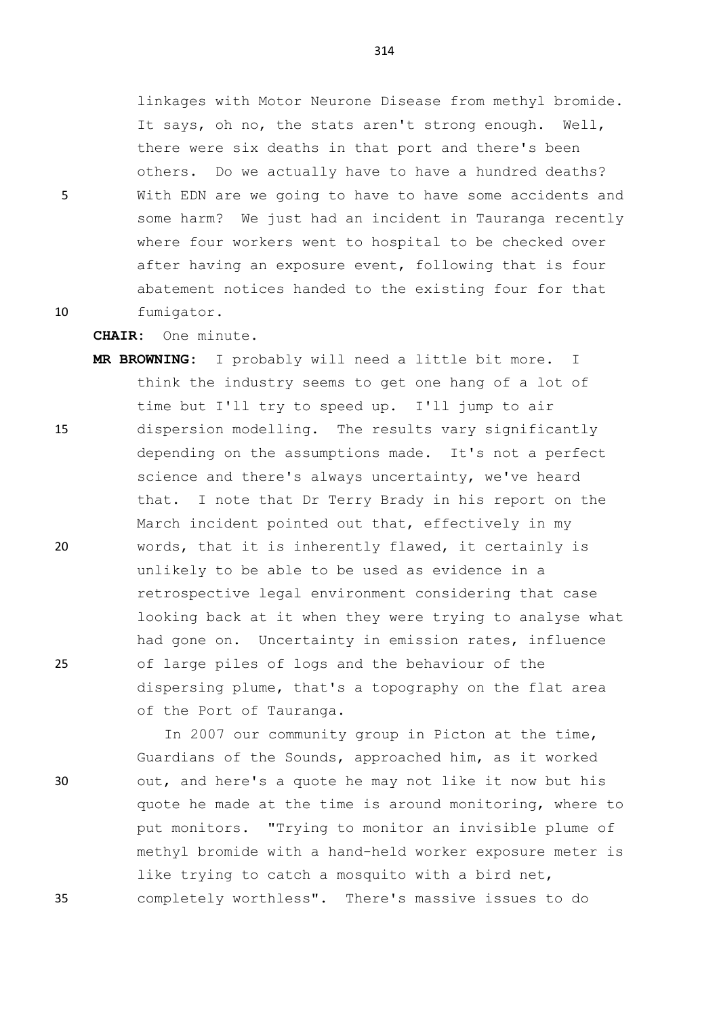linkages with Motor Neurone Disease from methyl bromide. It says, oh no, the stats aren't strong enough. Well, there were six deaths in that port and there's been others. Do we actually have to have a hundred deaths? 5 With EDN are we going to have to have some accidents and some harm? We just had an incident in Tauranga recently where four workers went to hospital to be checked over after having an exposure event, following that is four abatement notices handed to the existing four for that 10 fumigator.

**CHAIR:** One minute.

**MR BROWNING:** I probably will need a little bit more. I think the industry seems to get one hang of a lot of time but I'll try to speed up. I'll jump to air 15 dispersion modelling. The results vary significantly depending on the assumptions made. It's not a perfect science and there's always uncertainty, we've heard that. I note that Dr Terry Brady in his report on the March incident pointed out that, effectively in my 20 words, that it is inherently flawed, it certainly is unlikely to be able to be used as evidence in a retrospective legal environment considering that case looking back at it when they were trying to analyse what had gone on. Uncertainty in emission rates, influence 25 of large piles of logs and the behaviour of the dispersing plume, that's a topography on the flat area of the Port of Tauranga.

In 2007 our community group in Picton at the time, Guardians of the Sounds, approached him, as it worked 30 out, and here's a quote he may not like it now but his quote he made at the time is around monitoring, where to put monitors. "Trying to monitor an invisible plume of methyl bromide with a hand-held worker exposure meter is like trying to catch a mosquito with a bird net, 35 completely worthless". There's massive issues to do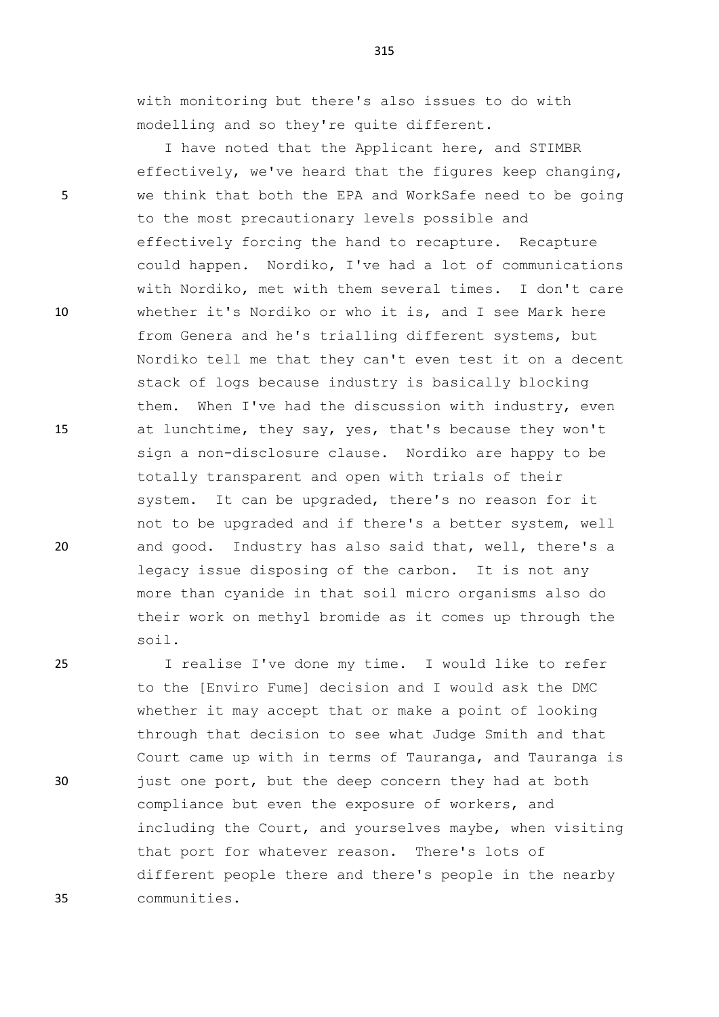with monitoring but there's also issues to do with modelling and so they're quite different.

I have noted that the Applicant here, and STIMBR effectively, we've heard that the figures keep changing, 5 we think that both the EPA and WorkSafe need to be going to the most precautionary levels possible and effectively forcing the hand to recapture. Recapture could happen. Nordiko, I've had a lot of communications with Nordiko, met with them several times. I don't care 10 whether it's Nordiko or who it is, and I see Mark here from Genera and he's trialling different systems, but Nordiko tell me that they can't even test it on a decent stack of logs because industry is basically blocking them. When I've had the discussion with industry, even 15 at lunchtime, they say, yes, that's because they won't sign a non-disclosure clause. Nordiko are happy to be totally transparent and open with trials of their system. It can be upgraded, there's no reason for it not to be upgraded and if there's a better system, well 20 and good. Industry has also said that, well, there's a legacy issue disposing of the carbon. It is not any more than cyanide in that soil micro organisms also do their work on methyl bromide as it comes up through the soil.

25 I realise I've done my time. I would like to refer to the [Enviro Fume] decision and I would ask the DMC whether it may accept that or make a point of looking through that decision to see what Judge Smith and that Court came up with in terms of Tauranga, and Tauranga is 30 just one port, but the deep concern they had at both compliance but even the exposure of workers, and including the Court, and yourselves maybe, when visiting that port for whatever reason. There's lots of different people there and there's people in the nearby 35 communities.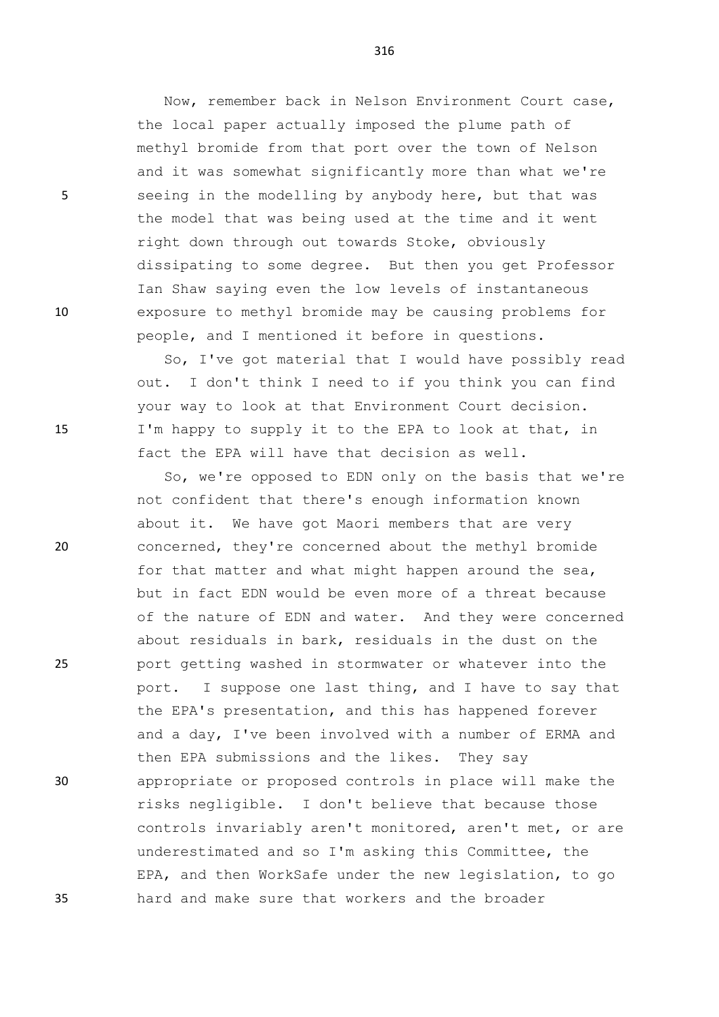Now, remember back in Nelson Environment Court case, the local paper actually imposed the plume path of methyl bromide from that port over the town of Nelson and it was somewhat significantly more than what we're 5 seeing in the modelling by anybody here, but that was the model that was being used at the time and it went right down through out towards Stoke, obviously dissipating to some degree. But then you get Professor Ian Shaw saying even the low levels of instantaneous 10 exposure to methyl bromide may be causing problems for people, and I mentioned it before in questions.

So, I've got material that I would have possibly read out. I don't think I need to if you think you can find your way to look at that Environment Court decision. 15 I'm happy to supply it to the EPA to look at that, in fact the EPA will have that decision as well.

So, we're opposed to EDN only on the basis that we're not confident that there's enough information known about it. We have got Maori members that are very 20 concerned, they're concerned about the methyl bromide for that matter and what might happen around the sea, but in fact EDN would be even more of a threat because of the nature of EDN and water. And they were concerned about residuals in bark, residuals in the dust on the 25 port getting washed in stormwater or whatever into the port. I suppose one last thing, and I have to say that the EPA's presentation, and this has happened forever and a day, I've been involved with a number of ERMA and then EPA submissions and the likes. They say 30 appropriate or proposed controls in place will make the risks negligible. I don't believe that because those controls invariably aren't monitored, aren't met, or are underestimated and so I'm asking this Committee, the EPA, and then WorkSafe under the new legislation, to go 35 hard and make sure that workers and the broader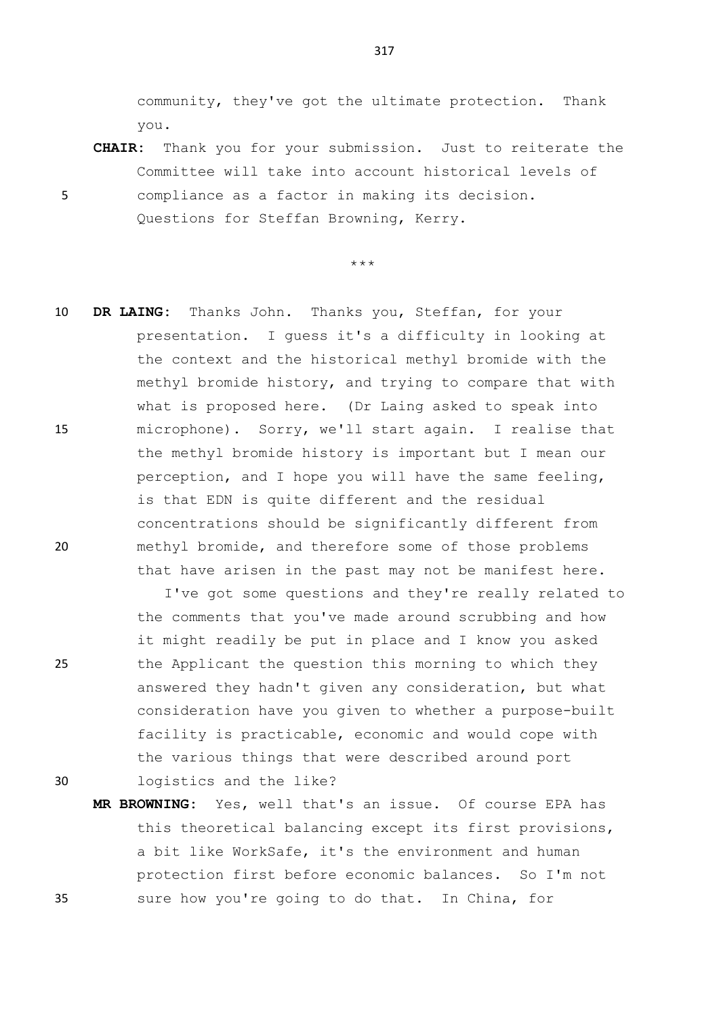community, they've got the ultimate protection. Thank you.

**CHAIR:** Thank you for your submission. Just to reiterate the Committee will take into account historical levels of 5 compliance as a factor in making its decision. Questions for Steffan Browning, Kerry.

## \*\*\*

10 **DR LAING:** Thanks John. Thanks you, Steffan, for your presentation. I guess it's a difficulty in looking at the context and the historical methyl bromide with the methyl bromide history, and trying to compare that with what is proposed here. (Dr Laing asked to speak into 15 microphone). Sorry, we'll start again. I realise that the methyl bromide history is important but I mean our perception, and I hope you will have the same feeling, is that EDN is quite different and the residual concentrations should be significantly different from 20 methyl bromide, and therefore some of those problems that have arisen in the past may not be manifest here.

I've got some questions and they're really related to the comments that you've made around scrubbing and how it might readily be put in place and I know you asked 25 the Applicant the question this morning to which they answered they hadn't given any consideration, but what consideration have you given to whether a purpose-built facility is practicable, economic and would cope with the various things that were described around port 30 logistics and the like?

**MR BROWNING:** Yes, well that's an issue. Of course EPA has this theoretical balancing except its first provisions, a bit like WorkSafe, it's the environment and human protection first before economic balances. So I'm not 35 sure how you're going to do that. In China, for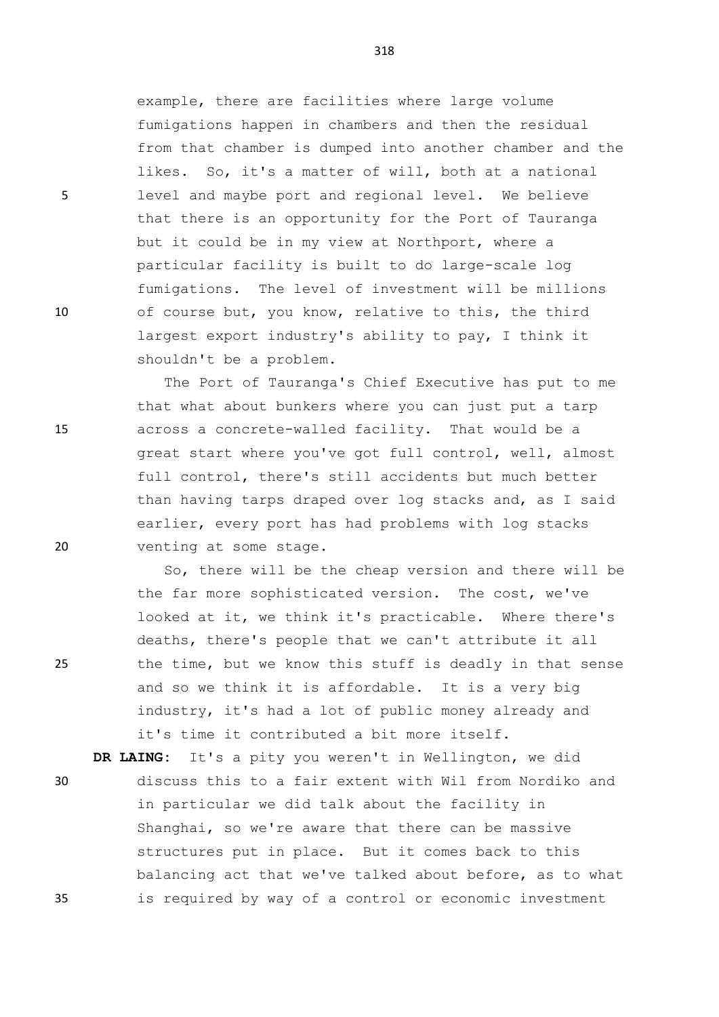example, there are facilities where large volume fumigations happen in chambers and then the residual from that chamber is dumped into another chamber and the likes. So, it's a matter of will, both at a national 5 level and maybe port and regional level. We believe that there is an opportunity for the Port of Tauranga but it could be in my view at Northport, where a particular facility is built to do large-scale log fumigations. The level of investment will be millions 10 of course but, you know, relative to this, the third largest export industry's ability to pay, I think it shouldn't be a problem.

The Port of Tauranga's Chief Executive has put to me that what about bunkers where you can just put a tarp 15 across a concrete-walled facility. That would be a great start where you've got full control, well, almost full control, there's still accidents but much better than having tarps draped over log stacks and, as I said earlier, every port has had problems with log stacks 20 venting at some stage.

So, there will be the cheap version and there will be the far more sophisticated version. The cost, we've looked at it, we think it's practicable. Where there's deaths, there's people that we can't attribute it all 25 the time, but we know this stuff is deadly in that sense and so we think it is affordable. It is a very big industry, it's had a lot of public money already and it's time it contributed a bit more itself.

**DR LAING:** It's a pity you weren't in Wellington, we did

30 discuss this to a fair extent with Wil from Nordiko and in particular we did talk about the facility in Shanghai, so we're aware that there can be massive structures put in place. But it comes back to this balancing act that we've talked about before, as to what 35 is required by way of a control or economic investment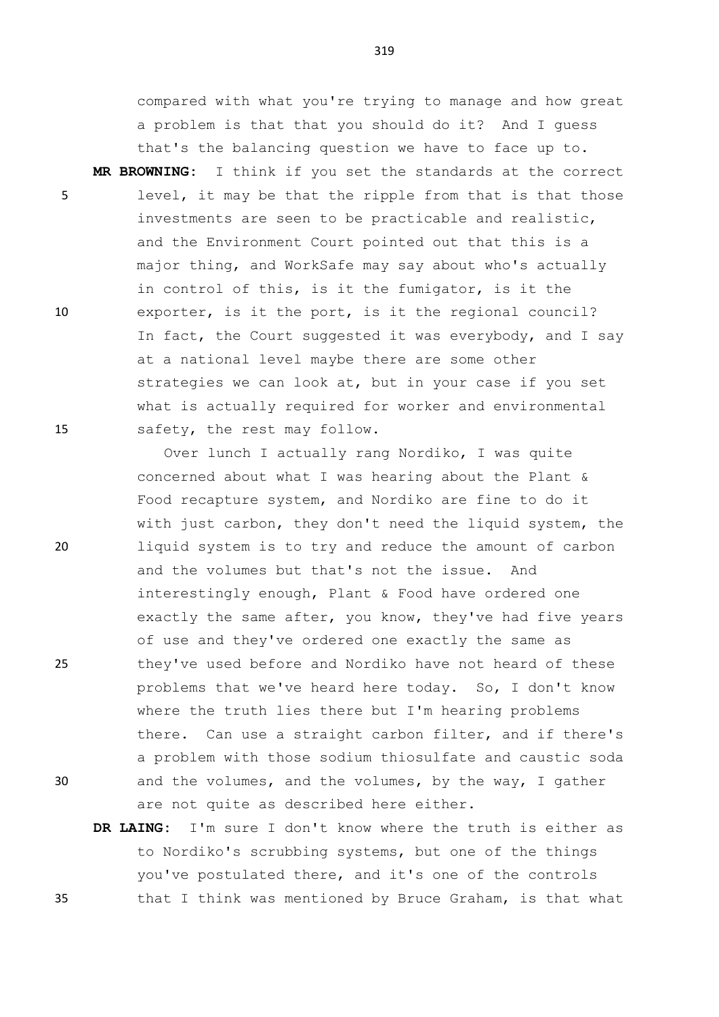compared with what you're trying to manage and how great a problem is that that you should do it? And I guess that's the balancing question we have to face up to. **MR BROWNING:** I think if you set the standards at the correct 5 level, it may be that the ripple from that is that those

investments are seen to be practicable and realistic, and the Environment Court pointed out that this is a major thing, and WorkSafe may say about who's actually in control of this, is it the fumigator, is it the 10 exporter, is it the port, is it the regional council? In fact, the Court suggested it was everybody, and I say at a national level maybe there are some other strategies we can look at, but in your case if you set what is actually required for worker and environmental 15 safety, the rest may follow.

Over lunch I actually rang Nordiko, I was quite concerned about what I was hearing about the Plant & Food recapture system, and Nordiko are fine to do it with just carbon, they don't need the liquid system, the 20 liquid system is to try and reduce the amount of carbon and the volumes but that's not the issue. And interestingly enough, Plant & Food have ordered one exactly the same after, you know, they've had five years of use and they've ordered one exactly the same as 25 they've used before and Nordiko have not heard of these problems that we've heard here today. So, I don't know where the truth lies there but I'm hearing problems there. Can use a straight carbon filter, and if there's a problem with those sodium thiosulfate and caustic soda 30 and the volumes, and the volumes, by the way, I gather are not quite as described here either.

**DR LAING:** I'm sure I don't know where the truth is either as to Nordiko's scrubbing systems, but one of the things you've postulated there, and it's one of the controls 35 that I think was mentioned by Bruce Graham, is that what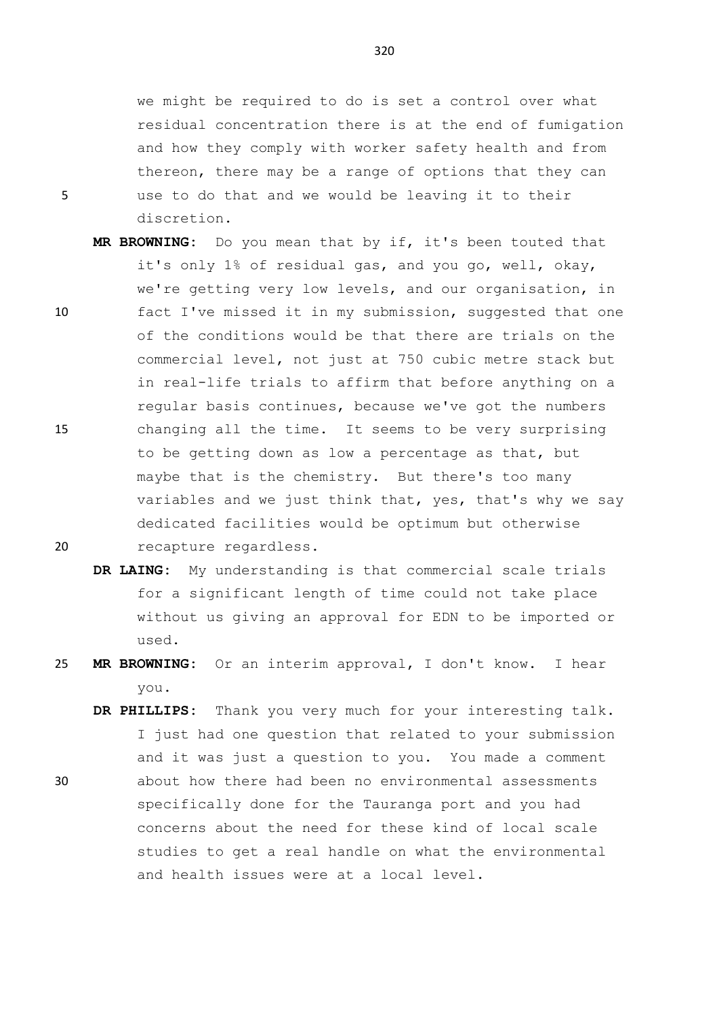we might be required to do is set a control over what residual concentration there is at the end of fumigation and how they comply with worker safety health and from thereon, there may be a range of options that they can 5 use to do that and we would be leaving it to their discretion.

- **MR BROWNING:** Do you mean that by if, it's been touted that it's only 1% of residual gas, and you go, well, okay, we're getting very low levels, and our organisation, in 10 fact I've missed it in my submission, suggested that one of the conditions would be that there are trials on the commercial level, not just at 750 cubic metre stack but in real-life trials to affirm that before anything on a regular basis continues, because we've got the numbers 15 changing all the time. It seems to be very surprising to be getting down as low a percentage as that, but maybe that is the chemistry. But there's too many variables and we just think that, yes, that's why we say dedicated facilities would be optimum but otherwise 20 recapture regardless.
	- **DR LAING:** My understanding is that commercial scale trials for a significant length of time could not take place without us giving an approval for EDN to be imported or used.
- 25 **MR BROWNING:** Or an interim approval, I don't know. I hear you.
- **DR PHILLIPS:** Thank you very much for your interesting talk. I just had one question that related to your submission and it was just a question to you. You made a comment 30 about how there had been no environmental assessments specifically done for the Tauranga port and you had concerns about the need for these kind of local scale studies to get a real handle on what the environmental and health issues were at a local level.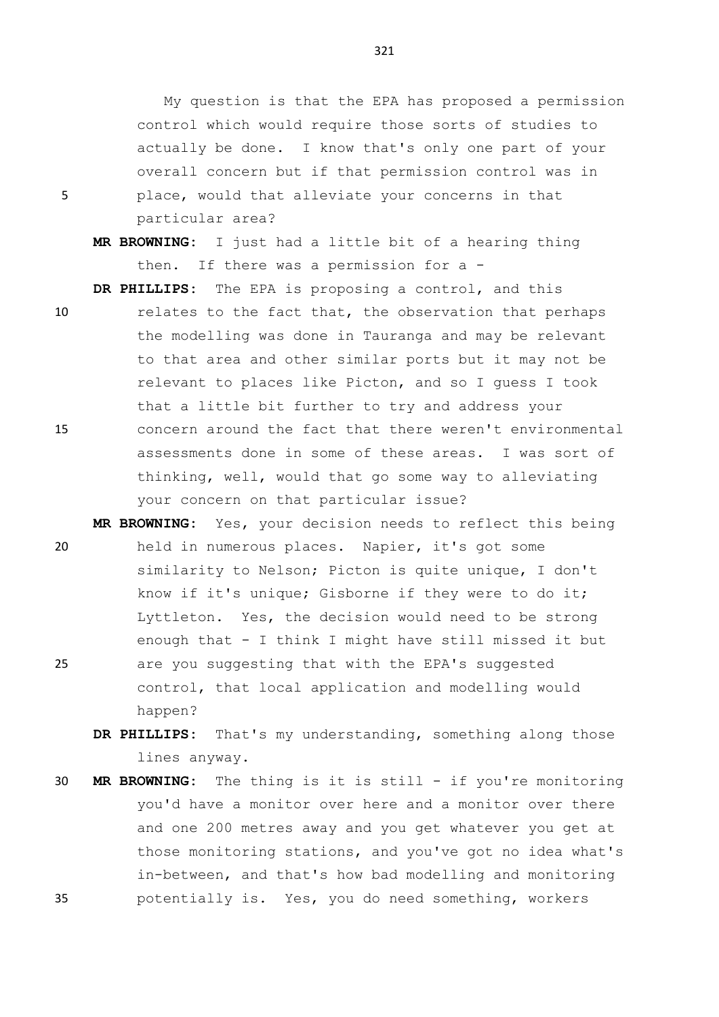My question is that the EPA has proposed a permission control which would require those sorts of studies to actually be done. I know that's only one part of your overall concern but if that permission control was in 5 place, would that alleviate your concerns in that particular area?

**MR BROWNING:** I just had a little bit of a hearing thing then. If there was a permission for a -

**DR PHILLIPS:** The EPA is proposing a control, and this

- 10 relates to the fact that, the observation that perhaps the modelling was done in Tauranga and may be relevant to that area and other similar ports but it may not be relevant to places like Picton, and so I guess I took that a little bit further to try and address your 15 concern around the fact that there weren't environmental assessments done in some of these areas. I was sort of thinking, well, would that go some way to alleviating your concern on that particular issue?
- **MR BROWNING:** Yes, your decision needs to reflect this being 20 held in numerous places. Napier, it's got some similarity to Nelson; Picton is quite unique, I don't know if it's unique; Gisborne if they were to do it; Lyttleton. Yes, the decision would need to be strong enough that - I think I might have still missed it but 25 are you suggesting that with the EPA's suggested control, that local application and modelling would happen?
	- **DR PHILLIPS:** That's my understanding, something along those lines anyway.
- 30 **MR BROWNING:** The thing is it is still if you're monitoring you'd have a monitor over here and a monitor over there and one 200 metres away and you get whatever you get at those monitoring stations, and you've got no idea what's in-between, and that's how bad modelling and monitoring 35 potentially is. Yes, you do need something, workers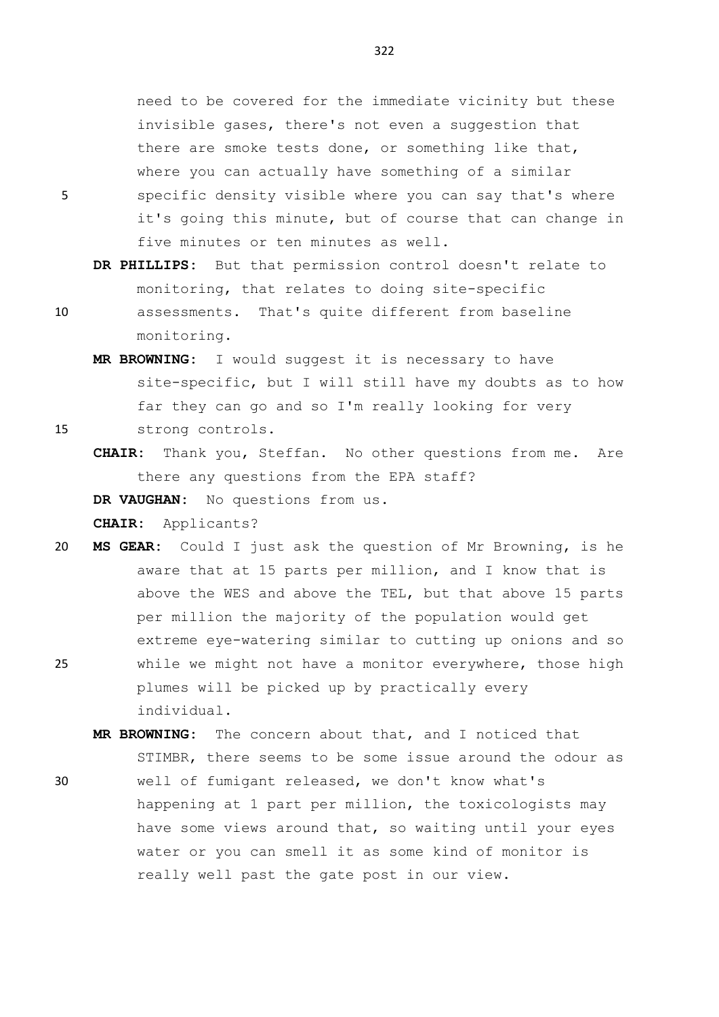need to be covered for the immediate vicinity but these invisible gases, there's not even a suggestion that there are smoke tests done, or something like that, where you can actually have something of a similar 5 specific density visible where you can say that's where it's going this minute, but of course that can change in five minutes or ten minutes as well.

- **DR PHILLIPS:** But that permission control doesn't relate to monitoring, that relates to doing site-specific
- 10 assessments. That's quite different from baseline monitoring.
- **MR BROWNING:** I would suggest it is necessary to have site-specific, but I will still have my doubts as to how far they can go and so I'm really looking for very 15 strong controls.
	- **CHAIR:** Thank you, Steffan. No other questions from me. Are there any questions from the EPA staff?

**DR VAUGHAN:** No questions from us.

**CHAIR:** Applicants?

- 20 **MS GEAR:** Could I just ask the question of Mr Browning, is he aware that at 15 parts per million, and I know that is above the WES and above the TEL, but that above 15 parts per million the majority of the population would get extreme eye-watering similar to cutting up onions and so 25 while we might not have a monitor everywhere, those high plumes will be picked up by practically every individual.
- **MR BROWNING:** The concern about that, and I noticed that STIMBR, there seems to be some issue around the odour as 30 well of fumigant released, we don't know what's happening at 1 part per million, the toxicologists may have some views around that, so waiting until your eyes water or you can smell it as some kind of monitor is really well past the gate post in our view.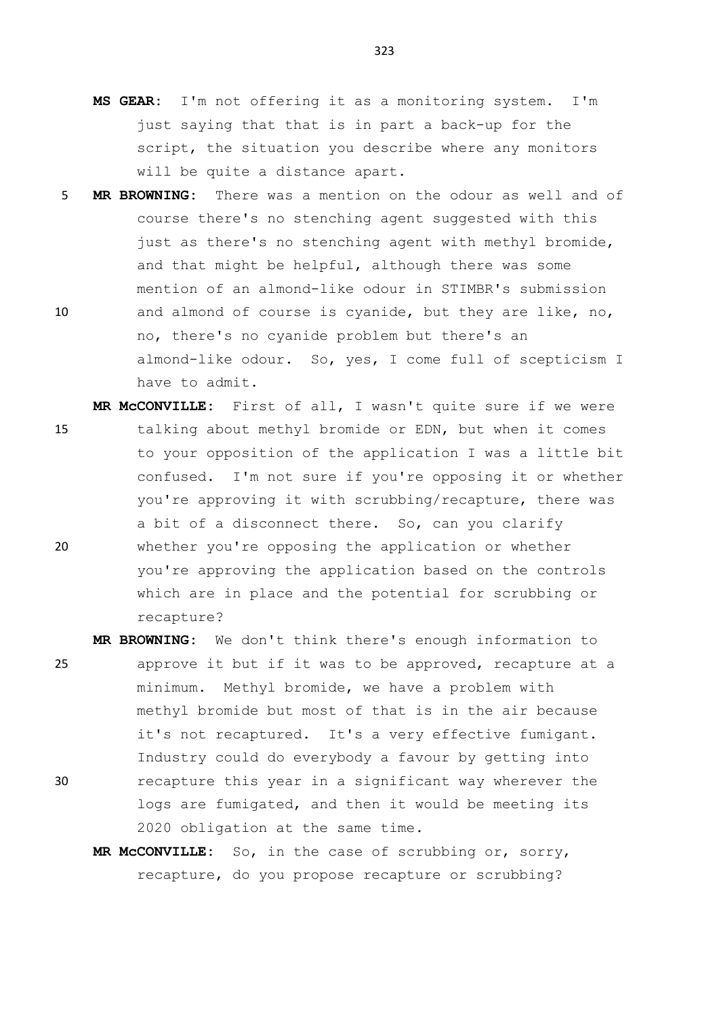- **MS GEAR:** I'm not offering it as a monitoring system. I'm just saying that that is in part a back-up for the script, the situation you describe where any monitors will be quite a distance apart.
- 5 **MR BROWNING:** There was a mention on the odour as well and of course there's no stenching agent suggested with this just as there's no stenching agent with methyl bromide, and that might be helpful, although there was some mention of an almond-like odour in STIMBR's submission 10 and almond of course is cyanide, but they are like, no, no, there's no cyanide problem but there's an almond-like odour. So, yes, I come full of scepticism I have to admit.
- **MR McCONVILLE:** First of all, I wasn't quite sure if we were 15 talking about methyl bromide or EDN, but when it comes to your opposition of the application I was a little bit confused. I'm not sure if you're opposing it or whether you're approving it with scrubbing/recapture, there was a bit of a disconnect there. So, can you clarify 20 whether you're opposing the application or whether you're approving the application based on the controls which are in place and the potential for scrubbing or recapture?
- **MR BROWNING:** We don't think there's enough information to 25 approve it but if it was to be approved, recapture at a minimum. Methyl bromide, we have a problem with methyl bromide but most of that is in the air because it's not recaptured. It's a very effective fumigant. Industry could do everybody a favour by getting into 30 recapture this year in a significant way wherever the logs are fumigated, and then it would be meeting its 2020 obligation at the same time.
	- **MR McCONVILLE:** So, in the case of scrubbing or, sorry, recapture, do you propose recapture or scrubbing?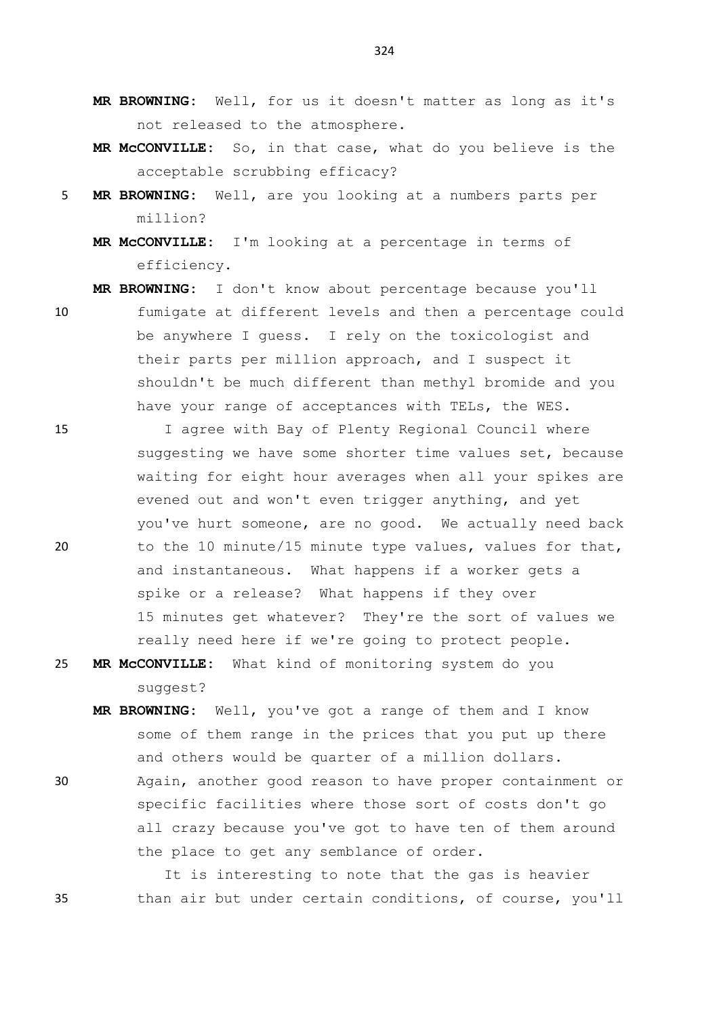- **MR BROWNING:** Well, for us it doesn't matter as long as it's not released to the atmosphere.
- **MR McCONVILLE:** So, in that case, what do you believe is the acceptable scrubbing efficacy?
- 5 **MR BROWNING:** Well, are you looking at a numbers parts per million?
	- **MR McCONVILLE:** I'm looking at a percentage in terms of efficiency.

**MR BROWNING:** I don't know about percentage because you'll

- 10 fumigate at different levels and then a percentage could be anywhere I guess. I rely on the toxicologist and their parts per million approach, and I suspect it shouldn't be much different than methyl bromide and you have your range of acceptances with TELs, the WES.
- 15 I agree with Bay of Plenty Regional Council where suggesting we have some shorter time values set, because waiting for eight hour averages when all your spikes are evened out and won't even trigger anything, and yet you've hurt someone, are no good. We actually need back 20 to the 10 minute/15 minute type values, values for that, and instantaneous. What happens if a worker gets a spike or a release? What happens if they over 15 minutes get whatever? They're the sort of values we really need here if we're going to protect people.
- 25 **MR McCONVILLE:** What kind of monitoring system do you suggest?
	- **MR BROWNING:** Well, you've got a range of them and I know some of them range in the prices that you put up there and others would be quarter of a million dollars.
- 30 Again, another good reason to have proper containment or specific facilities where those sort of costs don't go all crazy because you've got to have ten of them around the place to get any semblance of order.

It is interesting to note that the gas is heavier 35 than air but under certain conditions, of course, you'll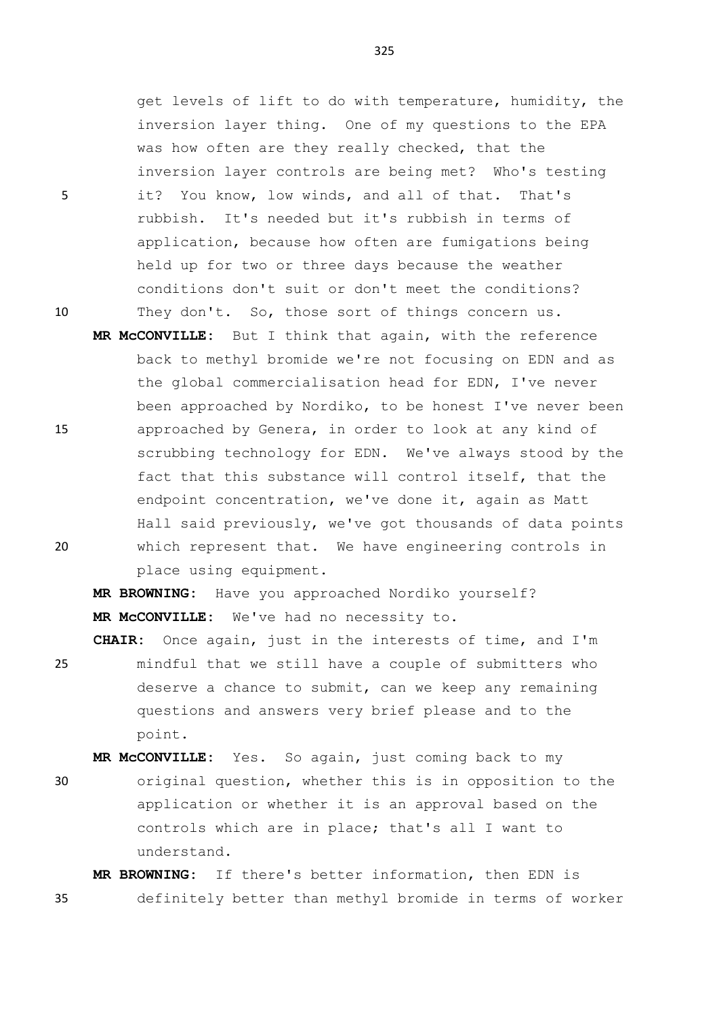get levels of lift to do with temperature, humidity, the inversion layer thing. One of my questions to the EPA was how often are they really checked, that the inversion layer controls are being met? Who's testing 5 it? You know, low winds, and all of that. That's rubbish. It's needed but it's rubbish in terms of application, because how often are fumigations being held up for two or three days because the weather conditions don't suit or don't meet the conditions? 10 They don't. So, those sort of things concern us.

**MR McCONVILLE:** But I think that again, with the reference back to methyl bromide we're not focusing on EDN and as the global commercialisation head for EDN, I've never been approached by Nordiko, to be honest I've never been 15 approached by Genera, in order to look at any kind of scrubbing technology for EDN. We've always stood by the fact that this substance will control itself, that the endpoint concentration, we've done it, again as Matt Hall said previously, we've got thousands of data points 20 which represent that. We have engineering controls in place using equipment.

**MR BROWNING:** Have you approached Nordiko yourself? **MR McCONVILLE:** We've had no necessity to.

**CHAIR:** Once again, just in the interests of time, and I'm 25 mindful that we still have a couple of submitters who deserve a chance to submit, can we keep any remaining questions and answers very brief please and to the point.

**MR McCONVILLE:** Yes. So again, just coming back to my

30 original question, whether this is in opposition to the application or whether it is an approval based on the controls which are in place; that's all I want to understand.

**MR BROWNING:** If there's better information, then EDN is 35 definitely better than methyl bromide in terms of worker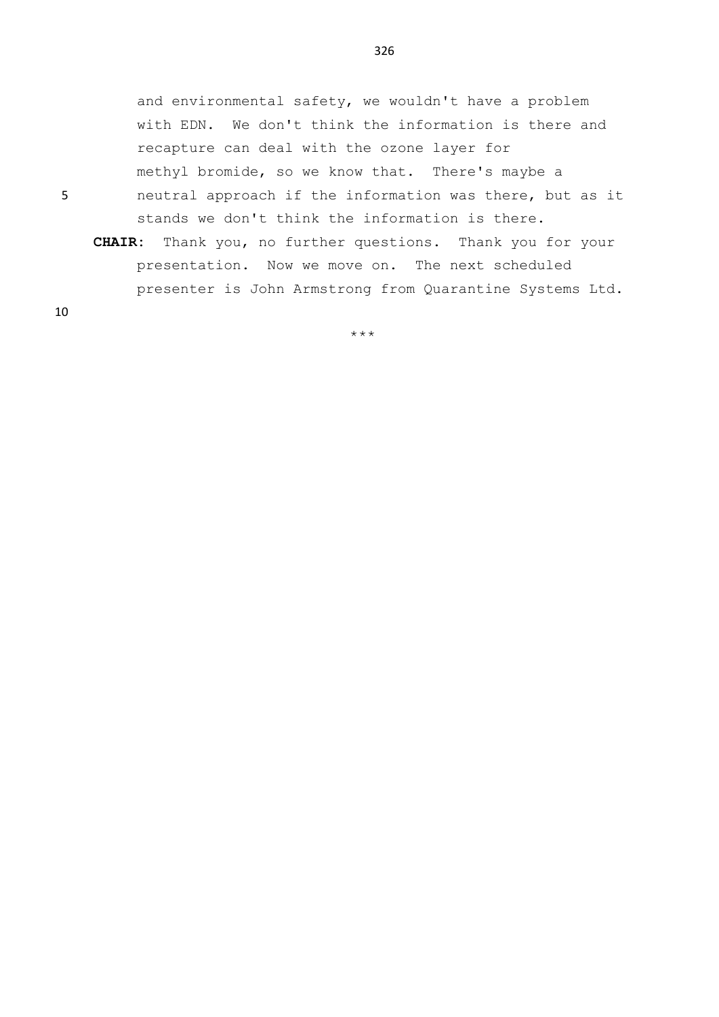and environmental safety, we wouldn't have a problem with EDN. We don't think the information is there and recapture can deal with the ozone layer for methyl bromide, so we know that. There's maybe a 5 neutral approach if the information was there, but as it

- stands we don't think the information is there.
- **CHAIR:** Thank you, no further questions. Thank you for your presentation. Now we move on. The next scheduled presenter is John Armstrong from Quarantine Systems Ltd.

10

\*\*\*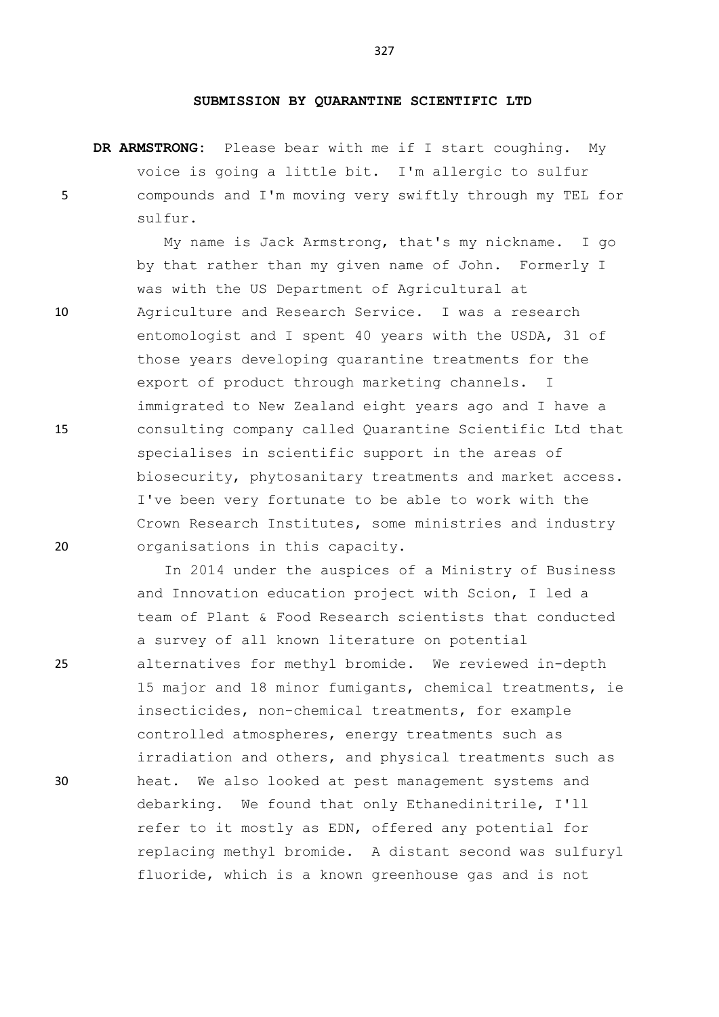#### **SUBMISSION BY QUARANTINE SCIENTIFIC LTD**

**DR ARMSTRONG:** Please bear with me if I start coughing. My voice is going a little bit. I'm allergic to sulfur 5 compounds and I'm moving very swiftly through my TEL for sulfur.

My name is Jack Armstrong, that's my nickname. I go by that rather than my given name of John. Formerly I was with the US Department of Agricultural at 10 Agriculture and Research Service. I was a research entomologist and I spent 40 years with the USDA, 31 of those years developing quarantine treatments for the export of product through marketing channels. I immigrated to New Zealand eight years ago and I have a 15 consulting company called Quarantine Scientific Ltd that specialises in scientific support in the areas of biosecurity, phytosanitary treatments and market access. I've been very fortunate to be able to work with the Crown Research Institutes, some ministries and industry 20 organisations in this capacity.

In 2014 under the auspices of a Ministry of Business and Innovation education project with Scion, I led a team of Plant & Food Research scientists that conducted a survey of all known literature on potential 25 alternatives for methyl bromide. We reviewed in-depth 15 major and 18 minor fumigants, chemical treatments, ie insecticides, non-chemical treatments, for example controlled atmospheres, energy treatments such as irradiation and others, and physical treatments such as 30 heat. We also looked at pest management systems and debarking. We found that only Ethanedinitrile, I'll refer to it mostly as EDN, offered any potential for replacing methyl bromide. A distant second was sulfuryl fluoride, which is a known greenhouse gas and is not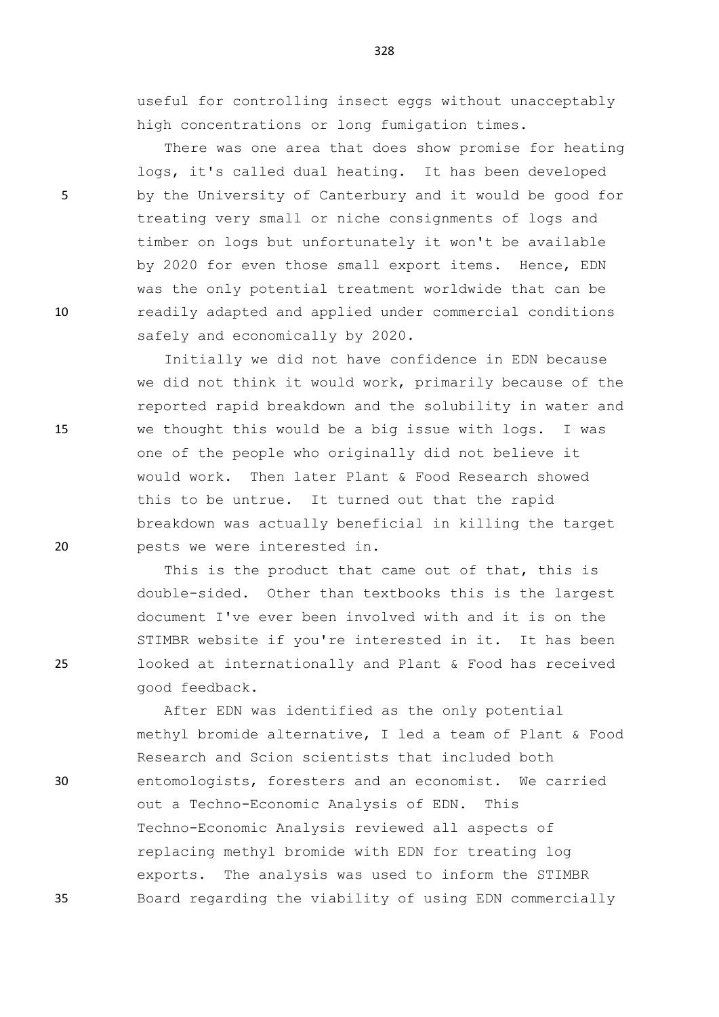useful for controlling insect eggs without unacceptably high concentrations or long fumigation times.

There was one area that does show promise for heating logs, it's called dual heating. It has been developed 5 by the University of Canterbury and it would be good for treating very small or niche consignments of logs and timber on logs but unfortunately it won't be available by 2020 for even those small export items. Hence, EDN was the only potential treatment worldwide that can be 10 readily adapted and applied under commercial conditions safely and economically by 2020.

Initially we did not have confidence in EDN because we did not think it would work, primarily because of the reported rapid breakdown and the solubility in water and 15 we thought this would be a big issue with logs. I was one of the people who originally did not believe it would work. Then later Plant & Food Research showed this to be untrue. It turned out that the rapid breakdown was actually beneficial in killing the target 20 pests we were interested in.

This is the product that came out of that, this is double-sided. Other than textbooks this is the largest document I've ever been involved with and it is on the STIMBR website if you're interested in it. It has been 25 looked at internationally and Plant & Food has received good feedback.

After EDN was identified as the only potential methyl bromide alternative, I led a team of Plant & Food Research and Scion scientists that included both 30 entomologists, foresters and an economist. We carried out a Techno-Economic Analysis of EDN. This Techno-Economic Analysis reviewed all aspects of replacing methyl bromide with EDN for treating log exports. The analysis was used to inform the STIMBR 35 Board regarding the viability of using EDN commercially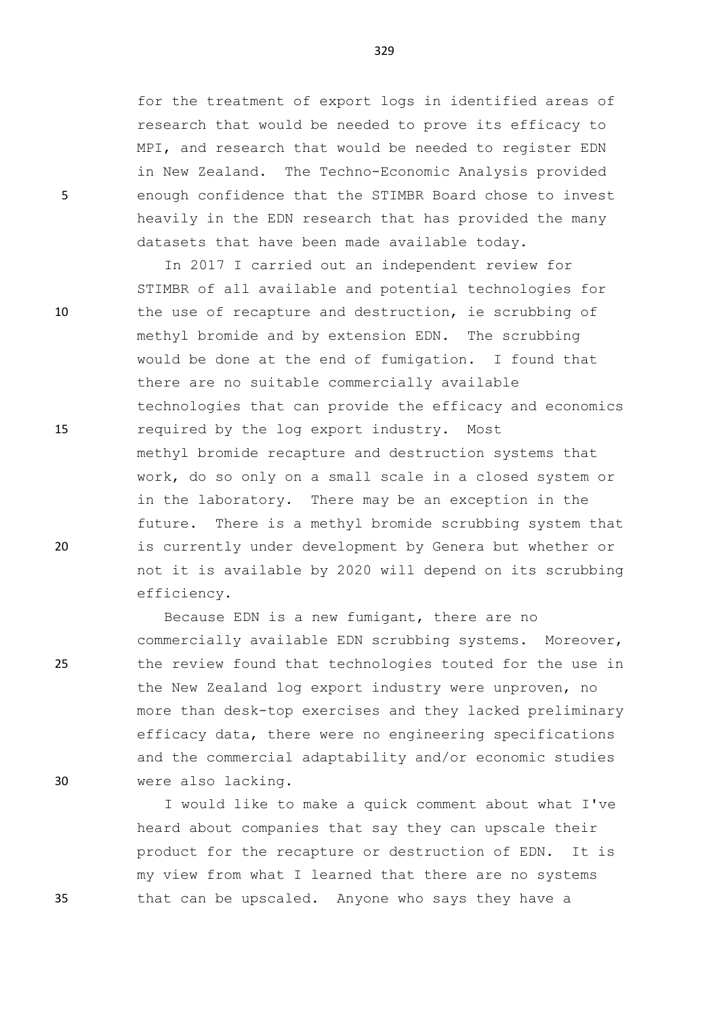for the treatment of export logs in identified areas of research that would be needed to prove its efficacy to MPI, and research that would be needed to register EDN in New Zealand. The Techno-Economic Analysis provided 5 enough confidence that the STIMBR Board chose to invest heavily in the EDN research that has provided the many datasets that have been made available today.

In 2017 I carried out an independent review for STIMBR of all available and potential technologies for 10 the use of recapture and destruction, ie scrubbing of methyl bromide and by extension EDN. The scrubbing would be done at the end of fumigation. I found that there are no suitable commercially available technologies that can provide the efficacy and economics 15 required by the log export industry. Most methyl bromide recapture and destruction systems that work, do so only on a small scale in a closed system or in the laboratory. There may be an exception in the future. There is a methyl bromide scrubbing system that 20 is currently under development by Genera but whether or not it is available by 2020 will depend on its scrubbing efficiency.

Because EDN is a new fumigant, there are no commercially available EDN scrubbing systems. Moreover, 25 the review found that technologies touted for the use in the New Zealand log export industry were unproven, no more than desk-top exercises and they lacked preliminary efficacy data, there were no engineering specifications and the commercial adaptability and/or economic studies 30 were also lacking.

I would like to make a quick comment about what I've heard about companies that say they can upscale their product for the recapture or destruction of EDN. It is my view from what I learned that there are no systems 35 that can be upscaled. Anyone who says they have a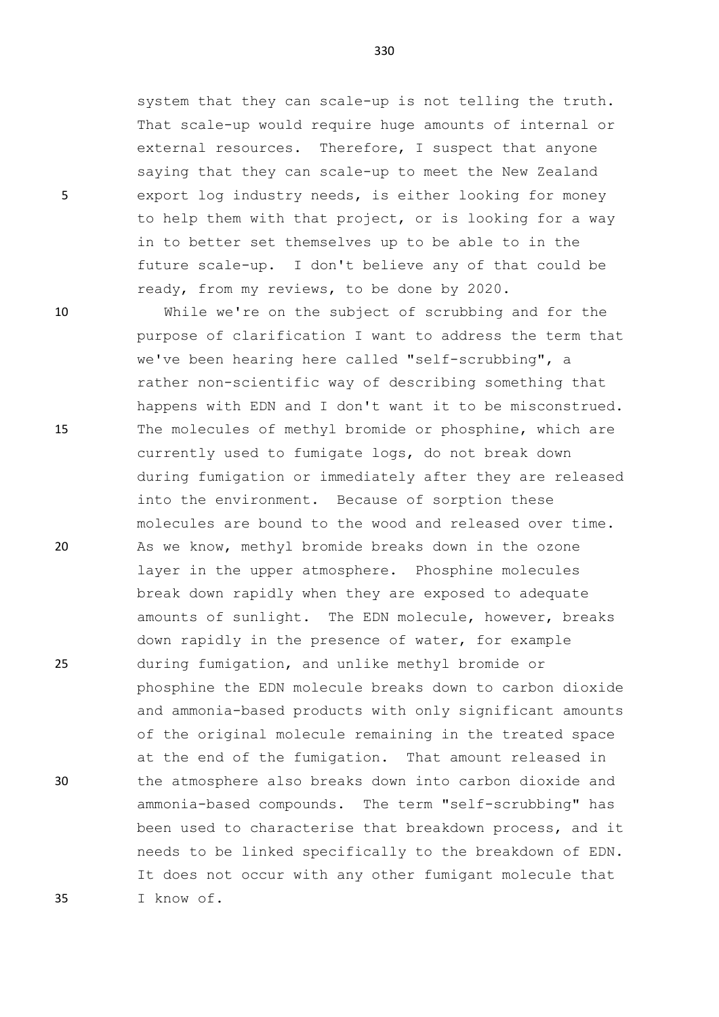system that they can scale-up is not telling the truth. That scale-up would require huge amounts of internal or external resources. Therefore, I suspect that anyone saying that they can scale-up to meet the New Zealand 5 export log industry needs, is either looking for money to help them with that project, or is looking for a way in to better set themselves up to be able to in the future scale-up. I don't believe any of that could be ready, from my reviews, to be done by 2020.

330

10 While we're on the subject of scrubbing and for the purpose of clarification I want to address the term that we've been hearing here called "self-scrubbing", a rather non-scientific way of describing something that happens with EDN and I don't want it to be misconstrued. 15 The molecules of methyl bromide or phosphine, which are currently used to fumigate logs, do not break down during fumigation or immediately after they are released into the environment. Because of sorption these molecules are bound to the wood and released over time. 20 As we know, methyl bromide breaks down in the ozone layer in the upper atmosphere. Phosphine molecules break down rapidly when they are exposed to adequate amounts of sunlight. The EDN molecule, however, breaks down rapidly in the presence of water, for example 25 during fumigation, and unlike methyl bromide or phosphine the EDN molecule breaks down to carbon dioxide and ammonia-based products with only significant amounts of the original molecule remaining in the treated space at the end of the fumigation. That amount released in 30 the atmosphere also breaks down into carbon dioxide and ammonia-based compounds. The term "self-scrubbing" has been used to characterise that breakdown process, and it needs to be linked specifically to the breakdown of EDN. It does not occur with any other fumigant molecule that 35 I know of.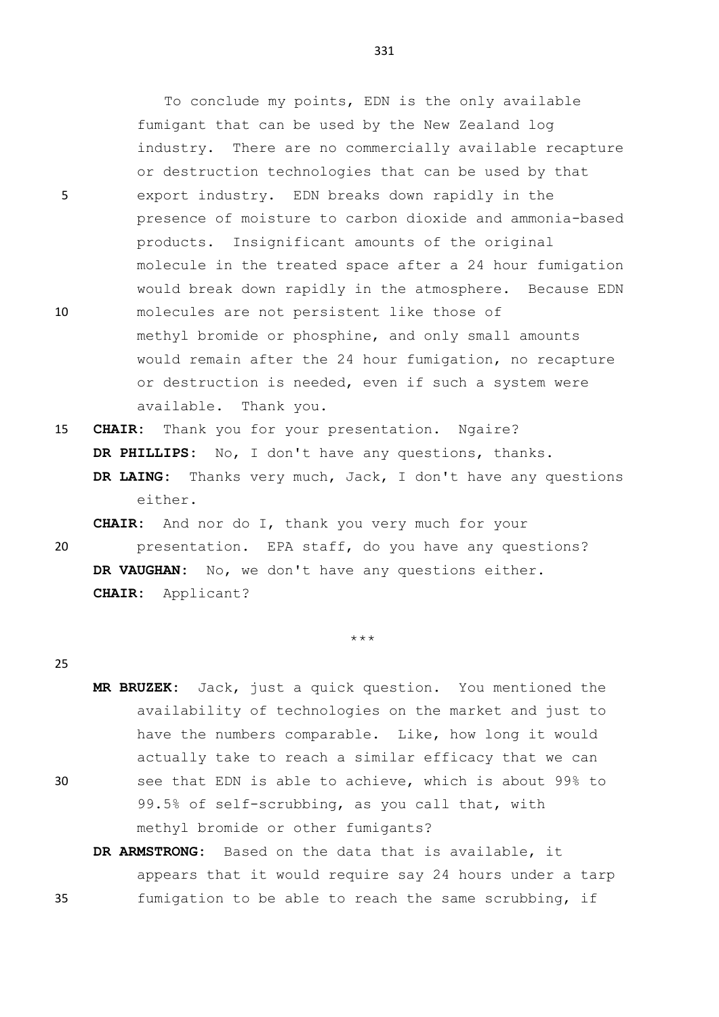To conclude my points, EDN is the only available fumigant that can be used by the New Zealand log industry. There are no commercially available recapture or destruction technologies that can be used by that 5 export industry. EDN breaks down rapidly in the presence of moisture to carbon dioxide and ammonia-based products. Insignificant amounts of the original molecule in the treated space after a 24 hour fumigation would break down rapidly in the atmosphere. Because EDN 10 molecules are not persistent like those of methyl bromide or phosphine, and only small amounts would remain after the 24 hour fumigation, no recapture or destruction is needed, even if such a system were available. Thank you.

15 **CHAIR:** Thank you for your presentation. Ngaire? **DR PHILLIPS:** No, I don't have any questions, thanks. **DR LAING:** Thanks very much, Jack, I don't have any questions either.

**CHAIR:** And nor do I, thank you very much for your 20 presentation. EPA staff, do you have any questions? **DR VAUGHAN:** No, we don't have any questions either. **CHAIR:** Applicant?

\*\*\*

#### 25

**MR BRUZEK:** Jack, just a quick question. You mentioned the availability of technologies on the market and just to have the numbers comparable. Like, how long it would actually take to reach a similar efficacy that we can 30 see that EDN is able to achieve, which is about 99% to 99.5% of self-scrubbing, as you call that, with methyl bromide or other fumigants?

# **DR ARMSTRONG:** Based on the data that is available, it appears that it would require say 24 hours under a tarp 35 fumigation to be able to reach the same scrubbing, if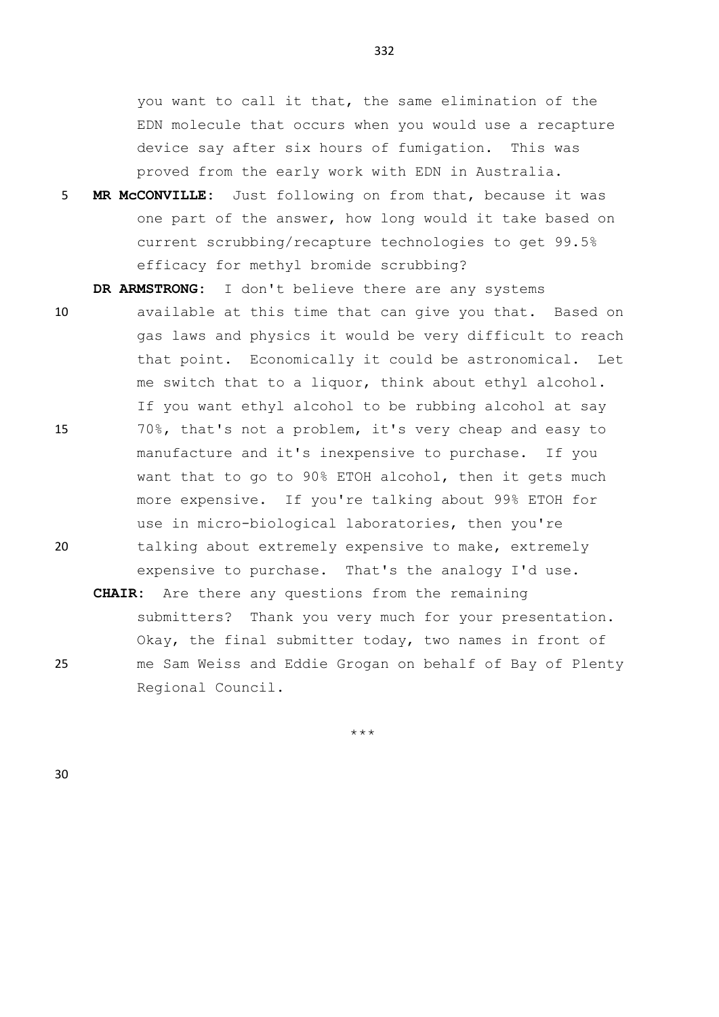you want to call it that, the same elimination of the EDN molecule that occurs when you would use a recapture device say after six hours of fumigation. This was proved from the early work with EDN in Australia.

5 **MR McCONVILLE:** Just following on from that, because it was one part of the answer, how long would it take based on current scrubbing/recapture technologies to get 99.5% efficacy for methyl bromide scrubbing?

**DR ARMSTRONG:** I don't believe there are any systems

- 10 available at this time that can give you that. Based on gas laws and physics it would be very difficult to reach that point. Economically it could be astronomical. Let me switch that to a liquor, think about ethyl alcohol. If you want ethyl alcohol to be rubbing alcohol at say 15 70%, that's not a problem, it's very cheap and easy to manufacture and it's inexpensive to purchase. If you want that to go to 90% ETOH alcohol, then it gets much more expensive. If you're talking about 99% ETOH for use in micro-biological laboratories, then you're 20 talking about extremely expensive to make, extremely expensive to purchase. That's the analogy I'd use.
- **CHAIR:** Are there any questions from the remaining submitters? Thank you very much for your presentation. Okay, the final submitter today, two names in front of 25 me Sam Weiss and Eddie Grogan on behalf of Bay of Plenty Regional Council.

\*\*\*

30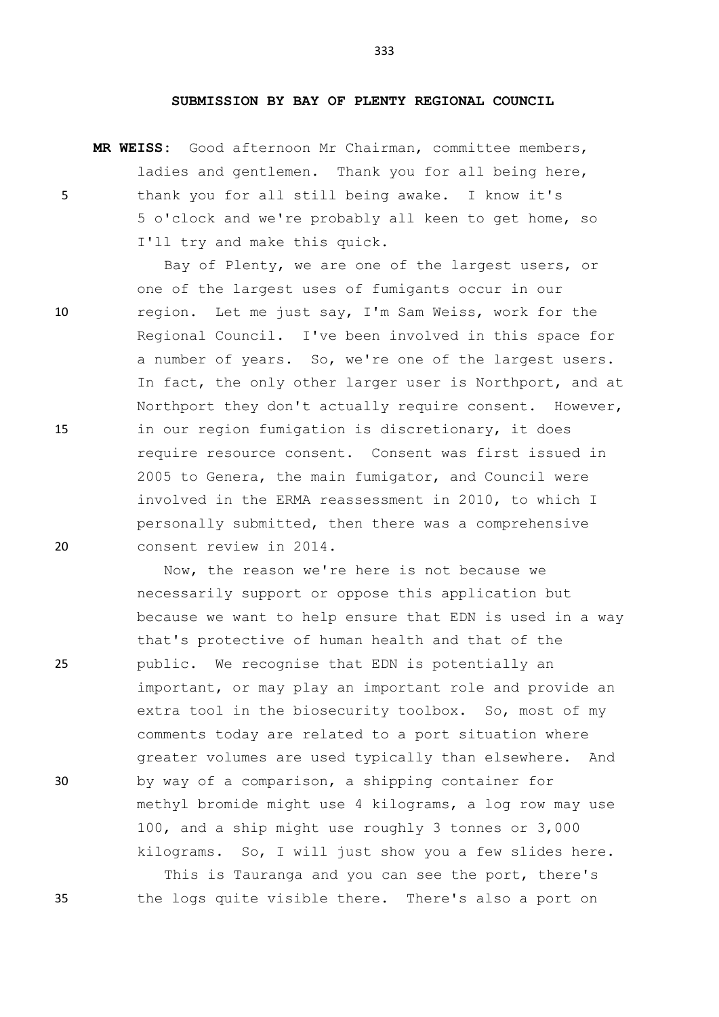#### **SUBMISSION BY BAY OF PLENTY REGIONAL COUNCIL**

**MR WEISS:** Good afternoon Mr Chairman, committee members, ladies and gentlemen. Thank you for all being here, 5 thank you for all still being awake. I know it's 5 o'clock and we're probably all keen to get home, so I'll try and make this quick.

Bay of Plenty, we are one of the largest users, or one of the largest uses of fumigants occur in our 10 region. Let me just say, I'm Sam Weiss, work for the Regional Council. I've been involved in this space for a number of years. So, we're one of the largest users. In fact, the only other larger user is Northport, and at Northport they don't actually require consent. However, 15 in our region fumigation is discretionary, it does require resource consent. Consent was first issued in 2005 to Genera, the main fumigator, and Council were involved in the ERMA reassessment in 2010, to which I personally submitted, then there was a comprehensive 20 consent review in 2014.

Now, the reason we're here is not because we necessarily support or oppose this application but because we want to help ensure that EDN is used in a way that's protective of human health and that of the 25 public. We recognise that EDN is potentially an important, or may play an important role and provide an extra tool in the biosecurity toolbox. So, most of my comments today are related to a port situation where greater volumes are used typically than elsewhere. And 30 by way of a comparison, a shipping container for methyl bromide might use 4 kilograms, a log row may use 100, and a ship might use roughly 3 tonnes or 3,000 kilograms. So, I will just show you a few slides here. This is Tauranga and you can see the port, there's

35 the logs quite visible there. There's also a port on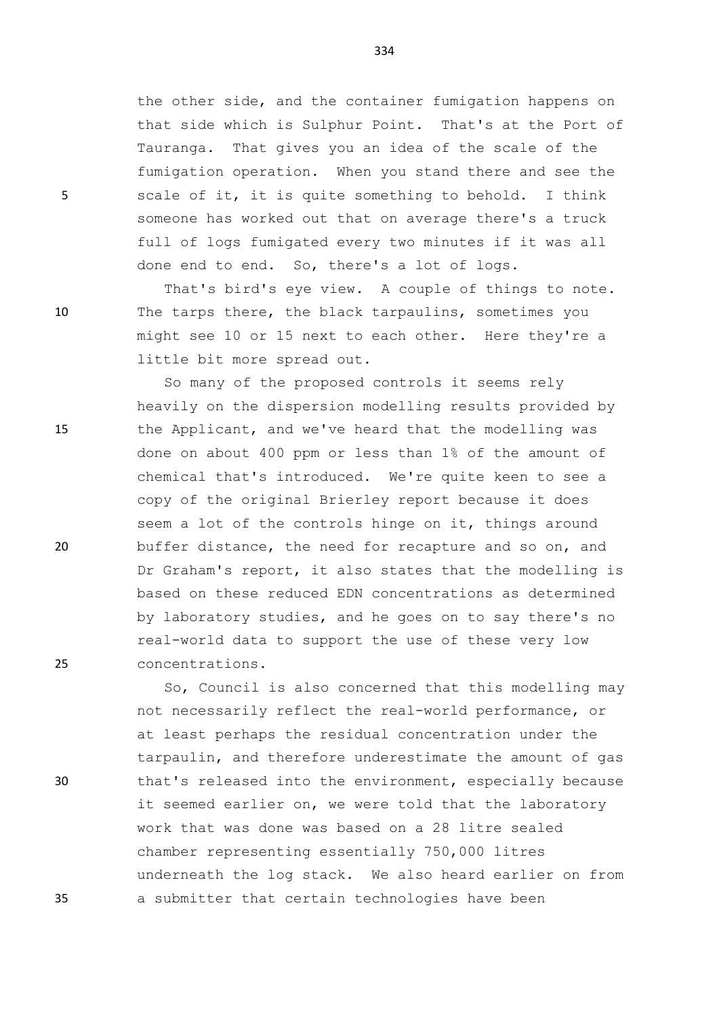the other side, and the container fumigation happens on that side which is Sulphur Point. That's at the Port of Tauranga. That gives you an idea of the scale of the fumigation operation. When you stand there and see the 5 scale of it, it is quite something to behold. I think someone has worked out that on average there's a truck full of logs fumigated every two minutes if it was all done end to end. So, there's a lot of logs.

That's bird's eye view. A couple of things to note. 10 The tarps there, the black tarpaulins, sometimes you might see 10 or 15 next to each other. Here they're a little bit more spread out.

So many of the proposed controls it seems rely heavily on the dispersion modelling results provided by 15 the Applicant, and we've heard that the modelling was done on about 400 ppm or less than 1% of the amount of chemical that's introduced. We're quite keen to see a copy of the original Brierley report because it does seem a lot of the controls hinge on it, things around 20 buffer distance, the need for recapture and so on, and Dr Graham's report, it also states that the modelling is based on these reduced EDN concentrations as determined by laboratory studies, and he goes on to say there's no real-world data to support the use of these very low 25 concentrations.

So, Council is also concerned that this modelling may not necessarily reflect the real-world performance, or at least perhaps the residual concentration under the tarpaulin, and therefore underestimate the amount of gas 30 that's released into the environment, especially because it seemed earlier on, we were told that the laboratory work that was done was based on a 28 litre sealed chamber representing essentially 750,000 litres underneath the log stack. We also heard earlier on from 35 a submitter that certain technologies have been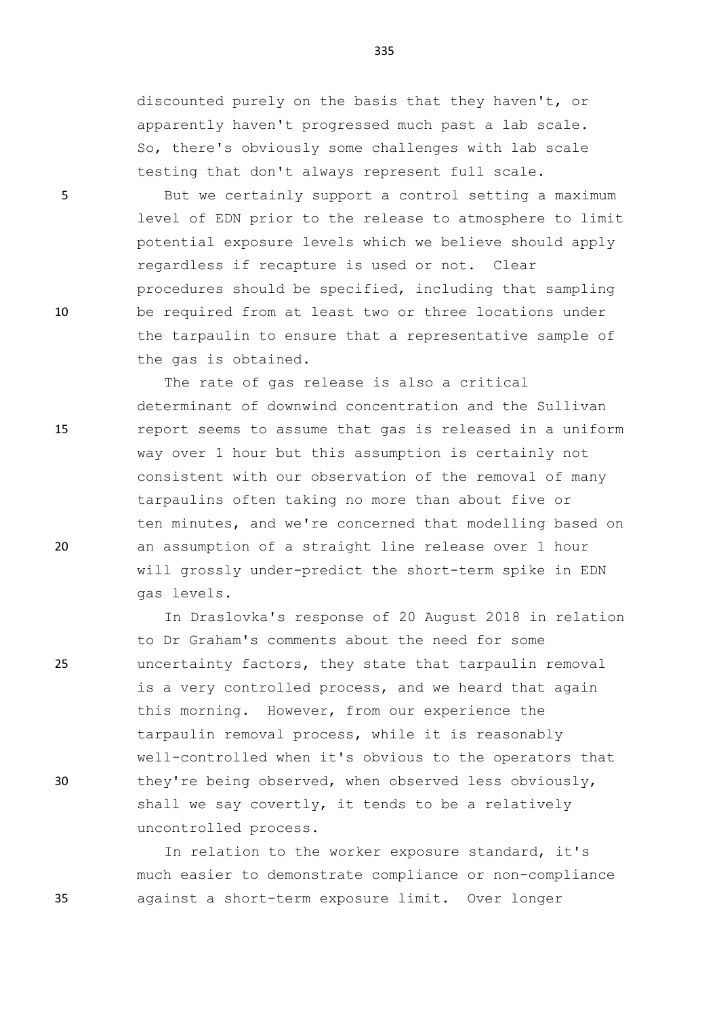discounted purely on the basis that they haven't, or apparently haven't progressed much past a lab scale. So, there's obviously some challenges with lab scale testing that don't always represent full scale.

5 But we certainly support a control setting a maximum level of EDN prior to the release to atmosphere to limit potential exposure levels which we believe should apply regardless if recapture is used or not. Clear procedures should be specified, including that sampling 10 be required from at least two or three locations under the tarpaulin to ensure that a representative sample of the gas is obtained.

The rate of gas release is also a critical determinant of downwind concentration and the Sullivan 15 report seems to assume that gas is released in a uniform way over 1 hour but this assumption is certainly not consistent with our observation of the removal of many tarpaulins often taking no more than about five or ten minutes, and we're concerned that modelling based on 20 an assumption of a straight line release over 1 hour will grossly under-predict the short-term spike in EDN gas levels.

In Draslovka's response of 20 August 2018 in relation to Dr Graham's comments about the need for some 25 uncertainty factors, they state that tarpaulin removal is a very controlled process, and we heard that again this morning. However, from our experience the tarpaulin removal process, while it is reasonably well-controlled when it's obvious to the operators that 30 they're being observed, when observed less obviously, shall we say covertly, it tends to be a relatively uncontrolled process.

In relation to the worker exposure standard, it's much easier to demonstrate compliance or non-compliance 35 against a short-term exposure limit. Over longer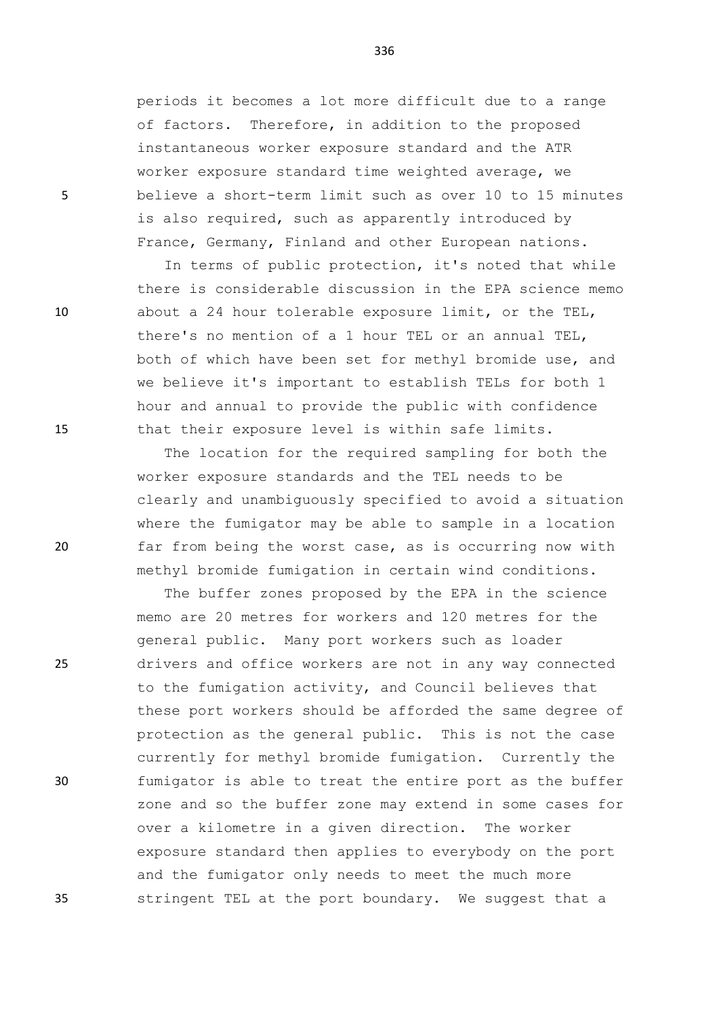periods it becomes a lot more difficult due to a range of factors. Therefore, in addition to the proposed instantaneous worker exposure standard and the ATR worker exposure standard time weighted average, we 5 believe a short-term limit such as over 10 to 15 minutes is also required, such as apparently introduced by France, Germany, Finland and other European nations.

In terms of public protection, it's noted that while there is considerable discussion in the EPA science memo 10 about a 24 hour tolerable exposure limit, or the TEL, there's no mention of a 1 hour TEL or an annual TEL, both of which have been set for methyl bromide use, and we believe it's important to establish TELs for both 1 hour and annual to provide the public with confidence 15 that their exposure level is within safe limits.

The location for the required sampling for both the worker exposure standards and the TEL needs to be clearly and unambiguously specified to avoid a situation where the fumigator may be able to sample in a location 20 far from being the worst case, as is occurring now with methyl bromide fumigation in certain wind conditions.

The buffer zones proposed by the EPA in the science memo are 20 metres for workers and 120 metres for the general public. Many port workers such as loader 25 drivers and office workers are not in any way connected to the fumigation activity, and Council believes that these port workers should be afforded the same degree of protection as the general public. This is not the case currently for methyl bromide fumigation. Currently the 30 fumigator is able to treat the entire port as the buffer zone and so the buffer zone may extend in some cases for over a kilometre in a given direction. The worker exposure standard then applies to everybody on the port and the fumigator only needs to meet the much more 35 stringent TEL at the port boundary. We suggest that a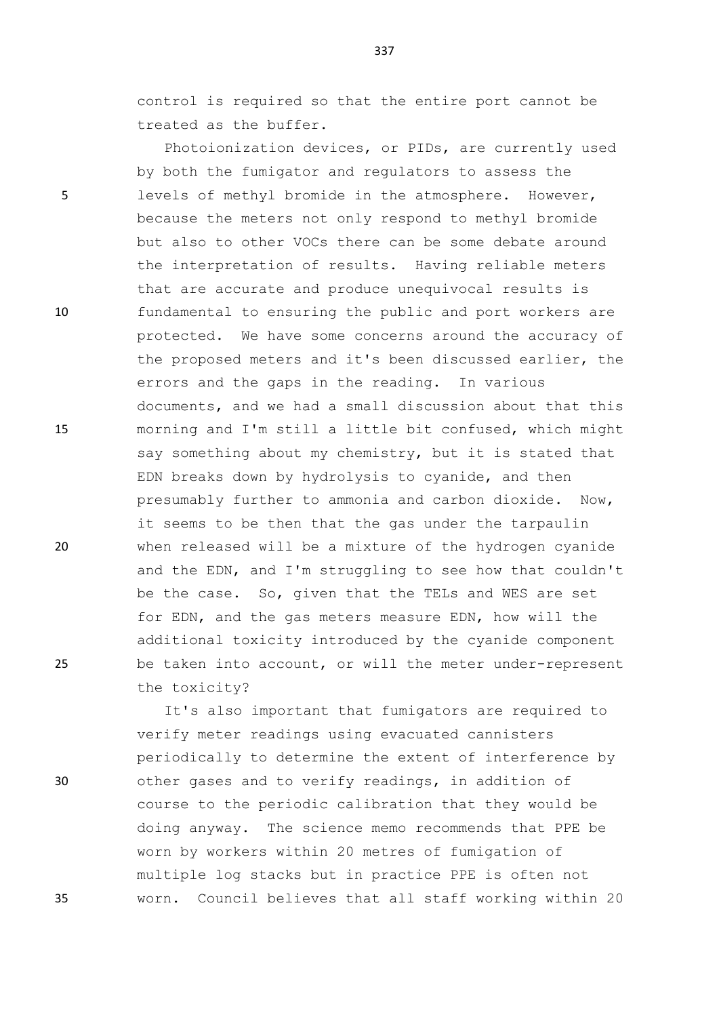control is required so that the entire port cannot be treated as the buffer.

Photoionization devices, or PIDs, are currently used by both the fumigator and regulators to assess the 5 levels of methyl bromide in the atmosphere. However, because the meters not only respond to methyl bromide but also to other VOCs there can be some debate around the interpretation of results. Having reliable meters that are accurate and produce unequivocal results is 10 fundamental to ensuring the public and port workers are protected. We have some concerns around the accuracy of the proposed meters and it's been discussed earlier, the errors and the gaps in the reading. In various documents, and we had a small discussion about that this 15 morning and I'm still a little bit confused, which might say something about my chemistry, but it is stated that EDN breaks down by hydrolysis to cyanide, and then presumably further to ammonia and carbon dioxide. Now, it seems to be then that the gas under the tarpaulin 20 when released will be a mixture of the hydrogen cyanide and the EDN, and I'm struggling to see how that couldn't be the case. So, given that the TELs and WES are set for EDN, and the gas meters measure EDN, how will the additional toxicity introduced by the cyanide component 25 be taken into account, or will the meter under-represent the toxicity?

It's also important that fumigators are required to verify meter readings using evacuated cannisters periodically to determine the extent of interference by 30 other gases and to verify readings, in addition of course to the periodic calibration that they would be doing anyway. The science memo recommends that PPE be worn by workers within 20 metres of fumigation of multiple log stacks but in practice PPE is often not 35 worn. Council believes that all staff working within 20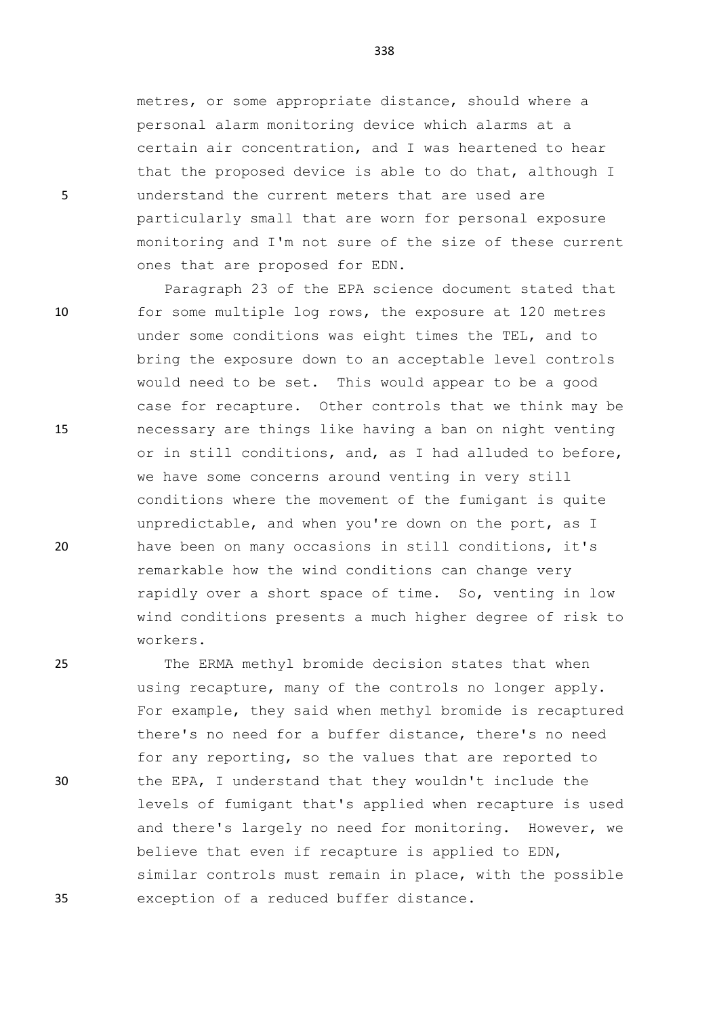metres, or some appropriate distance, should where a personal alarm monitoring device which alarms at a certain air concentration, and I was heartened to hear that the proposed device is able to do that, although I 5 understand the current meters that are used are particularly small that are worn for personal exposure monitoring and I'm not sure of the size of these current ones that are proposed for EDN.

Paragraph 23 of the EPA science document stated that 10 for some multiple log rows, the exposure at 120 metres under some conditions was eight times the TEL, and to bring the exposure down to an acceptable level controls would need to be set. This would appear to be a good case for recapture. Other controls that we think may be 15 necessary are things like having a ban on night venting or in still conditions, and, as I had alluded to before, we have some concerns around venting in very still conditions where the movement of the fumigant is quite unpredictable, and when you're down on the port, as I 20 have been on many occasions in still conditions, it's remarkable how the wind conditions can change very rapidly over a short space of time. So, venting in low wind conditions presents a much higher degree of risk to workers.

25 The ERMA methyl bromide decision states that when using recapture, many of the controls no longer apply. For example, they said when methyl bromide is recaptured there's no need for a buffer distance, there's no need for any reporting, so the values that are reported to 30 the EPA, I understand that they wouldn't include the levels of fumigant that's applied when recapture is used and there's largely no need for monitoring. However, we believe that even if recapture is applied to EDN, similar controls must remain in place, with the possible 35 exception of a reduced buffer distance.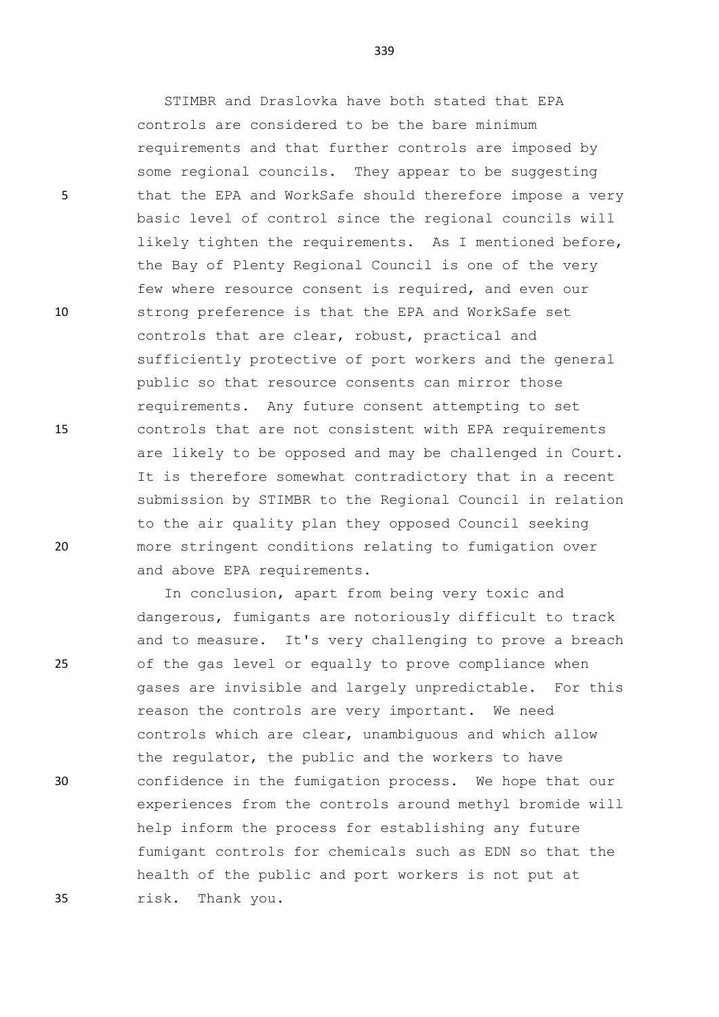5 that the EPA and WorkSafe should therefore impose a very

10 strong preference is that the EPA and WorkSafe set

15 controls that are not consistent with EPA requirements

20 more stringent conditions relating to fumigation over

25 of the gas level or equally to prove compliance when

30 confidence in the fumigation process. We hope that our

35 risk. Thank you.

339

STIMBR and Draslovka have both stated that EPA

requirements and that further controls are imposed by some regional councils. They appear to be suggesting

basic level of control since the regional councils will

likely tighten the requirements. As I mentioned before,

sufficiently protective of port workers and the general

are likely to be opposed and may be challenged in Court. It is therefore somewhat contradictory that in a recent submission by STIMBR to the Regional Council in relation

the Bay of Plenty Regional Council is one of the very few where resource consent is required, and even our

controls are considered to be the bare minimum

controls that are clear, robust, practical and

public so that resource consents can mirror those

requirements. Any future consent attempting to set

to the air quality plan they opposed Council seeking

In conclusion, apart from being very toxic and

dangerous, fumigants are notoriously difficult to track and to measure. It's very challenging to prove a breach

gases are invisible and largely unpredictable. For this

experiences from the controls around methyl bromide will

fumigant controls for chemicals such as EDN so that the

controls which are clear, unambiguous and which allow

reason the controls are very important. We need

the regulator, the public and the workers to have

help inform the process for establishing any future

health of the public and port workers is not put at

and above EPA requirements.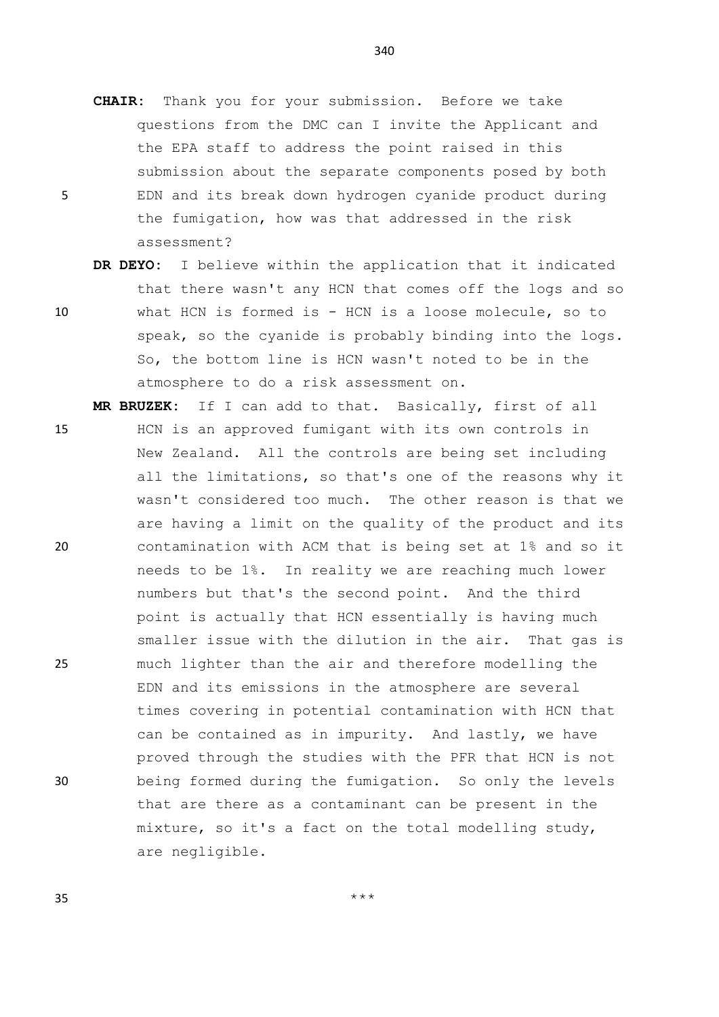- **CHAIR:** Thank you for your submission. Before we take questions from the DMC can I invite the Applicant and the EPA staff to address the point raised in this submission about the separate components posed by both 5 EDN and its break down hydrogen cyanide product during the fumigation, how was that addressed in the risk assessment?
- **DR DEYO:** I believe within the application that it indicated that there wasn't any HCN that comes off the logs and so 10 what HCN is formed is - HCN is a loose molecule, so to speak, so the cyanide is probably binding into the logs. So, the bottom line is HCN wasn't noted to be in the atmosphere to do a risk assessment on.

**MR BRUZEK:** If I can add to that. Basically, first of all

15 HCN is an approved fumigant with its own controls in New Zealand. All the controls are being set including all the limitations, so that's one of the reasons why it wasn't considered too much. The other reason is that we are having a limit on the quality of the product and its 20 contamination with ACM that is being set at 1% and so it needs to be 1%. In reality we are reaching much lower numbers but that's the second point. And the third point is actually that HCN essentially is having much smaller issue with the dilution in the air. That gas is 25 much lighter than the air and therefore modelling the EDN and its emissions in the atmosphere are several times covering in potential contamination with HCN that can be contained as in impurity. And lastly, we have proved through the studies with the PFR that HCN is not 30 being formed during the fumigation. So only the levels that are there as a contaminant can be present in the mixture, so it's a fact on the total modelling study, are negligible.

340

 $35$  \*\*\*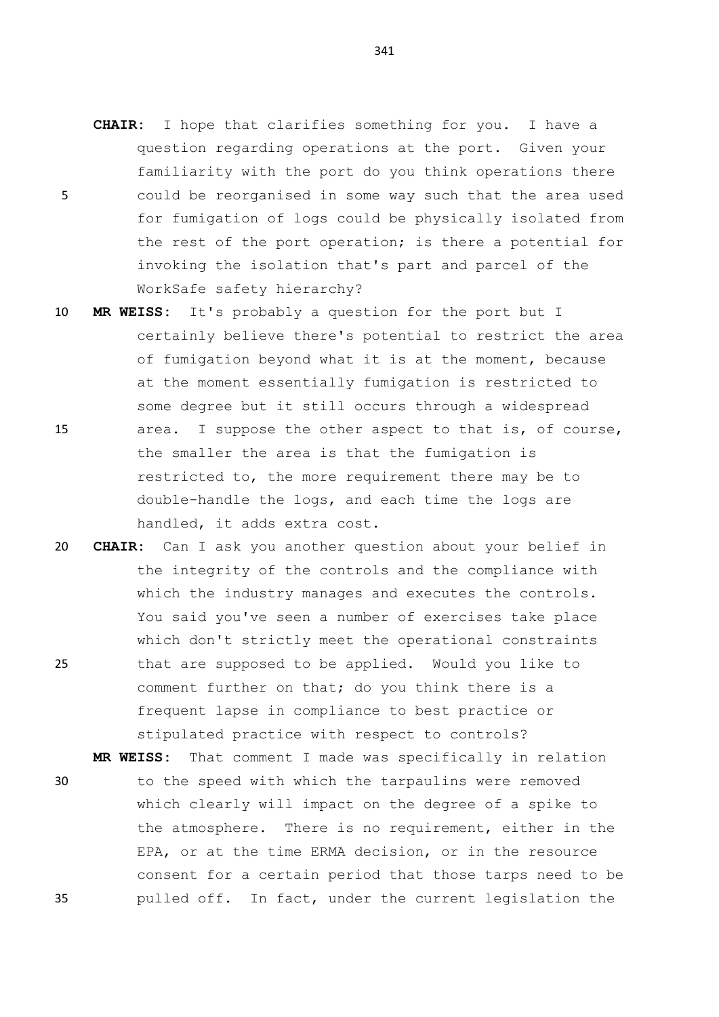- **CHAIR:** I hope that clarifies something for you. I have a question regarding operations at the port. Given your familiarity with the port do you think operations there 5 could be reorganised in some way such that the area used for fumigation of logs could be physically isolated from the rest of the port operation; is there a potential for invoking the isolation that's part and parcel of the WorkSafe safety hierarchy?
- 10 **MR WEISS:** It's probably a question for the port but I certainly believe there's potential to restrict the area of fumigation beyond what it is at the moment, because at the moment essentially fumigation is restricted to some degree but it still occurs through a widespread 15 area. I suppose the other aspect to that is, of course, the smaller the area is that the fumigation is restricted to, the more requirement there may be to double-handle the logs, and each time the logs are
- handled, it adds extra cost. 20 **CHAIR:** Can I ask you another question about your belief in the integrity of the controls and the compliance with which the industry manages and executes the controls. You said you've seen a number of exercises take place which don't strictly meet the operational constraints 25 that are supposed to be applied. Would you like to
	- comment further on that; do you think there is a frequent lapse in compliance to best practice or stipulated practice with respect to controls?
	- **MR WEISS:** That comment I made was specifically in relation 30 to the speed with which the tarpaulins were removed which clearly will impact on the degree of a spike to the atmosphere. There is no requirement, either in the EPA, or at the time ERMA decision, or in the resource consent for a certain period that those tarps need to be 35 pulled off. In fact, under the current legislation the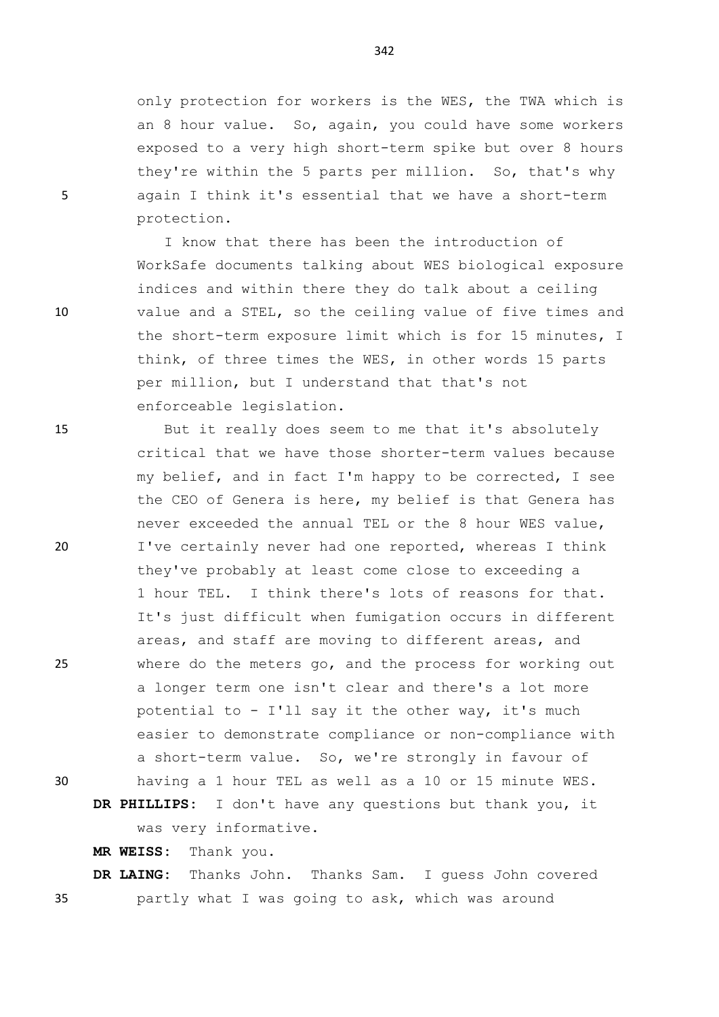only protection for workers is the WES, the TWA which is an 8 hour value. So, again, you could have some workers exposed to a very high short-term spike but over 8 hours they're within the 5 parts per million. So, that's why 5 again I think it's essential that we have a short-term protection.

I know that there has been the introduction of WorkSafe documents talking about WES biological exposure indices and within there they do talk about a ceiling 10 value and a STEL, so the ceiling value of five times and the short-term exposure limit which is for 15 minutes, I think, of three times the WES, in other words 15 parts per million, but I understand that that's not enforceable legislation.

15 But it really does seem to me that it's absolutely critical that we have those shorter-term values because my belief, and in fact I'm happy to be corrected, I see the CEO of Genera is here, my belief is that Genera has never exceeded the annual TEL or the 8 hour WES value, 20 I've certainly never had one reported, whereas I think they've probably at least come close to exceeding a 1 hour TEL. I think there's lots of reasons for that. It's just difficult when fumigation occurs in different areas, and staff are moving to different areas, and 25 where do the meters go, and the process for working out a longer term one isn't clear and there's a lot more potential to - I'll say it the other way, it's much easier to demonstrate compliance or non-compliance with a short-term value. So, we're strongly in favour of 30 having a 1 hour TEL as well as a 10 or 15 minute WES.

**DR PHILLIPS:** I don't have any questions but thank you, it was very informative.

**MR WEISS:** Thank you.

**DR LAING:** Thanks John. Thanks Sam. I guess John covered 35 partly what I was going to ask, which was around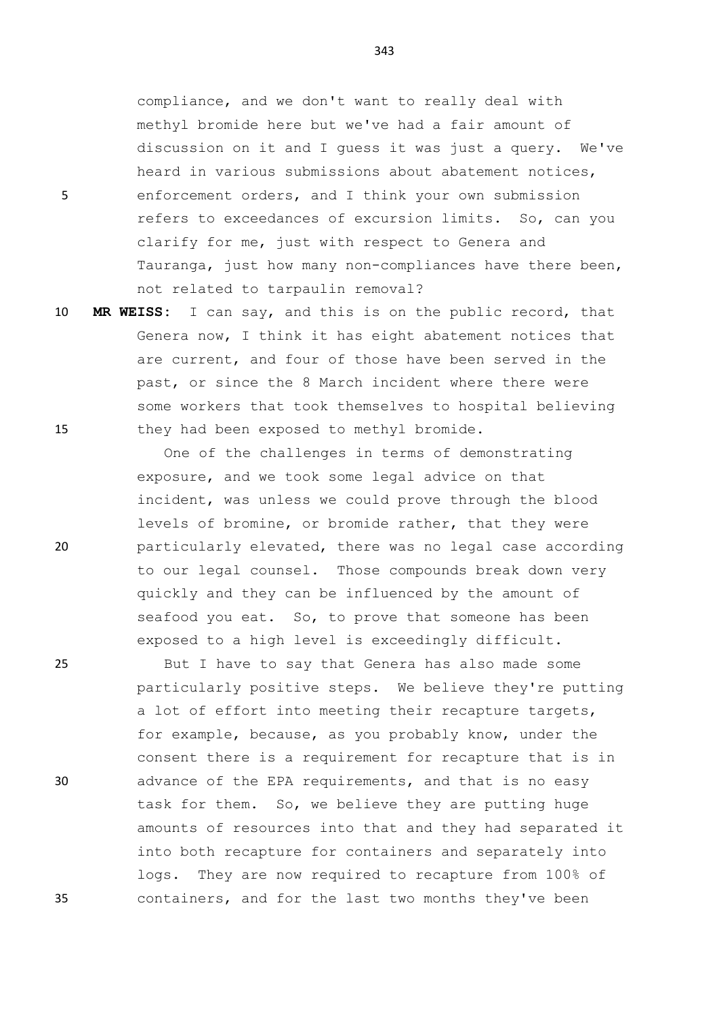compliance, and we don't want to really deal with methyl bromide here but we've had a fair amount of discussion on it and I guess it was just a query. We've heard in various submissions about abatement notices, 5 enforcement orders, and I think your own submission refers to exceedances of excursion limits. So, can you clarify for me, just with respect to Genera and Tauranga, just how many non-compliances have there been, not related to tarpaulin removal?

10 **MR WEISS:** I can say, and this is on the public record, that Genera now, I think it has eight abatement notices that are current, and four of those have been served in the past, or since the 8 March incident where there were some workers that took themselves to hospital believing 15 they had been exposed to methyl bromide.

One of the challenges in terms of demonstrating exposure, and we took some legal advice on that incident, was unless we could prove through the blood levels of bromine, or bromide rather, that they were 20 particularly elevated, there was no legal case according to our legal counsel. Those compounds break down very quickly and they can be influenced by the amount of seafood you eat. So, to prove that someone has been exposed to a high level is exceedingly difficult.

25 But I have to say that Genera has also made some particularly positive steps. We believe they're putting a lot of effort into meeting their recapture targets, for example, because, as you probably know, under the consent there is a requirement for recapture that is in 30 advance of the EPA requirements, and that is no easy task for them. So, we believe they are putting huge amounts of resources into that and they had separated it into both recapture for containers and separately into logs. They are now required to recapture from 100% of 35 containers, and for the last two months they've been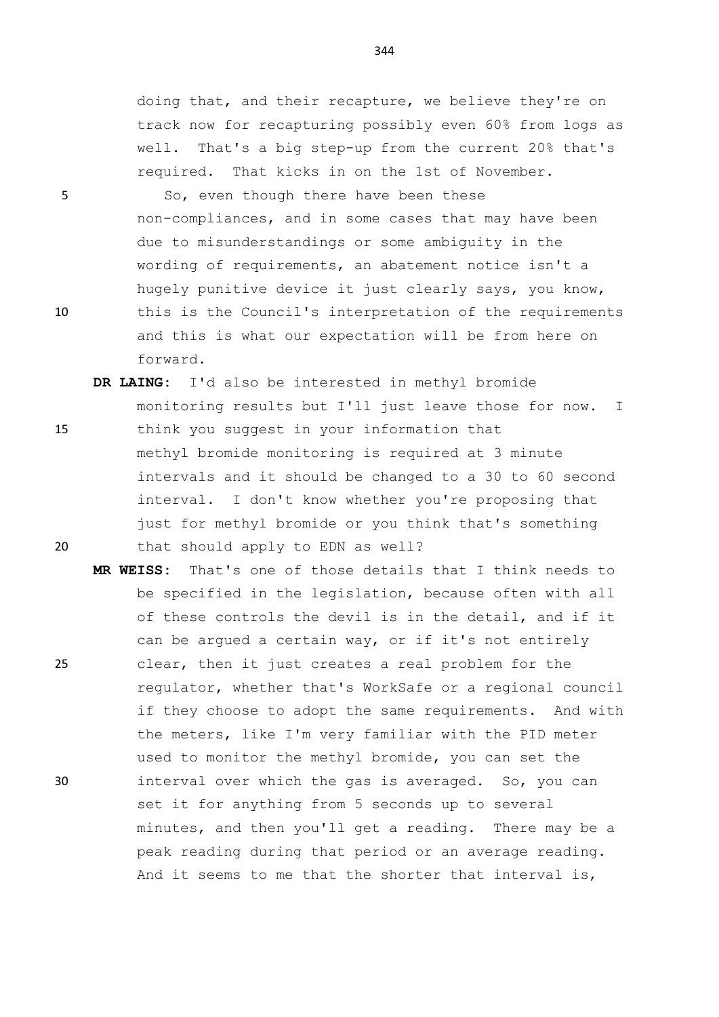doing that, and their recapture, we believe they're on track now for recapturing possibly even 60% from logs as well. That's a big step-up from the current 20% that's required. That kicks in on the 1st of November.

5 So, even though there have been these non-compliances, and in some cases that may have been due to misunderstandings or some ambiguity in the wording of requirements, an abatement notice isn't a hugely punitive device it just clearly says, you know, 10 this is the Council's interpretation of the requirements and this is what our expectation will be from here on forward.

- **DR LAING:** I'd also be interested in methyl bromide monitoring results but I'll just leave those for now. I 15 think you suggest in your information that methyl bromide monitoring is required at 3 minute intervals and it should be changed to a 30 to 60 second interval. I don't know whether you're proposing that just for methyl bromide or you think that's something 20 that should apply to EDN as well?
- **MR WEISS:** That's one of those details that I think needs to be specified in the legislation, because often with all of these controls the devil is in the detail, and if it can be argued a certain way, or if it's not entirely 25 clear, then it just creates a real problem for the regulator, whether that's WorkSafe or a regional council if they choose to adopt the same requirements. And with the meters, like I'm very familiar with the PID meter used to monitor the methyl bromide, you can set the 30 interval over which the gas is averaged. So, you can set it for anything from 5 seconds up to several minutes, and then you'll get a reading. There may be a peak reading during that period or an average reading. And it seems to me that the shorter that interval is,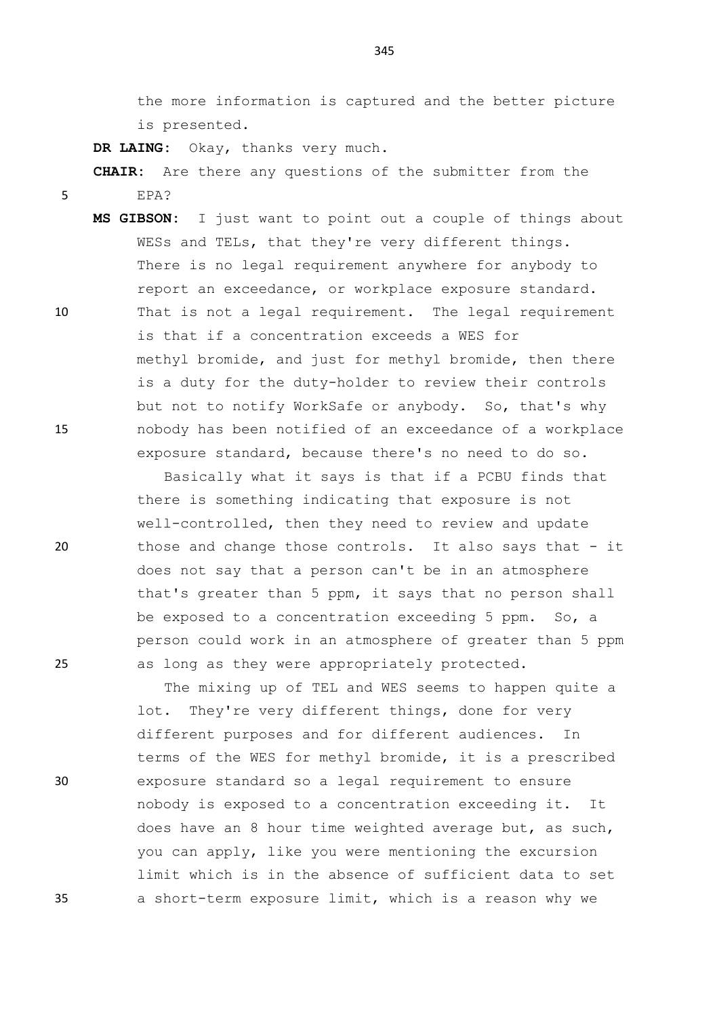the more information is captured and the better picture is presented.

**DR LAING:** Okay, thanks very much.

**CHAIR:** Are there any questions of the submitter from the 5 EPA?

**MS GIBSON:** I just want to point out a couple of things about WESs and TELs, that they're very different things. There is no legal requirement anywhere for anybody to report an exceedance, or workplace exposure standard. 10 That is not a legal requirement. The legal requirement

is that if a concentration exceeds a WES for methyl bromide, and just for methyl bromide, then there is a duty for the duty-holder to review their controls but not to notify WorkSafe or anybody. So, that's why 15 nobody has been notified of an exceedance of a workplace exposure standard, because there's no need to do so.

Basically what it says is that if a PCBU finds that there is something indicating that exposure is not well-controlled, then they need to review and update 20 those and change those controls. It also says that - it does not say that a person can't be in an atmosphere that's greater than 5 ppm, it says that no person shall be exposed to a concentration exceeding 5 ppm. So, a person could work in an atmosphere of greater than 5 ppm 25 as long as they were appropriately protected.

The mixing up of TEL and WES seems to happen quite a lot. They're very different things, done for very different purposes and for different audiences. In terms of the WES for methyl bromide, it is a prescribed 30 exposure standard so a legal requirement to ensure nobody is exposed to a concentration exceeding it. It does have an 8 hour time weighted average but, as such, you can apply, like you were mentioning the excursion limit which is in the absence of sufficient data to set 35 a short-term exposure limit, which is a reason why we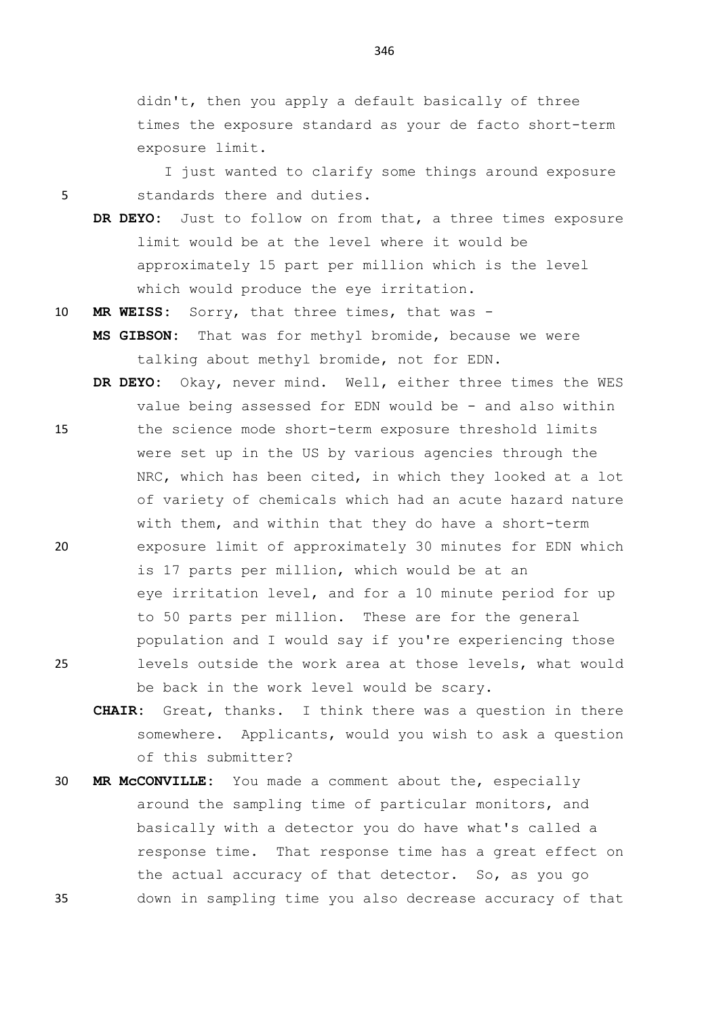didn't, then you apply a default basically of three times the exposure standard as your de facto short-term exposure limit.

I just wanted to clarify some things around exposure 5 standards there and duties.

- **DR DEYO:** Just to follow on from that, a three times exposure limit would be at the level where it would be approximately 15 part per million which is the level which would produce the eye irritation.
- 10 **MR WEISS:** Sorry, that three times, that was **MS GIBSON:** That was for methyl bromide, because we were talking about methyl bromide, not for EDN.
- **DR DEYO:** Okay, never mind. Well, either three times the WES value being assessed for EDN would be - and also within 15 the science mode short-term exposure threshold limits were set up in the US by various agencies through the NRC, which has been cited, in which they looked at a lot of variety of chemicals which had an acute hazard nature with them, and within that they do have a short-term 20 exposure limit of approximately 30 minutes for EDN which is 17 parts per million, which would be at an eye irritation level, and for a 10 minute period for up to 50 parts per million. These are for the general population and I would say if you're experiencing those 25 levels outside the work area at those levels, what would be back in the work level would be scary.
	- **CHAIR:** Great, thanks. I think there was a question in there somewhere. Applicants, would you wish to ask a question of this submitter?
- 30 **MR McCONVILLE:** You made a comment about the, especially around the sampling time of particular monitors, and basically with a detector you do have what's called a response time. That response time has a great effect on the actual accuracy of that detector. So, as you go 35 down in sampling time you also decrease accuracy of that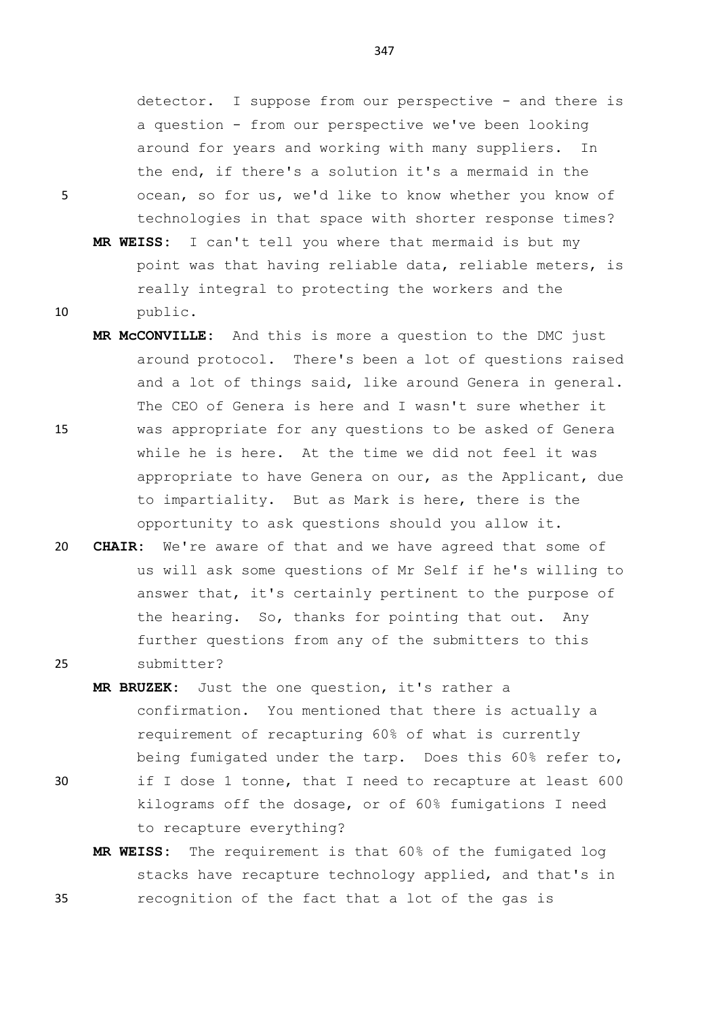detector. I suppose from our perspective - and there is a question - from our perspective we've been looking around for years and working with many suppliers. In the end, if there's a solution it's a mermaid in the 5 ocean, so for us, we'd like to know whether you know of technologies in that space with shorter response times?

- **MR WEISS:** I can't tell you where that mermaid is but my point was that having reliable data, reliable meters, is really integral to protecting the workers and the 10 public.
- **MR McCONVILLE:** And this is more a question to the DMC just around protocol. There's been a lot of questions raised and a lot of things said, like around Genera in general. The CEO of Genera is here and I wasn't sure whether it 15 was appropriate for any questions to be asked of Genera while he is here. At the time we did not feel it was appropriate to have Genera on our, as the Applicant, due to impartiality. But as Mark is here, there is the opportunity to ask questions should you allow it.
- 20 **CHAIR:** We're aware of that and we have agreed that some of us will ask some questions of Mr Self if he's willing to answer that, it's certainly pertinent to the purpose of the hearing. So, thanks for pointing that out. Any further questions from any of the submitters to this 25 submitter?
- **MR BRUZEK:** Just the one question, it's rather a confirmation. You mentioned that there is actually a requirement of recapturing 60% of what is currently being fumigated under the tarp. Does this 60% refer to, 30 if I dose 1 tonne, that I need to recapture at least 600 kilograms off the dosage, or of 60% fumigations I need to recapture everything?
- **MR WEISS:** The requirement is that 60% of the fumigated log stacks have recapture technology applied, and that's in 35 recognition of the fact that a lot of the gas is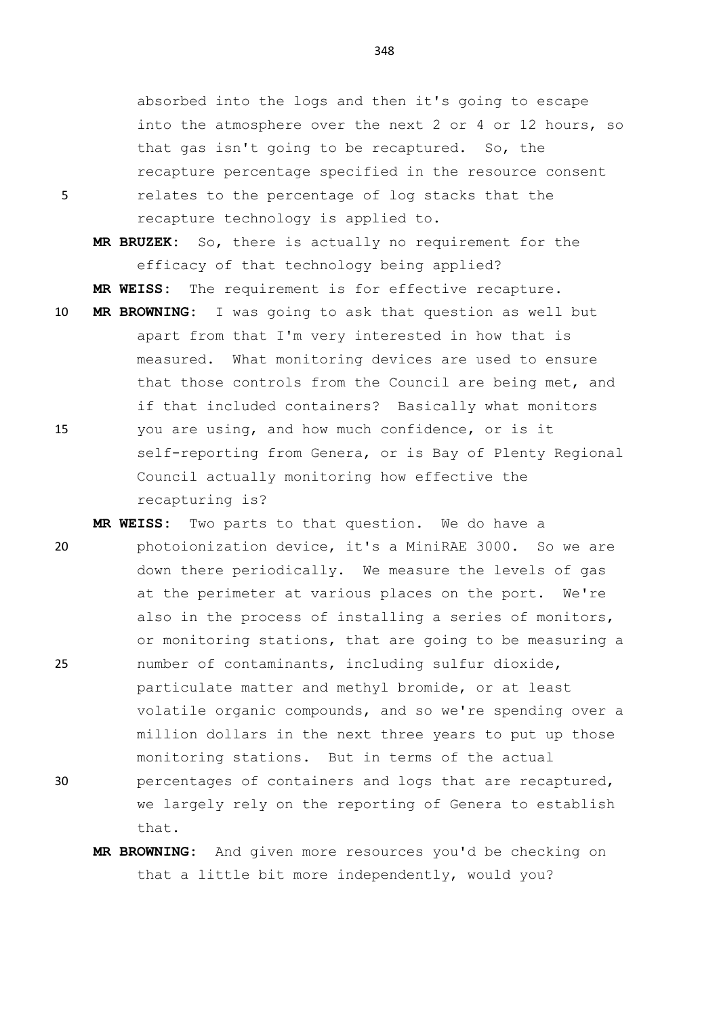absorbed into the logs and then it's going to escape into the atmosphere over the next 2 or 4 or 12 hours, so that gas isn't going to be recaptured. So, the recapture percentage specified in the resource consent 5 relates to the percentage of log stacks that the recapture technology is applied to.

**MR BRUZEK:** So, there is actually no requirement for the efficacy of that technology being applied?

- **MR WEISS:** The requirement is for effective recapture.
- 10 **MR BROWNING:** I was going to ask that question as well but apart from that I'm very interested in how that is measured. What monitoring devices are used to ensure that those controls from the Council are being met, and if that included containers? Basically what monitors 15 you are using, and how much confidence, or is it self-reporting from Genera, or is Bay of Plenty Regional Council actually monitoring how effective the recapturing is?
- **MR WEISS:** Two parts to that question. We do have a 20 photoionization device, it's a MiniRAE 3000. So we are down there periodically. We measure the levels of gas at the perimeter at various places on the port. We're also in the process of installing a series of monitors, or monitoring stations, that are going to be measuring a 25 number of contaminants, including sulfur dioxide, particulate matter and methyl bromide, or at least volatile organic compounds, and so we're spending over a million dollars in the next three years to put up those monitoring stations. But in terms of the actual 30 percentages of containers and logs that are recaptured, we largely rely on the reporting of Genera to establish that.
	- **MR BROWNING:** And given more resources you'd be checking on that a little bit more independently, would you?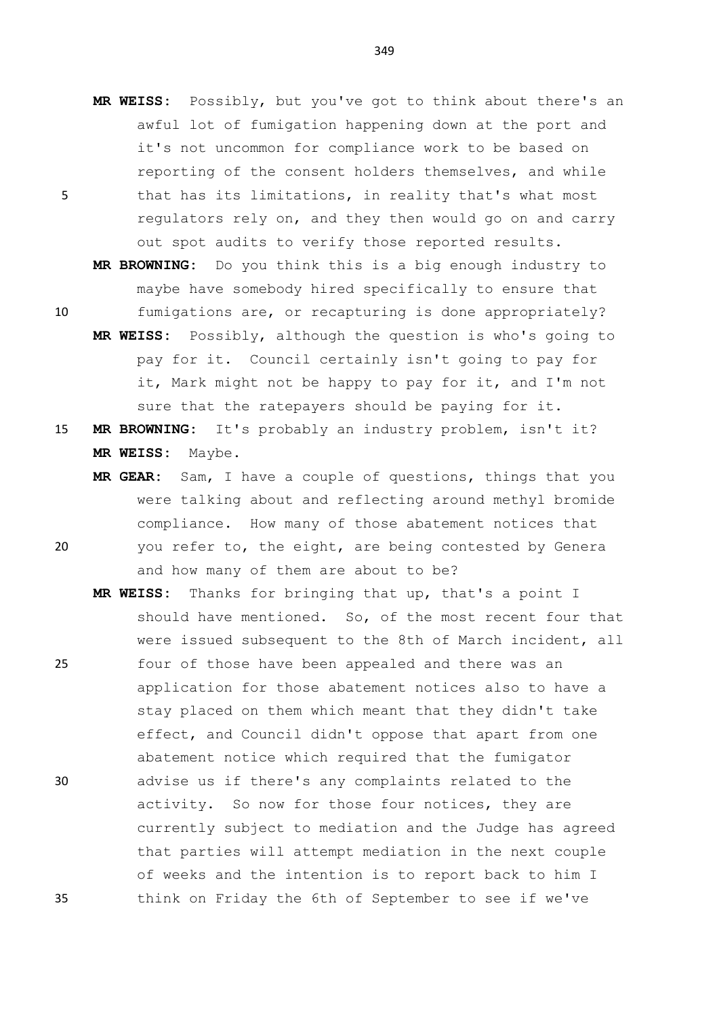- **MR WEISS:** Possibly, but you've got to think about there's an awful lot of fumigation happening down at the port and it's not uncommon for compliance work to be based on reporting of the consent holders themselves, and while 5 that has its limitations, in reality that's what most regulators rely on, and they then would go on and carry out spot audits to verify those reported results.
- **MR BROWNING:** Do you think this is a big enough industry to maybe have somebody hired specifically to ensure that 10 fumigations are, or recapturing is done appropriately?
	- **MR WEISS:** Possibly, although the question is who's going to pay for it. Council certainly isn't going to pay for it, Mark might not be happy to pay for it, and I'm not sure that the ratepayers should be paying for it.
- 15 **MR BROWNING:** It's probably an industry problem, isn't it? **MR WEISS:** Maybe.
- **MR GEAR:** Sam, I have a couple of questions, things that you were talking about and reflecting around methyl bromide compliance. How many of those abatement notices that 20 you refer to, the eight, are being contested by Genera and how many of them are about to be?
- **MR WEISS:** Thanks for bringing that up, that's a point I should have mentioned. So, of the most recent four that were issued subsequent to the 8th of March incident, all 25 four of those have been appealed and there was an application for those abatement notices also to have a stay placed on them which meant that they didn't take effect, and Council didn't oppose that apart from one abatement notice which required that the fumigator 30 advise us if there's any complaints related to the activity. So now for those four notices, they are currently subject to mediation and the Judge has agreed that parties will attempt mediation in the next couple of weeks and the intention is to report back to him I 35 think on Friday the 6th of September to see if we've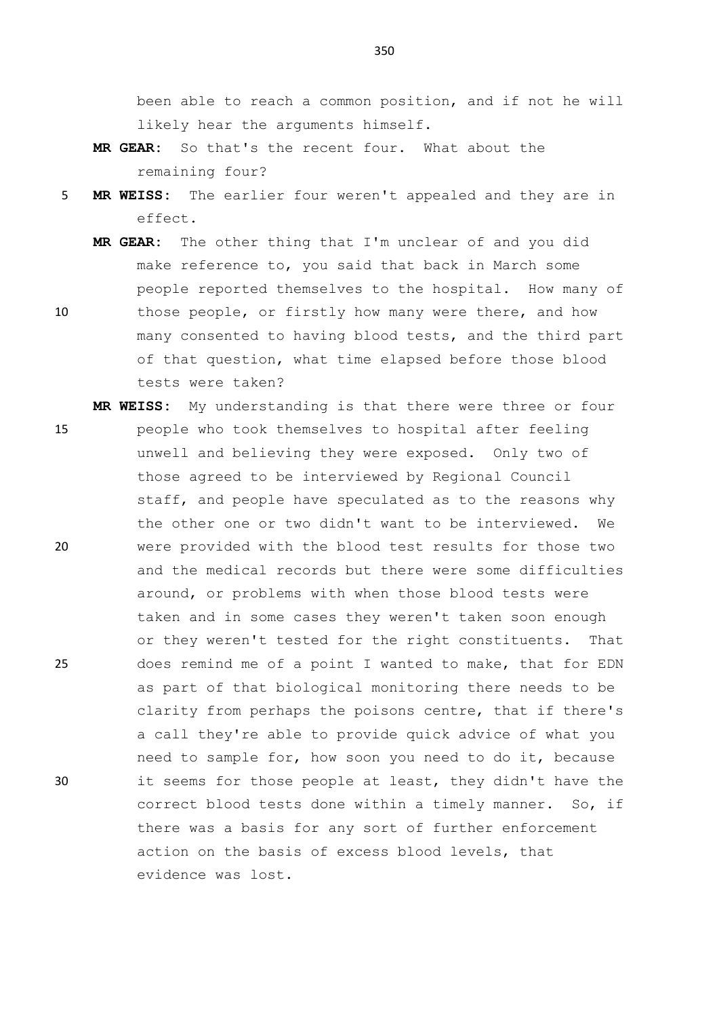been able to reach a common position, and if not he will likely hear the arguments himself.

- **MR GEAR:** So that's the recent four. What about the remaining four?
- 5 **MR WEISS:** The earlier four weren't appealed and they are in effect.
- **MR GEAR:** The other thing that I'm unclear of and you did make reference to, you said that back in March some people reported themselves to the hospital. How many of 10 those people, or firstly how many were there, and how
- many consented to having blood tests, and the third part of that question, what time elapsed before those blood tests were taken?

**MR WEISS:** My understanding is that there were three or four

15 people who took themselves to hospital after feeling unwell and believing they were exposed. Only two of those agreed to be interviewed by Regional Council staff, and people have speculated as to the reasons why the other one or two didn't want to be interviewed. We 20 were provided with the blood test results for those two and the medical records but there were some difficulties around, or problems with when those blood tests were taken and in some cases they weren't taken soon enough or they weren't tested for the right constituents. That 25 does remind me of a point I wanted to make, that for EDN as part of that biological monitoring there needs to be clarity from perhaps the poisons centre, that if there's a call they're able to provide quick advice of what you need to sample for, how soon you need to do it, because 30 it seems for those people at least, they didn't have the correct blood tests done within a timely manner. So, if there was a basis for any sort of further enforcement action on the basis of excess blood levels, that evidence was lost.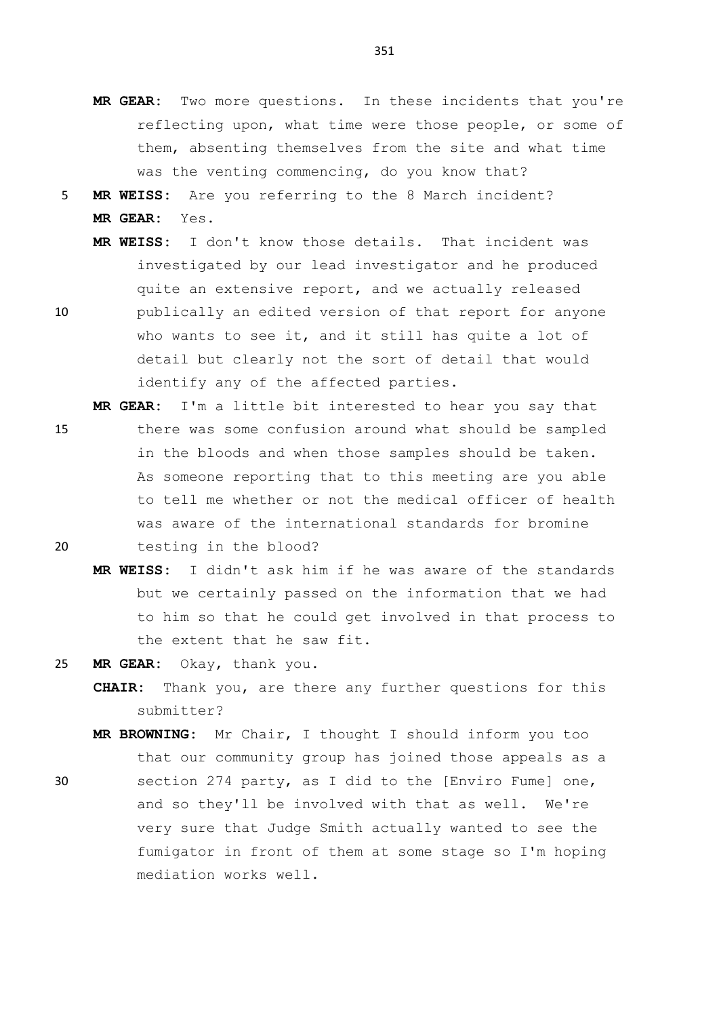- **MR GEAR:** Two more questions. In these incidents that you're reflecting upon, what time were those people, or some of them, absenting themselves from the site and what time was the venting commencing, do you know that?
- 5 **MR WEISS:** Are you referring to the 8 March incident? **MR GEAR:** Yes.
	- **MR WEISS:** I don't know those details. That incident was investigated by our lead investigator and he produced quite an extensive report, and we actually released
- 10 publically an edited version of that report for anyone who wants to see it, and it still has quite a lot of detail but clearly not the sort of detail that would identify any of the affected parties.

**MR GEAR:** I'm a little bit interested to hear you say that

- 15 there was some confusion around what should be sampled in the bloods and when those samples should be taken. As someone reporting that to this meeting are you able to tell me whether or not the medical officer of health was aware of the international standards for bromine 20 testing in the blood?
	- **MR WEISS:** I didn't ask him if he was aware of the standards but we certainly passed on the information that we had to him so that he could get involved in that process to the extent that he saw fit.
- 25 **MR GEAR:** Okay, thank you.
	- **CHAIR:** Thank you, are there any further questions for this submitter?
	- **MR BROWNING:** Mr Chair, I thought I should inform you too that our community group has joined those appeals as a
- 30 section 274 party, as I did to the [Enviro Fume] one, and so they'll be involved with that as well. We're very sure that Judge Smith actually wanted to see the fumigator in front of them at some stage so I'm hoping mediation works well.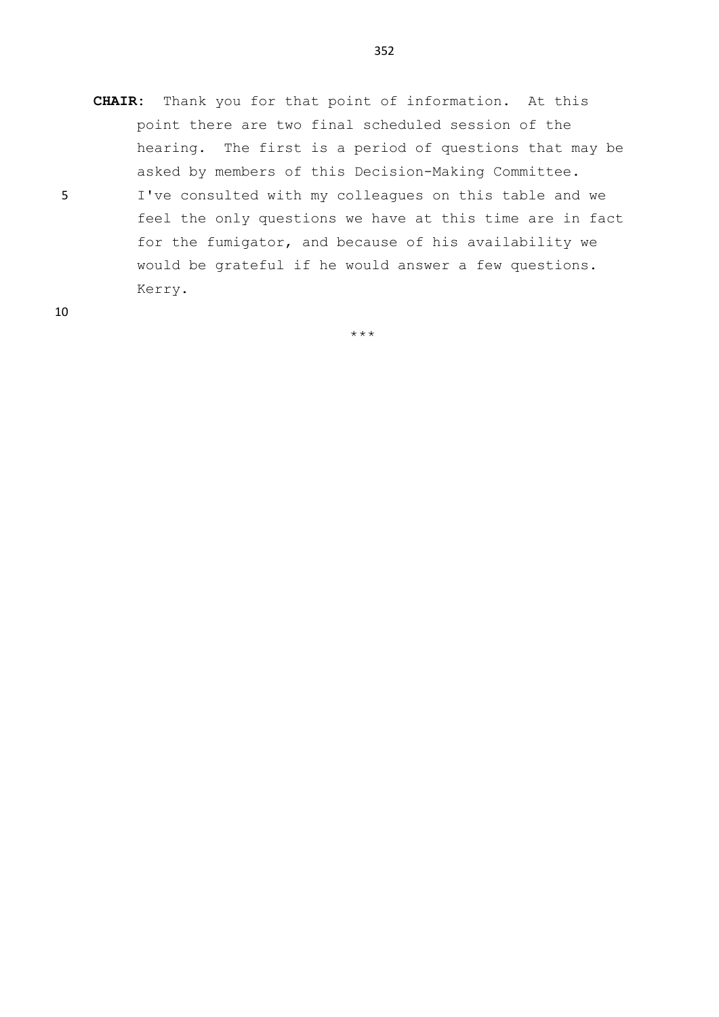- **CHAIR:** Thank you for that point of information. At this point there are two final scheduled session of the hearing. The first is a period of questions that may be asked by members of this Decision-Making Committee.
- 5 I've consulted with my colleagues on this table and we feel the only questions we have at this time are in fact for the fumigator, and because of his availability we would be grateful if he would answer a few questions. Kerry.

10

\*\*\*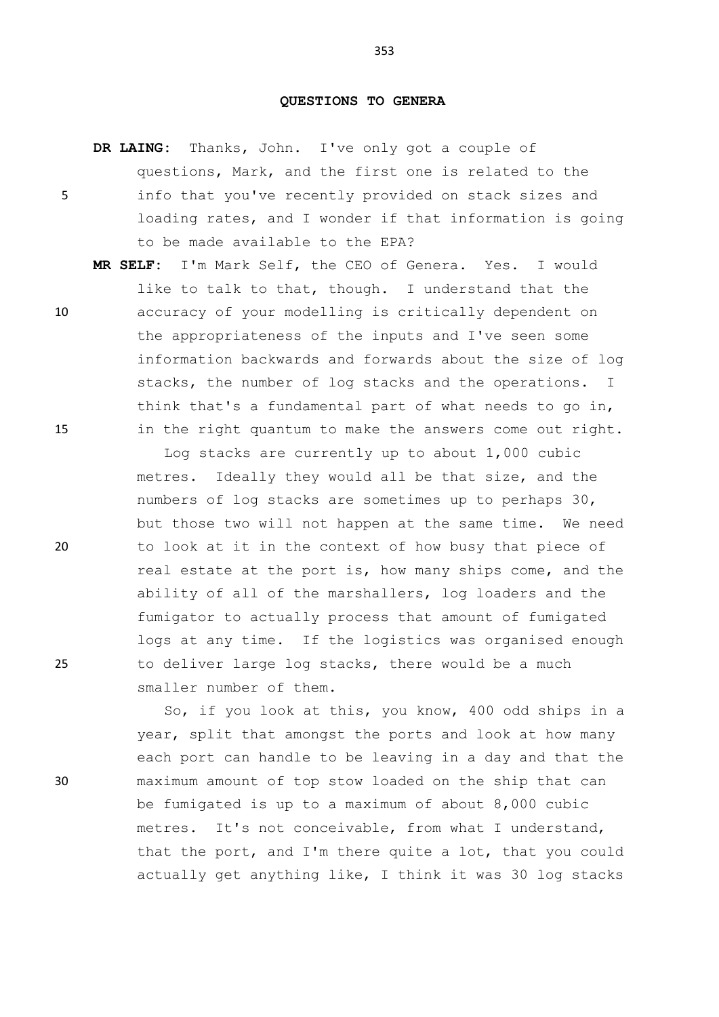### **QUESTIONS TO GENERA**

**DR LAING:** Thanks, John. I've only got a couple of questions, Mark, and the first one is related to the 5 info that you've recently provided on stack sizes and loading rates, and I wonder if that information is going to be made available to the EPA?

**MR SELF:** I'm Mark Self, the CEO of Genera. Yes. I would like to talk to that, though. I understand that the 10 accuracy of your modelling is critically dependent on the appropriateness of the inputs and I've seen some information backwards and forwards about the size of log stacks, the number of log stacks and the operations. I think that's a fundamental part of what needs to go in, 15 in the right quantum to make the answers come out right.

Log stacks are currently up to about 1,000 cubic metres. Ideally they would all be that size, and the numbers of log stacks are sometimes up to perhaps 30, but those two will not happen at the same time. We need 20 to look at it in the context of how busy that piece of real estate at the port is, how many ships come, and the ability of all of the marshallers, log loaders and the fumigator to actually process that amount of fumigated logs at any time. If the logistics was organised enough 25 to deliver large log stacks, there would be a much smaller number of them.

So, if you look at this, you know, 400 odd ships in a year, split that amongst the ports and look at how many each port can handle to be leaving in a day and that the 30 maximum amount of top stow loaded on the ship that can be fumigated is up to a maximum of about 8,000 cubic metres. It's not conceivable, from what I understand, that the port, and I'm there quite a lot, that you could actually get anything like, I think it was 30 log stacks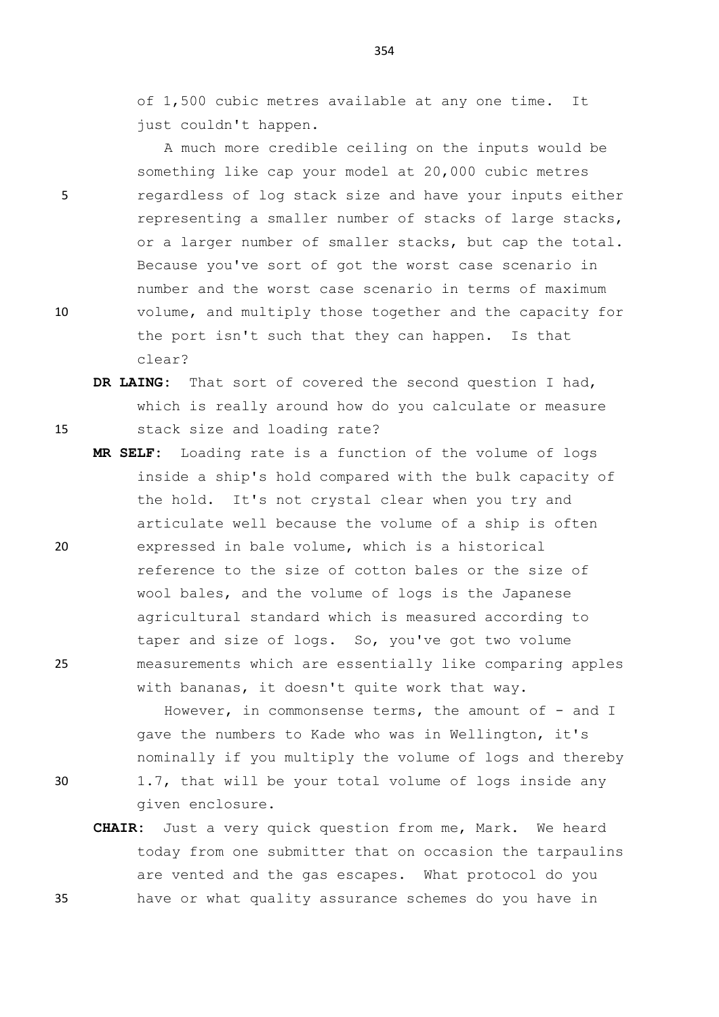of 1,500 cubic metres available at any one time. It just couldn't happen.

A much more credible ceiling on the inputs would be something like cap your model at 20,000 cubic metres 5 regardless of log stack size and have your inputs either representing a smaller number of stacks of large stacks, or a larger number of smaller stacks, but cap the total. Because you've sort of got the worst case scenario in number and the worst case scenario in terms of maximum 10 volume, and multiply those together and the capacity for the port isn't such that they can happen. Is that clear?

- **DR LAING:** That sort of covered the second question I had, which is really around how do you calculate or measure 15 stack size and loading rate?
- **MR SELF:** Loading rate is a function of the volume of logs inside a ship's hold compared with the bulk capacity of the hold. It's not crystal clear when you try and articulate well because the volume of a ship is often 20 expressed in bale volume, which is a historical reference to the size of cotton bales or the size of wool bales, and the volume of logs is the Japanese agricultural standard which is measured according to taper and size of logs. So, you've got two volume 25 measurements which are essentially like comparing apples with bananas, it doesn't quite work that way.

However, in commonsense terms, the amount of - and I gave the numbers to Kade who was in Wellington, it's nominally if you multiply the volume of logs and thereby

- 
- 30 1.7, that will be your total volume of logs inside any given enclosure.
- **CHAIR:** Just a very quick question from me, Mark. We heard today from one submitter that on occasion the tarpaulins are vented and the gas escapes. What protocol do you 35 have or what quality assurance schemes do you have in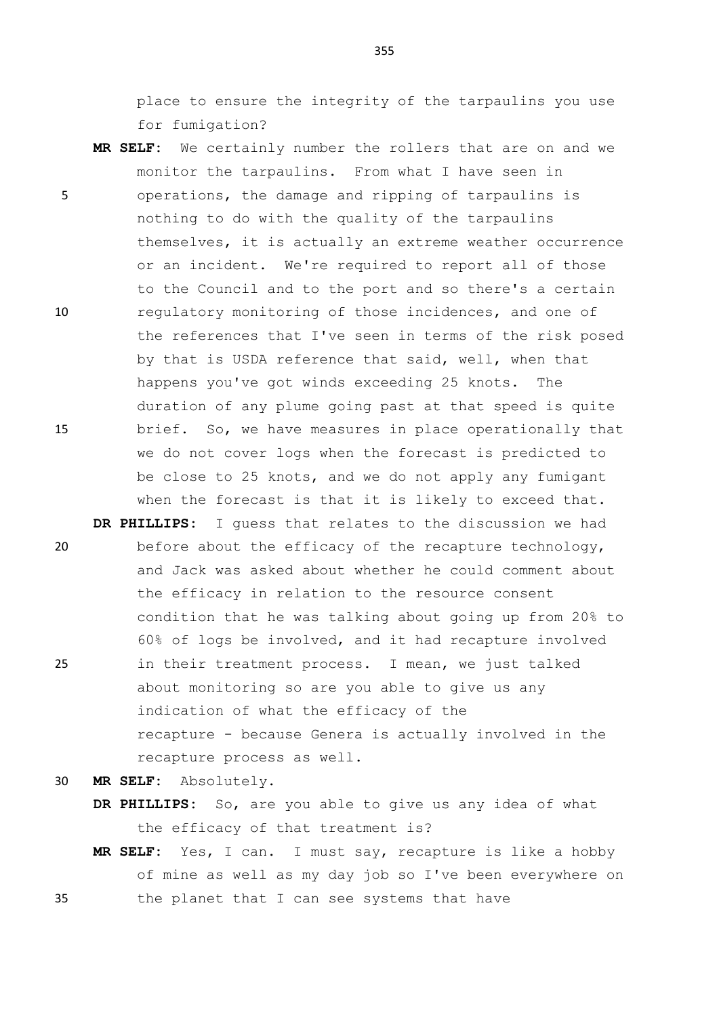place to ensure the integrity of the tarpaulins you use for fumigation?

- **MR SELF:** We certainly number the rollers that are on and we monitor the tarpaulins. From what I have seen in 5 operations, the damage and ripping of tarpaulins is nothing to do with the quality of the tarpaulins themselves, it is actually an extreme weather occurrence or an incident. We're required to report all of those to the Council and to the port and so there's a certain 10 regulatory monitoring of those incidences, and one of the references that I've seen in terms of the risk posed by that is USDA reference that said, well, when that happens you've got winds exceeding 25 knots. The duration of any plume going past at that speed is quite 15 brief. So, we have measures in place operationally that we do not cover logs when the forecast is predicted to be close to 25 knots, and we do not apply any fumigant when the forecast is that it is likely to exceed that.
- **DR PHILLIPS:** I guess that relates to the discussion we had 20 before about the efficacy of the recapture technology, and Jack was asked about whether he could comment about the efficacy in relation to the resource consent condition that he was talking about going up from 20% to 60% of logs be involved, and it had recapture involved 25 in their treatment process. I mean, we just talked about monitoring so are you able to give us any indication of what the efficacy of the recapture - because Genera is actually involved in the recapture process as well.
- 30 **MR SELF:** Absolutely.
	- **DR PHILLIPS:** So, are you able to give us any idea of what the efficacy of that treatment is?
- **MR SELF:** Yes, I can. I must say, recapture is like a hobby of mine as well as my day job so I've been everywhere on 35 the planet that I can see systems that have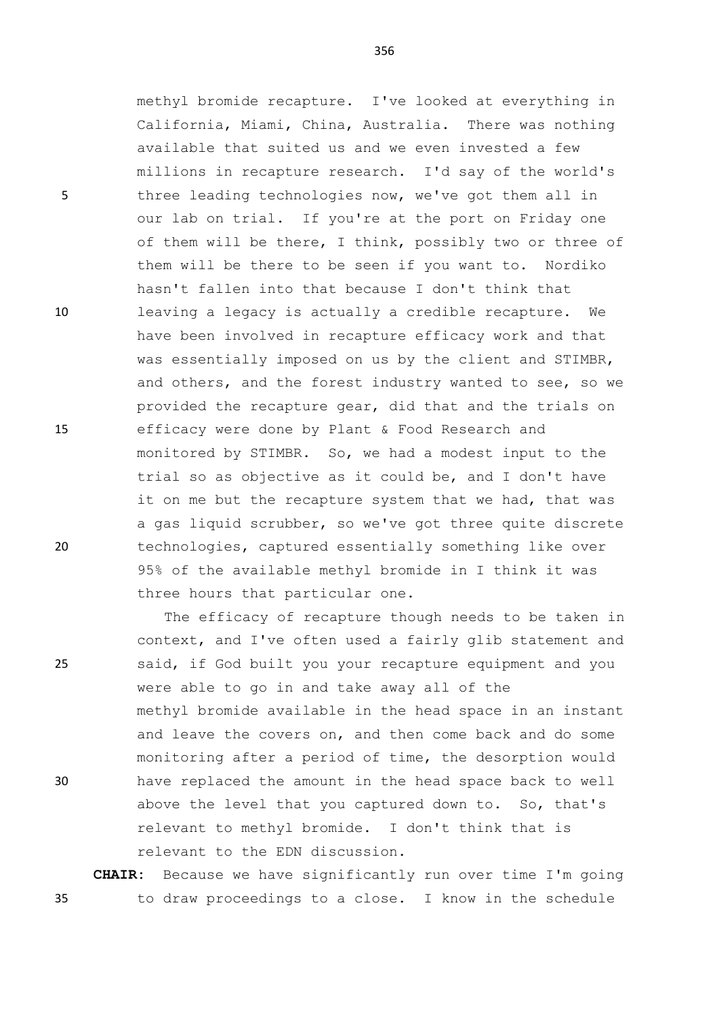methyl bromide recapture. I've looked at everything in California, Miami, China, Australia. There was nothing available that suited us and we even invested a few millions in recapture research. I'd say of the world's 5 three leading technologies now, we've got them all in our lab on trial. If you're at the port on Friday one of them will be there, I think, possibly two or three of them will be there to be seen if you want to. Nordiko hasn't fallen into that because I don't think that 10 leaving a legacy is actually a credible recapture. We have been involved in recapture efficacy work and that was essentially imposed on us by the client and STIMBR, and others, and the forest industry wanted to see, so we provided the recapture gear, did that and the trials on 15 efficacy were done by Plant & Food Research and monitored by STIMBR. So, we had a modest input to the trial so as objective as it could be, and I don't have it on me but the recapture system that we had, that was a gas liquid scrubber, so we've got three quite discrete 20 technologies, captured essentially something like over 95% of the available methyl bromide in I think it was three hours that particular one.

The efficacy of recapture though needs to be taken in context, and I've often used a fairly glib statement and 25 said, if God built you your recapture equipment and you were able to go in and take away all of the methyl bromide available in the head space in an instant and leave the covers on, and then come back and do some monitoring after a period of time, the desorption would 30 have replaced the amount in the head space back to well above the level that you captured down to. So, that's relevant to methyl bromide. I don't think that is relevant to the EDN discussion.

**CHAIR:** Because we have significantly run over time I'm going 35 to draw proceedings to a close. I know in the schedule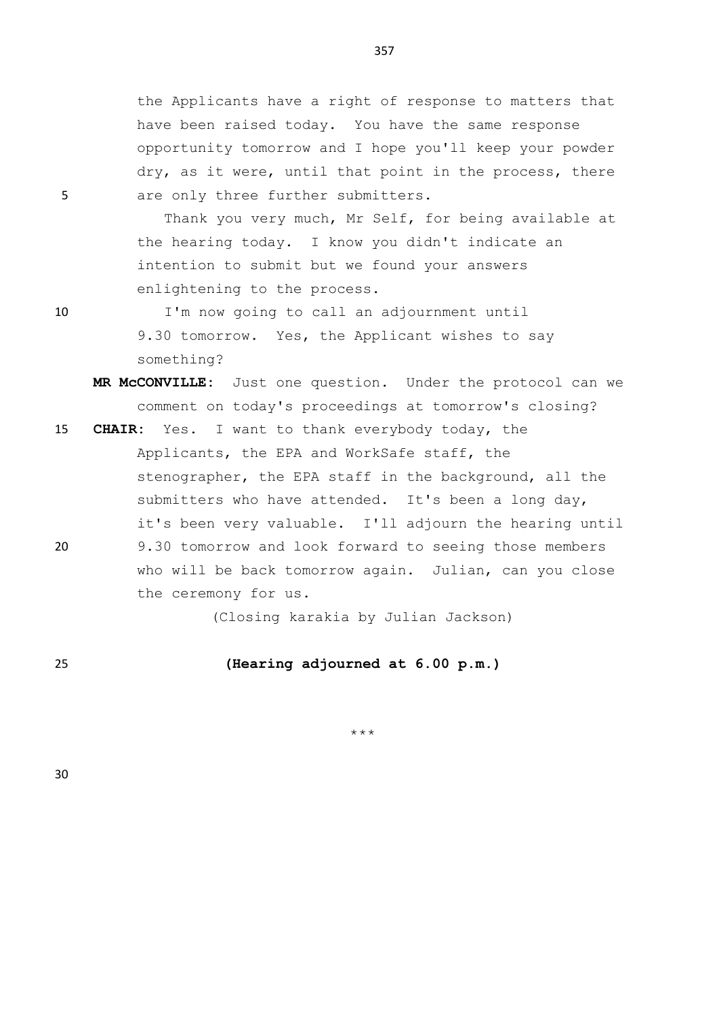the Applicants have a right of response to matters that have been raised today. You have the same response opportunity tomorrow and I hope you'll keep your powder dry, as it were, until that point in the process, there 5 are only three further submitters.

> Thank you very much, Mr Self, for being available at the hearing today. I know you didn't indicate an intention to submit but we found your answers enlightening to the process.

10 I'm now going to call an adjournment until 9.30 tomorrow. Yes, the Applicant wishes to say something?

- **MR McCONVILLE:** Just one question. Under the protocol can we comment on today's proceedings at tomorrow's closing?
- 15 **CHAIR:** Yes. I want to thank everybody today, the Applicants, the EPA and WorkSafe staff, the stenographer, the EPA staff in the background, all the submitters who have attended. It's been a long day, it's been very valuable. I'll adjourn the hearing until 20 9.30 tomorrow and look forward to seeing those members who will be back tomorrow again. Julian, can you close

the ceremony for us.

(Closing karakia by Julian Jackson)

25 **(Hearing adjourned at 6.00 p.m.)**

\*\*\*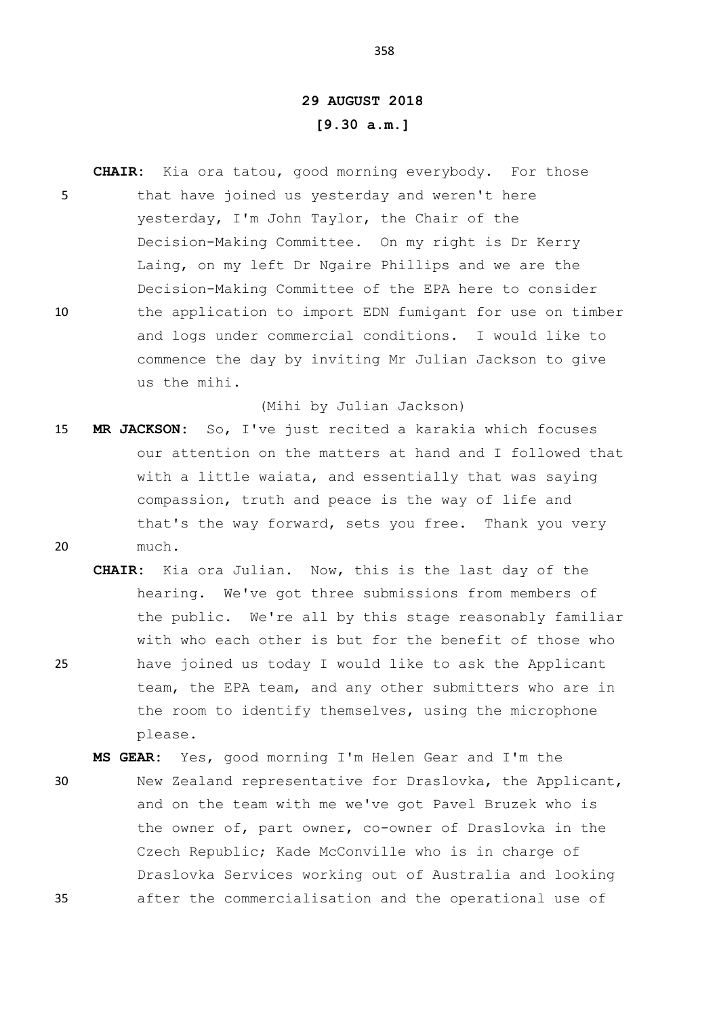## **29 AUGUST 2018 [9.30 a.m.]**

**CHAIR:** Kia ora tatou, good morning everybody. For those 5 that have joined us yesterday and weren't here yesterday, I'm John Taylor, the Chair of the Decision-Making Committee. On my right is Dr Kerry Laing, on my left Dr Ngaire Phillips and we are the Decision-Making Committee of the EPA here to consider 10 the application to import EDN fumigant for use on timber and logs under commercial conditions. I would like to commence the day by inviting Mr Julian Jackson to give us the mihi.

(Mihi by Julian Jackson)

- 15 **MR JACKSON:** So, I've just recited a karakia which focuses our attention on the matters at hand and I followed that with a little waiata, and essentially that was saying compassion, truth and peace is the way of life and that's the way forward, sets you free. Thank you very 20 much.
- **CHAIR:** Kia ora Julian. Now, this is the last day of the hearing. We've got three submissions from members of the public. We're all by this stage reasonably familiar with who each other is but for the benefit of those who 25 have joined us today I would like to ask the Applicant team, the EPA team, and any other submitters who are in the room to identify themselves, using the microphone please.

**MS GEAR:** Yes, good morning I'm Helen Gear and I'm the 30 New Zealand representative for Draslovka, the Applicant, and on the team with me we've got Pavel Bruzek who is the owner of, part owner, co-owner of Draslovka in the Czech Republic; Kade McConville who is in charge of Draslovka Services working out of Australia and looking 35 after the commercialisation and the operational use of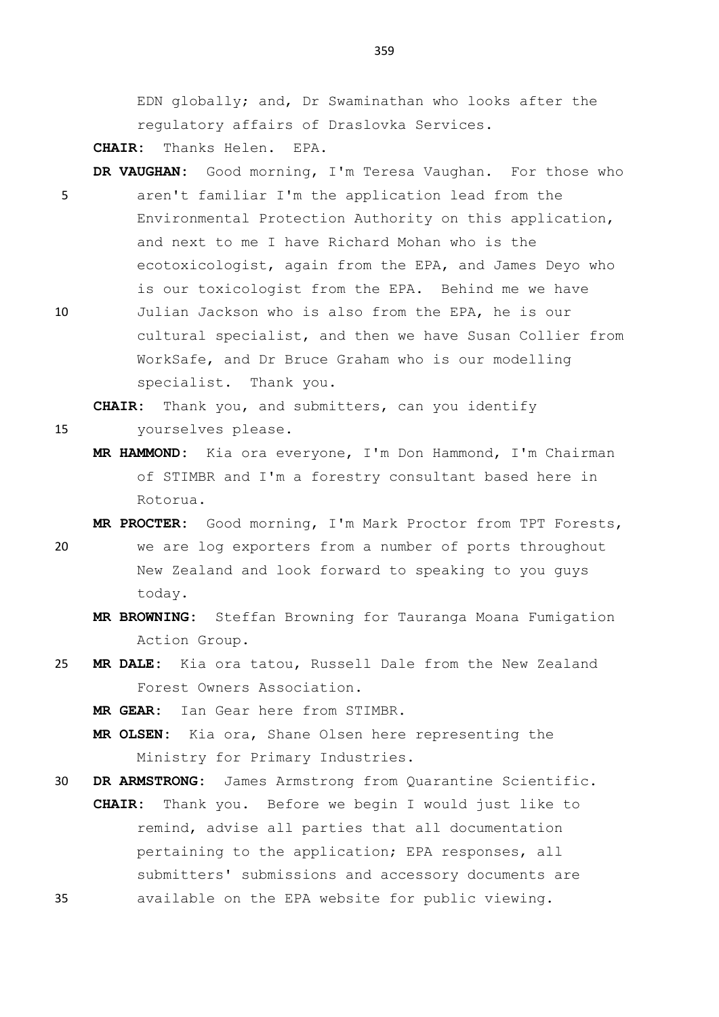EDN globally; and, Dr Swaminathan who looks after the regulatory affairs of Draslovka Services.

**CHAIR:** Thanks Helen. EPA.

- **DR VAUGHAN:** Good morning, I'm Teresa Vaughan. For those who 5 aren't familiar I'm the application lead from the Environmental Protection Authority on this application, and next to me I have Richard Mohan who is the ecotoxicologist, again from the EPA, and James Deyo who is our toxicologist from the EPA. Behind me we have
- 10 Julian Jackson who is also from the EPA, he is our cultural specialist, and then we have Susan Collier from WorkSafe, and Dr Bruce Graham who is our modelling specialist. Thank you.

**CHAIR:** Thank you, and submitters, can you identify

- 15 yourselves please.
	- **MR HAMMOND:** Kia ora everyone, I'm Don Hammond, I'm Chairman of STIMBR and I'm a forestry consultant based here in Rotorua.
- **MR PROCTER:** Good morning, I'm Mark Proctor from TPT Forests, 20 we are log exporters from a number of ports throughout New Zealand and look forward to speaking to you guys today.
	- **MR BROWNING:** Steffan Browning for Tauranga Moana Fumigation Action Group.
- 25 **MR DALE:** Kia ora tatou, Russell Dale from the New Zealand Forest Owners Association.

**MR GEAR:** Ian Gear here from STIMBR.

**MR OLSEN:** Kia ora, Shane Olsen here representing the Ministry for Primary Industries.

30 **DR ARMSTRONG:** James Armstrong from Quarantine Scientific.

**CHAIR:** Thank you. Before we begin I would just like to remind, advise all parties that all documentation pertaining to the application; EPA responses, all submitters' submissions and accessory documents are 35 available on the EPA website for public viewing.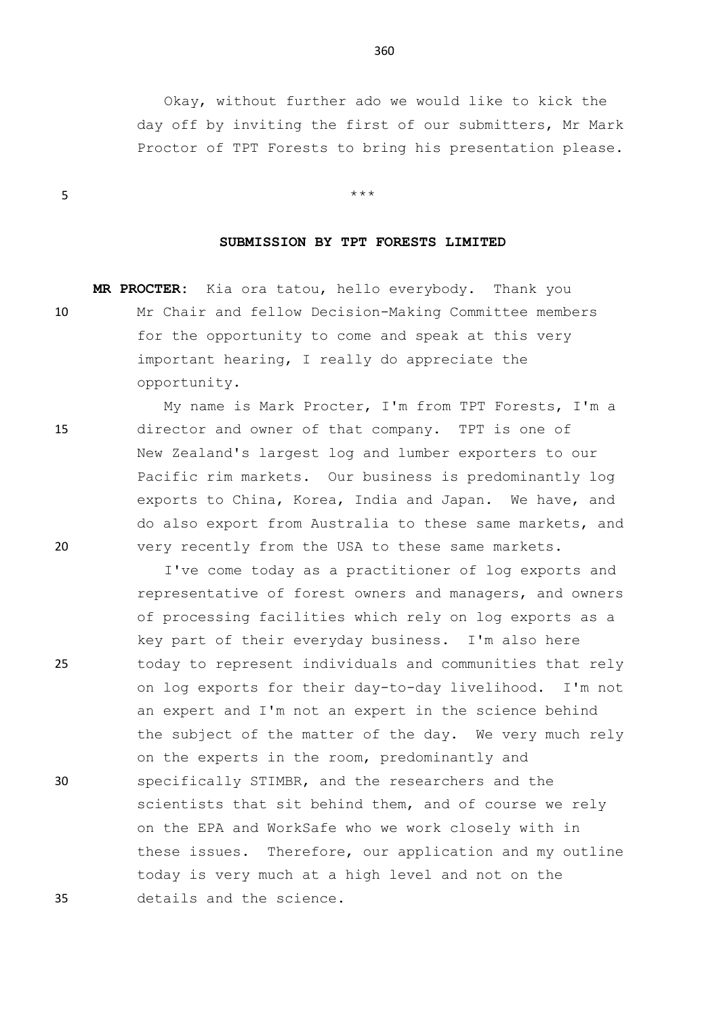Okay, without further ado we would like to kick the day off by inviting the first of our submitters, Mr Mark Proctor of TPT Forests to bring his presentation please.

 $5$  \*\*\*

## **SUBMISSION BY TPT FORESTS LIMITED**

**MR PROCTER:** Kia ora tatou, hello everybody. Thank you 10 Mr Chair and fellow Decision-Making Committee members for the opportunity to come and speak at this very important hearing, I really do appreciate the opportunity.

My name is Mark Procter, I'm from TPT Forests, I'm a 15 director and owner of that company. TPT is one of New Zealand's largest log and lumber exporters to our Pacific rim markets. Our business is predominantly log exports to China, Korea, India and Japan. We have, and do also export from Australia to these same markets, and 20 very recently from the USA to these same markets.

I've come today as a practitioner of log exports and representative of forest owners and managers, and owners of processing facilities which rely on log exports as a key part of their everyday business. I'm also here 25 today to represent individuals and communities that rely on log exports for their day-to-day livelihood. I'm not an expert and I'm not an expert in the science behind the subject of the matter of the day. We very much rely on the experts in the room, predominantly and 30 specifically STIMBR, and the researchers and the scientists that sit behind them, and of course we rely on the EPA and WorkSafe who we work closely with in these issues. Therefore, our application and my outline today is very much at a high level and not on the 35 details and the science.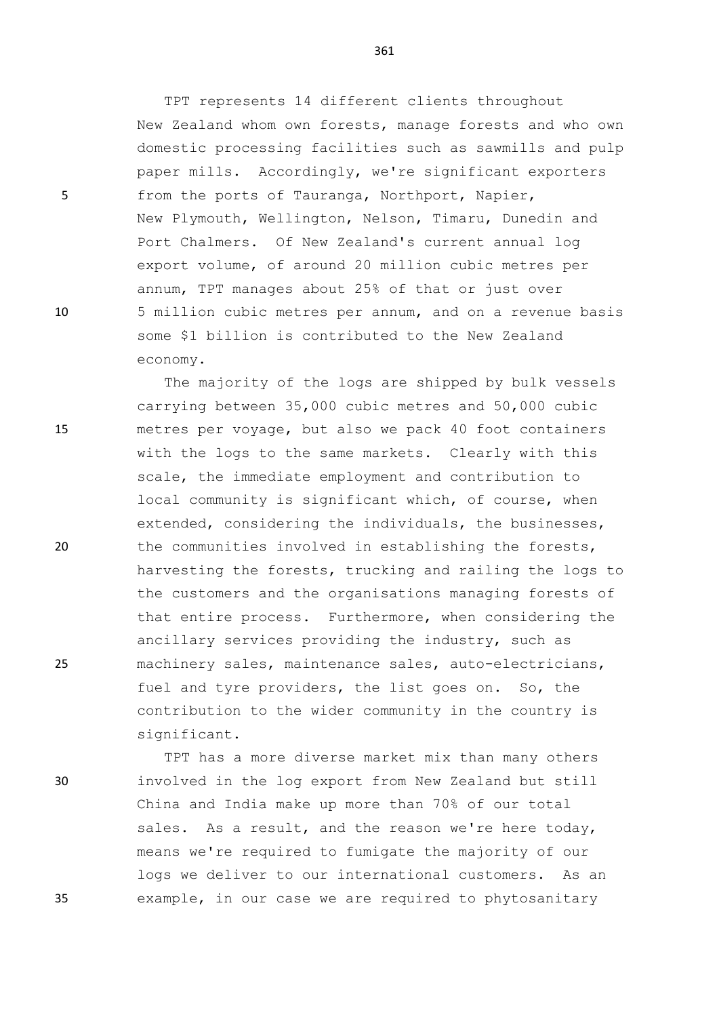TPT represents 14 different clients throughout New Zealand whom own forests, manage forests and who own domestic processing facilities such as sawmills and pulp paper mills. Accordingly, we're significant exporters 5 from the ports of Tauranga, Northport, Napier, New Plymouth, Wellington, Nelson, Timaru, Dunedin and Port Chalmers. Of New Zealand's current annual log export volume, of around 20 million cubic metres per annum, TPT manages about 25% of that or just over 10 5 million cubic metres per annum, and on a revenue basis some \$1 billion is contributed to the New Zealand economy.

The majority of the logs are shipped by bulk vessels carrying between 35,000 cubic metres and 50,000 cubic 15 metres per voyage, but also we pack 40 foot containers with the logs to the same markets. Clearly with this scale, the immediate employment and contribution to local community is significant which, of course, when extended, considering the individuals, the businesses, 20 the communities involved in establishing the forests, harvesting the forests, trucking and railing the logs to the customers and the organisations managing forests of that entire process. Furthermore, when considering the ancillary services providing the industry, such as 25 machinery sales, maintenance sales, auto-electricians, fuel and tyre providers, the list goes on. So, the contribution to the wider community in the country is significant.

TPT has a more diverse market mix than many others 30 involved in the log export from New Zealand but still China and India make up more than 70% of our total sales. As a result, and the reason we're here today, means we're required to fumigate the majority of our logs we deliver to our international customers. As an 35 example, in our case we are required to phytosanitary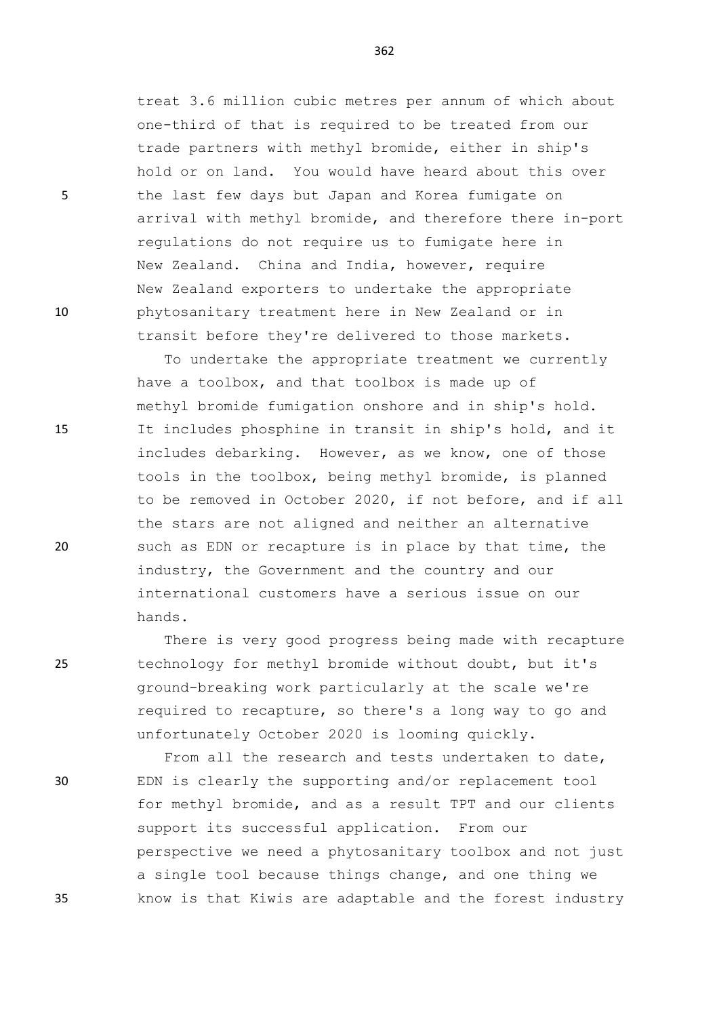treat 3.6 million cubic metres per annum of which about one-third of that is required to be treated from our trade partners with methyl bromide, either in ship's hold or on land. You would have heard about this over 5 the last few days but Japan and Korea fumigate on arrival with methyl bromide, and therefore there in-port regulations do not require us to fumigate here in New Zealand. China and India, however, require New Zealand exporters to undertake the appropriate 10 phytosanitary treatment here in New Zealand or in transit before they're delivered to those markets.

To undertake the appropriate treatment we currently have a toolbox, and that toolbox is made up of methyl bromide fumigation onshore and in ship's hold. 15 It includes phosphine in transit in ship's hold, and it includes debarking. However, as we know, one of those tools in the toolbox, being methyl bromide, is planned to be removed in October 2020, if not before, and if all the stars are not aligned and neither an alternative 20 such as EDN or recapture is in place by that time, the industry, the Government and the country and our international customers have a serious issue on our hands.

There is very good progress being made with recapture 25 technology for methyl bromide without doubt, but it's ground-breaking work particularly at the scale we're required to recapture, so there's a long way to go and unfortunately October 2020 is looming quickly.

From all the research and tests undertaken to date, 30 EDN is clearly the supporting and/or replacement tool for methyl bromide, and as a result TPT and our clients support its successful application. From our perspective we need a phytosanitary toolbox and not just a single tool because things change, and one thing we 35 know is that Kiwis are adaptable and the forest industry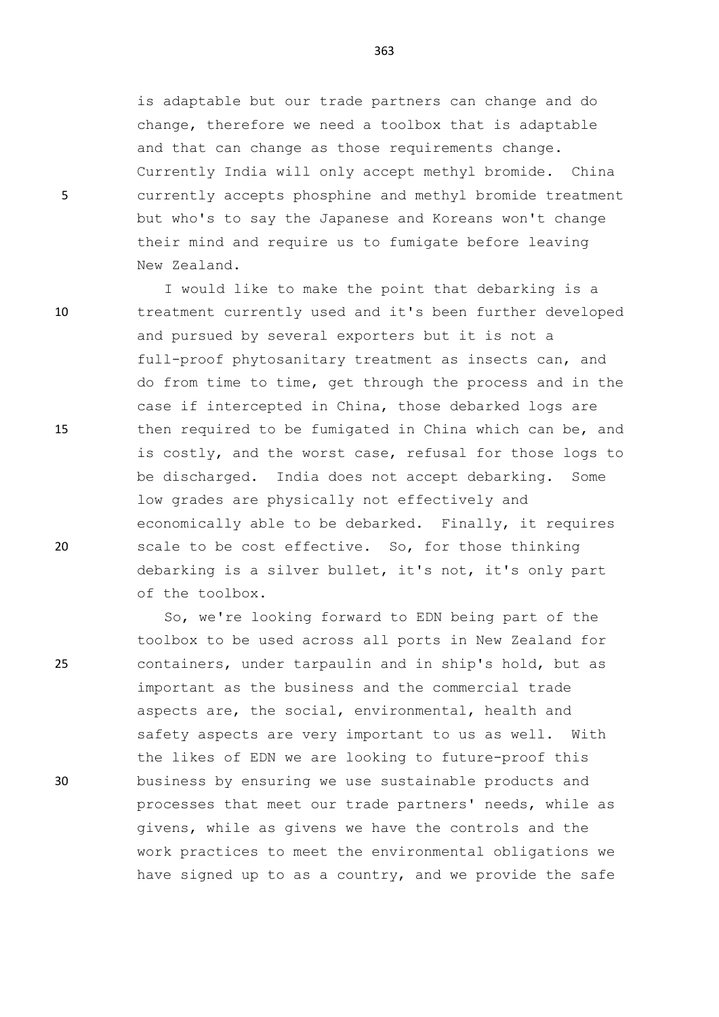is adaptable but our trade partners can change and do change, therefore we need a toolbox that is adaptable and that can change as those requirements change. Currently India will only accept methyl bromide. China 5 currently accepts phosphine and methyl bromide treatment but who's to say the Japanese and Koreans won't change their mind and require us to fumigate before leaving New Zealand.

I would like to make the point that debarking is a 10 treatment currently used and it's been further developed and pursued by several exporters but it is not a full-proof phytosanitary treatment as insects can, and do from time to time, get through the process and in the case if intercepted in China, those debarked logs are 15 then required to be fumigated in China which can be, and is costly, and the worst case, refusal for those logs to be discharged. India does not accept debarking. Some low grades are physically not effectively and economically able to be debarked. Finally, it requires 20 scale to be cost effective. So, for those thinking debarking is a silver bullet, it's not, it's only part of the toolbox.

So, we're looking forward to EDN being part of the toolbox to be used across all ports in New Zealand for 25 containers, under tarpaulin and in ship's hold, but as important as the business and the commercial trade aspects are, the social, environmental, health and safety aspects are very important to us as well. With the likes of EDN we are looking to future-proof this 30 business by ensuring we use sustainable products and processes that meet our trade partners' needs, while as givens, while as givens we have the controls and the work practices to meet the environmental obligations we have signed up to as a country, and we provide the safe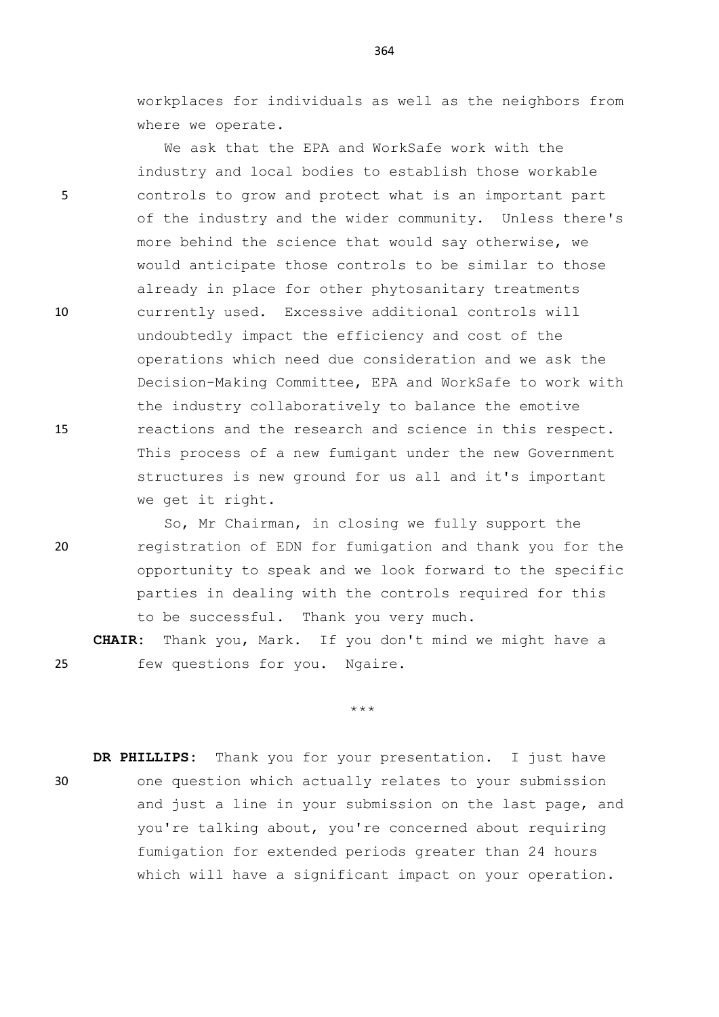workplaces for individuals as well as the neighbors from where we operate.

We ask that the EPA and WorkSafe work with the industry and local bodies to establish those workable 5 controls to grow and protect what is an important part of the industry and the wider community. Unless there's more behind the science that would say otherwise, we would anticipate those controls to be similar to those already in place for other phytosanitary treatments 10 currently used. Excessive additional controls will undoubtedly impact the efficiency and cost of the operations which need due consideration and we ask the Decision-Making Committee, EPA and WorkSafe to work with the industry collaboratively to balance the emotive 15 reactions and the research and science in this respect. This process of a new fumigant under the new Government structures is new ground for us all and it's important we get it right.

So, Mr Chairman, in closing we fully support the 20 registration of EDN for fumigation and thank you for the opportunity to speak and we look forward to the specific parties in dealing with the controls required for this to be successful. Thank you very much.

**CHAIR:** Thank you, Mark. If you don't mind we might have a 25 few questions for you. Ngaire.

\*\*\*

**DR PHILLIPS:** Thank you for your presentation. I just have 30 one question which actually relates to your submission and just a line in your submission on the last page, and you're talking about, you're concerned about requiring fumigation for extended periods greater than 24 hours which will have a significant impact on your operation.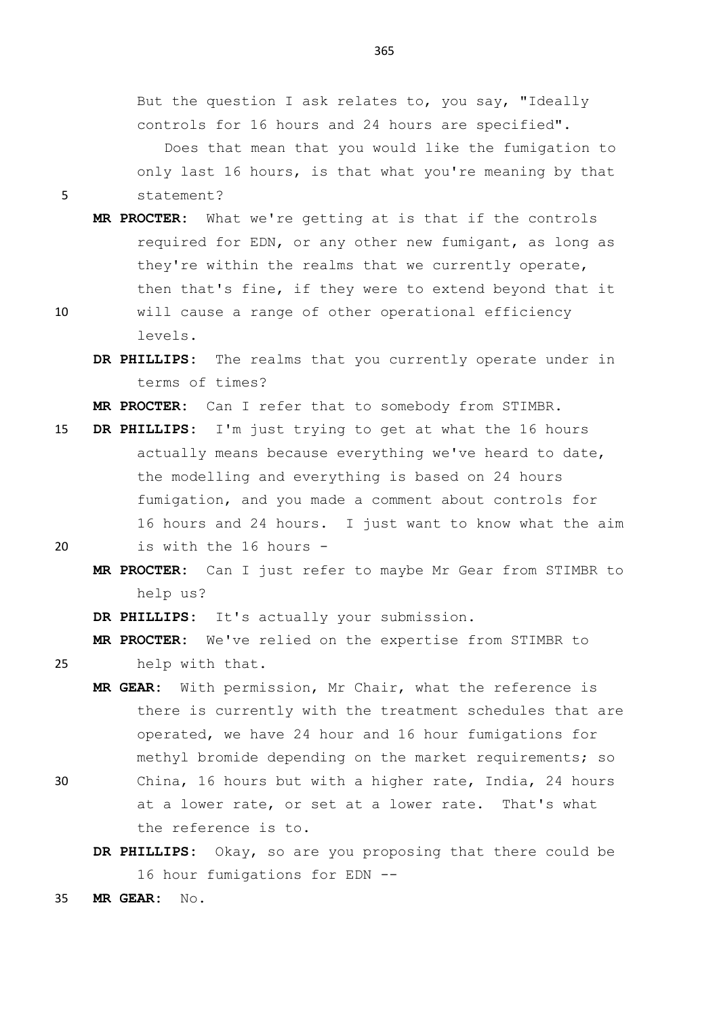But the question I ask relates to, you say, "Ideally controls for 16 hours and 24 hours are specified". Does that mean that you would like the fumigation to

only last 16 hours, is that what you're meaning by that 5 statement?

- **MR PROCTER:** What we're getting at is that if the controls required for EDN, or any other new fumigant, as long as they're within the realms that we currently operate, then that's fine, if they were to extend beyond that it
- 10 will cause a range of other operational efficiency levels.
	- **DR PHILLIPS:** The realms that you currently operate under in terms of times?

**MR PROCTER:** Can I refer that to somebody from STIMBR.

- 15 **DR PHILLIPS:** I'm just trying to get at what the 16 hours actually means because everything we've heard to date, the modelling and everything is based on 24 hours fumigation, and you made a comment about controls for 16 hours and 24 hours. I just want to know what the aim 20 is with the 16 hours -
- 

**MR PROCTER:** Can I just refer to maybe Mr Gear from STIMBR to help us?

**DR PHILLIPS:** It's actually your submission.

**MR PROCTER:** We've relied on the expertise from STIMBR to

25 help with that.

- **MR GEAR:** With permission, Mr Chair, what the reference is there is currently with the treatment schedules that are operated, we have 24 hour and 16 hour fumigations for methyl bromide depending on the market requirements; so
- 30 China, 16 hours but with a higher rate, India, 24 hours at a lower rate, or set at a lower rate. That's what the reference is to.
	- **DR PHILLIPS:** Okay, so are you proposing that there could be 16 hour fumigations for EDN --
- 35 **MR GEAR:** No.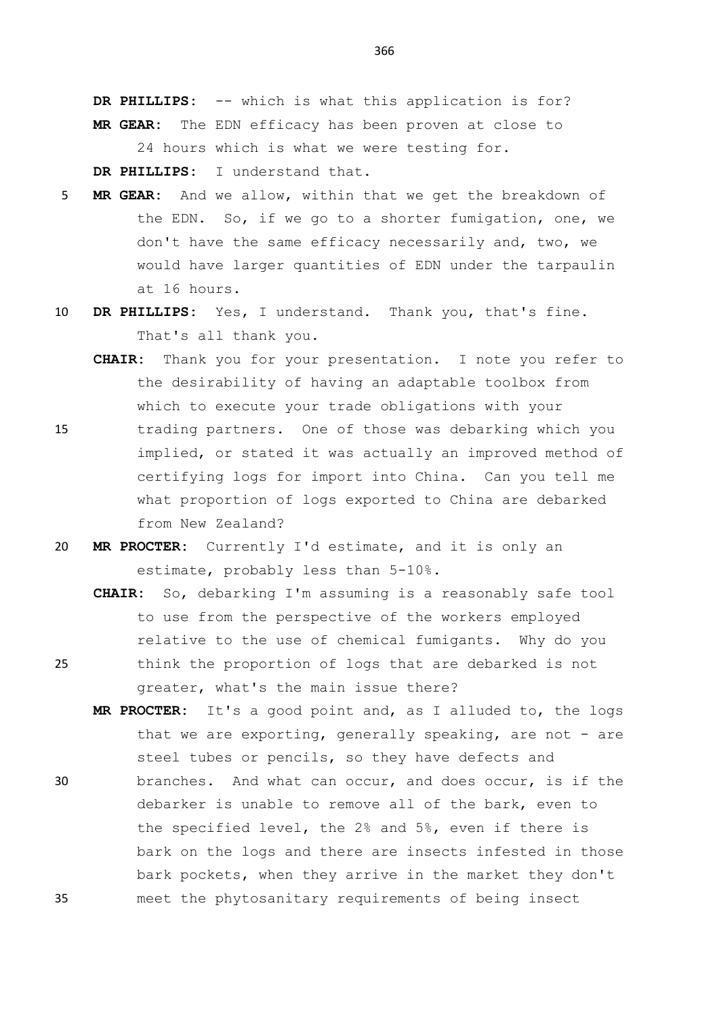**DR PHILLIPS:** -- which is what this application is for? **MR GEAR:** The EDN efficacy has been proven at close to 24 hours which is what we were testing for.

**DR PHILLIPS:** I understand that.

- 5 **MR GEAR:** And we allow, within that we get the breakdown of the EDN. So, if we go to a shorter fumigation, one, we don't have the same efficacy necessarily and, two, we would have larger quantities of EDN under the tarpaulin at 16 hours.
- 10 **DR PHILLIPS:** Yes, I understand. Thank you, that's fine. That's all thank you.
	- **CHAIR:** Thank you for your presentation. I note you refer to the desirability of having an adaptable toolbox from which to execute your trade obligations with your
- 15 trading partners. One of those was debarking which you implied, or stated it was actually an improved method of certifying logs for import into China. Can you tell me what proportion of logs exported to China are debarked from New Zealand?
- 20 **MR PROCTER:** Currently I'd estimate, and it is only an estimate, probably less than 5-10%.
- **CHAIR:** So, debarking I'm assuming is a reasonably safe tool to use from the perspective of the workers employed relative to the use of chemical fumigants. Why do you 25 think the proportion of logs that are debarked is not greater, what's the main issue there?
	- **MR PROCTER:** It's a good point and, as I alluded to, the logs that we are exporting, generally speaking, are not - are steel tubes or pencils, so they have defects and
- 30 branches. And what can occur, and does occur, is if the debarker is unable to remove all of the bark, even to the specified level, the 2% and 5%, even if there is bark on the logs and there are insects infested in those bark pockets, when they arrive in the market they don't 35 meet the phytosanitary requirements of being insect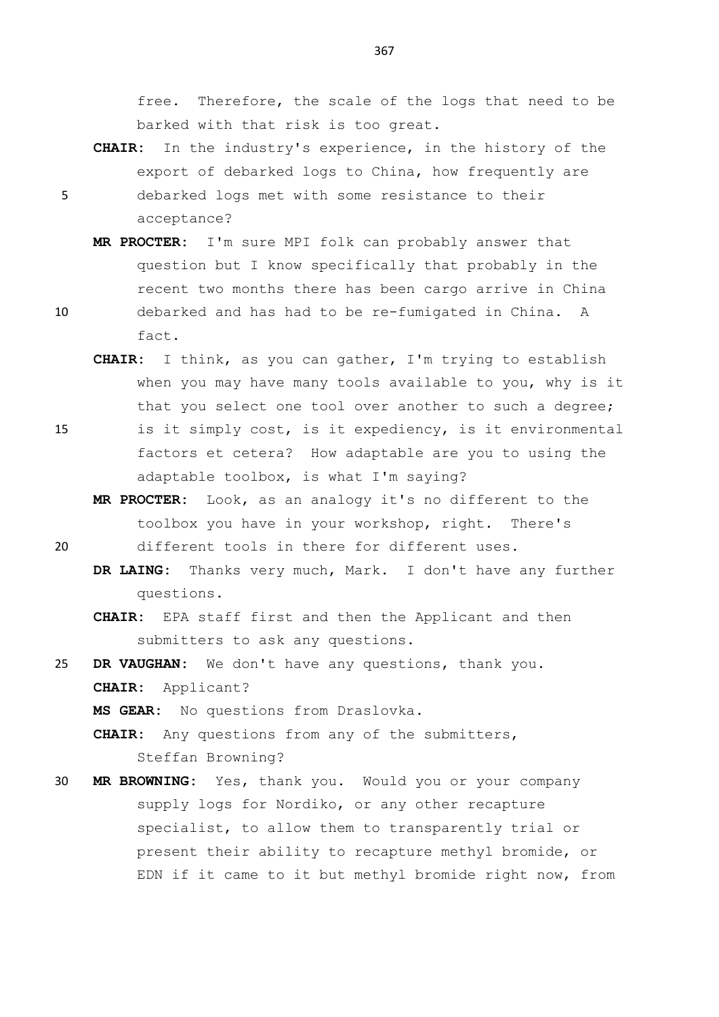free. Therefore, the scale of the logs that need to be barked with that risk is too great.

- **CHAIR:** In the industry's experience, in the history of the export of debarked logs to China, how frequently are 5 debarked logs met with some resistance to their acceptance?
- **MR PROCTER:** I'm sure MPI folk can probably answer that question but I know specifically that probably in the recent two months there has been cargo arrive in China 10 debarked and has had to be re-fumigated in China. A fact.
	- **CHAIR:** I think, as you can gather, I'm trying to establish when you may have many tools available to you, why is it that you select one tool over another to such a degree;
- 15 is it simply cost, is it expediency, is it environmental factors et cetera? How adaptable are you to using the adaptable toolbox, is what I'm saying?
	- **MR PROCTER:** Look, as an analogy it's no different to the toolbox you have in your workshop, right. There's
- 20 different tools in there for different uses.
	- **DR LAING:** Thanks very much, Mark. I don't have any further questions.
	- **CHAIR:** EPA staff first and then the Applicant and then submitters to ask any questions.
- 25 **DR VAUGHAN:** We don't have any questions, thank you. **CHAIR:** Applicant?

**MS GEAR:** No questions from Draslovka.

**CHAIR:** Any questions from any of the submitters, Steffan Browning?

30 **MR BROWNING:** Yes, thank you. Would you or your company supply logs for Nordiko, or any other recapture specialist, to allow them to transparently trial or present their ability to recapture methyl bromide, or EDN if it came to it but methyl bromide right now, from

- 
-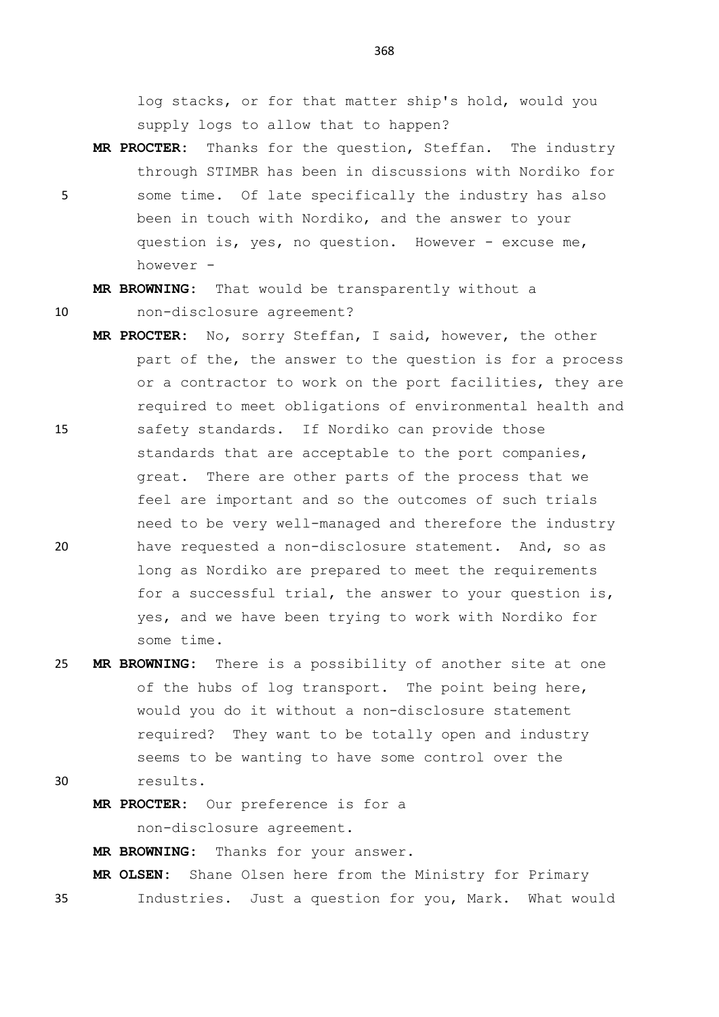log stacks, or for that matter ship's hold, would you supply logs to allow that to happen?

**MR PROCTER:** Thanks for the question, Steffan. The industry through STIMBR has been in discussions with Nordiko for 5 some time. Of late specifically the industry has also been in touch with Nordiko, and the answer to your question is, yes, no question. However - excuse me, however -

**MR BROWNING:** That would be transparently without a 10 non-disclosure agreement?

- **MR PROCTER:** No, sorry Steffan, I said, however, the other part of the, the answer to the question is for a process or a contractor to work on the port facilities, they are required to meet obligations of environmental health and 15 safety standards. If Nordiko can provide those standards that are acceptable to the port companies, great. There are other parts of the process that we feel are important and so the outcomes of such trials need to be very well-managed and therefore the industry 20 have requested a non-disclosure statement. And, so as long as Nordiko are prepared to meet the requirements for a successful trial, the answer to your question is, yes, and we have been trying to work with Nordiko for some time.
- 25 **MR BROWNING:** There is a possibility of another site at one of the hubs of log transport. The point being here, would you do it without a non-disclosure statement required? They want to be totally open and industry seems to be wanting to have some control over the 30 results.
	- **MR PROCTER:** Our preference is for a

non-disclosure agreement.

**MR BROWNING:** Thanks for your answer.

**MR OLSEN:** Shane Olsen here from the Ministry for Primary

35 Industries. Just a question for you, Mark. What would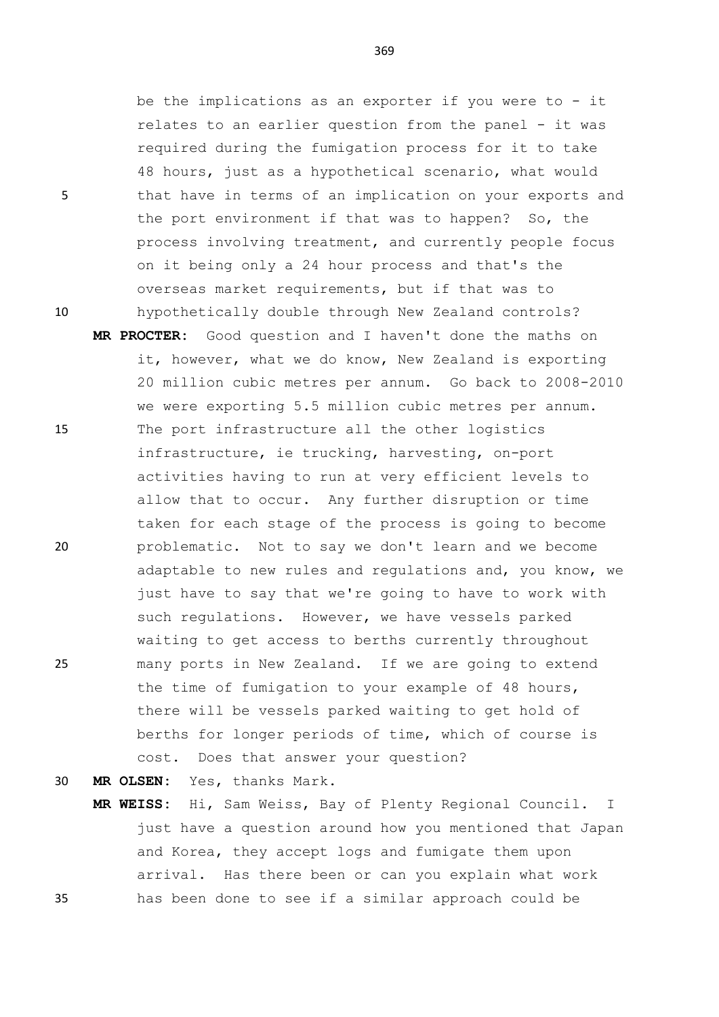369

be the implications as an exporter if you were to - it relates to an earlier question from the panel - it was required during the fumigation process for it to take 48 hours, just as a hypothetical scenario, what would 5 that have in terms of an implication on your exports and the port environment if that was to happen? So, the process involving treatment, and currently people focus on it being only a 24 hour process and that's the overseas market requirements, but if that was to 10 hypothetically double through New Zealand controls?

**MR PROCTER:** Good question and I haven't done the maths on it, however, what we do know, New Zealand is exporting 20 million cubic metres per annum. Go back to 2008-2010 we were exporting 5.5 million cubic metres per annum. 15 The port infrastructure all the other logistics infrastructure, ie trucking, harvesting, on-port activities having to run at very efficient levels to allow that to occur. Any further disruption or time taken for each stage of the process is going to become 20 problematic. Not to say we don't learn and we become adaptable to new rules and regulations and, you know, we just have to say that we're going to have to work with such regulations. However, we have vessels parked waiting to get access to berths currently throughout 25 many ports in New Zealand. If we are going to extend the time of fumigation to your example of 48 hours, there will be vessels parked waiting to get hold of berths for longer periods of time, which of course is cost. Does that answer your question?

30 **MR OLSEN:** Yes, thanks Mark.

**MR WEISS:** Hi, Sam Weiss, Bay of Plenty Regional Council. I just have a question around how you mentioned that Japan and Korea, they accept logs and fumigate them upon arrival. Has there been or can you explain what work 35 has been done to see if a similar approach could be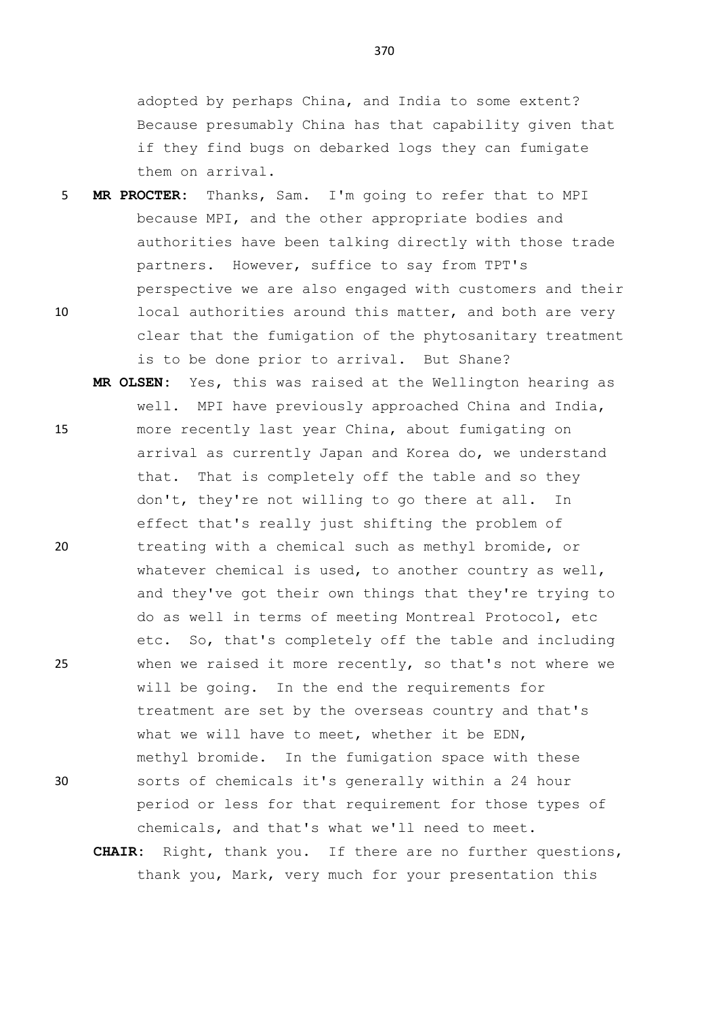adopted by perhaps China, and India to some extent? Because presumably China has that capability given that if they find bugs on debarked logs they can fumigate them on arrival.

- 5 **MR PROCTER:** Thanks, Sam. I'm going to refer that to MPI because MPI, and the other appropriate bodies and authorities have been talking directly with those trade partners. However, suffice to say from TPT's perspective we are also engaged with customers and their 10 local authorities around this matter, and both are very clear that the fumigation of the phytosanitary treatment is to be done prior to arrival. But Shane?
- **MR OLSEN:** Yes, this was raised at the Wellington hearing as well. MPI have previously approached China and India, 15 more recently last year China, about fumigating on arrival as currently Japan and Korea do, we understand that. That is completely off the table and so they don't, they're not willing to go there at all. In effect that's really just shifting the problem of 20 treating with a chemical such as methyl bromide, or whatever chemical is used, to another country as well, and they've got their own things that they're trying to do as well in terms of meeting Montreal Protocol, etc etc. So, that's completely off the table and including 25 when we raised it more recently, so that's not where we will be going. In the end the requirements for treatment are set by the overseas country and that's what we will have to meet, whether it be EDN, methyl bromide. In the fumigation space with these 30 sorts of chemicals it's generally within a 24 hour period or less for that requirement for those types of chemicals, and that's what we'll need to meet.

**CHAIR:** Right, thank you. If there are no further questions, thank you, Mark, very much for your presentation this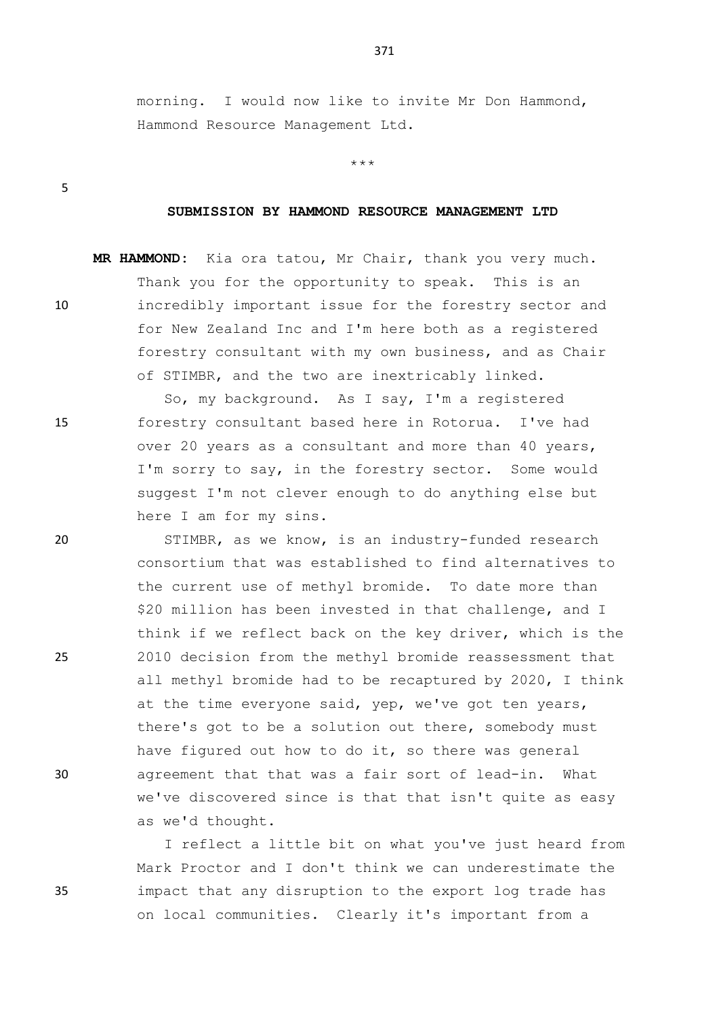morning. I would now like to invite Mr Don Hammond, Hammond Resource Management Ltd.

\*\*\*

5

## **SUBMISSION BY HAMMOND RESOURCE MANAGEMENT LTD**

**MR HAMMOND:** Kia ora tatou, Mr Chair, thank you very much. Thank you for the opportunity to speak. This is an 10 incredibly important issue for the forestry sector and for New Zealand Inc and I'm here both as a registered forestry consultant with my own business, and as Chair of STIMBR, and the two are inextricably linked.

So, my background. As I say, I'm a registered 15 forestry consultant based here in Rotorua. I've had over 20 years as a consultant and more than 40 years, I'm sorry to say, in the forestry sector. Some would suggest I'm not clever enough to do anything else but here I am for my sins.

20 STIMBR, as we know, is an industry-funded research consortium that was established to find alternatives to the current use of methyl bromide. To date more than \$20 million has been invested in that challenge, and I think if we reflect back on the key driver, which is the 25 2010 decision from the methyl bromide reassessment that all methyl bromide had to be recaptured by 2020, I think at the time everyone said, yep, we've got ten years, there's got to be a solution out there, somebody must have figured out how to do it, so there was general 30 agreement that that was a fair sort of lead-in. What we've discovered since is that that isn't quite as easy as we'd thought.

I reflect a little bit on what you've just heard from Mark Proctor and I don't think we can underestimate the 35 impact that any disruption to the export log trade has on local communities. Clearly it's important from a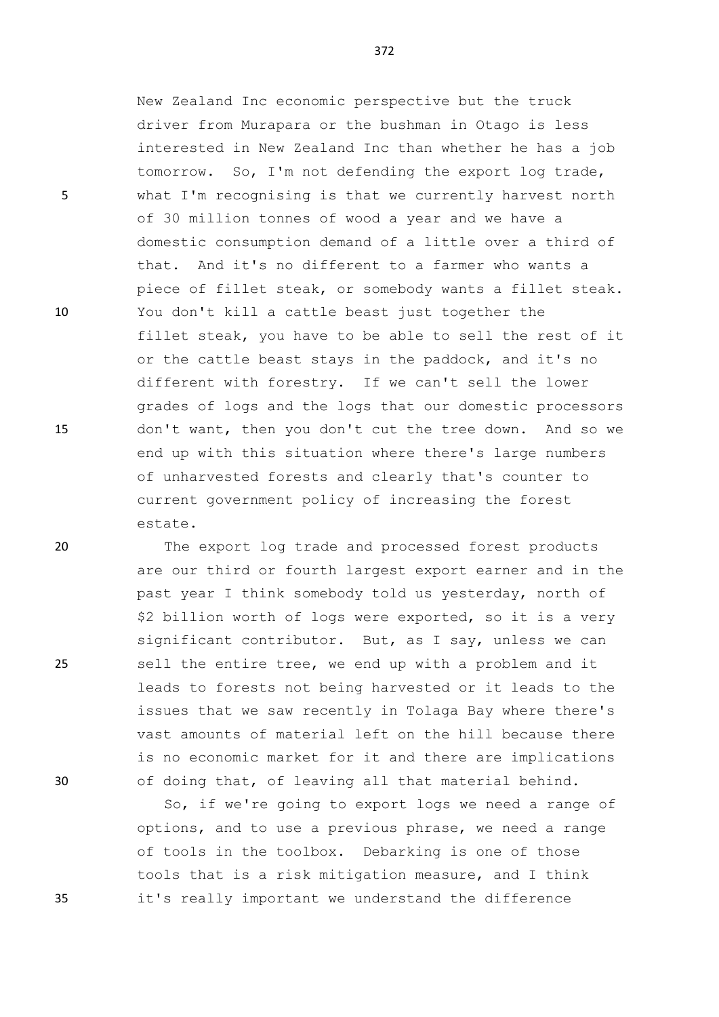New Zealand Inc economic perspective but the truck driver from Murapara or the bushman in Otago is less interested in New Zealand Inc than whether he has a job tomorrow. So, I'm not defending the export log trade, 5 what I'm recognising is that we currently harvest north of 30 million tonnes of wood a year and we have a domestic consumption demand of a little over a third of that. And it's no different to a farmer who wants a piece of fillet steak, or somebody wants a fillet steak. 10 You don't kill a cattle beast just together the fillet steak, you have to be able to sell the rest of it or the cattle beast stays in the paddock, and it's no different with forestry. If we can't sell the lower grades of logs and the logs that our domestic processors 15 don't want, then you don't cut the tree down. And so we end up with this situation where there's large numbers of unharvested forests and clearly that's counter to current government policy of increasing the forest estate.

20 The export log trade and processed forest products are our third or fourth largest export earner and in the past year I think somebody told us yesterday, north of \$2 billion worth of logs were exported, so it is a very significant contributor. But, as I say, unless we can 25 sell the entire tree, we end up with a problem and it leads to forests not being harvested or it leads to the issues that we saw recently in Tolaga Bay where there's vast amounts of material left on the hill because there is no economic market for it and there are implications 30 of doing that, of leaving all that material behind.

So, if we're going to export logs we need a range of options, and to use a previous phrase, we need a range of tools in the toolbox. Debarking is one of those tools that is a risk mitigation measure, and I think 35 it's really important we understand the difference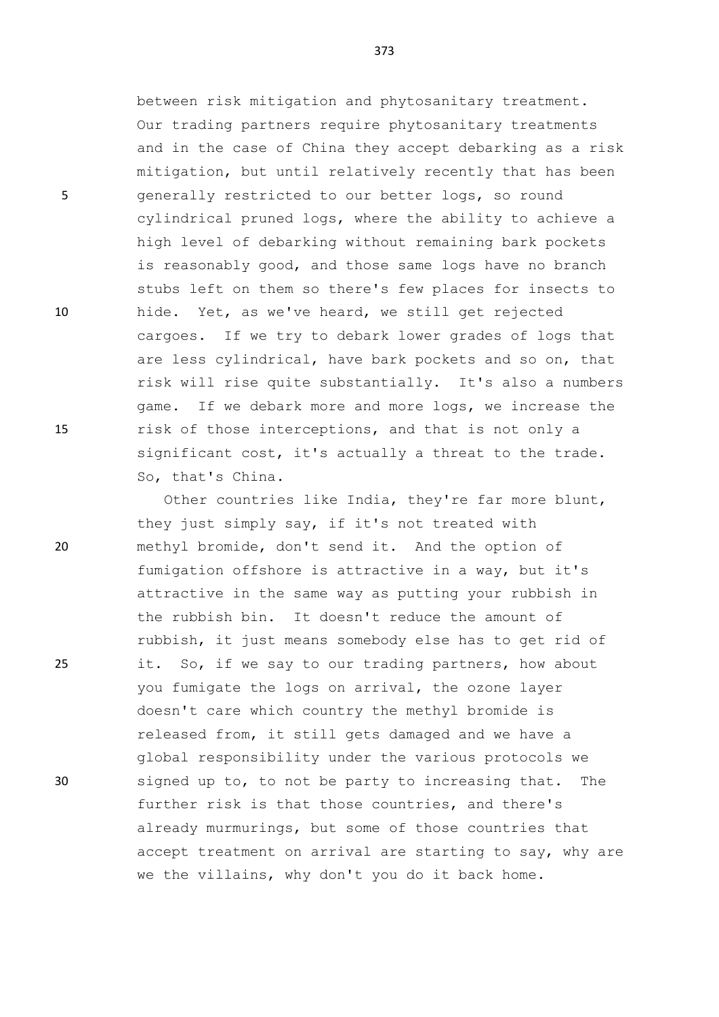between risk mitigation and phytosanitary treatment. Our trading partners require phytosanitary treatments and in the case of China they accept debarking as a risk mitigation, but until relatively recently that has been 5 generally restricted to our better logs, so round cylindrical pruned logs, where the ability to achieve a high level of debarking without remaining bark pockets is reasonably good, and those same logs have no branch stubs left on them so there's few places for insects to 10 hide. Yet, as we've heard, we still get rejected cargoes. If we try to debark lower grades of logs that are less cylindrical, have bark pockets and so on, that risk will rise quite substantially. It's also a numbers game. If we debark more and more logs, we increase the 15 risk of those interceptions, and that is not only a significant cost, it's actually a threat to the trade. So, that's China.

Other countries like India, they're far more blunt, they just simply say, if it's not treated with 20 methyl bromide, don't send it. And the option of fumigation offshore is attractive in a way, but it's attractive in the same way as putting your rubbish in the rubbish bin. It doesn't reduce the amount of rubbish, it just means somebody else has to get rid of 25 it. So, if we say to our trading partners, how about you fumigate the logs on arrival, the ozone layer doesn't care which country the methyl bromide is released from, it still gets damaged and we have a global responsibility under the various protocols we 30 signed up to, to not be party to increasing that. The further risk is that those countries, and there's already murmurings, but some of those countries that accept treatment on arrival are starting to say, why are we the villains, why don't you do it back home.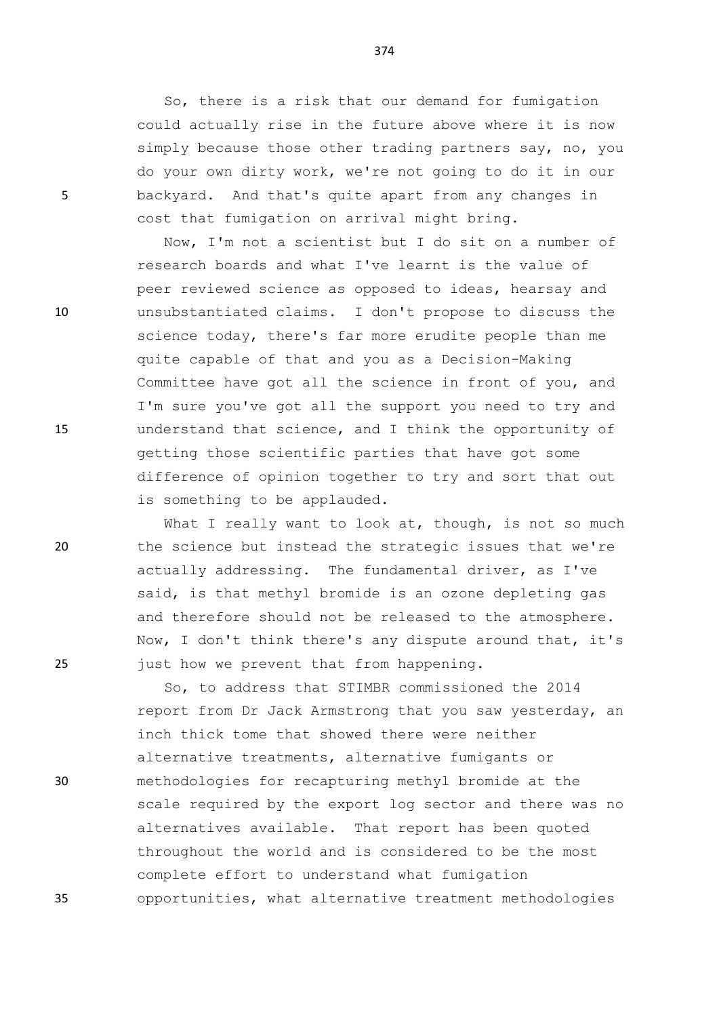So, there is a risk that our demand for fumigation could actually rise in the future above where it is now simply because those other trading partners say, no, you do your own dirty work, we're not going to do it in our 5 backyard. And that's quite apart from any changes in cost that fumigation on arrival might bring.

Now, I'm not a scientist but I do sit on a number of research boards and what I've learnt is the value of peer reviewed science as opposed to ideas, hearsay and 10 unsubstantiated claims. I don't propose to discuss the science today, there's far more erudite people than me quite capable of that and you as a Decision-Making Committee have got all the science in front of you, and I'm sure you've got all the support you need to try and 15 understand that science, and I think the opportunity of getting those scientific parties that have got some difference of opinion together to try and sort that out is something to be applauded.

What I really want to look at, though, is not so much 20 the science but instead the strategic issues that we're actually addressing. The fundamental driver, as I've said, is that methyl bromide is an ozone depleting gas and therefore should not be released to the atmosphere. Now, I don't think there's any dispute around that, it's 25 just how we prevent that from happening.

So, to address that STIMBR commissioned the 2014 report from Dr Jack Armstrong that you saw yesterday, an inch thick tome that showed there were neither alternative treatments, alternative fumigants or 30 methodologies for recapturing methyl bromide at the scale required by the export log sector and there was no alternatives available. That report has been quoted throughout the world and is considered to be the most complete effort to understand what fumigation 35 opportunities, what alternative treatment methodologies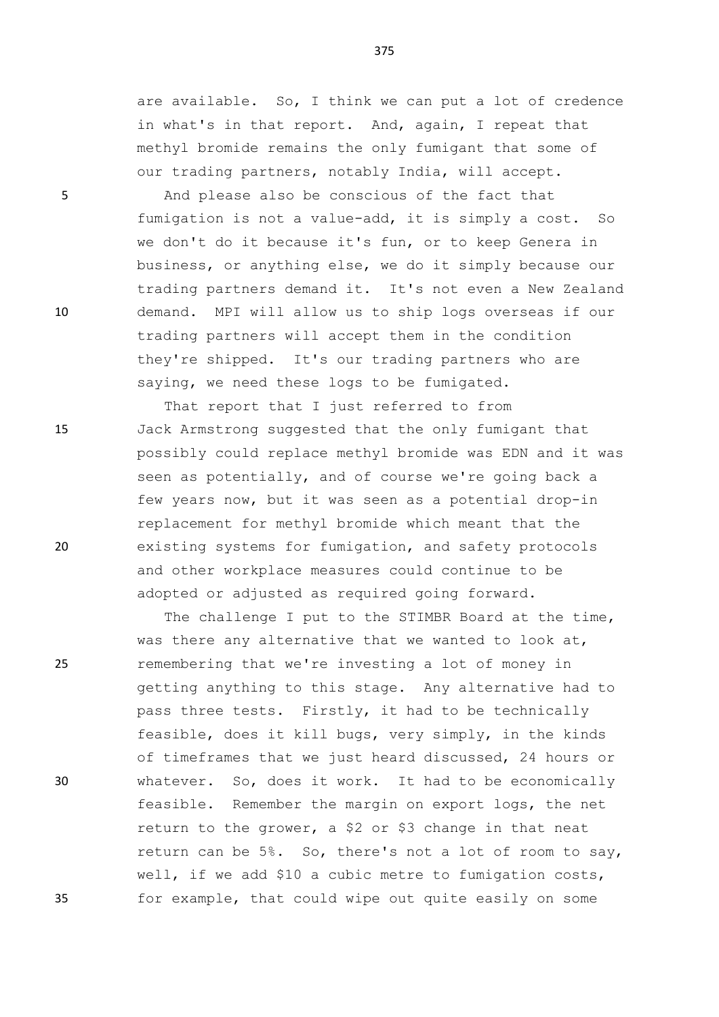are available. So, I think we can put a lot of credence in what's in that report. And, again, I repeat that methyl bromide remains the only fumigant that some of our trading partners, notably India, will accept.

5 And please also be conscious of the fact that fumigation is not a value-add, it is simply a cost. So we don't do it because it's fun, or to keep Genera in business, or anything else, we do it simply because our trading partners demand it. It's not even a New Zealand 10 demand. MPI will allow us to ship logs overseas if our trading partners will accept them in the condition they're shipped. It's our trading partners who are saying, we need these logs to be fumigated.

That report that I just referred to from 15 Jack Armstrong suggested that the only fumigant that possibly could replace methyl bromide was EDN and it was seen as potentially, and of course we're going back a few years now, but it was seen as a potential drop-in replacement for methyl bromide which meant that the 20 existing systems for fumigation, and safety protocols and other workplace measures could continue to be adopted or adjusted as required going forward.

The challenge I put to the STIMBR Board at the time, was there any alternative that we wanted to look at, 25 remembering that we're investing a lot of money in getting anything to this stage. Any alternative had to pass three tests. Firstly, it had to be technically feasible, does it kill bugs, very simply, in the kinds of timeframes that we just heard discussed, 24 hours or 30 whatever. So, does it work. It had to be economically feasible. Remember the margin on export logs, the net return to the grower, a \$2 or \$3 change in that neat return can be 5%. So, there's not a lot of room to say, well, if we add \$10 a cubic metre to fumigation costs, 35 for example, that could wipe out quite easily on some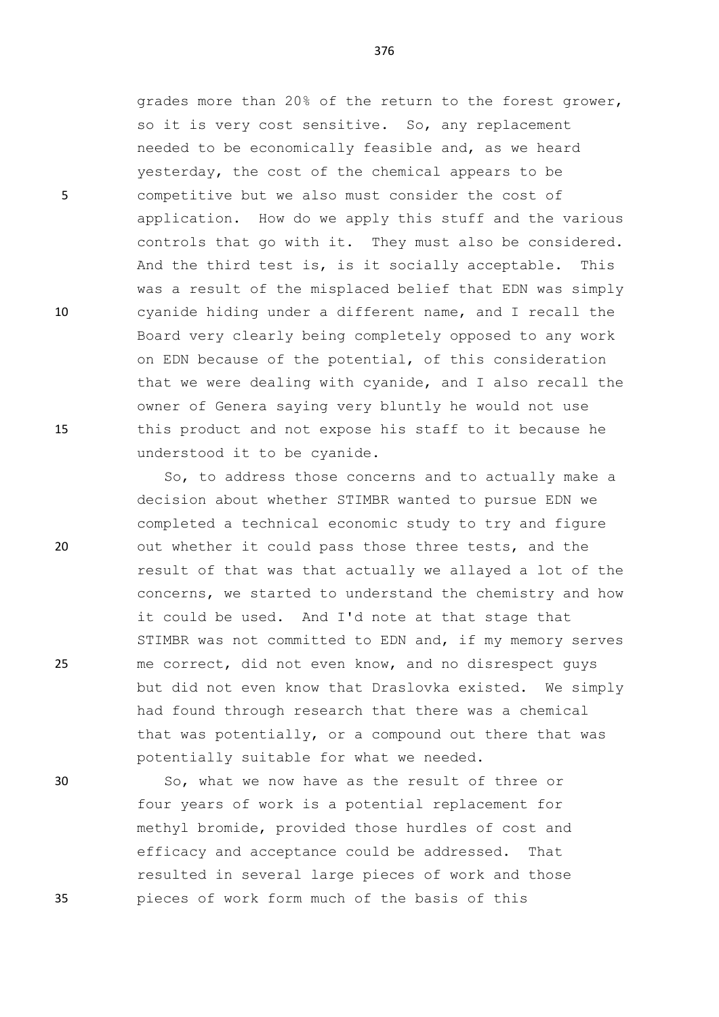grades more than 20% of the return to the forest grower, so it is very cost sensitive. So, any replacement needed to be economically feasible and, as we heard yesterday, the cost of the chemical appears to be 5 competitive but we also must consider the cost of application. How do we apply this stuff and the various controls that go with it. They must also be considered. And the third test is, is it socially acceptable. This was a result of the misplaced belief that EDN was simply 10 cyanide hiding under a different name, and I recall the Board very clearly being completely opposed to any work on EDN because of the potential, of this consideration that we were dealing with cyanide, and I also recall the owner of Genera saying very bluntly he would not use 15 this product and not expose his staff to it because he understood it to be cyanide.

So, to address those concerns and to actually make a decision about whether STIMBR wanted to pursue EDN we completed a technical economic study to try and figure 20 out whether it could pass those three tests, and the result of that was that actually we allayed a lot of the concerns, we started to understand the chemistry and how it could be used. And I'd note at that stage that STIMBR was not committed to EDN and, if my memory serves 25 me correct, did not even know, and no disrespect guys but did not even know that Draslovka existed. We simply had found through research that there was a chemical that was potentially, or a compound out there that was potentially suitable for what we needed.

30 So, what we now have as the result of three or four years of work is a potential replacement for methyl bromide, provided those hurdles of cost and efficacy and acceptance could be addressed. That resulted in several large pieces of work and those 35 pieces of work form much of the basis of this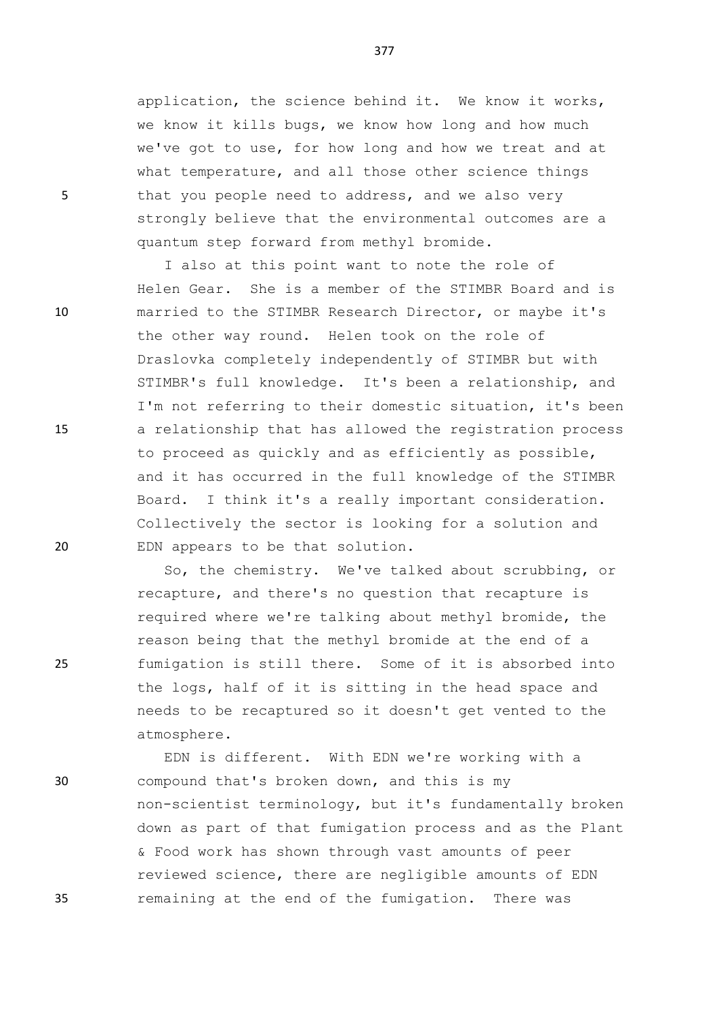application, the science behind it. We know it works, we know it kills bugs, we know how long and how much we've got to use, for how long and how we treat and at what temperature, and all those other science things 5 that you people need to address, and we also very strongly believe that the environmental outcomes are a quantum step forward from methyl bromide.

I also at this point want to note the role of Helen Gear. She is a member of the STIMBR Board and is 10 married to the STIMBR Research Director, or maybe it's the other way round. Helen took on the role of Draslovka completely independently of STIMBR but with STIMBR's full knowledge. It's been a relationship, and I'm not referring to their domestic situation, it's been 15 a relationship that has allowed the registration process to proceed as quickly and as efficiently as possible, and it has occurred in the full knowledge of the STIMBR Board. I think it's a really important consideration. Collectively the sector is looking for a solution and 20 EDN appears to be that solution.

So, the chemistry. We've talked about scrubbing, or recapture, and there's no question that recapture is required where we're talking about methyl bromide, the reason being that the methyl bromide at the end of a 25 fumigation is still there. Some of it is absorbed into the logs, half of it is sitting in the head space and needs to be recaptured so it doesn't get vented to the atmosphere.

EDN is different. With EDN we're working with a 30 compound that's broken down, and this is my non-scientist terminology, but it's fundamentally broken down as part of that fumigation process and as the Plant & Food work has shown through vast amounts of peer reviewed science, there are negligible amounts of EDN 35 remaining at the end of the fumigation. There was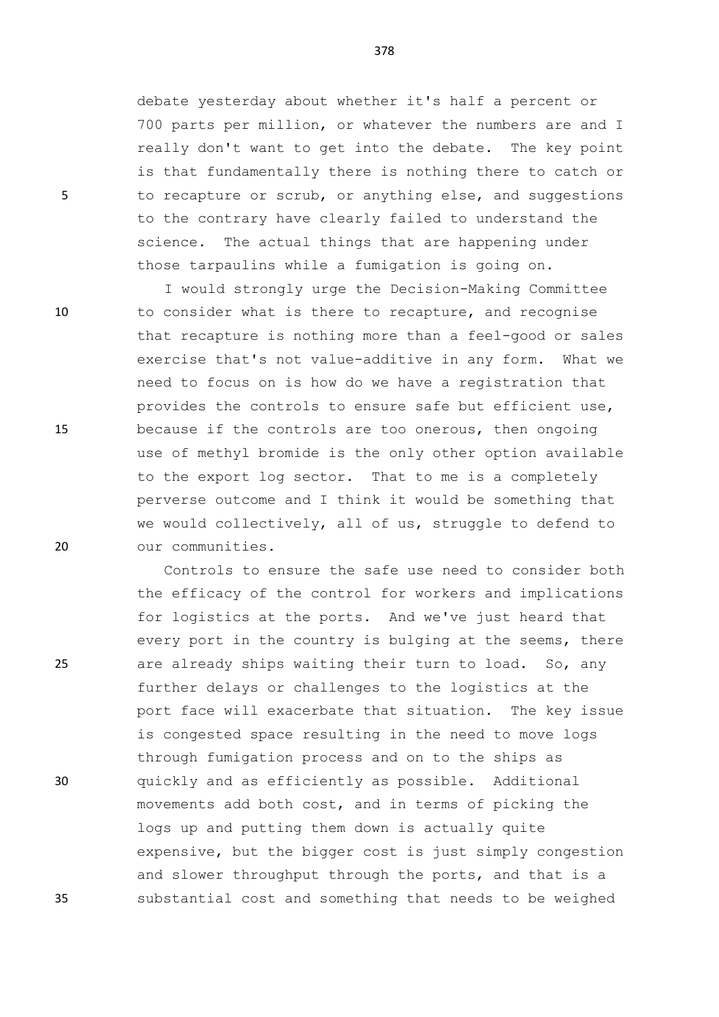debate yesterday about whether it's half a percent or 700 parts per million, or whatever the numbers are and I really don't want to get into the debate. The key point is that fundamentally there is nothing there to catch or 5 to recapture or scrub, or anything else, and suggestions to the contrary have clearly failed to understand the science. The actual things that are happening under those tarpaulins while a fumigation is going on.

I would strongly urge the Decision-Making Committee 10 to consider what is there to recapture, and recognise that recapture is nothing more than a feel-good or sales exercise that's not value-additive in any form. What we need to focus on is how do we have a registration that provides the controls to ensure safe but efficient use, 15 because if the controls are too onerous, then ongoing use of methyl bromide is the only other option available to the export log sector. That to me is a completely perverse outcome and I think it would be something that we would collectively, all of us, struggle to defend to 20 our communities.

Controls to ensure the safe use need to consider both the efficacy of the control for workers and implications for logistics at the ports. And we've just heard that every port in the country is bulging at the seems, there 25 are already ships waiting their turn to load. So, any further delays or challenges to the logistics at the port face will exacerbate that situation. The key issue is congested space resulting in the need to move logs through fumigation process and on to the ships as 30 quickly and as efficiently as possible. Additional movements add both cost, and in terms of picking the logs up and putting them down is actually quite expensive, but the bigger cost is just simply congestion and slower throughput through the ports, and that is a 35 substantial cost and something that needs to be weighed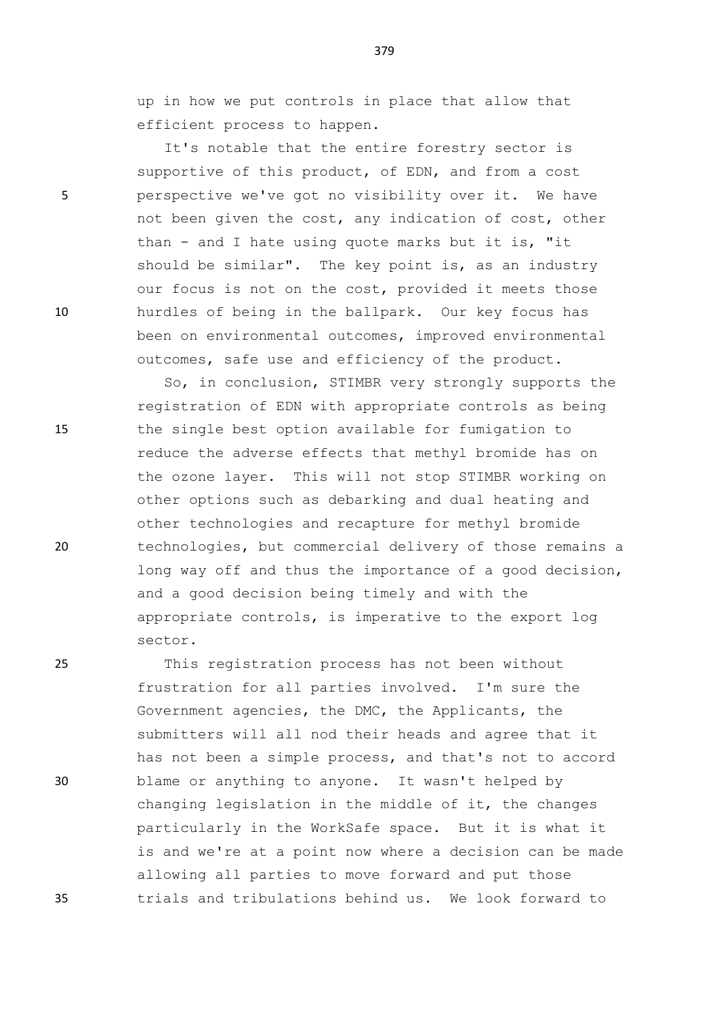up in how we put controls in place that allow that efficient process to happen.

It's notable that the entire forestry sector is supportive of this product, of EDN, and from a cost 5 perspective we've got no visibility over it. We have not been given the cost, any indication of cost, other than - and I hate using quote marks but it is, "it should be similar". The key point is, as an industry our focus is not on the cost, provided it meets those 10 hurdles of being in the ballpark. Our key focus has been on environmental outcomes, improved environmental outcomes, safe use and efficiency of the product.

So, in conclusion, STIMBR very strongly supports the registration of EDN with appropriate controls as being 15 the single best option available for fumigation to reduce the adverse effects that methyl bromide has on the ozone layer. This will not stop STIMBR working on other options such as debarking and dual heating and other technologies and recapture for methyl bromide 20 technologies, but commercial delivery of those remains a long way off and thus the importance of a good decision, and a good decision being timely and with the appropriate controls, is imperative to the export log sector.

25 This registration process has not been without frustration for all parties involved. I'm sure the Government agencies, the DMC, the Applicants, the submitters will all nod their heads and agree that it has not been a simple process, and that's not to accord 30 blame or anything to anyone. It wasn't helped by changing legislation in the middle of it, the changes particularly in the WorkSafe space. But it is what it is and we're at a point now where a decision can be made allowing all parties to move forward and put those 35 trials and tribulations behind us. We look forward to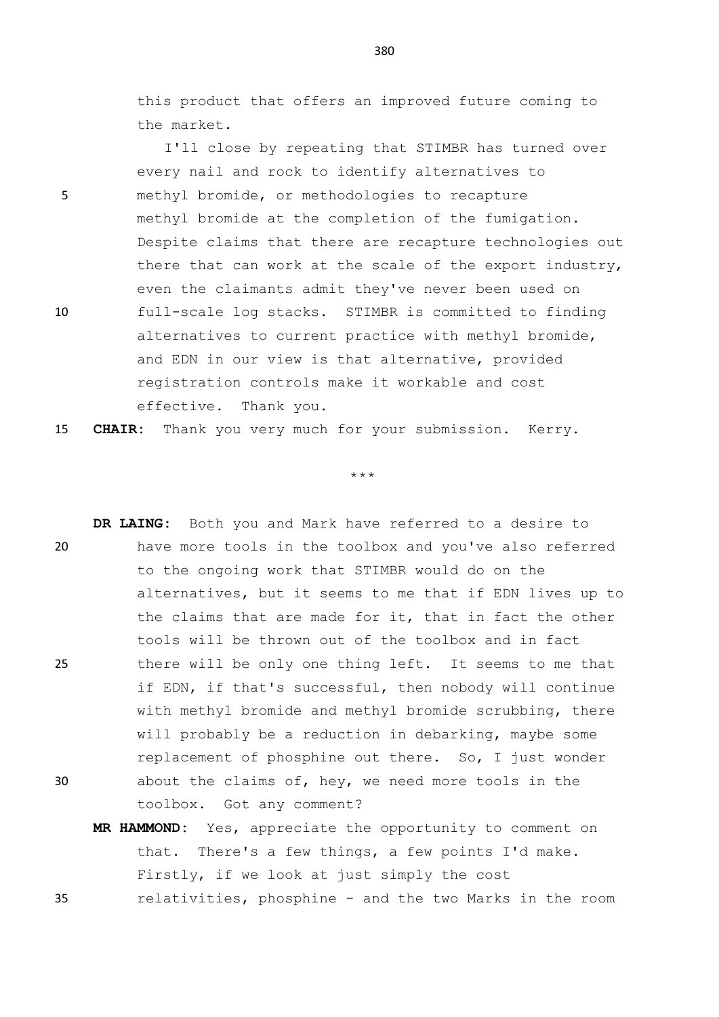this product that offers an improved future coming to the market.

I'll close by repeating that STIMBR has turned over every nail and rock to identify alternatives to 5 methyl bromide, or methodologies to recapture methyl bromide at the completion of the fumigation. Despite claims that there are recapture technologies out there that can work at the scale of the export industry, even the claimants admit they've never been used on 10 full-scale log stacks. STIMBR is committed to finding alternatives to current practice with methyl bromide, and EDN in our view is that alternative, provided registration controls make it workable and cost effective. Thank you.

15 **CHAIR:** Thank you very much for your submission. Kerry.

\*\*\*

**DR LAING:** Both you and Mark have referred to a desire to 20 have more tools in the toolbox and you've also referred to the ongoing work that STIMBR would do on the alternatives, but it seems to me that if EDN lives up to the claims that are made for it, that in fact the other tools will be thrown out of the toolbox and in fact 25 there will be only one thing left. It seems to me that if EDN, if that's successful, then nobody will continue with methyl bromide and methyl bromide scrubbing, there will probably be a reduction in debarking, maybe some replacement of phosphine out there. So, I just wonder 30 about the claims of, hey, we need more tools in the toolbox. Got any comment?

**MR HAMMOND:** Yes, appreciate the opportunity to comment on that. There's a few things, a few points I'd make. Firstly, if we look at just simply the cost 35 relativities, phosphine - and the two Marks in the room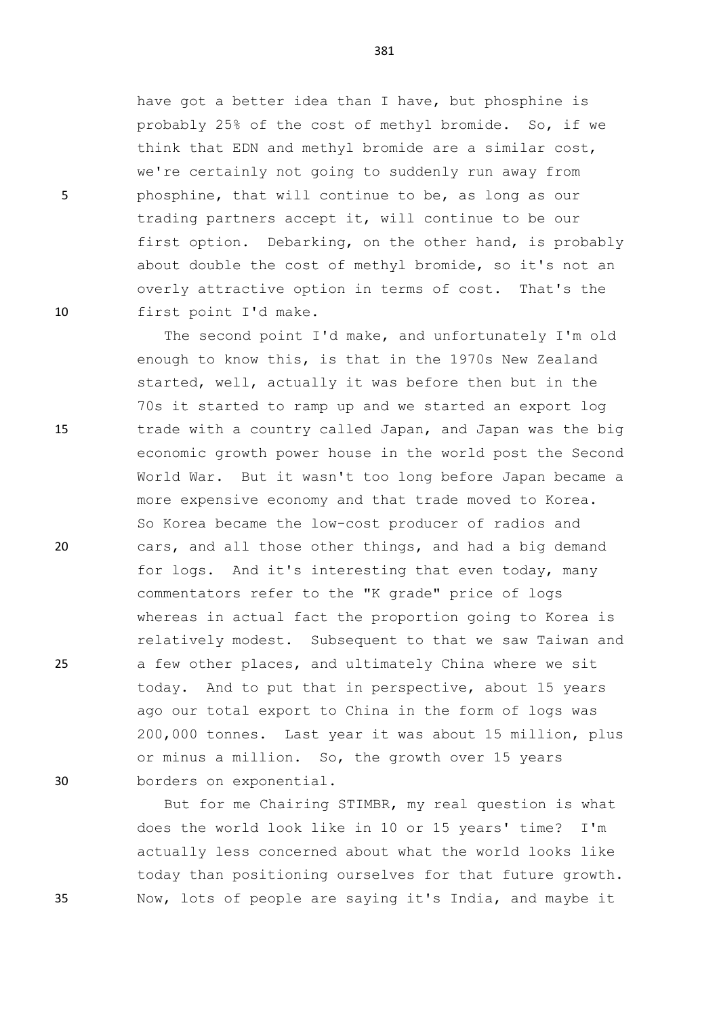have got a better idea than I have, but phosphine is probably 25% of the cost of methyl bromide. So, if we think that EDN and methyl bromide are a similar cost, we're certainly not going to suddenly run away from 5 phosphine, that will continue to be, as long as our trading partners accept it, will continue to be our first option. Debarking, on the other hand, is probably about double the cost of methyl bromide, so it's not an overly attractive option in terms of cost. That's the 10 first point I'd make.

The second point I'd make, and unfortunately I'm old enough to know this, is that in the 1970s New Zealand started, well, actually it was before then but in the 70s it started to ramp up and we started an export log 15 trade with a country called Japan, and Japan was the big economic growth power house in the world post the Second World War. But it wasn't too long before Japan became a more expensive economy and that trade moved to Korea. So Korea became the low-cost producer of radios and 20 cars, and all those other things, and had a big demand for logs. And it's interesting that even today, many commentators refer to the "K grade" price of logs whereas in actual fact the proportion going to Korea is relatively modest. Subsequent to that we saw Taiwan and 25 a few other places, and ultimately China where we sit today. And to put that in perspective, about 15 years ago our total export to China in the form of logs was 200,000 tonnes. Last year it was about 15 million, plus or minus a million. So, the growth over 15 years 30 borders on exponential.

But for me Chairing STIMBR, my real question is what does the world look like in 10 or 15 years' time? I'm actually less concerned about what the world looks like today than positioning ourselves for that future growth. 35 Now, lots of people are saying it's India, and maybe it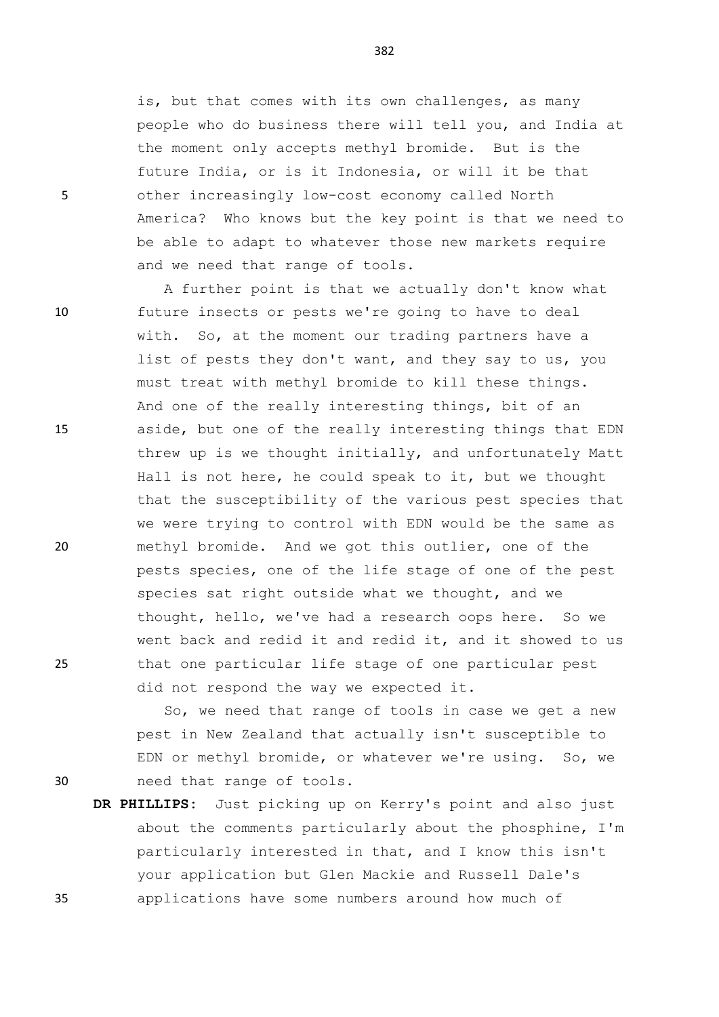is, but that comes with its own challenges, as many people who do business there will tell you, and India at the moment only accepts methyl bromide. But is the future India, or is it Indonesia, or will it be that 5 other increasingly low-cost economy called North America? Who knows but the key point is that we need to be able to adapt to whatever those new markets require and we need that range of tools.

A further point is that we actually don't know what 10 future insects or pests we're going to have to deal with. So, at the moment our trading partners have a list of pests they don't want, and they say to us, you must treat with methyl bromide to kill these things. And one of the really interesting things, bit of an 15 aside, but one of the really interesting things that EDN threw up is we thought initially, and unfortunately Matt Hall is not here, he could speak to it, but we thought that the susceptibility of the various pest species that we were trying to control with EDN would be the same as 20 methyl bromide. And we got this outlier, one of the pests species, one of the life stage of one of the pest species sat right outside what we thought, and we thought, hello, we've had a research oops here. So we went back and redid it and redid it, and it showed to us 25 that one particular life stage of one particular pest did not respond the way we expected it.

So, we need that range of tools in case we get a new pest in New Zealand that actually isn't susceptible to EDN or methyl bromide, or whatever we're using. So, we 30 need that range of tools.

**DR PHILLIPS:** Just picking up on Kerry's point and also just about the comments particularly about the phosphine, I'm particularly interested in that, and I know this isn't your application but Glen Mackie and Russell Dale's 35 applications have some numbers around how much of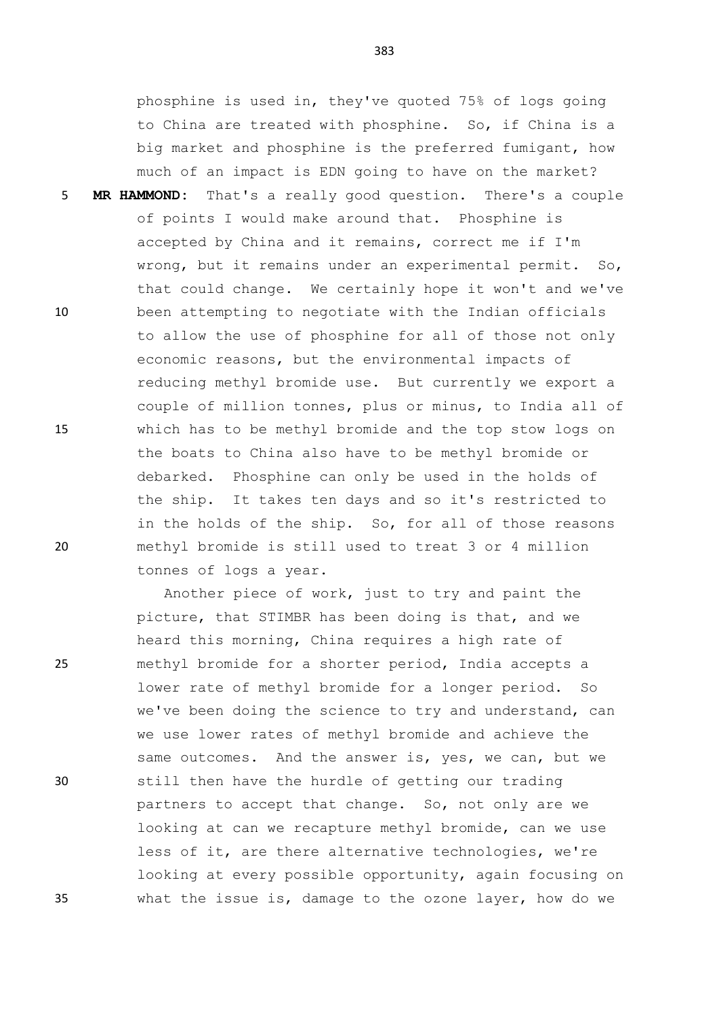phosphine is used in, they've quoted 75% of logs going to China are treated with phosphine. So, if China is a big market and phosphine is the preferred fumigant, how much of an impact is EDN going to have on the market?

5 **MR HAMMOND:** That's a really good question. There's a couple of points I would make around that. Phosphine is accepted by China and it remains, correct me if I'm wrong, but it remains under an experimental permit. So, that could change. We certainly hope it won't and we've 10 been attempting to negotiate with the Indian officials to allow the use of phosphine for all of those not only economic reasons, but the environmental impacts of reducing methyl bromide use. But currently we export a couple of million tonnes, plus or minus, to India all of 15 which has to be methyl bromide and the top stow logs on the boats to China also have to be methyl bromide or debarked. Phosphine can only be used in the holds of the ship. It takes ten days and so it's restricted to in the holds of the ship. So, for all of those reasons 20 methyl bromide is still used to treat 3 or 4 million tonnes of logs a year.

Another piece of work, just to try and paint the picture, that STIMBR has been doing is that, and we heard this morning, China requires a high rate of 25 methyl bromide for a shorter period, India accepts a lower rate of methyl bromide for a longer period. So we've been doing the science to try and understand, can we use lower rates of methyl bromide and achieve the same outcomes. And the answer is, yes, we can, but we 30 still then have the hurdle of getting our trading partners to accept that change. So, not only are we looking at can we recapture methyl bromide, can we use less of it, are there alternative technologies, we're looking at every possible opportunity, again focusing on 35 what the issue is, damage to the ozone layer, how do we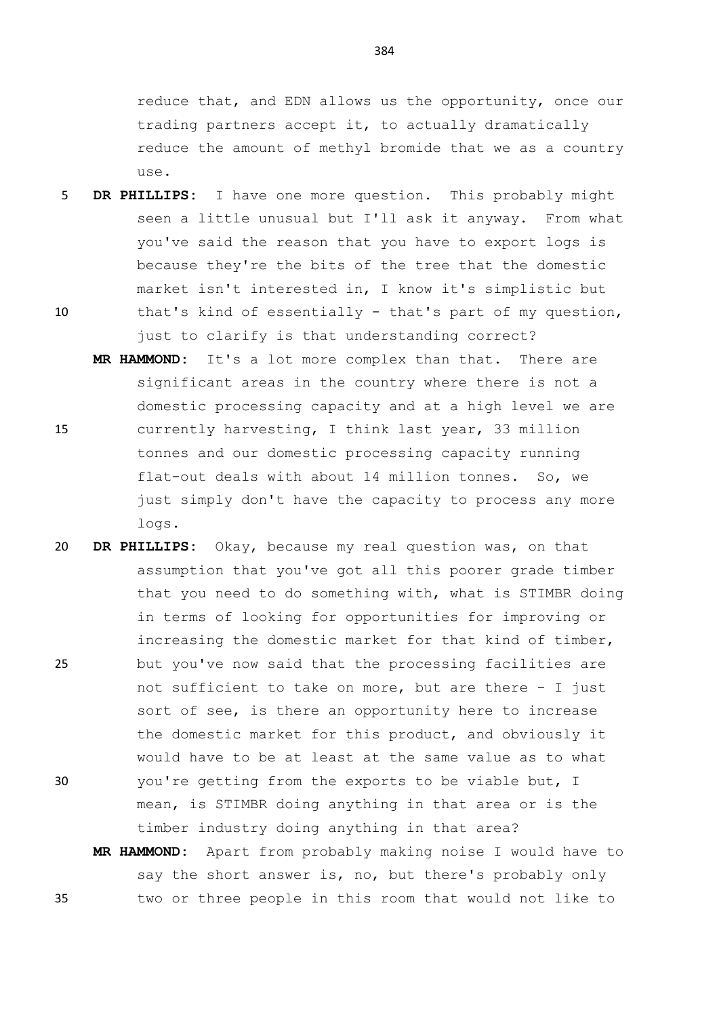reduce that, and EDN allows us the opportunity, once our trading partners accept it, to actually dramatically reduce the amount of methyl bromide that we as a country use.

- 5 **DR PHILLIPS:** I have one more question. This probably might seen a little unusual but I'll ask it anyway. From what you've said the reason that you have to export logs is because they're the bits of the tree that the domestic market isn't interested in, I know it's simplistic but
- 10 that's kind of essentially that's part of my question, just to clarify is that understanding correct?
- **MR HAMMOND:** It's a lot more complex than that. There are significant areas in the country where there is not a domestic processing capacity and at a high level we are 15 currently harvesting, I think last year, 33 million tonnes and our domestic processing capacity running flat-out deals with about 14 million tonnes. So, we just simply don't have the capacity to process any more logs.
- 20 **DR PHILLIPS:** Okay, because my real question was, on that assumption that you've got all this poorer grade timber that you need to do something with, what is STIMBR doing in terms of looking for opportunities for improving or increasing the domestic market for that kind of timber, 25 but you've now said that the processing facilities are not sufficient to take on more, but are there - I just sort of see, is there an opportunity here to increase the domestic market for this product, and obviously it would have to be at least at the same value as to what 30 you're getting from the exports to be viable but, I mean, is STIMBR doing anything in that area or is the timber industry doing anything in that area?
- **MR HAMMOND:** Apart from probably making noise I would have to say the short answer is, no, but there's probably only 35 two or three people in this room that would not like to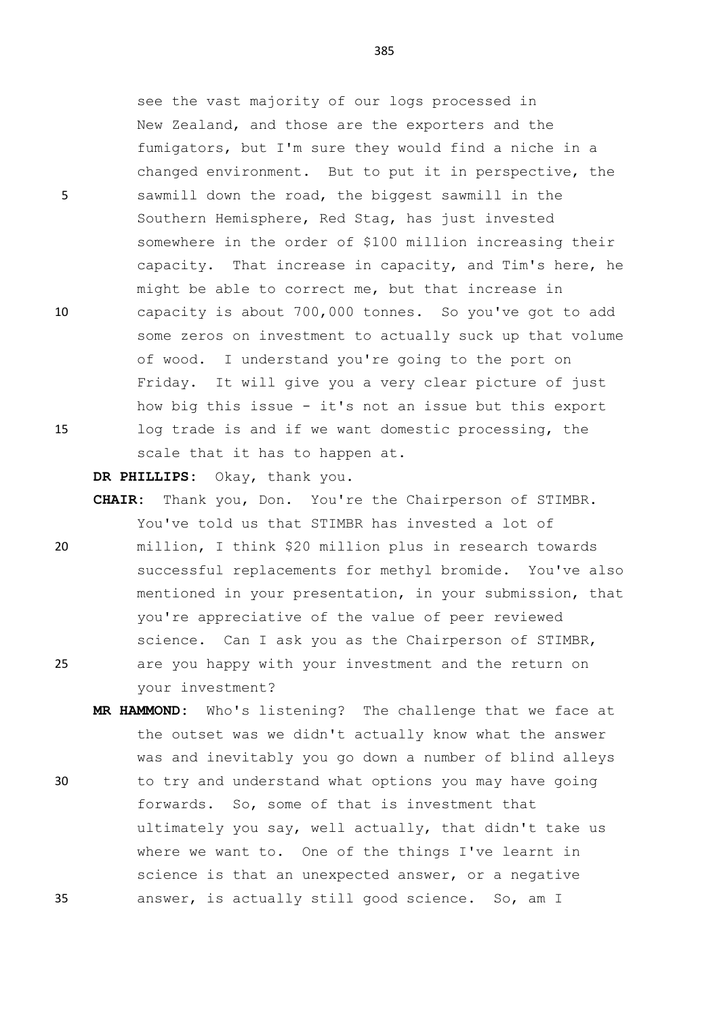see the vast majority of our logs processed in New Zealand, and those are the exporters and the fumigators, but I'm sure they would find a niche in a changed environment. But to put it in perspective, the 5 sawmill down the road, the biggest sawmill in the Southern Hemisphere, Red Stag, has just invested somewhere in the order of \$100 million increasing their capacity. That increase in capacity, and Tim's here, he might be able to correct me, but that increase in 10 capacity is about 700,000 tonnes. So you've got to add some zeros on investment to actually suck up that volume of wood. I understand you're going to the port on Friday. It will give you a very clear picture of just how big this issue - it's not an issue but this export 15 log trade is and if we want domestic processing, the scale that it has to happen at.

**DR PHILLIPS:** Okay, thank you.

- **CHAIR:** Thank you, Don. You're the Chairperson of STIMBR. You've told us that STIMBR has invested a lot of 20 million, I think \$20 million plus in research towards successful replacements for methyl bromide. You've also mentioned in your presentation, in your submission, that you're appreciative of the value of peer reviewed science. Can I ask you as the Chairperson of STIMBR, 25 are you happy with your investment and the return on your investment?
- **MR HAMMOND:** Who's listening? The challenge that we face at the outset was we didn't actually know what the answer was and inevitably you go down a number of blind alleys 30 to try and understand what options you may have going forwards. So, some of that is investment that ultimately you say, well actually, that didn't take us where we want to. One of the things I've learnt in science is that an unexpected answer, or a negative 35 answer, is actually still good science. So, am I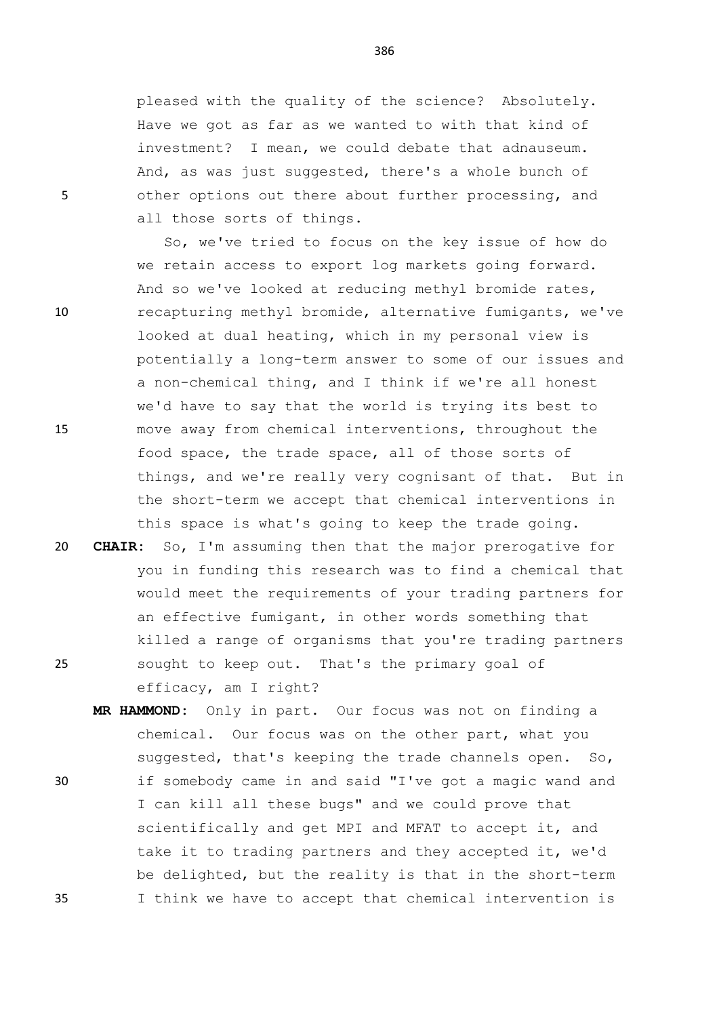pleased with the quality of the science? Absolutely. Have we got as far as we wanted to with that kind of investment? I mean, we could debate that adnauseum. And, as was just suggested, there's a whole bunch of 5 other options out there about further processing, and all those sorts of things.

So, we've tried to focus on the key issue of how do we retain access to export log markets going forward. And so we've looked at reducing methyl bromide rates, 10 recapturing methyl bromide, alternative fumigants, we've looked at dual heating, which in my personal view is potentially a long-term answer to some of our issues and a non-chemical thing, and I think if we're all honest we'd have to say that the world is trying its best to 15 move away from chemical interventions, throughout the food space, the trade space, all of those sorts of things, and we're really very cognisant of that. But in the short-term we accept that chemical interventions in this space is what's going to keep the trade going.

20 **CHAIR:** So, I'm assuming then that the major prerogative for you in funding this research was to find a chemical that would meet the requirements of your trading partners for an effective fumigant, in other words something that killed a range of organisms that you're trading partners 25 sought to keep out. That's the primary goal of efficacy, am I right?

**MR HAMMOND:** Only in part. Our focus was not on finding a chemical. Our focus was on the other part, what you suggested, that's keeping the trade channels open. So, 30 if somebody came in and said "I've got a magic wand and I can kill all these bugs" and we could prove that scientifically and get MPI and MFAT to accept it, and take it to trading partners and they accepted it, we'd be delighted, but the reality is that in the short-term 35 I think we have to accept that chemical intervention is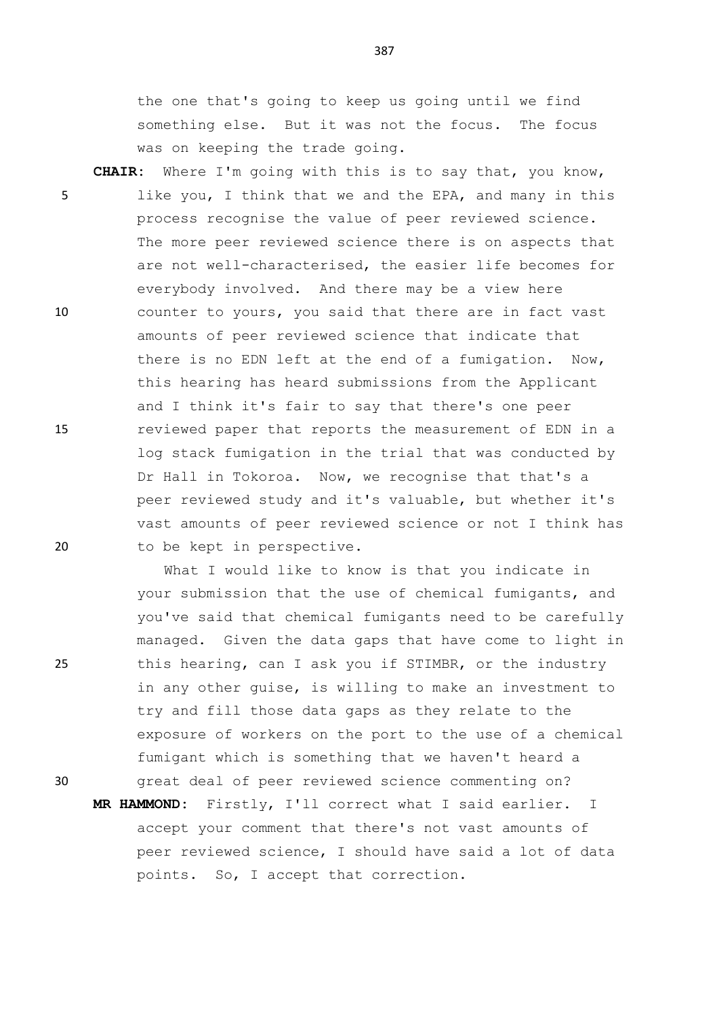the one that's going to keep us going until we find something else. But it was not the focus. The focus was on keeping the trade going.

**CHAIR:** Where I'm going with this is to say that, you know, 5 like you, I think that we and the EPA, and many in this process recognise the value of peer reviewed science. The more peer reviewed science there is on aspects that are not well-characterised, the easier life becomes for everybody involved. And there may be a view here 10 counter to yours, you said that there are in fact vast amounts of peer reviewed science that indicate that there is no EDN left at the end of a fumigation. Now, this hearing has heard submissions from the Applicant and I think it's fair to say that there's one peer 15 reviewed paper that reports the measurement of EDN in a log stack fumigation in the trial that was conducted by Dr Hall in Tokoroa. Now, we recognise that that's a peer reviewed study and it's valuable, but whether it's vast amounts of peer reviewed science or not I think has 20 to be kept in perspective.

What I would like to know is that you indicate in your submission that the use of chemical fumigants, and you've said that chemical fumigants need to be carefully managed. Given the data gaps that have come to light in 25 this hearing, can I ask you if STIMBR, or the industry in any other guise, is willing to make an investment to try and fill those data gaps as they relate to the exposure of workers on the port to the use of a chemical fumigant which is something that we haven't heard a 30 great deal of peer reviewed science commenting on?

**MR HAMMOND:** Firstly, I'll correct what I said earlier. I accept your comment that there's not vast amounts of peer reviewed science, I should have said a lot of data points. So, I accept that correction.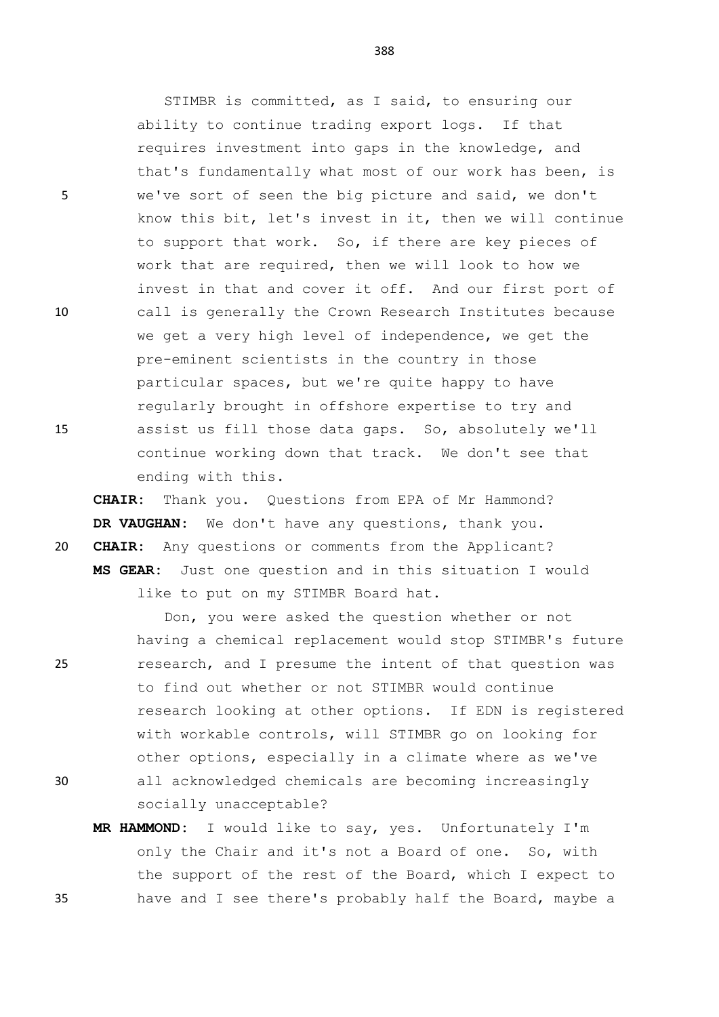ability to continue trading export logs. If that requires investment into gaps in the knowledge, and that's fundamentally what most of our work has been, is 5 we've sort of seen the big picture and said, we don't know this bit, let's invest in it, then we will continue to support that work. So, if there are key pieces of work that are required, then we will look to how we invest in that and cover it off. And our first port of 10 call is generally the Crown Research Institutes because we get a very high level of independence, we get the pre-eminent scientists in the country in those particular spaces, but we're quite happy to have regularly brought in offshore expertise to try and 15 assist us fill those data gaps. So, absolutely we'll continue working down that track. We don't see that ending with this.

**CHAIR:** Thank you. Questions from EPA of Mr Hammond? **DR VAUGHAN:** We don't have any questions, thank you. 20 **CHAIR:** Any questions or comments from the Applicant? **MS GEAR:** Just one question and in this situation I would like to put on my STIMBR Board hat.

Don, you were asked the question whether or not having a chemical replacement would stop STIMBR's future 25 research, and I presume the intent of that question was to find out whether or not STIMBR would continue research looking at other options. If EDN is registered with workable controls, will STIMBR go on looking for other options, especially in a climate where as we've

- 30 all acknowledged chemicals are becoming increasingly socially unacceptable?
- **MR HAMMOND:** I would like to say, yes. Unfortunately I'm only the Chair and it's not a Board of one. So, with the support of the rest of the Board, which I expect to 35 have and I see there's probably half the Board, maybe a

388

STIMBR is committed, as I said, to ensuring our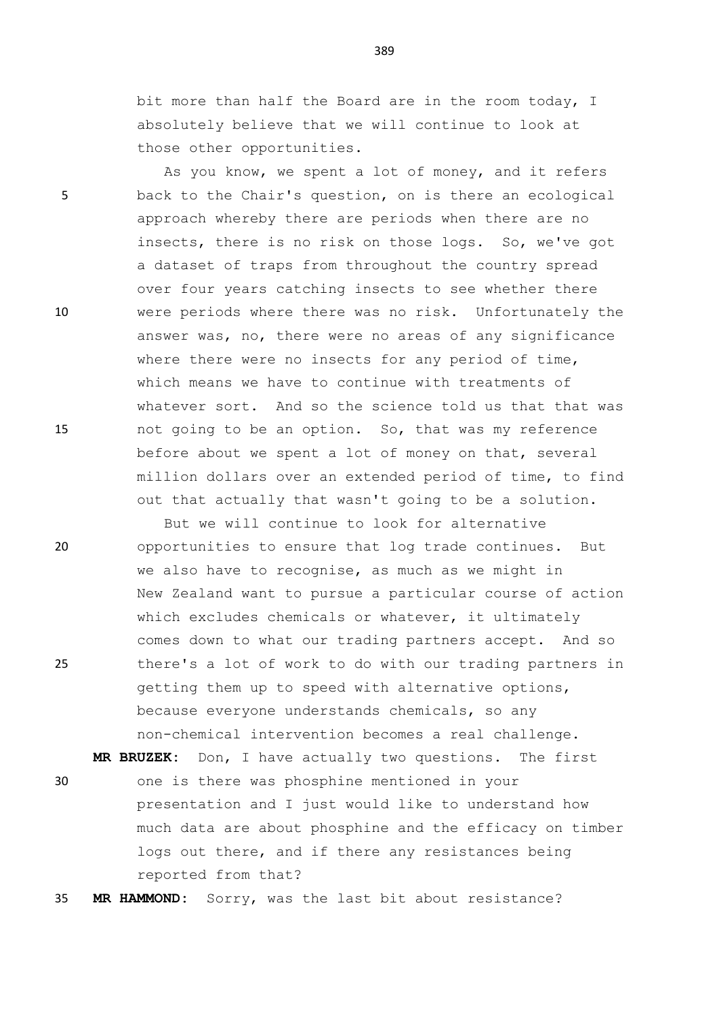bit more than half the Board are in the room today, I absolutely believe that we will continue to look at those other opportunities.

As you know, we spent a lot of money, and it refers 5 back to the Chair's question, on is there an ecological approach whereby there are periods when there are no insects, there is no risk on those logs. So, we've got a dataset of traps from throughout the country spread over four years catching insects to see whether there 10 were periods where there was no risk. Unfortunately the answer was, no, there were no areas of any significance where there were no insects for any period of time, which means we have to continue with treatments of whatever sort. And so the science told us that that was 15 not going to be an option. So, that was my reference before about we spent a lot of money on that, several million dollars over an extended period of time, to find out that actually that wasn't going to be a solution.

But we will continue to look for alternative 20 opportunities to ensure that log trade continues. But we also have to recognise, as much as we might in New Zealand want to pursue a particular course of action which excludes chemicals or whatever, it ultimately comes down to what our trading partners accept. And so 25 there's a lot of work to do with our trading partners in getting them up to speed with alternative options, because everyone understands chemicals, so any non-chemical intervention becomes a real challenge.

**MR BRUZEK:** Don, I have actually two questions. The first 30 one is there was phosphine mentioned in your presentation and I just would like to understand how much data are about phosphine and the efficacy on timber logs out there, and if there any resistances being reported from that?

35 **MR HAMMOND:** Sorry, was the last bit about resistance?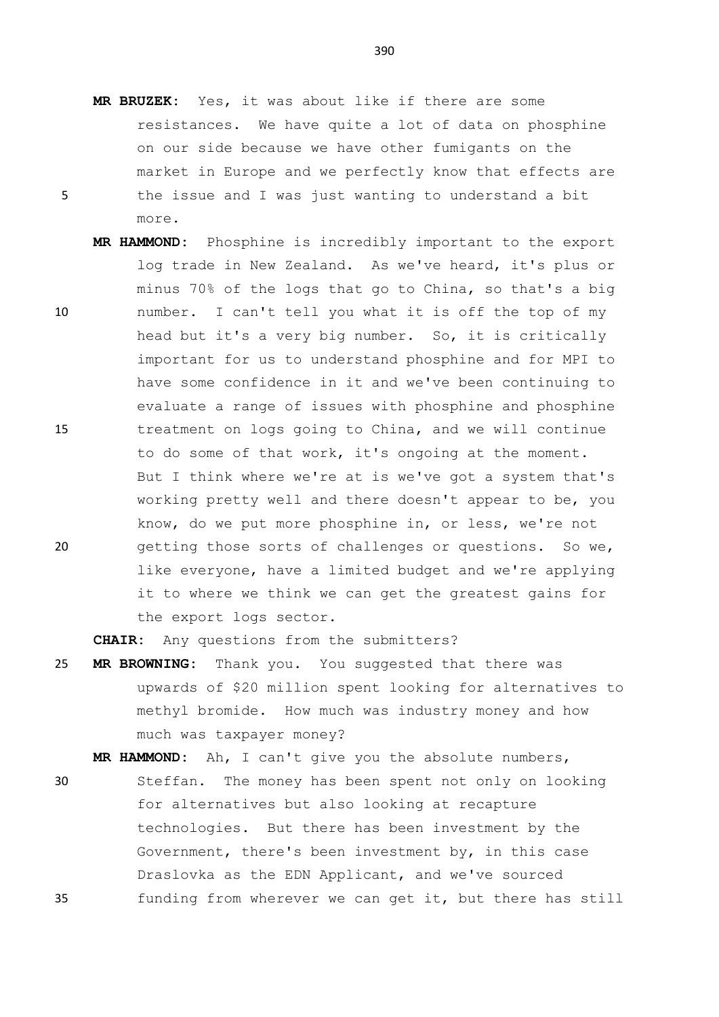- **MR BRUZEK:** Yes, it was about like if there are some resistances. We have quite a lot of data on phosphine on our side because we have other fumigants on the market in Europe and we perfectly know that effects are 5 the issue and I was just wanting to understand a bit more.
- **MR HAMMOND:** Phosphine is incredibly important to the export log trade in New Zealand. As we've heard, it's plus or minus 70% of the logs that go to China, so that's a big 10 number. I can't tell you what it is off the top of my head but it's a very big number. So, it is critically important for us to understand phosphine and for MPI to have some confidence in it and we've been continuing to evaluate a range of issues with phosphine and phosphine 15 treatment on logs going to China, and we will continue to do some of that work, it's ongoing at the moment. But I think where we're at is we've got a system that's working pretty well and there doesn't appear to be, you know, do we put more phosphine in, or less, we're not 20 getting those sorts of challenges or questions. So we, like everyone, have a limited budget and we're applying it to where we think we can get the greatest gains for the export logs sector.

**CHAIR:** Any questions from the submitters?

25 **MR BROWNING:** Thank you. You suggested that there was upwards of \$20 million spent looking for alternatives to methyl bromide. How much was industry money and how much was taxpayer money?

**MR HAMMOND:** Ah, I can't give you the absolute numbers,

30 Steffan. The money has been spent not only on looking for alternatives but also looking at recapture technologies. But there has been investment by the Government, there's been investment by, in this case Draslovka as the EDN Applicant, and we've sourced 35 funding from wherever we can get it, but there has still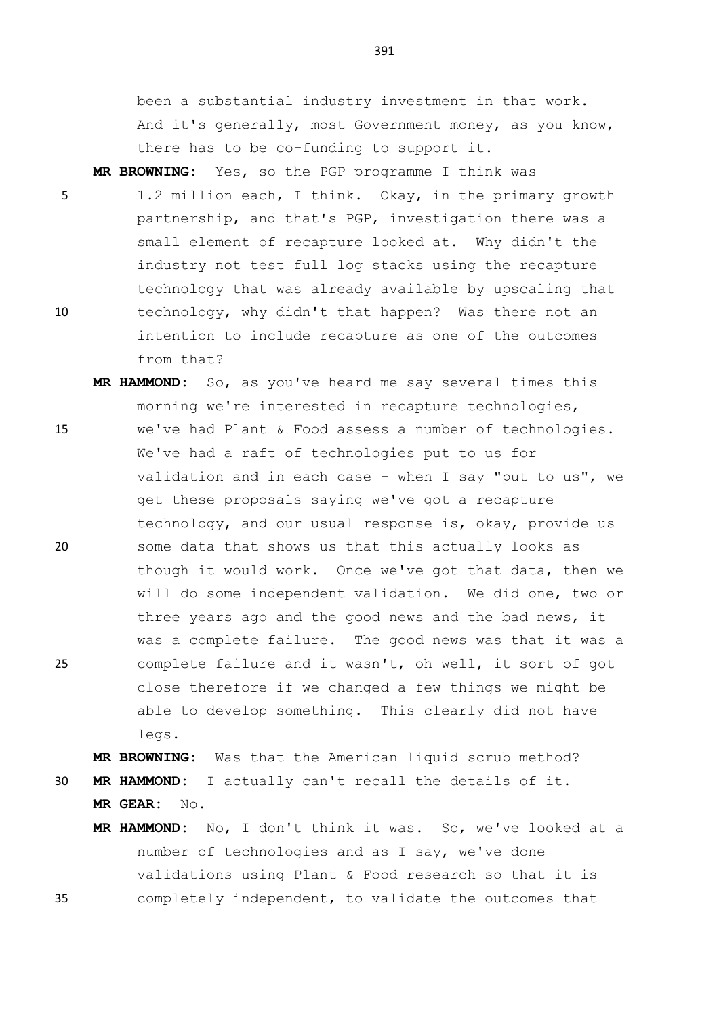been a substantial industry investment in that work. And it's generally, most Government money, as you know, there has to be co-funding to support it.

**MR BROWNING:** Yes, so the PGP programme I think was

- 5 1.2 million each, I think. Okay, in the primary growth partnership, and that's PGP, investigation there was a small element of recapture looked at. Why didn't the industry not test full log stacks using the recapture technology that was already available by upscaling that 10 technology, why didn't that happen? Was there not an intention to include recapture as one of the outcomes from that?
- **MR HAMMOND:** So, as you've heard me say several times this morning we're interested in recapture technologies, 15 we've had Plant & Food assess a number of technologies. We've had a raft of technologies put to us for validation and in each case - when I say "put to us", we get these proposals saying we've got a recapture technology, and our usual response is, okay, provide us 20 some data that shows us that this actually looks as though it would work. Once we've got that data, then we will do some independent validation. We did one, two or three years ago and the good news and the bad news, it was a complete failure. The good news was that it was a 25 complete failure and it wasn't, oh well, it sort of got close therefore if we changed a few things we might be able to develop something. This clearly did not have legs.

**MR BROWNING:** Was that the American liquid scrub method? 30 **MR HAMMOND:** I actually can't recall the details of it.

- **MR GEAR:** No.
- **MR HAMMOND:** No, I don't think it was. So, we've looked at a number of technologies and as I say, we've done validations using Plant & Food research so that it is 35 completely independent, to validate the outcomes that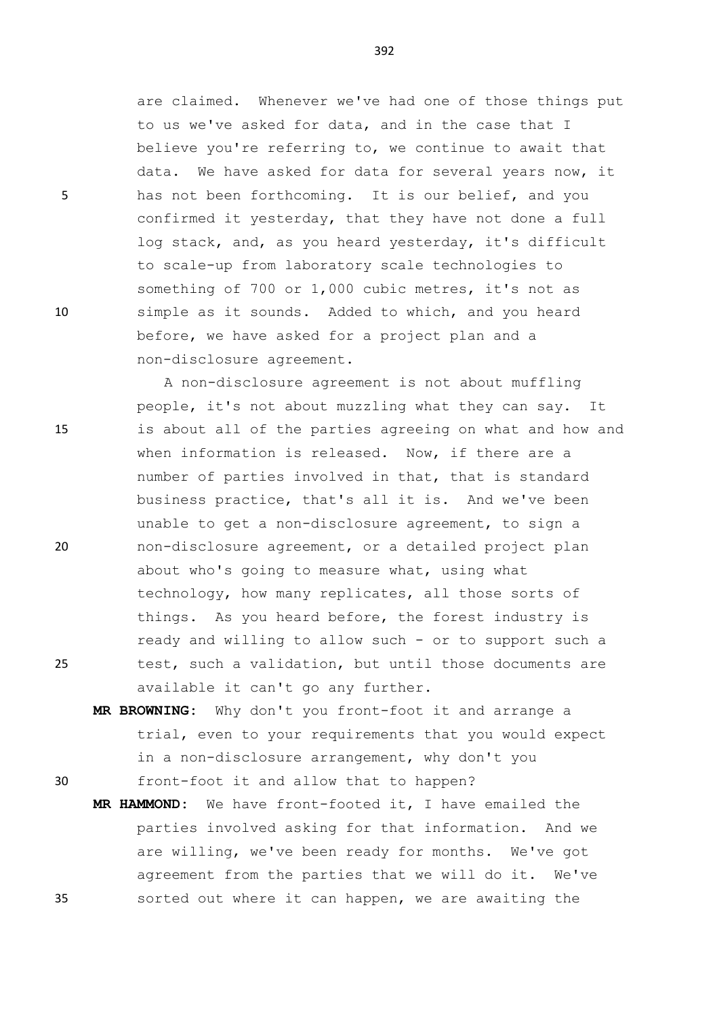are claimed. Whenever we've had one of those things put to us we've asked for data, and in the case that I believe you're referring to, we continue to await that data. We have asked for data for several years now, it 5 has not been forthcoming. It is our belief, and you confirmed it yesterday, that they have not done a full log stack, and, as you heard yesterday, it's difficult to scale-up from laboratory scale technologies to something of 700 or 1,000 cubic metres, it's not as 10 simple as it sounds. Added to which, and you heard before, we have asked for a project plan and a non-disclosure agreement.

A non-disclosure agreement is not about muffling people, it's not about muzzling what they can say. It 15 is about all of the parties agreeing on what and how and when information is released. Now, if there are a number of parties involved in that, that is standard business practice, that's all it is. And we've been unable to get a non-disclosure agreement, to sign a 20 non-disclosure agreement, or a detailed project plan about who's going to measure what, using what technology, how many replicates, all those sorts of things. As you heard before, the forest industry is ready and willing to allow such - or to support such a 25 test, such a validation, but until those documents are available it can't go any further.

**MR BROWNING:** Why don't you front-foot it and arrange a trial, even to your requirements that you would expect in a non-disclosure arrangement, why don't you

30 front-foot it and allow that to happen?

**MR HAMMOND:** We have front-footed it, I have emailed the parties involved asking for that information. And we are willing, we've been ready for months. We've got agreement from the parties that we will do it. We've 35 sorted out where it can happen, we are awaiting the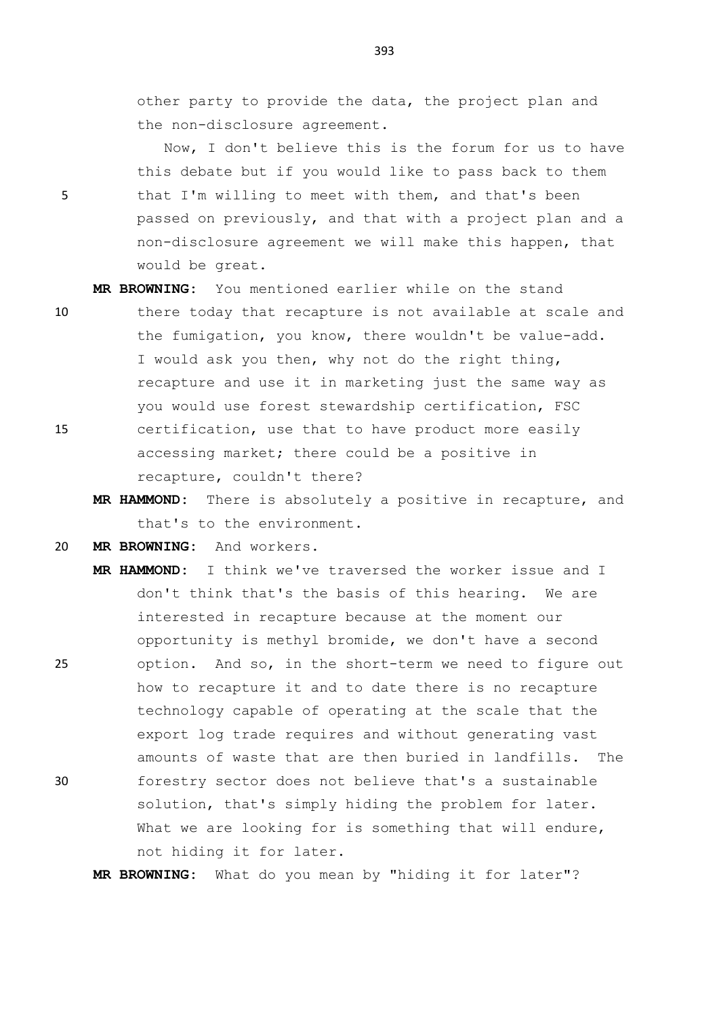other party to provide the data, the project plan and the non-disclosure agreement.

Now, I don't believe this is the forum for us to have this debate but if you would like to pass back to them 5 that I'm willing to meet with them, and that's been passed on previously, and that with a project plan and a non-disclosure agreement we will make this happen, that would be great.

**MR BROWNING:** You mentioned earlier while on the stand

- 10 there today that recapture is not available at scale and the fumigation, you know, there wouldn't be value-add. I would ask you then, why not do the right thing, recapture and use it in marketing just the same way as you would use forest stewardship certification, FSC 15 certification, use that to have product more easily accessing market; there could be a positive in recapture, couldn't there?
	- **MR HAMMOND:** There is absolutely a positive in recapture, and that's to the environment.
- 20 **MR BROWNING:** And workers.
- **MR HAMMOND:** I think we've traversed the worker issue and I don't think that's the basis of this hearing. We are interested in recapture because at the moment our opportunity is methyl bromide, we don't have a second 25 option. And so, in the short-term we need to figure out how to recapture it and to date there is no recapture technology capable of operating at the scale that the export log trade requires and without generating vast amounts of waste that are then buried in landfills. The 30 forestry sector does not believe that's a sustainable solution, that's simply hiding the problem for later.

**MR BROWNING:** What do you mean by "hiding it for later"?

not hiding it for later.

What we are looking for is something that will endure,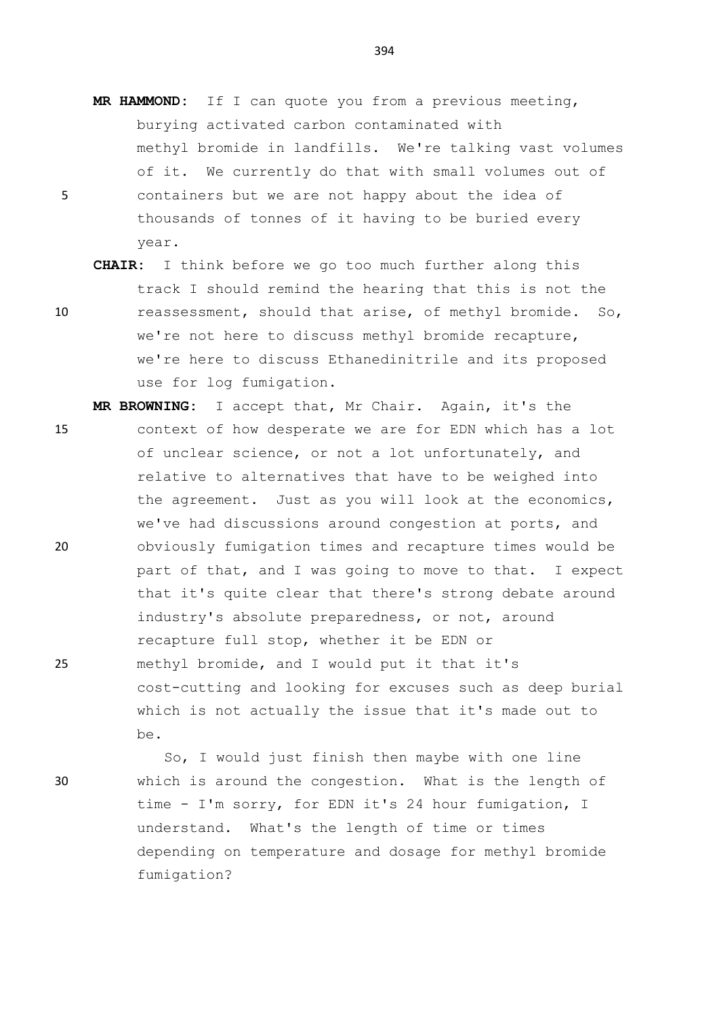- **MR HAMMOND:** If I can quote you from a previous meeting, burying activated carbon contaminated with methyl bromide in landfills. We're talking vast volumes of it. We currently do that with small volumes out of 5 containers but we are not happy about the idea of thousands of tonnes of it having to be buried every year.
- **CHAIR:** I think before we go too much further along this track I should remind the hearing that this is not the 10 reassessment, should that arise, of methyl bromide. So, we're not here to discuss methyl bromide recapture, we're here to discuss Ethanedinitrile and its proposed use for log fumigation.
- **MR BROWNING:** I accept that, Mr Chair. Again, it's the 15 context of how desperate we are for EDN which has a lot of unclear science, or not a lot unfortunately, and relative to alternatives that have to be weighed into the agreement. Just as you will look at the economics, we've had discussions around congestion at ports, and 20 obviously fumigation times and recapture times would be part of that, and I was going to move to that. I expect that it's quite clear that there's strong debate around industry's absolute preparedness, or not, around recapture full stop, whether it be EDN or 25 methyl bromide, and I would put it that it's cost-cutting and looking for excuses such as deep burial which is not actually the issue that it's made out to be.
- So, I would just finish then maybe with one line 30 which is around the congestion. What is the length of time - I'm sorry, for EDN it's 24 hour fumigation, I understand. What's the length of time or times depending on temperature and dosage for methyl bromide fumigation?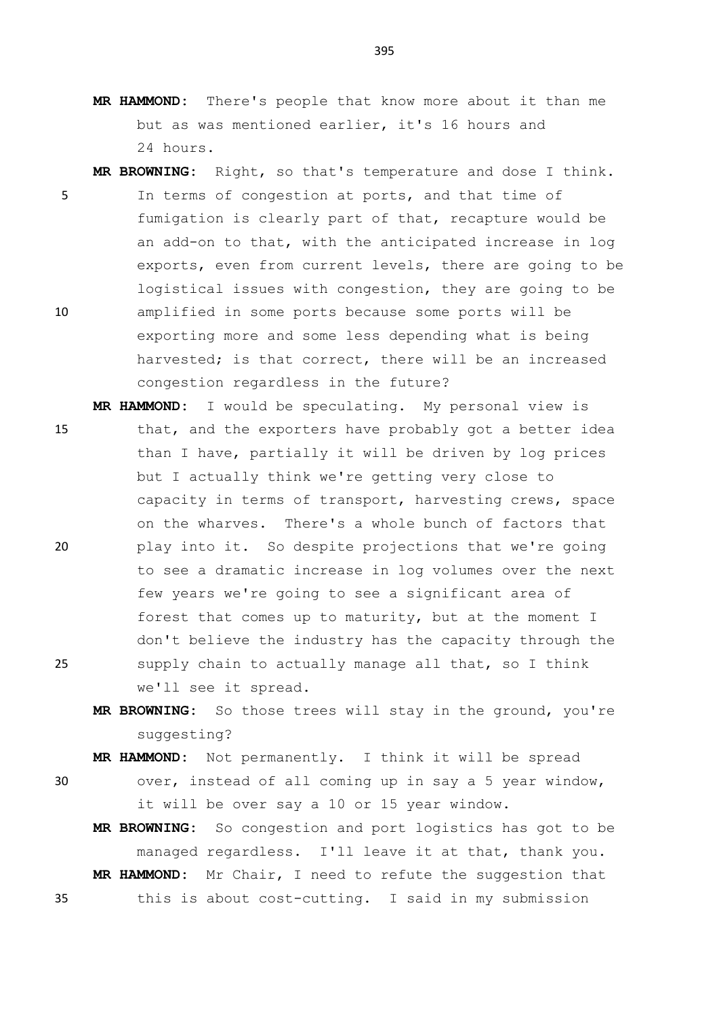- **MR HAMMOND:** There's people that know more about it than me but as was mentioned earlier, it's 16 hours and 24 hours.
- **MR BROWNING:** Right, so that's temperature and dose I think. 5 In terms of congestion at ports, and that time of fumigation is clearly part of that, recapture would be an add-on to that, with the anticipated increase in log exports, even from current levels, there are going to be logistical issues with congestion, they are going to be 10 amplified in some ports because some ports will be exporting more and some less depending what is being harvested; is that correct, there will be an increased congestion regardless in the future?
- **MR HAMMOND:** I would be speculating. My personal view is 15 that, and the exporters have probably got a better idea than I have, partially it will be driven by log prices but I actually think we're getting very close to capacity in terms of transport, harvesting crews, space on the wharves. There's a whole bunch of factors that 20 play into it. So despite projections that we're going to see a dramatic increase in log volumes over the next few years we're going to see a significant area of forest that comes up to maturity, but at the moment I don't believe the industry has the capacity through the 25 supply chain to actually manage all that, so I think we'll see it spread.
	- **MR BROWNING:** So those trees will stay in the ground, you're suggesting?

**MR HAMMOND:** Not permanently. I think it will be spread

- 30 over, instead of all coming up in say a 5 year window, it will be over say a 10 or 15 year window.
- **MR BROWNING:** So congestion and port logistics has got to be managed regardless. I'll leave it at that, thank you. **MR HAMMOND:** Mr Chair, I need to refute the suggestion that 35 this is about cost-cutting. I said in my submission

- 
-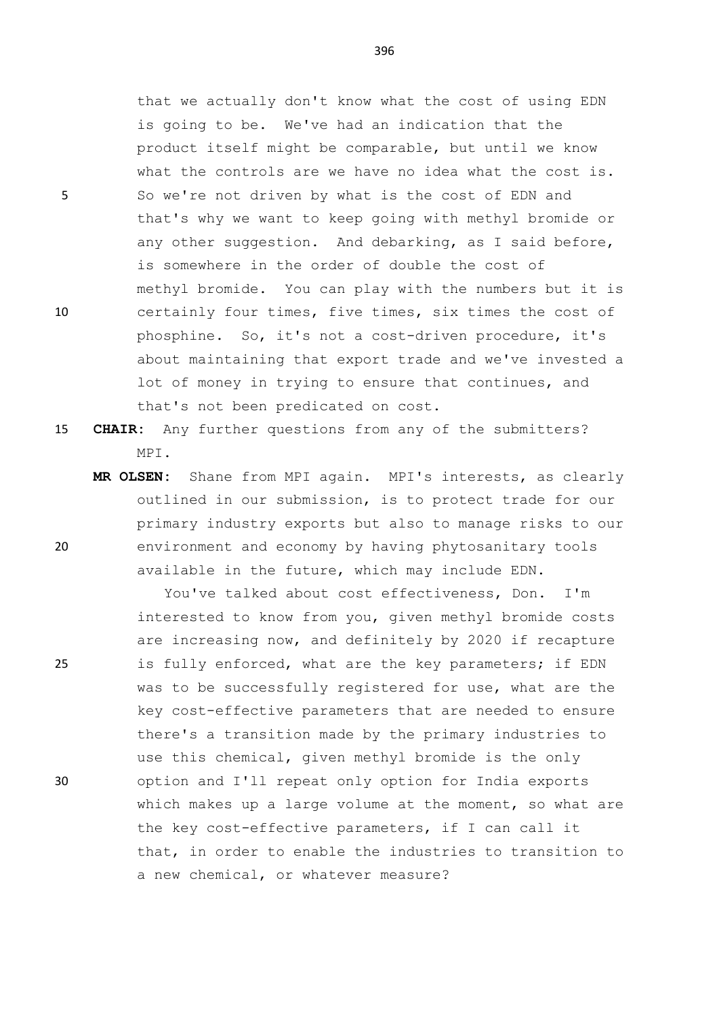that we actually don't know what the cost of using EDN is going to be. We've had an indication that the product itself might be comparable, but until we know what the controls are we have no idea what the cost is. 5 So we're not driven by what is the cost of EDN and that's why we want to keep going with methyl bromide or any other suggestion. And debarking, as I said before, is somewhere in the order of double the cost of methyl bromide. You can play with the numbers but it is 10 certainly four times, five times, six times the cost of phosphine. So, it's not a cost-driven procedure, it's about maintaining that export trade and we've invested a lot of money in trying to ensure that continues, and that's not been predicated on cost.

15 **CHAIR:** Any further questions from any of the submitters? MPI.

**MR OLSEN:** Shane from MPI again. MPI's interests, as clearly outlined in our submission, is to protect trade for our primary industry exports but also to manage risks to our 20 environment and economy by having phytosanitary tools available in the future, which may include EDN.

You've talked about cost effectiveness, Don. I'm interested to know from you, given methyl bromide costs are increasing now, and definitely by 2020 if recapture 25 is fully enforced, what are the key parameters; if EDN was to be successfully registered for use, what are the key cost-effective parameters that are needed to ensure there's a transition made by the primary industries to use this chemical, given methyl bromide is the only 30 option and I'll repeat only option for India exports which makes up a large volume at the moment, so what are the key cost-effective parameters, if I can call it that, in order to enable the industries to transition to a new chemical, or whatever measure?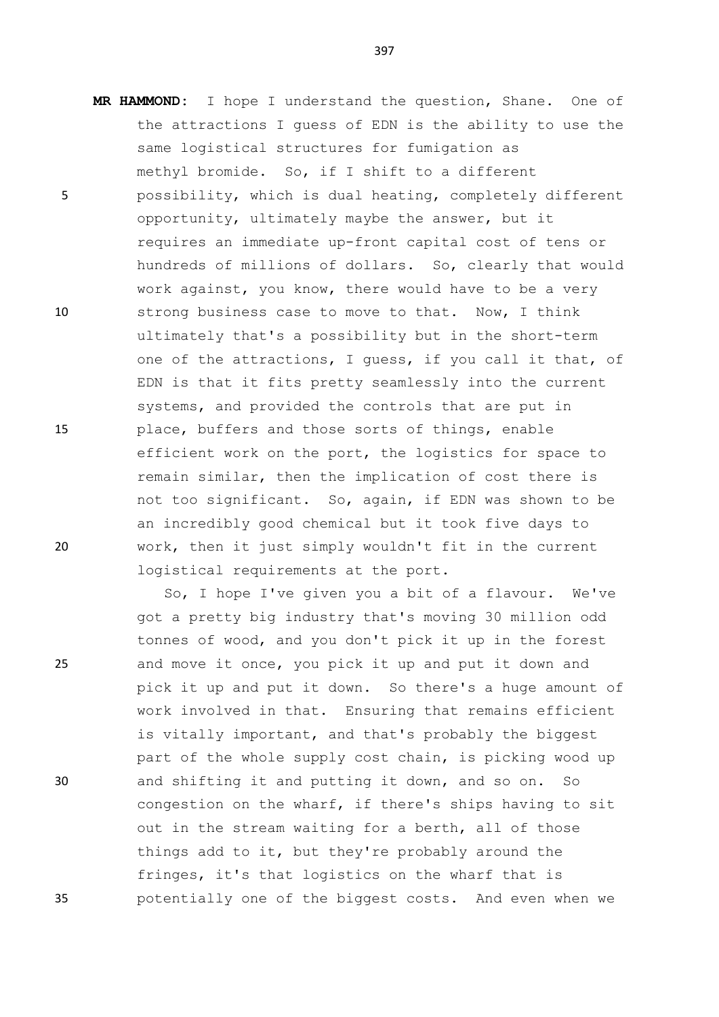**MR HAMMOND:** I hope I understand the question, Shane. One of

397

the attractions I guess of EDN is the ability to use the same logistical structures for fumigation as methyl bromide. So, if I shift to a different 5 possibility, which is dual heating, completely different opportunity, ultimately maybe the answer, but it requires an immediate up-front capital cost of tens or hundreds of millions of dollars. So, clearly that would work against, you know, there would have to be a very 10 strong business case to move to that. Now, I think ultimately that's a possibility but in the short-term one of the attractions, I guess, if you call it that, of EDN is that it fits pretty seamlessly into the current systems, and provided the controls that are put in 15 place, buffers and those sorts of things, enable efficient work on the port, the logistics for space to remain similar, then the implication of cost there is not too significant. So, again, if EDN was shown to be an incredibly good chemical but it took five days to 20 work, then it just simply wouldn't fit in the current logistical requirements at the port.

So, I hope I've given you a bit of a flavour. We've got a pretty big industry that's moving 30 million odd tonnes of wood, and you don't pick it up in the forest 25 and move it once, you pick it up and put it down and pick it up and put it down. So there's a huge amount of work involved in that. Ensuring that remains efficient is vitally important, and that's probably the biggest part of the whole supply cost chain, is picking wood up 30 and shifting it and putting it down, and so on. So congestion on the wharf, if there's ships having to sit out in the stream waiting for a berth, all of those things add to it, but they're probably around the fringes, it's that logistics on the wharf that is 35 potentially one of the biggest costs. And even when we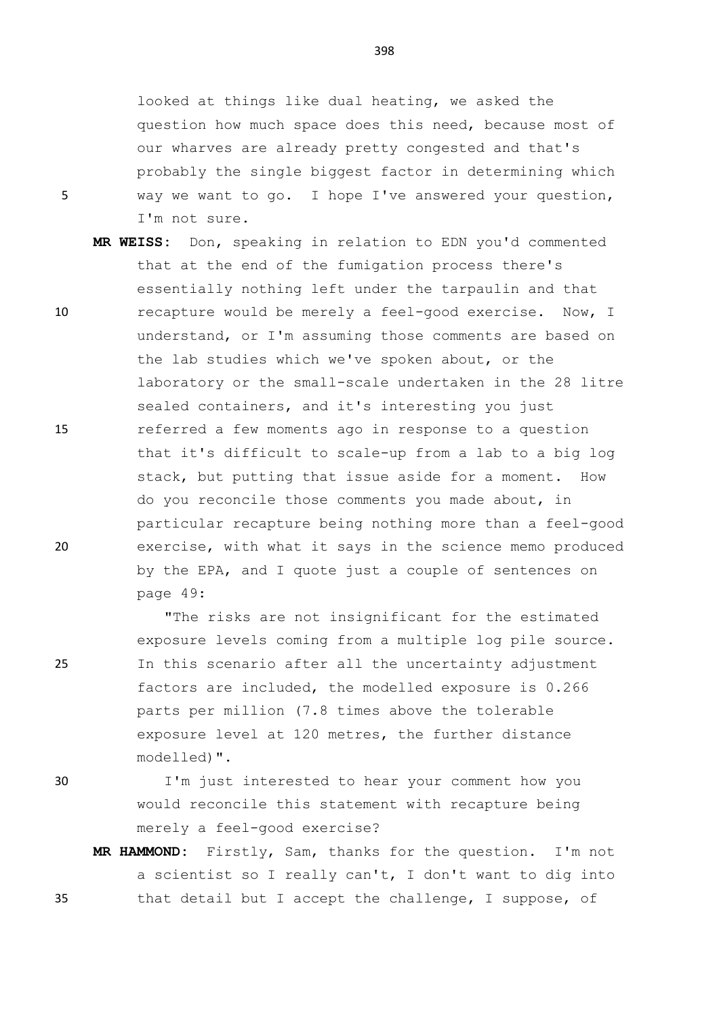looked at things like dual heating, we asked the question how much space does this need, because most of our wharves are already pretty congested and that's probably the single biggest factor in determining which 5 way we want to go. I hope I've answered your question, I'm not sure.

**MR WEISS:** Don, speaking in relation to EDN you'd commented that at the end of the fumigation process there's essentially nothing left under the tarpaulin and that 10 recapture would be merely a feel-good exercise. Now, I understand, or I'm assuming those comments are based on the lab studies which we've spoken about, or the laboratory or the small-scale undertaken in the 28 litre sealed containers, and it's interesting you just 15 referred a few moments ago in response to a question that it's difficult to scale-up from a lab to a big log stack, but putting that issue aside for a moment. How do you reconcile those comments you made about, in particular recapture being nothing more than a feel-good 20 exercise, with what it says in the science memo produced by the EPA, and I quote just a couple of sentences on page 49:

"The risks are not insignificant for the estimated exposure levels coming from a multiple log pile source. 25 In this scenario after all the uncertainty adjustment factors are included, the modelled exposure is 0.266 parts per million (7.8 times above the tolerable exposure level at 120 metres, the further distance modelled)".

30 I'm just interested to hear your comment how you would reconcile this statement with recapture being merely a feel-good exercise?

**MR HAMMOND:** Firstly, Sam, thanks for the question. I'm not a scientist so I really can't, I don't want to dig into 35 that detail but I accept the challenge, I suppose, of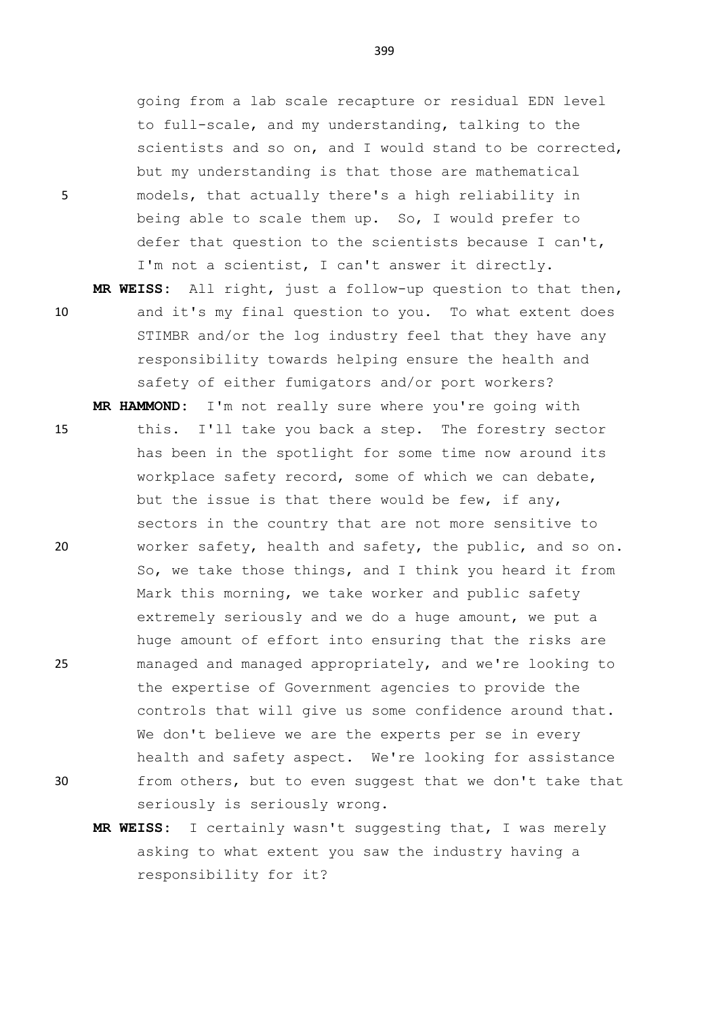going from a lab scale recapture or residual EDN level to full-scale, and my understanding, talking to the scientists and so on, and I would stand to be corrected, but my understanding is that those are mathematical 5 models, that actually there's a high reliability in being able to scale them up. So, I would prefer to defer that question to the scientists because I can't, I'm not a scientist, I can't answer it directly.

**MR WEISS:** All right, just a follow-up question to that then, 10 and it's my final question to you. To what extent does STIMBR and/or the log industry feel that they have any responsibility towards helping ensure the health and safety of either fumigators and/or port workers?

**MR HAMMOND:** I'm not really sure where you're going with 15 this. I'll take you back a step. The forestry sector has been in the spotlight for some time now around its workplace safety record, some of which we can debate, but the issue is that there would be few, if any, sectors in the country that are not more sensitive to 20 worker safety, health and safety, the public, and so on. So, we take those things, and I think you heard it from Mark this morning, we take worker and public safety extremely seriously and we do a huge amount, we put a huge amount of effort into ensuring that the risks are 25 managed and managed appropriately, and we're looking to the expertise of Government agencies to provide the controls that will give us some confidence around that. We don't believe we are the experts per se in every health and safety aspect. We're looking for assistance 30 from others, but to even suggest that we don't take that seriously is seriously wrong.

**MR WEISS:** I certainly wasn't suggesting that, I was merely asking to what extent you saw the industry having a responsibility for it?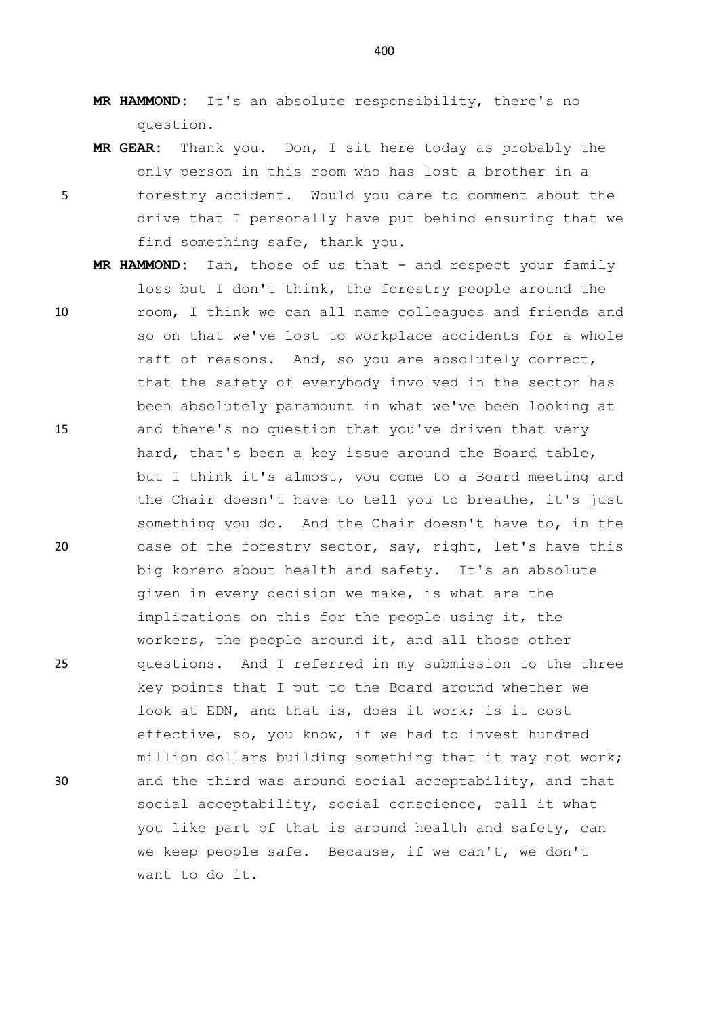- **MR HAMMOND:** It's an absolute responsibility, there's no question.
- **MR GEAR:** Thank you. Don, I sit here today as probably the only person in this room who has lost a brother in a 5 forestry accident. Would you care to comment about the drive that I personally have put behind ensuring that we find something safe, thank you.
- MR HAMMOND: Ian, those of us that and respect your family loss but I don't think, the forestry people around the 10 room, I think we can all name colleagues and friends and so on that we've lost to workplace accidents for a whole raft of reasons. And, so you are absolutely correct, that the safety of everybody involved in the sector has been absolutely paramount in what we've been looking at 15 and there's no question that you've driven that very hard, that's been a key issue around the Board table, but I think it's almost, you come to a Board meeting and the Chair doesn't have to tell you to breathe, it's just something you do. And the Chair doesn't have to, in the 20 case of the forestry sector, say, right, let's have this big korero about health and safety. It's an absolute given in every decision we make, is what are the implications on this for the people using it, the workers, the people around it, and all those other 25 questions. And I referred in my submission to the three key points that I put to the Board around whether we look at EDN, and that is, does it work; is it cost effective, so, you know, if we had to invest hundred million dollars building something that it may not work; 30 and the third was around social acceptability, and that social acceptability, social conscience, call it what you like part of that is around health and safety, can we keep people safe. Because, if we can't, we don't want to do it.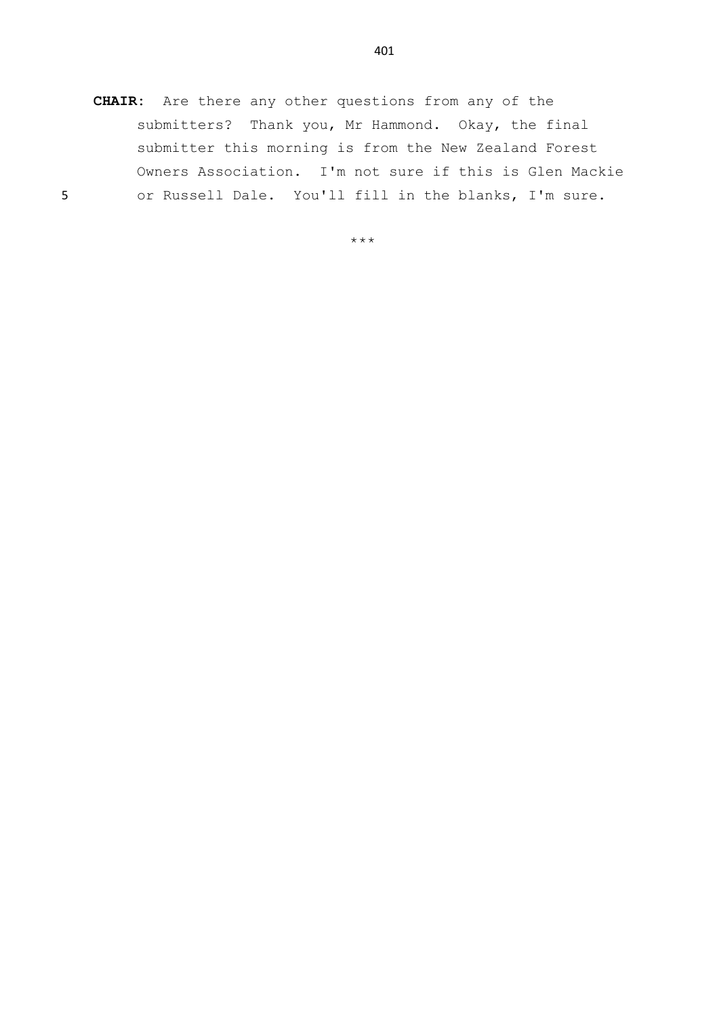**CHAIR:** Are there any other questions from any of the submitters? Thank you, Mr Hammond. Okay, the final submitter this morning is from the New Zealand Forest Owners Association. I'm not sure if this is Glen Mackie 5 or Russell Dale. You'll fill in the blanks, I'm sure.

\*\*\*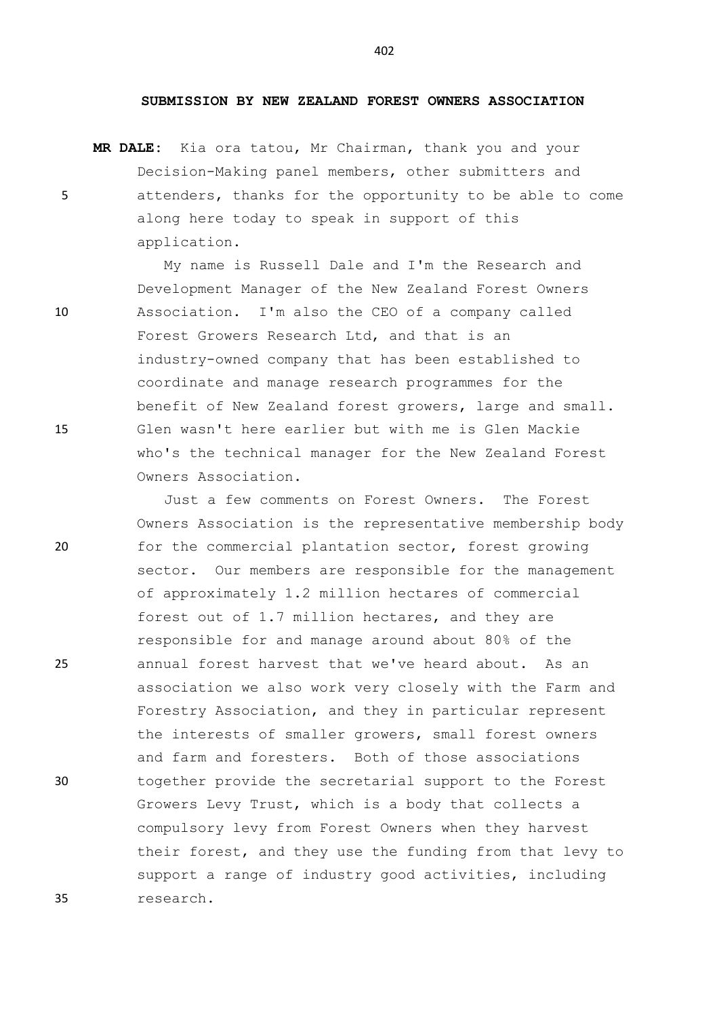## **SUBMISSION BY NEW ZEALAND FOREST OWNERS ASSOCIATION**

**MR DALE:** Kia ora tatou, Mr Chairman, thank you and your Decision-Making panel members, other submitters and 5 attenders, thanks for the opportunity to be able to come along here today to speak in support of this application.

My name is Russell Dale and I'm the Research and Development Manager of the New Zealand Forest Owners 10 Association. I'm also the CEO of a company called Forest Growers Research Ltd, and that is an industry-owned company that has been established to coordinate and manage research programmes for the benefit of New Zealand forest growers, large and small. 15 Glen wasn't here earlier but with me is Glen Mackie who's the technical manager for the New Zealand Forest Owners Association.

Just a few comments on Forest Owners. The Forest Owners Association is the representative membership body 20 for the commercial plantation sector, forest growing sector. Our members are responsible for the management of approximately 1.2 million hectares of commercial forest out of 1.7 million hectares, and they are responsible for and manage around about 80% of the 25 annual forest harvest that we've heard about. As an association we also work very closely with the Farm and Forestry Association, and they in particular represent the interests of smaller growers, small forest owners and farm and foresters. Both of those associations 30 together provide the secretarial support to the Forest Growers Levy Trust, which is a body that collects a compulsory levy from Forest Owners when they harvest their forest, and they use the funding from that levy to support a range of industry good activities, including 35 research.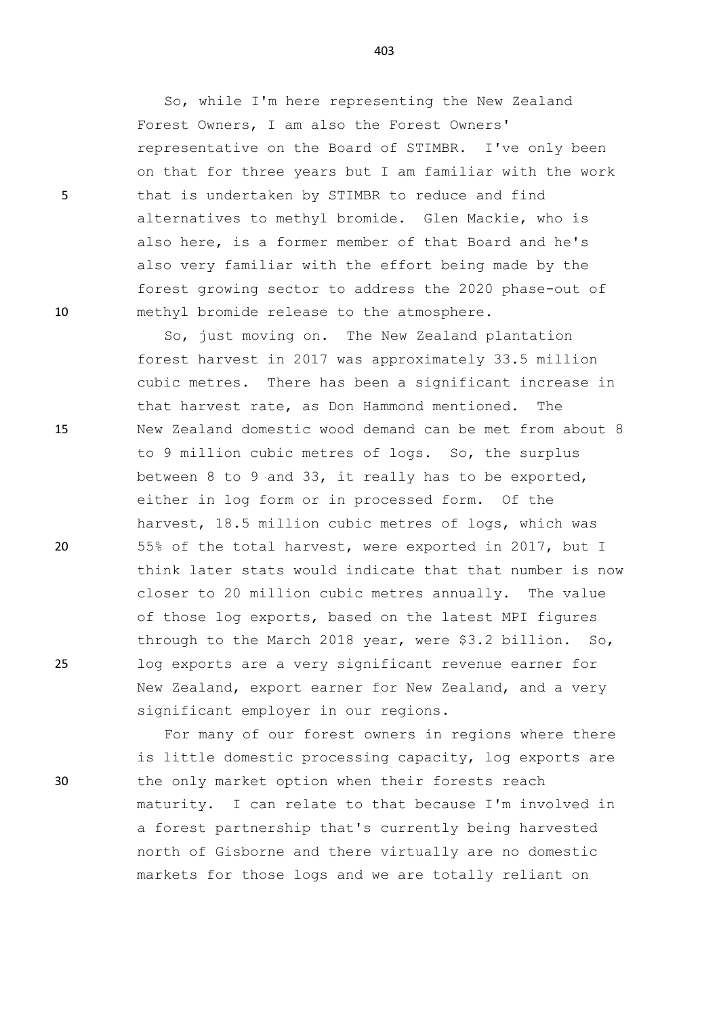So, while I'm here representing the New Zealand Forest Owners, I am also the Forest Owners' representative on the Board of STIMBR. I've only been on that for three years but I am familiar with the work 5 that is undertaken by STIMBR to reduce and find alternatives to methyl bromide. Glen Mackie, who is also here, is a former member of that Board and he's also very familiar with the effort being made by the forest growing sector to address the 2020 phase-out of 10 methyl bromide release to the atmosphere.

So, just moving on. The New Zealand plantation forest harvest in 2017 was approximately 33.5 million cubic metres. There has been a significant increase in that harvest rate, as Don Hammond mentioned. The 15 New Zealand domestic wood demand can be met from about 8 to 9 million cubic metres of logs. So, the surplus between 8 to 9 and 33, it really has to be exported, either in log form or in processed form. Of the harvest, 18.5 million cubic metres of logs, which was 20 55% of the total harvest, were exported in 2017, but I think later stats would indicate that that number is now closer to 20 million cubic metres annually. The value of those log exports, based on the latest MPI figures through to the March 2018 year, were \$3.2 billion. So, 25 log exports are a very significant revenue earner for New Zealand, export earner for New Zealand, and a very significant employer in our regions.

For many of our forest owners in regions where there is little domestic processing capacity, log exports are 30 the only market option when their forests reach maturity. I can relate to that because I'm involved in a forest partnership that's currently being harvested north of Gisborne and there virtually are no domestic markets for those logs and we are totally reliant on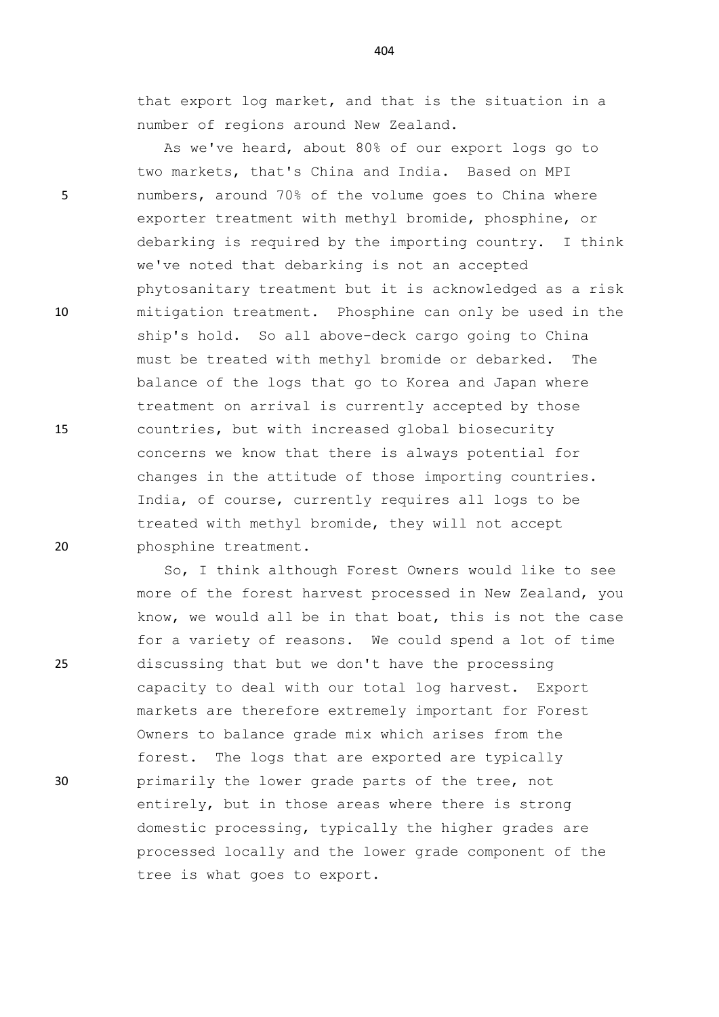that export log market, and that is the situation in a number of regions around New Zealand.

As we've heard, about 80% of our export logs go to two markets, that's China and India. Based on MPI 5 numbers, around 70% of the volume goes to China where exporter treatment with methyl bromide, phosphine, or debarking is required by the importing country. I think we've noted that debarking is not an accepted phytosanitary treatment but it is acknowledged as a risk 10 mitigation treatment. Phosphine can only be used in the ship's hold. So all above-deck cargo going to China must be treated with methyl bromide or debarked. The balance of the logs that go to Korea and Japan where treatment on arrival is currently accepted by those 15 countries, but with increased global biosecurity concerns we know that there is always potential for changes in the attitude of those importing countries. India, of course, currently requires all logs to be treated with methyl bromide, they will not accept 20 phosphine treatment.

So, I think although Forest Owners would like to see more of the forest harvest processed in New Zealand, you know, we would all be in that boat, this is not the case for a variety of reasons. We could spend a lot of time 25 discussing that but we don't have the processing capacity to deal with our total log harvest. Export markets are therefore extremely important for Forest Owners to balance grade mix which arises from the forest. The logs that are exported are typically 30 primarily the lower grade parts of the tree, not entirely, but in those areas where there is strong domestic processing, typically the higher grades are processed locally and the lower grade component of the tree is what goes to export.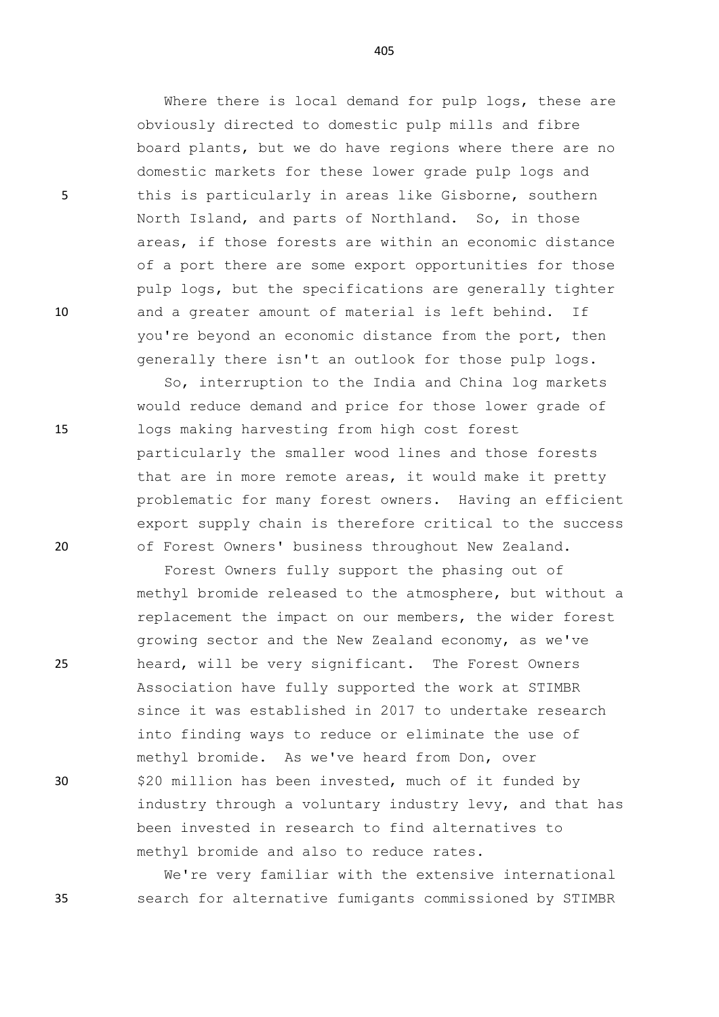Where there is local demand for pulp logs, these are obviously directed to domestic pulp mills and fibre board plants, but we do have regions where there are no domestic markets for these lower grade pulp logs and 5 this is particularly in areas like Gisborne, southern North Island, and parts of Northland. So, in those areas, if those forests are within an economic distance of a port there are some export opportunities for those pulp logs, but the specifications are generally tighter 10 and a greater amount of material is left behind. If you're beyond an economic distance from the port, then generally there isn't an outlook for those pulp logs.

So, interruption to the India and China log markets would reduce demand and price for those lower grade of 15 logs making harvesting from high cost forest particularly the smaller wood lines and those forests that are in more remote areas, it would make it pretty problematic for many forest owners. Having an efficient export supply chain is therefore critical to the success 20 of Forest Owners' business throughout New Zealand.

Forest Owners fully support the phasing out of methyl bromide released to the atmosphere, but without a replacement the impact on our members, the wider forest growing sector and the New Zealand economy, as we've 25 heard, will be very significant. The Forest Owners Association have fully supported the work at STIMBR since it was established in 2017 to undertake research into finding ways to reduce or eliminate the use of methyl bromide. As we've heard from Don, over 30 \$20 million has been invested, much of it funded by industry through a voluntary industry levy, and that has been invested in research to find alternatives to methyl bromide and also to reduce rates.

We're very familiar with the extensive international 35 search for alternative fumigants commissioned by STIMBR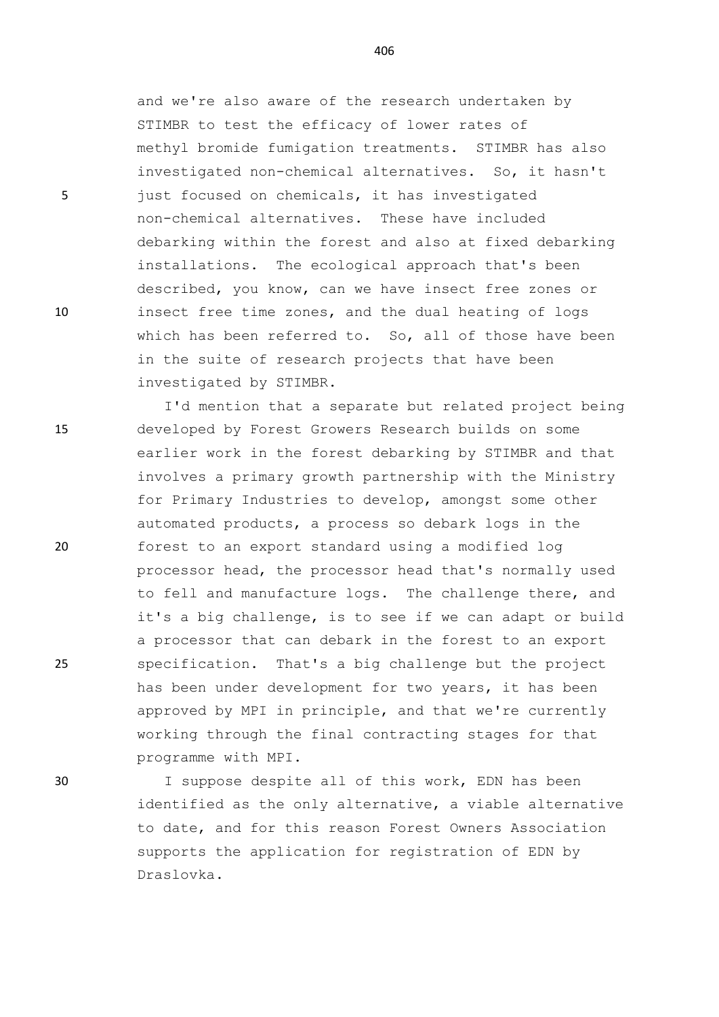and we're also aware of the research undertaken by STIMBR to test the efficacy of lower rates of methyl bromide fumigation treatments. STIMBR has also investigated non-chemical alternatives. So, it hasn't 5 just focused on chemicals, it has investigated non-chemical alternatives. These have included debarking within the forest and also at fixed debarking installations. The ecological approach that's been described, you know, can we have insect free zones or 10 insect free time zones, and the dual heating of logs which has been referred to. So, all of those have been in the suite of research projects that have been investigated by STIMBR.

I'd mention that a separate but related project being 15 developed by Forest Growers Research builds on some earlier work in the forest debarking by STIMBR and that involves a primary growth partnership with the Ministry for Primary Industries to develop, amongst some other automated products, a process so debark logs in the 20 forest to an export standard using a modified log processor head, the processor head that's normally used to fell and manufacture logs. The challenge there, and it's a big challenge, is to see if we can adapt or build a processor that can debark in the forest to an export 25 specification. That's a big challenge but the project has been under development for two years, it has been approved by MPI in principle, and that we're currently working through the final contracting stages for that programme with MPI.

30 I suppose despite all of this work, EDN has been identified as the only alternative, a viable alternative to date, and for this reason Forest Owners Association supports the application for registration of EDN by Draslovka.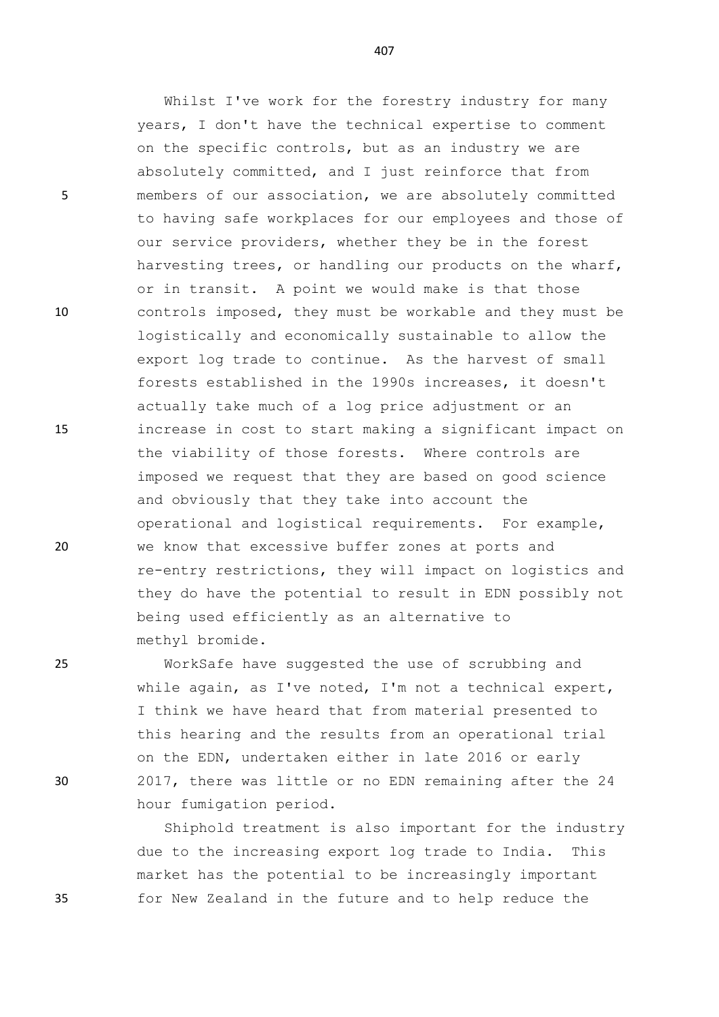5 members of our association, we are absolutely committed

10 controls imposed, they must be workable and they must be

15 increase in cost to start making a significant impact on

20 we know that excessive buffer zones at ports and

25 WorkSafe have suggested the use of scrubbing and

I think we have heard that from material presented to this hearing and the results from an operational trial on the EDN, undertaken either in late 2016 or early 30 2017, there was little or no EDN remaining after the 24

methyl bromide.

hour fumigation period.

Shiphold treatment is also important for the industry due to the increasing export log trade to India. This market has the potential to be increasingly important 35 for New Zealand in the future and to help reduce the

407

Whilst I've work for the forestry industry for many

years, I don't have the technical expertise to comment

to having safe workplaces for our employees and those of

harvesting trees, or handling our products on the wharf,

logistically and economically sustainable to allow the export log trade to continue. As the harvest of small forests established in the 1990s increases, it doesn't

our service providers, whether they be in the forest

or in transit. A point we would make is that those

actually take much of a log price adjustment or an

the viability of those forests. Where controls are

and obviously that they take into account the

being used efficiently as an alternative to

imposed we request that they are based on good science

operational and logistical requirements. For example,

re-entry restrictions, they will impact on logistics and they do have the potential to result in EDN possibly not

while again, as I've noted, I'm not a technical expert,

on the specific controls, but as an industry we are absolutely committed, and I just reinforce that from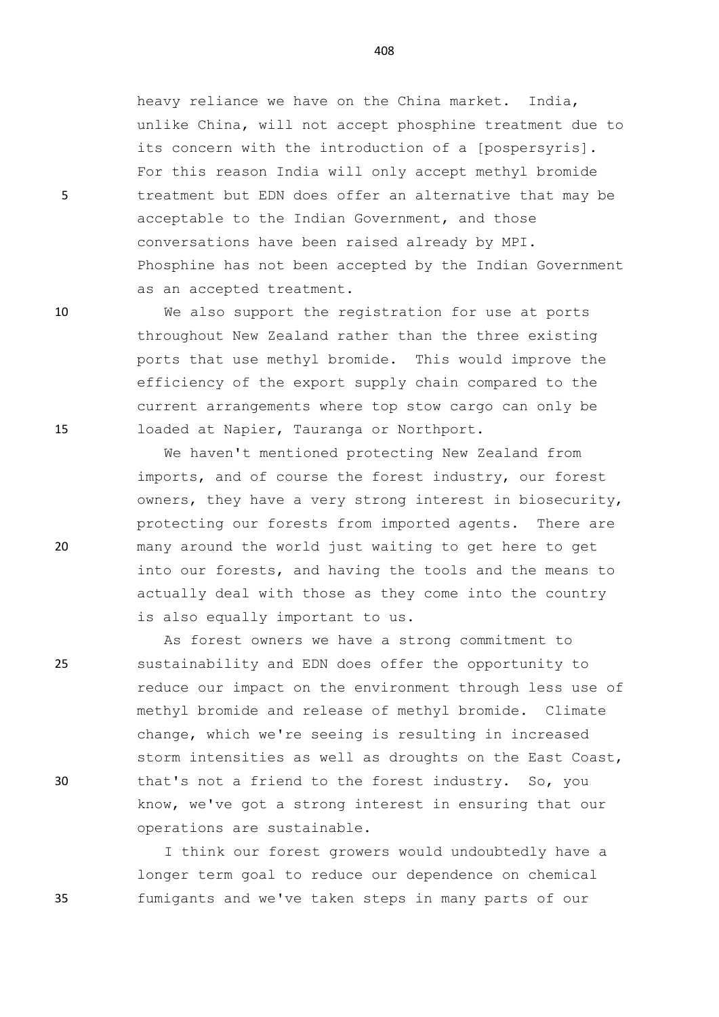heavy reliance we have on the China market. India, unlike China, will not accept phosphine treatment due to its concern with the introduction of a [pospersyris]. For this reason India will only accept methyl bromide 5 treatment but EDN does offer an alternative that may be acceptable to the Indian Government, and those conversations have been raised already by MPI. Phosphine has not been accepted by the Indian Government as an accepted treatment.

10 We also support the registration for use at ports throughout New Zealand rather than the three existing ports that use methyl bromide. This would improve the efficiency of the export supply chain compared to the current arrangements where top stow cargo can only be 15 loaded at Napier, Tauranga or Northport.

We haven't mentioned protecting New Zealand from imports, and of course the forest industry, our forest owners, they have a very strong interest in biosecurity, protecting our forests from imported agents. There are 20 many around the world just waiting to get here to get into our forests, and having the tools and the means to actually deal with those as they come into the country is also equally important to us.

As forest owners we have a strong commitment to 25 sustainability and EDN does offer the opportunity to reduce our impact on the environment through less use of methyl bromide and release of methyl bromide. Climate change, which we're seeing is resulting in increased storm intensities as well as droughts on the East Coast, 30 that's not a friend to the forest industry. So, you know, we've got a strong interest in ensuring that our operations are sustainable.

I think our forest growers would undoubtedly have a longer term goal to reduce our dependence on chemical 35 fumigants and we've taken steps in many parts of our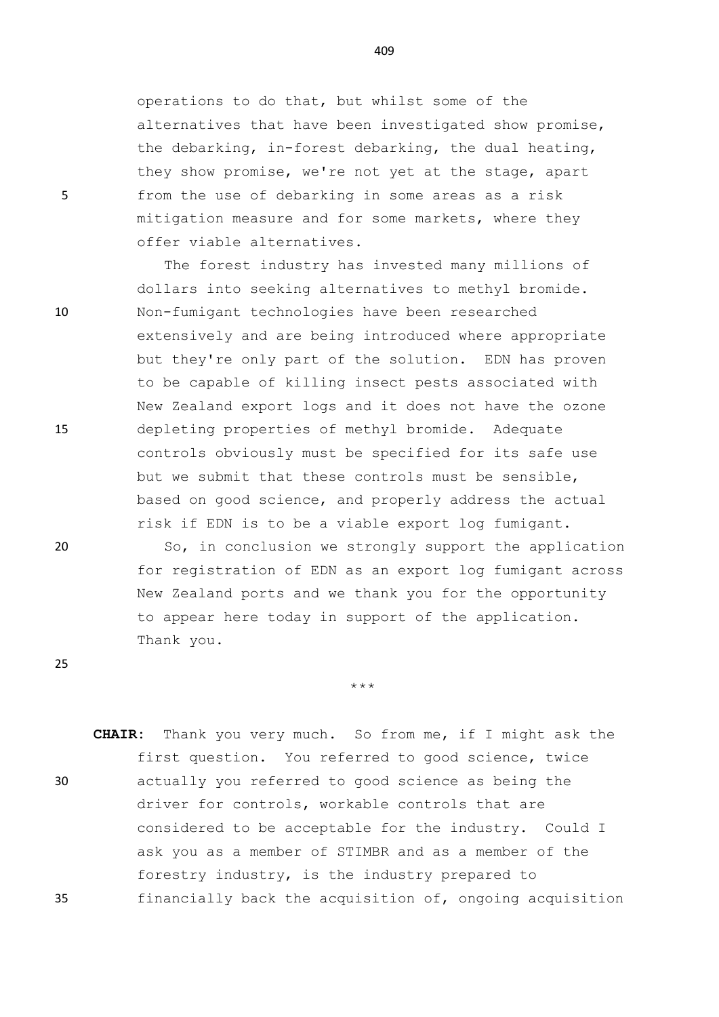operations to do that, but whilst some of the alternatives that have been investigated show promise, the debarking, in-forest debarking, the dual heating, they show promise, we're not yet at the stage, apart 5 from the use of debarking in some areas as a risk mitigation measure and for some markets, where they offer viable alternatives.

The forest industry has invested many millions of dollars into seeking alternatives to methyl bromide. 10 Non-fumigant technologies have been researched extensively and are being introduced where appropriate but they're only part of the solution. EDN has proven to be capable of killing insect pests associated with New Zealand export logs and it does not have the ozone 15 depleting properties of methyl bromide. Adequate controls obviously must be specified for its safe use but we submit that these controls must be sensible, based on good science, and properly address the actual risk if EDN is to be a viable export log fumigant.

20 So, in conclusion we strongly support the application for registration of EDN as an export log fumigant across New Zealand ports and we thank you for the opportunity to appear here today in support of the application. Thank you.

\*\*\*

**CHAIR:** Thank you very much. So from me, if I might ask the first question. You referred to good science, twice 30 actually you referred to good science as being the driver for controls, workable controls that are considered to be acceptable for the industry. Could I ask you as a member of STIMBR and as a member of the forestry industry, is the industry prepared to 35 financially back the acquisition of, ongoing acquisition

409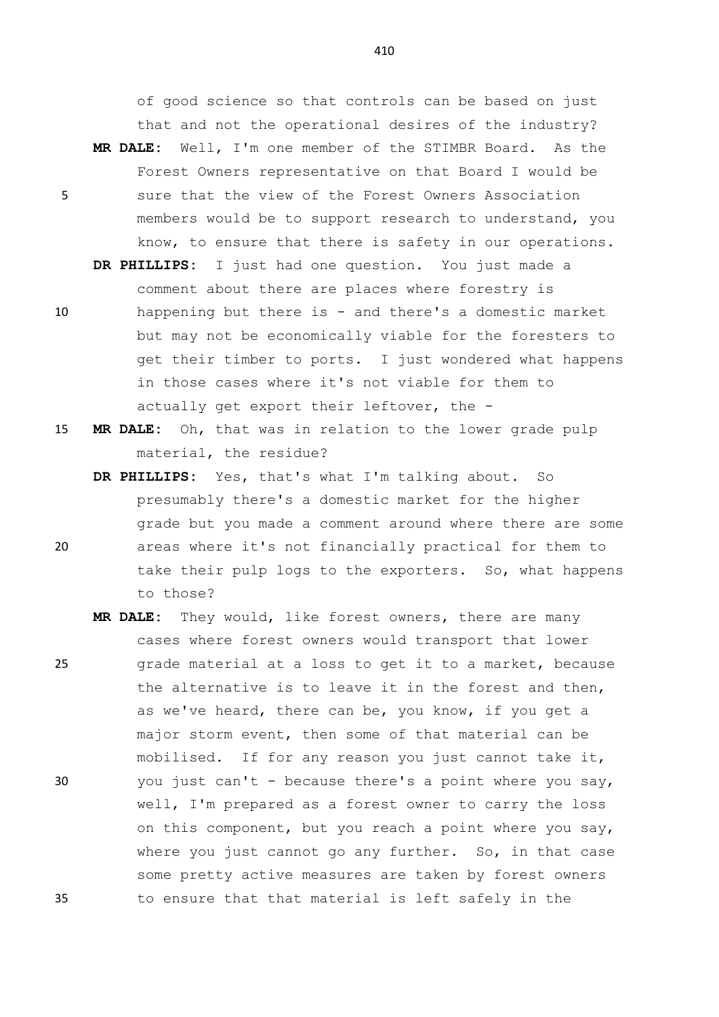of good science so that controls can be based on just that and not the operational desires of the industry?

- **MR DALE:** Well, I'm one member of the STIMBR Board. As the Forest Owners representative on that Board I would be 5 sure that the view of the Forest Owners Association members would be to support research to understand, you know, to ensure that there is safety in our operations.
	- **DR PHILLIPS:** I just had one question. You just made a comment about there are places where forestry is
- 10 happening but there is and there's a domestic market but may not be economically viable for the foresters to get their timber to ports. I just wondered what happens in those cases where it's not viable for them to actually get export their leftover, the -
- 15 **MR DALE:** Oh, that was in relation to the lower grade pulp material, the residue?
- **DR PHILLIPS:** Yes, that's what I'm talking about. So presumably there's a domestic market for the higher grade but you made a comment around where there are some 20 areas where it's not financially practical for them to take their pulp logs to the exporters. So, what happens to those?
- **MR DALE:** They would, like forest owners, there are many cases where forest owners would transport that lower 25 grade material at a loss to get it to a market, because the alternative is to leave it in the forest and then, as we've heard, there can be, you know, if you get a major storm event, then some of that material can be mobilised. If for any reason you just cannot take it, 30 you just can't - because there's a point where you say, well, I'm prepared as a forest owner to carry the loss on this component, but you reach a point where you say, where you just cannot go any further. So, in that case some pretty active measures are taken by forest owners 35 to ensure that that material is left safely in the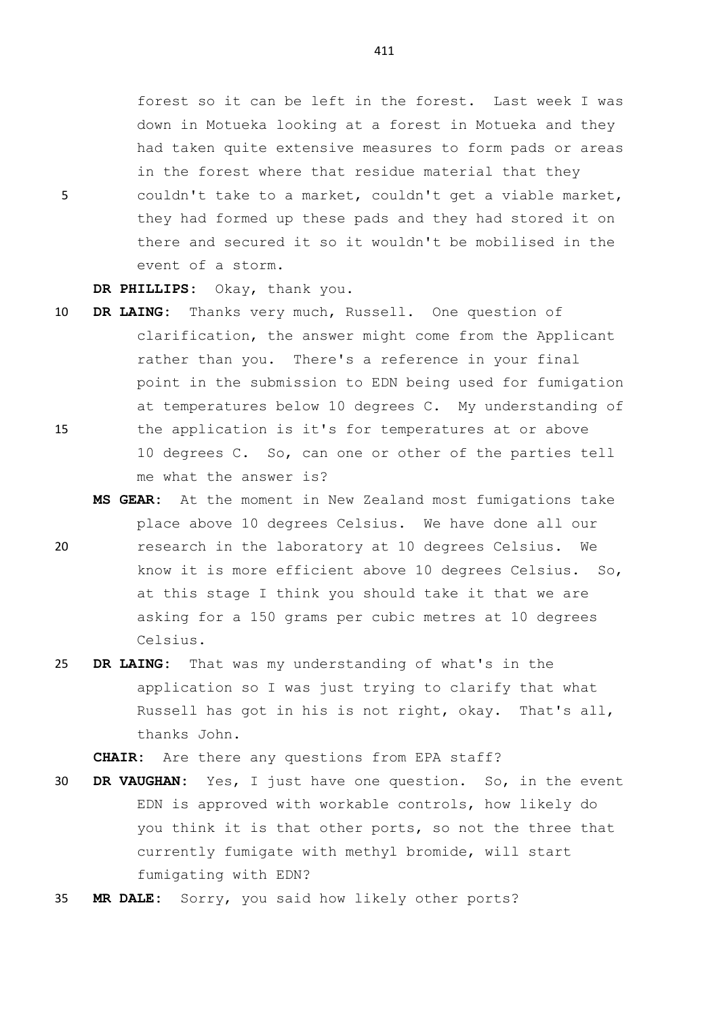forest so it can be left in the forest. Last week I was down in Motueka looking at a forest in Motueka and they had taken quite extensive measures to form pads or areas in the forest where that residue material that they 5 couldn't take to a market, couldn't get a viable market, they had formed up these pads and they had stored it on there and secured it so it wouldn't be mobilised in the event of a storm.

**DR PHILLIPS:** Okay, thank you.

- 10 **DR LAING:** Thanks very much, Russell. One question of clarification, the answer might come from the Applicant rather than you. There's a reference in your final point in the submission to EDN being used for fumigation at temperatures below 10 degrees C. My understanding of 15 the application is it's for temperatures at or above 10 degrees C. So, can one or other of the parties tell me what the answer is?
- **MS GEAR:** At the moment in New Zealand most fumigations take place above 10 degrees Celsius. We have done all our 20 research in the laboratory at 10 degrees Celsius. We know it is more efficient above 10 degrees Celsius. So, at this stage I think you should take it that we are asking for a 150 grams per cubic metres at 10 degrees Celsius.
- 25 **DR LAING:** That was my understanding of what's in the application so I was just trying to clarify that what Russell has got in his is not right, okay. That's all, thanks John.

**CHAIR:** Are there any questions from EPA staff?

- 30 **DR VAUGHAN:** Yes, I just have one question. So, in the event EDN is approved with workable controls, how likely do you think it is that other ports, so not the three that currently fumigate with methyl bromide, will start fumigating with EDN?
- 35 **MR DALE:** Sorry, you said how likely other ports?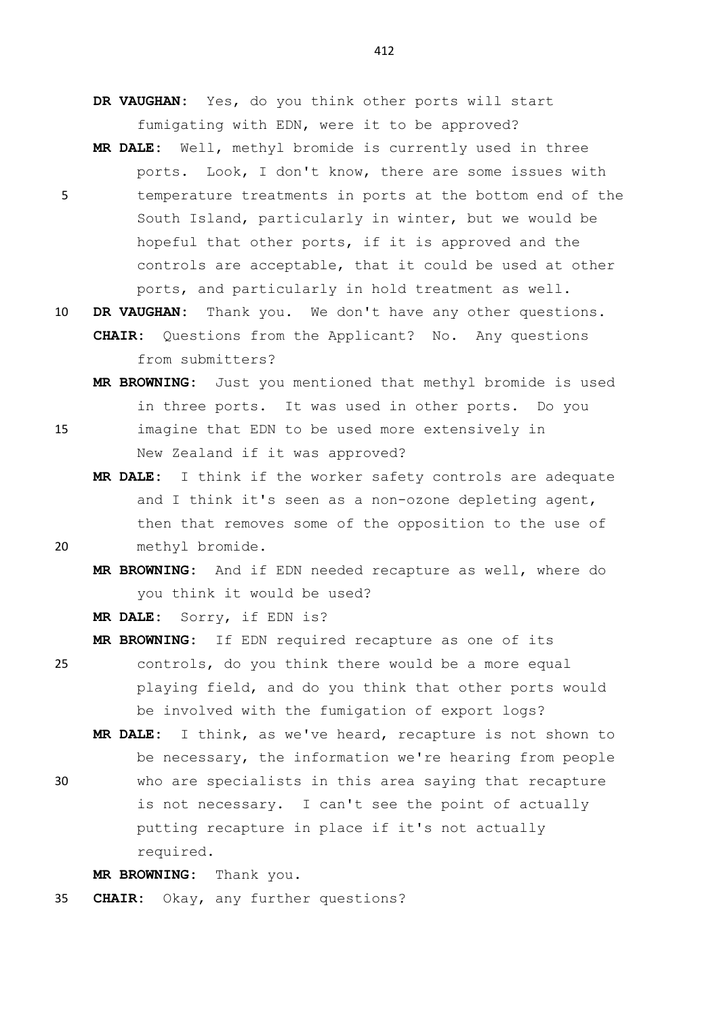**DR VAUGHAN:** Yes, do you think other ports will start fumigating with EDN, were it to be approved?

- **MR DALE:** Well, methyl bromide is currently used in three ports. Look, I don't know, there are some issues with 5 temperature treatments in ports at the bottom end of the South Island, particularly in winter, but we would be hopeful that other ports, if it is approved and the controls are acceptable, that it could be used at other ports, and particularly in hold treatment as well.
- 10 **DR VAUGHAN:** Thank you. We don't have any other questions. **CHAIR:** Questions from the Applicant? No. Any questions from submitters?
- **MR BROWNING:** Just you mentioned that methyl bromide is used in three ports. It was used in other ports. Do you 15 imagine that EDN to be used more extensively in New Zealand if it was approved?
- **MR DALE:** I think if the worker safety controls are adequate and I think it's seen as a non-ozone depleting agent, then that removes some of the opposition to the use of 20 methyl bromide.
	- **MR BROWNING:** And if EDN needed recapture as well, where do you think it would be used?

**MR DALE:** Sorry, if EDN is?

**MR BROWNING:** If EDN required recapture as one of its

- 25 controls, do you think there would be a more equal playing field, and do you think that other ports would be involved with the fumigation of export logs?
	- **MR DALE:** I think, as we've heard, recapture is not shown to be necessary, the information we're hearing from people
- 30 who are specialists in this area saying that recapture is not necessary. I can't see the point of actually putting recapture in place if it's not actually required.

**MR BROWNING:** Thank you.

35 **CHAIR:** Okay, any further questions?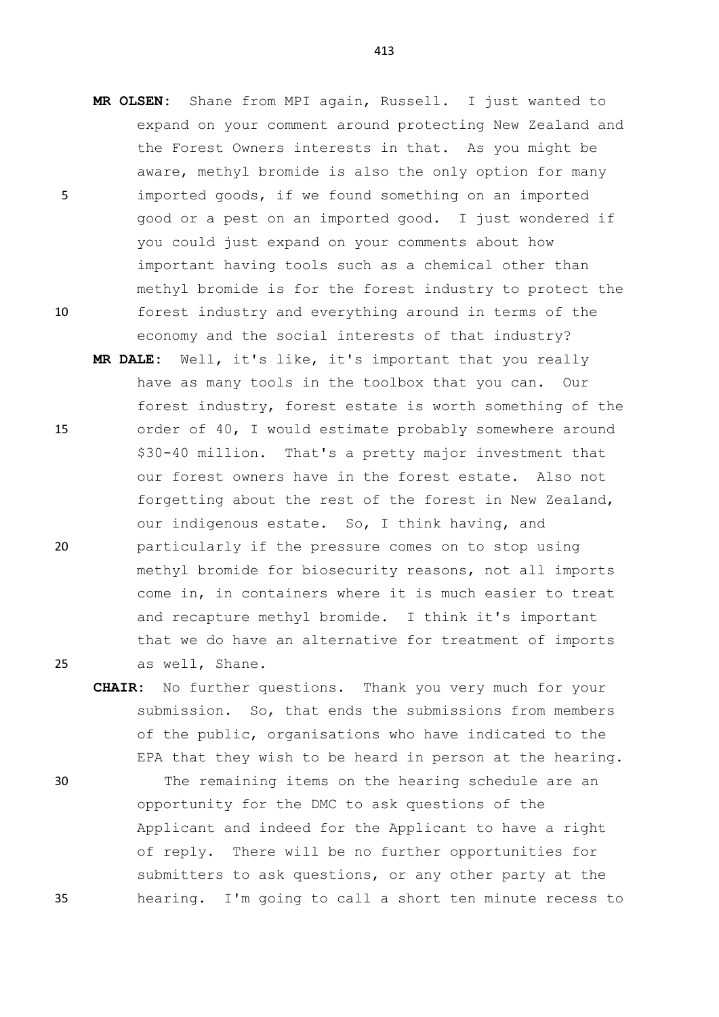- **MR OLSEN:** Shane from MPI again, Russell. I just wanted to expand on your comment around protecting New Zealand and the Forest Owners interests in that. As you might be aware, methyl bromide is also the only option for many 5 imported goods, if we found something on an imported good or a pest on an imported good. I just wondered if you could just expand on your comments about how important having tools such as a chemical other than methyl bromide is for the forest industry to protect the 10 forest industry and everything around in terms of the economy and the social interests of that industry?
- **MR DALE:** Well, it's like, it's important that you really have as many tools in the toolbox that you can. Our forest industry, forest estate is worth something of the 15 order of 40, I would estimate probably somewhere around \$30-40 million. That's a pretty major investment that our forest owners have in the forest estate. Also not forgetting about the rest of the forest in New Zealand, our indigenous estate. So, I think having, and 20 particularly if the pressure comes on to stop using methyl bromide for biosecurity reasons, not all imports come in, in containers where it is much easier to treat and recapture methyl bromide. I think it's important that we do have an alternative for treatment of imports 25 as well, Shane.
- **CHAIR:** No further questions. Thank you very much for your submission. So, that ends the submissions from members of the public, organisations who have indicated to the EPA that they wish to be heard in person at the hearing. 30 The remaining items on the hearing schedule are an opportunity for the DMC to ask questions of the Applicant and indeed for the Applicant to have a right of reply. There will be no further opportunities for submitters to ask questions, or any other party at the 35 hearing. I'm going to call a short ten minute recess to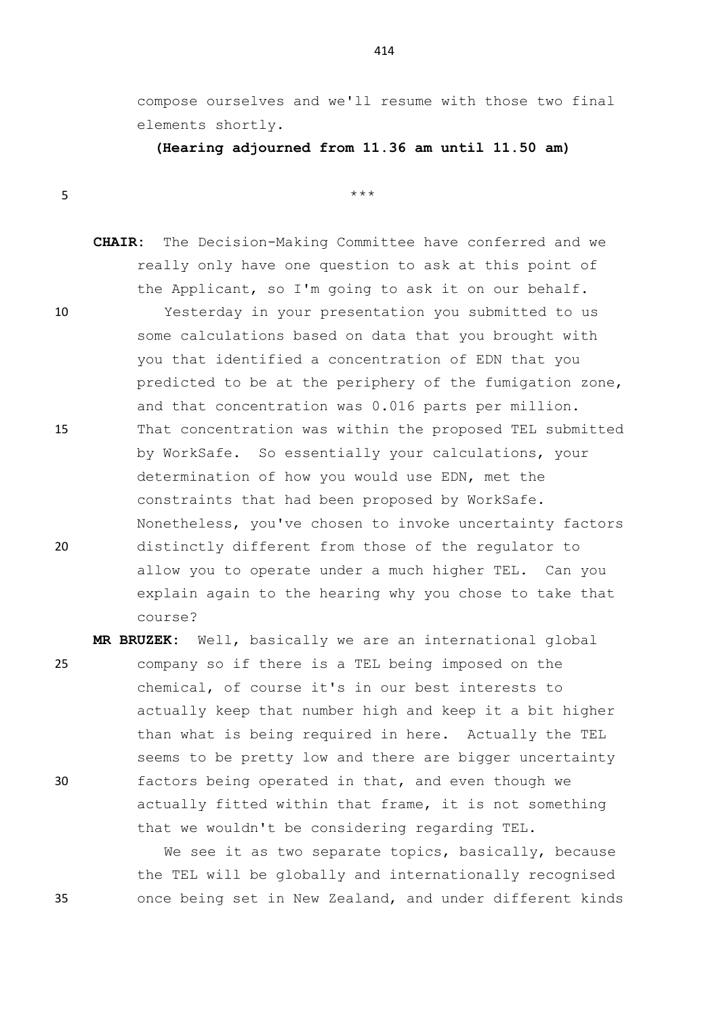compose ourselves and we'll resume with those two final elements shortly.

**(Hearing adjourned from 11.36 am until 11.50 am)**

 $5$  \*\*\*

**CHAIR:** The Decision-Making Committee have conferred and we really only have one question to ask at this point of the Applicant, so I'm going to ask it on our behalf.

10 Yesterday in your presentation you submitted to us some calculations based on data that you brought with you that identified a concentration of EDN that you predicted to be at the periphery of the fumigation zone, and that concentration was 0.016 parts per million. 15 That concentration was within the proposed TEL submitted by WorkSafe. So essentially your calculations, your determination of how you would use EDN, met the constraints that had been proposed by WorkSafe. Nonetheless, you've chosen to invoke uncertainty factors 20 distinctly different from those of the regulator to allow you to operate under a much higher TEL. Can you explain again to the hearing why you chose to take that course?

**MR BRUZEK:** Well, basically we are an international global 25 company so if there is a TEL being imposed on the chemical, of course it's in our best interests to actually keep that number high and keep it a bit higher than what is being required in here. Actually the TEL seems to be pretty low and there are bigger uncertainty 30 factors being operated in that, and even though we actually fitted within that frame, it is not something that we wouldn't be considering regarding TEL.

We see it as two separate topics, basically, because the TEL will be globally and internationally recognised 35 once being set in New Zealand, and under different kinds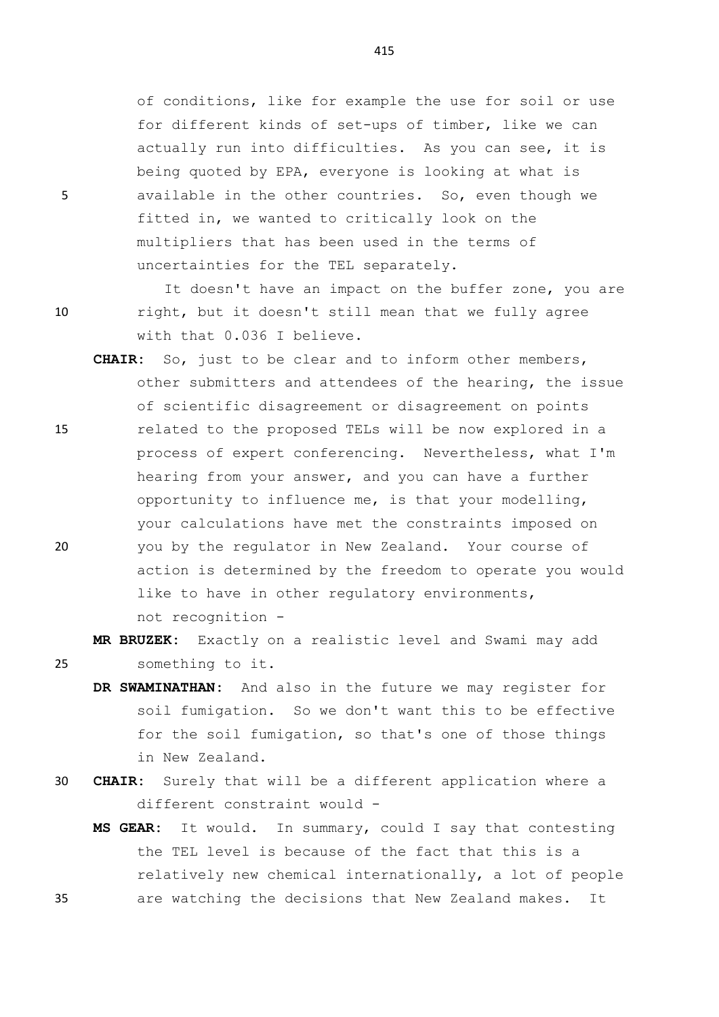of conditions, like for example the use for soil or use for different kinds of set-ups of timber, like we can actually run into difficulties. As you can see, it is being quoted by EPA, everyone is looking at what is 5 available in the other countries. So, even though we fitted in, we wanted to critically look on the multipliers that has been used in the terms of uncertainties for the TEL separately.

It doesn't have an impact on the buffer zone, you are 10 right, but it doesn't still mean that we fully agree with that 0.036 I believe.

**CHAIR:** So, just to be clear and to inform other members, other submitters and attendees of the hearing, the issue of scientific disagreement or disagreement on points 15 related to the proposed TELs will be now explored in a process of expert conferencing. Nevertheless, what I'm hearing from your answer, and you can have a further opportunity to influence me, is that your modelling, your calculations have met the constraints imposed on 20 you by the regulator in New Zealand. Your course of action is determined by the freedom to operate you would like to have in other regulatory environments, not recognition -

**MR BRUZEK:** Exactly on a realistic level and Swami may add 25 something to it.

- **DR SWAMINATHAN:** And also in the future we may register for soil fumigation. So we don't want this to be effective for the soil fumigation, so that's one of those things in New Zealand.
- 30 **CHAIR:** Surely that will be a different application where a different constraint would -
- **MS GEAR:** It would. In summary, could I say that contesting the TEL level is because of the fact that this is a relatively new chemical internationally, a lot of people 35 are watching the decisions that New Zealand makes. It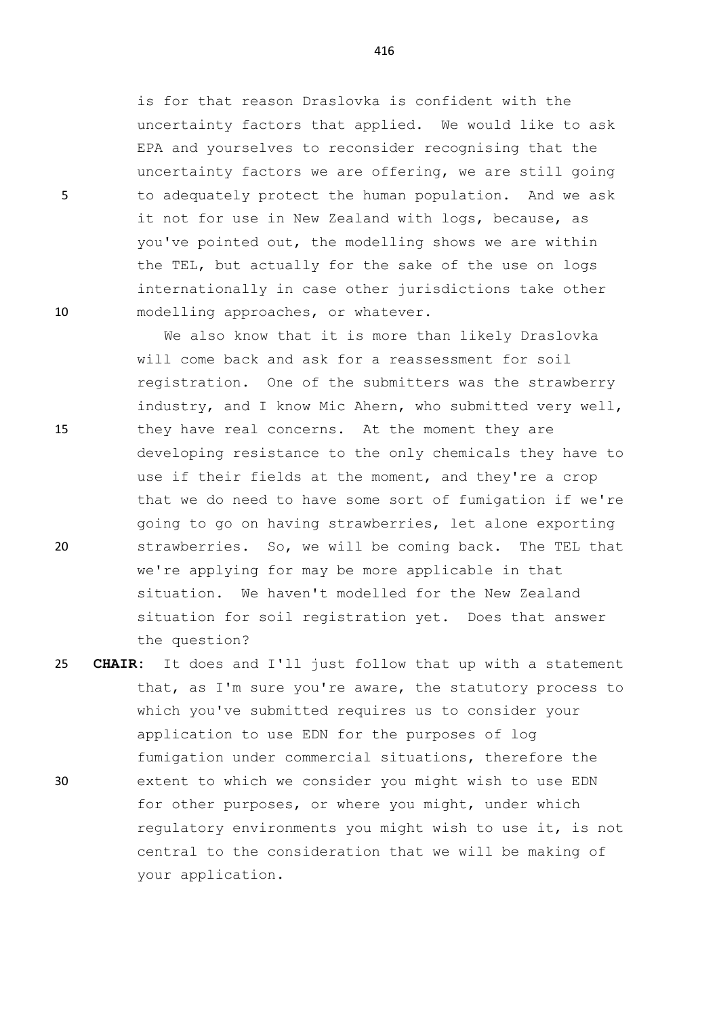is for that reason Draslovka is confident with the uncertainty factors that applied. We would like to ask EPA and yourselves to reconsider recognising that the uncertainty factors we are offering, we are still going 5 to adequately protect the human population. And we ask it not for use in New Zealand with logs, because, as you've pointed out, the modelling shows we are within the TEL, but actually for the sake of the use on logs internationally in case other jurisdictions take other 10 modelling approaches, or whatever.

We also know that it is more than likely Draslovka will come back and ask for a reassessment for soil registration. One of the submitters was the strawberry industry, and I know Mic Ahern, who submitted very well, 15 they have real concerns. At the moment they are developing resistance to the only chemicals they have to use if their fields at the moment, and they're a crop that we do need to have some sort of fumigation if we're going to go on having strawberries, let alone exporting 20 strawberries. So, we will be coming back. The TEL that we're applying for may be more applicable in that situation. We haven't modelled for the New Zealand situation for soil registration yet. Does that answer the question?

25 **CHAIR:** It does and I'll just follow that up with a statement that, as I'm sure you're aware, the statutory process to which you've submitted requires us to consider your application to use EDN for the purposes of log fumigation under commercial situations, therefore the 30 extent to which we consider you might wish to use EDN for other purposes, or where you might, under which regulatory environments you might wish to use it, is not central to the consideration that we will be making of your application.

- 
-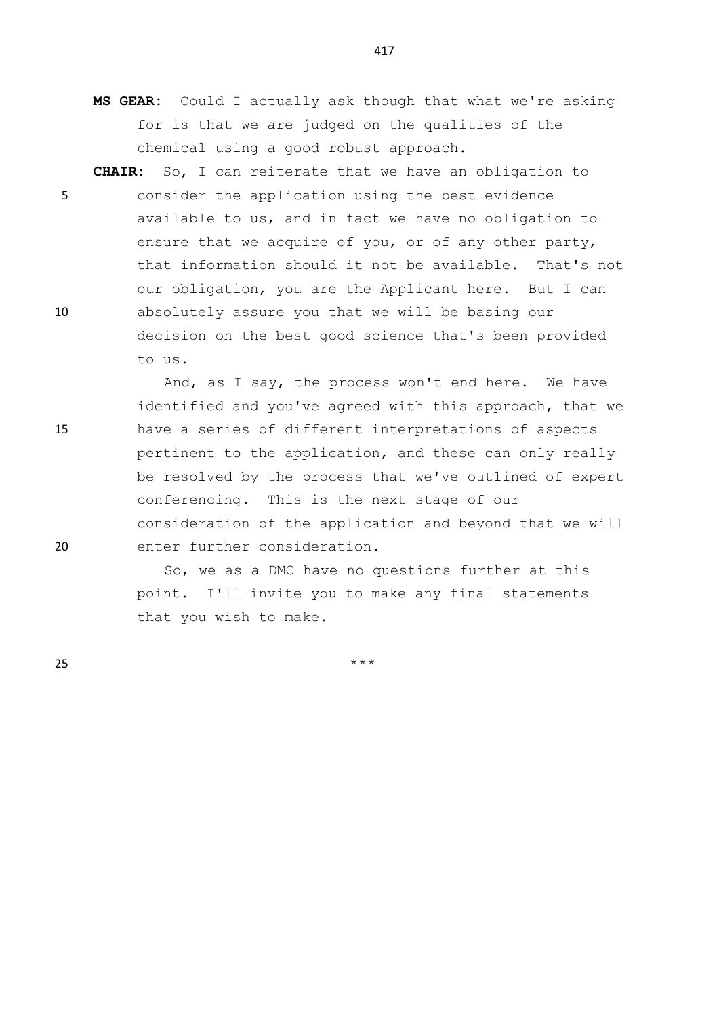- **MS GEAR:** Could I actually ask though that what we're asking for is that we are judged on the qualities of the chemical using a good robust approach.
- **CHAIR:** So, I can reiterate that we have an obligation to 5 consider the application using the best evidence available to us, and in fact we have no obligation to ensure that we acquire of you, or of any other party, that information should it not be available. That's not our obligation, you are the Applicant here. But I can 10 absolutely assure you that we will be basing our decision on the best good science that's been provided to us.

And, as I say, the process won't end here. We have identified and you've agreed with this approach, that we 15 have a series of different interpretations of aspects pertinent to the application, and these can only really be resolved by the process that we've outlined of expert conferencing. This is the next stage of our consideration of the application and beyond that we will 20 enter further consideration.

> So, we as a DMC have no questions further at this point. I'll invite you to make any final statements that you wish to make.

25  $***$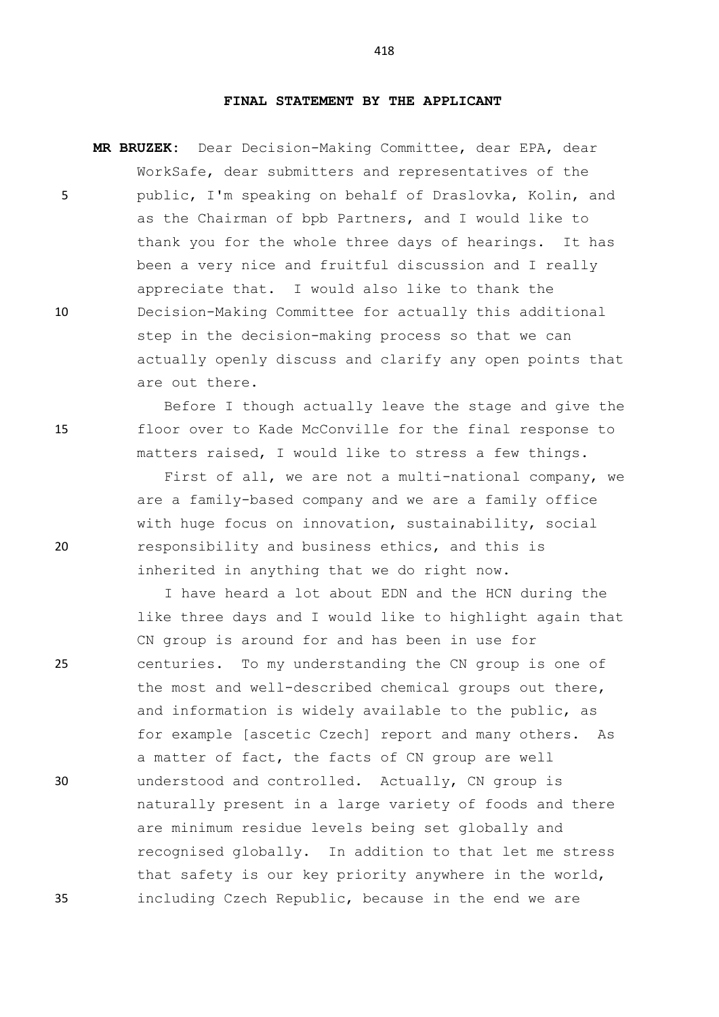## **FINAL STATEMENT BY THE APPLICANT**

**MR BRUZEK:** Dear Decision-Making Committee, dear EPA, dear WorkSafe, dear submitters and representatives of the 5 public, I'm speaking on behalf of Draslovka, Kolin, and as the Chairman of bpb Partners, and I would like to thank you for the whole three days of hearings. It has been a very nice and fruitful discussion and I really appreciate that. I would also like to thank the 10 Decision-Making Committee for actually this additional step in the decision-making process so that we can actually openly discuss and clarify any open points that are out there.

Before I though actually leave the stage and give the 15 floor over to Kade McConville for the final response to matters raised, I would like to stress a few things.

First of all, we are not a multi-national company, we are a family-based company and we are a family office with huge focus on innovation, sustainability, social 20 responsibility and business ethics, and this is inherited in anything that we do right now.

I have heard a lot about EDN and the HCN during the like three days and I would like to highlight again that CN group is around for and has been in use for 25 centuries. To my understanding the CN group is one of the most and well-described chemical groups out there, and information is widely available to the public, as for example [ascetic Czech] report and many others. As a matter of fact, the facts of CN group are well 30 understood and controlled. Actually, CN group is naturally present in a large variety of foods and there are minimum residue levels being set globally and recognised globally. In addition to that let me stress that safety is our key priority anywhere in the world, 35 including Czech Republic, because in the end we are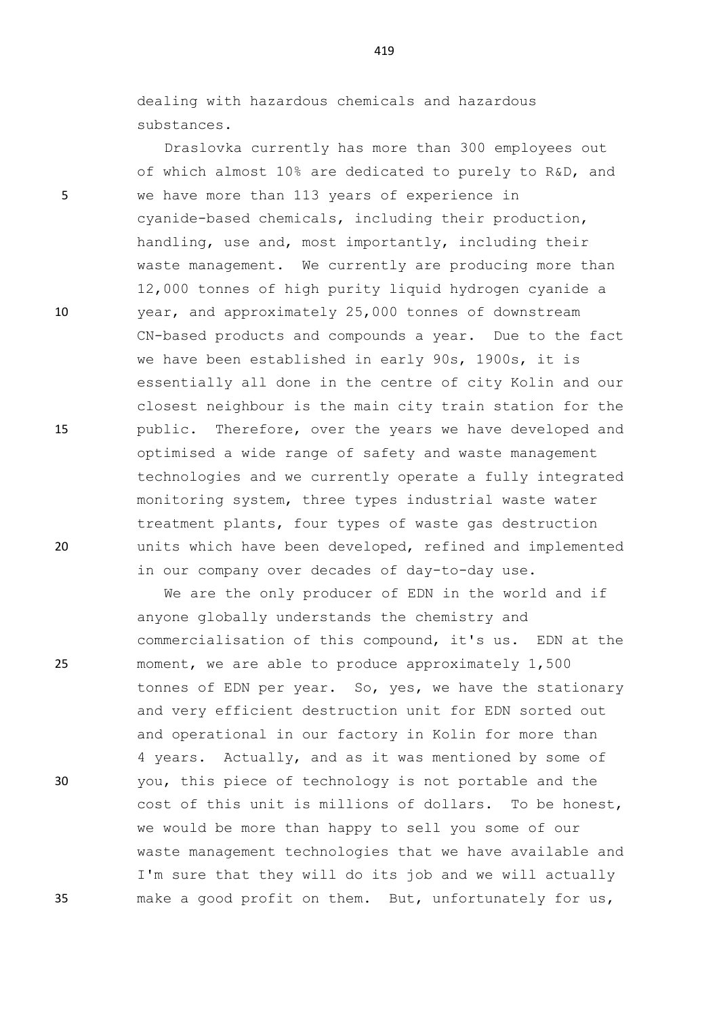dealing with hazardous chemicals and hazardous substances.

Draslovka currently has more than 300 employees out of which almost 10% are dedicated to purely to R&D, and 5 we have more than 113 years of experience in cyanide-based chemicals, including their production, handling, use and, most importantly, including their waste management. We currently are producing more than 12,000 tonnes of high purity liquid hydrogen cyanide a 10 year, and approximately 25,000 tonnes of downstream CN-based products and compounds a year. Due to the fact we have been established in early 90s, 1900s, it is essentially all done in the centre of city Kolin and our closest neighbour is the main city train station for the 15 public. Therefore, over the years we have developed and optimised a wide range of safety and waste management technologies and we currently operate a fully integrated monitoring system, three types industrial waste water treatment plants, four types of waste gas destruction 20 units which have been developed, refined and implemented in our company over decades of day-to-day use.

We are the only producer of EDN in the world and if anyone globally understands the chemistry and commercialisation of this compound, it's us. EDN at the 25 moment, we are able to produce approximately 1,500 tonnes of EDN per year. So, yes, we have the stationary and very efficient destruction unit for EDN sorted out and operational in our factory in Kolin for more than 4 years. Actually, and as it was mentioned by some of 30 you, this piece of technology is not portable and the cost of this unit is millions of dollars. To be honest, we would be more than happy to sell you some of our waste management technologies that we have available and I'm sure that they will do its job and we will actually 35 make a good profit on them. But, unfortunately for us,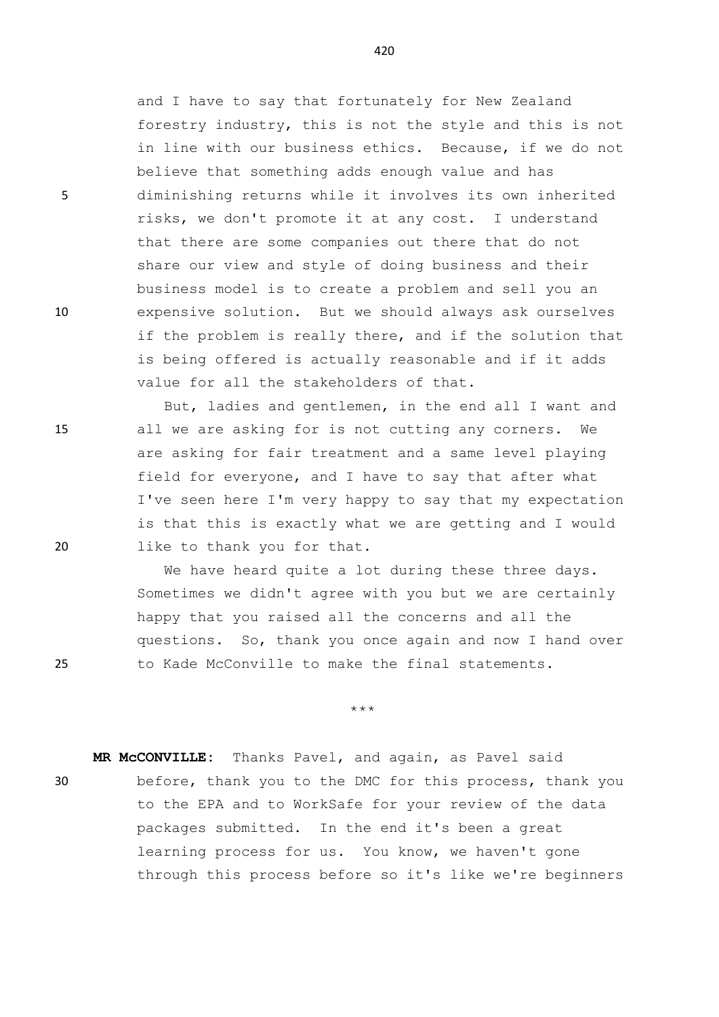and I have to say that fortunately for New Zealand forestry industry, this is not the style and this is not in line with our business ethics. Because, if we do not believe that something adds enough value and has 5 diminishing returns while it involves its own inherited risks, we don't promote it at any cost. I understand that there are some companies out there that do not share our view and style of doing business and their business model is to create a problem and sell you an 10 expensive solution. But we should always ask ourselves if the problem is really there, and if the solution that is being offered is actually reasonable and if it adds value for all the stakeholders of that.

But, ladies and gentlemen, in the end all I want and 15 all we are asking for is not cutting any corners. We are asking for fair treatment and a same level playing field for everyone, and I have to say that after what I've seen here I'm very happy to say that my expectation is that this is exactly what we are getting and I would 20 like to thank you for that.

We have heard quite a lot during these three days. Sometimes we didn't agree with you but we are certainly happy that you raised all the concerns and all the questions. So, thank you once again and now I hand over 25 to Kade McConville to make the final statements.

\*\*\*

**MR McCONVILLE:** Thanks Pavel, and again, as Pavel said 30 before, thank you to the DMC for this process, thank you to the EPA and to WorkSafe for your review of the data packages submitted. In the end it's been a great learning process for us. You know, we haven't gone through this process before so it's like we're beginners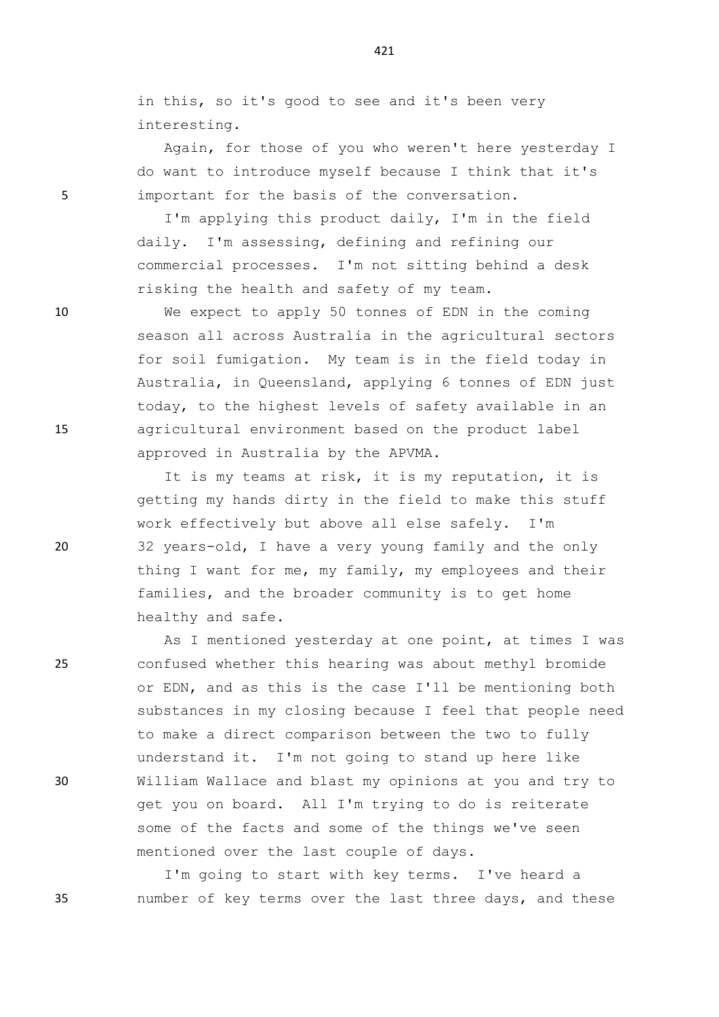in this, so it's good to see and it's been very interesting.

Again, for those of you who weren't here yesterday I do want to introduce myself because I think that it's 5 important for the basis of the conversation.

> I'm applying this product daily, I'm in the field daily. I'm assessing, defining and refining our commercial processes. I'm not sitting behind a desk risking the health and safety of my team.

10 We expect to apply 50 tonnes of EDN in the coming season all across Australia in the agricultural sectors for soil fumigation. My team is in the field today in Australia, in Queensland, applying 6 tonnes of EDN just today, to the highest levels of safety available in an 15 agricultural environment based on the product label approved in Australia by the APVMA.

It is my teams at risk, it is my reputation, it is getting my hands dirty in the field to make this stuff work effectively but above all else safely. I'm 20 32 years-old, I have a very young family and the only thing I want for me, my family, my employees and their families, and the broader community is to get home healthy and safe.

As I mentioned yesterday at one point, at times I was 25 confused whether this hearing was about methyl bromide or EDN, and as this is the case I'll be mentioning both substances in my closing because I feel that people need to make a direct comparison between the two to fully understand it. I'm not going to stand up here like 30 William Wallace and blast my opinions at you and try to get you on board. All I'm trying to do is reiterate some of the facts and some of the things we've seen mentioned over the last couple of days.

I'm going to start with key terms. I've heard a 35 number of key terms over the last three days, and these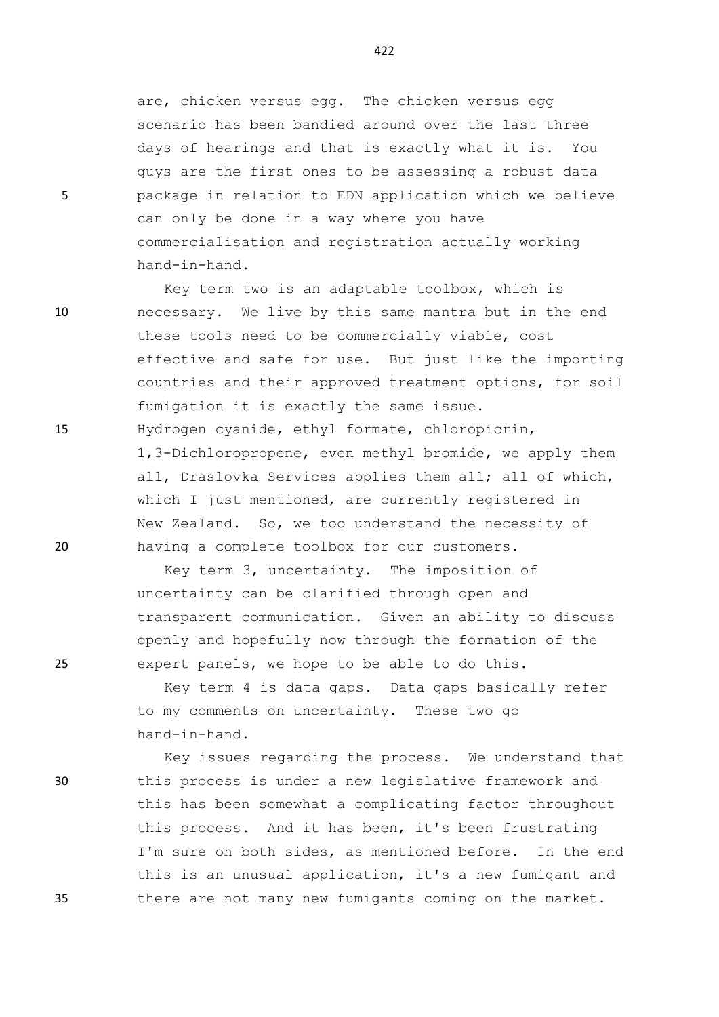are, chicken versus egg. The chicken versus egg scenario has been bandied around over the last three days of hearings and that is exactly what it is. You guys are the first ones to be assessing a robust data 5 package in relation to EDN application which we believe can only be done in a way where you have commercialisation and registration actually working hand-in-hand.

Key term two is an adaptable toolbox, which is 10 necessary. We live by this same mantra but in the end these tools need to be commercially viable, cost effective and safe for use. But just like the importing countries and their approved treatment options, for soil fumigation it is exactly the same issue. 15 Hydrogen cyanide, ethyl formate, chloropicrin, 1,3-Dichloropropene, even methyl bromide, we apply them all, Draslovka Services applies them all; all of which, which I just mentioned, are currently registered in New Zealand. So, we too understand the necessity of 20 having a complete toolbox for our customers.

Key term 3, uncertainty. The imposition of uncertainty can be clarified through open and transparent communication. Given an ability to discuss openly and hopefully now through the formation of the 25 expert panels, we hope to be able to do this.

> Key term 4 is data gaps. Data gaps basically refer to my comments on uncertainty. These two go hand-in-hand.

Key issues regarding the process. We understand that 30 this process is under a new legislative framework and this has been somewhat a complicating factor throughout this process. And it has been, it's been frustrating I'm sure on both sides, as mentioned before. In the end this is an unusual application, it's a new fumigant and 35 there are not many new fumigants coming on the market.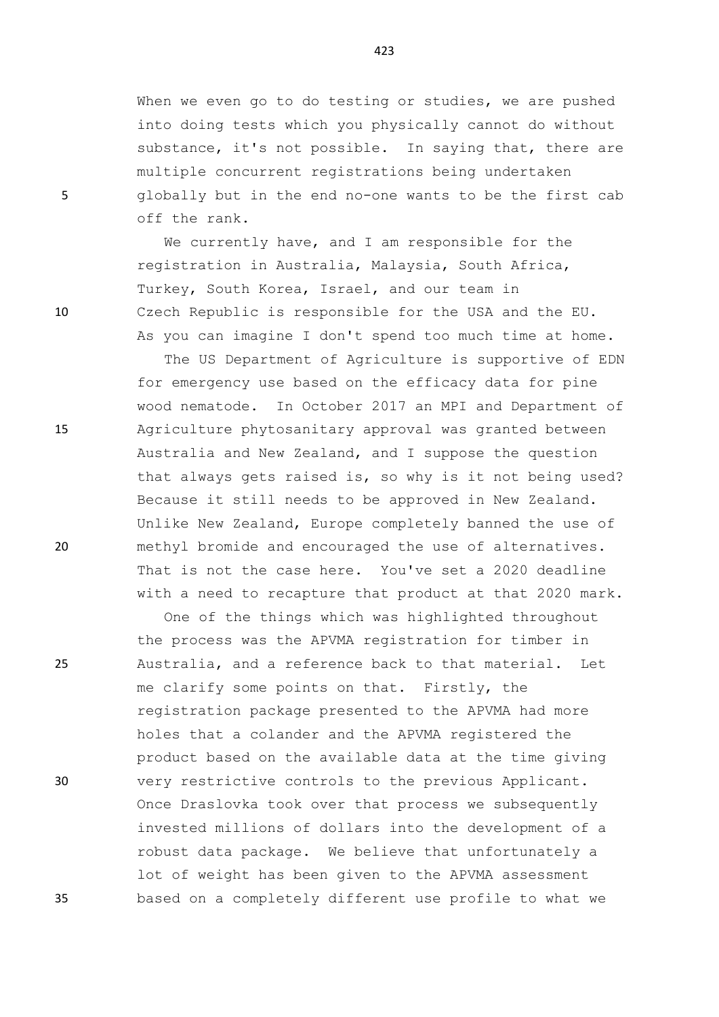When we even go to do testing or studies, we are pushed into doing tests which you physically cannot do without substance, it's not possible. In saying that, there are multiple concurrent registrations being undertaken 5 globally but in the end no-one wants to be the first cab off the rank.

We currently have, and I am responsible for the registration in Australia, Malaysia, South Africa, Turkey, South Korea, Israel, and our team in 10 Czech Republic is responsible for the USA and the EU. As you can imagine I don't spend too much time at home.

The US Department of Agriculture is supportive of EDN for emergency use based on the efficacy data for pine wood nematode. In October 2017 an MPI and Department of 15 Agriculture phytosanitary approval was granted between Australia and New Zealand, and I suppose the question that always gets raised is, so why is it not being used? Because it still needs to be approved in New Zealand. Unlike New Zealand, Europe completely banned the use of 20 methyl bromide and encouraged the use of alternatives. That is not the case here. You've set a 2020 deadline with a need to recapture that product at that 2020 mark.

One of the things which was highlighted throughout the process was the APVMA registration for timber in 25 Australia, and a reference back to that material. Let me clarify some points on that. Firstly, the registration package presented to the APVMA had more holes that a colander and the APVMA registered the product based on the available data at the time giving 30 very restrictive controls to the previous Applicant. Once Draslovka took over that process we subsequently invested millions of dollars into the development of a robust data package. We believe that unfortunately a lot of weight has been given to the APVMA assessment 35 based on a completely different use profile to what we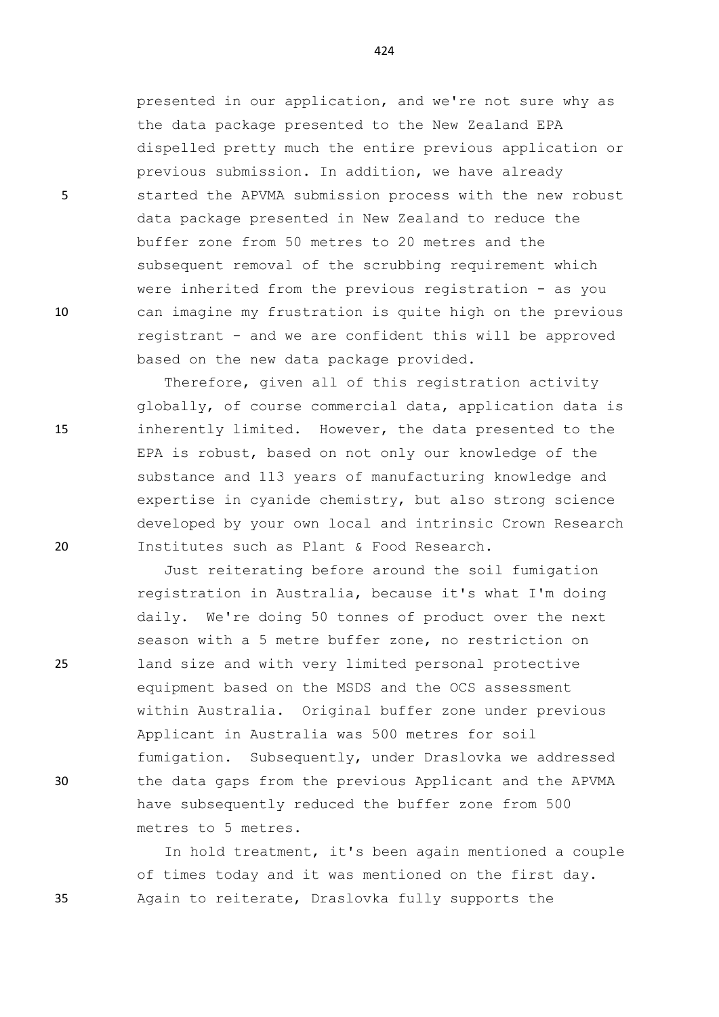presented in our application, and we're not sure why as the data package presented to the New Zealand EPA dispelled pretty much the entire previous application or previous submission. In addition, we have already 5 started the APVMA submission process with the new robust data package presented in New Zealand to reduce the buffer zone from 50 metres to 20 metres and the subsequent removal of the scrubbing requirement which were inherited from the previous registration - as you 10 can imagine my frustration is quite high on the previous registrant - and we are confident this will be approved based on the new data package provided.

Therefore, given all of this registration activity globally, of course commercial data, application data is 15 inherently limited. However, the data presented to the EPA is robust, based on not only our knowledge of the substance and 113 years of manufacturing knowledge and expertise in cyanide chemistry, but also strong science developed by your own local and intrinsic Crown Research 20 Institutes such as Plant & Food Research.

Just reiterating before around the soil fumigation registration in Australia, because it's what I'm doing daily. We're doing 50 tonnes of product over the next season with a 5 metre buffer zone, no restriction on 25 land size and with very limited personal protective equipment based on the MSDS and the OCS assessment within Australia. Original buffer zone under previous Applicant in Australia was 500 metres for soil fumigation. Subsequently, under Draslovka we addressed 30 the data gaps from the previous Applicant and the APVMA have subsequently reduced the buffer zone from 500 metres to 5 metres.

In hold treatment, it's been again mentioned a couple of times today and it was mentioned on the first day. 35 Again to reiterate, Draslovka fully supports the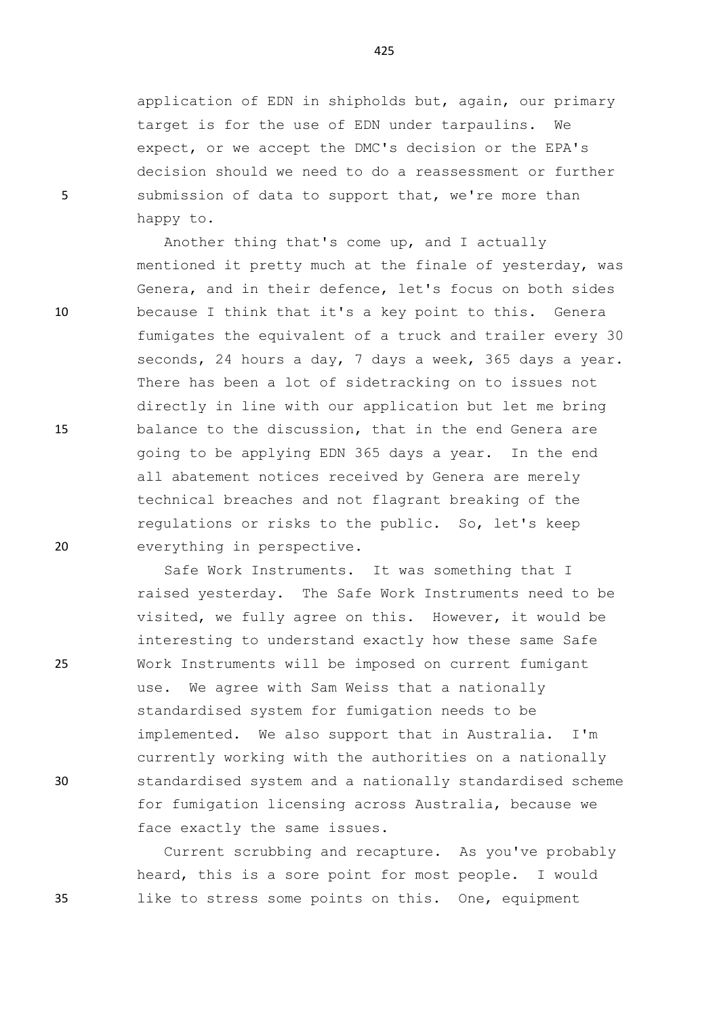application of EDN in shipholds but, again, our primary target is for the use of EDN under tarpaulins. We expect, or we accept the DMC's decision or the EPA's decision should we need to do a reassessment or further 5 submission of data to support that, we're more than happy to.

Another thing that's come up, and I actually mentioned it pretty much at the finale of yesterday, was Genera, and in their defence, let's focus on both sides 10 because I think that it's a key point to this. Genera fumigates the equivalent of a truck and trailer every 30 seconds, 24 hours a day, 7 days a week, 365 days a year. There has been a lot of sidetracking on to issues not directly in line with our application but let me bring 15 balance to the discussion, that in the end Genera are going to be applying EDN 365 days a year. In the end all abatement notices received by Genera are merely technical breaches and not flagrant breaking of the regulations or risks to the public. So, let's keep 20 everything in perspective.

Safe Work Instruments. It was something that I raised yesterday. The Safe Work Instruments need to be visited, we fully agree on this. However, it would be interesting to understand exactly how these same Safe 25 Work Instruments will be imposed on current fumigant use. We agree with Sam Weiss that a nationally standardised system for fumigation needs to be implemented. We also support that in Australia. I'm currently working with the authorities on a nationally 30 standardised system and a nationally standardised scheme for fumigation licensing across Australia, because we face exactly the same issues.

Current scrubbing and recapture. As you've probably heard, this is a sore point for most people. I would 35 like to stress some points on this. One, equipment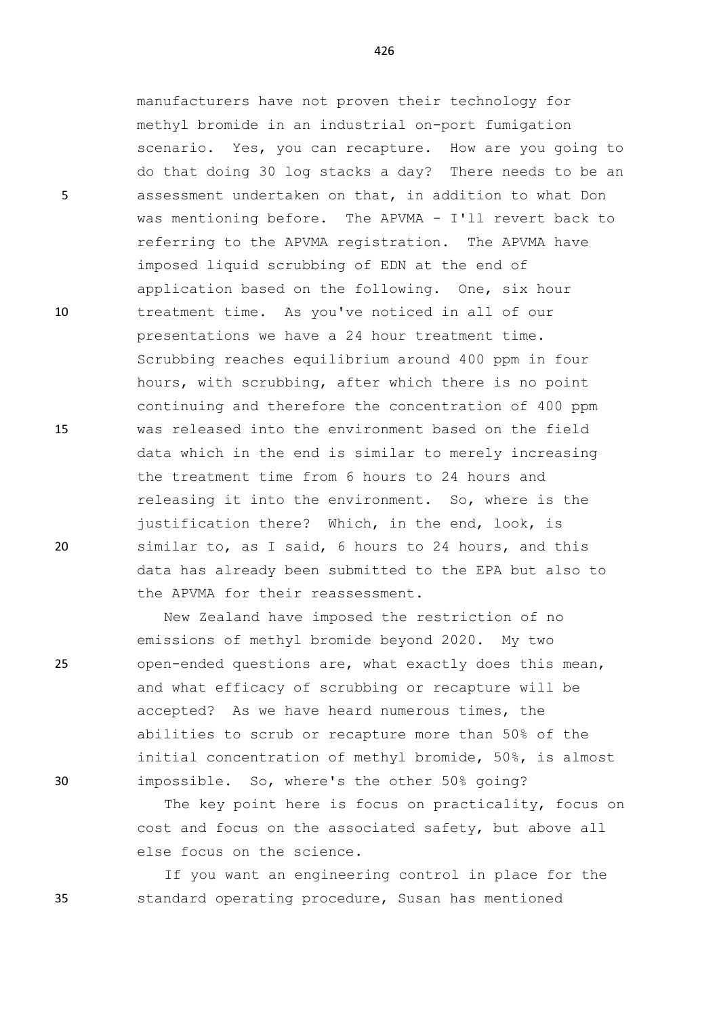manufacturers have not proven their technology for methyl bromide in an industrial on-port fumigation scenario. Yes, you can recapture. How are you going to do that doing 30 log stacks a day? There needs to be an 5 assessment undertaken on that, in addition to what Don was mentioning before. The APVMA - I'll revert back to referring to the APVMA registration. The APVMA have imposed liquid scrubbing of EDN at the end of application based on the following. One, six hour 10 treatment time. As you've noticed in all of our presentations we have a 24 hour treatment time. Scrubbing reaches equilibrium around 400 ppm in four hours, with scrubbing, after which there is no point continuing and therefore the concentration of 400 ppm 15 was released into the environment based on the field data which in the end is similar to merely increasing the treatment time from 6 hours to 24 hours and releasing it into the environment. So, where is the justification there? Which, in the end, look, is 20 similar to, as I said, 6 hours to 24 hours, and this data has already been submitted to the EPA but also to the APVMA for their reassessment.

New Zealand have imposed the restriction of no emissions of methyl bromide beyond 2020. My two 25 open-ended questions are, what exactly does this mean, and what efficacy of scrubbing or recapture will be accepted? As we have heard numerous times, the abilities to scrub or recapture more than 50% of the initial concentration of methyl bromide, 50%, is almost 30 impossible. So, where's the other 50% going?

> The key point here is focus on practicality, focus on cost and focus on the associated safety, but above all else focus on the science.

If you want an engineering control in place for the 35 standard operating procedure, Susan has mentioned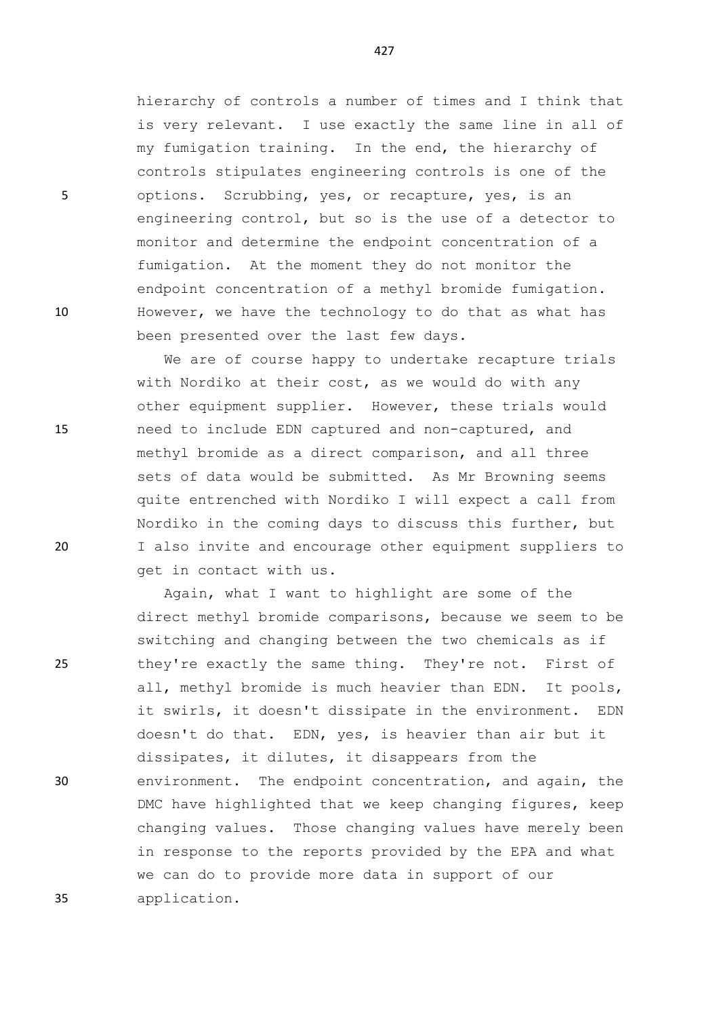hierarchy of controls a number of times and I think that is very relevant. I use exactly the same line in all of my fumigation training. In the end, the hierarchy of controls stipulates engineering controls is one of the 5 options. Scrubbing, yes, or recapture, yes, is an engineering control, but so is the use of a detector to monitor and determine the endpoint concentration of a fumigation. At the moment they do not monitor the endpoint concentration of a methyl bromide fumigation. 10 However, we have the technology to do that as what has been presented over the last few days.

We are of course happy to undertake recapture trials with Nordiko at their cost, as we would do with any other equipment supplier. However, these trials would 15 need to include EDN captured and non-captured, and methyl bromide as a direct comparison, and all three sets of data would be submitted. As Mr Browning seems quite entrenched with Nordiko I will expect a call from Nordiko in the coming days to discuss this further, but 20 I also invite and encourage other equipment suppliers to get in contact with us.

Again, what I want to highlight are some of the direct methyl bromide comparisons, because we seem to be switching and changing between the two chemicals as if 25 they're exactly the same thing. They're not. First of all, methyl bromide is much heavier than EDN. It pools, it swirls, it doesn't dissipate in the environment. EDN doesn't do that. EDN, yes, is heavier than air but it dissipates, it dilutes, it disappears from the 30 environment. The endpoint concentration, and again, the DMC have highlighted that we keep changing figures, keep changing values. Those changing values have merely been in response to the reports provided by the EPA and what we can do to provide more data in support of our 35 application.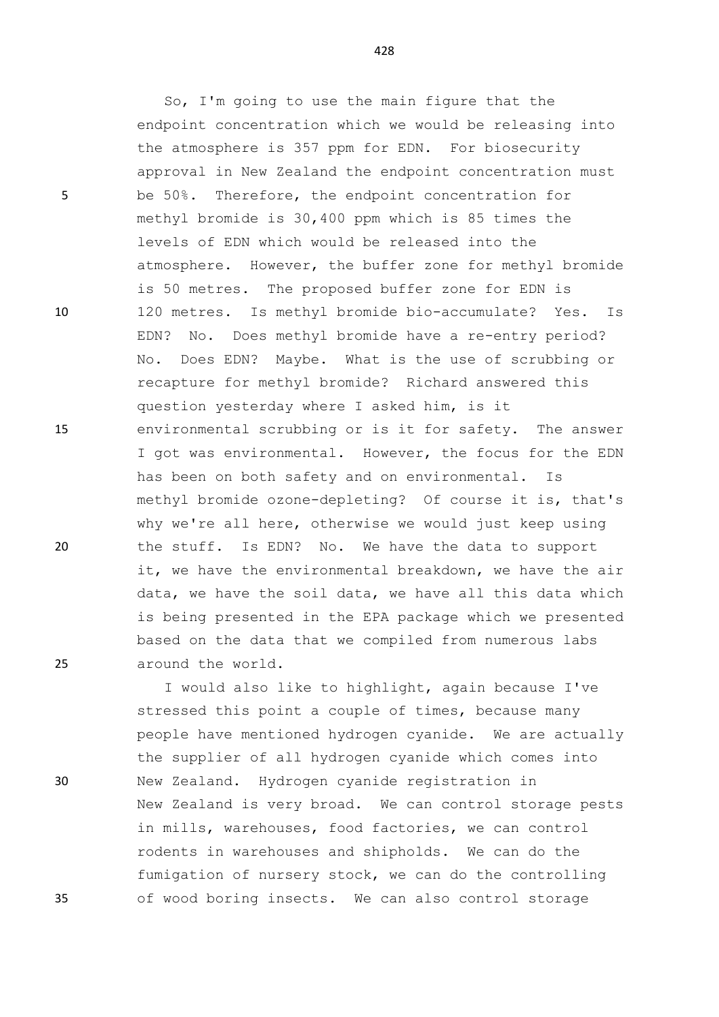5 be 50%. Therefore, the endpoint concentration for

10 120 metres. Is methyl bromide bio-accumulate? Yes. Is

15 environmental scrubbing or is it for safety. The answer

20 the stuff. Is EDN? No. We have the data to support it, we have the environmental breakdown, we have the air data, we have the soil data, we have all this data which is being presented in the EPA package which we presented based on the data that we compiled from numerous labs 25 around the world. I would also like to highlight, again because I've stressed this point a couple of times, because many people have mentioned hydrogen cyanide. We are actually the supplier of all hydrogen cyanide which comes into 30 New Zealand. Hydrogen cyanide registration in New Zealand is very broad. We can control storage pests in mills, warehouses, food factories, we can control rodents in warehouses and shipholds. We can do the fumigation of nursery stock, we can do the controlling 35 of wood boring insects. We can also control storage

428

endpoint concentration which we would be releasing into

approval in New Zealand the endpoint concentration must

atmosphere. However, the buffer zone for methyl bromide

EDN? No. Does methyl bromide have a re-entry period? No. Does EDN? Maybe. What is the use of scrubbing or

recapture for methyl bromide? Richard answered this

has been on both safety and on environmental. Is

I got was environmental. However, the focus for the EDN

methyl bromide ozone-depleting? Of course it is, that's

why we're all here, otherwise we would just keep using

question yesterday where I asked him, is it

So, I'm going to use the main figure that the

the atmosphere is 357 ppm for EDN. For biosecurity

methyl bromide is 30,400 ppm which is 85 times the

is 50 metres. The proposed buffer zone for EDN is

levels of EDN which would be released into the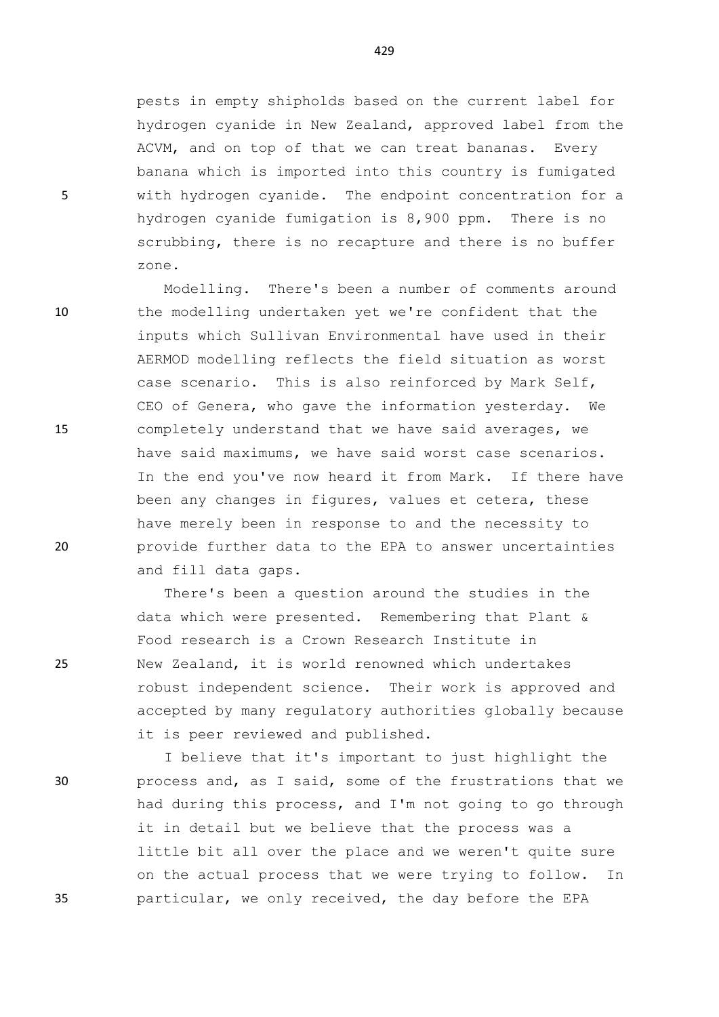pests in empty shipholds based on the current label for hydrogen cyanide in New Zealand, approved label from the ACVM, and on top of that we can treat bananas. Every banana which is imported into this country is fumigated 5 with hydrogen cyanide. The endpoint concentration for a hydrogen cyanide fumigation is 8,900 ppm. There is no scrubbing, there is no recapture and there is no buffer zone.

Modelling. There's been a number of comments around 10 the modelling undertaken yet we're confident that the inputs which Sullivan Environmental have used in their AERMOD modelling reflects the field situation as worst case scenario. This is also reinforced by Mark Self, CEO of Genera, who gave the information yesterday. We 15 completely understand that we have said averages, we have said maximums, we have said worst case scenarios. In the end you've now heard it from Mark. If there have been any changes in figures, values et cetera, these have merely been in response to and the necessity to 20 provide further data to the EPA to answer uncertainties and fill data gaps.

There's been a question around the studies in the data which were presented. Remembering that Plant & Food research is a Crown Research Institute in 25 New Zealand, it is world renowned which undertakes robust independent science. Their work is approved and accepted by many regulatory authorities globally because it is peer reviewed and published.

I believe that it's important to just highlight the 30 process and, as I said, some of the frustrations that we had during this process, and I'm not going to go through it in detail but we believe that the process was a little bit all over the place and we weren't quite sure on the actual process that we were trying to follow. In 35 particular, we only received, the day before the EPA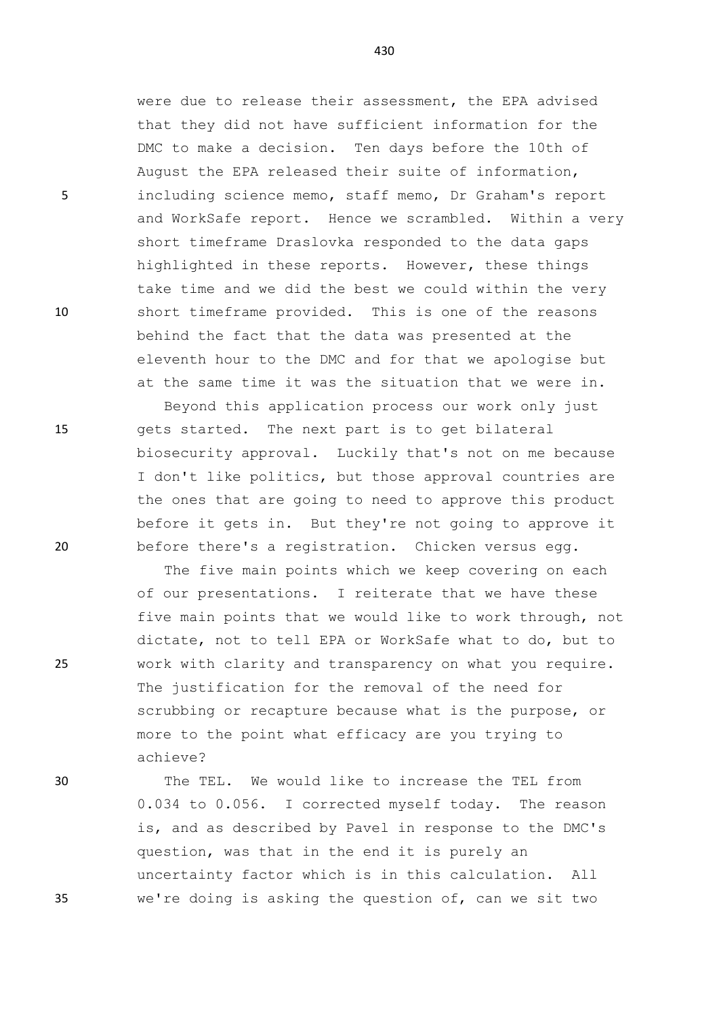were due to release their assessment, the EPA advised that they did not have sufficient information for the DMC to make a decision. Ten days before the 10th of August the EPA released their suite of information, 5 including science memo, staff memo, Dr Graham's report and WorkSafe report. Hence we scrambled. Within a very short timeframe Draslovka responded to the data gaps highlighted in these reports. However, these things take time and we did the best we could within the very 10 short timeframe provided. This is one of the reasons behind the fact that the data was presented at the eleventh hour to the DMC and for that we apologise but at the same time it was the situation that we were in.

Beyond this application process our work only just 15 gets started. The next part is to get bilateral biosecurity approval. Luckily that's not on me because I don't like politics, but those approval countries are the ones that are going to need to approve this product before it gets in. But they're not going to approve it 20 before there's a registration. Chicken versus egg.

The five main points which we keep covering on each of our presentations. I reiterate that we have these five main points that we would like to work through, not dictate, not to tell EPA or WorkSafe what to do, but to 25 work with clarity and transparency on what you require. The justification for the removal of the need for scrubbing or recapture because what is the purpose, or more to the point what efficacy are you trying to achieve?

30 The TEL. We would like to increase the TEL from 0.034 to 0.056. I corrected myself today. The reason is, and as described by Pavel in response to the DMC's question, was that in the end it is purely an uncertainty factor which is in this calculation. All 35 we're doing is asking the question of, can we sit two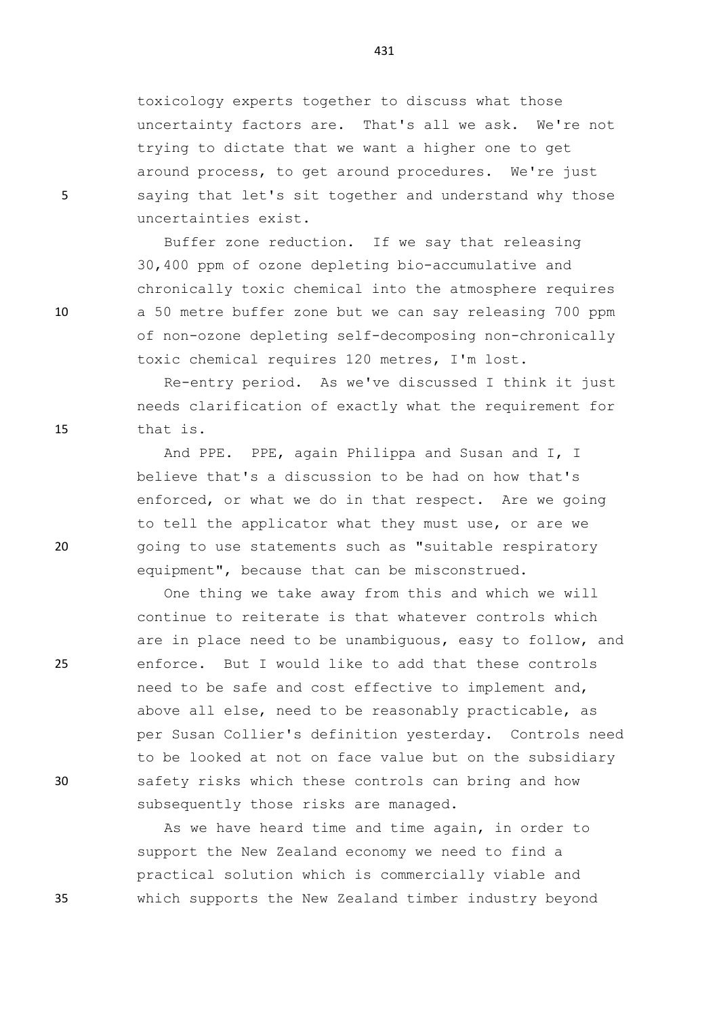toxicology experts together to discuss what those uncertainty factors are. That's all we ask. We're not trying to dictate that we want a higher one to get around process, to get around procedures. We're just 5 saying that let's sit together and understand why those uncertainties exist.

Buffer zone reduction. If we say that releasing 30,400 ppm of ozone depleting bio-accumulative and chronically toxic chemical into the atmosphere requires 10 a 50 metre buffer zone but we can say releasing 700 ppm of non-ozone depleting self-decomposing non-chronically toxic chemical requires 120 metres, I'm lost.

Re-entry period. As we've discussed I think it just needs clarification of exactly what the requirement for 15 that is.

And PPE. PPE, again Philippa and Susan and I, I believe that's a discussion to be had on how that's enforced, or what we do in that respect. Are we going to tell the applicator what they must use, or are we 20 going to use statements such as "suitable respiratory equipment", because that can be misconstrued.

One thing we take away from this and which we will continue to reiterate is that whatever controls which are in place need to be unambiguous, easy to follow, and 25 enforce. But I would like to add that these controls need to be safe and cost effective to implement and, above all else, need to be reasonably practicable, as per Susan Collier's definition yesterday. Controls need to be looked at not on face value but on the subsidiary 30 safety risks which these controls can bring and how subsequently those risks are managed.

As we have heard time and time again, in order to support the New Zealand economy we need to find a practical solution which is commercially viable and 35 which supports the New Zealand timber industry beyond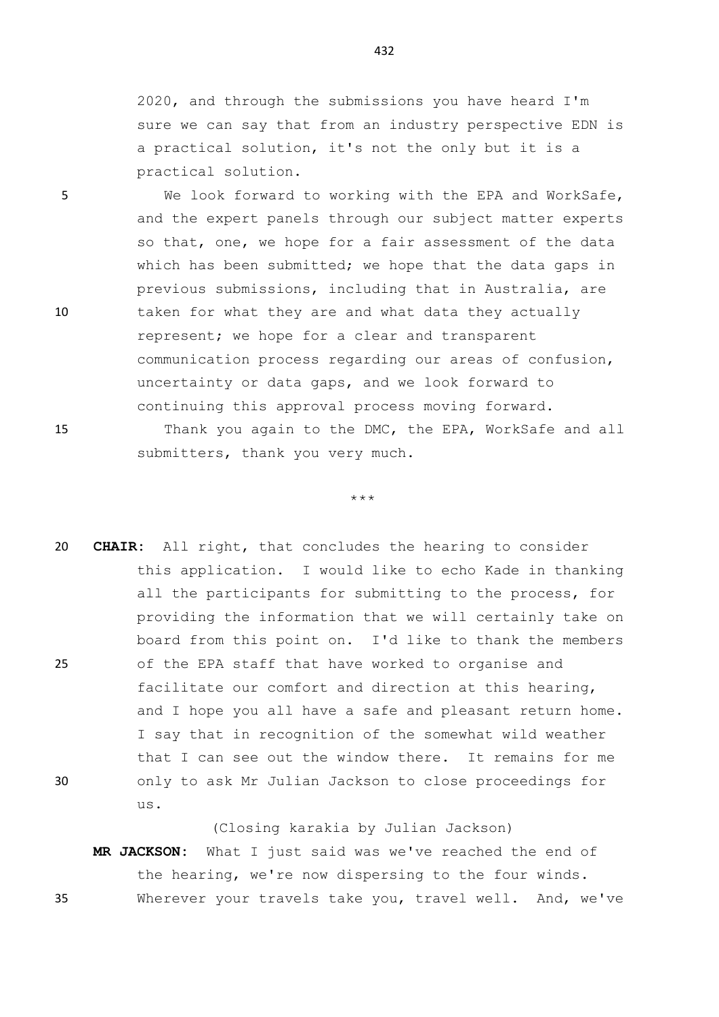2020, and through the submissions you have heard I'm sure we can say that from an industry perspective EDN is a practical solution, it's not the only but it is a practical solution.

5 We look forward to working with the EPA and WorkSafe, and the expert panels through our subject matter experts so that, one, we hope for a fair assessment of the data which has been submitted; we hope that the data gaps in previous submissions, including that in Australia, are 10 taken for what they are and what data they actually represent; we hope for a clear and transparent communication process regarding our areas of confusion, uncertainty or data gaps, and we look forward to continuing this approval process moving forward.

15 Thank you again to the DMC, the EPA, WorkSafe and all submitters, thank you very much.

## \*\*\*

20 **CHAIR:** All right, that concludes the hearing to consider this application. I would like to echo Kade in thanking all the participants for submitting to the process, for providing the information that we will certainly take on board from this point on. I'd like to thank the members 25 of the EPA staff that have worked to organise and facilitate our comfort and direction at this hearing, and I hope you all have a safe and pleasant return home. I say that in recognition of the somewhat wild weather that I can see out the window there. It remains for me 30 only to ask Mr Julian Jackson to close proceedings for us.

(Closing karakia by Julian Jackson)

**MR JACKSON:** What I just said was we've reached the end of the hearing, we're now dispersing to the four winds. 35 Wherever your travels take you, travel well. And, we've